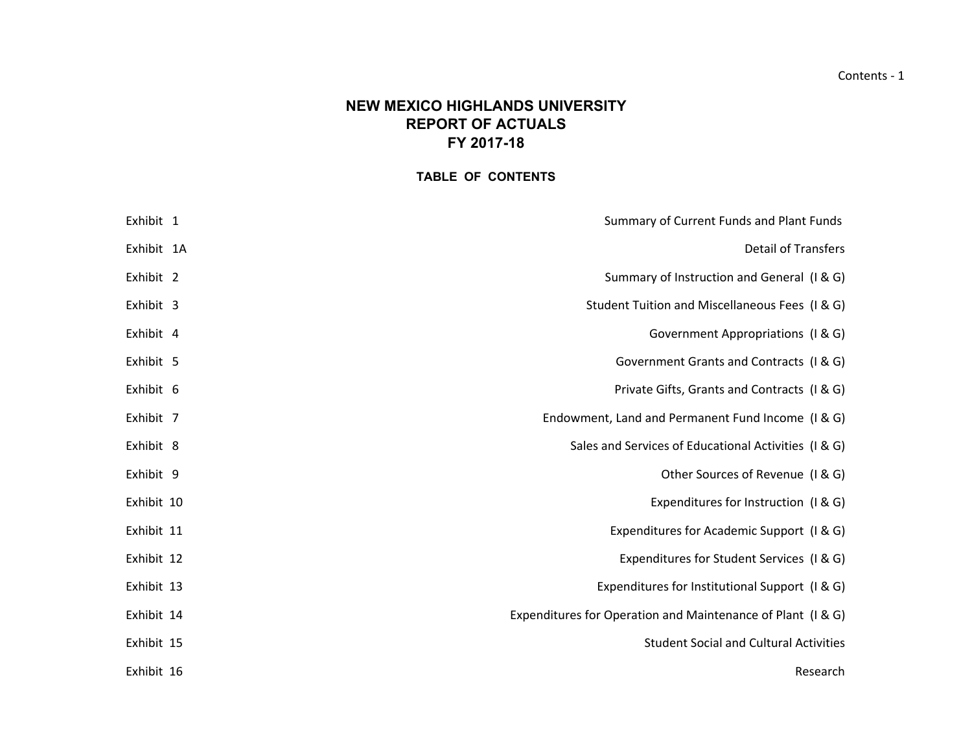# **NEW MEXICO HIGHLANDS UNIVERSITYREPORT OF ACTUALS FY 2017-18**

# **TABLE OF CONTENTS**

| Summary of Current Funds and Plant Funds                    | Exhibit 1  |
|-------------------------------------------------------------|------------|
| <b>Detail of Transfers</b>                                  | Exhibit 1A |
| Summary of Instruction and General (I & G)                  | Exhibit 2  |
| Student Tuition and Miscellaneous Fees (I & G)              | Exhibit 3  |
| Government Appropriations (I & G)                           | Exhibit 4  |
| Government Grants and Contracts (I & G)                     | Exhibit 5  |
| Private Gifts, Grants and Contracts (I & G)                 | Exhibit 6  |
| Endowment, Land and Permanent Fund Income (I & G)           | Exhibit 7  |
| Sales and Services of Educational Activities (I & G)        | Exhibit 8  |
| Other Sources of Revenue (I & G)                            | Exhibit 9  |
| Expenditures for Instruction (I & G)                        | Exhibit 10 |
| Expenditures for Academic Support (I & G)                   | Exhibit 11 |
| Expenditures for Student Services (I & G)                   | Exhibit 12 |
| Expenditures for Institutional Support (I & G)              | Exhibit 13 |
| Expenditures for Operation and Maintenance of Plant (I & G) | Exhibit 14 |
| <b>Student Social and Cultural Activities</b>               | Exhibit 15 |
| Research                                                    | Exhibit 16 |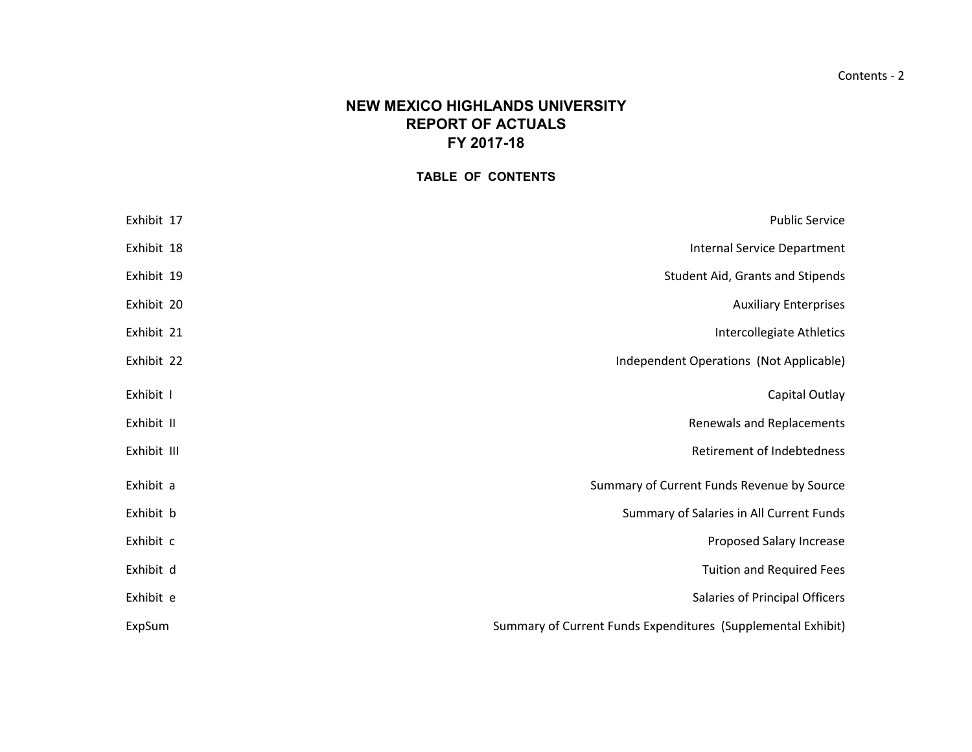### Contents ‐ 2

# **NEW MEXICO HIGHLANDS UNIVERSITYREPORT OF ACTUALS FY 2017-18**

# **TABLE OF CONTENTS**

| Exhibit 17  | <b>Public Service</b>                                        |
|-------------|--------------------------------------------------------------|
| Exhibit 18  | <b>Internal Service Department</b>                           |
| Exhibit 19  | Student Aid, Grants and Stipends                             |
| Exhibit 20  | <b>Auxiliary Enterprises</b>                                 |
| Exhibit 21  | Intercollegiate Athletics                                    |
| Exhibit 22  | Independent Operations (Not Applicable)                      |
| Exhibit I   | Capital Outlay                                               |
| Exhibit II  | Renewals and Replacements                                    |
| Exhibit III | Retirement of Indebtedness                                   |
| Exhibit a   | Summary of Current Funds Revenue by Source                   |
| Exhibit b   | Summary of Salaries in All Current Funds                     |
| Exhibit c   | Proposed Salary Increase                                     |
| Exhibit d   | <b>Tuition and Required Fees</b>                             |
| Exhibit e   | Salaries of Principal Officers                               |
| ExpSum      | Summary of Current Funds Expenditures (Supplemental Exhibit) |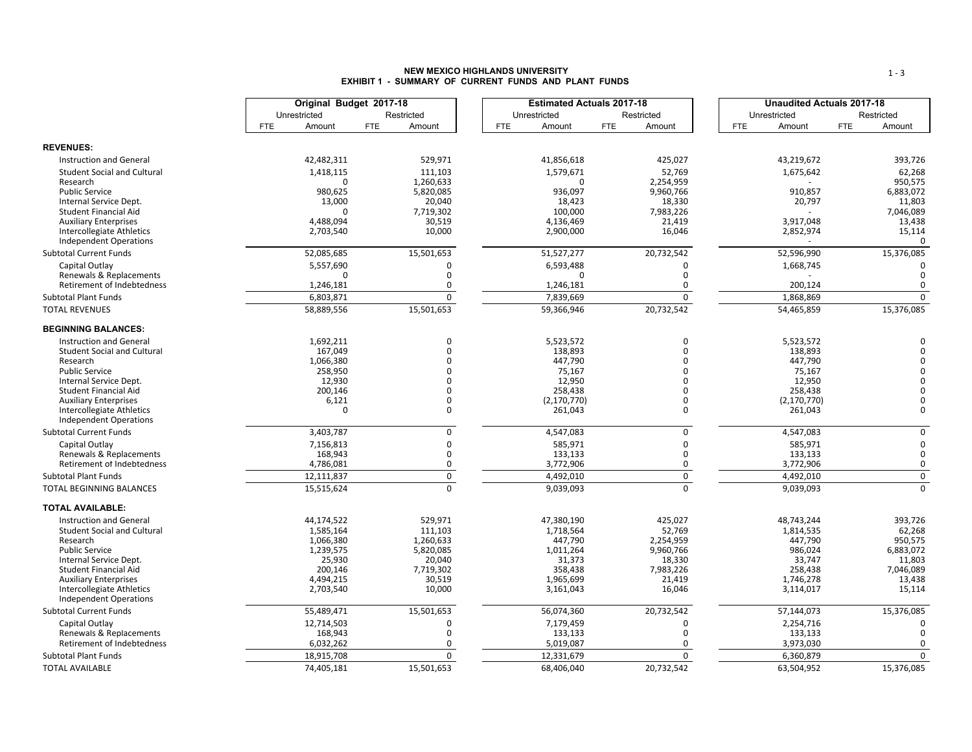### **NEW MEXICO HIGHLANDS UNIVERSITYEXHIBIT 1 - SUMMARY OF CURRENT FUNDS AND PLANT FUNDS**

|                                                        |              |                      | Original Budget 2017-18 |                     |            | <b>Estimated Actuals 2017-18</b> |            |                     |            | <b>Unaudited Actuals 2017-18</b> |            |                     |
|--------------------------------------------------------|--------------|----------------------|-------------------------|---------------------|------------|----------------------------------|------------|---------------------|------------|----------------------------------|------------|---------------------|
|                                                        | Unrestricted |                      |                         | Restricted          |            | Unrestricted                     |            | Restricted          |            | Unrestricted                     |            | Restricted          |
|                                                        | <b>FTE</b>   | Amount               | <b>FTE</b>              | Amount              | <b>FTE</b> | Amount                           | <b>FTE</b> | Amount              | <b>FTE</b> | Amount                           | <b>FTE</b> | Amount              |
| <b>REVENUES:</b>                                       |              |                      |                         |                     |            |                                  |            |                     |            |                                  |            |                     |
| <b>Instruction and General</b>                         |              | 42,482,311           |                         | 529,971             |            | 41,856,618                       |            | 425,027             |            | 43,219,672                       |            | 393,726             |
| <b>Student Social and Cultural</b>                     |              | 1,418,115            |                         | 111,103             |            | 1,579,671                        |            | 52,769              |            |                                  |            | 62,268              |
| Research                                               |              |                      |                         | 1,260,633           |            |                                  |            | 2,254,959           |            | 1,675,642                        |            | 950,575             |
| <b>Public Service</b>                                  |              | 980,625              |                         | 5,820,085           |            | 936,097                          |            | 9,960,766           |            | 910,857                          |            | 6,883,072           |
| Internal Service Dept.                                 |              | 13,000               |                         | 20,040              |            | 18,423                           |            | 18,330              |            | 20,797                           |            | 11,803              |
| <b>Student Financial Aid</b>                           |              |                      |                         | 7,719,302           |            | 100,000                          |            | 7,983,226           |            |                                  |            | 7,046,089           |
| <b>Auxiliary Enterprises</b>                           |              | 4,488,094            |                         | 30,519              |            | 4,136,469                        |            | 21,419              |            | 3,917,048                        |            | 13,438              |
| <b>Intercollegiate Athletics</b>                       |              | 2,703,540            |                         | 10,000              |            | 2,900,000                        |            | 16,046              |            | 2,852,974                        |            | 15,114              |
| <b>Independent Operations</b>                          |              |                      |                         |                     |            |                                  |            |                     |            |                                  |            | $\Omega$            |
| <b>Subtotal Current Funds</b>                          |              | 52,085,685           |                         | 15,501,653          |            | 51,527,277                       |            | 20,732,542          |            | 52,596,990                       |            | 15,376,085          |
| Capital Outlay                                         |              | 5,557,690            |                         | $\Omega$            |            | 6,593,488                        |            | 0                   |            | 1,668,745                        |            | $\Omega$            |
| Renewals & Replacements                                |              | n                    |                         | $\Omega$            |            | ∩                                |            | $\Omega$            |            |                                  |            | $\Omega$            |
| Retirement of Indebtedness                             |              | 1,246,181            |                         | 0                   |            | 1,246,181                        |            | 0                   |            | 200,124                          |            | 0                   |
| <b>Subtotal Plant Funds</b>                            |              | 6,803,871            |                         | $\mathbf 0$         |            | 7,839,669                        |            | $\mathbf 0$         |            | 1,868,869                        |            | $\Omega$            |
| <b>TOTAL REVENUES</b>                                  |              | 58,889,556           |                         | 15,501,653          |            | 59,366,946                       |            | 20,732,542          |            | 54,465,859                       |            | 15,376,085          |
| <b>BEGINNING BALANCES:</b>                             |              |                      |                         |                     |            |                                  |            |                     |            |                                  |            |                     |
| <b>Instruction and General</b>                         |              | 1,692,211            |                         | 0                   |            | 5,523,572                        |            | $\Omega$            |            | 5,523,572                        |            | $\Omega$            |
| <b>Student Social and Cultural</b>                     |              | 167,049              |                         | $\mathbf 0$         |            | 138,893                          |            | $\Omega$            |            | 138,893                          |            | $\Omega$            |
| Research                                               |              | 1,066,380            |                         | $\Omega$            |            | 447,790                          |            |                     |            | 447,790                          |            | $\Omega$            |
| <b>Public Service</b>                                  |              | 258,950              |                         | $\Omega$            |            | 75,167                           |            |                     |            | 75,167                           |            | $\Omega$            |
| Internal Service Dept.                                 |              | 12,930               |                         | $\Omega$            |            | 12,950                           |            |                     |            | 12,950                           |            | $\sqrt{2}$          |
| Student Financial Aid                                  |              | 200,146              |                         | $\Omega$            |            | 258,438                          |            | n                   |            | 258,438                          |            |                     |
| <b>Auxiliary Enterprises</b>                           |              | 6,121                |                         | $\Omega$            |            | (2, 170, 770)                    |            | $\Omega$            |            | (2, 170, 770)                    |            | $\Omega$            |
| <b>Intercollegiate Athletics</b>                       |              | $\Omega$             |                         | $\Omega$            |            | 261,043                          |            | 0                   |            | 261,043                          |            | $\Omega$            |
| <b>Independent Operations</b>                          |              |                      |                         |                     |            |                                  |            |                     |            |                                  |            |                     |
| <b>Subtotal Current Funds</b>                          |              | 3,403,787            |                         | 0                   |            | 4,547,083                        |            | $\Omega$            |            | 4,547,083                        |            | 0                   |
| Capital Outlay                                         |              | 7,156,813            |                         | 0                   |            | 585,971                          |            | 0                   |            | 585,971                          |            | $\mathbf 0$         |
| Renewals & Replacements                                |              | 168,943              |                         | 0                   |            | 133,133                          |            | $\mathbf 0$         |            | 133,133                          |            | $\mathbf 0$         |
| Retirement of Indebtedness                             |              | 4,786,081            |                         | 0                   |            | 3,772,906                        |            | 0                   |            | 3,772,906                        |            | $\mathbf 0$         |
| <b>Subtotal Plant Funds</b>                            |              | 12,111,837           |                         | $\mathbf 0$         |            | 4,492,010                        |            | 0                   |            | 4,492,010                        |            | $\mathsf{O}$        |
| TOTAL BEGINNING BALANCES                               |              | 15,515,624           |                         | $\Omega$            |            | 9,039,093                        |            | $\Omega$            |            | 9,039,093                        |            | $\Omega$            |
| <b>TOTAL AVAILABLE:</b>                                |              |                      |                         |                     |            |                                  |            |                     |            |                                  |            |                     |
| <b>Instruction and General</b>                         |              | 44,174,522           |                         | 529,971             |            | 47,380,190                       |            | 425,027             |            | 48,743,244                       |            | 393,726             |
| <b>Student Social and Cultural</b>                     |              | 1,585,164            |                         | 111,103             |            | 1,718,564                        |            | 52,769              |            | 1,814,535                        |            | 62,268              |
| Research                                               |              | 1,066,380            |                         | 1,260,633           |            | 447,790                          |            | 2,254,959           |            | 447,790                          |            | 950,575             |
| <b>Public Service</b>                                  |              | 1,239,575            |                         | 5,820,085           |            | 1,011,264                        |            | 9,960,766           |            | 986,024                          |            | 6,883,072           |
| Internal Service Dept.<br><b>Student Financial Aid</b> |              | 25,930               |                         | 20,040              |            | 31,373                           |            | 18,330              |            | 33,747                           |            | 11,803              |
| <b>Auxiliary Enterprises</b>                           |              | 200,146<br>4,494,215 |                         | 7,719,302<br>30,519 |            | 358,438<br>1,965,699             |            | 7,983,226<br>21,419 |            | 258,438<br>1,746,278             |            | 7,046,089<br>13,438 |
| Intercollegiate Athletics                              |              | 2,703,540            |                         | 10,000              |            | 3,161,043                        |            | 16,046              |            | 3,114,017                        |            | 15,114              |
| <b>Independent Operations</b>                          |              |                      |                         |                     |            |                                  |            |                     |            |                                  |            |                     |
| <b>Subtotal Current Funds</b>                          |              | 55,489,471           |                         | 15,501,653          |            | 56,074,360                       |            | 20,732,542          |            | 57,144,073                       |            | 15,376,085          |
| Capital Outlay                                         |              | 12,714,503           |                         | $\Omega$            |            | 7,179,459                        |            | $\Omega$            |            | 2,254,716                        |            | $\Omega$            |
| Renewals & Replacements                                |              | 168,943              |                         | $\Omega$            |            | 133,133                          |            | $\Omega$            |            | 133,133                          |            | $\Omega$            |
| Retirement of Indebtedness                             |              | 6,032,262            |                         | 0                   |            | 5,019,087                        |            | $\Omega$            |            | 3,973,030                        |            | $\mathbf 0$         |
| <b>Subtotal Plant Funds</b>                            |              | 18,915,708           |                         | $\mathbf 0$         |            | 12,331,679                       |            | $\mathbf 0$         |            | 6,360,879                        |            | $\mathsf{O}$        |
| <b>TOTAL AVAILABLE</b>                                 |              | 74,405,181           |                         | 15,501,653          |            | 68,406,040                       |            | 20,732,542          |            | 63,504,952                       |            | 15,376,085          |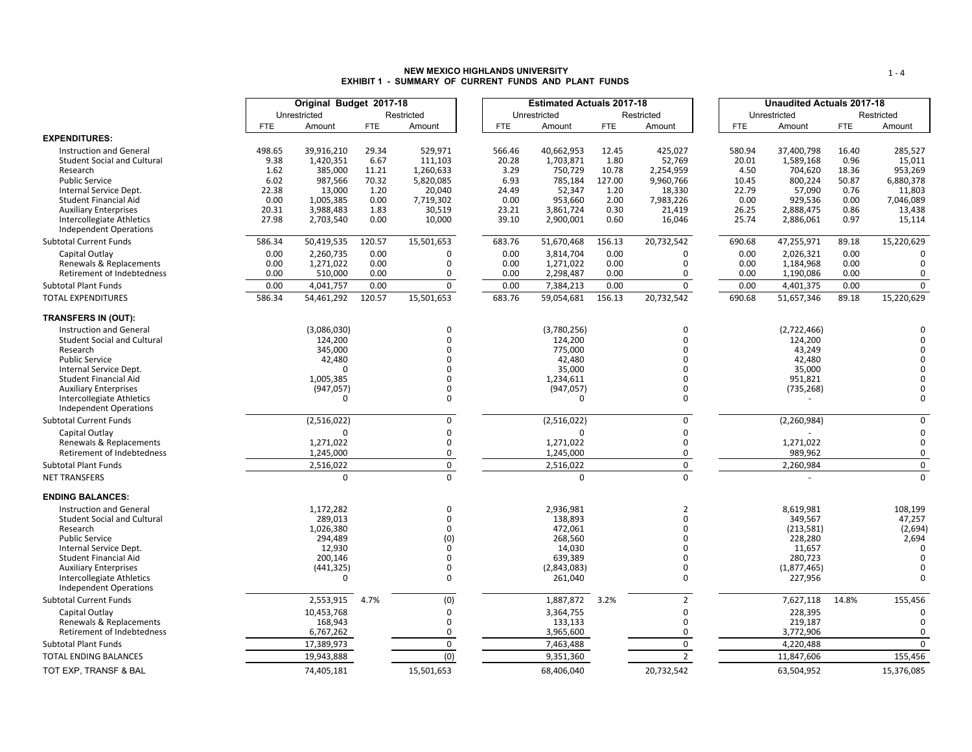### **NEW MEXICO HIGHLANDS UNIVERSITYEXHIBIT 1 - SUMMARY OF CURRENT FUNDS AND PLANT FUNDS**

|                                                                      |                | Original Budget 2017-18 |               |                    |                 | <b>Estimated Actuals 2017-18</b> |               |                      |            |                 | <b>Unaudited Actuals 2017-18</b> |               |                      |
|----------------------------------------------------------------------|----------------|-------------------------|---------------|--------------------|-----------------|----------------------------------|---------------|----------------------|------------|-----------------|----------------------------------|---------------|----------------------|
|                                                                      |                | Unrestricted            |               | Restricted         |                 | Unrestricted                     |               | Restricted           |            |                 | Unrestricted                     |               | Restricted           |
|                                                                      | <b>FTE</b>     | Amount                  | <b>FTE</b>    | Amount             | <b>FTE</b>      | Amount                           | <b>FTE</b>    | Amount               | <b>FTE</b> |                 | Amount                           | <b>FTE</b>    | Amount               |
| <b>EXPENDITURES:</b>                                                 |                |                         |               |                    |                 |                                  |               |                      |            |                 |                                  |               |                      |
| <b>Instruction and General</b><br><b>Student Social and Cultural</b> | 498.65<br>9.38 | 39,916,210<br>1,420,351 | 29.34<br>6.67 | 529,971<br>111,103 | 566.46<br>20.28 | 40,662,953<br>1,703,871          | 12.45<br>1.80 | 425,027<br>52,769    |            | 580.94<br>20.01 | 37,400,798<br>1,589,168          | 16.40<br>0.96 | 285,527<br>15,011    |
| Research                                                             | 1.62           | 385,000                 | 11.21         | 1,260,633          | 3.29            | 750,729                          | 10.78         | 2,254,959            |            | 4.50            | 704,620                          | 18.36         | 953,269              |
| <b>Public Service</b>                                                | 6.02           | 987,566                 | 70.32         | 5,820,085          | 6.93            | 785,184                          | 127.00        | 9,960,766            |            | 10.45           | 800,224                          | 50.87         | 6,880,378            |
| Internal Service Dept.                                               | 22.38          | 13,000                  | 1.20          | 20,040             | 24.49           | 52,347                           | 1.20          | 18,330               |            | 22.79           | 57,090                           | 0.76          | 11,803               |
| Student Financial Aid                                                | 0.00           | 1,005,385               | 0.00          | 7,719,302          | 0.00            | 953,660                          | 2.00          | 7,983,226            |            | 0.00            | 929,536                          | 0.00          | 7,046,089            |
| <b>Auxiliary Enterprises</b><br>Intercollegiate Athletics            | 20.31<br>27.98 | 3,988,483<br>2,703,540  | 1.83<br>0.00  | 30,519<br>10,000   | 23.21<br>39.10  | 3,861,724<br>2,900,001           | 0.30<br>0.60  | 21,419<br>16,046     |            | 26.25<br>25.74  | 2,888,475<br>2,886,061           | 0.86<br>0.97  | 13,438<br>15,114     |
| <b>Independent Operations</b><br><b>Subtotal Current Funds</b>       | 586.34         | 50,419,535              | 120.57        | 15,501,653         | 683.76          | 51,670,468                       | 156.13        | 20,732,542           |            | 690.68          | 47,255,971                       | 89.18         | 15,220,629           |
|                                                                      |                |                         |               |                    |                 |                                  |               |                      |            |                 |                                  |               |                      |
| Capital Outlay<br>Renewals & Replacements                            | 0.00<br>0.00   | 2,260,735<br>1,271,022  | 0.00<br>0.00  | $\mathbf 0$<br>0   | 0.00<br>0.00    | 3,814,704<br>1,271,022           | 0.00<br>0.00  | $\Omega$<br>0        |            | 0.00<br>0.00    | 2,026,321<br>1,184,968           | 0.00<br>0.00  | 0                    |
| Retirement of Indebtedness                                           | 0.00           | 510,000                 | 0.00          | 0                  | 0.00            | 2,298,487                        | 0.00          | 0                    |            | 0.00            | 1,190,086                        | 0.00          | $\Omega$             |
| <b>Subtotal Plant Funds</b>                                          | 0.00           | 4,041,757               | 0.00          | 0                  | 0.00            | 7,384,213                        | 0.00          | $\mathbf 0$          |            | 0.00            | 4,401,375                        | 0.00          | $\mathbf 0$          |
| <b>TOTAL EXPENDITURES</b>                                            | 586.34         | 54,461,292              | 120.57        | 15,501,653         | 683.76          | 59,054,681                       | 156.13        | 20,732,542           |            | 690.68          | 51,657,346                       | 89.18         | 15,220,629           |
|                                                                      |                |                         |               |                    |                 |                                  |               |                      |            |                 |                                  |               |                      |
| <b>TRANSFERS IN (OUT):</b>                                           |                |                         |               |                    |                 |                                  |               |                      |            |                 |                                  |               |                      |
| <b>Instruction and General</b>                                       |                | (3,086,030)             |               | 0<br>$\Omega$      |                 | (3,780,256)                      |               | $\Omega$<br>$\Omega$ |            |                 | (2,722,466)                      |               |                      |
| <b>Student Social and Cultural</b><br>Research                       |                | 124,200<br>345,000      |               | ŋ                  |                 | 124,200<br>775,000               |               |                      |            |                 | 124,200<br>43,249                |               | $\Omega$<br>$\Omega$ |
| <b>Public Service</b>                                                |                | 42,480                  |               | U                  |                 | 42.480                           |               |                      |            |                 | 42.480                           |               |                      |
| Internal Service Dept.                                               |                | $\Omega$                |               |                    |                 | 35,000                           |               |                      |            |                 | 35,000                           |               |                      |
| Student Financial Aid                                                |                | 1,005,385               |               | U                  |                 | 1,234,611                        |               | $\Omega$             |            |                 | 951,821                          |               |                      |
| <b>Auxiliary Enterprises</b>                                         |                | (947, 057)              |               | 0                  |                 | (947, 057)                       |               | 0                    |            |                 | (735, 268)                       |               | $\Omega$             |
| <b>Intercollegiate Athletics</b><br><b>Independent Operations</b>    |                | $\Omega$                |               | 0                  |                 | $\Omega$                         |               | 0                    |            |                 |                                  |               | $\Omega$             |
| <b>Subtotal Current Funds</b>                                        |                | (2,516,022)             |               | 0                  |                 | (2,516,022)                      |               | 0                    |            |                 | (2, 260, 984)                    |               | $\Omega$             |
| Capital Outlay                                                       |                | $\Omega$                |               | 0                  |                 | $\Omega$                         |               | 0                    |            |                 |                                  |               | $\mathbf 0$          |
| Renewals & Replacements                                              |                | 1,271,022               |               | 0                  |                 | 1,271,022                        |               | $\mathbf 0$          |            |                 | 1,271,022                        |               | $\mathbf 0$          |
| Retirement of Indebtedness                                           |                | 1,245,000               |               | 0                  |                 | 1,245,000                        |               | $\mathbf 0$          |            |                 | 989,962                          |               | $\mathbf 0$          |
| <b>Subtotal Plant Funds</b>                                          |                | 2,516,022               |               | 0                  |                 | 2,516,022                        |               | 0                    |            |                 | 2,260,984                        |               | $\mathbf 0$          |
| <b>NET TRANSFERS</b>                                                 |                | $\mathbf 0$             |               | $\Omega$           |                 | $\Omega$                         |               | $\Omega$             |            |                 |                                  |               | $\Omega$             |
| <b>ENDING BALANCES:</b>                                              |                |                         |               |                    |                 |                                  |               |                      |            |                 |                                  |               |                      |
| <b>Instruction and General</b>                                       |                | 1,172,282               |               | 0                  |                 | 2,936,981                        |               | $\overline{2}$       |            |                 | 8,619,981                        |               | 108,199              |
| <b>Student Social and Cultural</b>                                   |                | 289,013                 |               | 0                  |                 | 138,893                          |               | $\Omega$             |            |                 | 349,567                          |               | 47,257               |
| Research<br><b>Public Service</b>                                    |                | 1,026,380<br>294,489    |               | 0<br>(0)           |                 | 472,061<br>268,560               |               | $\Omega$<br>$\Omega$ |            |                 | (213, 581)<br>228,280            |               | (2,694)<br>2,694     |
| Internal Service Dept.                                               |                | 12,930                  |               | $\Omega$           |                 | 14,030                           |               |                      |            |                 | 11,657                           |               | $\Omega$             |
| Student Financial Aid                                                |                | 200,146                 |               | $\Omega$           |                 | 639.389                          |               | $\Omega$             |            |                 | 280,723                          |               | $\Omega$             |
| <b>Auxiliary Enterprises</b>                                         |                | (441, 325)              |               | 0                  |                 | (2,843,083)                      |               | $\Omega$             |            |                 | (1,877,465)                      |               | $\Omega$             |
| Intercollegiate Athletics<br><b>Independent Operations</b>           |                | $\Omega$                |               | $\Omega$           |                 | 261,040                          |               | $\Omega$             |            |                 | 227,956                          |               | $\Omega$             |
| <b>Subtotal Current Funds</b>                                        |                | 2,553,915               | 4.7%          | (0)                |                 | 1,887,872 3.2%                   |               | $\overline{2}$       |            |                 | 7,627,118                        | 14.8%         | 155,456              |
| Capital Outlay                                                       |                | 10,453,768              |               | 0                  |                 | 3,364,755                        |               | $\Omega$             |            |                 | 228,395                          |               | $\Omega$             |
| Renewals & Replacements                                              |                | 168,943                 |               | 0                  |                 | 133,133                          |               | $\mathbf 0$          |            |                 | 219,187                          |               | $\mathbf 0$          |
| Retirement of Indebtedness                                           |                | 6,767,262               |               | 0                  |                 | 3,965,600                        |               | 0                    |            |                 | 3,772,906                        |               | 0                    |
| <b>Subtotal Plant Funds</b>                                          |                | 17,389,973              |               | 0                  |                 | 7,463,488                        |               | 0                    |            |                 | 4,220,488                        |               | $\Omega$             |
| TOTAL ENDING BALANCES                                                |                | 19,943,888              |               | (0)                |                 | 9,351,360                        |               | $\overline{2}$       |            |                 | 11,847,606                       |               | 155,456              |
| TOT EXP. TRANSF & BAL                                                |                | 74.405.181              |               | 15,501,653         |                 | 68,406,040                       |               | 20,732,542           |            |                 | 63,504,952                       |               | 15,376,085           |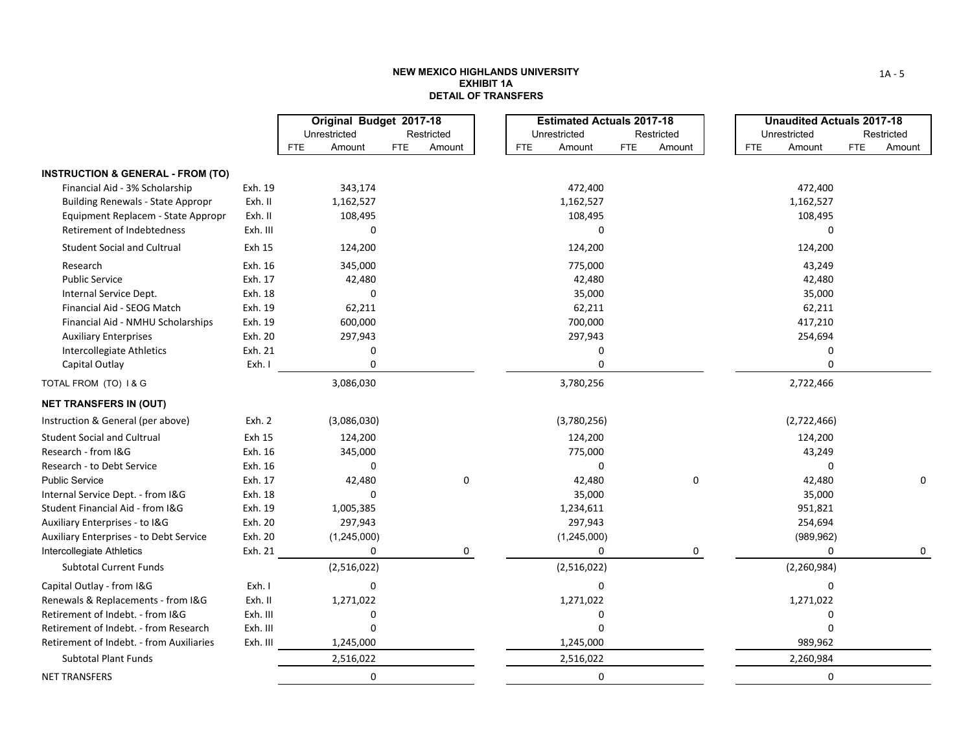### **NEW MEXICO HIGHLANDS UNIVERSITY EXHIBIT 1ADETAIL OF TRANSFERS**

|                                                                                   |                      | Original Budget 2017-18 |                      |            |                  | <b>Estimated Actuals 2017-18</b> | <b>Unaudited Actuals 2017-18</b> |                      |
|-----------------------------------------------------------------------------------|----------------------|-------------------------|----------------------|------------|------------------|----------------------------------|----------------------------------|----------------------|
|                                                                                   |                      | Unrestricted            | Restricted           |            | Unrestricted     | Restricted                       | Unrestricted                     | Restricted           |
|                                                                                   |                      | <b>FTE</b><br>Amount    | <b>FTE</b><br>Amount | <b>FTE</b> | Amount           | <b>FTE</b><br>Amount             | <b>FTE</b><br>Amount             | <b>FTE</b><br>Amount |
| <b>INSTRUCTION &amp; GENERAL - FROM (TO)</b>                                      |                      |                         |                      |            |                  |                                  |                                  |                      |
| Financial Aid - 3% Scholarship                                                    | Exh. 19              | 343,174                 |                      |            | 472,400          |                                  | 472,400                          |                      |
| <b>Building Renewals - State Appropr</b>                                          | Exh. II              | 1,162,527               |                      |            | 1,162,527        |                                  | 1,162,527                        |                      |
| Equipment Replacem - State Appropr                                                | Exh. II              | 108,495                 |                      |            | 108,495          |                                  | 108,495                          |                      |
| Retirement of Indebtedness                                                        | Exh. III             | O                       |                      |            | 0                |                                  | 0                                |                      |
| <b>Student Social and Cultrual</b>                                                | Exh 15               | 124,200                 |                      |            | 124,200          |                                  | 124,200                          |                      |
| Research                                                                          | Exh. 16              | 345,000                 |                      |            | 775,000          |                                  | 43,249                           |                      |
| <b>Public Service</b>                                                             | Exh. 17              | 42,480                  |                      |            | 42,480           |                                  | 42,480                           |                      |
| Internal Service Dept.                                                            | Exh. 18              | 0                       |                      |            | 35,000           |                                  | 35,000                           |                      |
| Financial Aid - SEOG Match                                                        | Exh. 19              | 62,211                  |                      |            | 62,211           |                                  | 62,211                           |                      |
| Financial Aid - NMHU Scholarships                                                 | Exh. 19              | 600,000                 |                      |            | 700,000          |                                  | 417,210                          |                      |
| <b>Auxiliary Enterprises</b>                                                      | Exh. 20              | 297,943                 |                      |            | 297,943          |                                  | 254,694                          |                      |
| Intercollegiate Athletics                                                         | Exh. 21              | 0                       |                      |            | 0                |                                  | 0                                |                      |
| Capital Outlay                                                                    | Exh. I               | $\Omega$                |                      |            | 0                |                                  | 0                                |                      |
| TOTAL FROM (TO) I & G                                                             |                      | 3,086,030               |                      |            | 3,780,256        |                                  | 2,722,466                        |                      |
| <b>NET TRANSFERS IN (OUT)</b>                                                     |                      |                         |                      |            |                  |                                  |                                  |                      |
| Instruction & General (per above)                                                 | Exh. 2               | (3,086,030)             |                      |            | (3,780,256)      |                                  | (2,722,466)                      |                      |
| <b>Student Social and Cultrual</b>                                                | Exh 15               | 124,200                 |                      |            | 124,200          |                                  | 124,200                          |                      |
| Research - from I&G                                                               | Exh. 16              | 345,000                 |                      |            | 775,000          |                                  | 43,249                           |                      |
| Research - to Debt Service                                                        | Exh. 16              | $\mathbf{0}$            |                      |            | 0                |                                  | 0                                |                      |
| Public Service                                                                    | Exh. 17              | 42,480                  | $\pmb{0}$            |            | 42,480           | 0                                | 42,480                           | 0                    |
| Internal Service Dept. - from I&G                                                 | Exh. 18              | $\Omega$                |                      |            | 35,000           |                                  | 35,000                           |                      |
| Student Financial Aid - from I&G                                                  | Exh. 19              | 1,005,385               |                      |            | 1,234,611        |                                  | 951,821                          |                      |
| Auxiliary Enterprises - to I&G                                                    | Exh. 20              | 297,943                 |                      |            | 297,943          |                                  | 254,694                          |                      |
| <b>Auxiliary Enterprises - to Debt Service</b>                                    | Exh. 20              | (1,245,000)             |                      |            | (1,245,000)      |                                  | (989, 962)                       |                      |
| Intercollegiate Athletics<br><b>Subtotal Current Funds</b>                        | Exh. 21              | 0<br>(2,516,022)        | 0                    |            | 0<br>(2,516,022) | 0                                | 0<br>(2, 260, 984)               | 0                    |
|                                                                                   |                      |                         |                      |            |                  |                                  |                                  |                      |
| Capital Outlay - from I&G                                                         | Exh. I               | 0                       |                      |            | 0                |                                  | 0                                |                      |
| Renewals & Replacements - from I&G                                                | Exh. II              | 1,271,022               |                      |            | 1,271,022        |                                  | 1,271,022                        |                      |
| Retirement of Indebt. - from I&G                                                  | Exh. III             | 0                       |                      |            | 0                |                                  | 0                                |                      |
| Retirement of Indebt. - from Research<br>Retirement of Indebt. - from Auxiliaries | Exh. III<br>Exh. III | $\Omega$<br>1,245,000   |                      |            | 0<br>1,245,000   |                                  | $\Omega$<br>989,962              |                      |
|                                                                                   |                      |                         |                      |            |                  |                                  |                                  |                      |
| <b>Subtotal Plant Funds</b>                                                       |                      | 2,516,022               |                      |            | 2,516,022        |                                  | 2,260,984                        |                      |
| <b>NET TRANSFERS</b>                                                              |                      | 0                       |                      |            | 0                |                                  | 0                                |                      |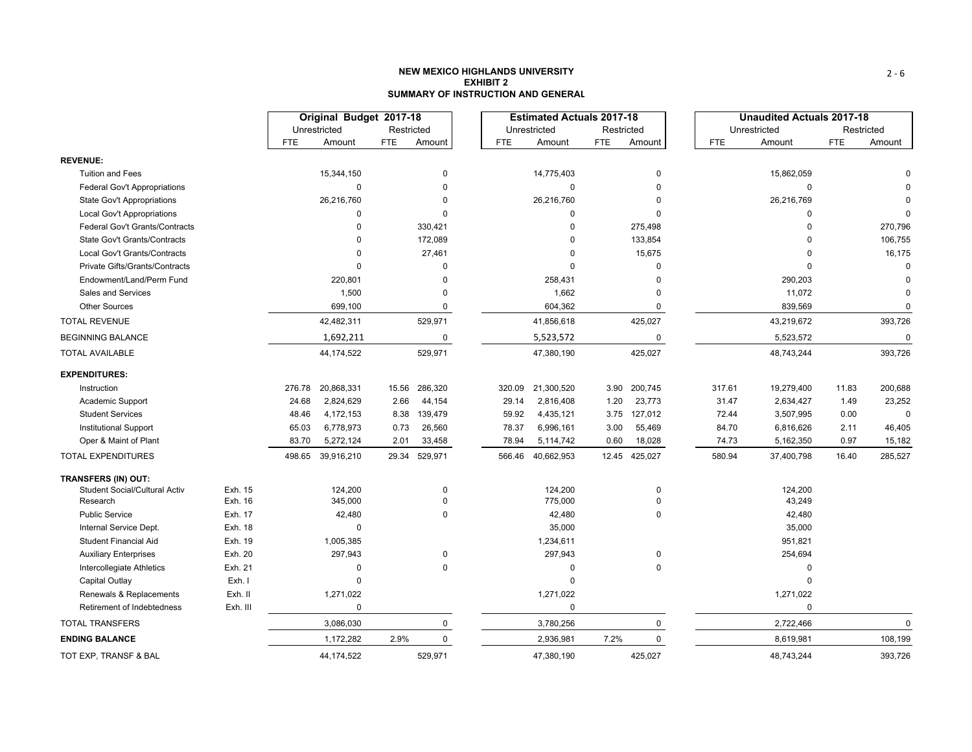## **NEW MEXICO HIGHLANDS UNIVERSITYEXHIBIT 2SUMMARY OF INSTRUCTION AND GENERAL**

|                                      |          |            | Original Budget 2017-18 |            |                         |            | <b>Estimated Actuals 2017-18</b> |            |           |            | <b>Unaudited Actuals 2017-18</b> |            |            |
|--------------------------------------|----------|------------|-------------------------|------------|-------------------------|------------|----------------------------------|------------|-----------|------------|----------------------------------|------------|------------|
|                                      |          |            | Unrestricted            | Restricted |                         |            | Unrestricted                     | Restricted |           |            | Unrestricted                     |            | Restricted |
|                                      |          | <b>FTE</b> | Amount                  | <b>FTE</b> | Amount                  | <b>FTE</b> | Amount                           | <b>FTE</b> | Amount    | <b>FTE</b> | Amount                           | <b>FTE</b> |            |
| <b>REVENUE:</b>                      |          |            |                         |            |                         |            |                                  |            |           |            |                                  |            |            |
| <b>Tuition and Fees</b>              |          |            | 15,344,150              |            | $\Omega$                |            | 14,775,403                       |            | 0         |            | 15,862,059                       |            |            |
| <b>Federal Gov't Appropriations</b>  |          |            | $\mathbf 0$             |            | $\Omega$                |            | $\mathbf 0$                      |            | $\Omega$  |            | $\mathbf 0$                      |            |            |
| <b>State Gov't Appropriations</b>    |          |            | 26,216,760              |            | $\Omega$                |            | 26,216,760                       |            | 0         |            | 26,216,769                       |            |            |
| Local Gov't Appropriations           |          |            | $\mathbf 0$             |            | $\Omega$                |            | $\Omega$                         |            | $\Omega$  |            | $\mathbf 0$                      |            |            |
| Federal Gov't Grants/Contracts       |          |            | $\Omega$                |            | 330,421                 |            | $\Omega$                         |            | 275,498   |            | $\Omega$                         |            |            |
| State Gov't Grants/Contracts         |          |            | $\Omega$                |            | 172,089                 |            | $\Omega$                         |            | 133,854   |            | O                                |            |            |
| <b>Local Gov't Grants/Contracts</b>  |          |            | $\Omega$                |            | 27,461                  |            | $\Omega$                         |            | 15,675    |            | $\Omega$                         |            |            |
| Private Gifts/Grants/Contracts       |          |            | $\Omega$                |            | $\Omega$                |            | $\Omega$                         |            | $\Omega$  |            | $\Omega$                         |            |            |
| Endowment/Land/Perm Fund             |          |            | 220,801                 |            | $\Omega$                |            | 258,431                          |            | $\Omega$  |            | 290,203                          |            |            |
| Sales and Services                   |          |            | 1,500                   |            | $\Omega$                |            | 1,662                            |            | 0         |            | 11,072                           |            |            |
| <b>Other Sources</b>                 |          |            | 699,100                 |            | $\mathbf 0$             |            | 604,362                          |            | 0         |            | 839,569                          |            |            |
| <b>TOTAL REVENUE</b>                 |          |            | 42,482,311              |            | 529,971                 |            | 41,856,618                       |            | 425,027   |            | 43,219,672                       |            |            |
| <b>BEGINNING BALANCE</b>             |          |            | 1,692,211               |            | 0                       |            | 5,523,572                        |            | 0         |            | 5,523,572                        |            |            |
| <b>TOTAL AVAILABLE</b>               |          |            | 44, 174, 522            |            | 529,971                 |            | 47,380,190                       |            | 425,027   |            | 48,743,244                       |            |            |
| <b>EXPENDITURES:</b>                 |          |            |                         |            |                         |            |                                  |            |           |            |                                  |            |            |
| Instruction                          |          | 276.78     | 20,868,331              | 15.56      | 286,320                 | 320.09     | 21,300,520                       | 3.90       | 200,745   | 317.61     | 19,279,400                       | 11.83      |            |
| Academic Support                     |          | 24.68      | 2,824,629               | 2.66       | 44,154                  | 29.14      | 2,816,408                        | 1.20       | 23,773    | 31.47      | 2,634,427                        | 1.49       |            |
| <b>Student Services</b>              |          | 48.46      | 4, 172, 153             | 8.38       | 139,479                 | 59.92      | 4,435,121                        | 3.75       | 127,012   | 72.44      | 3,507,995                        | 0.00       |            |
| <b>Institutional Support</b>         |          | 65.03      | 6,778,973               | 0.73       | 26,560                  | 78.37      | 6,996,161                        | 3.00       | 55,469    | 84.70      | 6,816,626                        | 2.11       |            |
| Oper & Maint of Plant                |          | 83.70      | 5,272,124               | 2.01       | 33,458                  | 78.94      | 5,114,742                        | 0.60       | 18,028    | 74.73      | 5,162,350                        | 0.97       |            |
| <b>TOTAL EXPENDITURES</b>            |          | 498.65     | 39,916,210              | 29.34      | 529,971                 | 566.46     | 40,662,953                       | 12.45      | 425,027   | 580.94     | 37,400,798                       | 16.40      |            |
| TRANSFERS (IN) OUT:                  |          |            |                         |            |                         |            |                                  |            |           |            |                                  |            |            |
| <b>Student Social/Cultural Activ</b> | Exh. 15  |            | 124,200                 |            | 0                       |            | 124,200                          |            | 0         |            | 124,200                          |            |            |
| Research                             | Exh. 16  |            | 345,000                 |            | $\mathbf 0$             |            | 775,000                          |            | 0         |            | 43,249                           |            |            |
| <b>Public Service</b>                | Exh. 17  |            | 42,480                  |            | $\Omega$                |            | 42,480                           |            | 0         |            | 42,480                           |            |            |
| Internal Service Dept.               | Exh. 18  |            | $\Omega$                |            |                         |            | 35,000                           |            |           |            | 35,000                           |            |            |
| <b>Student Financial Aid</b>         | Exh. 19  |            | 1,005,385               |            |                         |            | 1,234,611                        |            |           |            | 951,821                          |            |            |
| <b>Auxiliary Enterprises</b>         | Exh. 20  |            | 297,943                 |            | $\mathbf 0$<br>$\Omega$ |            | 297,943                          |            | $\pmb{0}$ |            | 254,694                          |            |            |
| Intercollegiate Athletics            | Exh. 21  |            | $\Omega$                |            |                         |            | $\Omega$                         |            | 0         |            | $\mathbf 0$                      |            |            |
| Capital Outlay                       | Exh. I   |            | $\Omega$                |            |                         |            | $\Omega$                         |            |           |            | $\mathbf 0$                      |            |            |
| Renewals & Replacements              | Exh. II  |            | 1,271,022               |            |                         |            | 1,271,022                        |            |           |            | 1,271,022                        |            |            |
| Retirement of Indebtedness           | Exh. III |            | $\mathbf 0$             |            |                         |            | $\mathbf 0$                      |            |           |            | $\mathbf 0$                      |            |            |
| <b>TOTAL TRANSFERS</b>               |          |            | 3,086,030               |            | $\mathbf 0$             |            | 3,780,256                        |            | 0         |            | 2,722,466                        |            |            |
| <b>ENDING BALANCE</b>                |          |            | 1,172,282               | 2.9%       | $\mathbf 0$             |            | 2,936,981                        | 7.2%       | 0         |            | 8,619,981                        |            |            |
| TOT EXP, TRANSF & BAL                |          |            | 44,174,522              |            | 529,971                 |            | 47,380,190                       |            | 425,027   |            | 48,743,244                       |            |            |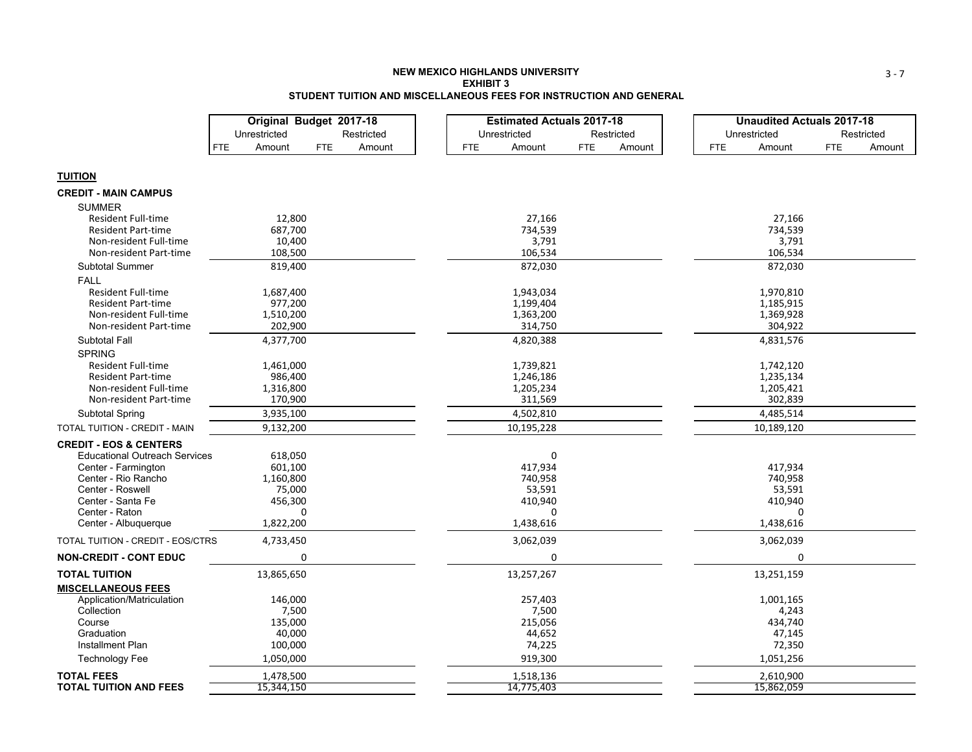### **NEW MEXICO HIGHLANDS UNIVERSITY EXHIBIT 3STUDENT TUITION AND MISCELLANEOUS FEES FOR INSTRUCTION AND GENERAL**

|                                      | Original Budget 2017-18            |            | <b>Estimated Actuals 2017-18</b> |            |        |            | <b>Unaudited Actuals 2017-18</b> |            |            |
|--------------------------------------|------------------------------------|------------|----------------------------------|------------|--------|------------|----------------------------------|------------|------------|
|                                      | Unrestricted                       | Restricted | Unrestricted                     | Restricted |        |            | Unrestricted                     |            | Restricted |
|                                      | <b>FTE</b><br>Amount<br><b>FTE</b> | Amount     | <b>FTE</b><br>Amount             | <b>FTE</b> | Amount | <b>FTE</b> | Amount                           | <b>FTE</b> | Amount     |
|                                      |                                    |            |                                  |            |        |            |                                  |            |            |
| <b>TUITION</b>                       |                                    |            |                                  |            |        |            |                                  |            |            |
| <b>CREDIT - MAIN CAMPUS</b>          |                                    |            |                                  |            |        |            |                                  |            |            |
| <b>SUMMER</b>                        |                                    |            |                                  |            |        |            |                                  |            |            |
| <b>Resident Full-time</b>            | 12,800                             |            | 27,166                           |            |        |            | 27,166                           |            |            |
| <b>Resident Part-time</b>            | 687,700                            |            | 734,539                          |            |        |            | 734,539                          |            |            |
| Non-resident Full-time               | 10,400                             |            | 3,791                            |            |        |            | 3,791                            |            |            |
| Non-resident Part-time               | 108,500                            |            | 106,534                          |            |        |            | 106,534                          |            |            |
| <b>Subtotal Summer</b>               | 819,400                            |            | 872,030                          |            |        |            | 872,030                          |            |            |
| <b>FALL</b>                          |                                    |            |                                  |            |        |            |                                  |            |            |
| <b>Resident Full-time</b>            | 1,687,400                          |            | 1,943,034                        |            |        |            | 1,970,810                        |            |            |
| <b>Resident Part-time</b>            | 977,200                            |            | 1,199,404                        |            |        |            | 1,185,915                        |            |            |
| Non-resident Full-time               | 1,510,200                          |            | 1,363,200                        |            |        |            | 1,369,928                        |            |            |
| Non-resident Part-time               | 202,900                            |            | 314,750                          |            |        |            | 304,922                          |            |            |
| <b>Subtotal Fall</b>                 | 4,377,700                          |            | 4,820,388                        |            |        |            | 4,831,576                        |            |            |
| <b>SPRING</b>                        |                                    |            |                                  |            |        |            |                                  |            |            |
| <b>Resident Full-time</b>            | 1,461,000                          |            | 1,739,821                        |            |        |            | 1,742,120                        |            |            |
| <b>Resident Part-time</b>            | 986,400                            |            | 1,246,186                        |            |        |            | 1,235,134                        |            |            |
| Non-resident Full-time               | 1,316,800                          |            | 1,205,234                        |            |        |            | 1,205,421                        |            |            |
| Non-resident Part-time               | 170,900                            |            | 311,569                          |            |        |            | 302,839                          |            |            |
| Subtotal Spring                      | 3,935,100                          |            | 4,502,810                        |            |        |            | 4,485,514                        |            |            |
| TOTAL TUITION - CREDIT - MAIN        | 9,132,200                          |            | 10,195,228                       |            |        |            | 10,189,120                       |            |            |
| <b>CREDIT - EOS &amp; CENTERS</b>    |                                    |            |                                  |            |        |            |                                  |            |            |
| <b>Educational Outreach Services</b> | 618,050                            |            | 0                                |            |        |            |                                  |            |            |
| Center - Farmington                  | 601,100                            |            | 417,934                          |            |        |            | 417,934                          |            |            |
| Center - Rio Rancho                  | 1,160,800                          |            | 740,958                          |            |        |            | 740,958                          |            |            |
| Center - Roswell                     | 75,000                             |            | 53,591                           |            |        |            | 53,591                           |            |            |
| Center - Santa Fe                    | 456,300                            |            | 410,940                          |            |        |            | 410,940                          |            |            |
| Center - Raton                       | O                                  |            | 0                                |            |        |            | O                                |            |            |
| Center - Albuquerque                 | 1,822,200                          |            | 1,438,616                        |            |        |            | 1,438,616                        |            |            |
| TOTAL TUITION - CREDIT - EOS/CTRS    | 4,733,450                          |            | 3,062,039                        |            |        |            | 3,062,039                        |            |            |
| <b>NON-CREDIT - CONT EDUC</b>        | 0                                  |            | 0                                |            |        |            | 0                                |            |            |
| <b>TOTAL TUITION</b>                 | 13,865,650                         |            | 13,257,267                       |            |        |            | 13,251,159                       |            |            |
| <b>MISCELLANEOUS FEES</b>            |                                    |            |                                  |            |        |            |                                  |            |            |
| Application/Matriculation            | 146,000                            |            | 257,403                          |            |        |            | 1,001,165                        |            |            |
| Collection                           | 7,500                              |            | 7,500                            |            |        |            | 4,243                            |            |            |
| Course                               | 135,000                            |            | 215,056                          |            |        |            | 434,740                          |            |            |
| Graduation<br>Installment Plan       | 40,000<br>100,000                  |            | 44,652<br>74,225                 |            |        |            | 47,145<br>72,350                 |            |            |
|                                      | 1,050,000                          |            | 919,300                          |            |        |            | 1,051,256                        |            |            |
| <b>Technology Fee</b>                |                                    |            |                                  |            |        |            |                                  |            |            |
| <b>TOTAL FEES</b>                    | 1,478,500                          |            | 1,518,136                        |            |        |            | 2,610,900                        |            |            |
| <b>TOTAL TUITION AND FEES</b>        | 15,344,150                         |            | 14,775,403                       |            |        |            | 15,862,059                       |            |            |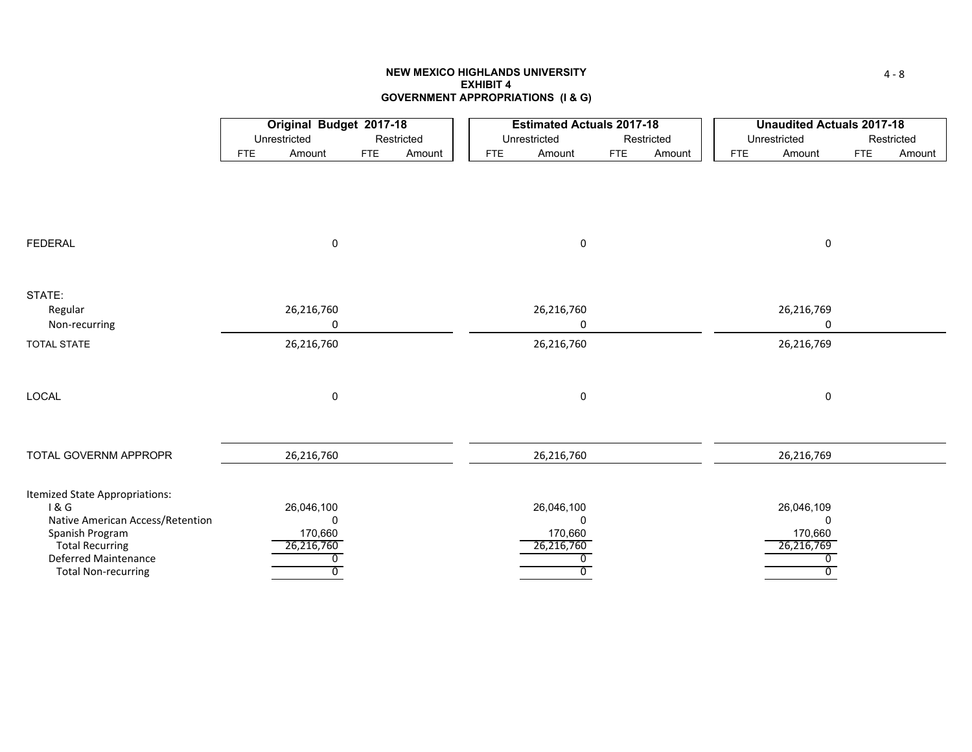# **NEW MEXICO HIGHLANDS UNIVERSITYEXHIBIT 4GOVERNMENT APPROPRIATIONS (I & G)**

|                                         |            | Original Budget 2017-18 |            |            |     | <b>Estimated Actuals 2017-18</b> |            |            |            | <b>Unaudited Actuals 2017-18</b> |            |            |
|-----------------------------------------|------------|-------------------------|------------|------------|-----|----------------------------------|------------|------------|------------|----------------------------------|------------|------------|
|                                         |            | Unrestricted            |            | Restricted |     | Unrestricted                     |            | Restricted |            | Unrestricted                     |            | Restricted |
|                                         | <b>FTE</b> | Amount                  | <b>FTE</b> | Amount     | FTE | Amount                           | <b>FTE</b> | Amount     | <b>FTE</b> | Amount                           | <b>FTE</b> | Amount     |
|                                         |            |                         |            |            |     |                                  |            |            |            |                                  |            |            |
|                                         |            |                         |            |            |     |                                  |            |            |            |                                  |            |            |
|                                         |            |                         |            |            |     |                                  |            |            |            |                                  |            |            |
|                                         |            |                         |            |            |     |                                  |            |            |            |                                  |            |            |
|                                         |            |                         |            |            |     |                                  |            |            |            |                                  |            |            |
| <b>FEDERAL</b>                          |            | $\mathbf 0$             |            |            |     | $\mathsf 0$                      |            |            |            | $\mathsf 0$                      |            |            |
|                                         |            |                         |            |            |     |                                  |            |            |            |                                  |            |            |
|                                         |            |                         |            |            |     |                                  |            |            |            |                                  |            |            |
| STATE:                                  |            |                         |            |            |     |                                  |            |            |            |                                  |            |            |
| Regular                                 |            | 26,216,760              |            |            |     | 26,216,760                       |            |            |            | 26,216,769                       |            |            |
| Non-recurring                           |            | 0                       |            |            |     | 0                                |            |            |            | 0                                |            |            |
| <b>TOTAL STATE</b>                      |            | 26,216,760              |            |            |     | 26,216,760                       |            |            |            | 26,216,769                       |            |            |
|                                         |            |                         |            |            |     |                                  |            |            |            |                                  |            |            |
|                                         |            |                         |            |            |     |                                  |            |            |            |                                  |            |            |
| LOCAL                                   |            | 0                       |            |            |     | $\mathbf 0$                      |            |            |            | 0                                |            |            |
|                                         |            |                         |            |            |     |                                  |            |            |            |                                  |            |            |
|                                         |            |                         |            |            |     |                                  |            |            |            |                                  |            |            |
| TOTAL GOVERNM APPROPR                   |            | 26,216,760              |            |            |     | 26,216,760                       |            |            |            | 26,216,769                       |            |            |
|                                         |            |                         |            |            |     |                                  |            |            |            |                                  |            |            |
|                                         |            |                         |            |            |     |                                  |            |            |            |                                  |            |            |
| Itemized State Appropriations:<br>1 & G |            | 26,046,100              |            |            |     | 26,046,100                       |            |            |            | 26,046,109                       |            |            |
| Native American Access/Retention        |            | 0                       |            |            |     | $\Omega$                         |            |            |            | $\mathbf{0}$                     |            |            |
| Spanish Program                         |            | 170,660                 |            |            |     | 170,660                          |            |            |            | 170,660                          |            |            |
| <b>Total Recurring</b>                  |            | 26,216,760              |            |            |     | 26,216,760                       |            |            |            | 26,216,769                       |            |            |
| Deferred Maintenance                    |            | 0                       |            |            |     | 0                                |            |            |            | 0                                |            |            |
| <b>Total Non-recurring</b>              |            | $\overline{0}$          |            |            |     | $\overline{0}$                   |            |            |            | $\overline{0}$                   |            |            |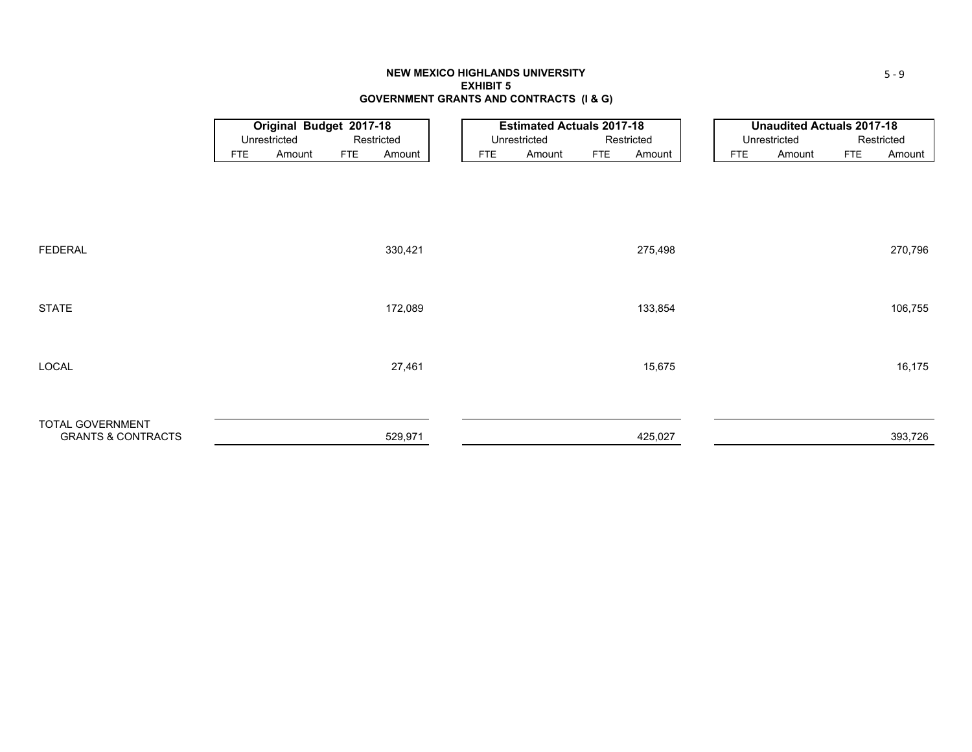## **NEW MEXICO HIGHLANDS UNIVERSITY EXHIBIT 5GOVERNMENT GRANTS AND CONTRACTS (I & G)**

|                               |            | <b>Original Budget 2017-18</b> |            |            |     | <b>Estimated Actuals 2017-18</b> |            |            |     | <b>Unaudited Actuals 2017-18</b> |            |            |
|-------------------------------|------------|--------------------------------|------------|------------|-----|----------------------------------|------------|------------|-----|----------------------------------|------------|------------|
|                               |            | Unrestricted                   |            | Restricted |     | Unrestricted                     |            | Restricted |     | Unrestricted                     |            | Restricted |
|                               | <b>FTE</b> | Amount                         | <b>FTE</b> | Amount     | FTE | Amount                           | <b>FTE</b> | Amount     | FTE | Amount                           | <b>FTE</b> | Amount     |
|                               |            |                                |            |            |     |                                  |            |            |     |                                  |            |            |
|                               |            |                                |            |            |     |                                  |            |            |     |                                  |            |            |
|                               |            |                                |            |            |     |                                  |            |            |     |                                  |            |            |
|                               |            |                                |            |            |     |                                  |            |            |     |                                  |            |            |
|                               |            |                                |            |            |     |                                  |            |            |     |                                  |            |            |
| FEDERAL                       |            |                                |            | 330,421    |     |                                  |            | 275,498    |     |                                  |            | 270,796    |
|                               |            |                                |            |            |     |                                  |            |            |     |                                  |            |            |
|                               |            |                                |            |            |     |                                  |            |            |     |                                  |            |            |
| STATE                         |            |                                |            | 172,089    |     |                                  |            | 133,854    |     |                                  |            | 106,755    |
|                               |            |                                |            |            |     |                                  |            |            |     |                                  |            |            |
|                               |            |                                |            |            |     |                                  |            |            |     |                                  |            |            |
|                               |            |                                |            |            |     |                                  |            |            |     |                                  |            |            |
| LOCAL                         |            |                                |            | 27,461     |     |                                  |            | 15,675     |     |                                  |            | 16,175     |
|                               |            |                                |            |            |     |                                  |            |            |     |                                  |            |            |
|                               |            |                                |            |            |     |                                  |            |            |     |                                  |            |            |
| TOTAL GOVERNMENT              |            |                                |            |            |     |                                  |            |            |     |                                  |            |            |
| <b>GRANTS &amp; CONTRACTS</b> |            |                                |            | 529,971    |     |                                  |            | 425,027    |     |                                  |            | 393,726    |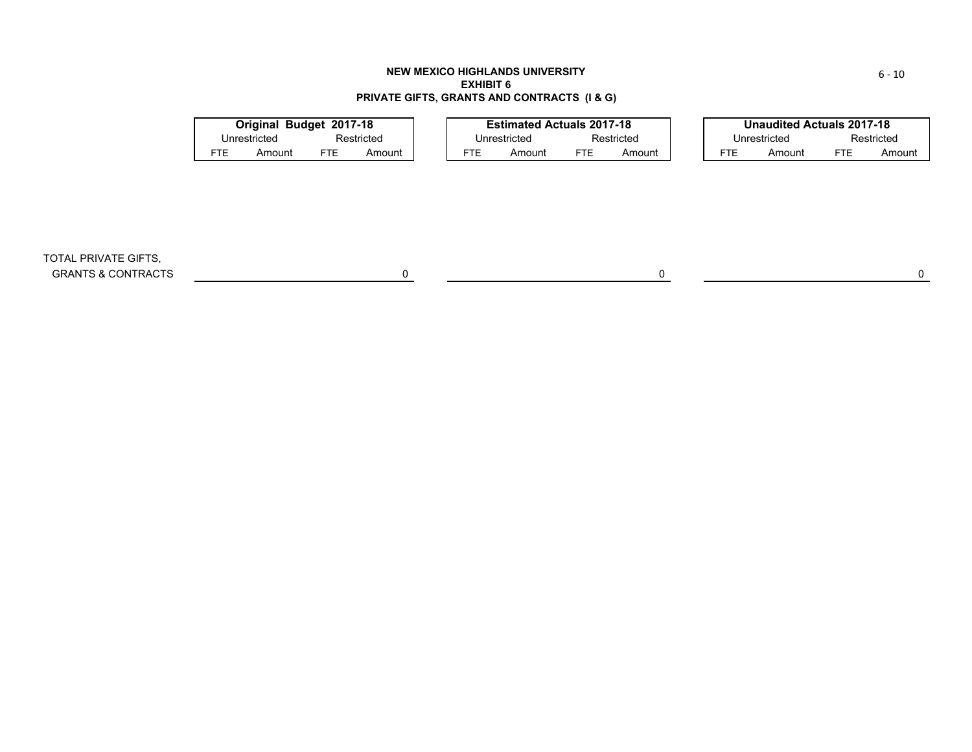# **NEW MEXICO HIGHLANDS UNIVERSITYEXHIBIT 6PRIVATE GIFTS, GRANTS AND CONTRACTS (I & G)**

|            | Original Budget 2017-18 |     |            |               | <b>Estimated Actuals 2017-18</b> |                      |            |                      |              | <b>Unaudited Actuals 2017-18</b> |            |  |
|------------|-------------------------|-----|------------|---------------|----------------------------------|----------------------|------------|----------------------|--------------|----------------------------------|------------|--|
|            | Unrestricted            |     | Restricted |               | Unrestricted                     |                      | Restricted |                      | Unrestricted |                                  | Restricted |  |
| <b>FTE</b> | Amount                  | FTE | Amount     | FTE<br>Amount |                                  | <b>FTE</b><br>Amount |            | <b>FTE</b><br>Amount |              | FTE                              | Amount     |  |
|            |                         |     |            |               |                                  |                      |            |                      |              |                                  |            |  |
|            |                         |     |            |               |                                  |                      |            |                      |              |                                  |            |  |
|            |                         |     |            |               |                                  |                      |            |                      |              |                                  |            |  |
|            |                         |     |            |               |                                  |                      |            |                      |              |                                  |            |  |

TOTAL PRIVATE GIFTS, GRANTS & CONTRACTS 0 0 0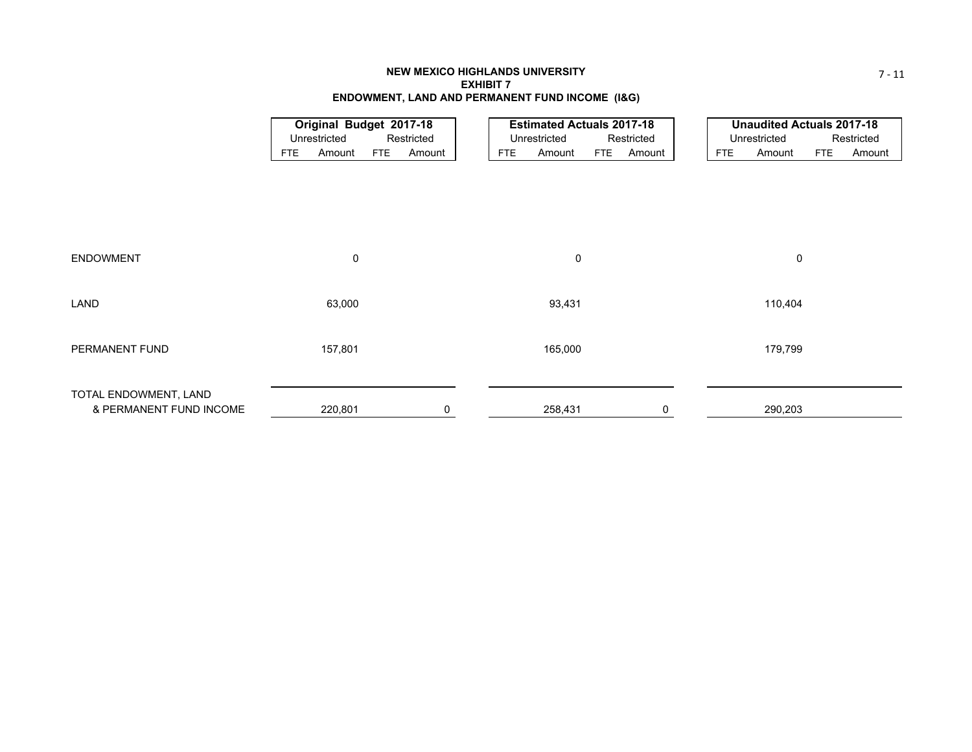# **NEW MEXICO HIGHLANDS UNIVERSITYEXHIBIT 7ENDOWMENT, LAND AND PERMANENT FUND INCOME (I&G)**

|                         |                      | Original Budget 2017-18 |            | <b>Estimated Actuals 2017-18</b> |     |            |            | <b>Unaudited Actuals 2017-18</b> |     |            |
|-------------------------|----------------------|-------------------------|------------|----------------------------------|-----|------------|------------|----------------------------------|-----|------------|
|                         | Unrestricted         | Restricted              |            | Unrestricted                     |     | Restricted |            | Unrestricted                     |     | Restricted |
|                         | Amount<br><b>FTE</b> | <b>FTE</b><br>Amount    | <b>FTE</b> | Amount                           | FTE | Amount     | <b>FTE</b> | Amount                           | FTE | Amount     |
|                         |                      |                         |            |                                  |     |            |            |                                  |     |            |
|                         |                      |                         |            |                                  |     |            |            |                                  |     |            |
|                         |                      |                         |            |                                  |     |            |            |                                  |     |            |
|                         |                      |                         |            |                                  |     |            |            |                                  |     |            |
|                         |                      |                         |            |                                  |     |            |            |                                  |     |            |
|                         |                      |                         |            |                                  |     |            |            |                                  |     |            |
| <b>ENDOWMENT</b>        | 0                    |                         |            | 0                                |     |            |            | 0                                |     |            |
|                         |                      |                         |            |                                  |     |            |            |                                  |     |            |
| LAND                    | 63,000               |                         |            | 93,431                           |     |            |            | 110,404                          |     |            |
|                         |                      |                         |            |                                  |     |            |            |                                  |     |            |
|                         |                      |                         |            |                                  |     |            |            |                                  |     |            |
| PERMANENT FUND          | 157,801              |                         |            | 165,000                          |     |            |            | 179,799                          |     |            |
|                         |                      |                         |            |                                  |     |            |            |                                  |     |            |
|                         |                      |                         |            |                                  |     |            |            |                                  |     |            |
| TOTAL ENDOWMENT, LAND   |                      |                         |            |                                  |     |            |            |                                  |     |            |
| & PERMANENT FUND INCOME | 220,801              | 0                       |            | 258,431                          |     | 0          |            | 290,203                          |     |            |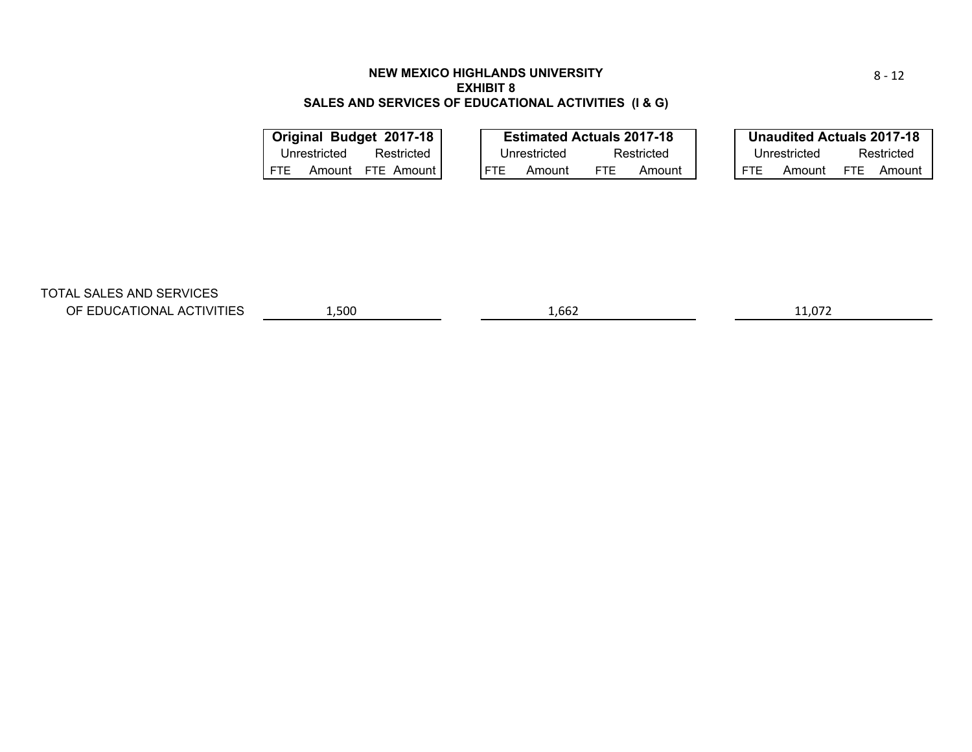# **NEW MEXICO HIGHLANDS UNIVERSITYEXHIBIT 8SALES AND SERVICES OF EDUCATIONAL ACTIVITIES (I & G)**

| Original Budget 2017-18 |              |              | <b>Estimated Actuals 2017-18</b> |      |            |            | <b>Unaudited Actuals 2017-18</b> |            |            |
|-------------------------|--------------|--------------|----------------------------------|------|------------|------------|----------------------------------|------------|------------|
| Unrestricted            | Restricted   | Unrestricted |                                  |      | Restricted |            | Unrestricted                     |            | Restricted |
| <b>FTE</b><br>Amount    | FTE Amount I | FTE.         | Amount                           | FTE. | Amount     | <b>FTE</b> | Amount                           | <b>FTE</b> | Amount     |
|                         |              |              |                                  |      |            |            |                                  |            |            |

TOTAL SALES AND SERVICES

OF EDUCATIONAL ACTIVITIES

 $\sim$  1,500 1,662 11,072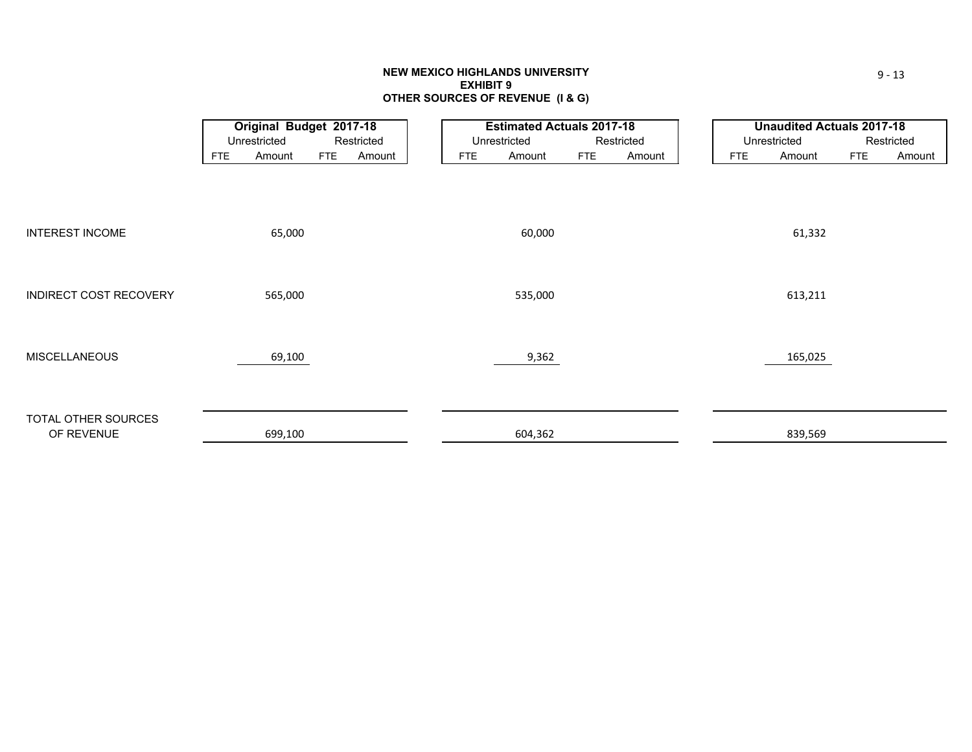## **NEW MEXICO HIGHLANDS UNIVERSITY EXHIBIT 9 OTHER SOURCES OF REVENUE (I & G)**

|                               |            | Original Budget 2017-18 |            |            |            | <b>Estimated Actuals 2017-18</b> |            |            |            | <b>Unaudited Actuals 2017-18</b> |            |            |
|-------------------------------|------------|-------------------------|------------|------------|------------|----------------------------------|------------|------------|------------|----------------------------------|------------|------------|
|                               |            | Unrestricted            |            | Restricted |            | Unrestricted                     |            | Restricted |            | Unrestricted                     |            | Restricted |
|                               | <b>FTE</b> | Amount                  | <b>FTE</b> | Amount     | <b>FTE</b> | Amount                           | <b>FTE</b> | Amount     | <b>FTE</b> | Amount                           | <b>FTE</b> | Amount     |
|                               |            |                         |            |            |            |                                  |            |            |            |                                  |            |            |
|                               |            |                         |            |            |            |                                  |            |            |            |                                  |            |            |
|                               |            |                         |            |            |            |                                  |            |            |            |                                  |            |            |
|                               |            |                         |            |            |            |                                  |            |            |            |                                  |            |            |
| <b>INTEREST INCOME</b>        |            | 65,000                  |            |            |            | 60,000                           |            |            |            | 61,332                           |            |            |
|                               |            |                         |            |            |            |                                  |            |            |            |                                  |            |            |
|                               |            |                         |            |            |            |                                  |            |            |            |                                  |            |            |
| <b>INDIRECT COST RECOVERY</b> |            | 565,000                 |            |            |            | 535,000                          |            |            |            | 613,211                          |            |            |
|                               |            |                         |            |            |            |                                  |            |            |            |                                  |            |            |
|                               |            |                         |            |            |            |                                  |            |            |            |                                  |            |            |
|                               |            |                         |            |            |            |                                  |            |            |            |                                  |            |            |
| <b>MISCELLANEOUS</b>          |            | 69,100                  |            |            |            | 9,362                            |            |            |            | 165,025                          |            |            |
|                               |            |                         |            |            |            |                                  |            |            |            |                                  |            |            |
|                               |            |                         |            |            |            |                                  |            |            |            |                                  |            |            |
| TOTAL OTHER SOURCES           |            |                         |            |            |            |                                  |            |            |            |                                  |            |            |
| OF REVENUE                    |            | 699,100                 |            |            |            | 604,362                          |            |            |            | 839,569                          |            |            |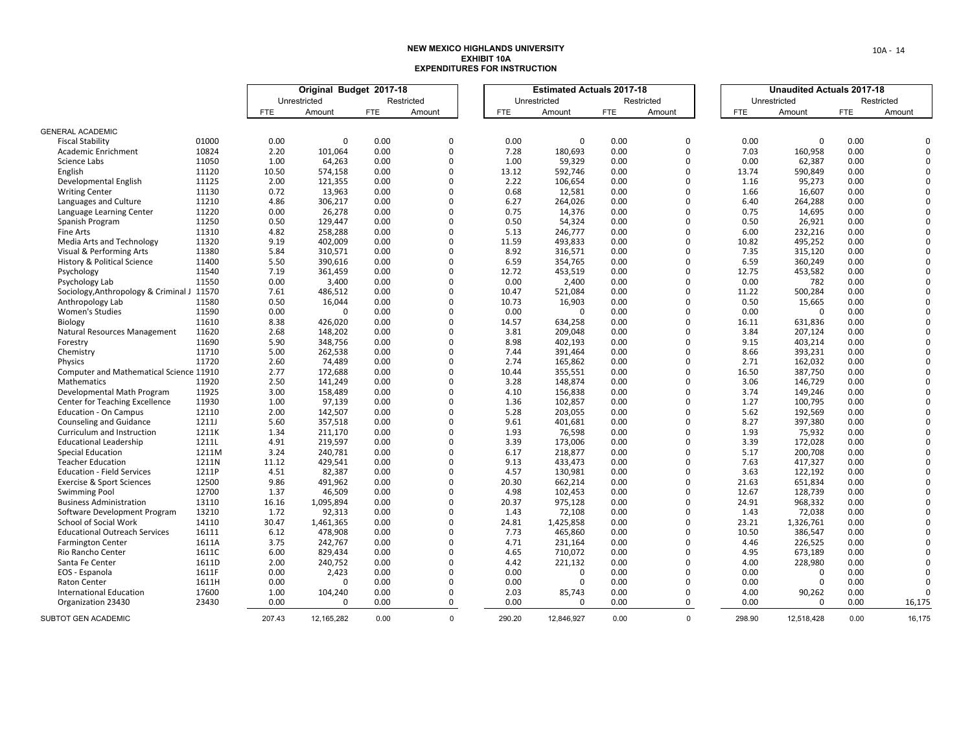|                                            |              |            | Original Budget 2017-18 |            |             |            | <b>Estimated Actuals 2017-18</b> |            |             |            | <b>Unaudited Actuals 2017-18</b> |            |            |   |
|--------------------------------------------|--------------|------------|-------------------------|------------|-------------|------------|----------------------------------|------------|-------------|------------|----------------------------------|------------|------------|---|
|                                            |              |            | Unrestricted            |            | Restricted  |            | Unrestricted                     |            | Restricted  |            | Unrestricted                     |            | Restricted |   |
|                                            |              | <b>FTE</b> | Amount                  | <b>FTE</b> | Amount      | <b>FTE</b> | Amount                           | <b>FTE</b> | Amount      | <b>FTE</b> | Amount                           | <b>FTE</b> | Amount     |   |
|                                            |              |            |                         |            |             |            |                                  |            |             |            |                                  |            |            |   |
| <b>GENERAL ACADEMIC</b>                    |              |            |                         |            |             |            |                                  |            |             |            |                                  |            |            |   |
| <b>Fiscal Stability</b>                    | 01000        | 0.00       | $\mathbf{0}$            | 0.00       | $\mathbf 0$ | 0.00       | $\mathbf 0$                      | 0.00       | $\mathsf 0$ | 0.00       | $\Omega$                         | 0.00       |            |   |
| Academic Enrichment                        | 10824        | 2.20       | 101,064                 | 0.00       | $\Omega$    | 7.28       | 180,693                          | 0.00       | $\mathbf 0$ | 7.03       | 160,958                          | 0.00       |            |   |
| Science Labs                               | 11050        | 1.00       | 64,263                  | 0.00       | $\Omega$    | 1.00       | 59,329                           | 0.00       | $\Omega$    | 0.00       | 62,387                           | 0.00       |            |   |
| English                                    | 11120        | 10.50      | 574,158                 | 0.00       | $\Omega$    | 13.12      | 592,746                          | 0.00       | $\Omega$    | 13.74      | 590,849                          | 0.00       |            |   |
| Developmental English                      | 11125        | 2.00       | 121,355                 | 0.00       | $\Omega$    | 2.22       | 106,654                          | 0.00       | $\Omega$    | 1.16       | 95,273                           | 0.00       |            |   |
| <b>Writing Center</b>                      | 11130        | 0.72       | 13,963                  | 0.00       | $\Omega$    | 0.68       | 12,581                           | 0.00       | $\Omega$    | 1.66       | 16,607                           | 0.00       |            |   |
| Languages and Culture                      | 11210        | 4.86       | 306,217                 | 0.00       | $\Omega$    | 6.27       | 264,026                          | 0.00       | $\Omega$    | 6.40       | 264,288                          | 0.00       |            |   |
| Language Learning Center                   | 11220        | 0.00       | 26,278                  | 0.00       | $\Omega$    | 0.75       | 14,376                           | 0.00       | $\Omega$    | 0.75       | 14,695                           | 0.00       |            |   |
| Spanish Program                            | 11250        | 0.50       | 129,447                 | 0.00       | $\Omega$    | 0.50       | 54,324                           | 0.00       | $\Omega$    | 0.50       | 26,921                           | 0.00       |            |   |
| Fine Arts                                  | 11310        | 4.82       | 258,288                 | 0.00       | $\Omega$    | 5.13       | 246,777                          | 0.00       | $\mathbf 0$ | 6.00       | 232,216                          | 0.00       |            |   |
| Media Arts and Technology                  | 11320        | 9.19       | 402,009                 | 0.00       | $\Omega$    | 11.59      | 493,833                          | 0.00       | $\Omega$    | 10.82      | 495,252                          | 0.00       |            |   |
| Visual & Performing Arts                   | 11380        | 5.84       | 310,571                 | 0.00       | $\Omega$    | 8.92       | 316,571                          | 0.00       | $\Omega$    | 7.35       | 315,120                          | 0.00       |            |   |
| <b>History &amp; Political Science</b>     | 11400        | 5.50       | 390,616                 | 0.00       | $\Omega$    | 6.59       | 354,765                          | 0.00       | $\Omega$    | 6.59       | 360,249                          | 0.00       |            |   |
| Psychology                                 | 11540        | 7.19       | 361,459                 | 0.00       | $\Omega$    | 12.72      | 453,519                          | 0.00       | $\Omega$    | 12.75      | 453,582                          | 0.00       |            |   |
| Psychology Lab                             | 11550        | 0.00       | 3,400                   | 0.00       | $\mathbf 0$ | 0.00       | 2,400                            | 0.00       | $\mathbf 0$ | 0.00       | 782                              | 0.00       |            |   |
| Sociology, Anthropology & Criminal J 11570 |              | 7.61       | 486,512                 | 0.00       | $\mathbf 0$ | 10.47      | 521,084                          | 0.00       | $\Omega$    | 11.22      | 500,284                          | 0.00       |            |   |
| Anthropology Lab                           | 11580        | 0.50       | 16,044                  | 0.00       | $\Omega$    | 10.73      | 16,903                           | 0.00       | $\Omega$    | 0.50       | 15,665                           | 0.00       |            |   |
| <b>Women's Studies</b>                     | 11590        | 0.00       | $\mathbf 0$             | 0.00       | $\Omega$    | 0.00       | $\Omega$                         | 0.00       | $\Omega$    | 0.00       | $\Omega$                         | 0.00       |            |   |
| <b>Biology</b>                             | 11610        | 8.38       | 426,020                 | 0.00       | $\Omega$    | 14.57      | 634,258                          | 0.00       | $\mathbf 0$ | 16.11      | 631,836                          | 0.00       |            |   |
| Natural Resources Management               | 11620        | 2.68       | 148,202                 | 0.00       | $\Omega$    | 3.81       | 209,048                          | 0.00       | $\Omega$    | 3.84       | 207,124                          | 0.00       |            |   |
| Forestry                                   | 11690        | 5.90       | 348,756                 | 0.00       | $\Omega$    | 8.98       | 402,193                          | 0.00       | $\Omega$    | 9.15       | 403,214                          | 0.00       |            |   |
| Chemistry                                  | 11710        | 5.00       | 262,538                 | 0.00       | $\Omega$    | 7.44       | 391,464                          | 0.00       | $\Omega$    | 8.66       | 393,231                          | 0.00       |            |   |
| Physics                                    | 11720        | 2.60       | 74.489                  | 0.00       | $\Omega$    | 2.74       | 165.862                          | 0.00       | $\Omega$    | 2.71       | 162,032                          | 0.00       |            |   |
| Computer and Mathematical Science 11910    |              | 2.77       | 172,688                 | 0.00       | $\Omega$    | 10.44      | 355,551                          | 0.00       | $\Omega$    | 16.50      | 387,750                          | 0.00       |            |   |
| Mathematics                                | 11920        | 2.50       | 141,249                 | 0.00       | $\Omega$    | 3.28       | 148,874                          | 0.00       | $\Omega$    | 3.06       | 146,729                          | 0.00       |            |   |
| Developmental Math Program                 | 11925        | 3.00       | 158,489                 | 0.00       | $\Omega$    | 4.10       | 156,838                          | 0.00       | $\Omega$    | 3.74       | 149,246                          | 0.00       |            |   |
| <b>Center for Teaching Excellence</b>      | 11930        | 1.00       | 97,139                  | 0.00       | $\Omega$    | 1.36       | 102,857                          | 0.00       | $\Omega$    | 1.27       | 100,795                          | 0.00       |            |   |
| Education - On Campus                      | 12110        | 2.00       | 142,507                 | 0.00       | $\mathbf 0$ | 5.28       | 203,055                          | 0.00       | $\Omega$    | 5.62       | 192,569                          | 0.00       |            |   |
| <b>Counseling and Guidance</b>             | <b>1211J</b> | 5.60       | 357,518                 | 0.00       | $\mathbf 0$ | 9.61       | 401,681                          | 0.00       | $\Omega$    | 8.27       | 397,380                          | 0.00       |            |   |
| Curriculum and Instruction                 | 1211K        | 1.34       | 211,170                 | 0.00       | $\Omega$    | 1.93       | 76,598                           | 0.00       | $\Omega$    | 1.93       | 75,932                           | 0.00       |            |   |
| <b>Educational Leadership</b>              | 1211L        | 4.91       | 219,597                 | 0.00       | $\Omega$    | 3.39       | 173,006                          | 0.00       | $\Omega$    | 3.39       | 172,028                          | 0.00       |            |   |
| Special Education                          | 1211M        | 3.24       | 240,781                 | 0.00       | $\mathbf 0$ | 6.17       | 218,877                          | 0.00       | $\mathbf 0$ | 5.17       | 200,708                          | 0.00       |            |   |
| <b>Teacher Education</b>                   | 1211N        | 11.12      | 429,541                 | 0.00       | $\Omega$    | 9.13       | 433,473                          | 0.00       | $\Omega$    | 7.63       | 417,327                          | 0.00       |            |   |
| <b>Education - Field Services</b>          | 1211P        | 4.51       | 82,387                  | 0.00       | $\Omega$    | 4.57       | 130,981                          | 0.00       | $\Omega$    | 3.63       | 122,192                          | 0.00       |            |   |
| <b>Exercise &amp; Sport Sciences</b>       | 12500        | 9.86       | 491,962                 | 0.00       | $\Omega$    | 20.30      | 662,214                          | 0.00       | $\Omega$    | 21.63      | 651,834                          | 0.00       |            |   |
| <b>Swimming Pool</b>                       | 12700        | 1.37       | 46.509                  | 0.00       | $\Omega$    | 4.98       | 102,453                          | 0.00       | $\Omega$    | 12.67      | 128,739                          | 0.00       |            |   |
| <b>Business Administration</b>             | 13110        | 16.16      | 1,095,894               | 0.00       | $\Omega$    | 20.37      | 975,128                          | 0.00       | $\mathbf 0$ | 24.91      | 968,332                          | 0.00       |            |   |
| Software Development Program               | 13210        | 1.72       | 92,313                  | 0.00       | $\Omega$    | 1.43       | 72,108                           | 0.00       | $\Omega$    | 1.43       | 72,038                           | 0.00       |            |   |
| School of Social Work                      | 14110        | 30.47      | 1,461,365               | 0.00       | $\Omega$    | 24.81      | 1,425,858                        | 0.00       | $\Omega$    | 23.21      | 1,326,761                        | 0.00       |            |   |
| <b>Educational Outreach Services</b>       | 16111        | 6.12       | 478,908                 | 0.00       | $\Omega$    | 7.73       | 465,860                          | 0.00       | $\Omega$    | 10.50      | 386,547                          | 0.00       |            |   |
| <b>Farmington Center</b>                   | 1611A        | 3.75       | 242,767                 | 0.00       | $\Omega$    | 4.71       | 231,164                          | 0.00       | $\Omega$    | 4.46       | 226,525                          | 0.00       |            |   |
| Rio Rancho Center                          | 1611C        | 6.00       | 829,434                 | 0.00       | $\Omega$    | 4.65       | 710,072                          | 0.00       | $\Omega$    | 4.95       | 673,189                          | 0.00       |            |   |
| Santa Fe Center                            | 1611D        | 2.00       | 240,752                 | 0.00       | $\Omega$    | 4.42       | 221,132                          | 0.00       | $\Omega$    | 4.00       | 228,980                          | 0.00       |            |   |
| EOS - Espanola                             | 1611F        | 0.00       | 2,423                   | 0.00       | $\Omega$    | 0.00       | $\mathbf 0$                      | 0.00       | $\Omega$    | 0.00       | $\Omega$                         | 0.00       |            |   |
| <b>Raton Center</b>                        | 1611H        | 0.00       | $\Omega$                | 0.00       | $\Omega$    | 0.00       | $\Omega$                         | 0.00       | $\mathbf 0$ | 0.00       | $\Omega$                         | 0.00       |            | O |
| International Education                    | 17600        | 1.00       | 104,240                 | 0.00       | $\mathbf 0$ | 2.03       | 85,743                           | 0.00       | $\mathbf 0$ | 4.00       | 90,262                           | 0.00       |            | O |
| Organization 23430                         | 23430        | 0.00       | $\Omega$                | 0.00       | $\mathbf 0$ | 0.00       | $\Omega$                         | 0.00       | $\mathbf 0$ | 0.00       | $\Omega$                         | 0.00       | 16,175     |   |
|                                            |              |            |                         |            |             |            |                                  |            |             |            |                                  |            |            |   |
| SUBTOT GEN ACADEMIC                        |              | 207.43     | 12,165,282              | 0.00       | $\Omega$    | 290.20     | 12,846,927                       | 0.00       | $\Omega$    | 298.90     | 12,518,428                       | 0.00       | 16,175     |   |

10A ‐ 14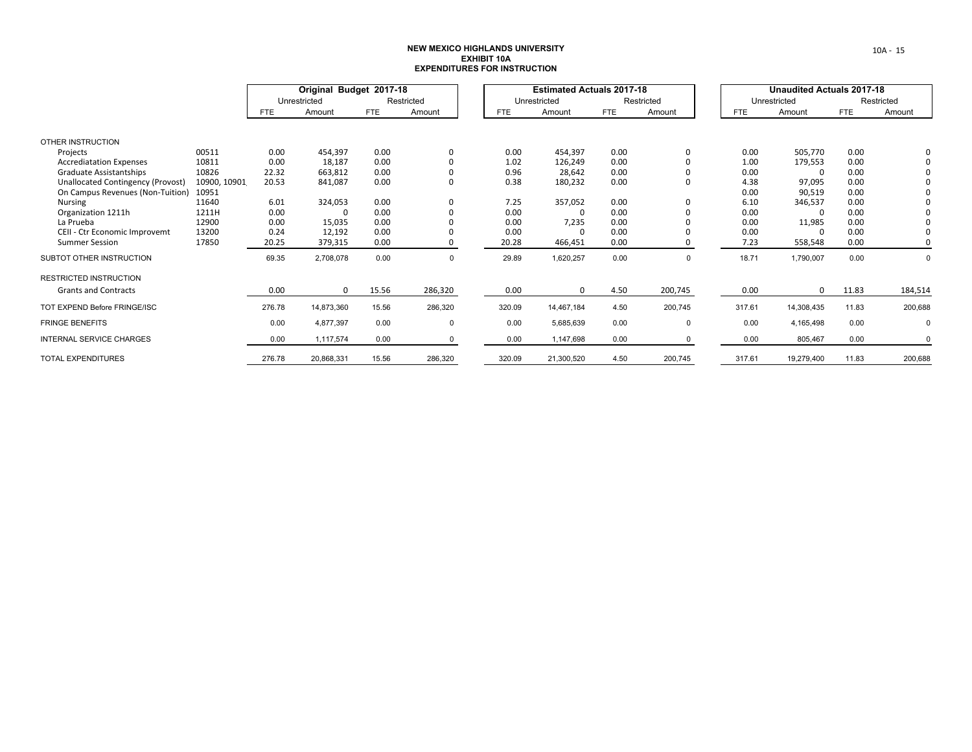|                                   |              |            | Original Budget 2017-18 |            |             |            | <b>Estimated Actuals 2017-18</b> |            |             |            | <b>Unaudited Actuals 2017-18</b> |            |             |
|-----------------------------------|--------------|------------|-------------------------|------------|-------------|------------|----------------------------------|------------|-------------|------------|----------------------------------|------------|-------------|
|                                   |              |            | Unrestricted            |            | Restricted  |            | Unrestricted                     |            | Restricted  |            | Unrestricted                     |            | Restricted  |
|                                   |              | <b>FTE</b> | Amount                  | <b>FTE</b> | Amount      | <b>FTE</b> | Amount                           | <b>FTE</b> | Amount      | <b>FTE</b> | Amount                           | <b>FTE</b> | Amount      |
|                                   |              |            |                         |            |             |            |                                  |            |             |            |                                  |            |             |
| OTHER INSTRUCTION                 |              |            |                         |            |             |            |                                  |            |             |            |                                  |            |             |
| Projects                          | 00511        | 0.00       | 454,397                 | 0.00       | 0           | 0.00       | 454,397                          | 0.00       | $\mathbf 0$ | 0.00       | 505,770                          | 0.00       |             |
| <b>Accrediatation Expenses</b>    | 10811        | 0.00       | 18,187                  | 0.00       | 0           | 1.02       | 126,249                          | 0.00       | $\Omega$    | 1.00       | 179,553                          | 0.00       |             |
| Graduate Assistantships           | 10826        | 22.32      | 663,812                 | 0.00       | $\Omega$    | 0.96       | 28,642                           | 0.00       | $\Omega$    | 0.00       | 0                                | 0.00       |             |
| Unallocated Contingency (Provost) | 10900, 10901 | 20.53      | 841,087                 | 0.00       | 0           | 0.38       | 180,232                          | 0.00       | 0           | 4.38       | 97,095                           | 0.00       |             |
| On Campus Revenues (Non-Tuition)  | 10951        |            |                         |            |             |            |                                  |            |             | 0.00       | 90,519                           | 0.00       |             |
| <b>Nursing</b>                    | 11640        | 6.01       | 324,053                 | 0.00       | 0           | 7.25       | 357,052                          | 0.00       | $\Omega$    | 6.10       | 346,537                          | 0.00       |             |
| Organization 1211h                | 1211H        | 0.00       | $\Omega$                | 0.00       |             | 0.00       |                                  | 0.00       | 0           | 0.00       | 0                                | 0.00       |             |
| La Prueba                         | 12900        | 0.00       | 15,035                  | 0.00       |             | 0.00       | 7,235                            | 0.00       |             | 0.00       | 11,985                           | 0.00       |             |
| CEII - Ctr Economic Improvemt     | 13200        | 0.24       | 12,192                  | 0.00       | $\Omega$    | 0.00       | n                                | 0.00       |             | 0.00       | 0                                | 0.00       |             |
| <b>Summer Session</b>             | 17850        | 20.25      | 379,315                 | 0.00       | 0           | 20.28      | 466,451                          | 0.00       | 0           | 7.23       | 558,548                          | 0.00       | $\mathbf 0$ |
| SUBTOT OTHER INSTRUCTION          |              | 69.35      | 2,708,078               | 0.00       | $\mathbf 0$ | 29.89      | 1,620,257                        | 0.00       | $\mathbf 0$ | 18.71      | 1,790,007                        | 0.00       | $\mathbf 0$ |
| <b>RESTRICTED INSTRUCTION</b>     |              |            |                         |            |             |            |                                  |            |             |            |                                  |            |             |
| <b>Grants and Contracts</b>       |              | 0.00       | $\Omega$                | 15.56      | 286,320     | 0.00       | $\Omega$                         | 4.50       | 200,745     | 0.00       | $\Omega$                         | 11.83      | 184,514     |
| TOT EXPEND Before FRINGE/ISC      |              | 276.78     | 14,873,360              | 15.56      | 286,320     | 320.09     | 14,467,184                       | 4.50       | 200,745     | 317.61     | 14,308,435                       | 11.83      | 200,688     |
| <b>FRINGE BENEFITS</b>            |              | 0.00       | 4,877,397               | 0.00       | $\mathbf 0$ | 0.00       | 5,685,639                        | 0.00       | $\mathbf 0$ | 0.00       | 4,165,498                        | 0.00       | 0           |
| <b>INTERNAL SERVICE CHARGES</b>   |              | 0.00       | 1,117,574               | 0.00       | $\mathbf 0$ | 0.00       | 1,147,698                        | 0.00       | $\Omega$    | 0.00       | 805,467                          | 0.00       | $\mathbf 0$ |
| <b>TOTAL EXPENDITURES</b>         |              | 276.78     | 20,868,331              | 15.56      | 286,320     | 320.09     | 21,300,520                       | 4.50       | 200,745     | 317.61     | 19,279,400                       | 11.83      | 200,688     |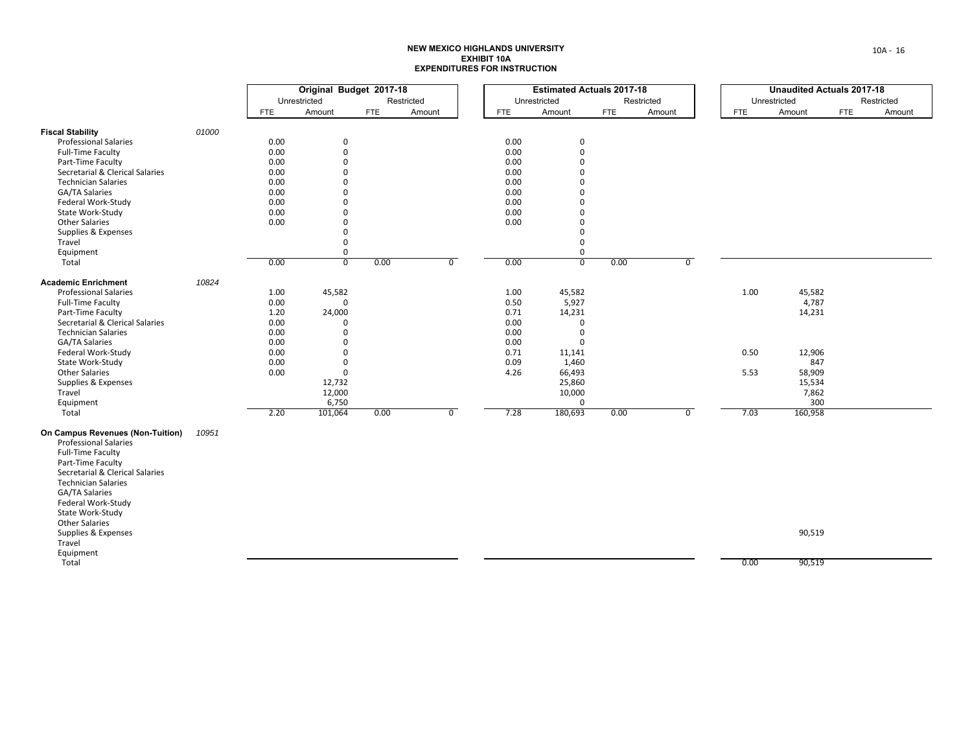|                                  |       | Original Budget 2017-18 |                           |            |            |                |              | <b>Estimated Actuals 2017-18</b> |      |            |                |            | <b>Unaudited Actuals 2017-18</b> |            |            |
|----------------------------------|-------|-------------------------|---------------------------|------------|------------|----------------|--------------|----------------------------------|------|------------|----------------|------------|----------------------------------|------------|------------|
|                                  |       |                         | Unrestricted              |            | Restricted |                | Unrestricted |                                  |      | Restricted |                |            | Unrestricted                     |            | Restricted |
|                                  |       | FTE                     | Amount                    | <b>FTE</b> | Amount     |                | FTE          | Amount                           | FTE  | Amount     |                | <b>FTE</b> | Amount                           | <b>FTE</b> | Amount     |
| <b>Fiscal Stability</b>          | 01000 |                         |                           |            |            |                |              |                                  |      |            |                |            |                                  |            |            |
| <b>Professional Salaries</b>     |       | 0.00                    | 0                         |            |            |                | 0.00         | 0                                |      |            |                |            |                                  |            |            |
| <b>Full-Time Faculty</b>         |       | 0.00                    | $\mathbf 0$               |            |            |                | 0.00         | 0                                |      |            |                |            |                                  |            |            |
| Part-Time Faculty                |       | 0.00                    | $\mathbf 0$               |            |            |                | 0.00         | $\Omega$                         |      |            |                |            |                                  |            |            |
| Secretarial & Clerical Salaries  |       | 0.00                    | $\mathbf 0$               |            |            |                | 0.00         | O                                |      |            |                |            |                                  |            |            |
| <b>Technician Salaries</b>       |       | 0.00                    | $\Omega$                  |            |            |                | 0.00         | O                                |      |            |                |            |                                  |            |            |
| <b>GA/TA Salaries</b>            |       | 0.00                    | $\mathbf 0$               |            |            |                | 0.00         | O                                |      |            |                |            |                                  |            |            |
| Federal Work-Study               |       | 0.00                    | $\mathbf 0$               |            |            |                | 0.00         | U                                |      |            |                |            |                                  |            |            |
| State Work-Study                 |       | 0.00                    | $\mathbf 0$               |            |            |                | 0.00         | O                                |      |            |                |            |                                  |            |            |
| <b>Other Salaries</b>            |       | 0.00                    | $\mathbf 0$               |            |            |                | 0.00         | 0                                |      |            |                |            |                                  |            |            |
| Supplies & Expenses              |       |                         | $\mathbf 0$               |            |            |                |              | 0                                |      |            |                |            |                                  |            |            |
| Travel                           |       |                         | $\mathbf 0$               |            |            |                |              | 0                                |      |            |                |            |                                  |            |            |
| Equipment                        |       |                         | $\mathbf 0$               |            |            |                |              | 0                                |      |            |                |            |                                  |            |            |
| Total                            |       | 0.00                    | $\overline{\mathfrak{o}}$ | 0.00       |            | $\overline{0}$ | 0.00         | $\overline{0}$                   | 0.00 |            | $\overline{0}$ |            |                                  |            |            |
|                                  |       |                         |                           |            |            |                |              |                                  |      |            |                |            |                                  |            |            |
| <b>Academic Enrichment</b>       | 10824 |                         |                           |            |            |                |              |                                  |      |            |                |            |                                  |            |            |
| <b>Professional Salaries</b>     |       | 1.00                    | 45,582                    |            |            |                | 1.00         | 45,582                           |      |            |                | 1.00       | 45,582                           |            |            |
| <b>Full-Time Faculty</b>         |       | 0.00                    | $\mathbf 0$               |            |            |                | 0.50         | 5,927                            |      |            |                |            | 4,787                            |            |            |
| Part-Time Faculty                |       | 1.20                    | 24,000                    |            |            |                | 0.71         | 14,231                           |      |            |                |            | 14,231                           |            |            |
| Secretarial & Clerical Salaries  |       | 0.00                    | $\mathbf 0$               |            |            |                | 0.00         | 0                                |      |            |                |            |                                  |            |            |
| <b>Technician Salaries</b>       |       | 0.00                    | $\mathbf 0$               |            |            |                | 0.00         | $\Omega$                         |      |            |                |            |                                  |            |            |
| GA/TA Salaries                   |       | 0.00                    | $\mathbf 0$               |            |            |                | 0.00         | $\Omega$                         |      |            |                |            |                                  |            |            |
| Federal Work-Study               |       | 0.00                    | $\mathbf 0$               |            |            |                | 0.71         | 11,141                           |      |            |                | 0.50       | 12,906                           |            |            |
| State Work-Study                 |       | 0.00                    | $\mathbf 0$               |            |            |                | 0.09         | 1,460                            |      |            |                |            | 847                              |            |            |
| <b>Other Salaries</b>            |       | 0.00                    | $\mathbf 0$               |            |            |                | 4.26         | 66,493                           |      |            |                | 5.53       | 58,909                           |            |            |
| Supplies & Expenses              |       |                         | 12,732                    |            |            |                |              | 25,860                           |      |            |                |            | 15,534                           |            |            |
| Travel                           |       |                         | 12,000                    |            |            |                |              | 10,000                           |      |            |                |            | 7,862                            |            |            |
| Equipment                        |       |                         | 6,750                     |            |            |                |              | $\mathbf 0$                      |      |            |                |            | 300                              |            |            |
| Total                            |       | 2.20                    | 101,064                   | 0.00       |            | $\overline{0}$ | 7.28         | 180,693                          | 0.00 |            | $\overline{0}$ | 7.03       | 160,958                          |            |            |
| On Campus Revenues (Non-Tuition) | 10951 |                         |                           |            |            |                |              |                                  |      |            |                |            |                                  |            |            |
| <b>Professional Salaries</b>     |       |                         |                           |            |            |                |              |                                  |      |            |                |            |                                  |            |            |
| <b>Full-Time Faculty</b>         |       |                         |                           |            |            |                |              |                                  |      |            |                |            |                                  |            |            |
| Part-Time Faculty                |       |                         |                           |            |            |                |              |                                  |      |            |                |            |                                  |            |            |
| Secretarial & Clerical Salaries  |       |                         |                           |            |            |                |              |                                  |      |            |                |            |                                  |            |            |
| <b>Technician Salaries</b>       |       |                         |                           |            |            |                |              |                                  |      |            |                |            |                                  |            |            |
| GA/TA Salaries                   |       |                         |                           |            |            |                |              |                                  |      |            |                |            |                                  |            |            |
| Federal Work-Study               |       |                         |                           |            |            |                |              |                                  |      |            |                |            |                                  |            |            |
| State Work-Study                 |       |                         |                           |            |            |                |              |                                  |      |            |                |            |                                  |            |            |
| <b>Other Salaries</b>            |       |                         |                           |            |            |                |              |                                  |      |            |                |            |                                  |            |            |
| Supplies & Expenses              |       |                         |                           |            |            |                |              |                                  |      |            |                |            | 90,519                           |            |            |
| Travel                           |       |                         |                           |            |            |                |              |                                  |      |            |                |            |                                  |            |            |
| Equipment                        |       |                         |                           |            |            |                |              |                                  |      |            |                |            |                                  |            |            |
| Total                            |       |                         |                           |            |            |                |              |                                  |      |            |                | 0.00       | 90,519                           |            |            |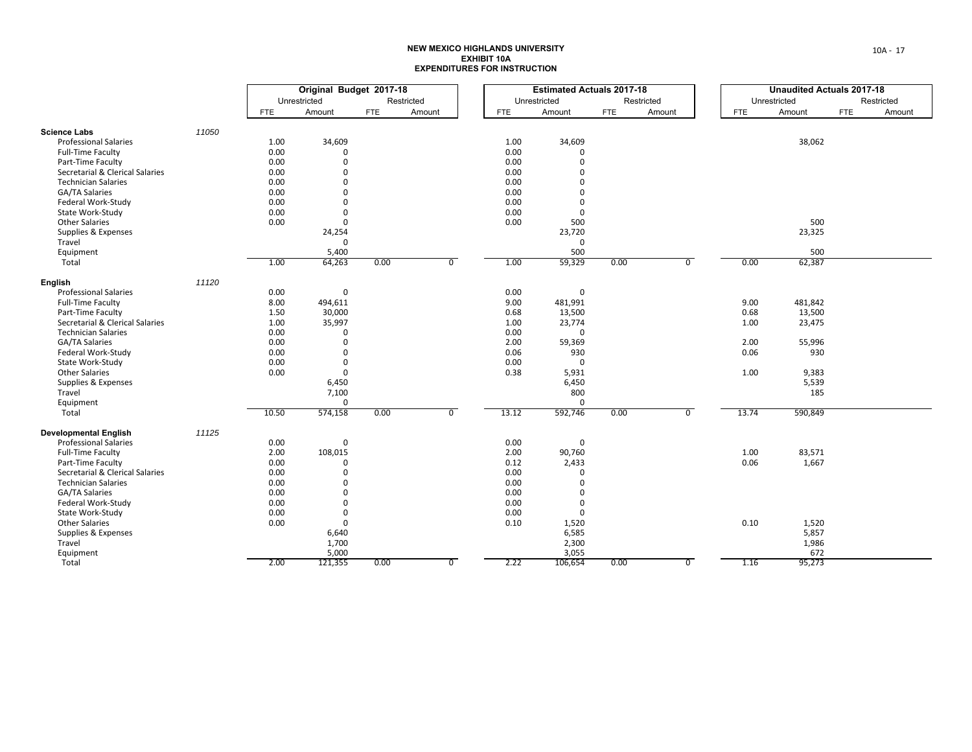|                                                      |       | Original Budget 2017-18 |                      |            |            |                |              | <b>Estimated Actuals 2017-18</b> |            |            |                |            | <b>Unaudited Actuals 2017-18</b> |     |            |
|------------------------------------------------------|-------|-------------------------|----------------------|------------|------------|----------------|--------------|----------------------------------|------------|------------|----------------|------------|----------------------------------|-----|------------|
|                                                      |       |                         | Unrestricted         |            | Restricted |                |              | Unrestricted                     |            | Restricted |                |            | Unrestricted                     |     | Restricted |
|                                                      |       | FTE                     | Amount               | <b>FTE</b> | Amount     |                | <b>FTE</b>   | Amount                           | <b>FTE</b> | Amount     |                | <b>FTE</b> | Amount                           | FTE | Amount     |
| <b>Science Labs</b>                                  | 11050 |                         |                      |            |            |                |              |                                  |            |            |                |            |                                  |     |            |
| <b>Professional Salaries</b>                         |       | 1.00                    | 34,609               |            |            |                | 1.00         | 34,609                           |            |            |                |            | 38,062                           |     |            |
| <b>Full-Time Faculty</b>                             |       | 0.00                    | $\mathbf 0$          |            |            |                | 0.00         | $\mathbf 0$                      |            |            |                |            |                                  |     |            |
| Part-Time Faculty                                    |       | 0.00                    | $\mathbf 0$          |            |            |                | 0.00         | $\Omega$                         |            |            |                |            |                                  |     |            |
| Secretarial & Clerical Salaries                      |       | 0.00                    | $\mathbf 0$          |            |            |                | 0.00         | $\Omega$                         |            |            |                |            |                                  |     |            |
|                                                      |       | 0.00                    | $\Omega$             |            |            |                | 0.00         | $\Omega$                         |            |            |                |            |                                  |     |            |
| <b>Technician Salaries</b><br>GA/TA Salaries         |       | 0.00                    | $\mathbf 0$          |            |            |                | 0.00         | $\Omega$                         |            |            |                |            |                                  |     |            |
|                                                      |       |                         |                      |            |            |                |              |                                  |            |            |                |            |                                  |     |            |
| Federal Work-Study                                   |       | 0.00                    | $\Omega$             |            |            |                | 0.00         | $\Omega$                         |            |            |                |            |                                  |     |            |
| State Work-Study                                     |       | 0.00                    | $\mathbf 0$          |            |            |                | 0.00         | $\mathbf 0$                      |            |            |                |            |                                  |     |            |
| <b>Other Salaries</b>                                |       | 0.00                    | $\mathbf{0}$         |            |            |                | 0.00         | 500                              |            |            |                |            | 500                              |     |            |
| Supplies & Expenses                                  |       |                         | 24,254               |            |            |                |              | 23,720                           |            |            |                |            | 23,325                           |     |            |
| Travel                                               |       |                         | $\mathbf{0}$         |            |            |                |              | $\mathbf 0$                      |            |            |                |            |                                  |     |            |
| Equipment                                            |       |                         | 5,400                |            |            |                |              | 500                              |            |            |                |            | 500                              |     |            |
| Total                                                |       | 1.00                    | 64,263               | 0.00       |            | $\overline{0}$ | 1.00         | 59,329                           | 0.00       |            | $\overline{0}$ | 0.00       | 62,387                           |     |            |
| English                                              | 11120 |                         |                      |            |            |                |              |                                  |            |            |                |            |                                  |     |            |
| <b>Professional Salaries</b>                         |       | 0.00                    | $\mathbf 0$          |            |            |                | 0.00         | 0                                |            |            |                |            |                                  |     |            |
| Full-Time Faculty                                    |       | 8.00                    | 494,611              |            |            |                | 9.00         | 481,991                          |            |            |                | 9.00       | 481,842                          |     |            |
| Part-Time Faculty                                    |       | 1.50                    | 30,000               |            |            |                | 0.68         | 13,500                           |            |            |                | 0.68       | 13,500                           |     |            |
| Secretarial & Clerical Salaries                      |       | 1.00                    | 35,997               |            |            |                | 1.00         | 23,774                           |            |            |                | 1.00       | 23,475                           |     |            |
| <b>Technician Salaries</b>                           |       | 0.00                    | 0                    |            |            |                | 0.00         | $\mathbf 0$                      |            |            |                |            |                                  |     |            |
| GA/TA Salaries                                       |       | 0.00                    | $\mathbf 0$          |            |            |                | 2.00         | 59,369                           |            |            |                | 2.00       | 55,996                           |     |            |
| Federal Work-Study                                   |       | 0.00                    | $\Omega$             |            |            |                | 0.06         | 930                              |            |            |                | 0.06       | 930                              |     |            |
| State Work-Study                                     |       | 0.00                    | $\mathbf 0$          |            |            |                | 0.00         | $\mathbf 0$                      |            |            |                |            |                                  |     |            |
| <b>Other Salaries</b>                                |       | 0.00                    | $\mathbf 0$          |            |            |                | 0.38         | 5,931                            |            |            |                | 1.00       | 9,383                            |     |            |
| Supplies & Expenses                                  |       |                         | 6,450                |            |            |                |              | 6,450                            |            |            |                |            | 5,539                            |     |            |
| Travel                                               |       |                         | 7,100                |            |            |                |              | 800                              |            |            |                |            | 185                              |     |            |
| Equipment                                            |       |                         | $\mathbf 0$          |            |            |                |              | 0                                |            |            |                |            |                                  |     |            |
| Total                                                |       | 10.50                   | 574,158              | 0.00       |            | $\overline{0}$ | 13.12        | 592,746                          | 0.00       |            | $\overline{0}$ | 13.74      | 590,849                          |     |            |
| <b>Developmental English</b>                         | 11125 |                         |                      |            |            |                |              |                                  |            |            |                |            |                                  |     |            |
| <b>Professional Salaries</b>                         |       | 0.00                    | $\mathbf 0$          |            |            |                | 0.00         | $\mathbf 0$                      |            |            |                |            |                                  |     |            |
| <b>Full-Time Faculty</b>                             |       | 2.00                    | 108,015              |            |            |                | 2.00         | 90,760                           |            |            |                | 1.00       | 83,571                           |     |            |
|                                                      |       |                         |                      |            |            |                |              |                                  |            |            |                |            |                                  |     |            |
| Part-Time Faculty<br>Secretarial & Clerical Salaries |       | 0.00<br>0.00            | $\Omega$<br>$\Omega$ |            |            |                | 0.12<br>0.00 | 2,433                            |            |            |                | 0.06       | 1,667                            |     |            |
| <b>Technician Salaries</b>                           |       |                         | $\Omega$             |            |            |                | 0.00         | 0<br>$\Omega$                    |            |            |                |            |                                  |     |            |
|                                                      |       | 0.00                    |                      |            |            |                |              |                                  |            |            |                |            |                                  |     |            |
| <b>GA/TA Salaries</b>                                |       | 0.00                    | $\Omega$             |            |            |                | 0.00         | $\Omega$                         |            |            |                |            |                                  |     |            |
| Federal Work-Study                                   |       | 0.00                    | $\mathbf 0$          |            |            |                | 0.00         | $\mathbf 0$                      |            |            |                |            |                                  |     |            |
| State Work-Study                                     |       | 0.00                    | $\mathbf 0$          |            |            |                | 0.00         | $\mathbf{0}$                     |            |            |                |            |                                  |     |            |
| <b>Other Salaries</b>                                |       | 0.00                    | $\mathbf 0$          |            |            |                | 0.10         | 1,520                            |            |            |                | 0.10       | 1,520                            |     |            |
| Supplies & Expenses                                  |       |                         | 6,640                |            |            |                |              | 6,585                            |            |            |                |            | 5,857                            |     |            |
| Travel                                               |       |                         | 1,700                |            |            |                |              | 2,300                            |            |            |                |            | 1,986                            |     |            |
| Equipment                                            |       |                         | 5,000                |            |            |                |              | 3,055                            |            |            |                |            | 672                              |     |            |
| Total                                                |       | 2.00                    | 121,355              | 0.00       |            | $\overline{0}$ | 2.22         | 106,654                          | 0.00       |            | $\overline{0}$ | 1.16       | 95,273                           |     |            |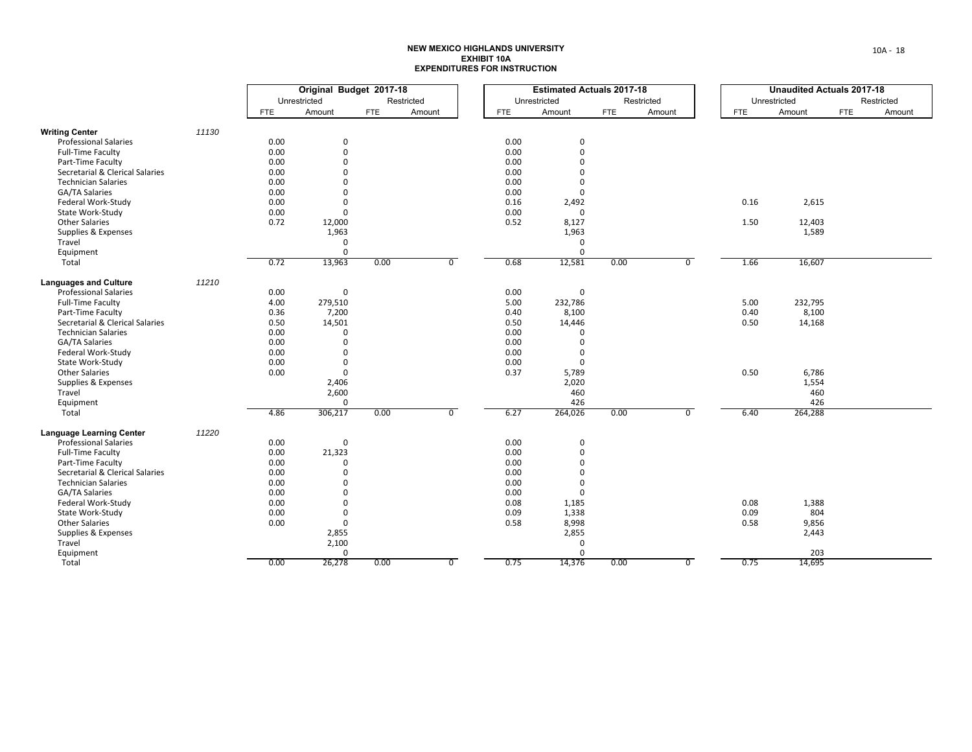|                                 |       | Original Budget 2017-18 |              |            |            |                |              | <b>Estimated Actuals 2017-18</b> |            |            |                |            | <b>Unaudited Actuals 2017-18</b> |            |            |
|---------------------------------|-------|-------------------------|--------------|------------|------------|----------------|--------------|----------------------------------|------------|------------|----------------|------------|----------------------------------|------------|------------|
|                                 |       |                         | Unrestricted |            | Restricted |                | Unrestricted |                                  |            | Restricted |                |            | Unrestricted                     |            | Restricted |
|                                 |       | <b>FTE</b>              | Amount       | <b>FTE</b> | Amount     |                | <b>FTE</b>   | Amount                           | <b>FTE</b> | Amount     |                | <b>FTE</b> | Amount                           | <b>FTE</b> | Amount     |
| <b>Writing Center</b>           | 11130 |                         |              |            |            |                |              |                                  |            |            |                |            |                                  |            |            |
| <b>Professional Salaries</b>    |       | 0.00                    | 0            |            |            |                | 0.00         | 0                                |            |            |                |            |                                  |            |            |
| <b>Full-Time Faculty</b>        |       | 0.00                    | $\Omega$     |            |            |                | 0.00         | 0                                |            |            |                |            |                                  |            |            |
| Part-Time Faculty               |       | 0.00                    | $\mathbf 0$  |            |            |                | 0.00         | 0                                |            |            |                |            |                                  |            |            |
| Secretarial & Clerical Salaries |       | 0.00                    | $\Omega$     |            |            |                | 0.00         | $\Omega$                         |            |            |                |            |                                  |            |            |
| <b>Technician Salaries</b>      |       | 0.00                    | $\Omega$     |            |            |                | 0.00         | 0                                |            |            |                |            |                                  |            |            |
| <b>GA/TA Salaries</b>           |       | 0.00                    | $\Omega$     |            |            |                | 0.00         | 0                                |            |            |                |            |                                  |            |            |
| Federal Work-Study              |       | 0.00                    | $\mathbf 0$  |            |            |                | 0.16         | 2,492                            |            |            |                | 0.16       | 2,615                            |            |            |
| State Work-Study                |       | 0.00                    | $\mathbf{0}$ |            |            |                | 0.00         | 0                                |            |            |                |            |                                  |            |            |
| <b>Other Salaries</b>           |       | 0.72                    | 12,000       |            |            |                | 0.52         | 8,127                            |            |            |                | 1.50       | 12,403                           |            |            |
| Supplies & Expenses             |       |                         | 1,963        |            |            |                |              | 1,963                            |            |            |                |            | 1,589                            |            |            |
| Travel                          |       |                         | $\mathbf 0$  |            |            |                |              | 0                                |            |            |                |            |                                  |            |            |
| Equipment                       |       |                         | $\mathbf{0}$ |            |            |                |              | $\Omega$                         |            |            |                |            |                                  |            |            |
| Total                           |       | 0.72                    | 13,963       | 0.00       |            | $\overline{0}$ | 0.68         | 12,581                           | 0.00       |            | $\overline{0}$ | 1.66       | 16,607                           |            |            |
| <b>Languages and Culture</b>    | 11210 |                         |              |            |            |                |              |                                  |            |            |                |            |                                  |            |            |
| <b>Professional Salaries</b>    |       | 0.00                    | 0            |            |            |                | 0.00         | 0                                |            |            |                |            |                                  |            |            |
| <b>Full-Time Faculty</b>        |       | 4.00                    | 279,510      |            |            |                | 5.00         | 232,786                          |            |            |                | 5.00       | 232,795                          |            |            |
| Part-Time Faculty               |       | 0.36                    | 7,200        |            |            |                | 0.40         | 8,100                            |            |            |                | 0.40       | 8,100                            |            |            |
| Secretarial & Clerical Salaries |       | 0.50                    | 14,501       |            |            |                | 0.50         | 14,446                           |            |            |                | 0.50       | 14,168                           |            |            |
| <b>Technician Salaries</b>      |       | 0.00                    | $\Omega$     |            |            |                | 0.00         | $\Omega$                         |            |            |                |            |                                  |            |            |
| GA/TA Salaries                  |       | 0.00                    | $\mathbf 0$  |            |            |                | 0.00         | $\Omega$                         |            |            |                |            |                                  |            |            |
| Federal Work-Study              |       | 0.00                    | $\mathbf 0$  |            |            |                | 0.00         | 0                                |            |            |                |            |                                  |            |            |
| State Work-Study                |       | 0.00                    | 0            |            |            |                | 0.00         | 0                                |            |            |                |            |                                  |            |            |
| <b>Other Salaries</b>           |       | 0.00                    | $\mathbf{0}$ |            |            |                | 0.37         | 5,789                            |            |            |                | 0.50       | 6,786                            |            |            |
| Supplies & Expenses             |       |                         | 2,406        |            |            |                |              | 2,020                            |            |            |                |            | 1,554                            |            |            |
| Travel                          |       |                         | 2,600        |            |            |                |              | 460                              |            |            |                |            | 460                              |            |            |
| Equipment                       |       |                         | $\mathbf{0}$ |            |            |                |              | 426                              |            |            |                |            | 426                              |            |            |
| Total                           |       | 4.86                    | 306,217      | 0.00       |            | $\overline{0}$ | 6.27         | 264,026                          | 0.00       |            | $\overline{0}$ | 6.40       | 264,288                          |            |            |
| <b>Language Learning Center</b> | 11220 |                         |              |            |            |                |              |                                  |            |            |                |            |                                  |            |            |
| <b>Professional Salaries</b>    |       | 0.00                    | $\mathbf 0$  |            |            |                | 0.00         | 0                                |            |            |                |            |                                  |            |            |
| <b>Full-Time Faculty</b>        |       | 0.00                    | 21,323       |            |            |                | 0.00         | 0                                |            |            |                |            |                                  |            |            |
| Part-Time Faculty               |       | 0.00                    | $\Omega$     |            |            |                | 0.00         | $\Omega$                         |            |            |                |            |                                  |            |            |
| Secretarial & Clerical Salaries |       | 0.00                    | $\Omega$     |            |            |                | 0.00         | $\Omega$                         |            |            |                |            |                                  |            |            |
| <b>Technician Salaries</b>      |       | 0.00                    | $\mathbf 0$  |            |            |                | 0.00         | 0                                |            |            |                |            |                                  |            |            |
| <b>GA/TA Salaries</b>           |       | 0.00                    | $\Omega$     |            |            |                | 0.00         | 0                                |            |            |                |            |                                  |            |            |
| Federal Work-Study              |       | 0.00                    | $\Omega$     |            |            |                | 0.08         | 1,185                            |            |            |                | 0.08       | 1,388                            |            |            |
| State Work-Study                |       | 0.00                    | 0            |            |            |                | 0.09         | 1,338                            |            |            |                | 0.09       | 804                              |            |            |
| <b>Other Salaries</b>           |       | 0.00                    | $\mathbf 0$  |            |            |                | 0.58         | 8,998                            |            |            |                | 0.58       | 9,856                            |            |            |
| Supplies & Expenses<br>Travel   |       |                         | 2,855        |            |            |                |              | 2,855                            |            |            |                |            | 2,443                            |            |            |
| Equipment                       |       |                         | 2,100<br>0   |            |            |                |              | 0<br>0                           |            |            |                |            | 203                              |            |            |
| Total                           |       | 0.00                    | 26,278       | 0.00       |            | $\overline{0}$ | 0.75         | 14,376                           | 0.00       |            | $\overline{0}$ | 0.75       | 14,695                           |            |            |
|                                 |       |                         |              |            |            |                |              |                                  |            |            |                |            |                                  |            |            |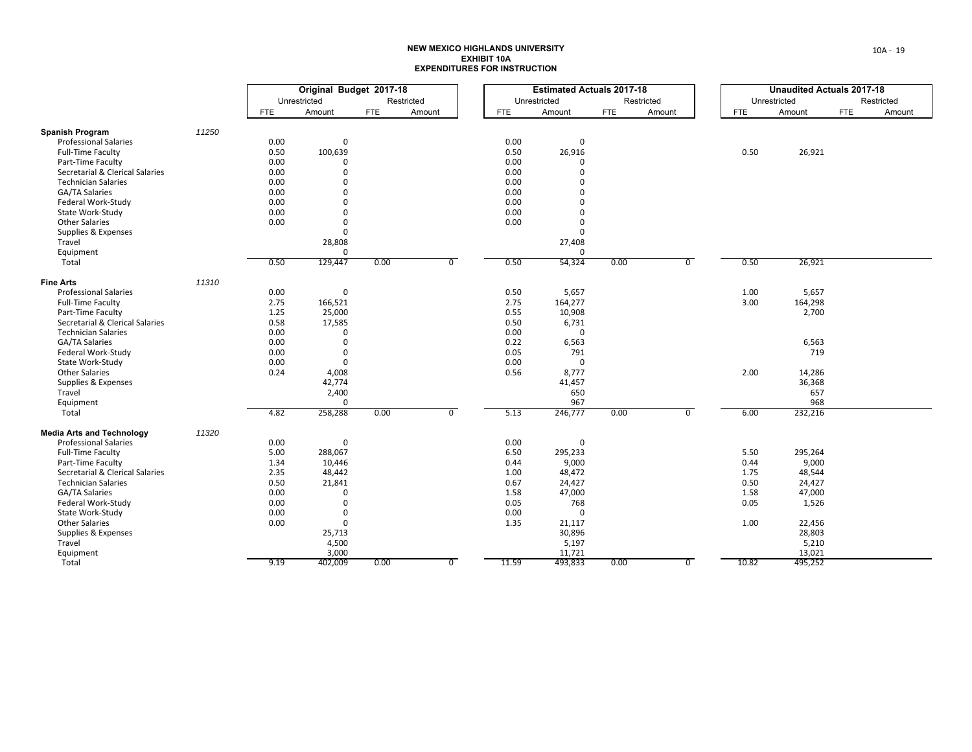|                                                        |       | Original Budget 2017-18 |                      |            |                |            | <b>Estimated Actuals 2017-18</b> |                    |      |            |                | <b>Unaudited Actuals 2017-18</b> |              |     |            |  |
|--------------------------------------------------------|-------|-------------------------|----------------------|------------|----------------|------------|----------------------------------|--------------------|------|------------|----------------|----------------------------------|--------------|-----|------------|--|
|                                                        |       |                         | Unrestricted         |            | Restricted     |            | Unrestricted                     |                    |      | Restricted |                |                                  | Unrestricted |     | Restricted |  |
|                                                        |       | <b>FTE</b>              | Amount               | <b>FTE</b> | Amount         | <b>FTE</b> |                                  | Amount             | FTE  | Amount     |                | <b>FTE</b>                       | Amount       | FTE | Amount     |  |
|                                                        |       |                         |                      |            |                |            |                                  |                    |      |            |                |                                  |              |     |            |  |
| <b>Spanish Program</b><br><b>Professional Salaries</b> | 11250 | 0.00                    | $\mathbf{0}$         |            |                | 0.00       |                                  | $\mathbf 0$        |      |            |                |                                  |              |     |            |  |
|                                                        |       |                         |                      |            |                |            |                                  |                    |      |            |                |                                  |              |     |            |  |
| <b>Full-Time Faculty</b>                               |       | 0.50                    | 100,639              |            |                | 0.50       |                                  | 26,916<br>$\Omega$ |      |            |                | 0.50                             | 26,921       |     |            |  |
| Part-Time Faculty                                      |       | 0.00                    | $\Omega$<br>$\Omega$ |            |                | 0.00       |                                  | $\Omega$           |      |            |                |                                  |              |     |            |  |
| Secretarial & Clerical Salaries                        |       | 0.00                    | $\Omega$             |            |                | 0.00       |                                  | $\Omega$           |      |            |                |                                  |              |     |            |  |
| <b>Technician Salaries</b>                             |       | 0.00                    |                      |            |                | 0.00       |                                  |                    |      |            |                |                                  |              |     |            |  |
| <b>GA/TA Salaries</b>                                  |       | 0.00                    | $\mathbf 0$          |            |                | 0.00       |                                  | $\mathbf 0$        |      |            |                |                                  |              |     |            |  |
| Federal Work-Study                                     |       | 0.00                    | $\Omega$             |            |                | 0.00       |                                  | $\Omega$           |      |            |                |                                  |              |     |            |  |
| State Work-Study                                       |       | 0.00                    | $\mathbf 0$          |            |                | 0.00       |                                  | $\Omega$           |      |            |                |                                  |              |     |            |  |
| <b>Other Salaries</b>                                  |       | 0.00                    | $\Omega$             |            |                | 0.00       |                                  | $\Omega$           |      |            |                |                                  |              |     |            |  |
| Supplies & Expenses                                    |       |                         | $\mathbf 0$          |            |                |            |                                  | $\mathbf 0$        |      |            |                |                                  |              |     |            |  |
| Travel                                                 |       |                         | 28,808               |            |                |            |                                  | 27,408             |      |            |                |                                  |              |     |            |  |
| Equipment                                              |       |                         | 0                    |            |                |            |                                  | $\mathbf 0$        |      |            |                |                                  |              |     |            |  |
| Total                                                  |       | 0.50                    | 129,447              | 0.00       | $\overline{0}$ | 0.50       |                                  | 54,324             | 0.00 |            | $\overline{0}$ | 0.50                             | 26,921       |     |            |  |
| <b>Fine Arts</b>                                       | 11310 |                         |                      |            |                |            |                                  |                    |      |            |                |                                  |              |     |            |  |
| <b>Professional Salaries</b>                           |       | 0.00                    | $\mathbf 0$          |            |                | 0.50       |                                  | 5,657              |      |            |                | 1.00                             | 5,657        |     |            |  |
| <b>Full-Time Faculty</b>                               |       | 2.75                    | 166,521              |            |                | 2.75       |                                  | 164,277            |      |            |                | 3.00                             | 164,298      |     |            |  |
| Part-Time Faculty                                      |       | 1.25                    | 25,000               |            |                | 0.55       |                                  | 10,908             |      |            |                |                                  | 2,700        |     |            |  |
| Secretarial & Clerical Salaries                        |       | 0.58                    | 17,585               |            |                | 0.50       |                                  | 6,731              |      |            |                |                                  |              |     |            |  |
| <b>Technician Salaries</b>                             |       | 0.00                    | 0                    |            |                | 0.00       |                                  | $\mathsf 0$        |      |            |                |                                  |              |     |            |  |
| GA/TA Salaries                                         |       | 0.00                    | $\mathbf 0$          |            |                | 0.22       |                                  | 6,563              |      |            |                |                                  | 6,563        |     |            |  |
| Federal Work-Study                                     |       | 0.00                    | $\mathbf{0}$         |            |                | 0.05       |                                  | 791                |      |            |                |                                  | 719          |     |            |  |
| State Work-Study                                       |       | 0.00                    | $\mathbf{0}$         |            |                | 0.00       |                                  | $\mathsf 0$        |      |            |                |                                  |              |     |            |  |
| <b>Other Salaries</b>                                  |       | 0.24                    | 4,008                |            |                | 0.56       |                                  | 8,777              |      |            |                | 2.00                             | 14,286       |     |            |  |
| Supplies & Expenses                                    |       |                         | 42,774               |            |                |            |                                  | 41,457             |      |            |                |                                  | 36,368       |     |            |  |
| Travel                                                 |       |                         | 2,400                |            |                |            |                                  | 650                |      |            |                |                                  | 657          |     |            |  |
| Equipment                                              |       |                         | $\mathbf 0$          |            |                |            |                                  | 967                |      |            |                |                                  | 968          |     |            |  |
| Total                                                  |       | 4.82                    | 258,288              | 0.00       | $\overline{0}$ | 5.13       |                                  | 246,777            | 0.00 |            | $\overline{0}$ | 6.00                             | 232,216      |     |            |  |
| <b>Media Arts and Technology</b>                       | 11320 |                         |                      |            |                |            |                                  |                    |      |            |                |                                  |              |     |            |  |
| <b>Professional Salaries</b>                           |       | 0.00                    | 0                    |            |                | 0.00       |                                  | 0                  |      |            |                |                                  |              |     |            |  |
| <b>Full-Time Faculty</b>                               |       | 5.00                    | 288,067              |            |                | 6.50       |                                  | 295,233            |      |            |                | 5.50                             | 295,264      |     |            |  |
| Part-Time Faculty                                      |       | 1.34                    | 10,446               |            |                | 0.44       |                                  | 9,000              |      |            |                | 0.44                             | 9,000        |     |            |  |
| Secretarial & Clerical Salaries                        |       | 2.35                    | 48,442               |            |                | 1.00       |                                  | 48,472             |      |            |                | 1.75                             | 48,544       |     |            |  |
| <b>Technician Salaries</b>                             |       | 0.50                    | 21,841               |            |                | 0.67       |                                  | 24,427             |      |            |                | 0.50                             | 24,427       |     |            |  |
| GA/TA Salaries                                         |       | 0.00                    | $\mathbf{0}$         |            |                | 1.58       |                                  | 47,000             |      |            |                | 1.58                             | 47,000       |     |            |  |
| Federal Work-Study                                     |       | 0.00                    | $\mathbf{0}$         |            |                | 0.05       |                                  | 768                |      |            |                | 0.05                             | 1,526        |     |            |  |
| State Work-Study                                       |       | 0.00                    | $\mathbf 0$          |            |                | 0.00       |                                  | 0                  |      |            |                |                                  |              |     |            |  |
| <b>Other Salaries</b>                                  |       | 0.00                    | $\mathbf{0}$         |            |                | 1.35       |                                  | 21,117             |      |            |                | 1.00                             | 22,456       |     |            |  |
| Supplies & Expenses                                    |       |                         | 25,713               |            |                |            |                                  | 30,896             |      |            |                |                                  | 28,803       |     |            |  |
| Travel                                                 |       |                         | 4,500                |            |                |            |                                  | 5,197              |      |            |                |                                  | 5,210        |     |            |  |
| Equipment                                              |       |                         | 3,000                |            |                |            |                                  | 11,721             |      |            |                |                                  | 13,021       |     |            |  |
| Total                                                  |       | 9.19                    | 402,009              | 0.00       | $\overline{0}$ | 11.59      |                                  | 493,833            | 0.00 |            | $\overline{0}$ | 10.82                            | 495,252      |     |            |  |
|                                                        |       |                         |                      |            |                |            |                                  |                    |      |            |                |                                  |              |     |            |  |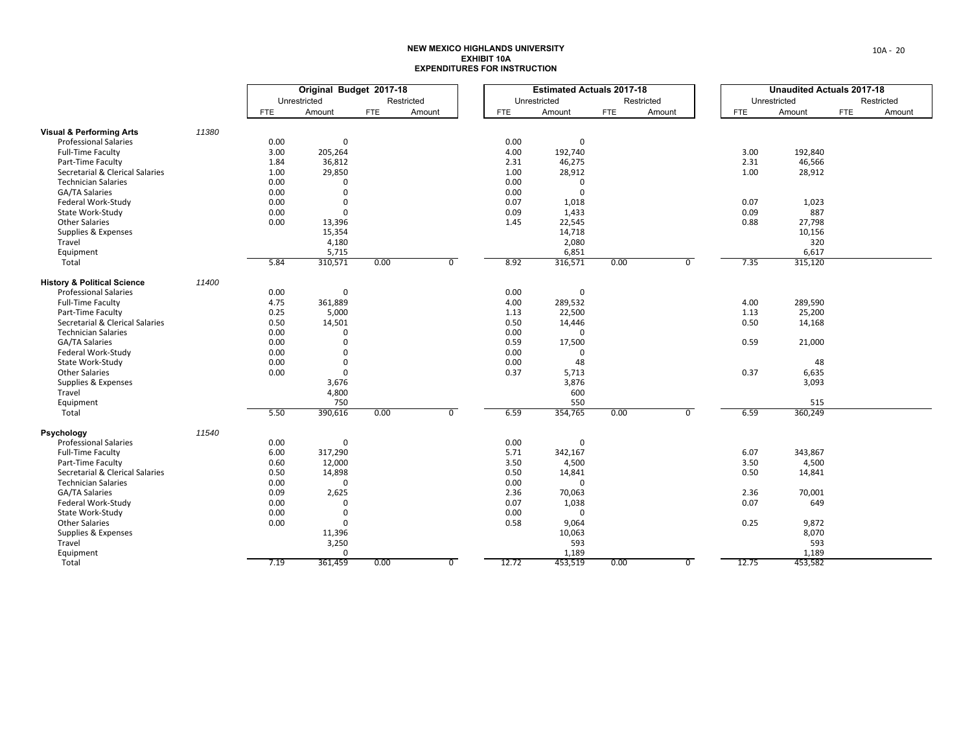|                                        |       | Original Budget 2017-18 |              |            |            |                |            | <b>Estimated Actuals 2017-18</b> |            |            |                |            | <b>Unaudited Actuals 2017-18</b> |            |            |
|----------------------------------------|-------|-------------------------|--------------|------------|------------|----------------|------------|----------------------------------|------------|------------|----------------|------------|----------------------------------|------------|------------|
|                                        |       |                         | Unrestricted |            | Restricted |                |            | Unrestricted                     |            | Restricted |                |            | Unrestricted                     |            | Restricted |
|                                        |       | FTE                     | Amount       | <b>FTE</b> | Amount     |                | <b>FTE</b> | Amount                           | <b>FTE</b> | Amount     |                | <b>FTE</b> | Amount                           | <b>FTE</b> | Amount     |
| <b>Visual &amp; Performing Arts</b>    | 11380 |                         |              |            |            |                |            |                                  |            |            |                |            |                                  |            |            |
| <b>Professional Salaries</b>           |       | 0.00                    | $\mathbf 0$  |            |            |                | 0.00       | 0                                |            |            |                |            |                                  |            |            |
| <b>Full-Time Faculty</b>               |       | 3.00                    | 205,264      |            |            |                | 4.00       | 192,740                          |            |            |                | 3.00       | 192,840                          |            |            |
| Part-Time Faculty                      |       | 1.84                    | 36,812       |            |            |                | 2.31       | 46,275                           |            |            |                | 2.31       | 46,566                           |            |            |
| Secretarial & Clerical Salaries        |       | 1.00                    | 29,850       |            |            |                | 1.00       | 28,912                           |            |            |                | 1.00       | 28,912                           |            |            |
| <b>Technician Salaries</b>             |       | 0.00                    | $\Omega$     |            |            |                | 0.00       | $\mathbf 0$                      |            |            |                |            |                                  |            |            |
| GA/TA Salaries                         |       | 0.00                    | $\mathbf 0$  |            |            |                | 0.00       | 0                                |            |            |                |            |                                  |            |            |
| Federal Work-Study                     |       | 0.00                    | $\mathbf 0$  |            |            |                | 0.07       | 1,018                            |            |            |                | 0.07       | 1,023                            |            |            |
| State Work-Study                       |       | 0.00                    | $\Omega$     |            |            |                | 0.09       | 1,433                            |            |            |                | 0.09       | 887                              |            |            |
| <b>Other Salaries</b>                  |       | 0.00                    | 13,396       |            |            |                | 1.45       | 22,545                           |            |            |                | 0.88       | 27,798                           |            |            |
| Supplies & Expenses                    |       |                         | 15,354       |            |            |                |            | 14,718                           |            |            |                |            | 10,156                           |            |            |
| Travel                                 |       |                         | 4,180        |            |            |                |            | 2,080                            |            |            |                |            | 320                              |            |            |
| Equipment                              |       |                         | 5,715        |            |            |                |            | 6,851                            |            |            |                |            | 6,617                            |            |            |
| Total                                  |       | 5.84                    | 310,571      | 0.00       |            | $\overline{0}$ | 8.92       | 316,571                          | 0.00       |            | $\overline{0}$ | 7.35       | 315,120                          |            |            |
| <b>History &amp; Political Science</b> | 11400 |                         |              |            |            |                |            |                                  |            |            |                |            |                                  |            |            |
| <b>Professional Salaries</b>           |       | 0.00                    | 0            |            |            |                | 0.00       | 0                                |            |            |                |            |                                  |            |            |
| <b>Full-Time Faculty</b>               |       | 4.75                    | 361,889      |            |            |                | 4.00       | 289,532                          |            |            |                | 4.00       | 289,590                          |            |            |
| Part-Time Faculty                      |       | 0.25                    | 5,000        |            |            |                | 1.13       | 22,500                           |            |            |                | 1.13       | 25,200                           |            |            |
| Secretarial & Clerical Salaries        |       | 0.50                    | 14,501       |            |            |                | 0.50       | 14,446                           |            |            |                | 0.50       | 14,168                           |            |            |
| <b>Technician Salaries</b>             |       | 0.00                    | $\mathbf 0$  |            |            |                | 0.00       | $\Omega$                         |            |            |                |            |                                  |            |            |
| GA/TA Salaries                         |       | 0.00                    | $\mathbf 0$  |            |            |                | 0.59       | 17,500                           |            |            |                | 0.59       | 21,000                           |            |            |
| Federal Work-Study                     |       | 0.00                    | $\mathbf 0$  |            |            |                | 0.00       | 0                                |            |            |                |            |                                  |            |            |
| State Work-Study                       |       | 0.00                    | $\mathbf 0$  |            |            |                | 0.00       | 48                               |            |            |                |            | 48                               |            |            |
| <b>Other Salaries</b>                  |       | 0.00                    | $\mathbf 0$  |            |            |                | 0.37       | 5,713                            |            |            |                | 0.37       | 6,635                            |            |            |
| Supplies & Expenses                    |       |                         | 3,676        |            |            |                |            | 3,876                            |            |            |                |            | 3,093                            |            |            |
| Travel                                 |       |                         | 4,800        |            |            |                |            | 600                              |            |            |                |            |                                  |            |            |
| Equipment                              |       |                         | 750          |            |            |                |            | 550                              |            |            |                |            | 515                              |            |            |
| Total                                  |       | 5.50                    | 390,616      | 0.00       |            | $\overline{0}$ | 6.59       | 354,765                          | 0.00       |            | $\overline{0}$ | 6.59       | 360,249                          |            |            |
| Psychology                             | 11540 |                         |              |            |            |                |            |                                  |            |            |                |            |                                  |            |            |
| <b>Professional Salaries</b>           |       | 0.00                    | $\mathbf 0$  |            |            |                | 0.00       | 0                                |            |            |                |            |                                  |            |            |
| <b>Full-Time Faculty</b>               |       | 6.00                    | 317,290      |            |            |                | 5.71       | 342,167                          |            |            |                | 6.07       | 343,867                          |            |            |
| Part-Time Faculty                      |       | 0.60                    | 12,000       |            |            |                | 3.50       | 4,500                            |            |            |                | 3.50       | 4,500                            |            |            |
| Secretarial & Clerical Salaries        |       | 0.50                    | 14,898       |            |            |                | 0.50       | 14,841                           |            |            |                | 0.50       | 14,841                           |            |            |
| <b>Technician Salaries</b>             |       | 0.00                    | $\Omega$     |            |            |                | 0.00       | $\Omega$                         |            |            |                |            |                                  |            |            |
| GA/TA Salaries                         |       | 0.09                    | 2,625        |            |            |                | 2.36       | 70,063                           |            |            |                | 2.36       | 70,001                           |            |            |
| Federal Work-Study                     |       | 0.00                    | $\mathbf{0}$ |            |            |                | 0.07       | 1,038                            |            |            |                | 0.07       | 649                              |            |            |
| State Work-Study                       |       | 0.00                    | 0            |            |            |                | 0.00       | 0                                |            |            |                |            |                                  |            |            |
| <b>Other Salaries</b>                  |       | 0.00                    | $\mathbf 0$  |            |            |                | 0.58       | 9,064                            |            |            |                | 0.25       | 9,872                            |            |            |
| Supplies & Expenses                    |       |                         | 11,396       |            |            |                |            | 10,063                           |            |            |                |            | 8,070                            |            |            |
| Travel                                 |       |                         | 3,250        |            |            |                |            | 593                              |            |            |                |            | 593                              |            |            |
| Equipment                              |       |                         | $\mathbf 0$  |            |            |                |            | 1,189                            |            |            |                |            | 1,189                            |            |            |
| Total                                  |       | 7.19                    | 361,459      | 0.00       |            | $\overline{0}$ | 12.72      | 453,519                          | 0.00       |            | $\overline{0}$ | 12.75      | 453,582                          |            |            |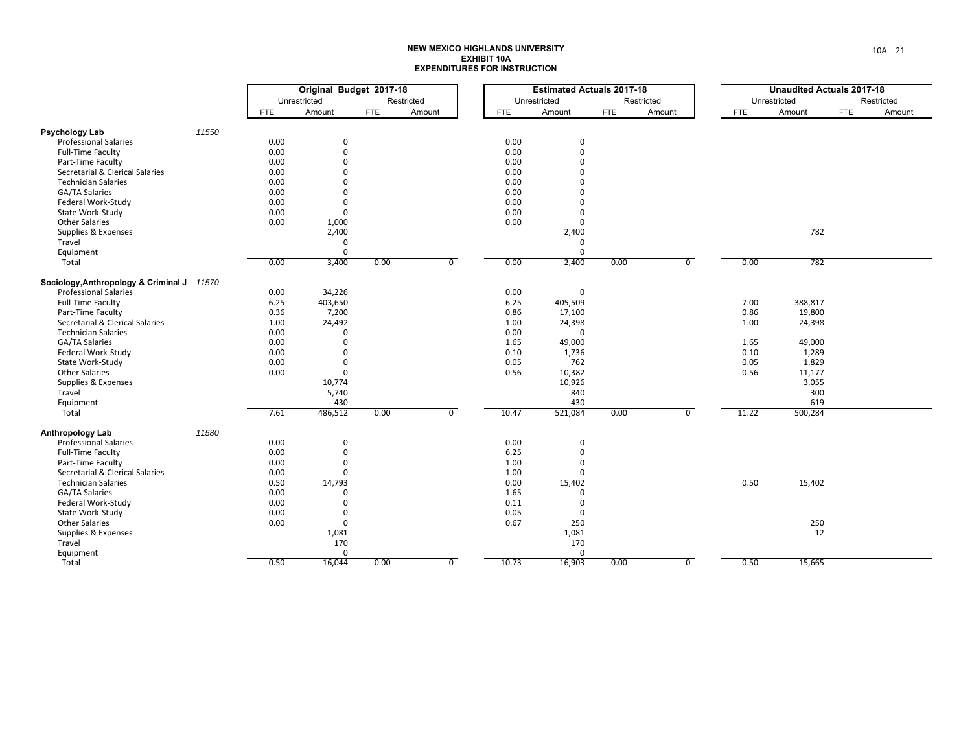|                                            |       | Original Budget 2017-18 |                   |            |            |                |            | <b>Estimated Actuals 2017-18</b> |            |            |                |            | <b>Unaudited Actuals 2017-18</b> |            |            |
|--------------------------------------------|-------|-------------------------|-------------------|------------|------------|----------------|------------|----------------------------------|------------|------------|----------------|------------|----------------------------------|------------|------------|
|                                            |       |                         | Unrestricted      |            | Restricted |                |            | Unrestricted                     |            | Restricted |                |            | Unrestricted                     |            | Restricted |
|                                            |       | <b>FTE</b>              | Amount            | <b>FTE</b> | Amount     |                | <b>FTE</b> | Amount                           | <b>FTE</b> | Amount     |                | <b>FTE</b> | Amount                           | <b>FTE</b> | Amount     |
| <b>Psychology Lab</b>                      | 11550 |                         |                   |            |            |                |            |                                  |            |            |                |            |                                  |            |            |
| <b>Professional Salaries</b>               |       | 0.00                    | 0                 |            |            |                | 0.00       | 0                                |            |            |                |            |                                  |            |            |
| <b>Full-Time Faculty</b>                   |       | 0.00                    | $\mathbf 0$       |            |            |                | 0.00       | $\mathbf 0$                      |            |            |                |            |                                  |            |            |
| Part-Time Faculty                          |       | 0.00                    | $\Omega$          |            |            |                | 0.00       | $\Omega$                         |            |            |                |            |                                  |            |            |
| Secretarial & Clerical Salaries            |       | 0.00                    | $\Omega$          |            |            |                | 0.00       | $\Omega$                         |            |            |                |            |                                  |            |            |
| <b>Technician Salaries</b>                 |       | 0.00                    | $\Omega$          |            |            |                | 0.00       | $\Omega$                         |            |            |                |            |                                  |            |            |
| GA/TA Salaries                             |       | 0.00                    | $\Omega$          |            |            |                | 0.00       | $\Omega$                         |            |            |                |            |                                  |            |            |
| Federal Work-Study                         |       | 0.00                    | $\Omega$          |            |            |                | 0.00       | $\Omega$                         |            |            |                |            |                                  |            |            |
|                                            |       |                         |                   |            |            |                | 0.00       |                                  |            |            |                |            |                                  |            |            |
| State Work-Study<br><b>Other Salaries</b>  |       | 0.00                    | 0                 |            |            |                | 0.00       | $\mathbf 0$<br>$\mathbf 0$       |            |            |                |            |                                  |            |            |
|                                            |       | 0.00                    | 1,000<br>2,400    |            |            |                |            |                                  |            |            |                |            | 782                              |            |            |
| Supplies & Expenses<br>Travel              |       |                         | $\mathbf 0$       |            |            |                |            | 2,400                            |            |            |                |            |                                  |            |            |
|                                            |       |                         |                   |            |            |                |            | $\mathbf 0$<br>$\Omega$          |            |            |                |            |                                  |            |            |
| Equipment                                  |       | 0.00                    | $\Omega$<br>3,400 | 0.00       |            | $\overline{0}$ | 0.00       | 2,400                            | 0.00       |            | $\overline{0}$ | 0.00       | 782                              |            |            |
| Total                                      |       |                         |                   |            |            |                |            |                                  |            |            |                |            |                                  |            |            |
| Sociology, Anthropology & Criminal J 11570 |       |                         |                   |            |            |                |            |                                  |            |            |                |            |                                  |            |            |
| <b>Professional Salaries</b>               |       | 0.00                    | 34,226            |            |            |                | 0.00       | 0                                |            |            |                |            |                                  |            |            |
| Full-Time Faculty                          |       | 6.25                    | 403,650           |            |            |                | 6.25       | 405,509                          |            |            |                | 7.00       | 388,817                          |            |            |
| Part-Time Faculty                          |       | 0.36                    | 7,200             |            |            |                | 0.86       | 17,100                           |            |            |                | 0.86       | 19,800                           |            |            |
| Secretarial & Clerical Salaries            |       | 1.00                    | 24,492            |            |            |                | 1.00       | 24,398                           |            |            |                | 1.00       | 24,398                           |            |            |
| <b>Technician Salaries</b>                 |       | 0.00                    | $\Omega$          |            |            |                | 0.00       | $\mathbf 0$                      |            |            |                |            |                                  |            |            |
| GA/TA Salaries                             |       | 0.00                    | $\Omega$          |            |            |                | 1.65       | 49,000                           |            |            |                | 1.65       | 49,000                           |            |            |
| Federal Work-Study                         |       | 0.00                    | $\Omega$          |            |            |                | 0.10       | 1,736                            |            |            |                | 0.10       | 1,289                            |            |            |
| State Work-Study                           |       | 0.00                    | $\mathbf{0}$      |            |            |                | 0.05       | 762                              |            |            |                | 0.05       | 1,829                            |            |            |
| <b>Other Salaries</b>                      |       | 0.00                    | $\mathbf 0$       |            |            |                | 0.56       | 10,382                           |            |            |                | 0.56       | 11,177                           |            |            |
| Supplies & Expenses                        |       |                         | 10,774            |            |            |                |            | 10,926                           |            |            |                |            | 3,055                            |            |            |
| Travel                                     |       |                         | 5,740             |            |            |                |            | 840                              |            |            |                |            | 300                              |            |            |
| Equipment                                  |       |                         | 430               |            |            |                |            | 430                              |            |            |                |            | 619                              |            |            |
| Total                                      |       | 7.61                    | 486,512           | 0.00       |            | $\overline{0}$ | 10.47      | 521,084                          | 0.00       |            | $\overline{0}$ | 11.22      | 500,284                          |            |            |
| <b>Anthropology Lab</b>                    | 11580 |                         |                   |            |            |                |            |                                  |            |            |                |            |                                  |            |            |
| <b>Professional Salaries</b>               |       | 0.00                    | 0                 |            |            |                | 0.00       | 0                                |            |            |                |            |                                  |            |            |
| Full-Time Faculty                          |       | 0.00                    | $\mathsf 0$       |            |            |                | 6.25       | $\pmb{0}$                        |            |            |                |            |                                  |            |            |
| Part-Time Faculty                          |       | 0.00                    | $\Omega$          |            |            |                | 1.00       | $\Omega$                         |            |            |                |            |                                  |            |            |
| Secretarial & Clerical Salaries            |       | 0.00                    | $\Omega$          |            |            |                | 1.00       | 0                                |            |            |                |            |                                  |            |            |
| <b>Technician Salaries</b>                 |       | 0.50                    | 14,793            |            |            |                | 0.00       | 15,402                           |            |            |                | 0.50       | 15,402                           |            |            |
| GA/TA Salaries                             |       | 0.00                    | $\Omega$          |            |            |                | 1.65       | $\mathbf 0$                      |            |            |                |            |                                  |            |            |
| Federal Work-Study                         |       | 0.00                    | $\Omega$          |            |            |                | 0.11       | $\mathbf 0$                      |            |            |                |            |                                  |            |            |
| State Work-Study                           |       | 0.00                    | 0                 |            |            |                | 0.05       | 0                                |            |            |                |            |                                  |            |            |
| <b>Other Salaries</b>                      |       | 0.00                    | $\mathbf 0$       |            |            |                | 0.67       | 250                              |            |            |                |            | 250                              |            |            |
| Supplies & Expenses                        |       |                         | 1,081             |            |            |                |            | 1,081                            |            |            |                |            | 12                               |            |            |
| Travel                                     |       |                         | 170               |            |            |                |            | 170                              |            |            |                |            |                                  |            |            |
| Equipment                                  |       |                         | $\mathbf 0$       |            |            |                |            | $\mathbf 0$                      |            |            |                |            |                                  |            |            |
| Total                                      |       | 0.50                    | 16,044            | 0.00       |            | $\overline{0}$ | 10.73      | 16,903                           | 0.00       |            | $\overline{0}$ | 0.50       | 15,665                           |            |            |
|                                            |       |                         |                   |            |            |                |            |                                  |            |            |                |            |                                  |            |            |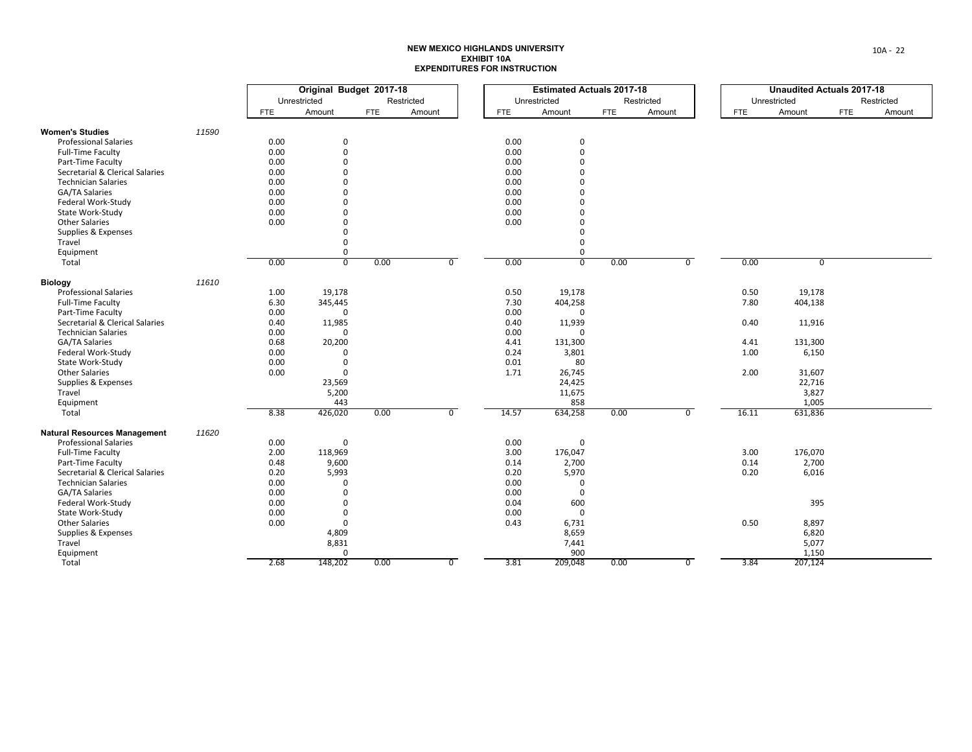|                                     |       | Original Budget 2017-18 |                |            |            |                |            | <b>Estimated Actuals 2017-18</b> |            |            |                |            | <b>Unaudited Actuals 2017-18</b> |            |            |
|-------------------------------------|-------|-------------------------|----------------|------------|------------|----------------|------------|----------------------------------|------------|------------|----------------|------------|----------------------------------|------------|------------|
|                                     |       |                         | Unrestricted   |            | Restricted |                |            | Unrestricted                     |            | Restricted |                |            | Unrestricted                     |            | Restricted |
|                                     |       | <b>FTE</b>              | Amount         | <b>FTE</b> | Amount     |                | <b>FTE</b> | Amount                           | <b>FTE</b> | Amount     |                | <b>FTE</b> | Amount                           | <b>FTE</b> | Amount     |
| <b>Women's Studies</b>              | 11590 |                         |                |            |            |                |            |                                  |            |            |                |            |                                  |            |            |
| <b>Professional Salaries</b>        |       | 0.00                    | $\mathbf 0$    |            |            |                | 0.00       | 0                                |            |            |                |            |                                  |            |            |
| <b>Full-Time Faculty</b>            |       | 0.00                    | $\mathbf 0$    |            |            |                | 0.00       | 0                                |            |            |                |            |                                  |            |            |
| Part-Time Faculty                   |       | 0.00                    | $\Omega$       |            |            |                | 0.00       | $\Omega$                         |            |            |                |            |                                  |            |            |
| Secretarial & Clerical Salaries     |       | 0.00                    | $\mathbf 0$    |            |            |                | 0.00       | O                                |            |            |                |            |                                  |            |            |
| <b>Technician Salaries</b>          |       | 0.00                    | $\Omega$       |            |            |                | 0.00       |                                  |            |            |                |            |                                  |            |            |
| GA/TA Salaries                      |       | 0.00                    | $\mathbf 0$    |            |            |                | 0.00       |                                  |            |            |                |            |                                  |            |            |
| Federal Work-Study                  |       | 0.00                    | $\Omega$       |            |            |                | 0.00       | U                                |            |            |                |            |                                  |            |            |
| State Work-Study                    |       | 0.00                    | $\Omega$       |            |            |                | 0.00       | O                                |            |            |                |            |                                  |            |            |
| <b>Other Salaries</b>               |       | 0.00                    | $\mathbf 0$    |            |            |                | 0.00       | 0                                |            |            |                |            |                                  |            |            |
| Supplies & Expenses                 |       |                         | $\mathbf{0}$   |            |            |                |            | 0                                |            |            |                |            |                                  |            |            |
| Travel                              |       |                         | $\mathbf 0$    |            |            |                |            | 0                                |            |            |                |            |                                  |            |            |
| Equipment                           |       |                         | $\mathbf 0$    |            |            |                |            | $\Omega$                         |            |            |                |            |                                  |            |            |
| Total                               |       | 0.00                    | $\overline{0}$ | 0.00       |            | $\overline{0}$ | 0.00       | $\overline{0}$                   | 0.00       |            | $\overline{0}$ | 0.00       | $\overline{0}$                   |            |            |
| <b>Biology</b>                      | 11610 |                         |                |            |            |                |            |                                  |            |            |                |            |                                  |            |            |
| <b>Professional Salaries</b>        |       | 1.00                    | 19,178         |            |            |                | 0.50       | 19,178                           |            |            |                | 0.50       | 19,178                           |            |            |
| <b>Full-Time Faculty</b>            |       | 6.30                    | 345,445        |            |            |                | 7.30       | 404,258                          |            |            |                | 7.80       | 404,138                          |            |            |
| Part-Time Faculty                   |       | 0.00                    | $\Omega$       |            |            |                | 0.00       | $\Omega$                         |            |            |                |            |                                  |            |            |
| Secretarial & Clerical Salaries     |       | 0.40                    | 11,985         |            |            |                | 0.40       | 11,939                           |            |            |                | 0.40       | 11,916                           |            |            |
| <b>Technician Salaries</b>          |       | 0.00                    | $\Omega$       |            |            |                | 0.00       | $\Omega$                         |            |            |                |            |                                  |            |            |
| <b>GA/TA Salaries</b>               |       | 0.68                    | 20,200         |            |            |                | 4.41       | 131,300                          |            |            |                | 4.41       | 131,300                          |            |            |
| Federal Work-Study                  |       | 0.00                    | $\Omega$       |            |            |                | 0.24       | 3,801                            |            |            |                | 1.00       | 6,150                            |            |            |
| State Work-Study                    |       | 0.00                    | $\mathbf 0$    |            |            |                | 0.01       | 80                               |            |            |                |            |                                  |            |            |
| <b>Other Salaries</b>               |       | 0.00                    | $\mathbf 0$    |            |            |                | 1.71       | 26,745                           |            |            |                | 2.00       | 31,607                           |            |            |
| Supplies & Expenses                 |       |                         | 23,569         |            |            |                |            | 24,425                           |            |            |                |            | 22,716                           |            |            |
| Travel                              |       |                         | 5,200          |            |            |                |            | 11,675                           |            |            |                |            | 3,827                            |            |            |
| Equipment                           |       |                         | 443            |            |            |                |            | 858                              |            |            |                |            | 1,005                            |            |            |
| Total                               |       | 8.38                    | 426,020        | 0.00       |            | $\overline{0}$ | 14.57      | 634,258                          | 0.00       |            | $\overline{0}$ | 16.11      | 631,836                          |            |            |
| <b>Natural Resources Management</b> | 11620 |                         |                |            |            |                |            |                                  |            |            |                |            |                                  |            |            |
| <b>Professional Salaries</b>        |       | 0.00                    | $\mathbf 0$    |            |            |                | 0.00       | 0                                |            |            |                |            |                                  |            |            |
| <b>Full-Time Faculty</b>            |       | 2.00                    | 118,969        |            |            |                | 3.00       | 176,047                          |            |            |                | 3.00       | 176,070                          |            |            |
| Part-Time Faculty                   |       | 0.48                    | 9,600          |            |            |                | 0.14       | 2,700                            |            |            |                | 0.14       | 2,700                            |            |            |
| Secretarial & Clerical Salaries     |       | 0.20                    | 5,993          |            |            |                | 0.20       | 5,970                            |            |            |                | 0.20       | 6,016                            |            |            |
| <b>Technician Salaries</b>          |       | 0.00                    | $\Omega$       |            |            |                | 0.00       | $\Omega$                         |            |            |                |            |                                  |            |            |
| GA/TA Salaries                      |       | 0.00                    | $\mathbf 0$    |            |            |                | 0.00       | $\Omega$                         |            |            |                |            |                                  |            |            |
| Federal Work-Study                  |       | 0.00                    | $\mathbf 0$    |            |            |                | 0.04       | 600                              |            |            |                |            | 395                              |            |            |
| State Work-Study                    |       | 0.00                    | $\mathbf 0$    |            |            |                | 0.00       | $\mathbf 0$                      |            |            |                |            |                                  |            |            |
| <b>Other Salaries</b>               |       | 0.00                    | $\mathbf{0}$   |            |            |                | 0.43       | 6,731                            |            |            |                | 0.50       | 8,897                            |            |            |
| Supplies & Expenses                 |       |                         | 4,809          |            |            |                |            | 8,659                            |            |            |                |            | 6,820                            |            |            |
| Travel                              |       |                         | 8,831          |            |            |                |            | 7,441                            |            |            |                |            | 5,077                            |            |            |
| Equipment                           |       |                         | $\mathbf{0}$   |            |            |                |            | 900                              |            |            |                |            | 1,150                            |            |            |
| Total                               |       | 2.68                    | 148,202        | 0.00       |            | $\overline{0}$ | 3.81       | 209,048                          | 0.00       |            | $\overline{0}$ | 3.84       | 207,124                          |            |            |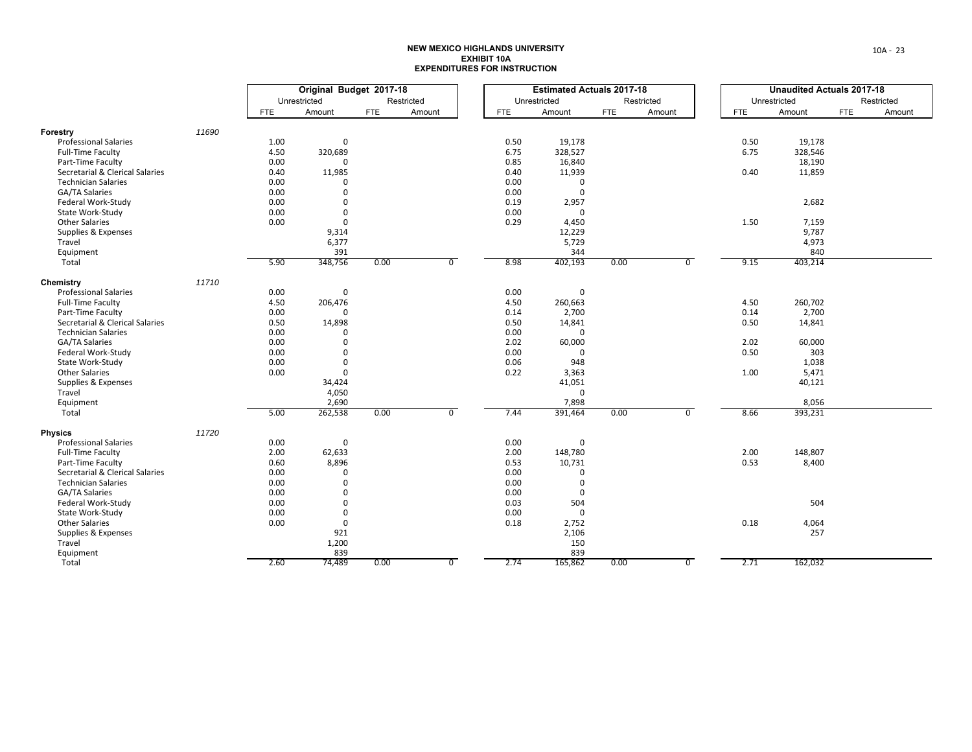|                                 |       | Original Budget 2017-18 |              |            |            |                | <b>Estimated Actuals 2017-18</b> |              |      |            |                | <b>Unaudited Actuals 2017-18</b> |              |     |            |
|---------------------------------|-------|-------------------------|--------------|------------|------------|----------------|----------------------------------|--------------|------|------------|----------------|----------------------------------|--------------|-----|------------|
|                                 |       |                         | Unrestricted |            | Restricted |                |                                  | Unrestricted |      | Restricted |                |                                  | Unrestricted |     | Restricted |
|                                 |       | FTE                     | Amount       | <b>FTE</b> | Amount     |                | <b>FTE</b>                       | Amount       | FTE  | Amount     |                | <b>FTE</b>                       | Amount       | FTE | Amount     |
| Forestry                        | 11690 |                         |              |            |            |                |                                  |              |      |            |                |                                  |              |     |            |
| <b>Professional Salaries</b>    |       | 1.00                    | 0            |            |            |                | 0.50                             | 19,178       |      |            |                | 0.50                             | 19,178       |     |            |
| <b>Full-Time Faculty</b>        |       | 4.50                    | 320,689      |            |            |                | 6.75                             | 328,527      |      |            |                | 6.75                             | 328,546      |     |            |
| Part-Time Faculty               |       | 0.00                    | $\Omega$     |            |            |                | 0.85                             | 16,840       |      |            |                |                                  | 18,190       |     |            |
| Secretarial & Clerical Salaries |       | 0.40                    | 11,985       |            |            |                | 0.40                             | 11,939       |      |            |                | 0.40                             | 11,859       |     |            |
| <b>Technician Salaries</b>      |       | 0.00                    | $\Omega$     |            |            |                | 0.00                             | 0            |      |            |                |                                  |              |     |            |
| GA/TA Salaries                  |       | 0.00                    | $\mathbf 0$  |            |            |                | 0.00                             | $\mathbf 0$  |      |            |                |                                  |              |     |            |
| Federal Work-Study              |       | 0.00                    | $\Omega$     |            |            |                | 0.19                             | 2,957        |      |            |                |                                  | 2,682        |     |            |
| State Work-Study                |       | 0.00                    | $\mathsf 0$  |            |            |                | 0.00                             | $\mathbf 0$  |      |            |                |                                  |              |     |            |
| <b>Other Salaries</b>           |       | 0.00                    | $\mathbf 0$  |            |            |                | 0.29                             | 4,450        |      |            |                | 1.50                             | 7,159        |     |            |
| Supplies & Expenses             |       |                         | 9,314        |            |            |                |                                  | 12,229       |      |            |                |                                  | 9,787        |     |            |
| Travel                          |       |                         | 6,377        |            |            |                |                                  | 5,729        |      |            |                |                                  | 4,973        |     |            |
| Equipment                       |       |                         | 391          |            |            |                |                                  | 344          |      |            |                |                                  | 840          |     |            |
| Total                           |       | 5.90                    | 348,756      | 0.00       |            | $\overline{0}$ | 8.98                             | 402,193      | 0.00 |            | $\overline{0}$ | 9.15                             | 403,214      |     |            |
| Chemistry                       | 11710 |                         |              |            |            |                |                                  |              |      |            |                |                                  |              |     |            |
| <b>Professional Salaries</b>    |       | 0.00                    | $\mathbf 0$  |            |            |                | 0.00                             | 0            |      |            |                |                                  |              |     |            |
| Full-Time Faculty               |       | 4.50                    | 206,476      |            |            |                | 4.50                             | 260,663      |      |            |                | 4.50                             | 260,702      |     |            |
| Part-Time Faculty               |       | 0.00                    |              |            |            |                | 0.14                             | 2,700        |      |            |                | 0.14                             | 2,700        |     |            |
| Secretarial & Clerical Salaries |       | 0.50                    | 14,898       |            |            |                | 0.50                             | 14,841       |      |            |                | 0.50                             | 14,841       |     |            |
| <b>Technician Salaries</b>      |       | 0.00                    | $\Omega$     |            |            |                | 0.00                             | $\Omega$     |      |            |                |                                  |              |     |            |
| GA/TA Salaries                  |       | 0.00                    | $\Omega$     |            |            |                | 2.02                             | 60,000       |      |            |                | 2.02                             | 60,000       |     |            |
| Federal Work-Study              |       | 0.00                    | $\Omega$     |            |            |                | 0.00                             | $\Omega$     |      |            |                | 0.50                             | 303          |     |            |
| State Work-Study                |       | 0.00                    | $\Omega$     |            |            |                | 0.06                             | 948          |      |            |                |                                  | 1,038        |     |            |
| <b>Other Salaries</b>           |       | 0.00                    | $\mathbf{0}$ |            |            |                | 0.22                             | 3,363        |      |            |                | 1.00                             | 5,471        |     |            |
| Supplies & Expenses             |       |                         | 34,424       |            |            |                |                                  | 41,051       |      |            |                |                                  | 40,121       |     |            |
| Travel                          |       |                         | 4,050        |            |            |                |                                  | $\mathbf 0$  |      |            |                |                                  |              |     |            |
| Equipment                       |       |                         | 2,690        |            |            |                |                                  | 7,898        |      |            |                |                                  | 8,056        |     |            |
| Total                           |       | 5.00                    | 262,538      | 0.00       |            | $\overline{0}$ | 7.44                             | 391,464      | 0.00 |            | $\overline{0}$ | 8.66                             | 393,231      |     |            |
| <b>Physics</b>                  | 11720 |                         |              |            |            |                |                                  |              |      |            |                |                                  |              |     |            |
| <b>Professional Salaries</b>    |       | 0.00                    | $\mathbf 0$  |            |            |                | 0.00                             | 0            |      |            |                |                                  |              |     |            |
| Full-Time Faculty               |       | 2.00                    | 62,633       |            |            |                | 2.00                             | 148,780      |      |            |                | 2.00                             | 148,807      |     |            |
| Part-Time Faculty               |       | 0.60                    | 8,896        |            |            |                | 0.53                             | 10,731       |      |            |                | 0.53                             | 8,400        |     |            |
| Secretarial & Clerical Salaries |       | 0.00                    | $\mathbf 0$  |            |            |                | 0.00                             | 0            |      |            |                |                                  |              |     |            |
| <b>Technician Salaries</b>      |       | 0.00                    | $\mathbf{0}$ |            |            |                | 0.00                             | 0            |      |            |                |                                  |              |     |            |
| GA/TA Salaries                  |       | 0.00                    | $\mathbf 0$  |            |            |                | 0.00                             | $\mathbf 0$  |      |            |                |                                  |              |     |            |
| Federal Work-Study              |       | 0.00                    | $\mathbf{0}$ |            |            |                | 0.03                             | 504          |      |            |                |                                  | 504          |     |            |
| State Work-Study                |       | 0.00                    | $\mathbf 0$  |            |            |                | 0.00                             | $\mathbf 0$  |      |            |                |                                  |              |     |            |
| <b>Other Salaries</b>           |       | 0.00                    | $\mathbf 0$  |            |            |                | 0.18                             | 2,752        |      |            |                | 0.18                             | 4,064        |     |            |
| Supplies & Expenses             |       |                         | 921          |            |            |                |                                  | 2,106        |      |            |                |                                  | 257          |     |            |
| Travel                          |       |                         | 1,200        |            |            |                |                                  | 150          |      |            |                |                                  |              |     |            |
| Equipment                       |       |                         | 839          |            |            |                |                                  | 839          |      |            |                |                                  |              |     |            |
| Total                           |       | 2.60                    | 74,489       | 0.00       |            | $\overline{0}$ | 2.74                             | 165,862      | 0.00 |            | $\overline{0}$ | 2.71                             | 162,032      |     |            |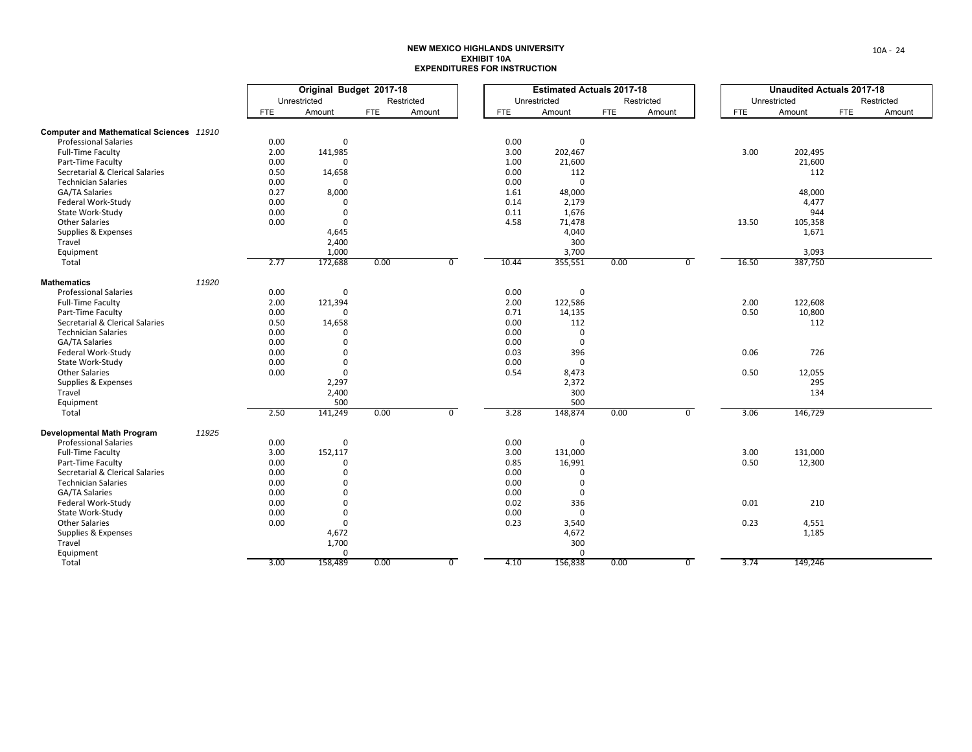|                                          |       | Original Budget 2017-18 |                         |            |            |                |       | <b>Estimated Actuals 2017-18</b> |            |            |                |            | <b>Unaudited Actuals 2017-18</b> |            |            |
|------------------------------------------|-------|-------------------------|-------------------------|------------|------------|----------------|-------|----------------------------------|------------|------------|----------------|------------|----------------------------------|------------|------------|
|                                          |       |                         | Unrestricted            |            | Restricted |                |       | Unrestricted                     |            | Restricted |                |            | Unrestricted                     |            | Restricted |
|                                          |       | <b>FTE</b>              | Amount                  | <b>FTE</b> | Amount     |                | FTE   | Amount                           | <b>FTE</b> | Amount     |                | <b>FTE</b> | Amount                           | <b>FTE</b> | Amount     |
| Computer and Mathematical Sciences 11910 |       |                         |                         |            |            |                |       |                                  |            |            |                |            |                                  |            |            |
| <b>Professional Salaries</b>             |       | 0.00                    | $\mathbf 0$             |            |            |                | 0.00  | 0                                |            |            |                |            |                                  |            |            |
| <b>Full-Time Faculty</b>                 |       | 2.00                    | 141,985                 |            |            |                | 3.00  | 202,467                          |            |            |                | 3.00       | 202,495                          |            |            |
| Part-Time Faculty                        |       | 0.00                    | $\Omega$                |            |            |                | 1.00  | 21,600                           |            |            |                |            | 21,600                           |            |            |
| Secretarial & Clerical Salaries          |       | 0.50                    | 14,658                  |            |            |                | 0.00  | 112                              |            |            |                |            | 112                              |            |            |
| <b>Technician Salaries</b>               |       | 0.00                    |                         |            |            |                | 0.00  | $\mathbf 0$                      |            |            |                |            |                                  |            |            |
| GA/TA Salaries                           |       | 0.27                    | 8,000                   |            |            |                | 1.61  | 48,000                           |            |            |                |            | 48,000                           |            |            |
| Federal Work-Study                       |       | 0.00                    | $\mathbf{0}$            |            |            |                | 0.14  | 2,179                            |            |            |                |            | 4,477                            |            |            |
| State Work-Study                         |       | 0.00                    | $\mathbf{0}$            |            |            |                | 0.11  | 1,676                            |            |            |                |            | 944                              |            |            |
| <b>Other Salaries</b>                    |       | 0.00                    | $\mathbf{0}$            |            |            |                | 4.58  | 71,478                           |            |            |                | 13.50      | 105,358                          |            |            |
| Supplies & Expenses                      |       |                         | 4,645                   |            |            |                |       | 4,040                            |            |            |                |            | 1,671                            |            |            |
| Travel                                   |       |                         | 2,400                   |            |            |                |       | 300                              |            |            |                |            |                                  |            |            |
| Equipment                                |       |                         | 1,000                   |            |            |                |       | 3,700                            |            |            |                |            | 3,093                            |            |            |
| Total                                    |       | 2.77                    | 172,688                 | 0.00       |            | $\overline{0}$ | 10.44 | 355,551                          | 0.00       |            | $\overline{0}$ | 16.50      | 387,750                          |            |            |
| <b>Mathematics</b>                       | 11920 |                         |                         |            |            |                |       |                                  |            |            |                |            |                                  |            |            |
| <b>Professional Salaries</b>             |       | 0.00                    | 0                       |            |            |                | 0.00  | 0                                |            |            |                |            |                                  |            |            |
| <b>Full-Time Faculty</b>                 |       | 2.00                    | 121,394                 |            |            |                | 2.00  | 122,586                          |            |            |                | 2.00       | 122,608                          |            |            |
| Part-Time Faculty                        |       | 0.00                    |                         |            |            |                | 0.71  | 14,135                           |            |            |                | 0.50       | 10,800                           |            |            |
| Secretarial & Clerical Salaries          |       | 0.50                    | 14,658                  |            |            |                | 0.00  | 112                              |            |            |                |            | 112                              |            |            |
| <b>Technician Salaries</b>               |       | 0.00                    | $\Omega$                |            |            |                | 0.00  | $\mathbf 0$                      |            |            |                |            |                                  |            |            |
| GA/TA Salaries                           |       | 0.00                    | $\Omega$                |            |            |                | 0.00  | $\mathbf 0$                      |            |            |                |            |                                  |            |            |
| Federal Work-Study                       |       | 0.00                    | $\Omega$                |            |            |                | 0.03  | 396                              |            |            |                | 0.06       | 726                              |            |            |
| State Work-Study                         |       | 0.00                    | $\mathbf 0$             |            |            |                | 0.00  | $\mathbf 0$                      |            |            |                |            |                                  |            |            |
| <b>Other Salaries</b>                    |       | 0.00                    | $\mathbf 0$             |            |            |                | 0.54  | 8,473                            |            |            |                | 0.50       | 12,055                           |            |            |
| Supplies & Expenses                      |       |                         | 2,297                   |            |            |                |       | 2,372                            |            |            |                |            | 295                              |            |            |
| Travel                                   |       |                         | 2,400                   |            |            |                |       | 300                              |            |            |                |            | 134                              |            |            |
| Equipment                                |       |                         | 500                     |            |            |                |       | 500                              |            |            |                |            |                                  |            |            |
| Total                                    |       | 2.50                    | 141,249                 | 0.00       |            | $\overline{0}$ | 3.28  | 148,874                          | 0.00       |            | $\overline{0}$ | 3.06       | 146,729                          |            |            |
| <b>Developmental Math Program</b>        | 11925 |                         |                         |            |            |                |       |                                  |            |            |                |            |                                  |            |            |
| <b>Professional Salaries</b>             |       | 0.00                    | $\mathbf{0}$            |            |            |                | 0.00  | $\mathbf{0}$                     |            |            |                |            |                                  |            |            |
| Full-Time Faculty                        |       | 3.00                    | 152,117                 |            |            |                | 3.00  | 131,000                          |            |            |                | 3.00       | 131,000                          |            |            |
| Part-Time Faculty                        |       | 0.00                    | $\Omega$                |            |            |                | 0.85  | 16,991                           |            |            |                | 0.50       | 12,300                           |            |            |
| Secretarial & Clerical Salaries          |       | 0.00                    | $\Omega$                |            |            |                | 0.00  | 0                                |            |            |                |            |                                  |            |            |
| <b>Technician Salaries</b>               |       | 0.00                    | $\Omega$                |            |            |                | 0.00  | $\mathbf 0$                      |            |            |                |            |                                  |            |            |
| GA/TA Salaries                           |       | 0.00                    | $\mathbf 0$             |            |            |                | 0.00  | 0                                |            |            |                |            |                                  |            |            |
| Federal Work-Study                       |       | 0.00                    | $\mathbf 0$             |            |            |                | 0.02  | 336                              |            |            |                | 0.01       | 210                              |            |            |
| State Work-Study                         |       | 0.00                    | $\mathbf{0}$            |            |            |                | 0.00  | $\mathbf{0}$                     |            |            |                |            |                                  |            |            |
| <b>Other Salaries</b>                    |       | 0.00                    | $\mathbf{0}$            |            |            |                | 0.23  | 3,540                            |            |            |                | 0.23       | 4,551                            |            |            |
| Supplies & Expenses                      |       |                         | 4,672                   |            |            |                |       | 4,672                            |            |            |                |            | 1,185                            |            |            |
| Travel                                   |       |                         | 1,700                   |            |            |                |       | 300                              |            |            |                |            |                                  |            |            |
| Equipment<br>Total                       |       | 3.00                    | $\mathbf{0}$<br>158,489 |            |            | $\overline{0}$ | 4.10  | 0<br>156,838                     | 0.00       |            | $\overline{0}$ | 3.74       | 149,246                          |            |            |
|                                          |       |                         |                         | 0.00       |            |                |       |                                  |            |            |                |            |                                  |            |            |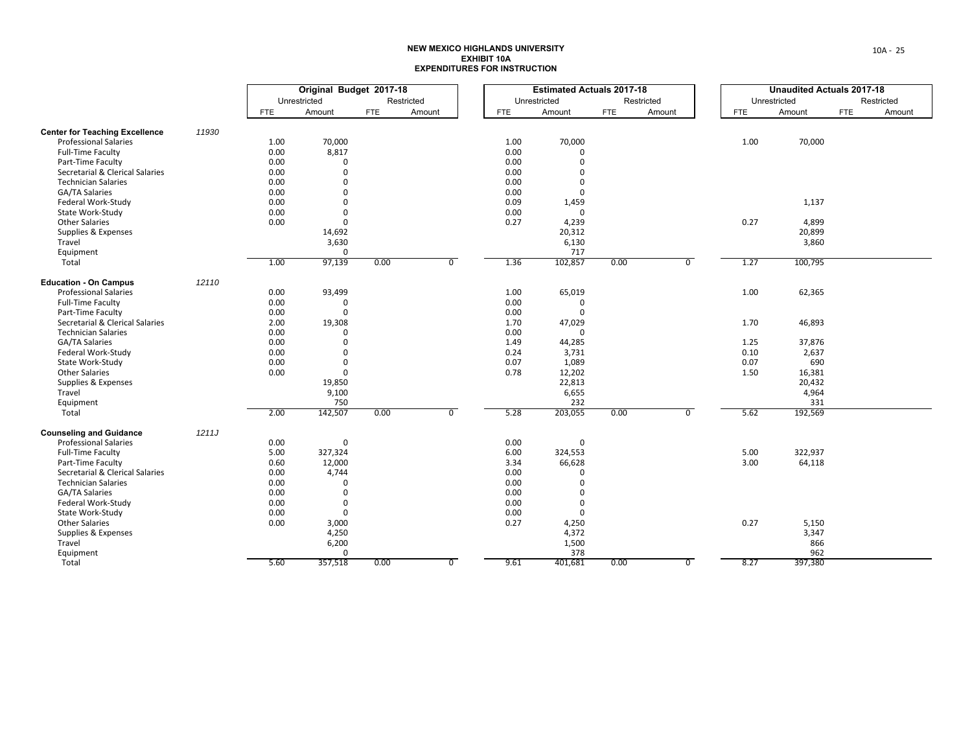|                                       |       | Original Budget 2017-18 |              |            |                | <b>Estimated Actuals 2017-18</b> |              |            |                | <b>Unaudited Actuals 2017-18</b> |              |     |            |
|---------------------------------------|-------|-------------------------|--------------|------------|----------------|----------------------------------|--------------|------------|----------------|----------------------------------|--------------|-----|------------|
|                                       |       |                         | Unrestricted |            | Restricted     |                                  | Unrestricted |            | Restricted     |                                  | Unrestricted |     | Restricted |
|                                       |       | FTE                     | Amount       | <b>FTE</b> | Amount         | <b>FTE</b>                       | Amount       | <b>FTE</b> | Amount         | <b>FTE</b>                       | Amount       | FTE | Amount     |
| <b>Center for Teaching Excellence</b> | 11930 |                         |              |            |                |                                  |              |            |                |                                  |              |     |            |
| <b>Professional Salaries</b>          |       | 1.00                    | 70,000       |            |                | 1.00                             | 70,000       |            |                | 1.00                             | 70,000       |     |            |
| <b>Full-Time Faculty</b>              |       | 0.00                    | 8,817        |            |                | 0.00                             | 0            |            |                |                                  |              |     |            |
| Part-Time Faculty                     |       | 0.00                    | $\mathbf 0$  |            |                | 0.00                             | $\mathbf 0$  |            |                |                                  |              |     |            |
| Secretarial & Clerical Salaries       |       | 0.00                    | $\mathbf 0$  |            |                | 0.00                             | $\mathbf 0$  |            |                |                                  |              |     |            |
| <b>Technician Salaries</b>            |       | 0.00                    | $\Omega$     |            |                | 0.00                             | $\mathbf 0$  |            |                |                                  |              |     |            |
| GA/TA Salaries                        |       | 0.00                    | $\Omega$     |            |                | 0.00                             | $\mathbf 0$  |            |                |                                  |              |     |            |
| Federal Work-Study                    |       | 0.00                    | $\mathbf 0$  |            |                | 0.09                             | 1,459        |            |                |                                  | 1,137        |     |            |
| State Work-Study                      |       | 0.00                    | $\Omega$     |            |                | 0.00                             | $\mathbf 0$  |            |                |                                  |              |     |            |
| <b>Other Salaries</b>                 |       | 0.00                    | $\mathbf 0$  |            |                | 0.27                             | 4,239        |            |                | 0.27                             | 4,899        |     |            |
| Supplies & Expenses                   |       |                         | 14,692       |            |                |                                  | 20,312       |            |                |                                  | 20,899       |     |            |
|                                       |       |                         |              |            |                |                                  |              |            |                |                                  |              |     |            |
| Travel                                |       |                         | 3,630        |            |                |                                  | 6,130        |            |                |                                  | 3,860        |     |            |
| Equipment                             |       | 1.00                    | $\Omega$     | 0.00       | $\overline{0}$ | 1.36                             | 717          | 0.00       | $\overline{0}$ |                                  |              |     |            |
| Total                                 |       |                         | 97,139       |            |                |                                  | 102,857      |            |                | 1.27                             | 100,795      |     |            |
| <b>Education - On Campus</b>          | 12110 |                         |              |            |                |                                  |              |            |                |                                  |              |     |            |
| <b>Professional Salaries</b>          |       | 0.00                    | 93,499       |            |                | 1.00                             | 65,019       |            |                | 1.00                             | 62,365       |     |            |
| Full-Time Faculty                     |       | 0.00                    | 0            |            |                | 0.00                             | 0            |            |                |                                  |              |     |            |
| Part-Time Faculty                     |       | 0.00                    | $\mathbf{0}$ |            |                | 0.00                             | $\mathbf 0$  |            |                |                                  |              |     |            |
| Secretarial & Clerical Salaries       |       | 2.00                    | 19,308       |            |                | 1.70                             | 47,029       |            |                | 1.70                             | 46,893       |     |            |
| <b>Technician Salaries</b>            |       | 0.00                    | $\Omega$     |            |                | 0.00                             | $\Omega$     |            |                |                                  |              |     |            |
| GA/TA Salaries                        |       | 0.00                    | $\Omega$     |            |                | 1.49                             | 44,285       |            |                | 1.25                             | 37,876       |     |            |
| Federal Work-Study                    |       | 0.00                    | $\Omega$     |            |                | 0.24                             | 3,731        |            |                | 0.10                             | 2,637        |     |            |
| State Work-Study                      |       | 0.00                    | $\Omega$     |            |                | 0.07                             | 1,089        |            |                | 0.07                             | 690          |     |            |
| <b>Other Salaries</b>                 |       | 0.00                    | $\mathbf 0$  |            |                | 0.78                             | 12,202       |            |                | 1.50                             | 16,381       |     |            |
| Supplies & Expenses                   |       |                         | 19,850       |            |                |                                  | 22,813       |            |                |                                  | 20,432       |     |            |
| Travel                                |       |                         | 9,100        |            |                |                                  | 6,655        |            |                |                                  | 4,964        |     |            |
| Equipment                             |       |                         | 750          |            |                |                                  | 232          |            |                |                                  | 331          |     |            |
| Total                                 |       | 2.00                    | 142,507      | 0.00       | $\overline{0}$ | 5.28                             | 203,055      | 0.00       | $\mathbf{0}$   | 5.62                             | 192,569      |     |            |
| <b>Counseling and Guidance</b>        | 1211J |                         |              |            |                |                                  |              |            |                |                                  |              |     |            |
| <b>Professional Salaries</b>          |       | 0.00                    | 0            |            |                | 0.00                             | 0            |            |                |                                  |              |     |            |
| Full-Time Faculty                     |       | 5.00                    | 327,324      |            |                | 6.00                             | 324,553      |            |                | 5.00                             | 322,937      |     |            |
| Part-Time Faculty                     |       | 0.60                    | 12,000       |            |                | 3.34                             | 66,628       |            |                | 3.00                             | 64,118       |     |            |
| Secretarial & Clerical Salaries       |       | 0.00                    | 4,744        |            |                | 0.00                             | $\mathbf 0$  |            |                |                                  |              |     |            |
| <b>Technician Salaries</b>            |       | 0.00                    | $\mathbf{0}$ |            |                | 0.00                             | 0            |            |                |                                  |              |     |            |
| GA/TA Salaries                        |       | 0.00                    | $\mathbf 0$  |            |                | 0.00                             | $\mathbf 0$  |            |                |                                  |              |     |            |
| Federal Work-Study                    |       | 0.00                    | $\mathbf{0}$ |            |                | 0.00                             | $\mathbf 0$  |            |                |                                  |              |     |            |
| State Work-Study                      |       | 0.00                    | $\mathbf 0$  |            |                | 0.00                             | $\mathbf 0$  |            |                |                                  |              |     |            |
| <b>Other Salaries</b>                 |       | 0.00                    | 3,000        |            |                | 0.27                             | 4,250        |            |                | 0.27                             | 5,150        |     |            |
| Supplies & Expenses                   |       |                         | 4,250        |            |                |                                  | 4,372        |            |                |                                  | 3,347        |     |            |
|                                       |       |                         | 6,200        |            |                |                                  |              |            |                |                                  |              |     |            |
| Travel<br>Equipment                   |       |                         | $\mathbf 0$  |            |                |                                  | 1,500<br>378 |            |                |                                  | 866<br>962   |     |            |
| Total                                 |       | 5.60                    | 357,518      | 0.00       | $\overline{0}$ | 9.61                             | 401,681      | 0.00       | $\overline{0}$ | 8.27                             | 397,380      |     |            |
|                                       |       |                         |              |            |                |                                  |              |            |                |                                  |              |     |            |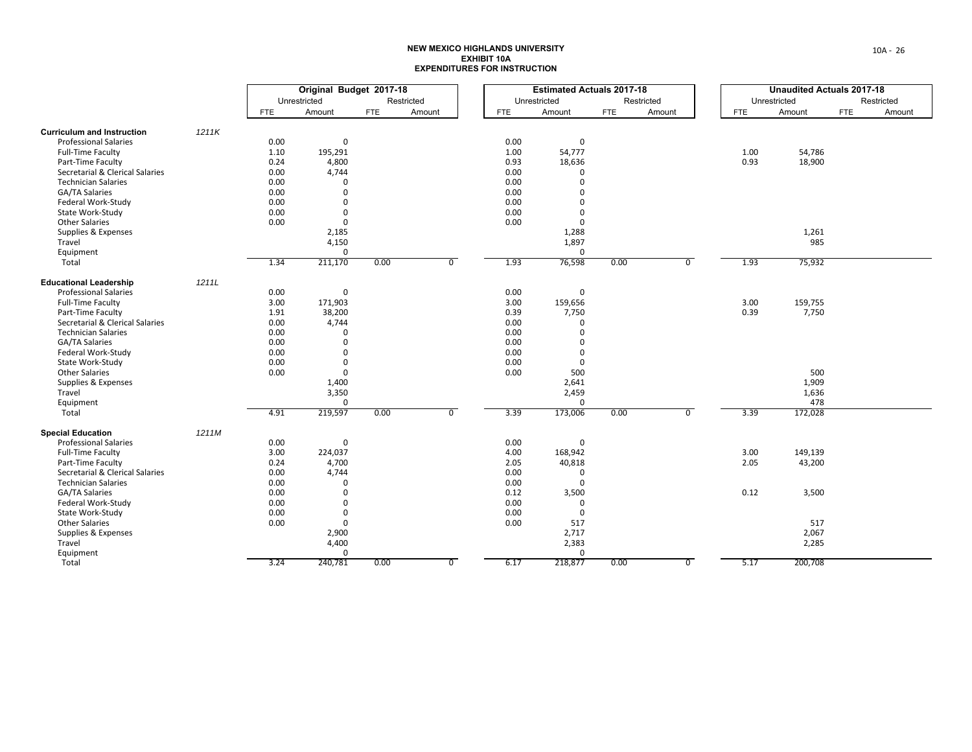|                                   |       | Original Budget 2017-18 |              |            |            |                | <b>Estimated Actuals 2017-18</b> |              |            |            |                | <b>Unaudited Actuals 2017-18</b> |              |     |            |
|-----------------------------------|-------|-------------------------|--------------|------------|------------|----------------|----------------------------------|--------------|------------|------------|----------------|----------------------------------|--------------|-----|------------|
|                                   |       |                         | Unrestricted |            | Restricted |                |                                  | Unrestricted |            | Restricted |                |                                  | Unrestricted |     | Restricted |
|                                   |       | <b>FTE</b>              | Amount       | <b>FTE</b> | Amount     |                | FTE                              | Amount       | <b>FTE</b> | Amount     |                | <b>FTE</b>                       | Amount       | FTE | Amount     |
| <b>Curriculum and Instruction</b> | 1211K |                         |              |            |            |                |                                  |              |            |            |                |                                  |              |     |            |
| <b>Professional Salaries</b>      |       | 0.00                    | 0            |            |            |                | 0.00                             | 0            |            |            |                |                                  |              |     |            |
| Full-Time Faculty                 |       | 1.10                    | 195,291      |            |            |                | 1.00                             | 54,777       |            |            |                | 1.00                             | 54,786       |     |            |
| Part-Time Faculty                 |       | 0.24                    | 4,800        |            |            |                | 0.93                             | 18,636       |            |            |                | 0.93                             | 18,900       |     |            |
| Secretarial & Clerical Salaries   |       | 0.00                    | 4,744        |            |            |                | 0.00                             | 0            |            |            |                |                                  |              |     |            |
| <b>Technician Salaries</b>        |       | 0.00                    | $\Omega$     |            |            |                | 0.00                             | $\mathbf 0$  |            |            |                |                                  |              |     |            |
| GA/TA Salaries                    |       | 0.00                    | $\mathbf 0$  |            |            |                | 0.00                             | $\mathbf 0$  |            |            |                |                                  |              |     |            |
| Federal Work-Study                |       | 0.00                    | $\mathbf 0$  |            |            |                | 0.00                             | $\mathbf 0$  |            |            |                |                                  |              |     |            |
| State Work-Study                  |       | 0.00                    | $\mathbf 0$  |            |            |                | 0.00                             | $\mathbf 0$  |            |            |                |                                  |              |     |            |
| <b>Other Salaries</b>             |       | 0.00                    | $\mathbf{0}$ |            |            |                | 0.00                             | $\mathbf 0$  |            |            |                |                                  |              |     |            |
| Supplies & Expenses               |       |                         | 2,185        |            |            |                |                                  | 1,288        |            |            |                |                                  | 1,261        |     |            |
| Travel                            |       |                         | 4,150        |            |            |                |                                  | 1,897        |            |            |                |                                  | 985          |     |            |
| Equipment                         |       |                         | $\Omega$     |            |            |                |                                  | $\mathbf 0$  |            |            |                |                                  |              |     |            |
| Total                             |       | 1.34                    | 211,170      | 0.00       |            | $\overline{0}$ | 1.93                             | 76,598       | 0.00       |            | $\overline{0}$ | 1.93                             | 75,932       |     |            |
| <b>Educational Leadership</b>     | 1211L |                         |              |            |            |                |                                  |              |            |            |                |                                  |              |     |            |
| <b>Professional Salaries</b>      |       | 0.00                    | 0            |            |            |                | 0.00                             | 0            |            |            |                |                                  |              |     |            |
| Full-Time Faculty                 |       | 3.00                    | 171,903      |            |            |                | 3.00                             | 159,656      |            |            |                | 3.00                             | 159,755      |     |            |
| Part-Time Faculty                 |       | 1.91                    | 38,200       |            |            |                | 0.39                             | 7,750        |            |            |                | 0.39                             | 7,750        |     |            |
| Secretarial & Clerical Salaries   |       | 0.00                    | 4,744        |            |            |                | 0.00                             | 0            |            |            |                |                                  |              |     |            |
| <b>Technician Salaries</b>        |       | 0.00                    | $\Omega$     |            |            |                | 0.00                             | $\mathbf 0$  |            |            |                |                                  |              |     |            |
| GA/TA Salaries                    |       | 0.00                    | $\mathbf 0$  |            |            |                | 0.00                             | $\mathbf 0$  |            |            |                |                                  |              |     |            |
| Federal Work-Study                |       | 0.00                    | $\mathbf 0$  |            |            |                | 0.00                             | $\mathbf 0$  |            |            |                |                                  |              |     |            |
| State Work-Study                  |       | 0.00                    | $\mathbf 0$  |            |            |                | 0.00                             | $\mathbf 0$  |            |            |                |                                  |              |     |            |
| <b>Other Salaries</b>             |       | 0.00                    | $\mathbf{0}$ |            |            |                | 0.00                             | 500          |            |            |                |                                  | 500          |     |            |
| Supplies & Expenses               |       |                         | 1,400        |            |            |                |                                  | 2,641        |            |            |                |                                  | 1,909        |     |            |
| Travel                            |       |                         | 3,350        |            |            |                |                                  | 2,459        |            |            |                |                                  | 1,636        |     |            |
| Equipment                         |       |                         | $\mathbf 0$  |            |            |                |                                  | 0            |            |            |                |                                  | 478          |     |            |
| Total                             |       | 4.91                    | 219,597      | 0.00       |            | $\overline{0}$ | 3.39                             | 173,006      | 0.00       |            | $\overline{0}$ | 3.39                             | 172,028      |     |            |
| <b>Special Education</b>          | 1211M |                         |              |            |            |                |                                  |              |            |            |                |                                  |              |     |            |
| <b>Professional Salaries</b>      |       | 0.00                    | $\mathbf 0$  |            |            |                | 0.00                             | 0            |            |            |                |                                  |              |     |            |
| <b>Full-Time Faculty</b>          |       | 3.00                    | 224,037      |            |            |                | 4.00                             | 168,942      |            |            |                | 3.00                             | 149,139      |     |            |
| Part-Time Faculty                 |       | 0.24                    | 4,700        |            |            |                | 2.05                             | 40,818       |            |            |                | 2.05                             | 43,200       |     |            |
| Secretarial & Clerical Salaries   |       | 0.00                    | 4,744        |            |            |                | 0.00                             | 0            |            |            |                |                                  |              |     |            |
| <b>Technician Salaries</b>        |       | 0.00                    | $\mathbf 0$  |            |            |                | 0.00                             | $\mathbf{0}$ |            |            |                |                                  |              |     |            |
| GA/TA Salaries                    |       | 0.00                    | $\mathbf 0$  |            |            |                | 0.12                             | 3,500        |            |            |                | 0.12                             | 3,500        |     |            |
| Federal Work-Study                |       | 0.00                    | $\Omega$     |            |            |                | 0.00                             | $\mathbf 0$  |            |            |                |                                  |              |     |            |
| State Work-Study                  |       | 0.00                    | $\mathbf 0$  |            |            |                | 0.00                             | 0            |            |            |                |                                  |              |     |            |
| <b>Other Salaries</b>             |       | 0.00                    | $\mathbf{0}$ |            |            |                | 0.00                             | 517          |            |            |                |                                  | 517          |     |            |
| Supplies & Expenses               |       |                         | 2,900        |            |            |                |                                  | 2,717        |            |            |                |                                  | 2,067        |     |            |
| Travel                            |       |                         | 4,400        |            |            |                |                                  | 2,383        |            |            |                |                                  | 2,285        |     |            |
| Equipment                         |       |                         | $\mathbf 0$  |            |            |                |                                  | $\mathbf{0}$ |            |            |                |                                  |              |     |            |
| Total                             |       | 3.24                    | 240,781      | 0.00       |            | $\overline{0}$ | 6.17                             | 218,877      | 0.00       |            | $\overline{0}$ | 5.17                             | 200,708      |     |            |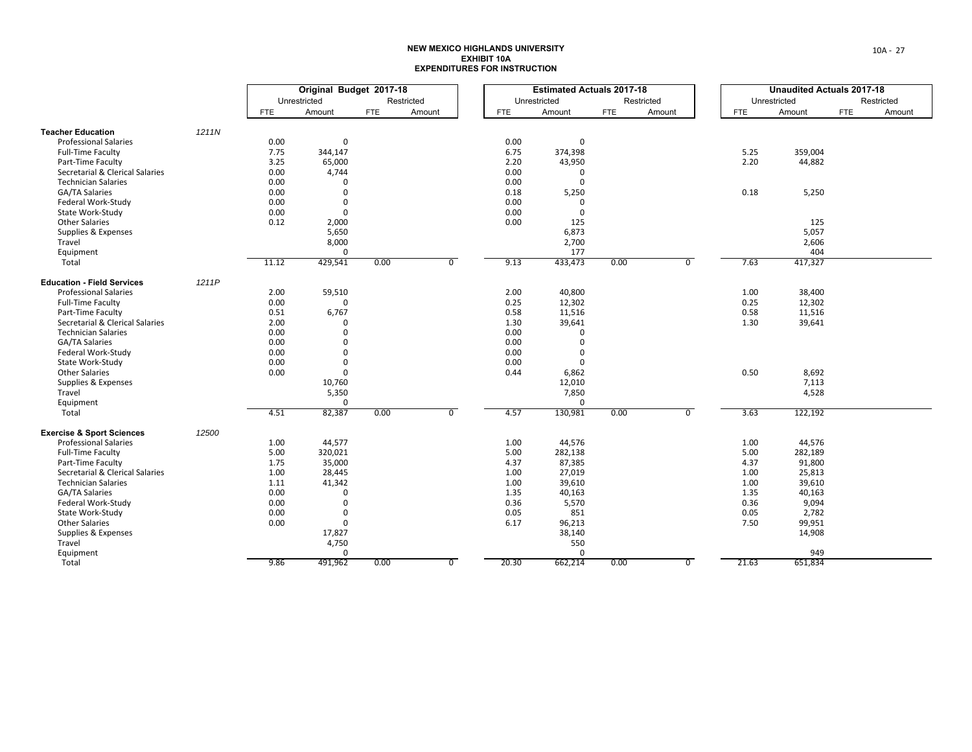|                                      |       | Original Budget 2017-18 |              |            |            |                | <b>Estimated Actuals 2017-18</b> |              |            |            |                | <b>Unaudited Actuals 2017-18</b> |              |     |            |
|--------------------------------------|-------|-------------------------|--------------|------------|------------|----------------|----------------------------------|--------------|------------|------------|----------------|----------------------------------|--------------|-----|------------|
|                                      |       |                         | Unrestricted |            | Restricted |                |                                  | Unrestricted |            | Restricted |                |                                  | Unrestricted |     | Restricted |
|                                      |       | <b>FTE</b>              | Amount       | <b>FTE</b> | Amount     |                | <b>FTE</b>                       | Amount       | <b>FTE</b> | Amount     |                | <b>FTE</b>                       | Amount       | FTE | Amount     |
| <b>Teacher Education</b>             | 1211N |                         |              |            |            |                |                                  |              |            |            |                |                                  |              |     |            |
| <b>Professional Salaries</b>         |       | 0.00                    | 0            |            |            |                | 0.00                             | 0            |            |            |                |                                  |              |     |            |
| Full-Time Faculty                    |       | 7.75                    | 344,147      |            |            |                | 6.75                             | 374,398      |            |            |                | 5.25                             | 359,004      |     |            |
| Part-Time Faculty                    |       | 3.25                    | 65,000       |            |            |                | 2.20                             | 43,950       |            |            |                | 2.20                             | 44,882       |     |            |
| Secretarial & Clerical Salaries      |       | 0.00                    | 4,744        |            |            |                | 0.00                             | 0            |            |            |                |                                  |              |     |            |
| <b>Technician Salaries</b>           |       | 0.00                    | $\Omega$     |            |            |                | 0.00                             | $\mathbf 0$  |            |            |                |                                  |              |     |            |
| GA/TA Salaries                       |       | 0.00                    | $\mathbf{0}$ |            |            |                | 0.18                             | 5,250        |            |            |                | 0.18                             | 5,250        |     |            |
| Federal Work-Study                   |       | 0.00                    | $\mathbf 0$  |            |            |                | 0.00                             | 0            |            |            |                |                                  |              |     |            |
| State Work-Study                     |       | 0.00                    | $\mathbf 0$  |            |            |                | 0.00                             | $\mathbf 0$  |            |            |                |                                  |              |     |            |
| <b>Other Salaries</b>                |       | 0.12                    | 2,000        |            |            |                | 0.00                             | 125          |            |            |                |                                  | 125          |     |            |
| Supplies & Expenses                  |       |                         | 5,650        |            |            |                |                                  | 6,873        |            |            |                |                                  | 5,057        |     |            |
| Travel                               |       |                         | 8,000        |            |            |                |                                  | 2,700        |            |            |                |                                  | 2,606        |     |            |
| Equipment                            |       |                         | $\Omega$     |            |            |                |                                  | 177          |            |            |                |                                  | 404          |     |            |
| Total                                |       | 11.12                   | 429,541      | 0.00       |            | $\overline{0}$ | 9.13                             | 433,473      | 0.00       |            | $\overline{0}$ | 7.63                             | 417,327      |     |            |
|                                      |       |                         |              |            |            |                |                                  |              |            |            |                |                                  |              |     |            |
| <b>Education - Field Services</b>    | 1211P |                         |              |            |            |                |                                  |              |            |            |                |                                  |              |     |            |
| <b>Professional Salaries</b>         |       | 2.00                    | 59,510       |            |            |                | 2.00                             | 40,800       |            |            |                | 1.00                             | 38,400       |     |            |
| <b>Full-Time Faculty</b>             |       | 0.00                    | $\mathbf 0$  |            |            |                | 0.25                             | 12,302       |            |            |                | 0.25                             | 12,302       |     |            |
| Part-Time Faculty                    |       | 0.51                    | 6,767        |            |            |                | 0.58                             | 11,516       |            |            |                | 0.58                             | 11,516       |     |            |
| Secretarial & Clerical Salaries      |       | 2.00                    | $\mathbf{0}$ |            |            |                | 1.30                             | 39,641       |            |            |                | 1.30                             | 39,641       |     |            |
| <b>Technician Salaries</b>           |       | 0.00                    | $\Omega$     |            |            |                | 0.00                             | $\Omega$     |            |            |                |                                  |              |     |            |
| <b>GA/TA Salaries</b>                |       | 0.00                    | $\mathbf 0$  |            |            |                | 0.00                             | $\mathbf 0$  |            |            |                |                                  |              |     |            |
| Federal Work-Study                   |       | 0.00                    | $\Omega$     |            |            |                | 0.00                             | $\mathbf 0$  |            |            |                |                                  |              |     |            |
| State Work-Study                     |       | 0.00                    | $\mathbf 0$  |            |            |                | 0.00                             | $\mathbf 0$  |            |            |                |                                  |              |     |            |
| <b>Other Salaries</b>                |       | 0.00                    | $\Omega$     |            |            |                | 0.44                             | 6,862        |            |            |                | 0.50                             | 8,692        |     |            |
| Supplies & Expenses                  |       |                         | 10,760       |            |            |                |                                  | 12,010       |            |            |                |                                  | 7,113        |     |            |
| Travel                               |       |                         | 5,350        |            |            |                |                                  | 7,850        |            |            |                |                                  | 4,528        |     |            |
| Equipment                            |       |                         | $\mathbf 0$  |            |            |                |                                  | $\mathbf{0}$ |            |            |                |                                  |              |     |            |
| Total                                |       | 4.51                    | 82,387       | 0.00       |            | $\overline{0}$ | 4.57                             | 130,981      | 0.00       |            | $\overline{0}$ | 3.63                             | 122,192      |     |            |
| <b>Exercise &amp; Sport Sciences</b> | 12500 |                         |              |            |            |                |                                  |              |            |            |                |                                  |              |     |            |
| <b>Professional Salaries</b>         |       | 1.00                    | 44,577       |            |            |                | 1.00                             | 44,576       |            |            |                | 1.00                             | 44,576       |     |            |
| <b>Full-Time Faculty</b>             |       | 5.00                    | 320,021      |            |            |                | 5.00                             | 282,138      |            |            |                | 5.00                             | 282,189      |     |            |
| Part-Time Faculty                    |       | 1.75                    | 35,000       |            |            |                | 4.37                             | 87,385       |            |            |                | 4.37                             | 91,800       |     |            |
| Secretarial & Clerical Salaries      |       | 1.00                    | 28,445       |            |            |                | 1.00                             | 27,019       |            |            |                | 1.00                             | 25,813       |     |            |
| <b>Technician Salaries</b>           |       | 1.11                    | 41,342       |            |            |                | 1.00                             | 39,610       |            |            |                | 1.00                             | 39,610       |     |            |
| GA/TA Salaries                       |       | 0.00                    | $\mathbf 0$  |            |            |                | 1.35                             | 40,163       |            |            |                | 1.35                             | 40,163       |     |            |
| Federal Work-Study                   |       | 0.00                    | $\mathbf 0$  |            |            |                | 0.36                             | 5,570        |            |            |                | 0.36                             | 9,094        |     |            |
| State Work-Study                     |       | 0.00                    | 0            |            |            |                | 0.05                             | 851          |            |            |                | 0.05                             | 2,782        |     |            |
| <b>Other Salaries</b>                |       | 0.00                    | $\mathbf 0$  |            |            |                | 6.17                             | 96,213       |            |            |                | 7.50                             | 99,951       |     |            |
| Supplies & Expenses                  |       |                         | 17,827       |            |            |                |                                  | 38,140       |            |            |                |                                  | 14,908       |     |            |
| Travel                               |       |                         | 4,750        |            |            |                |                                  | 550          |            |            |                |                                  |              |     |            |
| Equipment                            |       |                         | $\Omega$     |            |            |                |                                  | $\mathbf 0$  |            |            |                |                                  | 949          |     |            |
| Total                                |       | 9.86                    | 491,962      | 0.00       |            | $\overline{0}$ | 20.30                            | 662,214      | 0.00       |            | $\overline{0}$ | 21.63                            | 651,834      |     |            |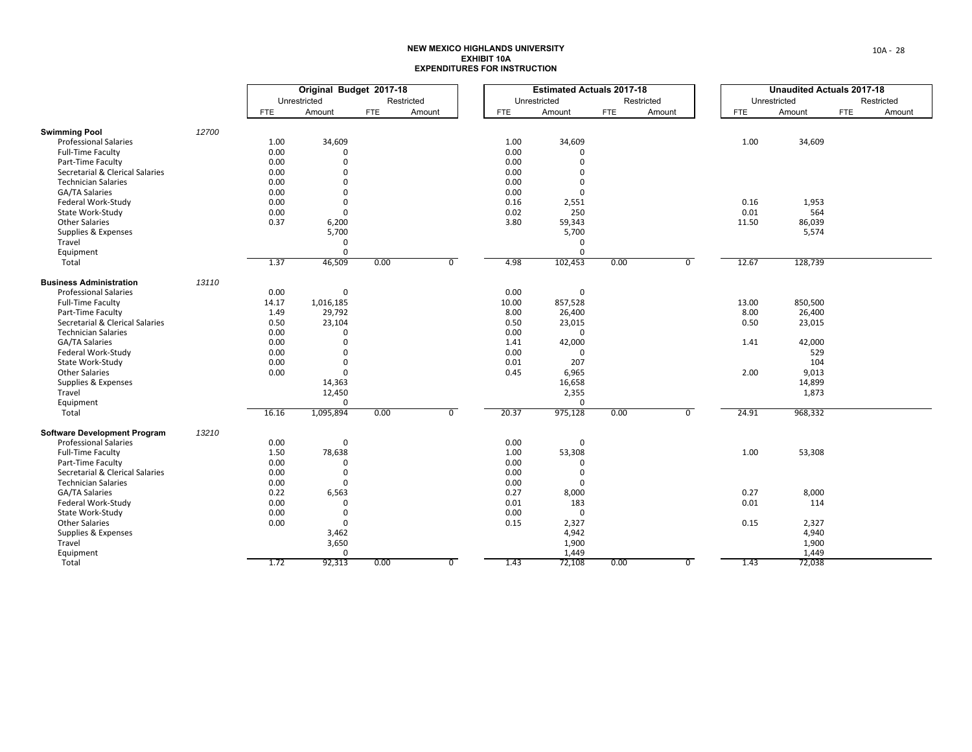|                                     |       | Original Budget 2017-18 |              |            |            |                | <b>Estimated Actuals 2017-18</b> |              |            |            |                | <b>Unaudited Actuals 2017-18</b> |              |            |            |
|-------------------------------------|-------|-------------------------|--------------|------------|------------|----------------|----------------------------------|--------------|------------|------------|----------------|----------------------------------|--------------|------------|------------|
|                                     |       |                         | Unrestricted |            | Restricted |                |                                  | Unrestricted |            | Restricted |                |                                  | Unrestricted |            | Restricted |
|                                     |       | <b>FTE</b>              | Amount       | <b>FTE</b> | Amount     |                | <b>FTE</b>                       | Amount       | <b>FTE</b> | Amount     |                | <b>FTE</b>                       | Amount       | <b>FTE</b> | Amount     |
| <b>Swimming Pool</b>                | 12700 |                         |              |            |            |                |                                  |              |            |            |                |                                  |              |            |            |
| <b>Professional Salaries</b>        |       | 1.00                    | 34,609       |            |            |                | 1.00                             | 34,609       |            |            |                | 1.00                             | 34,609       |            |            |
| Full-Time Faculty                   |       | 0.00                    | $\Omega$     |            |            |                | 0.00                             | 0            |            |            |                |                                  |              |            |            |
| Part-Time Faculty                   |       | 0.00                    | $\Omega$     |            |            |                | 0.00                             | $\Omega$     |            |            |                |                                  |              |            |            |
| Secretarial & Clerical Salaries     |       | 0.00                    | $\mathbf 0$  |            |            |                | 0.00                             | $\Omega$     |            |            |                |                                  |              |            |            |
| <b>Technician Salaries</b>          |       | 0.00                    | $\mathbf 0$  |            |            |                | 0.00                             | $\Omega$     |            |            |                |                                  |              |            |            |
| GA/TA Salaries                      |       | 0.00                    | $\mathbf 0$  |            |            |                | 0.00                             | $\Omega$     |            |            |                |                                  |              |            |            |
| Federal Work-Study                  |       | 0.00                    | $\mathbf 0$  |            |            |                | 0.16                             | 2,551        |            |            |                | 0.16                             | 1,953        |            |            |
| State Work-Study                    |       | 0.00                    | $\mathbf 0$  |            |            |                | 0.02                             | 250          |            |            |                | 0.01                             | 564          |            |            |
| <b>Other Salaries</b>               |       | 0.37                    | 6,200        |            |            |                | 3.80                             | 59,343       |            |            |                | 11.50                            | 86,039       |            |            |
| Supplies & Expenses                 |       |                         | 5,700        |            |            |                |                                  | 5,700        |            |            |                |                                  | 5,574        |            |            |
| Travel                              |       |                         | $\mathbf 0$  |            |            |                |                                  | 0            |            |            |                |                                  |              |            |            |
| Equipment                           |       |                         | $\Omega$     |            |            |                |                                  | $\Omega$     |            |            |                |                                  |              |            |            |
| Total                               |       | 1.37                    | 46,509       | 0.00       |            | $\overline{0}$ | 4.98                             | 102,453      | 0.00       |            | $\overline{0}$ | 12.67                            | 128,739      |            |            |
|                                     |       |                         |              |            |            |                |                                  |              |            |            |                |                                  |              |            |            |
| <b>Business Administration</b>      | 13110 |                         |              |            |            |                |                                  |              |            |            |                |                                  |              |            |            |
| <b>Professional Salaries</b>        |       | 0.00                    | $\mathbf 0$  |            |            |                | 0.00                             | 0            |            |            |                |                                  |              |            |            |
| Full-Time Faculty                   |       | 14.17                   | 1,016,185    |            |            |                | 10.00                            | 857,528      |            |            |                | 13.00                            | 850,500      |            |            |
| Part-Time Faculty                   |       | 1.49                    | 29,792       |            |            |                | 8.00                             | 26,400       |            |            |                | 8.00                             | 26,400       |            |            |
| Secretarial & Clerical Salaries     |       | 0.50                    | 23,104       |            |            |                | 0.50                             | 23,015       |            |            |                | 0.50                             | 23,015       |            |            |
| <b>Technician Salaries</b>          |       | 0.00                    | $\Omega$     |            |            |                | 0.00                             | $\mathbf 0$  |            |            |                |                                  |              |            |            |
| GA/TA Salaries                      |       | 0.00                    | $\Omega$     |            |            |                | 1.41                             | 42,000       |            |            |                | 1.41                             | 42,000       |            |            |
| Federal Work-Study                  |       | 0.00                    | $\Omega$     |            |            |                | 0.00                             | $\mathbf 0$  |            |            |                |                                  | 529          |            |            |
| State Work-Study                    |       | 0.00                    | $\mathbf 0$  |            |            |                | 0.01                             | 207          |            |            |                |                                  | 104          |            |            |
| <b>Other Salaries</b>               |       | 0.00                    | $\mathbf 0$  |            |            |                | 0.45                             | 6,965        |            |            |                | 2.00                             | 9,013        |            |            |
| Supplies & Expenses                 |       |                         | 14,363       |            |            |                |                                  | 16,658       |            |            |                |                                  | 14,899       |            |            |
| Travel                              |       |                         | 12,450       |            |            |                |                                  | 2,355        |            |            |                |                                  | 1,873        |            |            |
| Equipment                           |       |                         | $\mathbf 0$  |            |            |                |                                  | $\mathbf 0$  |            |            |                |                                  |              |            |            |
| Total                               |       | 16.16                   | 1,095,894    | 0.00       |            | $\overline{0}$ | 20.37                            | 975,128      | 0.00       |            | $\overline{0}$ | 24.91                            | 968,332      |            |            |
| <b>Software Development Program</b> | 13210 |                         |              |            |            |                |                                  |              |            |            |                |                                  |              |            |            |
| <b>Professional Salaries</b>        |       | 0.00                    | 0            |            |            |                | 0.00                             | 0            |            |            |                |                                  |              |            |            |
| <b>Full-Time Faculty</b>            |       | 1.50                    | 78,638       |            |            |                | 1.00                             | 53,308       |            |            |                | 1.00                             | 53,308       |            |            |
| Part-Time Faculty                   |       | 0.00                    | $\Omega$     |            |            |                | 0.00                             | $\Omega$     |            |            |                |                                  |              |            |            |
| Secretarial & Clerical Salaries     |       | 0.00                    | 0            |            |            |                | 0.00                             | 0            |            |            |                |                                  |              |            |            |
| <b>Technician Salaries</b>          |       | 0.00                    | $\mathbf 0$  |            |            |                | 0.00                             | $\mathbf 0$  |            |            |                |                                  |              |            |            |
| GA/TA Salaries                      |       | 0.22                    | 6,563        |            |            |                | 0.27                             | 8,000        |            |            |                | 0.27                             | 8,000        |            |            |
| Federal Work-Study                  |       | 0.00                    | $\mathbf 0$  |            |            |                | 0.01                             | 183          |            |            |                | 0.01                             | 114          |            |            |
| State Work-Study                    |       | 0.00                    | 0            |            |            |                | 0.00                             | $\mathsf 0$  |            |            |                |                                  |              |            |            |
| <b>Other Salaries</b>               |       | 0.00                    | $\mathbf 0$  |            |            |                | 0.15                             | 2,327        |            |            |                | 0.15                             | 2,327        |            |            |
| Supplies & Expenses                 |       |                         | 3,462        |            |            |                |                                  | 4,942        |            |            |                |                                  | 4,940        |            |            |
| Travel                              |       |                         | 3,650        |            |            |                |                                  | 1,900        |            |            |                |                                  | 1,900        |            |            |
| Equipment                           |       |                         | $\mathbf{0}$ |            |            |                |                                  | 1,449        |            |            |                |                                  | 1,449        |            |            |
| Total                               |       | 1.72                    | 92,313       | 0.00       |            | $\overline{0}$ | 1.43                             | 72,108       | 0.00       |            | $\overline{0}$ | 1.43                             | 72,038       |            |            |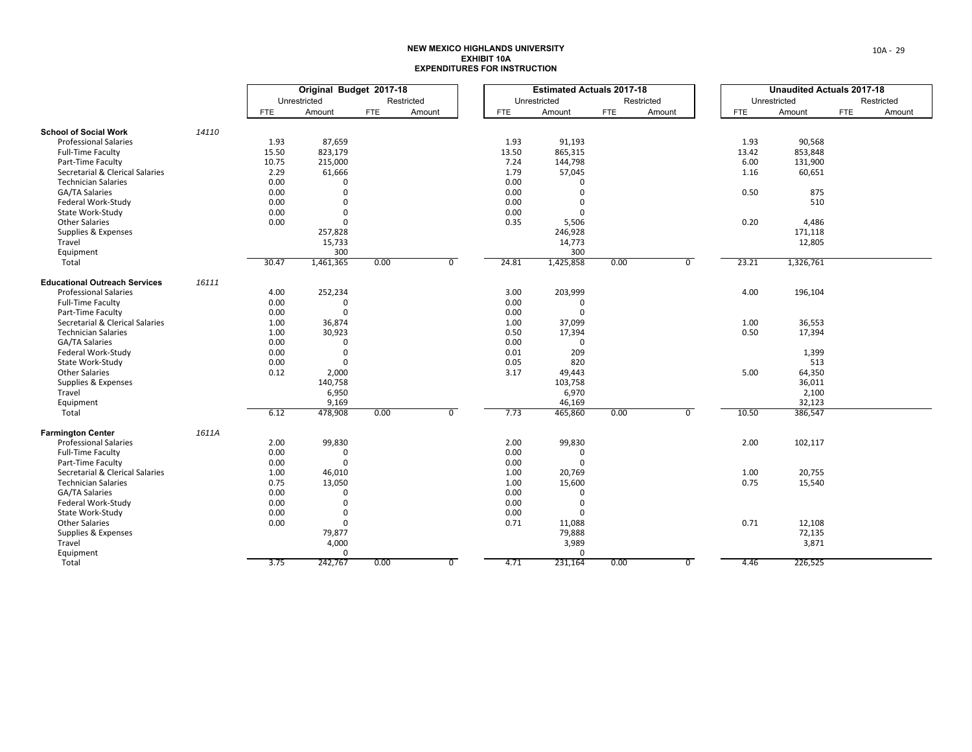|                                      |       | Original Budget 2017-18 |              |            |                |            | <b>Estimated Actuals 2017-18</b> |             |      |            |                | <b>Unaudited Actuals 2017-18</b> |              |     |            |
|--------------------------------------|-------|-------------------------|--------------|------------|----------------|------------|----------------------------------|-------------|------|------------|----------------|----------------------------------|--------------|-----|------------|
|                                      |       |                         | Unrestricted |            | Restricted     |            | Unrestricted                     |             |      | Restricted |                |                                  | Unrestricted |     | Restricted |
|                                      |       | <b>FTE</b>              | Amount       | <b>FTE</b> | Amount         | <b>FTE</b> |                                  | Amount      | FTE  | Amount     |                | <b>FTE</b>                       | Amount       | FTE | Amount     |
| <b>School of Social Work</b>         | 14110 |                         |              |            |                |            |                                  |             |      |            |                |                                  |              |     |            |
| <b>Professional Salaries</b>         |       | 1.93                    | 87,659       |            |                | 1.93       |                                  | 91,193      |      |            |                | 1.93                             | 90,568       |     |            |
| Full-Time Faculty                    |       | 15.50                   | 823,179      |            |                | 13.50      |                                  | 865,315     |      |            |                | 13.42                            | 853,848      |     |            |
| Part-Time Faculty                    |       | 10.75                   | 215,000      |            |                | 7.24       |                                  | 144,798     |      |            |                | 6.00                             | 131,900      |     |            |
| Secretarial & Clerical Salaries      |       | 2.29                    | 61,666       |            |                | 1.79       |                                  | 57,045      |      |            |                | 1.16                             | 60,651       |     |            |
| <b>Technician Salaries</b>           |       | 0.00                    | $\Omega$     |            |                | 0.00       |                                  |             |      |            |                |                                  |              |     |            |
| GA/TA Salaries                       |       | 0.00                    | $\Omega$     |            |                | 0.00       |                                  | $\Omega$    |      |            |                | 0.50                             | 875          |     |            |
| Federal Work-Study                   |       | 0.00                    | $\Omega$     |            |                | 0.00       |                                  | $\Omega$    |      |            |                |                                  | 510          |     |            |
| State Work-Study                     |       | 0.00                    | $\Omega$     |            |                | 0.00       |                                  | $\Omega$    |      |            |                |                                  |              |     |            |
| <b>Other Salaries</b>                |       | 0.00                    | $\Omega$     |            |                | 0.35       |                                  | 5,506       |      |            |                | 0.20                             | 4,486        |     |            |
|                                      |       |                         |              |            |                |            |                                  |             |      |            |                |                                  |              |     |            |
| Supplies & Expenses                  |       |                         | 257,828      |            |                |            |                                  | 246,928     |      |            |                |                                  | 171,118      |     |            |
| Travel                               |       |                         | 15,733       |            |                |            |                                  | 14,773      |      |            |                |                                  | 12,805       |     |            |
| Equipment                            |       |                         | 300          |            |                |            |                                  | 300         |      |            |                |                                  |              |     |            |
| Total                                |       | 30.47                   | 1,461,365    | 0.00       | $\overline{0}$ | 24.81      |                                  | 1,425,858   | 0.00 |            | $\overline{0}$ | 23.21                            | 1,326,761    |     |            |
| <b>Educational Outreach Services</b> | 16111 |                         |              |            |                |            |                                  |             |      |            |                |                                  |              |     |            |
| <b>Professional Salaries</b>         |       | 4.00                    | 252,234      |            |                | 3.00       |                                  | 203,999     |      |            |                | 4.00                             | 196,104      |     |            |
| <b>Full-Time Faculty</b>             |       | 0.00                    | $\mathbf{0}$ |            |                | 0.00       |                                  | 0           |      |            |                |                                  |              |     |            |
| Part-Time Faculty                    |       | 0.00                    | $\Omega$     |            |                | 0.00       |                                  | $\mathbf 0$ |      |            |                |                                  |              |     |            |
| Secretarial & Clerical Salaries      |       | 1.00                    | 36,874       |            |                | 1.00       |                                  | 37,099      |      |            |                | 1.00                             | 36,553       |     |            |
| <b>Technician Salaries</b>           |       | 1.00                    | 30,923       |            |                | 0.50       |                                  | 17,394      |      |            |                | 0.50                             | 17,394       |     |            |
| GA/TA Salaries                       |       | 0.00                    | $\mathbf{0}$ |            |                | 0.00       |                                  | $\mathbf 0$ |      |            |                |                                  |              |     |            |
| Federal Work-Study                   |       | 0.00                    | $\mathbf 0$  |            |                | 0.01       |                                  | 209         |      |            |                |                                  | 1,399        |     |            |
| State Work-Study                     |       | 0.00                    | $\mathbf 0$  |            |                | 0.05       |                                  | 820         |      |            |                |                                  | 513          |     |            |
| <b>Other Salaries</b>                |       | 0.12                    | 2,000        |            |                | 3.17       |                                  | 49,443      |      |            |                | 5.00                             | 64,350       |     |            |
| Supplies & Expenses                  |       |                         | 140,758      |            |                |            |                                  | 103,758     |      |            |                |                                  | 36,011       |     |            |
| Travel                               |       |                         | 6,950        |            |                |            |                                  | 6,970       |      |            |                |                                  | 2,100        |     |            |
| Equipment                            |       |                         | 9,169        |            |                |            |                                  | 46,169      |      |            |                |                                  | 32,123       |     |            |
| Total                                |       | 6.12                    | 478,908      | 0.00       | $\overline{0}$ | 7.73       |                                  | 465,860     | 0.00 |            | $\overline{0}$ | 10.50                            | 386,547      |     |            |
| <b>Farmington Center</b>             | 1611A |                         |              |            |                |            |                                  |             |      |            |                |                                  |              |     |            |
| <b>Professional Salaries</b>         |       | 2.00                    | 99,830       |            |                | 2.00       |                                  | 99,830      |      |            |                | 2.00                             | 102,117      |     |            |
| <b>Full-Time Faculty</b>             |       | 0.00                    | $\mathbf 0$  |            |                | 0.00       |                                  | 0           |      |            |                |                                  |              |     |            |
| Part-Time Faculty                    |       | 0.00                    | $\Omega$     |            |                | 0.00       |                                  | $\mathbf 0$ |      |            |                |                                  |              |     |            |
| Secretarial & Clerical Salaries      |       | 1.00                    | 46,010       |            |                | 1.00       |                                  | 20,769      |      |            |                | 1.00                             | 20,755       |     |            |
| <b>Technician Salaries</b>           |       | 0.75                    | 13,050       |            |                | 1.00       |                                  | 15,600      |      |            |                | 0.75                             | 15,540       |     |            |
| GA/TA Salaries                       |       | 0.00                    | $\mathbf 0$  |            |                | 0.00       |                                  | $\mathbf 0$ |      |            |                |                                  |              |     |            |
| Federal Work-Study                   |       | 0.00                    | $\Omega$     |            |                | 0.00       |                                  | $\mathbf 0$ |      |            |                |                                  |              |     |            |
| State Work-Study                     |       | 0.00                    | 0            |            |                | 0.00       |                                  | $\Omega$    |      |            |                |                                  |              |     |            |
| <b>Other Salaries</b>                |       | 0.00                    | $\mathbf 0$  |            |                | 0.71       |                                  |             |      |            |                | 0.71                             | 12,108       |     |            |
|                                      |       |                         |              |            |                |            |                                  | 11,088      |      |            |                |                                  |              |     |            |
| Supplies & Expenses                  |       |                         | 79,877       |            |                |            |                                  | 79,888      |      |            |                |                                  | 72,135       |     |            |
| Travel                               |       |                         | 4,000        |            |                |            |                                  | 3,989       |      |            |                |                                  | 3,871        |     |            |
| Equipment                            |       |                         | $\Omega$     |            |                |            |                                  | $\mathbf 0$ |      |            |                |                                  |              |     |            |
| Total                                |       | 3.75                    | 242,767      | 0.00       | $\overline{0}$ | 4.71       |                                  | 231,164     | 0.00 |            | $\overline{0}$ | 4.46                             | 226,525      |     |            |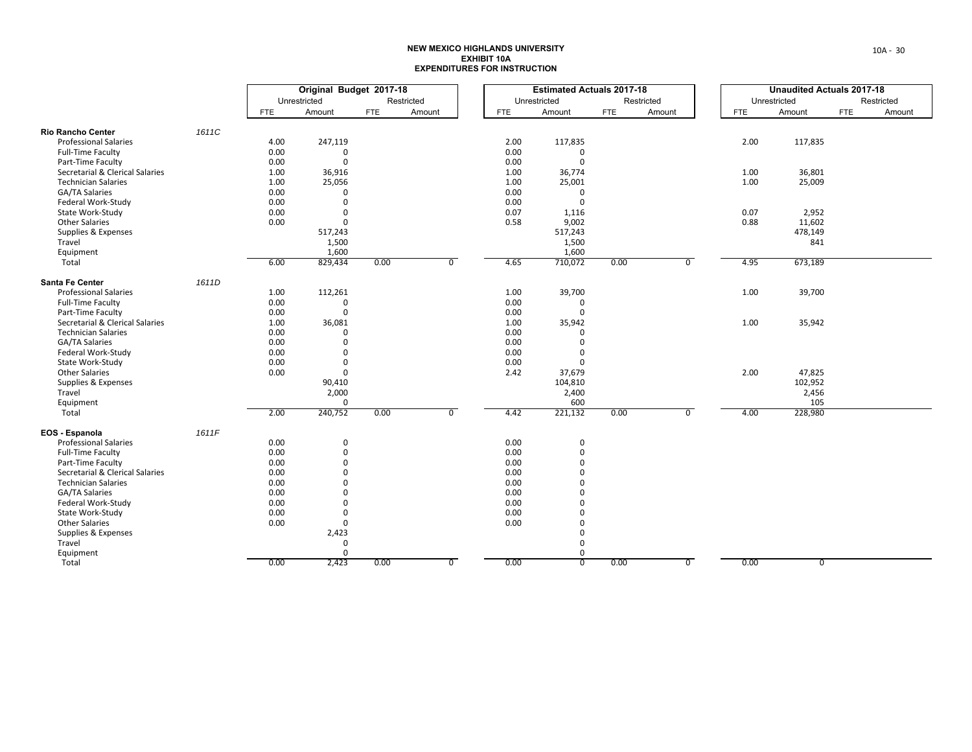|                                 |       | Original Budget 2017-18 |                       |            |            | <b>Estimated Actuals 2017-18</b> |            |                  |      |            | <b>Unaudited Actuals 2017-18</b> |            |              |            |            |
|---------------------------------|-------|-------------------------|-----------------------|------------|------------|----------------------------------|------------|------------------|------|------------|----------------------------------|------------|--------------|------------|------------|
|                                 |       |                         | Unrestricted          |            | Restricted |                                  |            | Unrestricted     |      | Restricted |                                  |            | Unrestricted |            | Restricted |
|                                 |       | FTE                     | Amount                | <b>FTE</b> | Amount     |                                  | <b>FTE</b> | Amount           | FTE  | Amount     |                                  | <b>FTE</b> | Amount       | <b>FTE</b> | Amount     |
| <b>Rio Rancho Center</b>        | 1611C |                         |                       |            |            |                                  |            |                  |      |            |                                  |            |              |            |            |
| <b>Professional Salaries</b>    |       | 4.00                    | 247,119               |            |            |                                  | 2.00       | 117,835          |      |            |                                  | 2.00       | 117,835      |            |            |
| <b>Full-Time Faculty</b>        |       | 0.00                    | $\mathbf 0$           |            |            |                                  | 0.00       | 0                |      |            |                                  |            |              |            |            |
| Part-Time Faculty               |       | 0.00                    | $\mathbf 0$           |            |            |                                  | 0.00       | $\mathbf 0$      |      |            |                                  |            |              |            |            |
| Secretarial & Clerical Salaries |       | 1.00                    | 36,916                |            |            |                                  | 1.00       | 36,774           |      |            |                                  | 1.00       | 36,801       |            |            |
| <b>Technician Salaries</b>      |       | 1.00                    | 25,056                |            |            |                                  | 1.00       | 25,001           |      |            |                                  | 1.00       | 25,009       |            |            |
| GA/TA Salaries                  |       | 0.00                    | $\Omega$              |            |            |                                  | 0.00       | 0                |      |            |                                  |            |              |            |            |
| Federal Work-Study              |       | 0.00                    | $\mathbf 0$           |            |            |                                  | 0.00       | $\mathbf{0}$     |      |            |                                  |            |              |            |            |
| State Work-Study                |       | 0.00                    | $\Omega$              |            |            |                                  | 0.07       | 1,116            |      |            |                                  | 0.07       | 2,952        |            |            |
| <b>Other Salaries</b>           |       | 0.00                    | $\mathbf{0}$          |            |            |                                  | 0.58       | 9,002            |      |            |                                  | 0.88       | 11,602       |            |            |
| Supplies & Expenses             |       |                         | 517,243               |            |            |                                  |            | 517,243          |      |            |                                  |            | 478,149      |            |            |
| Travel                          |       |                         | 1,500                 |            |            |                                  |            | 1,500            |      |            |                                  |            | 841          |            |            |
| Equipment                       |       |                         | 1,600                 |            |            |                                  |            | 1,600            |      |            |                                  |            |              |            |            |
| Total                           |       | 6.00                    | 829,434               | 0.00       |            | $\overline{0}$                   | 4.65       | 710,072          | 0.00 |            | $\overline{0}$                   | 4.95       | 673,189      |            |            |
| Santa Fe Center                 | 1611D |                         |                       |            |            |                                  |            |                  |      |            |                                  |            |              |            |            |
| <b>Professional Salaries</b>    |       | 1.00                    | 112,261               |            |            |                                  | 1.00       | 39,700           |      |            |                                  | 1.00       | 39,700       |            |            |
| <b>Full-Time Faculty</b>        |       | 0.00                    | 0                     |            |            |                                  | 0.00       | 0                |      |            |                                  |            |              |            |            |
| Part-Time Faculty               |       | 0.00                    | $\Omega$              |            |            |                                  | 0.00       | $\mathbf 0$      |      |            |                                  |            |              |            |            |
| Secretarial & Clerical Salaries |       | 1.00                    | 36,081                |            |            |                                  | 1.00       | 35,942           |      |            |                                  | 1.00       | 35,942       |            |            |
| <b>Technician Salaries</b>      |       | 0.00                    | $\Omega$              |            |            |                                  | 0.00       | $\Omega$         |      |            |                                  |            |              |            |            |
| <b>GA/TA Salaries</b>           |       | 0.00                    | $\Omega$              |            |            |                                  | 0.00       | $\mathbf 0$      |      |            |                                  |            |              |            |            |
| Federal Work-Study              |       | 0.00                    | $\Omega$              |            |            |                                  | 0.00       | $\mathbf 0$      |      |            |                                  |            |              |            |            |
| State Work-Study                |       | 0.00                    | $\Omega$              |            |            |                                  | 0.00       | $\Omega$         |      |            |                                  |            |              |            |            |
| <b>Other Salaries</b>           |       | 0.00                    | $\mathbf{0}$          |            |            |                                  | 2.42       | 37,679           |      |            |                                  | 2.00       | 47,825       |            |            |
| Supplies & Expenses             |       |                         | 90,410                |            |            |                                  |            | 104,810          |      |            |                                  |            | 102,952      |            |            |
| Travel                          |       |                         | 2,000                 |            |            |                                  |            | 2,400            |      |            |                                  |            | 2,456        |            |            |
| Equipment                       |       |                         | $\mathbf 0$           |            |            |                                  |            | 600              |      |            |                                  |            | 105          |            |            |
| Total                           |       | 2.00                    | 240,752               | 0.00       |            | $\overline{0}$                   | 4.42       | 221,132          | 0.00 |            | $\overline{0}$                   | 4.00       | 228,980      |            |            |
| EOS - Espanola                  | 1611F |                         |                       |            |            |                                  |            |                  |      |            |                                  |            |              |            |            |
| <b>Professional Salaries</b>    |       | 0.00                    | 0                     |            |            |                                  | 0.00       | 0                |      |            |                                  |            |              |            |            |
| Full-Time Faculty               |       | 0.00                    | $\mathbf 0$           |            |            |                                  | 0.00       | $\mathbf 0$      |      |            |                                  |            |              |            |            |
| Part-Time Faculty               |       | 0.00                    | $\Omega$              |            |            |                                  | 0.00       | $\Omega$         |      |            |                                  |            |              |            |            |
| Secretarial & Clerical Salaries |       | 0.00                    | $\Omega$              |            |            |                                  | 0.00       | $\mathbf 0$      |      |            |                                  |            |              |            |            |
| <b>Technician Salaries</b>      |       | 0.00                    | $\Omega$              |            |            |                                  | 0.00       | $\Omega$         |      |            |                                  |            |              |            |            |
| GA/TA Salaries                  |       | 0.00                    | $\Omega$              |            |            |                                  | 0.00       | $\mathbf 0$      |      |            |                                  |            |              |            |            |
| Federal Work-Study              |       | 0.00                    | $\Omega$              |            |            |                                  | 0.00       | $\Omega$         |      |            |                                  |            |              |            |            |
| State Work-Study                |       | 0.00                    | 0                     |            |            |                                  | 0.00       | 0                |      |            |                                  |            |              |            |            |
| <b>Other Salaries</b>           |       | 0.00                    | $\mathbf 0$           |            |            |                                  | 0.00       | 0                |      |            |                                  |            |              |            |            |
| Supplies & Expenses             |       |                         | 2,423                 |            |            |                                  |            | 0                |      |            |                                  |            |              |            |            |
| Travel                          |       |                         | $\mathbf 0$           |            |            |                                  |            | 0<br>$\mathbf 0$ |      |            |                                  |            |              |            |            |
| Equipment                       |       | 0.00                    | $\mathbf{0}$<br>2,423 | 0.00       |            | $\overline{0}$                   | 0.00       | $\overline{0}$   | 0.00 |            | $\overline{0}$                   | 0.00       | 0            |            |            |
| Total                           |       |                         |                       |            |            |                                  |            |                  |      |            |                                  |            |              |            |            |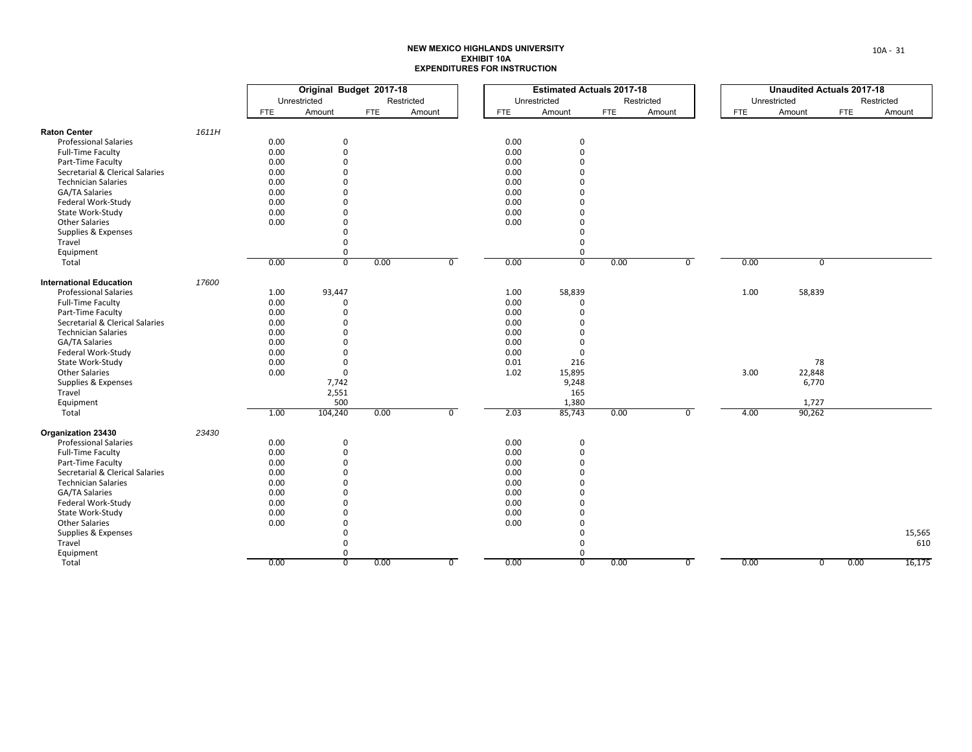|                                 |       |              | Original Budget 2017-18 |            |                |            | <b>Estimated Actuals 2017-18</b> |            |                |            | <b>Unaudited Actuals 2017-18</b> |            |      |  |  |  |            |
|---------------------------------|-------|--------------|-------------------------|------------|----------------|------------|----------------------------------|------------|----------------|------------|----------------------------------|------------|------|--|--|--|------------|
|                                 |       | Unrestricted |                         |            | Restricted     |            | Unrestricted                     |            | Restricted     |            | Unrestricted                     |            |      |  |  |  | Restricted |
|                                 |       | FTE          | Amount                  | <b>FTE</b> | Amount         | <b>FTE</b> | Amount                           | <b>FTE</b> | Amount         | <b>FTE</b> | Amount                           | <b>FTE</b> |      |  |  |  | Amount     |
| <b>Raton Center</b>             | 1611H |              |                         |            |                |            |                                  |            |                |            |                                  |            |      |  |  |  |            |
| <b>Professional Salaries</b>    |       | 0.00         | $\mathbf 0$             |            |                | 0.00       | 0                                |            |                |            |                                  |            |      |  |  |  |            |
| <b>Full-Time Faculty</b>        |       | 0.00         | $\mathsf 0$             |            |                | 0.00       | $\mathbf 0$                      |            |                |            |                                  |            |      |  |  |  |            |
| Part-Time Faculty               |       | 0.00         | $\Omega$                |            |                | 0.00       | $\Omega$                         |            |                |            |                                  |            |      |  |  |  |            |
| Secretarial & Clerical Salaries |       | 0.00         | $\Omega$                |            |                | 0.00       | O                                |            |                |            |                                  |            |      |  |  |  |            |
| <b>Technician Salaries</b>      |       | 0.00         | $\Omega$                |            |                | 0.00       | ŋ                                |            |                |            |                                  |            |      |  |  |  |            |
| <b>GA/TA Salaries</b>           |       | 0.00         | $\Omega$                |            |                | 0.00       |                                  |            |                |            |                                  |            |      |  |  |  |            |
| Federal Work-Study              |       | 0.00         | $\Omega$                |            |                | 0.00       | $\Omega$                         |            |                |            |                                  |            |      |  |  |  |            |
| State Work-Study                |       | 0.00         | $\Omega$                |            |                | 0.00       | $\Omega$                         |            |                |            |                                  |            |      |  |  |  |            |
| <b>Other Salaries</b>           |       | 0.00         | $\Omega$                |            |                | 0.00       | ŋ                                |            |                |            |                                  |            |      |  |  |  |            |
| Supplies & Expenses             |       |              | $\Omega$                |            |                |            | $\Omega$                         |            |                |            |                                  |            |      |  |  |  |            |
| Travel                          |       |              | $\Omega$                |            |                |            | $\Omega$                         |            |                |            |                                  |            |      |  |  |  |            |
| Equipment                       |       |              | $\mathsf 0$             |            |                |            | $\mathsf 0$                      |            |                |            |                                  |            |      |  |  |  |            |
| Total                           |       | 0.00         | $\overline{0}$          | 0.00       | $\overline{0}$ | 0.00       | $\overline{0}$                   | 0.00       | $\overline{0}$ | 0.00       | $\overline{0}$                   |            |      |  |  |  |            |
| <b>International Education</b>  | 17600 |              |                         |            |                |            |                                  |            |                |            |                                  |            |      |  |  |  |            |
| <b>Professional Salaries</b>    |       | 1.00         | 93,447                  |            |                | 1.00       | 58,839                           |            |                | 1.00       | 58,839                           |            |      |  |  |  |            |
| Full-Time Faculty               |       | 0.00         | $\Omega$                |            |                | 0.00       | $\mathbf 0$                      |            |                |            |                                  |            |      |  |  |  |            |
| Part-Time Faculty               |       | 0.00         | $\Omega$                |            |                | 0.00       | $\Omega$                         |            |                |            |                                  |            |      |  |  |  |            |
| Secretarial & Clerical Salaries |       | 0.00         | $\Omega$                |            |                | 0.00       |                                  |            |                |            |                                  |            |      |  |  |  |            |
| <b>Technician Salaries</b>      |       | 0.00         | $\Omega$                |            |                | 0.00       | $\Omega$                         |            |                |            |                                  |            |      |  |  |  |            |
| GA/TA Salaries                  |       | 0.00         | $\Omega$                |            |                | 0.00       | $\Omega$                         |            |                |            |                                  |            |      |  |  |  |            |
| Federal Work-Study              |       | 0.00         | $\Omega$                |            |                | 0.00       | $\mathbf 0$                      |            |                |            |                                  |            |      |  |  |  |            |
| State Work-Study                |       | 0.00         | $\mathbf 0$             |            |                | 0.01       | 216                              |            |                |            | 78                               |            |      |  |  |  |            |
| <b>Other Salaries</b>           |       | 0.00         | $\mathbf 0$             |            |                | 1.02       | 15,895                           |            |                | 3.00       | 22,848                           |            |      |  |  |  |            |
| Supplies & Expenses             |       |              | 7,742                   |            |                |            | 9,248                            |            |                |            | 6,770                            |            |      |  |  |  |            |
| Travel                          |       |              | 2,551                   |            |                |            | 165                              |            |                |            |                                  |            |      |  |  |  |            |
| Equipment                       |       |              | 500                     |            |                |            | 1,380                            |            |                |            | 1,727                            |            |      |  |  |  |            |
| Total                           |       | 1.00         | 104,240                 | 0.00       | $\overline{0}$ | 2.03       | 85,743                           | 0.00       | $\overline{0}$ | 4.00       | 90,262                           |            |      |  |  |  |            |
| Organization 23430              | 23430 |              |                         |            |                |            |                                  |            |                |            |                                  |            |      |  |  |  |            |
| <b>Professional Salaries</b>    |       | 0.00         | 0                       |            |                | 0.00       | 0                                |            |                |            |                                  |            |      |  |  |  |            |
| Full-Time Faculty               |       | 0.00         | $\mathbf 0$             |            |                | 0.00       | $\Omega$                         |            |                |            |                                  |            |      |  |  |  |            |
| Part-Time Faculty               |       | 0.00         | $\Omega$                |            |                | 0.00       | $\Omega$                         |            |                |            |                                  |            |      |  |  |  |            |
| Secretarial & Clerical Salaries |       | 0.00         | $\Omega$                |            |                | 0.00       | O                                |            |                |            |                                  |            |      |  |  |  |            |
| <b>Technician Salaries</b>      |       | 0.00         | $\Omega$                |            |                | 0.00       | ŋ                                |            |                |            |                                  |            |      |  |  |  |            |
| GA/TA Salaries                  |       | 0.00         | $\Omega$                |            |                | 0.00       |                                  |            |                |            |                                  |            |      |  |  |  |            |
| Federal Work-Study              |       | 0.00         | $\Omega$                |            |                | 0.00       | $\Omega$                         |            |                |            |                                  |            |      |  |  |  |            |
| State Work-Study                |       | 0.00         | $\Omega$                |            |                | 0.00       |                                  |            |                |            |                                  |            |      |  |  |  |            |
| <b>Other Salaries</b>           |       | 0.00         | $\Omega$                |            |                | 0.00       | ŋ                                |            |                |            |                                  |            |      |  |  |  |            |
| Supplies & Expenses             |       |              | $\Omega$                |            |                |            | $\Omega$                         |            |                |            |                                  |            |      |  |  |  |            |
| Travel                          |       |              | $\Omega$                |            |                |            | $\Omega$                         |            |                |            |                                  |            |      |  |  |  |            |
| Equipment                       |       |              | $\mathbf{0}$            |            |                |            | 0                                |            |                |            |                                  |            |      |  |  |  |            |
| Total                           |       | 0.00         | $\overline{0}$          | 0.00       | $\overline{0}$ | 0.00       | $\overline{0}$                   | 0.00       | $\overline{0}$ | 0.00       | $\overline{0}$                   |            | 0.00 |  |  |  |            |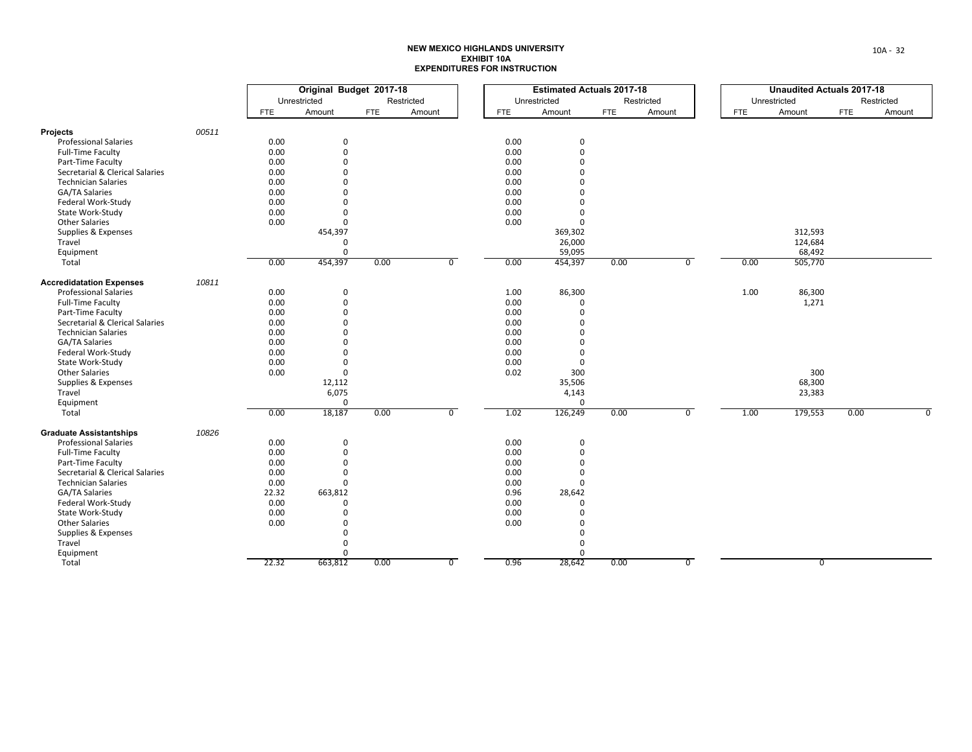| Unrestricted<br>Restricted<br>Unrestricted<br>Restricted<br>Unrestricted<br>Amount<br>Amount<br>Amount<br><b>FTE</b><br>Amount<br>Amount<br><b>FTE</b><br><b>FTE</b><br><b>FTE</b><br><b>FTE</b><br>00511<br><b>Projects</b><br>0.00<br><b>Professional Salaries</b><br>0.00<br>$\mathbf 0$<br>$\mathbf 0$<br>0.00<br>$\mathbf 0$<br>0.00<br>$\Omega$<br>Full-Time Faculty<br>0.00<br>$\Omega$<br>0.00<br>$\Omega$<br>Part-Time Faculty<br>0.00<br>Secretarial & Clerical Salaries<br>0.00<br>$\Omega$<br>$\Omega$<br>0.00<br><b>Technician Salaries</b><br>0.00<br>$\Omega$<br>$\Omega$<br>0.00<br>0.00<br>GA/TA Salaries<br>$\Omega$<br>$\Omega$<br>Federal Work-Study<br>0.00<br>0.00<br>$\Omega$<br>$\Omega$<br>0.00<br>State Work-Study<br>0.00<br>$\Omega$<br>$\Omega$<br><b>Other Salaries</b><br>0.00<br>$\mathbf 0$<br>0.00<br>$\Omega$<br>454,397<br>Supplies & Expenses<br>369,302<br>Travel<br>26,000<br>$\Omega$<br>$\Omega$<br>59,095<br>Equipment<br>0.00<br>454,397<br>0.00<br>454,397<br>$\overline{0}$<br>Total<br>0.00<br>$\overline{0}$<br>0.00<br>0.00<br>10811<br><b>Accredidatation Expenses</b><br><b>Professional Salaries</b><br>0.00<br>1.00<br>86,300<br>1.00<br>$\mathbf 0$<br><b>Full-Time Faculty</b><br>0.00<br>$\mathbf 0$<br>0.00<br>$\mathbf 0$<br>0.00<br>0.00<br>Part-Time Faculty<br>$\Omega$<br>$\Omega$<br>Secretarial & Clerical Salaries<br>0.00<br>$\Omega$<br>0.00<br>$\Omega$<br>0.00<br><b>Technician Salaries</b><br>0.00<br>$\Omega$<br>$\Omega$<br>0.00<br><b>GA/TA Salaries</b><br>0.00<br>$\Omega$<br>$\Omega$<br>Federal Work-Study<br>0.00<br>$\Omega$<br>0.00<br>$\Omega$<br>0.00<br>0.00<br>State Work-Study<br>$\Omega$<br>$\Omega$<br><b>Other Salaries</b><br>0.00<br>0.02<br>300<br>$\Omega$<br>Supplies & Expenses<br>12,112<br>35,506<br>68,300<br>6,075<br>23,383<br>Travel<br>4,143<br>$\mathbf 0$<br>Equipment<br>$\Omega$<br>0.00<br>18,187<br>0.00<br>$\overline{0}$<br>1.02<br>126,249<br>$\overline{0}$<br>0.00<br>1.00<br>Total<br>10826<br><b>Graduate Assistantships</b><br>0.00<br><b>Professional Salaries</b><br>0.00<br>$\mathbf 0$<br>$\mathbf 0$<br><b>Full-Time Faculty</b><br>0.00<br>$\mathbf 0$<br>0.00<br>$\Omega$<br>Part-Time Faculty<br>0.00<br>$\Omega$<br>0.00<br>$\Omega$<br>Secretarial & Clerical Salaries<br>0.00<br>$\Omega$<br>0.00<br>$\Omega$ |                            |      | Original Budget 2017-18 |  |      | <b>Estimated Actuals 2017-18</b> |  | <b>Unaudited Actuals 2017-18</b> |  |
|----------------------------------------------------------------------------------------------------------------------------------------------------------------------------------------------------------------------------------------------------------------------------------------------------------------------------------------------------------------------------------------------------------------------------------------------------------------------------------------------------------------------------------------------------------------------------------------------------------------------------------------------------------------------------------------------------------------------------------------------------------------------------------------------------------------------------------------------------------------------------------------------------------------------------------------------------------------------------------------------------------------------------------------------------------------------------------------------------------------------------------------------------------------------------------------------------------------------------------------------------------------------------------------------------------------------------------------------------------------------------------------------------------------------------------------------------------------------------------------------------------------------------------------------------------------------------------------------------------------------------------------------------------------------------------------------------------------------------------------------------------------------------------------------------------------------------------------------------------------------------------------------------------------------------------------------------------------------------------------------------------------------------------------------------------------------------------------------------------------------------------------------------------------------------------------------------------------------------------------------------------------------------------------------------------------------------------------------|----------------------------|------|-------------------------|--|------|----------------------------------|--|----------------------------------|--|
|                                                                                                                                                                                                                                                                                                                                                                                                                                                                                                                                                                                                                                                                                                                                                                                                                                                                                                                                                                                                                                                                                                                                                                                                                                                                                                                                                                                                                                                                                                                                                                                                                                                                                                                                                                                                                                                                                                                                                                                                                                                                                                                                                                                                                                                                                                                                              |                            |      |                         |  |      |                                  |  |                                  |  |
|                                                                                                                                                                                                                                                                                                                                                                                                                                                                                                                                                                                                                                                                                                                                                                                                                                                                                                                                                                                                                                                                                                                                                                                                                                                                                                                                                                                                                                                                                                                                                                                                                                                                                                                                                                                                                                                                                                                                                                                                                                                                                                                                                                                                                                                                                                                                              |                            |      |                         |  |      |                                  |  |                                  |  |
|                                                                                                                                                                                                                                                                                                                                                                                                                                                                                                                                                                                                                                                                                                                                                                                                                                                                                                                                                                                                                                                                                                                                                                                                                                                                                                                                                                                                                                                                                                                                                                                                                                                                                                                                                                                                                                                                                                                                                                                                                                                                                                                                                                                                                                                                                                                                              |                            |      |                         |  |      |                                  |  |                                  |  |
|                                                                                                                                                                                                                                                                                                                                                                                                                                                                                                                                                                                                                                                                                                                                                                                                                                                                                                                                                                                                                                                                                                                                                                                                                                                                                                                                                                                                                                                                                                                                                                                                                                                                                                                                                                                                                                                                                                                                                                                                                                                                                                                                                                                                                                                                                                                                              |                            |      |                         |  |      |                                  |  |                                  |  |
|                                                                                                                                                                                                                                                                                                                                                                                                                                                                                                                                                                                                                                                                                                                                                                                                                                                                                                                                                                                                                                                                                                                                                                                                                                                                                                                                                                                                                                                                                                                                                                                                                                                                                                                                                                                                                                                                                                                                                                                                                                                                                                                                                                                                                                                                                                                                              |                            |      |                         |  |      |                                  |  |                                  |  |
|                                                                                                                                                                                                                                                                                                                                                                                                                                                                                                                                                                                                                                                                                                                                                                                                                                                                                                                                                                                                                                                                                                                                                                                                                                                                                                                                                                                                                                                                                                                                                                                                                                                                                                                                                                                                                                                                                                                                                                                                                                                                                                                                                                                                                                                                                                                                              |                            |      |                         |  |      |                                  |  |                                  |  |
|                                                                                                                                                                                                                                                                                                                                                                                                                                                                                                                                                                                                                                                                                                                                                                                                                                                                                                                                                                                                                                                                                                                                                                                                                                                                                                                                                                                                                                                                                                                                                                                                                                                                                                                                                                                                                                                                                                                                                                                                                                                                                                                                                                                                                                                                                                                                              |                            |      |                         |  |      |                                  |  |                                  |  |
|                                                                                                                                                                                                                                                                                                                                                                                                                                                                                                                                                                                                                                                                                                                                                                                                                                                                                                                                                                                                                                                                                                                                                                                                                                                                                                                                                                                                                                                                                                                                                                                                                                                                                                                                                                                                                                                                                                                                                                                                                                                                                                                                                                                                                                                                                                                                              |                            |      |                         |  |      |                                  |  |                                  |  |
|                                                                                                                                                                                                                                                                                                                                                                                                                                                                                                                                                                                                                                                                                                                                                                                                                                                                                                                                                                                                                                                                                                                                                                                                                                                                                                                                                                                                                                                                                                                                                                                                                                                                                                                                                                                                                                                                                                                                                                                                                                                                                                                                                                                                                                                                                                                                              |                            |      |                         |  |      |                                  |  |                                  |  |
|                                                                                                                                                                                                                                                                                                                                                                                                                                                                                                                                                                                                                                                                                                                                                                                                                                                                                                                                                                                                                                                                                                                                                                                                                                                                                                                                                                                                                                                                                                                                                                                                                                                                                                                                                                                                                                                                                                                                                                                                                                                                                                                                                                                                                                                                                                                                              |                            |      |                         |  |      |                                  |  |                                  |  |
|                                                                                                                                                                                                                                                                                                                                                                                                                                                                                                                                                                                                                                                                                                                                                                                                                                                                                                                                                                                                                                                                                                                                                                                                                                                                                                                                                                                                                                                                                                                                                                                                                                                                                                                                                                                                                                                                                                                                                                                                                                                                                                                                                                                                                                                                                                                                              |                            |      |                         |  |      |                                  |  |                                  |  |
|                                                                                                                                                                                                                                                                                                                                                                                                                                                                                                                                                                                                                                                                                                                                                                                                                                                                                                                                                                                                                                                                                                                                                                                                                                                                                                                                                                                                                                                                                                                                                                                                                                                                                                                                                                                                                                                                                                                                                                                                                                                                                                                                                                                                                                                                                                                                              |                            |      |                         |  |      |                                  |  |                                  |  |
|                                                                                                                                                                                                                                                                                                                                                                                                                                                                                                                                                                                                                                                                                                                                                                                                                                                                                                                                                                                                                                                                                                                                                                                                                                                                                                                                                                                                                                                                                                                                                                                                                                                                                                                                                                                                                                                                                                                                                                                                                                                                                                                                                                                                                                                                                                                                              |                            |      |                         |  |      |                                  |  |                                  |  |
|                                                                                                                                                                                                                                                                                                                                                                                                                                                                                                                                                                                                                                                                                                                                                                                                                                                                                                                                                                                                                                                                                                                                                                                                                                                                                                                                                                                                                                                                                                                                                                                                                                                                                                                                                                                                                                                                                                                                                                                                                                                                                                                                                                                                                                                                                                                                              |                            |      |                         |  |      |                                  |  | 312,593                          |  |
|                                                                                                                                                                                                                                                                                                                                                                                                                                                                                                                                                                                                                                                                                                                                                                                                                                                                                                                                                                                                                                                                                                                                                                                                                                                                                                                                                                                                                                                                                                                                                                                                                                                                                                                                                                                                                                                                                                                                                                                                                                                                                                                                                                                                                                                                                                                                              |                            |      |                         |  |      |                                  |  | 124,684                          |  |
|                                                                                                                                                                                                                                                                                                                                                                                                                                                                                                                                                                                                                                                                                                                                                                                                                                                                                                                                                                                                                                                                                                                                                                                                                                                                                                                                                                                                                                                                                                                                                                                                                                                                                                                                                                                                                                                                                                                                                                                                                                                                                                                                                                                                                                                                                                                                              |                            |      |                         |  |      |                                  |  | 68,492                           |  |
|                                                                                                                                                                                                                                                                                                                                                                                                                                                                                                                                                                                                                                                                                                                                                                                                                                                                                                                                                                                                                                                                                                                                                                                                                                                                                                                                                                                                                                                                                                                                                                                                                                                                                                                                                                                                                                                                                                                                                                                                                                                                                                                                                                                                                                                                                                                                              |                            |      |                         |  |      |                                  |  | 505,770                          |  |
|                                                                                                                                                                                                                                                                                                                                                                                                                                                                                                                                                                                                                                                                                                                                                                                                                                                                                                                                                                                                                                                                                                                                                                                                                                                                                                                                                                                                                                                                                                                                                                                                                                                                                                                                                                                                                                                                                                                                                                                                                                                                                                                                                                                                                                                                                                                                              |                            |      |                         |  |      |                                  |  |                                  |  |
|                                                                                                                                                                                                                                                                                                                                                                                                                                                                                                                                                                                                                                                                                                                                                                                                                                                                                                                                                                                                                                                                                                                                                                                                                                                                                                                                                                                                                                                                                                                                                                                                                                                                                                                                                                                                                                                                                                                                                                                                                                                                                                                                                                                                                                                                                                                                              |                            |      |                         |  |      |                                  |  | 86,300                           |  |
|                                                                                                                                                                                                                                                                                                                                                                                                                                                                                                                                                                                                                                                                                                                                                                                                                                                                                                                                                                                                                                                                                                                                                                                                                                                                                                                                                                                                                                                                                                                                                                                                                                                                                                                                                                                                                                                                                                                                                                                                                                                                                                                                                                                                                                                                                                                                              |                            |      |                         |  |      |                                  |  | 1,271                            |  |
|                                                                                                                                                                                                                                                                                                                                                                                                                                                                                                                                                                                                                                                                                                                                                                                                                                                                                                                                                                                                                                                                                                                                                                                                                                                                                                                                                                                                                                                                                                                                                                                                                                                                                                                                                                                                                                                                                                                                                                                                                                                                                                                                                                                                                                                                                                                                              |                            |      |                         |  |      |                                  |  |                                  |  |
|                                                                                                                                                                                                                                                                                                                                                                                                                                                                                                                                                                                                                                                                                                                                                                                                                                                                                                                                                                                                                                                                                                                                                                                                                                                                                                                                                                                                                                                                                                                                                                                                                                                                                                                                                                                                                                                                                                                                                                                                                                                                                                                                                                                                                                                                                                                                              |                            |      |                         |  |      |                                  |  |                                  |  |
|                                                                                                                                                                                                                                                                                                                                                                                                                                                                                                                                                                                                                                                                                                                                                                                                                                                                                                                                                                                                                                                                                                                                                                                                                                                                                                                                                                                                                                                                                                                                                                                                                                                                                                                                                                                                                                                                                                                                                                                                                                                                                                                                                                                                                                                                                                                                              |                            |      |                         |  |      |                                  |  |                                  |  |
|                                                                                                                                                                                                                                                                                                                                                                                                                                                                                                                                                                                                                                                                                                                                                                                                                                                                                                                                                                                                                                                                                                                                                                                                                                                                                                                                                                                                                                                                                                                                                                                                                                                                                                                                                                                                                                                                                                                                                                                                                                                                                                                                                                                                                                                                                                                                              |                            |      |                         |  |      |                                  |  |                                  |  |
|                                                                                                                                                                                                                                                                                                                                                                                                                                                                                                                                                                                                                                                                                                                                                                                                                                                                                                                                                                                                                                                                                                                                                                                                                                                                                                                                                                                                                                                                                                                                                                                                                                                                                                                                                                                                                                                                                                                                                                                                                                                                                                                                                                                                                                                                                                                                              |                            |      |                         |  |      |                                  |  |                                  |  |
|                                                                                                                                                                                                                                                                                                                                                                                                                                                                                                                                                                                                                                                                                                                                                                                                                                                                                                                                                                                                                                                                                                                                                                                                                                                                                                                                                                                                                                                                                                                                                                                                                                                                                                                                                                                                                                                                                                                                                                                                                                                                                                                                                                                                                                                                                                                                              |                            |      |                         |  |      |                                  |  |                                  |  |
|                                                                                                                                                                                                                                                                                                                                                                                                                                                                                                                                                                                                                                                                                                                                                                                                                                                                                                                                                                                                                                                                                                                                                                                                                                                                                                                                                                                                                                                                                                                                                                                                                                                                                                                                                                                                                                                                                                                                                                                                                                                                                                                                                                                                                                                                                                                                              |                            |      |                         |  |      |                                  |  | 300                              |  |
|                                                                                                                                                                                                                                                                                                                                                                                                                                                                                                                                                                                                                                                                                                                                                                                                                                                                                                                                                                                                                                                                                                                                                                                                                                                                                                                                                                                                                                                                                                                                                                                                                                                                                                                                                                                                                                                                                                                                                                                                                                                                                                                                                                                                                                                                                                                                              |                            |      |                         |  |      |                                  |  |                                  |  |
|                                                                                                                                                                                                                                                                                                                                                                                                                                                                                                                                                                                                                                                                                                                                                                                                                                                                                                                                                                                                                                                                                                                                                                                                                                                                                                                                                                                                                                                                                                                                                                                                                                                                                                                                                                                                                                                                                                                                                                                                                                                                                                                                                                                                                                                                                                                                              |                            |      |                         |  |      |                                  |  |                                  |  |
|                                                                                                                                                                                                                                                                                                                                                                                                                                                                                                                                                                                                                                                                                                                                                                                                                                                                                                                                                                                                                                                                                                                                                                                                                                                                                                                                                                                                                                                                                                                                                                                                                                                                                                                                                                                                                                                                                                                                                                                                                                                                                                                                                                                                                                                                                                                                              |                            |      |                         |  |      |                                  |  |                                  |  |
|                                                                                                                                                                                                                                                                                                                                                                                                                                                                                                                                                                                                                                                                                                                                                                                                                                                                                                                                                                                                                                                                                                                                                                                                                                                                                                                                                                                                                                                                                                                                                                                                                                                                                                                                                                                                                                                                                                                                                                                                                                                                                                                                                                                                                                                                                                                                              |                            |      |                         |  |      |                                  |  | 179,553                          |  |
|                                                                                                                                                                                                                                                                                                                                                                                                                                                                                                                                                                                                                                                                                                                                                                                                                                                                                                                                                                                                                                                                                                                                                                                                                                                                                                                                                                                                                                                                                                                                                                                                                                                                                                                                                                                                                                                                                                                                                                                                                                                                                                                                                                                                                                                                                                                                              |                            |      |                         |  |      |                                  |  |                                  |  |
|                                                                                                                                                                                                                                                                                                                                                                                                                                                                                                                                                                                                                                                                                                                                                                                                                                                                                                                                                                                                                                                                                                                                                                                                                                                                                                                                                                                                                                                                                                                                                                                                                                                                                                                                                                                                                                                                                                                                                                                                                                                                                                                                                                                                                                                                                                                                              |                            |      |                         |  |      |                                  |  |                                  |  |
|                                                                                                                                                                                                                                                                                                                                                                                                                                                                                                                                                                                                                                                                                                                                                                                                                                                                                                                                                                                                                                                                                                                                                                                                                                                                                                                                                                                                                                                                                                                                                                                                                                                                                                                                                                                                                                                                                                                                                                                                                                                                                                                                                                                                                                                                                                                                              |                            |      |                         |  |      |                                  |  |                                  |  |
|                                                                                                                                                                                                                                                                                                                                                                                                                                                                                                                                                                                                                                                                                                                                                                                                                                                                                                                                                                                                                                                                                                                                                                                                                                                                                                                                                                                                                                                                                                                                                                                                                                                                                                                                                                                                                                                                                                                                                                                                                                                                                                                                                                                                                                                                                                                                              |                            |      |                         |  |      |                                  |  |                                  |  |
|                                                                                                                                                                                                                                                                                                                                                                                                                                                                                                                                                                                                                                                                                                                                                                                                                                                                                                                                                                                                                                                                                                                                                                                                                                                                                                                                                                                                                                                                                                                                                                                                                                                                                                                                                                                                                                                                                                                                                                                                                                                                                                                                                                                                                                                                                                                                              |                            |      |                         |  |      |                                  |  |                                  |  |
|                                                                                                                                                                                                                                                                                                                                                                                                                                                                                                                                                                                                                                                                                                                                                                                                                                                                                                                                                                                                                                                                                                                                                                                                                                                                                                                                                                                                                                                                                                                                                                                                                                                                                                                                                                                                                                                                                                                                                                                                                                                                                                                                                                                                                                                                                                                                              | <b>Technician Salaries</b> | 0.00 | $\Omega$                |  | 0.00 | $\Omega$                         |  |                                  |  |
|                                                                                                                                                                                                                                                                                                                                                                                                                                                                                                                                                                                                                                                                                                                                                                                                                                                                                                                                                                                                                                                                                                                                                                                                                                                                                                                                                                                                                                                                                                                                                                                                                                                                                                                                                                                                                                                                                                                                                                                                                                                                                                                                                                                                                                                                                                                                              |                            |      |                         |  |      |                                  |  |                                  |  |
| GA/TA Salaries<br>22.32<br>663,812<br>0.96<br>28,642                                                                                                                                                                                                                                                                                                                                                                                                                                                                                                                                                                                                                                                                                                                                                                                                                                                                                                                                                                                                                                                                                                                                                                                                                                                                                                                                                                                                                                                                                                                                                                                                                                                                                                                                                                                                                                                                                                                                                                                                                                                                                                                                                                                                                                                                                         |                            |      |                         |  |      |                                  |  |                                  |  |
| Federal Work-Study<br>0.00<br>0.00<br>$\Omega$<br>$\Omega$                                                                                                                                                                                                                                                                                                                                                                                                                                                                                                                                                                                                                                                                                                                                                                                                                                                                                                                                                                                                                                                                                                                                                                                                                                                                                                                                                                                                                                                                                                                                                                                                                                                                                                                                                                                                                                                                                                                                                                                                                                                                                                                                                                                                                                                                                   |                            |      |                         |  |      |                                  |  |                                  |  |
| 0.00<br>State Work-Study<br>0.00<br>$\mathbf 0$<br>$\Omega$                                                                                                                                                                                                                                                                                                                                                                                                                                                                                                                                                                                                                                                                                                                                                                                                                                                                                                                                                                                                                                                                                                                                                                                                                                                                                                                                                                                                                                                                                                                                                                                                                                                                                                                                                                                                                                                                                                                                                                                                                                                                                                                                                                                                                                                                                  |                            |      |                         |  |      |                                  |  |                                  |  |
| <b>Other Salaries</b><br>0.00<br>0.00<br>$\mathbf 0$<br>$\Omega$                                                                                                                                                                                                                                                                                                                                                                                                                                                                                                                                                                                                                                                                                                                                                                                                                                                                                                                                                                                                                                                                                                                                                                                                                                                                                                                                                                                                                                                                                                                                                                                                                                                                                                                                                                                                                                                                                                                                                                                                                                                                                                                                                                                                                                                                             |                            |      |                         |  |      |                                  |  |                                  |  |
| Supplies & Expenses<br>$\Omega$<br>$\Omega$                                                                                                                                                                                                                                                                                                                                                                                                                                                                                                                                                                                                                                                                                                                                                                                                                                                                                                                                                                                                                                                                                                                                                                                                                                                                                                                                                                                                                                                                                                                                                                                                                                                                                                                                                                                                                                                                                                                                                                                                                                                                                                                                                                                                                                                                                                  |                            |      |                         |  |      |                                  |  |                                  |  |
| Travel<br>$\Omega$<br>$\Omega$                                                                                                                                                                                                                                                                                                                                                                                                                                                                                                                                                                                                                                                                                                                                                                                                                                                                                                                                                                                                                                                                                                                                                                                                                                                                                                                                                                                                                                                                                                                                                                                                                                                                                                                                                                                                                                                                                                                                                                                                                                                                                                                                                                                                                                                                                                               |                            |      |                         |  |      |                                  |  |                                  |  |
| $\Omega$<br>Equipment<br>$\Omega$                                                                                                                                                                                                                                                                                                                                                                                                                                                                                                                                                                                                                                                                                                                                                                                                                                                                                                                                                                                                                                                                                                                                                                                                                                                                                                                                                                                                                                                                                                                                                                                                                                                                                                                                                                                                                                                                                                                                                                                                                                                                                                                                                                                                                                                                                                            |                            |      |                         |  |      |                                  |  |                                  |  |
| 22.32<br>663,812<br>0.96<br>28,642<br>$\overline{0}$<br>Total<br>0.00<br>$\overline{0}$<br>0.00                                                                                                                                                                                                                                                                                                                                                                                                                                                                                                                                                                                                                                                                                                                                                                                                                                                                                                                                                                                                                                                                                                                                                                                                                                                                                                                                                                                                                                                                                                                                                                                                                                                                                                                                                                                                                                                                                                                                                                                                                                                                                                                                                                                                                                              |                            |      |                         |  |      |                                  |  | 0                                |  |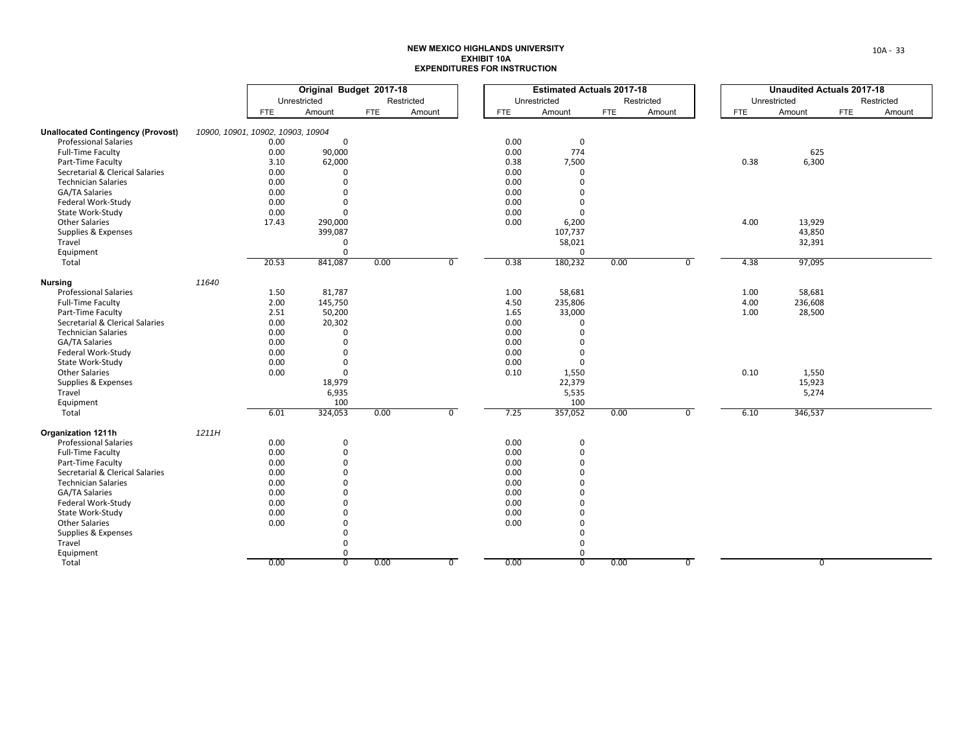|                                                      |       | Original Budget 2017-18           |              |            |                |              | <b>Estimated Actuals 2017-18</b> |            |            |                |            | <b>Unaudited Actuals 2017-18</b> |     |            |
|------------------------------------------------------|-------|-----------------------------------|--------------|------------|----------------|--------------|----------------------------------|------------|------------|----------------|------------|----------------------------------|-----|------------|
|                                                      |       |                                   | Unrestricted |            | Restricted     |              | Unrestricted                     |            | Restricted |                |            | Unrestricted                     |     | Restricted |
|                                                      |       | FTE                               | Amount       | <b>FTE</b> | Amount         | <b>FTE</b>   | Amount                           | <b>FTE</b> | Amount     |                | <b>FTE</b> | Amount                           | FTE |            |
| <b>Unallocated Contingency (Provost)</b>             |       | 10900, 10901, 10902, 10903, 10904 |              |            |                |              |                                  |            |            |                |            |                                  |     |            |
| <b>Professional Salaries</b>                         |       | 0.00                              | $\mathbf 0$  |            |                | 0.00         | 0                                |            |            |                |            |                                  |     |            |
| <b>Full-Time Faculty</b>                             |       | 0.00                              | 90,000       |            |                | 0.00         | 774                              |            |            |                |            | 625                              |     |            |
| Part-Time Faculty                                    |       | 3.10                              | 62,000       |            |                | 0.38         | 7,500                            |            |            |                | 0.38       | 6,300                            |     |            |
| Secretarial & Clerical Salaries                      |       | 0.00                              | $\mathbf 0$  |            |                | 0.00         | $\mathbf 0$                      |            |            |                |            |                                  |     |            |
| <b>Technician Salaries</b>                           |       | 0.00                              | $\mathbf 0$  |            |                | 0.00         | $\mathbf 0$                      |            |            |                |            |                                  |     |            |
| GA/TA Salaries                                       |       | 0.00                              | $\Omega$     |            |                | 0.00         | $\Omega$                         |            |            |                |            |                                  |     |            |
| Federal Work-Study                                   |       | 0.00                              | $\Omega$     |            |                | 0.00         | $\Omega$                         |            |            |                |            |                                  |     |            |
| State Work-Study                                     |       | 0.00                              | $\Omega$     |            |                | 0.00         | $\Omega$                         |            |            |                |            |                                  |     |            |
| <b>Other Salaries</b>                                |       | 17.43                             | 290,000      |            |                | 0.00         | 6,200                            |            |            |                | 4.00       | 13,929                           |     |            |
| Supplies & Expenses                                  |       |                                   | 399,087      |            |                |              | 107,737                          |            |            |                |            | 43,850                           |     |            |
| Travel                                               |       |                                   | $\mathbf{0}$ |            |                |              | 58,021                           |            |            |                |            | 32,391                           |     |            |
| Equipment                                            |       |                                   | $\Omega$     |            |                |              | $\Omega$                         |            |            |                |            |                                  |     |            |
| Total                                                |       | 20.53                             | 841,087      | 0.00       | $\overline{0}$ | 0.38         | 180,232                          | 0.00       |            | $\overline{0}$ | 4.38       | 97,095                           |     |            |
|                                                      | 11640 |                                   |              |            |                |              |                                  |            |            |                |            |                                  |     |            |
| <b>Nursing</b><br><b>Professional Salaries</b>       |       |                                   | 81,787       |            |                |              | 58,681                           |            |            |                | 1.00       | 58,681                           |     |            |
| <b>Full-Time Faculty</b>                             |       | 1.50<br>2.00                      | 145,750      |            |                | 1.00<br>4.50 | 235,806                          |            |            |                | 4.00       | 236,608                          |     |            |
|                                                      |       |                                   |              |            |                |              |                                  |            |            |                |            |                                  |     |            |
| Part-Time Faculty<br>Secretarial & Clerical Salaries |       | 2.51                              | 50,200       |            |                | 1.65<br>0.00 | 33,000<br>$\mathbf 0$            |            |            |                | 1.00       | 28,500                           |     |            |
|                                                      |       | 0.00                              | 20,302       |            |                |              |                                  |            |            |                |            |                                  |     |            |
| <b>Technician Salaries</b>                           |       | 0.00                              | $\Omega$     |            |                | 0.00         | $\Omega$<br>$\Omega$             |            |            |                |            |                                  |     |            |
| GA/TA Salaries                                       |       | 0.00                              | $\mathbf 0$  |            |                | 0.00         |                                  |            |            |                |            |                                  |     |            |
| Federal Work-Study                                   |       | 0.00                              | $\Omega$     |            |                | 0.00         | $\Omega$                         |            |            |                |            |                                  |     |            |
| State Work-Study                                     |       | 0.00                              | $\mathbf 0$  |            |                | 0.00         | $\mathbf 0$                      |            |            |                |            |                                  |     |            |
| <b>Other Salaries</b>                                |       | 0.00                              | $\mathbf 0$  |            |                | 0.10         | 1,550                            |            |            |                | 0.10       | 1,550                            |     |            |
| Supplies & Expenses                                  |       |                                   | 18,979       |            |                |              | 22,379                           |            |            |                |            | 15,923                           |     |            |
| Travel                                               |       |                                   | 6,935        |            |                |              | 5,535                            |            |            |                |            | 5,274                            |     |            |
| Equipment                                            |       |                                   | 100          |            |                |              | 100                              |            |            |                |            |                                  |     |            |
| Total                                                |       | 6.01                              | 324,053      | 0.00       | $\overline{0}$ | 7.25         | 357,052                          | 0.00       |            | $\overline{0}$ | 6.10       | 346,537                          |     |            |
| <b>Organization 1211h</b>                            | 1211H |                                   |              |            |                |              |                                  |            |            |                |            |                                  |     |            |
| <b>Professional Salaries</b>                         |       | 0.00                              | $\mathbf 0$  |            |                | 0.00         | 0                                |            |            |                |            |                                  |     |            |
| <b>Full-Time Faculty</b>                             |       | 0.00                              | $\mathbf 0$  |            |                | 0.00         | $\mathbf 0$                      |            |            |                |            |                                  |     |            |
| Part-Time Faculty                                    |       | 0.00                              | $\Omega$     |            |                | 0.00         | $\Omega$                         |            |            |                |            |                                  |     |            |
| Secretarial & Clerical Salaries                      |       | 0.00                              | $\Omega$     |            |                | 0.00         | $\Omega$                         |            |            |                |            |                                  |     |            |
| <b>Technician Salaries</b>                           |       | 0.00                              | $\Omega$     |            |                | 0.00         | $\Omega$                         |            |            |                |            |                                  |     |            |
| GA/TA Salaries                                       |       | 0.00                              | $\Omega$     |            |                | 0.00         | $\Omega$                         |            |            |                |            |                                  |     |            |
| Federal Work-Study                                   |       | 0.00                              | $\Omega$     |            |                | 0.00         | $\Omega$                         |            |            |                |            |                                  |     |            |
| State Work-Study                                     |       | 0.00                              | $\Omega$     |            |                | 0.00         | $\mathbf 0$                      |            |            |                |            |                                  |     |            |
| <b>Other Salaries</b>                                |       | 0.00                              | $\Omega$     |            |                | 0.00         | $\Omega$                         |            |            |                |            |                                  |     |            |
| Supplies & Expenses                                  |       |                                   | $\Omega$     |            |                |              | $\mathbf 0$                      |            |            |                |            |                                  |     |            |
| Travel                                               |       |                                   | $\mathbf 0$  |            |                |              | $\Omega$                         |            |            |                |            |                                  |     |            |
| Equipment                                            |       |                                   | 0            |            |                |              | $\mathbf 0$                      |            |            |                |            |                                  |     |            |
| Total                                                |       | 0.00                              | 0            | 0.00       | $\overline{0}$ | 0.00         | $\overline{0}$                   | 0.00       |            | $\overline{0}$ |            | 0                                |     |            |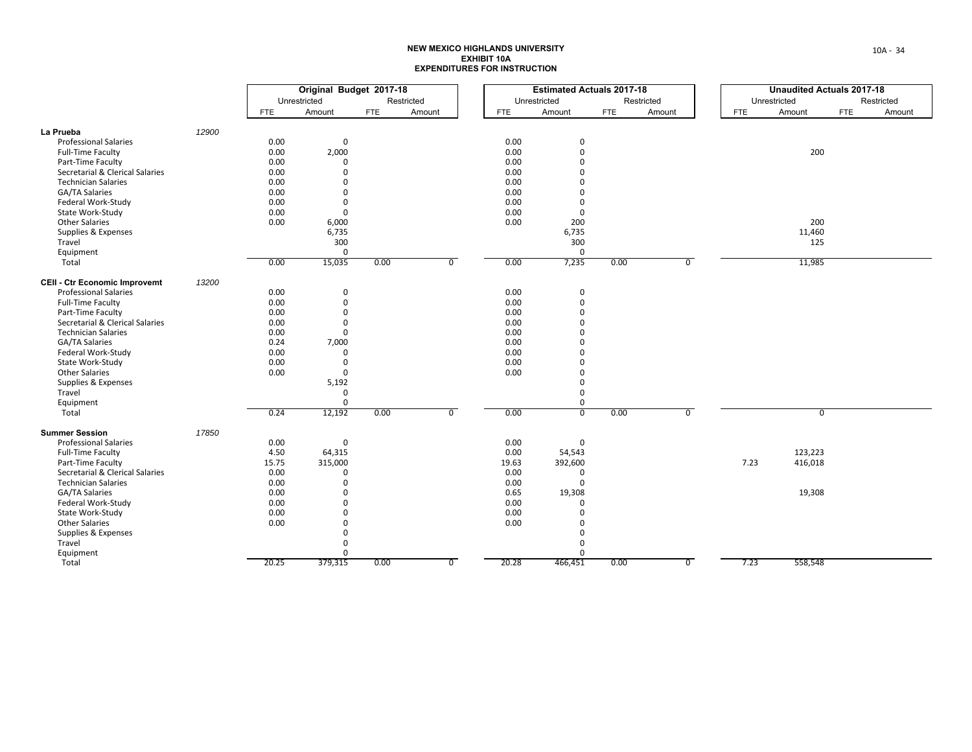|                                      |       | Original Budget 2017-18 |              |            |            |                |       | <b>Estimated Actuals 2017-18</b> |            |            |                |            | <b>Unaudited Actuals 2017-18</b> |     |            |
|--------------------------------------|-------|-------------------------|--------------|------------|------------|----------------|-------|----------------------------------|------------|------------|----------------|------------|----------------------------------|-----|------------|
|                                      |       |                         | Unrestricted |            | Restricted |                |       | Unrestricted                     |            | Restricted |                |            | Unrestricted                     |     | Restricted |
|                                      |       | <b>FTE</b>              | Amount       | <b>FTE</b> | Amount     |                | FTE   | Amount                           | <b>FTE</b> | Amount     |                | <b>FTE</b> | Amount                           | FTE | Amount     |
| La Prueba                            | 12900 |                         |              |            |            |                |       |                                  |            |            |                |            |                                  |     |            |
| <b>Professional Salaries</b>         |       | 0.00                    | $\mathbf 0$  |            |            |                | 0.00  | 0                                |            |            |                |            |                                  |     |            |
| <b>Full-Time Faculty</b>             |       | 0.00                    | 2,000        |            |            |                | 0.00  | $\mathbf 0$                      |            |            |                |            | 200                              |     |            |
| Part-Time Faculty                    |       | 0.00                    | $\Omega$     |            |            |                | 0.00  | $\Omega$                         |            |            |                |            |                                  |     |            |
| Secretarial & Clerical Salaries      |       | 0.00                    | $\Omega$     |            |            |                | 0.00  | $\Omega$                         |            |            |                |            |                                  |     |            |
| <b>Technician Salaries</b>           |       | 0.00                    | $\Omega$     |            |            |                | 0.00  | $\Omega$                         |            |            |                |            |                                  |     |            |
| GA/TA Salaries                       |       | 0.00                    | $\mathbf 0$  |            |            |                | 0.00  | $\Omega$                         |            |            |                |            |                                  |     |            |
| Federal Work-Study                   |       | 0.00                    | $\mathbf{0}$ |            |            |                | 0.00  | $\mathbf 0$                      |            |            |                |            |                                  |     |            |
| State Work-Study                     |       | 0.00                    | $\mathbf{0}$ |            |            |                | 0.00  | $\mathbf 0$                      |            |            |                |            |                                  |     |            |
| <b>Other Salaries</b>                |       | 0.00                    | 6,000        |            |            |                | 0.00  | 200                              |            |            |                |            | 200                              |     |            |
| Supplies & Expenses                  |       |                         | 6,735        |            |            |                |       | 6,735                            |            |            |                |            | 11,460                           |     |            |
| Travel                               |       |                         | 300          |            |            |                |       | 300                              |            |            |                |            | 125                              |     |            |
| Equipment                            |       |                         | $\Omega$     |            |            |                |       | $\mathbf 0$                      |            |            |                |            |                                  |     |            |
| Total                                |       | 0.00                    | 15,035       | 0.00       |            | $\overline{0}$ | 0.00  | 7,235                            | 0.00       |            | $\overline{0}$ |            | 11,985                           |     |            |
| <b>CEII - Ctr Economic Improvemt</b> | 13200 |                         |              |            |            |                |       |                                  |            |            |                |            |                                  |     |            |
| <b>Professional Salaries</b>         |       | 0.00                    | $\mathbf 0$  |            |            |                | 0.00  | 0                                |            |            |                |            |                                  |     |            |
| Full-Time Faculty                    |       | 0.00                    | $\mathsf 0$  |            |            |                | 0.00  | $\mathbf 0$                      |            |            |                |            |                                  |     |            |
| Part-Time Faculty                    |       | 0.00                    | $\Omega$     |            |            |                | 0.00  | $\Omega$                         |            |            |                |            |                                  |     |            |
| Secretarial & Clerical Salaries      |       | 0.00                    | $\Omega$     |            |            |                | 0.00  | $\Omega$                         |            |            |                |            |                                  |     |            |
| <b>Technician Salaries</b>           |       | 0.00                    | $\Omega$     |            |            |                | 0.00  | $\Omega$                         |            |            |                |            |                                  |     |            |
| GA/TA Salaries                       |       | 0.24                    | 7,000        |            |            |                | 0.00  | $\Omega$                         |            |            |                |            |                                  |     |            |
| Federal Work-Study                   |       | 0.00                    | $\mathbf{0}$ |            |            |                | 0.00  | $\Omega$                         |            |            |                |            |                                  |     |            |
| State Work-Study                     |       | 0.00                    | $\mathbf 0$  |            |            |                | 0.00  | $\mathbf 0$                      |            |            |                |            |                                  |     |            |
| <b>Other Salaries</b>                |       | 0.00                    | $\mathbf 0$  |            |            |                | 0.00  | $\mathbf 0$                      |            |            |                |            |                                  |     |            |
| Supplies & Expenses                  |       |                         | 5,192        |            |            |                |       | 0                                |            |            |                |            |                                  |     |            |
| Travel                               |       |                         | $\mathbf{0}$ |            |            |                |       | 0                                |            |            |                |            |                                  |     |            |
| Equipment                            |       |                         | $\mathbf 0$  |            |            |                |       | $\mathbf 0$                      |            |            |                |            |                                  |     |            |
| Total                                |       | 0.24                    | 12,192       | 0.00       |            | $\mathbf 0$    | 0.00  | $\overline{0}$                   | 0.00       |            | $\overline{0}$ |            | $\mathbf 0$                      |     |            |
| <b>Summer Session</b>                | 17850 |                         |              |            |            |                |       |                                  |            |            |                |            |                                  |     |            |
| <b>Professional Salaries</b>         |       | 0.00                    | $\mathbf 0$  |            |            |                | 0.00  | $\mathbf 0$                      |            |            |                |            |                                  |     |            |
| Full-Time Faculty                    |       | 4.50                    | 64,315       |            |            |                | 0.00  | 54,543                           |            |            |                |            | 123,223                          |     |            |
| Part-Time Faculty                    |       | 15.75                   | 315,000      |            |            |                | 19.63 | 392,600                          |            |            |                | 7.23       | 416,018                          |     |            |
| Secretarial & Clerical Salaries      |       | 0.00                    | $\Omega$     |            |            |                | 0.00  | $\mathbf{0}$                     |            |            |                |            |                                  |     |            |
| <b>Technician Salaries</b>           |       | 0.00                    | $\Omega$     |            |            |                | 0.00  | $\Omega$                         |            |            |                |            |                                  |     |            |
| GA/TA Salaries                       |       | 0.00                    | $\Omega$     |            |            |                | 0.65  | 19,308                           |            |            |                |            | 19,308                           |     |            |
| Federal Work-Study                   |       | 0.00                    | $\Omega$     |            |            |                | 0.00  | $\Omega$                         |            |            |                |            |                                  |     |            |
| State Work-Study                     |       | 0.00                    | $\mathbf 0$  |            |            |                | 0.00  | $\Omega$                         |            |            |                |            |                                  |     |            |
| <b>Other Salaries</b>                |       | 0.00                    | $\Omega$     |            |            |                | 0.00  | $\Omega$                         |            |            |                |            |                                  |     |            |
| Supplies & Expenses                  |       |                         | $\mathbf 0$  |            |            |                |       | $\mathbf 0$                      |            |            |                |            |                                  |     |            |
| Travel                               |       |                         | $\Omega$     |            |            |                |       | $\Omega$                         |            |            |                |            |                                  |     |            |
| Equipment                            |       |                         | $\mathbf 0$  |            |            |                |       | $\Omega$                         |            |            |                |            |                                  |     |            |
| Total                                |       | 20.25                   | 379,315      | 0.00       |            | $\overline{0}$ | 20.28 | 466,451                          | 0.00       |            | $\overline{0}$ | 7.23       | 558,548                          |     |            |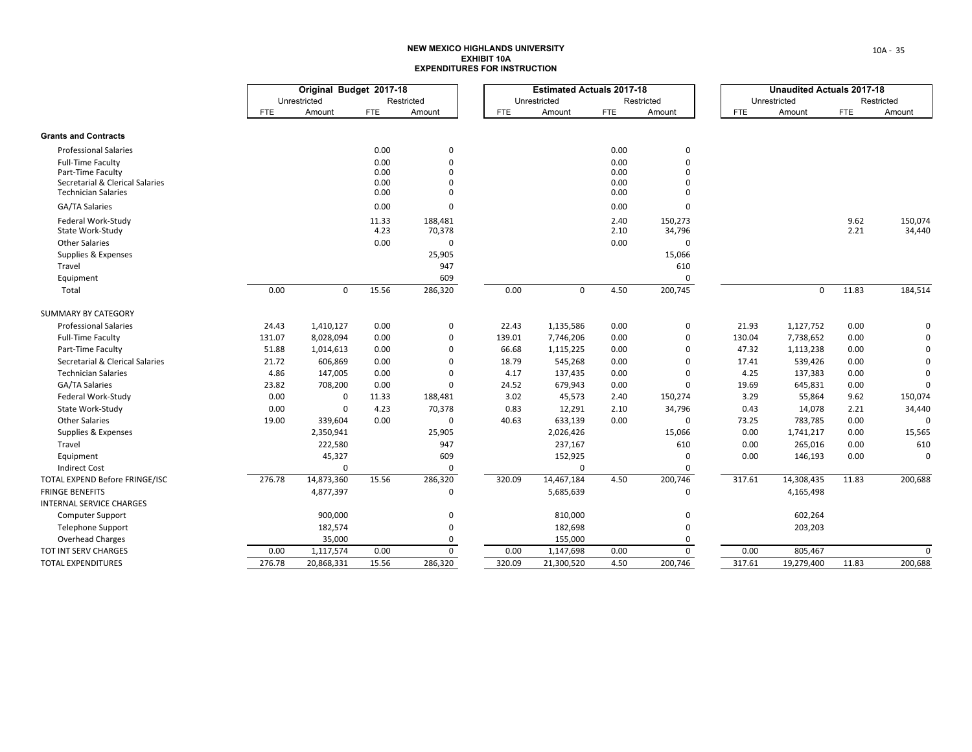|                                                               |            | Original Budget 2017-18 |              |                            | <b>Estimated Actuals 2017-18</b> |              |              |                      | <b>Unaudited Actuals 2017-18</b> |              |            |             |
|---------------------------------------------------------------|------------|-------------------------|--------------|----------------------------|----------------------------------|--------------|--------------|----------------------|----------------------------------|--------------|------------|-------------|
|                                                               |            | Unrestricted            |              | Restricted                 |                                  | Unrestricted |              | Restricted           |                                  | Unrestricted |            | Restricted  |
|                                                               | <b>FTE</b> | Amount                  | <b>FTE</b>   | Amount                     | <b>FTE</b>                       | Amount       | <b>FTE</b>   | Amount               | <b>FTE</b>                       | Amount       | <b>FTE</b> | Amount      |
| <b>Grants and Contracts</b>                                   |            |                         |              |                            |                                  |              |              |                      |                                  |              |            |             |
| <b>Professional Salaries</b>                                  |            |                         | 0.00         | 0                          |                                  |              | 0.00         | 0                    |                                  |              |            |             |
| Full-Time Faculty                                             |            |                         | 0.00         | $\mathbf 0$                |                                  |              | 0.00         | $\Omega$             |                                  |              |            |             |
| Part-Time Faculty                                             |            |                         | 0.00         | $\mathbf 0$<br>$\mathbf 0$ |                                  |              | 0.00         | $\Omega$<br>$\Omega$ |                                  |              |            |             |
| Secretarial & Clerical Salaries<br><b>Technician Salaries</b> |            |                         | 0.00<br>0.00 | 0                          |                                  |              | 0.00<br>0.00 | 0                    |                                  |              |            |             |
| GA/TA Salaries                                                |            |                         | 0.00         | $\Omega$                   |                                  |              | 0.00         | $\Omega$             |                                  |              |            |             |
| Federal Work-Study                                            |            |                         | 11.33        | 188,481                    |                                  |              | 2.40         | 150,273              |                                  |              | 9.62       | 150,074     |
| State Work-Study                                              |            |                         | 4.23         | 70,378                     |                                  |              | 2.10         | 34,796               |                                  |              | 2.21       | 34,440      |
| <b>Other Salaries</b>                                         |            |                         | 0.00         | $\Omega$                   |                                  |              | 0.00         | $\Omega$             |                                  |              |            |             |
| Supplies & Expenses                                           |            |                         |              | 25,905                     |                                  |              |              | 15,066               |                                  |              |            |             |
| Travel                                                        |            |                         |              | 947                        |                                  |              |              | 610                  |                                  |              |            |             |
| Equipment                                                     |            |                         |              | 609                        |                                  |              |              | $\mathbf 0$          |                                  |              |            |             |
| Total                                                         | 0.00       | $\mathbf 0$             | 15.56        | 286,320                    | 0.00                             | $\mathbf{0}$ | 4.50         | 200,745              |                                  | $\Omega$     | 11.83      | 184,514     |
| SUMMARY BY CATEGORY                                           |            |                         |              |                            |                                  |              |              |                      |                                  |              |            |             |
| <b>Professional Salaries</b>                                  | 24.43      | 1,410,127               | 0.00         | $\mathbf 0$                | 22.43                            | 1,135,586    | 0.00         | 0                    | 21.93                            | 1,127,752    | 0.00       |             |
| Full-Time Faculty                                             | 131.07     | 8,028,094               | 0.00         | $\mathbf 0$                | 139.01                           | 7,746,206    | 0.00         | 0                    | 130.04                           | 7,738,652    | 0.00       |             |
| Part-Time Faculty                                             | 51.88      | 1,014,613               | 0.00         | 0                          | 66.68                            | 1,115,225    | 0.00         | 0                    | 47.32                            | 1,113,238    | 0.00       |             |
| Secretarial & Clerical Salaries                               | 21.72      | 606,869                 | 0.00         | $\mathbf 0$                | 18.79                            | 545,268      | 0.00         | $\Omega$             | 17.41                            | 539,426      | 0.00       |             |
| <b>Technician Salaries</b>                                    | 4.86       | 147,005                 | 0.00         | $\mathbf 0$                | 4.17                             | 137,435      | 0.00         | $\mathbf 0$          | 4.25                             | 137,383      | 0.00       | $\Omega$    |
| <b>GA/TA Salaries</b>                                         | 23.82      | 708,200                 | 0.00         | $\mathbf 0$                | 24.52                            | 679,943      | 0.00         | $\Omega$             | 19.69                            | 645,831      | 0.00       | $\Omega$    |
| Federal Work-Study                                            | 0.00       | $\Omega$                | 11.33        | 188,481                    | 3.02                             | 45,573       | 2.40         | 150,274              | 3.29                             | 55,864       | 9.62       | 150,074     |
| State Work-Study                                              | 0.00       | <sup>0</sup>            | 4.23         | 70,378                     | 0.83                             | 12,291       | 2.10         | 34,796               | 0.43                             | 14,078       | 2.21       | 34,440      |
| <b>Other Salaries</b>                                         | 19.00      | 339,604                 | 0.00         | $\mathbf 0$                | 40.63                            | 633,139      | 0.00         | $\mathbf 0$          | 73.25                            | 783,785      | 0.00       | $\Omega$    |
| Supplies & Expenses                                           |            | 2,350,941               |              | 25,905                     |                                  | 2,026,426    |              | 15,066               | 0.00                             | 1,741,217    | 0.00       | 15,565      |
| Travel                                                        |            | 222,580                 |              | 947                        |                                  | 237,167      |              | 610                  | 0.00                             | 265,016      | 0.00       | 610         |
| Equipment                                                     |            | 45,327                  |              | 609                        |                                  | 152,925      |              | 0                    | 0.00                             | 146,193      | 0.00       | O           |
| <b>Indirect Cost</b>                                          |            | $\Omega$                |              | 0                          |                                  | $\Omega$     |              | 0                    |                                  |              |            |             |
| TOTAL EXPEND Before FRINGE/ISC                                | 276.78     | 14,873,360              | 15.56        | 286,320                    | 320.09                           | 14,467,184   | 4.50         | 200,746              | 317.61                           | 14,308,435   | 11.83      | 200,688     |
| <b>FRINGE BENEFITS</b>                                        |            | 4,877,397               |              | $\Omega$                   |                                  | 5,685,639    |              | $\mathbf 0$          |                                  | 4,165,498    |            |             |
| INTERNAL SERVICE CHARGES                                      |            |                         |              |                            |                                  |              |              |                      |                                  |              |            |             |
| Computer Support                                              |            | 900,000                 |              | $\mathbf 0$                |                                  | 810,000      |              | 0                    |                                  | 602,264      |            |             |
| <b>Telephone Support</b>                                      |            | 182,574                 |              | 0                          |                                  | 182,698      |              | 0                    |                                  | 203,203      |            |             |
| <b>Overhead Charges</b>                                       |            | 35,000                  |              | 0                          |                                  | 155,000      |              | 0                    |                                  |              |            |             |
| TOT INT SERV CHARGES                                          | 0.00       | 1,117,574               | 0.00         | $\mathsf 0$                | 0.00                             | 1,147,698    | 0.00         | $\mathbf 0$          | 0.00                             | 805,467      |            | $\mathbf 0$ |
| <b>TOTAL EXPENDITURES</b>                                     | 276.78     | 20,868,331              | 15.56        | 286,320                    | 320.09                           | 21,300,520   | 4.50         | 200,746              | 317.61                           | 19,279,400   | 11.83      | 200,688     |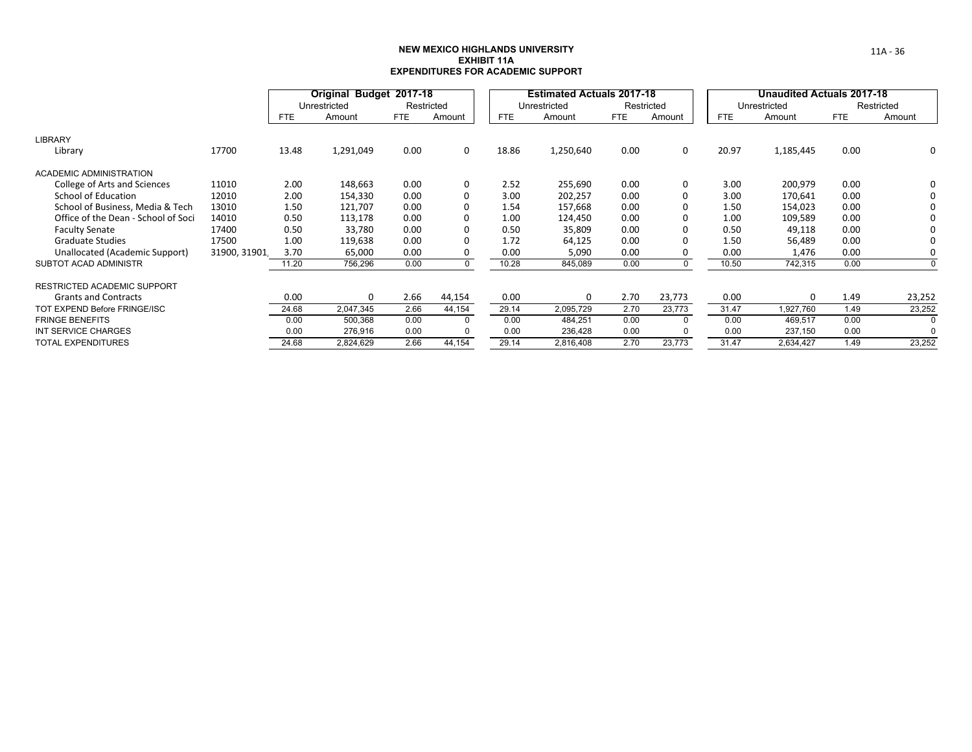## **NEW MEXICO HIGHLANDS UNIVERSITYEXHIBIT 11AEXPENDITURES FOR ACADEMIC SUPPORT**

|                                     |              |       | Original Budget 2017-18 |            |        |       | <b>Estimated Actuals 2017-18</b> |            |            |            | Unaudited Actuals 2017-18 |            |            |
|-------------------------------------|--------------|-------|-------------------------|------------|--------|-------|----------------------------------|------------|------------|------------|---------------------------|------------|------------|
|                                     |              |       | Unrestricted            | Restricted |        |       | Unrestricted                     |            | Restricted |            | Unrestricted              |            | Restricted |
|                                     |              | FTE   | Amount                  | FTE.       | Amount | FTE.  | Amount                           | <b>FTE</b> | Amount     | <b>FTE</b> | Amount                    | <b>FTE</b> | Amount     |
| <b>LIBRARY</b>                      |              |       |                         |            |        |       |                                  |            |            |            |                           |            |            |
| Library                             | 17700        | 13.48 | 1,291,049               | 0.00       | 0      | 18.86 | 1,250,640                        | 0.00       | 0          | 20.97      | 1,185,445                 | 0.00       | 0          |
| <b>ACADEMIC ADMINISTRATION</b>      |              |       |                         |            |        |       |                                  |            |            |            |                           |            |            |
| College of Arts and Sciences        | 11010        | 2.00  | 148,663                 | 0.00       | 0      | 2.52  | 255,690                          | 0.00       | 0          | 3.00       | 200,979                   | 0.00       | 0          |
| School of Education                 | 12010        | 2.00  | 154,330                 | 0.00       |        | 3.00  | 202,257                          | 0.00       |            | 3.00       | 170,641                   | 0.00       | 0          |
| School of Business, Media & Tech    | 13010        | 1.50  | 121,707                 | 0.00       |        | 1.54  | 157,668                          | 0.00       |            | 1.50       | 154,023                   | 0.00       | 0          |
| Office of the Dean - School of Soci | 14010        | 0.50  | 113,178                 | 0.00       |        | 1.00  | 124,450                          | 0.00       |            | 1.00       | 109,589                   | 0.00       | 0          |
| <b>Faculty Senate</b>               | 17400        | 0.50  | 33,780                  | 0.00       | 0      | 0.50  | 35,809                           | 0.00       |            | 0.50       | 49,118                    | 0.00       | $\Omega$   |
| <b>Graduate Studies</b>             | 17500        | 1.00  | 119,638                 | 0.00       |        | 1.72  | 64,125                           | 0.00       |            | 1.50       | 56,489                    | 0.00       | 0          |
| Unallocated (Academic Support)      | 31900, 31901 | 3.70  | 65,000                  | 0.00       |        | 0.00  | 5,090                            | 0.00       |            | 0.00       | 1,476                     | 0.00       | $\Omega$   |
| <b>SUBTOT ACAD ADMINISTR</b>        |              | 11.20 | 756,296                 | 0.00       |        | 10.28 | 845,089                          | 0.00       | 0          | 10.50      | 742,315                   | 0.00       | $\Omega$   |
| <b>RESTRICTED ACADEMIC SUPPORT</b>  |              |       |                         |            |        |       |                                  |            |            |            |                           |            |            |
| <b>Grants and Contracts</b>         |              | 0.00  | 0                       | 2.66       | 44,154 | 0.00  | 0                                | 2.70       | 23,773     | 0.00       | $\Omega$                  | 1.49       | 23,252     |
| TOT EXPEND Before FRINGE/ISC        |              | 24.68 | 2,047,345               | 2.66       | 44,154 | 29.14 | 2,095,729                        | 2.70       | 23,773     | 31.47      | 1,927,760                 | 1.49       | 23,252     |
| <b>FRINGE BENEFITS</b>              |              | 0.00  | 500,368                 | 0.00       |        | 0.00  | 484,251                          | 0.00       | $\Omega$   | 0.00       | 469,517                   | 0.00       |            |
| INT SERVICE CHARGES                 |              | 0.00  | 276,916                 | 0.00       |        | 0.00  | 236,428                          | 0.00       | O          | 0.00       | 237,150                   | 0.00       |            |
| <b>TOTAL EXPENDITURES</b>           |              | 24.68 | 2,824,629               | 2.66       | 44,154 | 29.14 | 2,816,408                        | 2.70       | 23,773     | 31.47      | 2,634,427                 | 1.49       | 23,252     |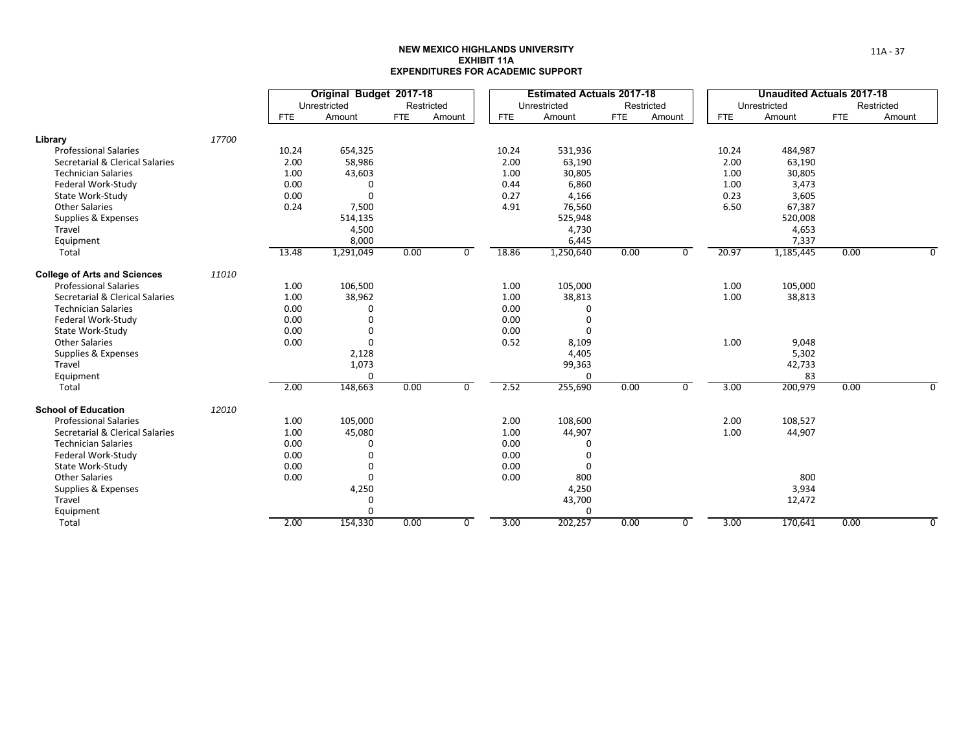|                                     |       |            | Original Budget 2017-18 |            |                |            | <b>Estimated Actuals 2017-18</b> |            |                |            | <b>Unaudited Actuals 2017-18</b> |            |            |
|-------------------------------------|-------|------------|-------------------------|------------|----------------|------------|----------------------------------|------------|----------------|------------|----------------------------------|------------|------------|
|                                     |       |            | Unrestricted            |            | Restricted     |            | Unrestricted                     |            | Restricted     |            | Unrestricted                     |            | Restricted |
|                                     |       | <b>FTE</b> | Amount                  | <b>FTE</b> | Amount         | <b>FTE</b> | Amount                           | <b>FTE</b> | Amount         | <b>FTE</b> | Amount                           | <b>FTE</b> | Amount     |
| Library                             | 17700 |            |                         |            |                |            |                                  |            |                |            |                                  |            |            |
| <b>Professional Salaries</b>        |       | 10.24      | 654,325                 |            |                | 10.24      | 531,936                          |            |                | 10.24      | 484,987                          |            |            |
| Secretarial & Clerical Salaries     |       | 2.00       | 58,986                  |            |                | 2.00       | 63,190                           |            |                | 2.00       | 63,190                           |            |            |
| <b>Technician Salaries</b>          |       | 1.00       | 43,603                  |            |                | 1.00       | 30,805                           |            |                | 1.00       | 30,805                           |            |            |
| Federal Work-Study                  |       | 0.00       | 0                       |            |                | 0.44       | 6,860                            |            |                | 1.00       | 3,473                            |            |            |
| State Work-Study                    |       | 0.00       | $\Omega$                |            |                | 0.27       | 4,166                            |            |                | 0.23       | 3,605                            |            |            |
| <b>Other Salaries</b>               |       | 0.24       | 7,500                   |            |                | 4.91       | 76,560                           |            |                | 6.50       | 67,387                           |            |            |
| Supplies & Expenses                 |       |            | 514,135                 |            |                |            | 525,948                          |            |                |            | 520,008                          |            |            |
| Travel                              |       |            | 4,500                   |            |                |            | 4,730                            |            |                |            | 4,653                            |            |            |
| Equipment                           |       |            | 8,000                   |            |                |            | 6,445                            |            |                |            | 7,337                            |            |            |
| Total                               |       | 13.48      | 1,291,049               | 0.00       | $\overline{0}$ | 18.86      | 1,250,640                        | 0.00       | $\overline{0}$ | 20.97      | 1,185,445                        | 0.00       |            |
| <b>College of Arts and Sciences</b> | 11010 |            |                         |            |                |            |                                  |            |                |            |                                  |            |            |
| <b>Professional Salaries</b>        |       | 1.00       | 106,500                 |            |                | 1.00       | 105,000                          |            |                | 1.00       | 105,000                          |            |            |
| Secretarial & Clerical Salaries     |       | 1.00       | 38,962                  |            |                | 1.00       | 38,813                           |            |                | 1.00       | 38,813                           |            |            |
| <b>Technician Salaries</b>          |       | 0.00       | 0                       |            |                | 0.00       | 0                                |            |                |            |                                  |            |            |
| Federal Work-Study                  |       | 0.00       | $\Omega$                |            |                | 0.00       | $\Omega$                         |            |                |            |                                  |            |            |
| State Work-Study                    |       | 0.00       | $\Omega$                |            |                | 0.00       | $\Omega$                         |            |                |            |                                  |            |            |
| <b>Other Salaries</b>               |       | 0.00       | $\Omega$                |            |                | 0.52       | 8,109                            |            |                | 1.00       | 9,048                            |            |            |
| Supplies & Expenses                 |       |            | 2,128                   |            |                |            | 4,405                            |            |                |            | 5,302                            |            |            |
| Travel                              |       |            | 1,073                   |            |                |            | 99,363                           |            |                |            | 42,733                           |            |            |
| Equipment                           |       |            | $\Omega$                |            |                |            | $\Omega$                         |            |                |            | 83                               |            |            |
| Total                               |       | 2.00       | 148,663                 | 0.00       | $\mathbf 0$    | 2.52       | 255,690                          | 0.00       | 0              | 3.00       | 200,979                          | 0.00       |            |
| <b>School of Education</b>          | 12010 |            |                         |            |                |            |                                  |            |                |            |                                  |            |            |
| <b>Professional Salaries</b>        |       | 1.00       | 105,000                 |            |                | 2.00       | 108,600                          |            |                | 2.00       | 108,527                          |            |            |
| Secretarial & Clerical Salaries     |       | 1.00       | 45,080                  |            |                | 1.00       | 44,907                           |            |                | 1.00       | 44,907                           |            |            |
| <b>Technician Salaries</b>          |       | 0.00       | 0                       |            |                | 0.00       | $\Omega$                         |            |                |            |                                  |            |            |
| Federal Work-Study                  |       | 0.00       | 0                       |            |                | 0.00       | $\Omega$                         |            |                |            |                                  |            |            |
| State Work-Study                    |       | 0.00       | 0                       |            |                | 0.00       | $\mathbf 0$                      |            |                |            |                                  |            |            |
| <b>Other Salaries</b>               |       | 0.00       | 0                       |            |                | 0.00       | 800                              |            |                |            | 800                              |            |            |
| Supplies & Expenses                 |       |            | 4,250                   |            |                |            | 4,250                            |            |                |            | 3,934                            |            |            |
| Travel                              |       |            | 0                       |            |                |            | 43,700                           |            |                |            | 12,472                           |            |            |
| Equipment                           |       |            | 0                       |            |                |            | $\mathbf 0$                      |            |                |            |                                  |            |            |
| Total                               |       | 2.00       | 154,330                 | 0.00       | $\overline{0}$ | 3.00       | 202,257                          | 0.00       | 0              | 3.00       | 170,641                          | 0.00       | U          |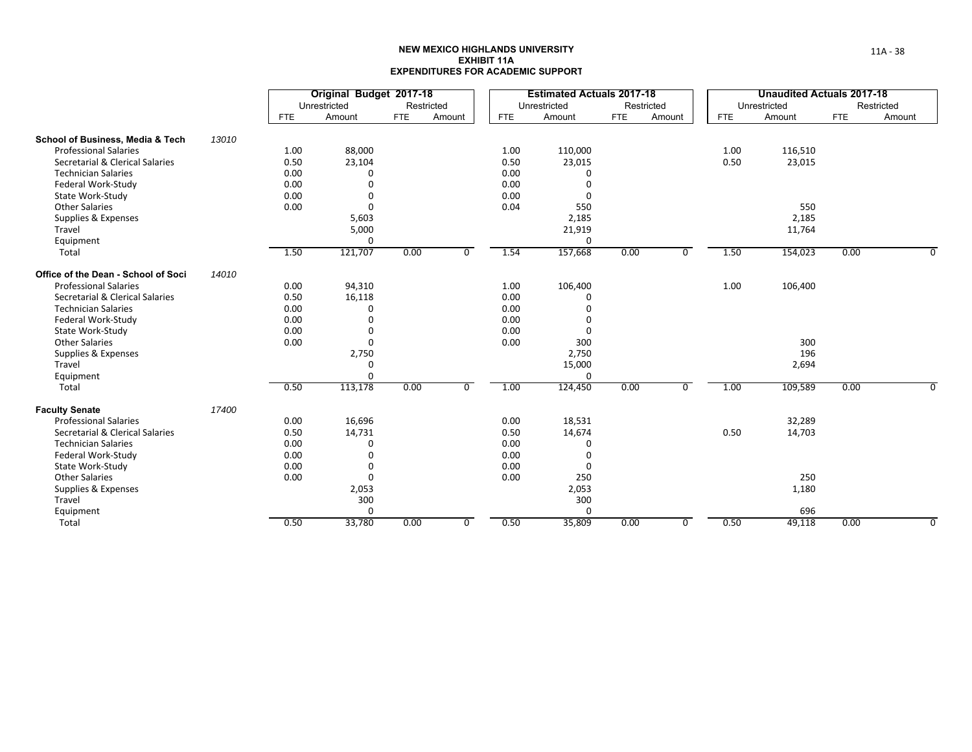|                                     |       |            | Original Budget 2017-18 |            |                |            | <b>Estimated Actuals 2017-18</b> |            |                |            | <b>Unaudited Actuals 2017-18</b> |            |            |
|-------------------------------------|-------|------------|-------------------------|------------|----------------|------------|----------------------------------|------------|----------------|------------|----------------------------------|------------|------------|
|                                     |       |            | Unrestricted            |            | Restricted     |            | Unrestricted                     |            | Restricted     |            | Unrestricted                     |            | Restricted |
|                                     |       | <b>FTE</b> | Amount                  | <b>FTE</b> | Amount         | <b>FTE</b> | Amount                           | <b>FTE</b> | Amount         | <b>FTE</b> | Amount                           | <b>FTE</b> | Amount     |
| School of Business, Media & Tech    | 13010 |            |                         |            |                |            |                                  |            |                |            |                                  |            |            |
| <b>Professional Salaries</b>        |       | 1.00       | 88,000                  |            |                | 1.00       | 110,000                          |            |                | 1.00       | 116,510                          |            |            |
| Secretarial & Clerical Salaries     |       | 0.50       | 23,104                  |            |                | 0.50       | 23,015                           |            |                | 0.50       | 23,015                           |            |            |
| <b>Technician Salaries</b>          |       | 0.00       | 0                       |            |                | 0.00       | 0                                |            |                |            |                                  |            |            |
| Federal Work-Study                  |       | 0.00       | 0                       |            |                | 0.00       | $\Omega$                         |            |                |            |                                  |            |            |
| State Work-Study                    |       | 0.00       | 0                       |            |                | 0.00       | 0                                |            |                |            |                                  |            |            |
| <b>Other Salaries</b>               |       | 0.00       | 0                       |            |                | 0.04       | 550                              |            |                |            | 550                              |            |            |
| Supplies & Expenses                 |       |            | 5,603                   |            |                |            | 2,185                            |            |                |            | 2,185                            |            |            |
| Travel                              |       |            | 5,000                   |            |                |            | 21,919                           |            |                |            | 11,764                           |            |            |
| Equipment                           |       |            | 0                       |            |                |            | 0                                |            |                |            |                                  |            |            |
| Total                               |       | 1.50       | 121,707                 | 0.00       | $\overline{0}$ | 1.54       | 157,668                          | 0.00       | $\overline{0}$ | 1.50       | 154,023                          | 0.00       |            |
| Office of the Dean - School of Soci | 14010 |            |                         |            |                |            |                                  |            |                |            |                                  |            |            |
| <b>Professional Salaries</b>        |       | 0.00       | 94,310                  |            |                | 1.00       | 106,400                          |            |                | 1.00       | 106,400                          |            |            |
| Secretarial & Clerical Salaries     |       | 0.50       | 16,118                  |            |                | 0.00       | 0                                |            |                |            |                                  |            |            |
| <b>Technician Salaries</b>          |       | 0.00       | $\Omega$                |            |                | 0.00       | 0                                |            |                |            |                                  |            |            |
| Federal Work-Study                  |       | 0.00       | $\Omega$                |            |                | 0.00       | $\Omega$                         |            |                |            |                                  |            |            |
| State Work-Study                    |       | 0.00       | 0                       |            |                | 0.00       | $\Omega$                         |            |                |            |                                  |            |            |
| <b>Other Salaries</b>               |       | 0.00       | $\Omega$                |            |                | 0.00       | 300                              |            |                |            | 300                              |            |            |
| Supplies & Expenses                 |       |            | 2,750                   |            |                |            | 2,750                            |            |                |            | 196                              |            |            |
| Travel                              |       |            | 0                       |            |                |            | 15,000                           |            |                |            | 2,694                            |            |            |
| Equipment                           |       |            | 0                       |            |                |            | 0                                |            |                |            |                                  |            |            |
| Total                               |       | 0.50       | 113,178                 | 0.00       | 0              | 1.00       | 124,450                          | 0.00       | 0              | 1.00       | 109,589                          | 0.00       |            |
| <b>Faculty Senate</b>               | 17400 |            |                         |            |                |            |                                  |            |                |            |                                  |            |            |
| <b>Professional Salaries</b>        |       | 0.00       | 16,696                  |            |                | 0.00       | 18,531                           |            |                |            | 32,289                           |            |            |
| Secretarial & Clerical Salaries     |       | 0.50       | 14,731                  |            |                | 0.50       | 14,674                           |            |                | 0.50       | 14,703                           |            |            |
| <b>Technician Salaries</b>          |       | 0.00       | 0                       |            |                | 0.00       | 0                                |            |                |            |                                  |            |            |
| Federal Work-Study                  |       | 0.00       | 0                       |            |                | 0.00       | 0                                |            |                |            |                                  |            |            |
| State Work-Study                    |       | 0.00       | 0                       |            |                | 0.00       | 0                                |            |                |            |                                  |            |            |
| <b>Other Salaries</b>               |       | 0.00       | 0                       |            |                | 0.00       | 250                              |            |                |            | 250                              |            |            |
| Supplies & Expenses                 |       |            | 2,053                   |            |                |            | 2,053                            |            |                |            | 1,180                            |            |            |
| Travel                              |       |            | 300                     |            |                |            | 300                              |            |                |            |                                  |            |            |
| Equipment                           |       |            | 0                       |            |                |            | 0                                |            |                |            | 696                              |            |            |
| Total                               |       | 0.50       | 33,780                  | 0.00       | $\overline{0}$ | 0.50       | 35,809                           | 0.00       | 0              | 0.50       | 49,118                           | 0.00       | n          |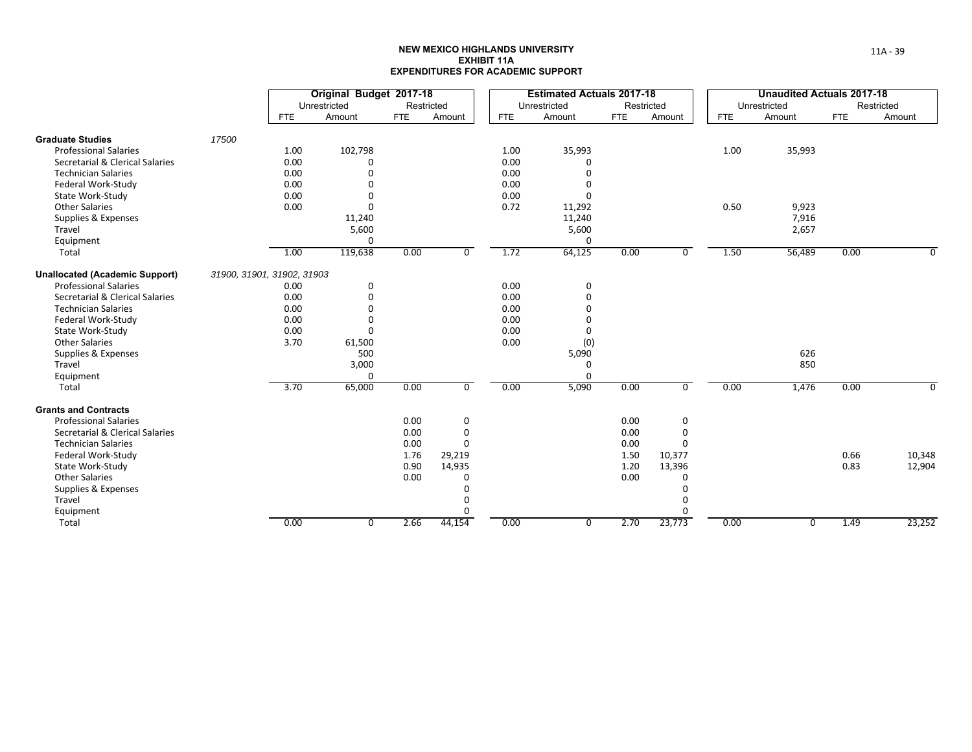|                                       |                            |            | Original Budget 2017-18 |            |                |            | <b>Estimated Actuals 2017-18</b> |            |                |            | <b>Unaudited Actuals 2017-18</b> |            |            |
|---------------------------------------|----------------------------|------------|-------------------------|------------|----------------|------------|----------------------------------|------------|----------------|------------|----------------------------------|------------|------------|
|                                       |                            |            | Unrestricted            | Restricted |                |            | Unrestricted                     | Restricted |                |            | Unrestricted                     |            | Restricted |
|                                       |                            | <b>FTE</b> | Amount                  | <b>FTE</b> | Amount         | <b>FTE</b> | Amount                           | <b>FTE</b> | Amount         | <b>FTE</b> | Amount                           | <b>FTE</b> | Amount     |
| <b>Graduate Studies</b>               | 17500                      |            |                         |            |                |            |                                  |            |                |            |                                  |            |            |
| <b>Professional Salaries</b>          |                            | 1.00       | 102,798                 |            |                | 1.00       | 35,993                           |            |                | 1.00       | 35,993                           |            |            |
| Secretarial & Clerical Salaries       |                            | 0.00       | 0                       |            |                | 0.00       | $\Omega$                         |            |                |            |                                  |            |            |
| <b>Technician Salaries</b>            |                            | 0.00       | 0                       |            |                | 0.00       | $\Omega$                         |            |                |            |                                  |            |            |
| Federal Work-Study                    |                            | 0.00       | 0                       |            |                | 0.00       | $\mathbf 0$                      |            |                |            |                                  |            |            |
| State Work-Study                      |                            | 0.00       | $\Omega$                |            |                | 0.00       | $\Omega$                         |            |                |            |                                  |            |            |
| <b>Other Salaries</b>                 |                            | 0.00       | $\Omega$                |            |                | 0.72       | 11,292                           |            |                | 0.50       | 9,923                            |            |            |
| Supplies & Expenses                   |                            |            | 11,240                  |            |                |            | 11,240                           |            |                |            | 7,916                            |            |            |
| Travel                                |                            |            | 5,600                   |            |                |            | 5,600                            |            |                |            | 2,657                            |            |            |
| Equipment                             |                            |            | 0                       |            |                |            | 0                                |            |                |            |                                  |            |            |
| Total                                 |                            | 1.00       | 119,638                 | 0.00       | $\overline{0}$ | 1.72       | 64,125                           | 0.00       | $\overline{0}$ | 1.50       | 56,489                           | 0.00       |            |
| <b>Unallocated (Academic Support)</b> | 31900, 31901, 31902, 31903 |            |                         |            |                |            |                                  |            |                |            |                                  |            |            |
| <b>Professional Salaries</b>          |                            | 0.00       | 0                       |            |                | 0.00       | 0                                |            |                |            |                                  |            |            |
| Secretarial & Clerical Salaries       |                            | 0.00       | 0                       |            |                | 0.00       | 0                                |            |                |            |                                  |            |            |
| <b>Technician Salaries</b>            |                            | 0.00       | O                       |            |                | 0.00       | $\Omega$                         |            |                |            |                                  |            |            |
| Federal Work-Study                    |                            | 0.00       | O                       |            |                | 0.00       | $\Omega$                         |            |                |            |                                  |            |            |
| State Work-Study                      |                            | 0.00       | U                       |            |                | 0.00       | $\Omega$                         |            |                |            |                                  |            |            |
| <b>Other Salaries</b>                 |                            | 3.70       | 61,500                  |            |                | 0.00       | (0)                              |            |                |            |                                  |            |            |
| Supplies & Expenses                   |                            |            | 500                     |            |                |            | 5,090                            |            |                |            | 626                              |            |            |
| Travel                                |                            |            | 3,000                   |            |                |            | 0                                |            |                |            | 850                              |            |            |
| Equipment                             |                            |            | $\Omega$                |            |                |            | $\Omega$                         |            |                |            |                                  |            |            |
| Total                                 |                            | 3.70       | 65,000                  | 0.00       | $\mathbf 0$    | 0.00       | 5,090                            | 0.00       | $\mathbf 0$    | 0.00       | 1,476                            | 0.00       | 0          |
| <b>Grants and Contracts</b>           |                            |            |                         |            |                |            |                                  |            |                |            |                                  |            |            |
| <b>Professional Salaries</b>          |                            |            |                         | 0.00       | 0              |            |                                  | 0.00       | 0              |            |                                  |            |            |
| Secretarial & Clerical Salaries       |                            |            |                         | 0.00       | $\mathbf 0$    |            |                                  | 0.00       | 0              |            |                                  |            |            |
| <b>Technician Salaries</b>            |                            |            |                         | 0.00       | $\Omega$       |            |                                  | 0.00       | $\Omega$       |            |                                  |            |            |
| Federal Work-Study                    |                            |            |                         | 1.76       | 29,219         |            |                                  | 1.50       | 10,377         |            |                                  | 0.66       | 10,348     |
| State Work-Study                      |                            |            |                         | 0.90       | 14,935         |            |                                  | 1.20       | 13,396         |            |                                  | 0.83       | 12,904     |
| <b>Other Salaries</b>                 |                            |            |                         | 0.00       | 0              |            |                                  | 0.00       | 0              |            |                                  |            |            |
| Supplies & Expenses                   |                            |            |                         |            | $\Omega$       |            |                                  |            | 0              |            |                                  |            |            |
| Travel                                |                            |            |                         |            | 0              |            |                                  |            | 0              |            |                                  |            |            |
| Equipment                             |                            |            |                         |            | $\Omega$       |            |                                  |            | $\Omega$       |            |                                  |            |            |
| Total                                 |                            | 0.00       | 0                       | 2.66       | 44,154         | 0.00       | $\overline{0}$                   | 2.70       | 23,773         | 0.00       | 0                                | 1.49       | 23,252     |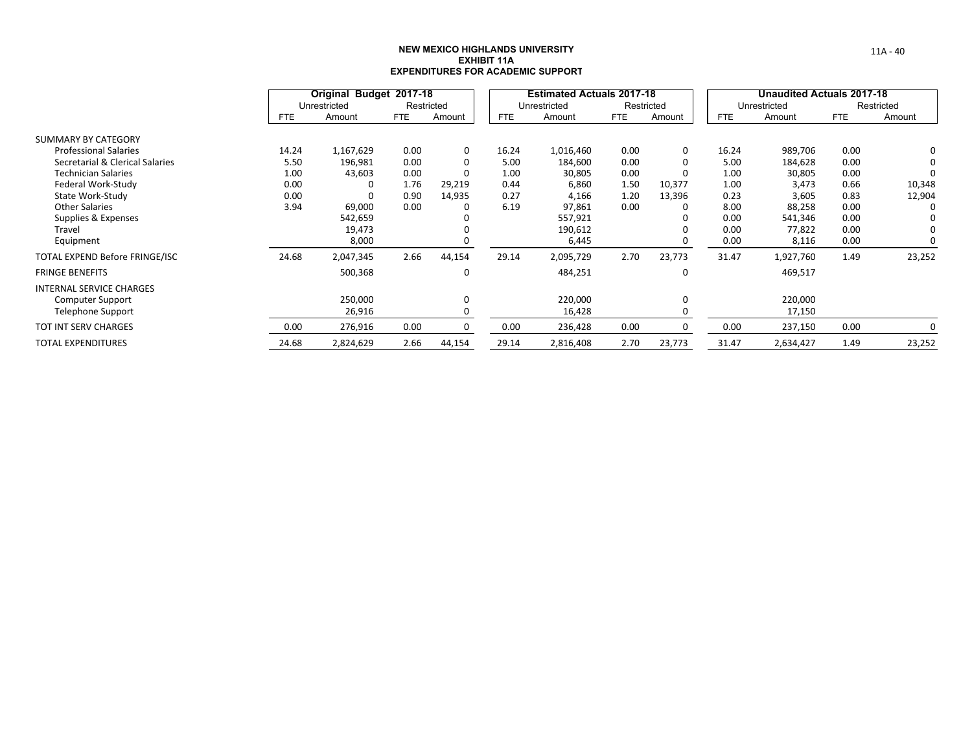|                                 |            | Original Budget 2017-18 |            |            |            | <b>Estimated Actuals 2017-18</b> |            |            |            | Unaudited Actuals 2017-18 |            |            |
|---------------------------------|------------|-------------------------|------------|------------|------------|----------------------------------|------------|------------|------------|---------------------------|------------|------------|
|                                 |            | Unrestricted            |            | Restricted |            | Unrestricted                     |            | Restricted |            | Unrestricted              |            | Restricted |
|                                 | <b>FTE</b> | Amount                  | <b>FTE</b> | Amount     | <b>FTE</b> | Amount                           | <b>FTE</b> | Amount     | <b>FTE</b> | Amount                    | <b>FTE</b> | Amount     |
| <b>SUMMARY BY CATEGORY</b>      |            |                         |            |            |            |                                  |            |            |            |                           |            |            |
| <b>Professional Salaries</b>    | 14.24      | 1,167,629               | 0.00       | $\Omega$   | 16.24      | 1,016,460                        | 0.00       | 0          | 16.24      | 989,706                   | 0.00       |            |
| Secretarial & Clerical Salaries | 5.50       | 196,981                 | 0.00       |            | 5.00       | 184,600                          | 0.00       | 0          | 5.00       | 184,628                   | 0.00       |            |
| <b>Technician Salaries</b>      | 1.00       | 43,603                  | 0.00       |            | 1.00       | 30,805                           | 0.00       | 0          | 1.00       | 30,805                    | 0.00       |            |
| Federal Work-Study              | 0.00       |                         | 1.76       | 29,219     | 0.44       | 6,860                            | 1.50       | 10,377     | 1.00       | 3,473                     | 0.66       | 10,348     |
| State Work-Study                | 0.00       |                         | 0.90       | 14,935     | 0.27       | 4,166                            | 1.20       | 13,396     | 0.23       | 3,605                     | 0.83       | 12,904     |
| <b>Other Salaries</b>           | 3.94       | 69,000                  | 0.00       |            | 6.19       | 97,861                           | 0.00       |            | 8.00       | 88,258                    | 0.00       |            |
| Supplies & Expenses             |            | 542,659                 |            |            |            | 557,921                          |            |            | 0.00       | 541,346                   | 0.00       |            |
| Travel                          |            | 19,473                  |            |            |            | 190,612                          |            |            | 0.00       | 77,822                    | 0.00       |            |
| Equipment                       |            | 8,000                   |            |            |            | 6,445                            |            | 0          | 0.00       | 8,116                     | 0.00       |            |
| TOTAL EXPEND Before FRINGE/ISC  | 24.68      | 2,047,345               | 2.66       | 44,154     | 29.14      | 2,095,729                        | 2.70       | 23,773     | 31.47      | 1,927,760                 | 1.49       | 23,252     |
| <b>FRINGE BENEFITS</b>          |            | 500,368                 |            | $\Omega$   |            | 484,251                          |            | 0          |            | 469,517                   |            |            |
| <b>INTERNAL SERVICE CHARGES</b> |            |                         |            |            |            |                                  |            |            |            |                           |            |            |
| <b>Computer Support</b>         |            | 250,000                 |            | $\Omega$   |            | 220,000                          |            | 0          |            | 220,000                   |            |            |
| Telephone Support               |            | 26,916                  |            |            |            | 16,428                           |            | 0          |            | 17,150                    |            |            |
| <b>TOT INT SERV CHARGES</b>     | 0.00       | 276,916                 | 0.00       |            | 0.00       | 236,428                          | 0.00       | 0          | 0.00       | 237,150                   | 0.00       |            |
| <b>TOTAL EXPENDITURES</b>       | 24.68      | 2,824,629               | 2.66       | 44,154     | 29.14      | 2,816,408                        | 2.70       | 23,773     | 31.47      | 2,634,427                 | 1.49       | 23,252     |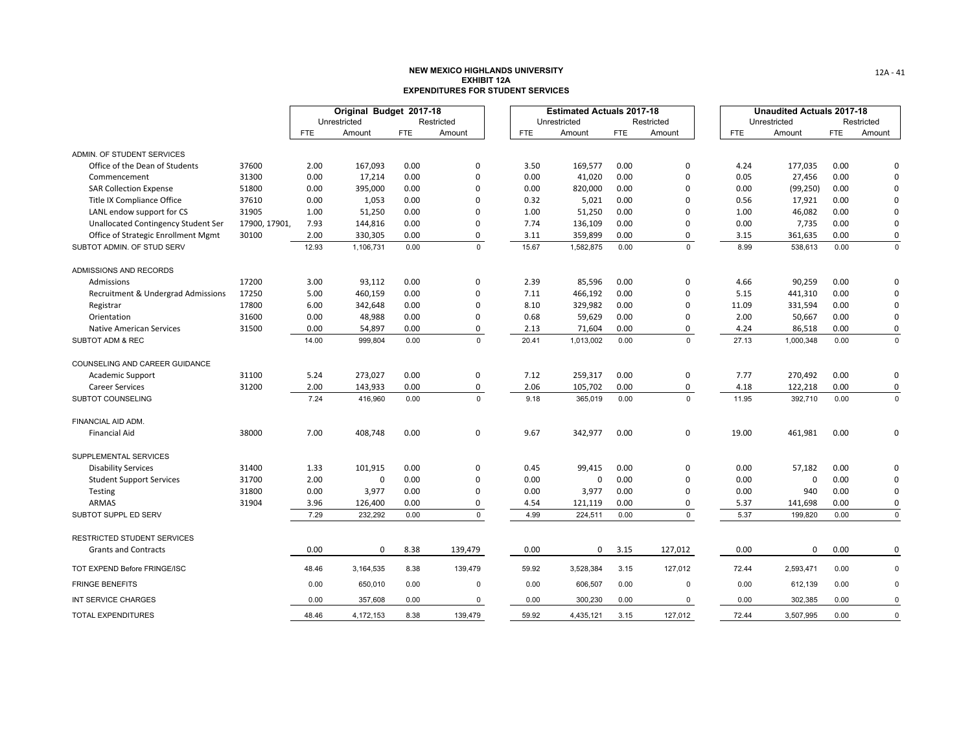|                                                              |              |            | Original Budget 2017-18 |            |             |            |       | <b>Estimated Actuals 2017-18</b> |            |             |            | <b>Unaudited Actuals 2017-18</b> |            |             |
|--------------------------------------------------------------|--------------|------------|-------------------------|------------|-------------|------------|-------|----------------------------------|------------|-------------|------------|----------------------------------|------------|-------------|
|                                                              |              |            | Unrestricted            |            | Restricted  |            |       | Unrestricted                     |            | Restricted  |            | Unrestricted                     |            | Restricted  |
|                                                              |              | <b>FTE</b> | Amount                  | <b>FTE</b> | Amount      | <b>FTE</b> |       | Amount                           | <b>FTE</b> | Amount      | <b>FTE</b> | Amount                           | <b>FTE</b> | Amount      |
|                                                              |              |            |                         |            |             |            |       |                                  |            |             |            |                                  |            |             |
| ADMIN. OF STUDENT SERVICES<br>Office of the Dean of Students | 37600        | 2.00       | 167,093                 | 0.00       | $\mathbf 0$ |            | 3.50  | 169,577                          | 0.00       | 0           | 4.24       | 177,035                          | 0.00       | $\Omega$    |
| Commencement                                                 | 31300        | 0.00       | 17,214                  | 0.00       | $\mathbf 0$ |            | 0.00  | 41,020                           | 0.00       | $\mathbf 0$ | 0.05       | 27,456                           | 0.00       | $\mathbf 0$ |
| <b>SAR Collection Expense</b>                                | 51800        | 0.00       | 395,000                 | 0.00       | $\Omega$    |            | 0.00  | 820,000                          | 0.00       | $\Omega$    | 0.00       | (99, 250)                        | 0.00       | $\mathbf 0$ |
| Title IX Compliance Office                                   | 37610        | 0.00       | 1,053                   | 0.00       | 0           |            | 0.32  | 5,021                            | 0.00       | $\Omega$    | 0.56       | 17,921                           | 0.00       | $\mathbf 0$ |
| LANL endow support for CS                                    | 31905        | 1.00       | 51,250                  | 0.00       | $\Omega$    |            | 1.00  | 51,250                           | 0.00       | 0           | 1.00       | 46,082                           | 0.00       | $\mathbf 0$ |
| <b>Unallocated Contingency Student Ser</b>                   | 17900, 17901 | 7.93       | 144,816                 | 0.00       | $\Omega$    |            | 7.74  | 136,109                          | 0.00       | $\mathbf 0$ | 0.00       | 7,735                            | 0.00       | $\mathbf 0$ |
| Office of Strategic Enrollment Mgmt                          | 30100        | 2.00       | 330,305                 | 0.00       | 0           |            | 3.11  | 359,899                          | 0.00       | 0           | 3.15       | 361,635                          | 0.00       | 0           |
| SUBTOT ADMIN. OF STUD SERV                                   |              | 12.93      | 1,106,731               | 0.00       | $\mathbf 0$ |            | 15.67 | 1,582,875                        | 0.00       | $\mathbf 0$ | 8.99       | 538,613                          | 0.00       | $\mathsf 0$ |
| ADMISSIONS AND RECORDS                                       |              |            |                         |            |             |            |       |                                  |            |             |            |                                  |            |             |
| Admissions                                                   | 17200        | 3.00       | 93,112                  | 0.00       | $\mathbf 0$ |            | 2.39  | 85,596                           | 0.00       | 0           | 4.66       | 90,259                           | 0.00       | $\mathbf 0$ |
| Recruitment & Undergrad Admissions                           | 17250        | 5.00       | 460,159                 | 0.00       | $\mathbf 0$ |            | 7.11  | 466,192                          | 0.00       | $\mathbf 0$ | 5.15       | 441,310                          | 0.00       | $\mathbf 0$ |
| Registrar                                                    | 17800        | 6.00       | 342,648                 | 0.00       | $\mathbf 0$ |            | 8.10  | 329,982                          | 0.00       | $\Omega$    | 11.09      | 331,594                          | 0.00       | $\mathbf 0$ |
| Orientation                                                  | 31600        | 0.00       | 48,988                  | 0.00       | 0           |            | 0.68  | 59,629                           | 0.00       | $\Omega$    | 2.00       | 50,667                           | 0.00       | $\mathbf 0$ |
| <b>Native American Services</b>                              | 31500        | 0.00       | 54,897                  | 0.00       | 0           |            | 2.13  | 71,604                           | 0.00       | 0           | 4.24       | 86,518                           | 0.00       | $\pmb{0}$   |
| SUBTOT ADM & REC                                             |              | 14.00      | 999,804                 | 0.00       | $\Omega$    |            | 20.41 | 1,013,002                        | 0.00       | $\mathbf 0$ | 27.13      | 1,000,348                        | 0.00       | $\mathbf 0$ |
| COUNSELING AND CAREER GUIDANCE                               |              |            |                         |            |             |            |       |                                  |            |             |            |                                  |            |             |
| <b>Academic Support</b>                                      | 31100        | 5.24       | 273,027                 | 0.00       | $\mathbf 0$ |            | 7.12  | 259,317                          | 0.00       | 0           | 7.77       | 270,492                          | 0.00       | $\mathbf 0$ |
| <b>Career Services</b>                                       | 31200        | 2.00       | 143,933                 | 0.00       | $\mathsf 0$ |            | 2.06  | 105,702                          | 0.00       | 0           | 4.18       | 122,218                          | 0.00       | $\mathbf 0$ |
| SUBTOT COUNSELING                                            |              | 7.24       | 416,960                 | 0.00       | $\mathbf 0$ |            | 9.18  | 365,019                          | 0.00       | $\mathbf 0$ | 11.95      | 392,710                          | 0.00       | $\mathsf 0$ |
| FINANCIAL AID ADM.                                           |              |            |                         |            |             |            |       |                                  |            |             |            |                                  |            |             |
| <b>Financial Aid</b>                                         | 38000        | 7.00       | 408,748                 | 0.00       | $\mathbf 0$ |            | 9.67  | 342,977                          | 0.00       | $\mathbf 0$ | 19.00      | 461,981                          | 0.00       | $\mathbf 0$ |
| SUPPLEMENTAL SERVICES                                        |              |            |                         |            |             |            |       |                                  |            |             |            |                                  |            |             |
| <b>Disability Services</b>                                   | 31400        | 1.33       | 101,915                 | 0.00       | $\mathbf 0$ |            | 0.45  | 99,415                           | 0.00       | $\mathbf 0$ | 0.00       | 57,182                           | 0.00       | $\mathbf 0$ |
| <b>Student Support Services</b>                              | 31700        | 2.00       | $\mathbf 0$             | 0.00       | 0           |            | 0.00  | $\mathbf 0$                      | 0.00       | 0           | 0.00       | 0                                | 0.00       | $\mathbf 0$ |
| Testing                                                      | 31800        | 0.00       | 3,977                   | 0.00       | 0           |            | 0.00  | 3,977                            | 0.00       | 0           | 0.00       | 940                              | 0.00       | $\mathbf 0$ |
| <b>ARMAS</b>                                                 | 31904        | 3.96       | 126,400                 | 0.00       | $\mathbf 0$ |            | 4.54  | 121,119                          | 0.00       | 0           | 5.37       | 141,698                          | 0.00       | $\pmb{0}$   |
| SUBTOT SUPPL ED SERV                                         |              | 7.29       | 232,292                 | 0.00       | $\mathsf 0$ |            | 4.99  | 224,511                          | 0.00       | 0           | 5.37       | 199,820                          | 0.00       | $\mathsf 0$ |
| RESTRICTED STUDENT SERVICES                                  |              |            |                         |            |             |            |       |                                  |            |             |            |                                  |            |             |
| <b>Grants and Contracts</b>                                  |              | 0.00       | $\mathbf 0$             | 8.38       | 139,479     |            | 0.00  | $\mathbf 0$                      | 3.15       | 127,012     | 0.00       | 0                                | 0.00       | $\pmb{0}$   |
| TOT EXPEND Before FRINGE/ISC                                 |              | 48.46      | 3,164,535               | 8.38       | 139,479     |            | 59.92 | 3,528,384                        | 3.15       | 127,012     | 72.44      | 2,593,471                        | 0.00       | $\mathbf 0$ |
| <b>FRINGE BENEFITS</b>                                       |              | 0.00       | 650,010                 | 0.00       | $\mathbf 0$ |            | 0.00  | 606,507                          | 0.00       | $\mathbf 0$ | 0.00       | 612,139                          | 0.00       | $\mathbf 0$ |
| INT SERVICE CHARGES                                          |              | 0.00       | 357,608                 | 0.00       | $\mathbf 0$ |            | 0.00  | 300,230                          | 0.00       | $\mathbf 0$ | 0.00       | 302,385                          | 0.00       | $\mathbf 0$ |
| <b>TOTAL EXPENDITURES</b>                                    |              | 48.46      | 4,172,153               | 8.38       | 139.479     |            | 59.92 | 4,435,121                        | 3.15       | 127.012     | 72.44      | 3,507,995                        | 0.00       | $\mathbf 0$ |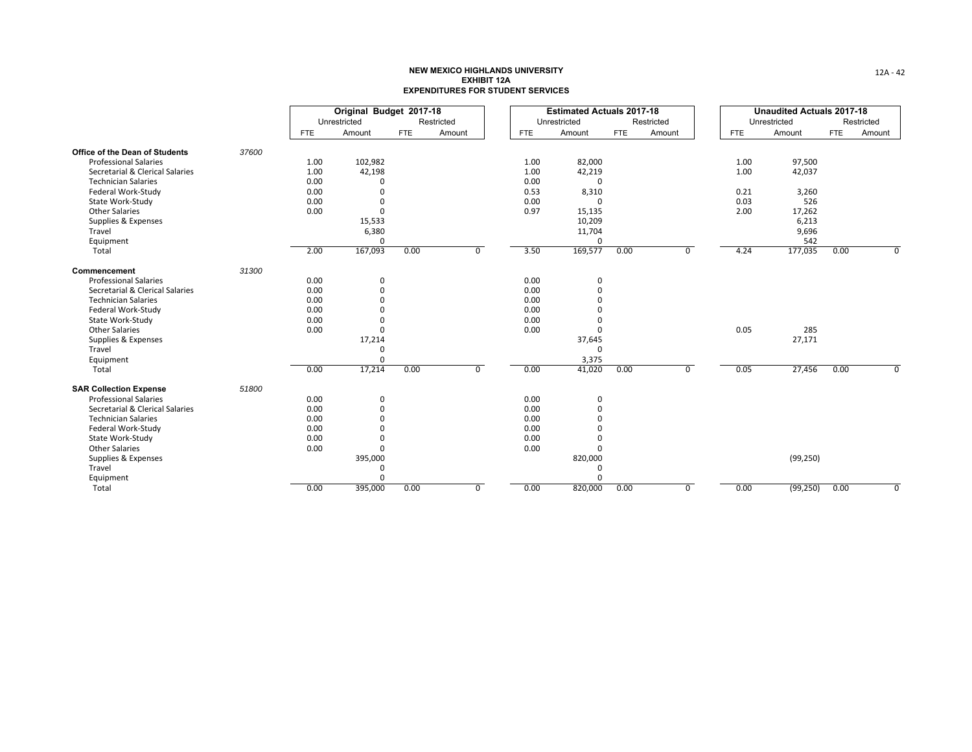|                                 |       |            | Original Budget 2017-18 |            |                |      | <b>Estimated Actuals 2017-18</b> |            |                |            | <b>Unaudited Actuals 2017-18</b> |            |            |
|---------------------------------|-------|------------|-------------------------|------------|----------------|------|----------------------------------|------------|----------------|------------|----------------------------------|------------|------------|
|                                 |       |            | Unrestricted            |            | Restricted     |      | Unrestricted                     |            | Restricted     |            | Unrestricted                     |            | Restricted |
|                                 |       | <b>FTE</b> | Amount                  | <b>FTE</b> | Amount         | FTE  | Amount                           | <b>FTE</b> | Amount         | <b>FTE</b> | Amount                           | <b>FTE</b> | Amount     |
| Office of the Dean of Students  | 37600 |            |                         |            |                |      |                                  |            |                |            |                                  |            |            |
| <b>Professional Salaries</b>    |       | 1.00       | 102,982                 |            |                | 1.00 | 82,000                           |            |                | 1.00       | 97,500                           |            |            |
| Secretarial & Clerical Salaries |       | 1.00       | 42,198                  |            |                | 1.00 | 42,219                           |            |                | 1.00       | 42,037                           |            |            |
| <b>Technician Salaries</b>      |       | 0.00       |                         |            |                | 0.00 | $\mathbf 0$                      |            |                |            |                                  |            |            |
| Federal Work-Study              |       | 0.00       | $\Omega$                |            |                | 0.53 | 8,310                            |            |                | 0.21       | 3,260                            |            |            |
| State Work-Study                |       | 0.00       | $\Omega$                |            |                | 0.00 | $\Omega$                         |            |                | 0.03       | 526                              |            |            |
| <b>Other Salaries</b>           |       | 0.00       | $\Omega$                |            |                | 0.97 | 15,135                           |            |                | 2.00       | 17,262                           |            |            |
| Supplies & Expenses             |       |            | 15,533                  |            |                |      | 10,209                           |            |                |            | 6,213                            |            |            |
| Travel                          |       |            | 6,380                   |            |                |      | 11,704                           |            |                |            | 9,696                            |            |            |
| Equipment                       |       |            | $\Omega$                |            |                |      | $\Omega$                         |            |                |            | 542                              |            |            |
| Total                           |       | 2.00       | 167,093                 | 0.00       | 0              | 3.50 | 169,577                          | 0.00       | $\overline{0}$ | 4.24       | 177,035                          | 0.00       | O          |
| Commencement                    | 31300 |            |                         |            |                |      |                                  |            |                |            |                                  |            |            |
| <b>Professional Salaries</b>    |       | 0.00       | $\mathbf 0$             |            |                | 0.00 | $\pmb{0}$                        |            |                |            |                                  |            |            |
| Secretarial & Clerical Salaries |       | 0.00       | $\Omega$                |            |                | 0.00 | $\Omega$                         |            |                |            |                                  |            |            |
| <b>Technician Salaries</b>      |       | 0.00       |                         |            |                | 0.00 | $\Omega$                         |            |                |            |                                  |            |            |
| Federal Work-Study              |       | 0.00       |                         |            |                | 0.00 | $\Omega$                         |            |                |            |                                  |            |            |
| State Work-Study                |       | 0.00       | $\Omega$                |            |                | 0.00 | $\Omega$                         |            |                |            |                                  |            |            |
| <b>Other Salaries</b>           |       | 0.00       | $\Omega$                |            |                | 0.00 | $\Omega$                         |            |                | 0.05       | 285                              |            |            |
| Supplies & Expenses             |       |            | 17,214                  |            |                |      | 37,645                           |            |                |            | 27,171                           |            |            |
| Travel                          |       |            | $\Omega$                |            |                |      | $\Omega$                         |            |                |            |                                  |            |            |
| Equipment                       |       |            | $\Omega$                |            |                |      | 3,375                            |            |                |            |                                  |            |            |
| Total                           |       | 0.00       | 17,214                  | 0.00       | $\overline{0}$ | 0.00 | 41,020                           | 0.00       | $\overline{0}$ | 0.05       | 27,456                           | 0.00       | $\Omega$   |
| <b>SAR Collection Expense</b>   | 51800 |            |                         |            |                |      |                                  |            |                |            |                                  |            |            |
| <b>Professional Salaries</b>    |       | 0.00       | $\mathbf 0$             |            |                | 0.00 | 0                                |            |                |            |                                  |            |            |
| Secretarial & Clerical Salaries |       | 0.00       | $\Omega$                |            |                | 0.00 | $\Omega$                         |            |                |            |                                  |            |            |
| <b>Technician Salaries</b>      |       | 0.00       | $\Omega$                |            |                | 0.00 | $\Omega$                         |            |                |            |                                  |            |            |
| Federal Work-Study              |       | 0.00       | $\Omega$                |            |                | 0.00 | $\Omega$                         |            |                |            |                                  |            |            |
| State Work-Study                |       | 0.00       | $\Omega$                |            |                | 0.00 | $\Omega$                         |            |                |            |                                  |            |            |
| <b>Other Salaries</b>           |       | 0.00       | $\Omega$                |            |                | 0.00 | $\Omega$                         |            |                |            |                                  |            |            |
| Supplies & Expenses             |       |            | 395,000                 |            |                |      | 820,000                          |            |                |            | (99, 250)                        |            |            |
| Travel                          |       |            | $\Omega$                |            |                |      | 0                                |            |                |            |                                  |            |            |
| Equipment                       |       |            | $\Omega$                |            |                |      | $\Omega$                         |            |                |            |                                  |            |            |
| Total                           |       | 0.00       | 395,000                 | 0.00       | $\overline{0}$ | 0.00 | 820,000                          | 0.00       | $\overline{0}$ | 0.00       | (99, 250)                        | 0.00       | O          |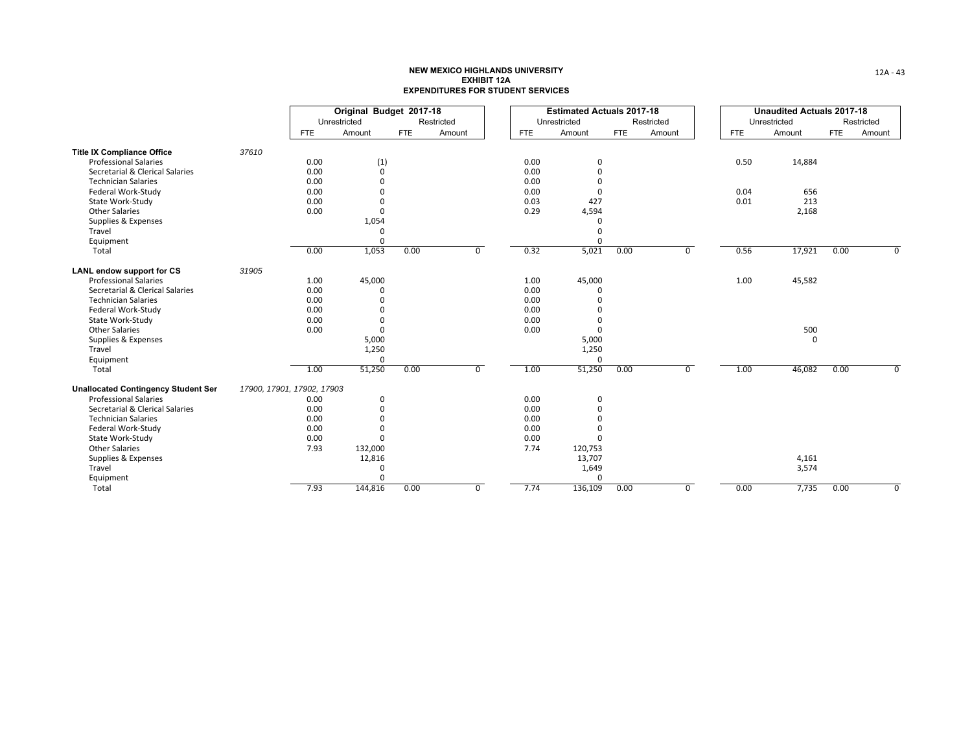|                                            |                            |            | Original Budget 2017-18 |            |            |            | <b>Estimated Actuals 2017-18</b> |            |                |            | <b>Unaudited Actuals 2017-18</b> |            |            |
|--------------------------------------------|----------------------------|------------|-------------------------|------------|------------|------------|----------------------------------|------------|----------------|------------|----------------------------------|------------|------------|
|                                            |                            |            | Unrestricted            |            | Restricted |            | Unrestricted                     |            | Restricted     |            | Unrestricted                     |            | Restricted |
|                                            |                            | <b>FTE</b> | Amount                  | <b>FTE</b> | Amount     | <b>FTE</b> | Amount                           | <b>FTE</b> | Amount         | <b>FTE</b> | Amount                           | <b>FTE</b> | Amount     |
| <b>Title IX Compliance Office</b>          | 37610                      |            |                         |            |            |            |                                  |            |                |            |                                  |            |            |
| <b>Professional Salaries</b>               |                            | 0.00       | (1)                     |            |            | 0.00       | 0                                |            |                | 0.50       | 14,884                           |            |            |
| Secretarial & Clerical Salaries            |                            | 0.00       | $\mathbf 0$             |            |            | 0.00       | 0                                |            |                |            |                                  |            |            |
| <b>Technician Salaries</b>                 |                            | 0.00       | $\Omega$                |            |            | 0.00       | $\Omega$                         |            |                |            |                                  |            |            |
| Federal Work-Study                         |                            | 0.00       | $\Omega$                |            |            | 0.00       | 0                                |            |                | 0.04       | 656                              |            |            |
| State Work-Study                           |                            | 0.00       | $\Omega$                |            |            | 0.03       | 427                              |            |                | 0.01       | 213                              |            |            |
| <b>Other Salaries</b>                      |                            | 0.00       | $\Omega$                |            |            | 0.29       | 4,594                            |            |                |            | 2,168                            |            |            |
| Supplies & Expenses                        |                            |            | 1,054                   |            |            |            | $\Omega$                         |            |                |            |                                  |            |            |
| Travel                                     |                            |            | 0                       |            |            |            | $\Omega$                         |            |                |            |                                  |            |            |
| Equipment                                  |                            |            | $\Omega$                |            |            |            | $\Omega$                         |            |                |            |                                  |            |            |
| Total                                      |                            | 0.00       | 1,053                   | 0.00       | 0          | 0.32       | 5,021                            | 0.00       | $\overline{0}$ | 0.56       | 17,921                           | 0.00       | O          |
| <b>LANL endow support for CS</b>           | 31905                      |            |                         |            |            |            |                                  |            |                |            |                                  |            |            |
| <b>Professional Salaries</b>               |                            | 1.00       | 45,000                  |            |            | 1.00       | 45,000                           |            |                | 1.00       | 45,582                           |            |            |
| Secretarial & Clerical Salaries            |                            | 0.00       | $\Omega$                |            |            | 0.00       | $\Omega$                         |            |                |            |                                  |            |            |
| <b>Technician Salaries</b>                 |                            | 0.00       | $\Omega$                |            |            | 0.00       | $\Omega$                         |            |                |            |                                  |            |            |
| Federal Work-Study                         |                            | 0.00       | $\Omega$                |            |            | 0.00       | $\Omega$                         |            |                |            |                                  |            |            |
| State Work-Study                           |                            | 0.00       | $\Omega$                |            |            | 0.00       | $\Omega$                         |            |                |            |                                  |            |            |
| <b>Other Salaries</b>                      |                            | 0.00       | $\Omega$                |            |            | 0.00       | 0                                |            |                |            | 500                              |            |            |
| Supplies & Expenses                        |                            |            | 5,000                   |            |            |            | 5,000                            |            |                |            | $\mathbf 0$                      |            |            |
| Travel                                     |                            |            | 1,250                   |            |            |            | 1,250                            |            |                |            |                                  |            |            |
| Equipment                                  |                            |            | $\Omega$                |            |            |            | 0                                |            |                |            |                                  |            |            |
| Total                                      |                            | 1.00       | 51,250                  | 0.00       | $\Omega$   | 1.00       | 51,250                           | 0.00       | $\overline{0}$ | 1.00       | 46,082                           | 0.00       | $\Omega$   |
| <b>Unallocated Contingency Student Ser</b> | 17900, 17901, 17902, 17903 |            |                         |            |            |            |                                  |            |                |            |                                  |            |            |
| <b>Professional Salaries</b>               |                            | 0.00       | $\Omega$                |            |            | 0.00       | 0                                |            |                |            |                                  |            |            |
| Secretarial & Clerical Salaries            |                            | 0.00       | $\Omega$                |            |            | 0.00       | 0                                |            |                |            |                                  |            |            |
| <b>Technician Salaries</b>                 |                            | 0.00       | $\Omega$                |            |            | 0.00       | $\Omega$                         |            |                |            |                                  |            |            |
| Federal Work-Study                         |                            | 0.00       | $\Omega$                |            |            | 0.00       | $\Omega$                         |            |                |            |                                  |            |            |
| State Work-Study                           |                            | 0.00       | $\Omega$                |            |            | 0.00       | $\Omega$                         |            |                |            |                                  |            |            |
| <b>Other Salaries</b>                      |                            | 7.93       | 132,000                 |            |            | 7.74       | 120,753                          |            |                |            |                                  |            |            |
| Supplies & Expenses                        |                            |            | 12,816                  |            |            |            | 13,707                           |            |                |            | 4,161                            |            |            |
| Travel                                     |                            |            | 0                       |            |            |            | 1,649                            |            |                |            | 3,574                            |            |            |
| Equipment                                  |                            |            | $\Omega$                |            |            |            | $\Omega$                         |            |                |            |                                  |            |            |
| Total                                      |                            | 7.93       | 144,816                 | 0.00       | 0          | 7.74       | 136,109                          | 0.00       | $\mathbf 0$    | 0.00       | 7,735                            | 0.00       | $\Omega$   |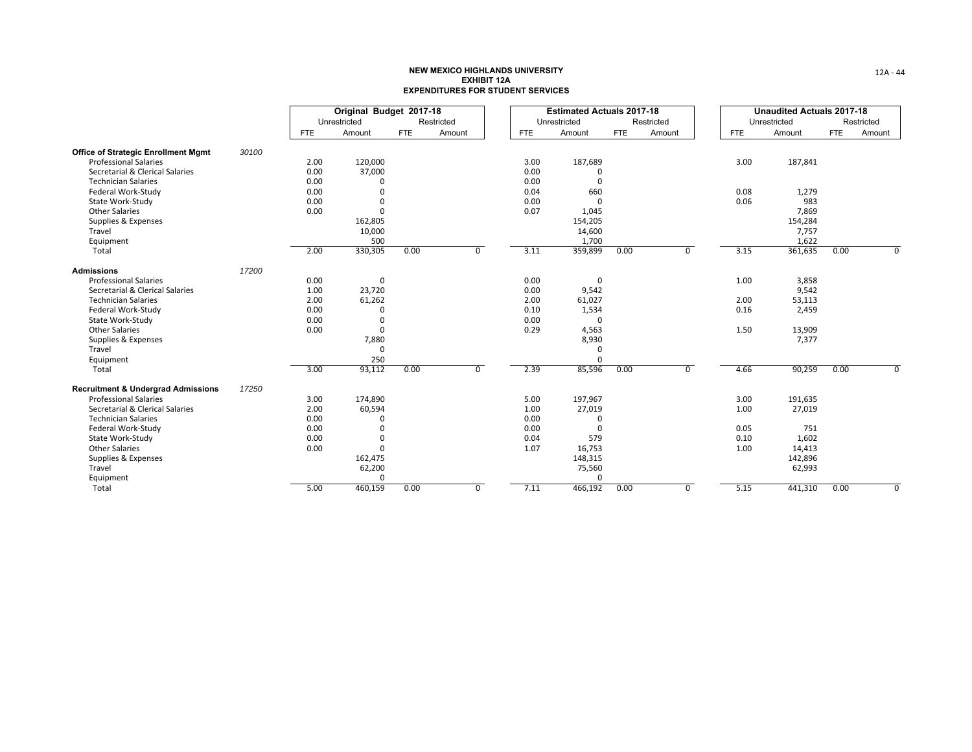|                                               |       |            | Original Budget 2017-18 |            |            |                |      | <b>Estimated Actuals 2017-18</b> |            |                |            | <b>Unaudited Actuals 2017-18</b> |            |            |
|-----------------------------------------------|-------|------------|-------------------------|------------|------------|----------------|------|----------------------------------|------------|----------------|------------|----------------------------------|------------|------------|
|                                               |       |            | Unrestricted            |            | Restricted |                |      | Unrestricted                     |            | Restricted     |            | Unrestricted                     |            | Restricted |
|                                               |       | <b>FTE</b> | Amount                  | <b>FTE</b> | Amount     |                | FTE  | Amount                           | <b>FTE</b> | Amount         | <b>FTE</b> | Amount                           | <b>FTE</b> | Amount     |
| <b>Office of Strategic Enrollment Mgmt</b>    | 30100 |            |                         |            |            |                |      |                                  |            |                |            |                                  |            |            |
| <b>Professional Salaries</b>                  |       | 2.00       | 120,000                 |            |            |                | 3.00 | 187,689                          |            |                | 3.00       | 187,841                          |            |            |
| Secretarial & Clerical Salaries               |       | 0.00       | 37,000                  |            |            |                | 0.00 |                                  |            |                |            |                                  |            |            |
| <b>Technician Salaries</b>                    |       | 0.00       |                         |            |            |                | 0.00 | $\Omega$                         |            |                |            |                                  |            |            |
| Federal Work-Study                            |       | 0.00       |                         |            |            |                | 0.04 | 660                              |            |                | 0.08       | 1,279                            |            |            |
| State Work-Study                              |       | 0.00       |                         |            |            |                | 0.00 | $\Omega$                         |            |                | 0.06       | 983                              |            |            |
| <b>Other Salaries</b>                         |       | 0.00       | $\Omega$                |            |            |                | 0.07 | 1,045                            |            |                |            | 7,869                            |            |            |
| Supplies & Expenses                           |       |            | 162,805                 |            |            |                |      | 154,205                          |            |                |            | 154,284                          |            |            |
| Travel                                        |       |            | 10,000                  |            |            |                |      | 14,600                           |            |                |            | 7,757                            |            |            |
| Equipment                                     |       |            | 500                     |            |            |                |      | 1,700                            |            |                |            | 1,622                            |            |            |
| Total                                         |       | 2.00       | 330,305                 | 0.00       |            | $\overline{0}$ | 3.11 | 359,899                          | 0.00       | $\overline{0}$ | 3.15       | 361,635                          | 0.00       | 0          |
| <b>Admissions</b>                             | 17200 |            |                         |            |            |                |      |                                  |            |                |            |                                  |            |            |
| <b>Professional Salaries</b>                  |       | 0.00       | $\Omega$                |            |            |                | 0.00 | 0                                |            |                | 1.00       | 3,858                            |            |            |
| Secretarial & Clerical Salaries               |       | 1.00       | 23,720                  |            |            |                | 0.00 | 9,542                            |            |                |            | 9,542                            |            |            |
| <b>Technician Salaries</b>                    |       | 2.00       | 61,262                  |            |            |                | 2.00 | 61,027                           |            |                | 2.00       | 53,113                           |            |            |
| Federal Work-Study                            |       | 0.00       |                         |            |            |                | 0.10 | 1,534                            |            |                | 0.16       | 2,459                            |            |            |
| State Work-Study                              |       | 0.00       | $\Omega$                |            |            |                | 0.00 | $\Omega$                         |            |                |            |                                  |            |            |
| <b>Other Salaries</b>                         |       | 0.00       | $\Omega$                |            |            |                | 0.29 | 4,563                            |            |                | 1.50       | 13,909                           |            |            |
| Supplies & Expenses                           |       |            | 7,880                   |            |            |                |      | 8,930                            |            |                |            | 7,377                            |            |            |
| Travel                                        |       |            | $\Omega$                |            |            |                |      | 0                                |            |                |            |                                  |            |            |
| Equipment                                     |       |            | 250                     |            |            |                |      | $\Omega$                         |            |                |            |                                  |            |            |
| Total                                         |       | 3.00       | 93,112                  | 0.00       |            | $\overline{0}$ | 2.39 | 85,596                           | 0.00       | $\overline{0}$ | 4.66       | 90,259                           | 0.00       | $\Omega$   |
| <b>Recruitment &amp; Undergrad Admissions</b> | 17250 |            |                         |            |            |                |      |                                  |            |                |            |                                  |            |            |
| <b>Professional Salaries</b>                  |       | 3.00       | 174,890                 |            |            |                | 5.00 | 197,967                          |            |                | 3.00       | 191,635                          |            |            |
| Secretarial & Clerical Salaries               |       | 2.00       | 60,594                  |            |            |                | 1.00 | 27,019                           |            |                | 1.00       | 27,019                           |            |            |
| <b>Technician Salaries</b>                    |       | 0.00       |                         |            |            |                | 0.00 | 0                                |            |                |            |                                  |            |            |
| Federal Work-Study                            |       | 0.00       |                         |            |            |                | 0.00 | $\Omega$                         |            |                | 0.05       | 751                              |            |            |
| State Work-Study                              |       | 0.00       |                         |            |            |                | 0.04 | 579                              |            |                | 0.10       | 1,602                            |            |            |
| <b>Other Salaries</b>                         |       | 0.00       | $\Omega$                |            |            |                | 1.07 | 16,753                           |            |                | 1.00       | 14,413                           |            |            |
| Supplies & Expenses                           |       |            | 162,475                 |            |            |                |      | 148,315                          |            |                |            | 142,896                          |            |            |
| Travel                                        |       |            | 62,200                  |            |            |                |      | 75,560                           |            |                |            | 62,993                           |            |            |
| Equipment                                     |       |            | $\Omega$                |            |            |                |      | $\Omega$                         |            |                |            |                                  |            |            |
| Total                                         |       | 5.00       | 460,159                 | 0.00       |            | 0              | 7.11 | 466,192                          | 0.00       | $\mathbf 0$    | 5.15       | 441,310                          | 0.00       | $\Omega$   |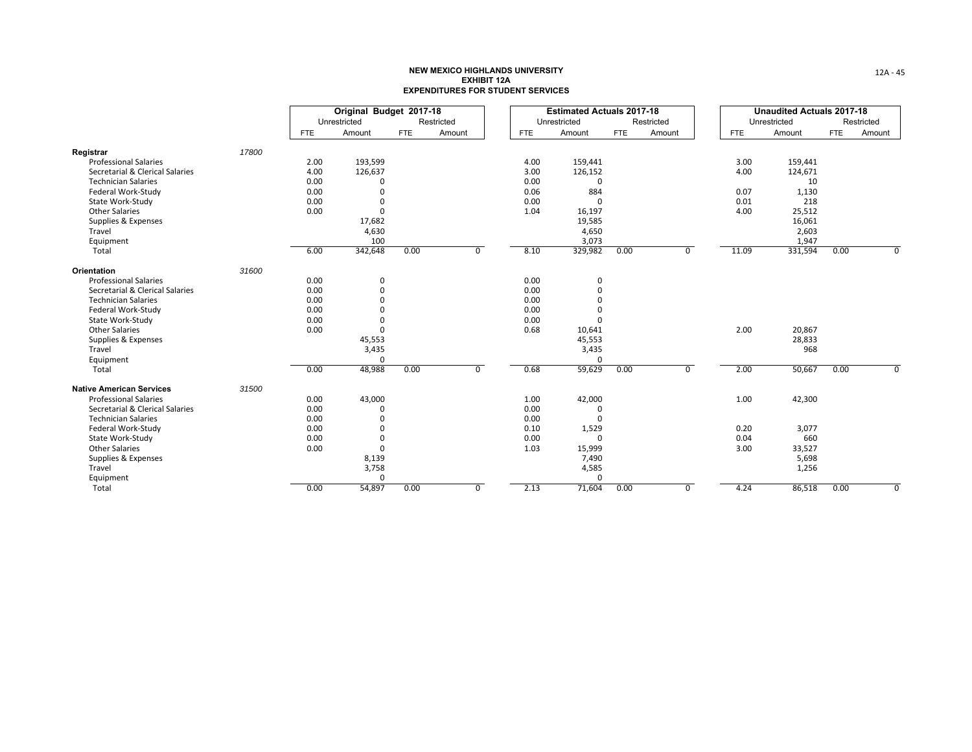|                                 |       |            | Original Budget 2017-18 |            |                |      | <b>Estimated Actuals 2017-18</b> |            |                |            | <b>Unaudited Actuals 2017-18</b> |            |            |
|---------------------------------|-------|------------|-------------------------|------------|----------------|------|----------------------------------|------------|----------------|------------|----------------------------------|------------|------------|
|                                 |       |            | Unrestricted            |            | Restricted     |      | Unrestricted                     |            | Restricted     |            | Unrestricted                     |            | Restricted |
|                                 |       | <b>FTE</b> | Amount                  | <b>FTE</b> | Amount         | FTE  | Amount                           | <b>FTE</b> | Amount         | <b>FTE</b> | Amount                           | <b>FTE</b> | Amount     |
| Registrar                       | 17800 |            |                         |            |                |      |                                  |            |                |            |                                  |            |            |
| <b>Professional Salaries</b>    |       | 2.00       | 193,599                 |            |                | 4.00 | 159,441                          |            |                | 3.00       | 159,441                          |            |            |
| Secretarial & Clerical Salaries |       | 4.00       | 126,637                 |            |                | 3.00 | 126,152                          |            |                | 4.00       | 124,671                          |            |            |
| <b>Technician Salaries</b>      |       | 0.00       | O                       |            |                | 0.00 | $\mathbf 0$                      |            |                |            | 10                               |            |            |
| Federal Work-Study              |       | 0.00       | O                       |            |                | 0.06 | 884                              |            |                | 0.07       | 1,130                            |            |            |
| State Work-Study                |       | 0.00       | $\Omega$                |            |                | 0.00 | 0                                |            |                | 0.01       | 218                              |            |            |
| <b>Other Salaries</b>           |       | 0.00       | $\Omega$                |            |                | 1.04 | 16,197                           |            |                | 4.00       | 25,512                           |            |            |
| Supplies & Expenses             |       |            | 17,682                  |            |                |      | 19,585                           |            |                |            | 16,061                           |            |            |
| Travel                          |       |            | 4,630                   |            |                |      | 4,650                            |            |                |            | 2,603                            |            |            |
| Equipment                       |       |            | 100                     |            |                |      | 3,073                            |            |                |            | 1,947                            |            |            |
| Total                           |       | 6.00       | 342,648                 | 0.00       | $\overline{0}$ | 8.10 | 329,982                          | 0.00       | 0              | 11.09      | 331,594                          | 0.00       | O          |
| Orientation                     | 31600 |            |                         |            |                |      |                                  |            |                |            |                                  |            |            |
| <b>Professional Salaries</b>    |       | 0.00       | $\mathbf 0$             |            |                | 0.00 | 0                                |            |                |            |                                  |            |            |
| Secretarial & Clerical Salaries |       | 0.00       | $\Omega$                |            |                | 0.00 | $\Omega$                         |            |                |            |                                  |            |            |
| <b>Technician Salaries</b>      |       | 0.00       |                         |            |                | 0.00 | $\Omega$                         |            |                |            |                                  |            |            |
| Federal Work-Study              |       | 0.00       |                         |            |                | 0.00 |                                  |            |                |            |                                  |            |            |
| State Work-Study                |       | 0.00       | $\Omega$                |            |                | 0.00 | $\Omega$                         |            |                |            |                                  |            |            |
| <b>Other Salaries</b>           |       | 0.00       | $\Omega$                |            |                | 0.68 | 10,641                           |            |                | 2.00       | 20,867                           |            |            |
| Supplies & Expenses             |       |            | 45,553                  |            |                |      | 45,553                           |            |                |            | 28,833                           |            |            |
| Travel                          |       |            | 3,435                   |            |                |      | 3,435                            |            |                |            | 968                              |            |            |
| Equipment                       |       |            | $\mathbf 0$             |            |                |      | $\Omega$                         |            |                |            |                                  |            |            |
| Total                           |       | 0.00       | 48,988                  | 0.00       | $\overline{0}$ | 0.68 | 59,629                           | 0.00       | $\overline{0}$ | 2.00       | 50,667                           | 0.00       | $\Omega$   |
| <b>Native American Services</b> | 31500 |            |                         |            |                |      |                                  |            |                |            |                                  |            |            |
| <b>Professional Salaries</b>    |       | 0.00       | 43,000                  |            |                | 1.00 | 42,000                           |            |                | 1.00       | 42,300                           |            |            |
| Secretarial & Clerical Salaries |       | 0.00       | $\Omega$                |            |                | 0.00 | $\Omega$                         |            |                |            |                                  |            |            |
| <b>Technician Salaries</b>      |       | 0.00       |                         |            |                | 0.00 | $\Omega$                         |            |                |            |                                  |            |            |
| Federal Work-Study              |       | 0.00       | $\Omega$                |            |                | 0.10 | 1,529                            |            |                | 0.20       | 3,077                            |            |            |
| State Work-Study                |       | 0.00       | $\Omega$                |            |                | 0.00 | $\Omega$                         |            |                | 0.04       | 660                              |            |            |
| <b>Other Salaries</b>           |       | 0.00       | $\Omega$                |            |                | 1.03 | 15,999                           |            |                | 3.00       | 33,527                           |            |            |
| Supplies & Expenses             |       |            | 8,139                   |            |                |      | 7,490                            |            |                |            | 5,698                            |            |            |
| Travel                          |       |            | 3,758                   |            |                |      | 4,585                            |            |                |            | 1,256                            |            |            |
| Equipment                       |       |            | $\mathbf 0$             |            |                |      | $\Omega$                         |            |                |            |                                  |            |            |
| Total                           |       | 0.00       | 54,897                  | 0.00       | $\overline{0}$ | 2.13 | 71,604                           | 0.00       | $\overline{0}$ | 4.24       | 86,518                           | 0.00       | O          |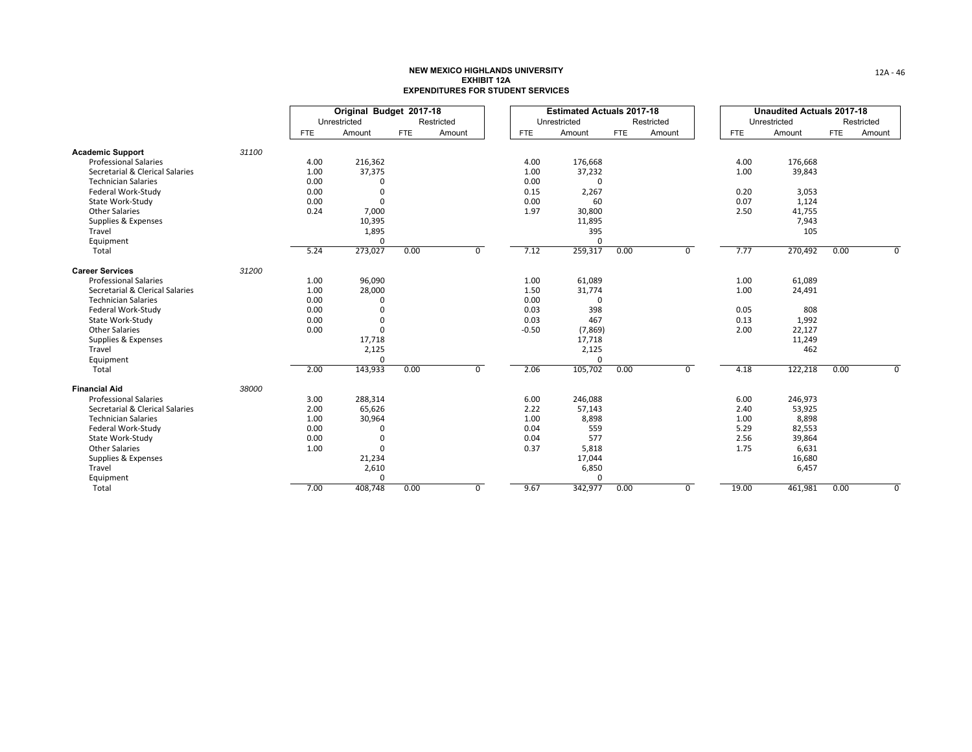|                                 |       |            | Original Budget 2017-18 |            |            |                |         | <b>Estimated Actuals 2017-18</b> |            |                |            |              | <b>Unaudited Actuals 2017-18</b> |            |                |
|---------------------------------|-------|------------|-------------------------|------------|------------|----------------|---------|----------------------------------|------------|----------------|------------|--------------|----------------------------------|------------|----------------|
|                                 |       |            | Unrestricted            |            | Restricted |                |         | Unrestricted                     |            | Restricted     |            | Unrestricted |                                  |            | Restricted     |
|                                 |       | <b>FTE</b> | Amount                  | <b>FTE</b> | Amount     |                | FTE     | Amount                           | <b>FTE</b> | Amount         | <b>FTE</b> |              | Amount                           | <b>FTE</b> | Amount         |
| <b>Academic Support</b>         | 31100 |            |                         |            |            |                |         |                                  |            |                |            |              |                                  |            |                |
| <b>Professional Salaries</b>    |       | 4.00       | 216,362                 |            |            |                | 4.00    | 176,668                          |            |                |            | 4.00         | 176,668                          |            |                |
| Secretarial & Clerical Salaries |       | 1.00       | 37,375                  |            |            |                | 1.00    | 37,232                           |            |                |            | 1.00         | 39,843                           |            |                |
| <b>Technician Salaries</b>      |       | 0.00       | $\Omega$                |            |            |                | 0.00    | $\Omega$                         |            |                |            |              |                                  |            |                |
| Federal Work-Study              |       | 0.00       | $\Omega$                |            |            |                | 0.15    | 2,267                            |            |                |            | 0.20         | 3,053                            |            |                |
| State Work-Study                |       | 0.00       | $\Omega$                |            |            |                | 0.00    | 60                               |            |                |            | 0.07         | 1,124                            |            |                |
| <b>Other Salaries</b>           |       | 0.24       | 7,000                   |            |            |                | 1.97    | 30,800                           |            |                |            | 2.50         | 41,755                           |            |                |
| Supplies & Expenses             |       |            | 10,395                  |            |            |                |         | 11,895                           |            |                |            |              | 7,943                            |            |                |
| Travel                          |       |            | 1,895                   |            |            |                |         | 395                              |            |                |            |              | 105                              |            |                |
| Equipment                       |       |            | $\Omega$                |            |            |                |         | $\Omega$                         |            |                |            |              |                                  |            |                |
| Total                           |       | 5.24       | 273,027                 | 0.00       |            | $\overline{0}$ | 7.12    | 259,317                          | 0.00       | $\overline{0}$ |            | 7.77         | 270,492                          | 0.00       | 0              |
| <b>Career Services</b>          | 31200 |            |                         |            |            |                |         |                                  |            |                |            |              |                                  |            |                |
| <b>Professional Salaries</b>    |       | 1.00       | 96,090                  |            |            |                | 1.00    | 61,089                           |            |                |            | 1.00         | 61,089                           |            |                |
| Secretarial & Clerical Salaries |       | 1.00       | 28,000                  |            |            |                | 1.50    | 31,774                           |            |                |            | 1.00         | 24,491                           |            |                |
| <b>Technician Salaries</b>      |       | 0.00       |                         |            |            |                | 0.00    | $\Omega$                         |            |                |            |              |                                  |            |                |
| Federal Work-Study              |       | 0.00       |                         |            |            |                | 0.03    | 398                              |            |                |            | 0.05         | 808                              |            |                |
| State Work-Study                |       | 0.00       | $\Omega$                |            |            |                | 0.03    | 467                              |            |                |            | 0.13         | 1,992                            |            |                |
| <b>Other Salaries</b>           |       | 0.00       | $\Omega$                |            |            |                | $-0.50$ | (7,869)                          |            |                |            | 2.00         | 22,127                           |            |                |
| Supplies & Expenses             |       |            | 17,718                  |            |            |                |         | 17,718                           |            |                |            |              | 11,249                           |            |                |
| Travel                          |       |            | 2,125                   |            |            |                |         | 2,125                            |            |                |            |              | 462                              |            |                |
| Equipment                       |       |            | $\mathbf 0$             |            |            |                |         | $\Omega$                         |            |                |            |              |                                  |            |                |
| Total                           |       | 2.00       | 143,933                 | 0.00       |            | $\overline{0}$ | 2.06    | 105,702                          | 0.00       | $\overline{0}$ |            | 4.18         | 122,218                          | 0.00       | $\overline{0}$ |
| <b>Financial Aid</b>            | 38000 |            |                         |            |            |                |         |                                  |            |                |            |              |                                  |            |                |
| <b>Professional Salaries</b>    |       | 3.00       | 288,314                 |            |            |                | 6.00    | 246,088                          |            |                |            | 6.00         | 246,973                          |            |                |
| Secretarial & Clerical Salaries |       | 2.00       | 65,626                  |            |            |                | 2.22    | 57,143                           |            |                |            | 2.40         | 53,925                           |            |                |
| <b>Technician Salaries</b>      |       | 1.00       | 30,964                  |            |            |                | 1.00    | 8,898                            |            |                |            | 1.00         | 8,898                            |            |                |
| Federal Work-Study              |       | 0.00       | $\Omega$                |            |            |                | 0.04    | 559                              |            |                |            | 5.29         | 82,553                           |            |                |
| State Work-Study                |       | 0.00       | $\Omega$                |            |            |                | 0.04    | 577                              |            |                |            | 2.56         | 39,864                           |            |                |
| <b>Other Salaries</b>           |       | 1.00       | $\Omega$                |            |            |                | 0.37    | 5,818                            |            |                |            | 1.75         | 6,631                            |            |                |
| Supplies & Expenses             |       |            | 21,234                  |            |            |                |         | 17,044                           |            |                |            |              | 16,680                           |            |                |
| Travel                          |       |            | 2,610                   |            |            |                |         | 6,850                            |            |                |            |              | 6,457                            |            |                |
| Equipment                       |       |            | $\Omega$                |            |            |                |         | $\Omega$                         |            |                |            |              |                                  |            |                |
| Total                           |       | 7.00       | 408,748                 | 0.00       |            | $\overline{0}$ | 9.67    | 342,977                          | 0.00       | $\mathbf 0$    |            | 19.00        | 461,981                          | 0.00       | $\Omega$       |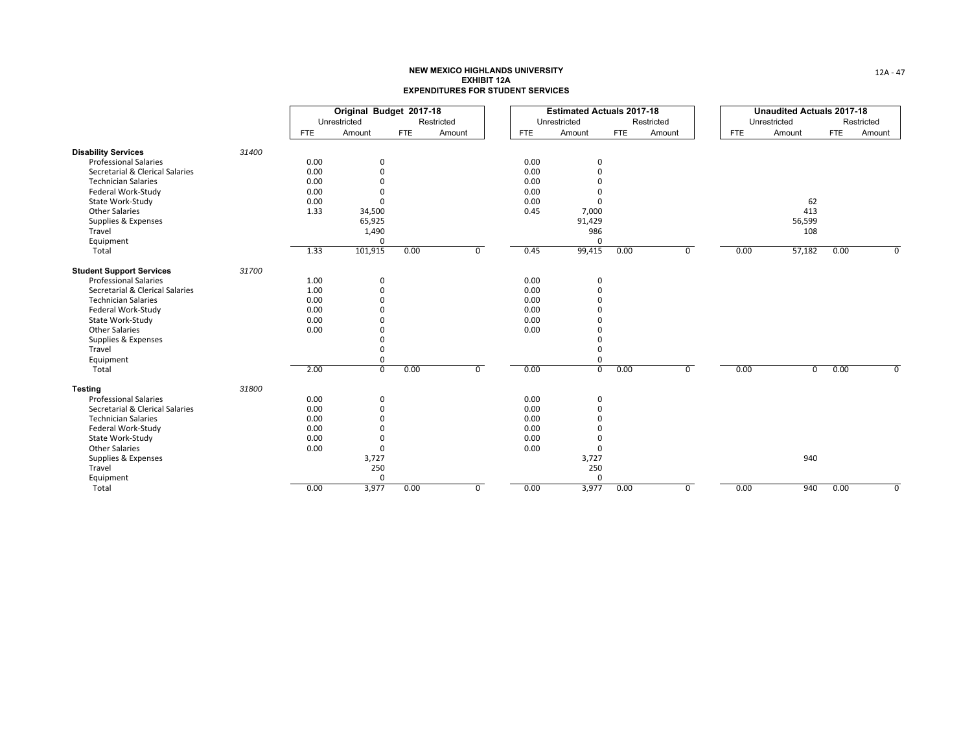|                                 |       |            | Original Budget 2017-18 |            |                |            | <b>Estimated Actuals 2017-18</b> |            |            |      | <b>Unaudited Actuals 2017-18</b> |            |            |
|---------------------------------|-------|------------|-------------------------|------------|----------------|------------|----------------------------------|------------|------------|------|----------------------------------|------------|------------|
|                                 |       |            | Unrestricted            |            | Restricted     |            | Unrestricted                     |            | Restricted |      | Unrestricted                     |            | Restricted |
|                                 |       | <b>FTE</b> | Amount                  | <b>FTE</b> | Amount         | <b>FTE</b> | Amount                           | <b>FTE</b> | Amount     | FTE  | Amount                           | <b>FTE</b> | Amount     |
| <b>Disability Services</b>      | 31400 |            |                         |            |                |            |                                  |            |            |      |                                  |            |            |
| <b>Professional Salaries</b>    |       | 0.00       | $\Omega$                |            |                | 0.00       | 0                                |            |            |      |                                  |            |            |
| Secretarial & Clerical Salaries |       | 0.00       | $\Omega$                |            |                | 0.00       | O                                |            |            |      |                                  |            |            |
| <b>Technician Salaries</b>      |       | 0.00       | $\Omega$                |            |                | 0.00       |                                  |            |            |      |                                  |            |            |
| Federal Work-Study              |       | 0.00       | $\Omega$                |            |                | 0.00       |                                  |            |            |      |                                  |            |            |
| State Work-Study                |       | 0.00       | $\Omega$                |            |                | 0.00       | O                                |            |            |      | 62                               |            |            |
| <b>Other Salaries</b>           |       | 1.33       | 34,500                  |            |                | 0.45       | 7,000                            |            |            |      | 413                              |            |            |
| Supplies & Expenses             |       |            | 65,925                  |            |                |            | 91,429                           |            |            |      | 56,599                           |            |            |
| Travel                          |       |            | 1,490                   |            |                |            | 986                              |            |            |      | 108                              |            |            |
| Equipment                       |       |            | $\Omega$                |            |                |            | $\Omega$                         |            |            |      |                                  |            |            |
| Total                           |       | 1.33       | 101,915                 | 0.00       | $\mathbf 0$    | 0.45       | 99,415                           | 0.00       | 0          | 0.00 | 57,182                           | 0.00       | $\Omega$   |
| <b>Student Support Services</b> | 31700 |            |                         |            |                |            |                                  |            |            |      |                                  |            |            |
| <b>Professional Salaries</b>    |       | 1.00       | 0                       |            |                | 0.00       | 0                                |            |            |      |                                  |            |            |
| Secretarial & Clerical Salaries |       | 1.00       | $\mathbf 0$             |            |                | 0.00       | 0                                |            |            |      |                                  |            |            |
| <b>Technician Salaries</b>      |       | 0.00       | $\Omega$                |            |                | 0.00       |                                  |            |            |      |                                  |            |            |
| Federal Work-Study              |       | 0.00       | $\Omega$                |            |                | 0.00       |                                  |            |            |      |                                  |            |            |
| State Work-Study                |       | 0.00       | $\Omega$                |            |                | 0.00       |                                  |            |            |      |                                  |            |            |
| <b>Other Salaries</b>           |       | 0.00       | $\Omega$                |            |                | 0.00       |                                  |            |            |      |                                  |            |            |
| Supplies & Expenses             |       |            | $\Omega$                |            |                |            |                                  |            |            |      |                                  |            |            |
| Travel                          |       |            | $\Omega$                |            |                |            |                                  |            |            |      |                                  |            |            |
| Equipment                       |       |            | 0                       |            |                |            | 0                                |            |            |      |                                  |            |            |
| Total                           |       | 2.00       | $\overline{0}$          | 0.00       | $\overline{0}$ | 0.00       | $\overline{0}$                   | 0.00       | 0          | 0.00 | $\mathbf 0$                      | 0.00       | $\Omega$   |
| <b>Testing</b>                  | 31800 |            |                         |            |                |            |                                  |            |            |      |                                  |            |            |
| <b>Professional Salaries</b>    |       | 0.00       | $\mathbf 0$             |            |                | 0.00       | 0                                |            |            |      |                                  |            |            |
| Secretarial & Clerical Salaries |       | 0.00       | $\Omega$                |            |                | 0.00       | $\Omega$                         |            |            |      |                                  |            |            |
| <b>Technician Salaries</b>      |       | 0.00       | $\Omega$                |            |                | 0.00       |                                  |            |            |      |                                  |            |            |
| Federal Work-Study              |       | 0.00       | $\Omega$                |            |                | 0.00       |                                  |            |            |      |                                  |            |            |
| State Work-Study                |       | 0.00       | 0                       |            |                | 0.00       |                                  |            |            |      |                                  |            |            |
| <b>Other Salaries</b>           |       | 0.00       | $\mathbf 0$             |            |                | 0.00       | $\mathbf 0$                      |            |            |      |                                  |            |            |
| Supplies & Expenses             |       |            | 3,727                   |            |                |            | 3,727                            |            |            |      | 940                              |            |            |
| Travel                          |       |            | 250                     |            |                |            | 250                              |            |            |      |                                  |            |            |
| Equipment                       |       |            | $\mathbf 0$             |            |                |            | $\mathbf 0$                      |            |            |      |                                  |            |            |
| Total                           |       | 0.00       | 3,977                   | 0.00       | $\mathbf 0$    | 0.00       | 3,977                            | 0.00       | 0          | 0.00 | 940                              | 0.00       | 0          |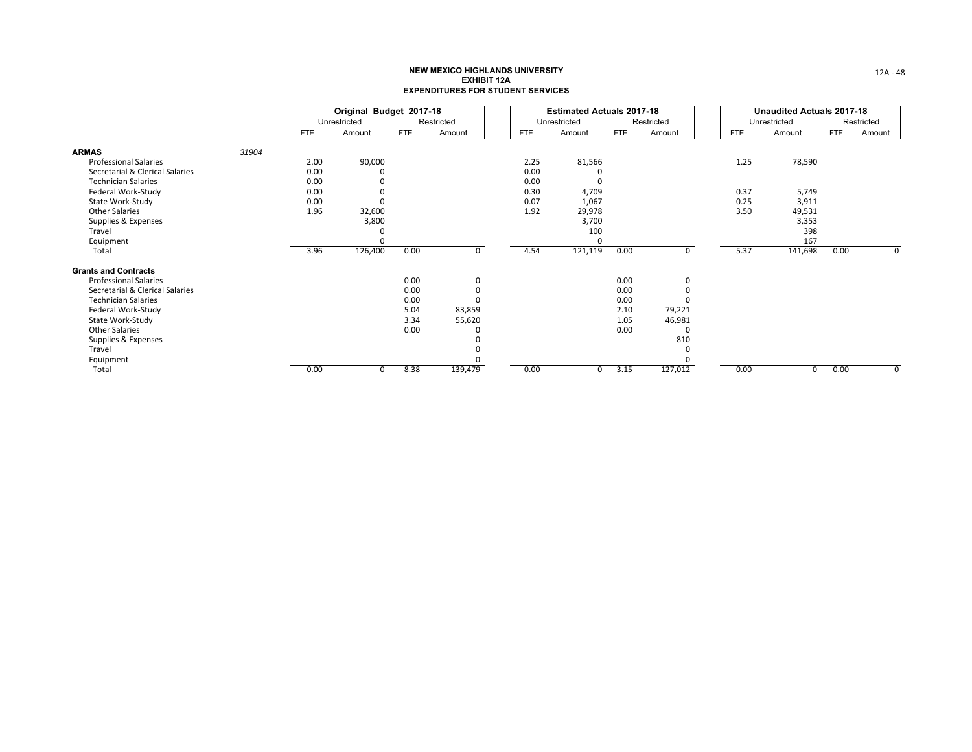|                                 |       |            | Original Budget 2017-18 |      |             |      | <b>Estimated Actuals 2017-18</b> |      |            |            | <b>Unaudited Actuals 2017-18</b> |      |            |
|---------------------------------|-------|------------|-------------------------|------|-------------|------|----------------------------------|------|------------|------------|----------------------------------|------|------------|
|                                 |       |            | Unrestricted            |      | Restricted  |      | Unrestricted                     |      | Restricted |            | Unrestricted                     |      | Restricted |
|                                 |       | <b>FTE</b> | Amount                  | FTE  | Amount      | FTE  | Amount                           | FTE  | Amount     | <b>FTE</b> | Amount                           | FTE  | Amount     |
| <b>ARMAS</b>                    | 31904 |            |                         |      |             |      |                                  |      |            |            |                                  |      |            |
| <b>Professional Salaries</b>    |       | 2.00       | 90,000                  |      |             | 2.25 | 81,566                           |      |            | 1.25       | 78,590                           |      |            |
| Secretarial & Clerical Salaries |       | 0.00       |                         |      |             | 0.00 |                                  |      |            |            |                                  |      |            |
| <b>Technician Salaries</b>      |       | 0.00       |                         |      |             | 0.00 |                                  |      |            |            |                                  |      |            |
| Federal Work-Study              |       | 0.00       |                         |      |             | 0.30 | 4,709                            |      |            | 0.37       | 5,749                            |      |            |
| State Work-Study                |       | 0.00       |                         |      |             | 0.07 | 1,067                            |      |            | 0.25       | 3,911                            |      |            |
| <b>Other Salaries</b>           |       | 1.96       | 32,600                  |      |             | 1.92 | 29,978                           |      |            | 3.50       | 49,531                           |      |            |
| Supplies & Expenses             |       |            | 3,800                   |      |             |      | 3,700                            |      |            |            | 3,353                            |      |            |
| Travel                          |       |            |                         |      |             |      | 100                              |      |            |            | 398                              |      |            |
| Equipment                       |       |            |                         |      |             |      |                                  |      |            |            | 167                              |      |            |
| Total                           |       | 3.96       | 126,400                 | 0.00 | $\mathbf 0$ | 4.54 | 121,119                          | 0.00 | 0          | 5.37       | 141,698                          | 0.00 | 0          |
| <b>Grants and Contracts</b>     |       |            |                         |      |             |      |                                  |      |            |            |                                  |      |            |
| <b>Professional Salaries</b>    |       |            |                         | 0.00 | 0           |      |                                  | 0.00 |            |            |                                  |      |            |
| Secretarial & Clerical Salaries |       |            |                         | 0.00 | $\Omega$    |      |                                  | 0.00 |            |            |                                  |      |            |
| <b>Technician Salaries</b>      |       |            |                         | 0.00 |             |      |                                  | 0.00 |            |            |                                  |      |            |
| Federal Work-Study              |       |            |                         | 5.04 | 83,859      |      |                                  | 2.10 | 79,221     |            |                                  |      |            |
| State Work-Study                |       |            |                         | 3.34 | 55,620      |      |                                  | 1.05 | 46,981     |            |                                  |      |            |
| <b>Other Salaries</b>           |       |            |                         | 0.00 |             |      |                                  | 0.00 |            |            |                                  |      |            |
| Supplies & Expenses             |       |            |                         |      |             |      |                                  |      | 810        |            |                                  |      |            |
| Travel                          |       |            |                         |      |             |      |                                  |      |            |            |                                  |      |            |
| Equipment                       |       |            |                         |      |             |      |                                  |      |            |            |                                  |      |            |
| Total                           |       | 0.00       | $\Omega$                | 8.38 | 139,479     | 0.00 |                                  | 3.15 | 127,012    | 0.00       |                                  | 0.00 | $\Omega$   |

12A ‐ 48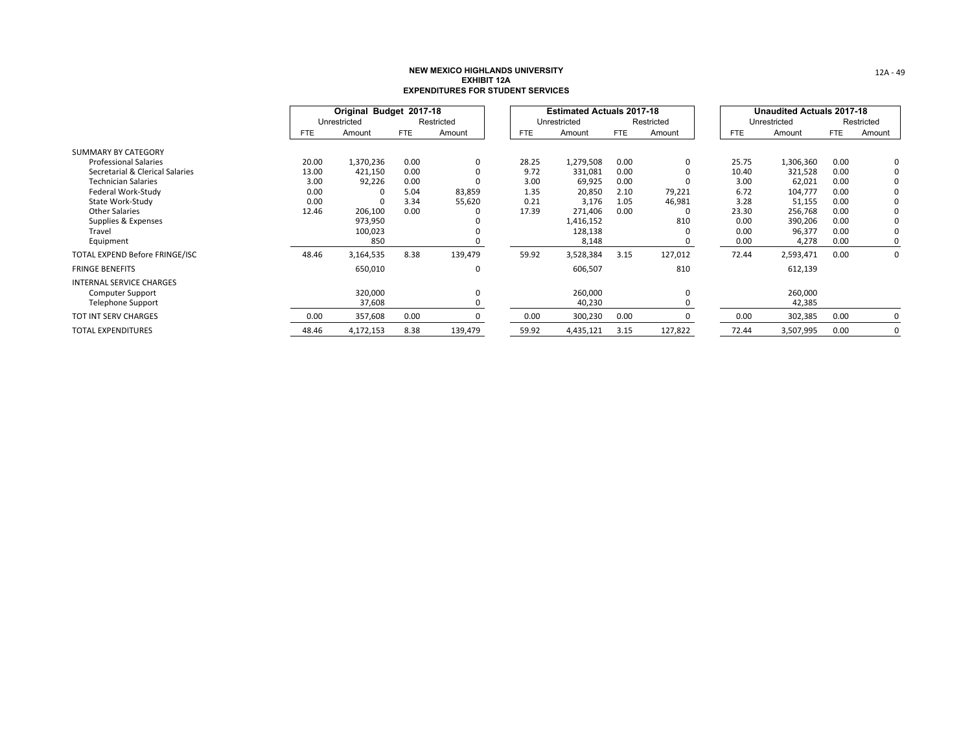|                                 |       | Original Budget 2017-18 |            |            |       | <b>Estimated Actuals 2017-18</b> |            |             |            | <b>Unaudited Actuals 2017-18</b> |            |             |
|---------------------------------|-------|-------------------------|------------|------------|-------|----------------------------------|------------|-------------|------------|----------------------------------|------------|-------------|
|                                 |       | Unrestricted            |            | Restricted |       | Unrestricted                     |            | Restricted  |            | Unrestricted                     |            | Restricted  |
|                                 | FTE   | Amount                  | <b>FTE</b> | Amount     | FTE   | Amount                           | <b>FTE</b> | Amount      | <b>FTE</b> | Amount                           | <b>FTE</b> | Amount      |
| SUMMARY BY CATEGORY             |       |                         |            |            |       |                                  |            |             |            |                                  |            |             |
| <b>Professional Salaries</b>    | 20.00 | 1,370,236               | 0.00       | 0          | 28.25 | 1,279,508                        | 0.00       | $\mathbf 0$ | 25.75      | 1,306,360                        | 0.00       | 0           |
| Secretarial & Clerical Salaries | 13.00 | 421,150                 | 0.00       |            | 9.72  | 331,081                          | 0.00       |             | 10.40      | 321,528                          | 0.00       | $\Omega$    |
| <b>Technician Salaries</b>      | 3.00  | 92,226                  | 0.00       |            | 3.00  | 69,925                           | 0.00       |             | 3.00       | 62,021                           | 0.00       |             |
| Federal Work-Study              | 0.00  |                         | 5.04       | 83,859     | 1.35  | 20,850                           | 2.10       | 79,221      | 6.72       | 104,777                          | 0.00       |             |
| State Work-Study                | 0.00  |                         | 3.34       | 55,620     | 0.21  | 3,176                            | 1.05       | 46,981      | 3.28       | 51,155                           | 0.00       | $\Omega$    |
| <b>Other Salaries</b>           | 12.46 | 206,100                 | 0.00       |            | 17.39 | 271,406                          | 0.00       |             | 23.30      | 256,768                          | 0.00       | $\Omega$    |
| Supplies & Expenses             |       | 973,950                 |            |            |       | 1,416,152                        |            | 810         | 0.00       | 390,206                          | 0.00       | $\Omega$    |
| Travel                          |       | 100,023                 |            |            |       | 128,138                          |            |             | 0.00       | 96,377                           | 0.00       | $\Omega$    |
| Equipment                       |       | 850                     |            |            |       | 8,148                            |            |             | 0.00       | 4,278                            | 0.00       | 0           |
| TOTAL EXPEND Before FRINGE/ISC  | 48.46 | 3,164,535               | 8.38       | 139,479    | 59.92 | 3,528,384                        | 3.15       | 127,012     | 72.44      | 2,593,471                        | 0.00       | $\mathbf 0$ |
| <b>FRINGE BENEFITS</b>          |       | 650,010                 |            | 0          |       | 606,507                          |            | 810         |            | 612,139                          |            |             |
| <b>INTERNAL SERVICE CHARGES</b> |       |                         |            |            |       |                                  |            |             |            |                                  |            |             |
| <b>Computer Support</b>         |       | 320,000                 |            |            |       | 260,000                          |            |             |            | 260,000                          |            |             |
| Telephone Support               |       | 37,608                  |            |            |       | 40,230                           |            |             |            | 42,385                           |            |             |
| TOT INT SERV CHARGES            | 0.00  | 357,608                 | 0.00       |            | 0.00  | 300,230                          | 0.00       |             | 0.00       | 302,385                          | 0.00       | 0           |
| <b>TOTAL EXPENDITURES</b>       | 48.46 | 4,172,153               | 8.38       | 139,479    | 59.92 | 4,435,121                        | 3.15       | 127,822     | 72.44      | 3,507,995                        | 0.00       | 0           |

12A ‐ 49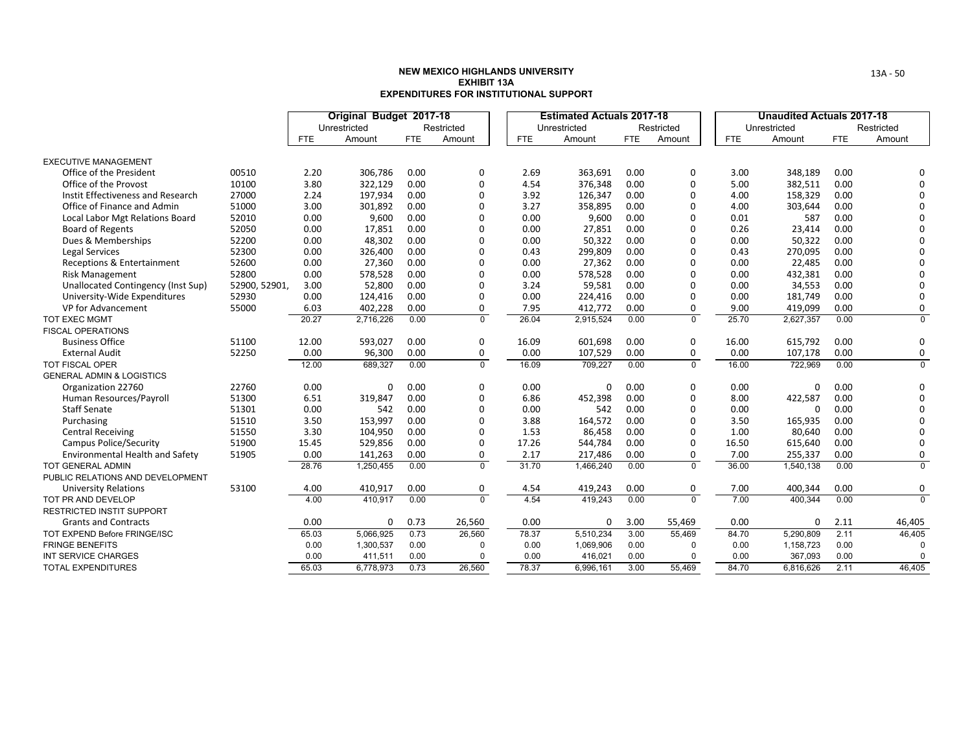|                                      |               |            | Original Budget 2017-18 |            |                |            | <b>Estimated Actuals 2017-18</b> |            |              |            | <b>Unaudited Actuals 2017-18</b> |            |                |
|--------------------------------------|---------------|------------|-------------------------|------------|----------------|------------|----------------------------------|------------|--------------|------------|----------------------------------|------------|----------------|
|                                      |               |            | Unrestricted            |            | Restricted     |            | Unrestricted                     |            | Restricted   |            | Unrestricted                     |            | Restricted     |
|                                      |               | <b>FTE</b> | Amount                  | <b>FTE</b> | Amount         | <b>FTE</b> | Amount                           | <b>FTE</b> | Amount       | <b>FTE</b> | Amount                           | <b>FTE</b> | Amount         |
| <b>EXECUTIVE MANAGEMENT</b>          |               |            |                         |            |                |            |                                  |            |              |            |                                  |            |                |
| Office of the President              | 00510         | 2.20       | 306,786                 | 0.00       | 0              | 2.69       | 363,691                          | 0.00       | 0            | 3.00       | 348,189                          | 0.00       | 0              |
| Office of the Provost                | 10100         | 3.80       | 322,129                 | 0.00       | $\mathbf 0$    | 4.54       | 376,348                          | 0.00       | 0            | 5.00       | 382,511                          | 0.00       | $\Omega$       |
| Instit Effectiveness and Research    | 27000         | 2.24       | 197,934                 | 0.00       | $\Omega$       | 3.92       | 126,347                          | 0.00       | 0            | 4.00       | 158,329                          | 0.00       | $\Omega$       |
| Office of Finance and Admin          | 51000         | 3.00       | 301,892                 | 0.00       | $\Omega$       | 3.27       | 358,895                          | 0.00       | $\Omega$     | 4.00       | 303,644                          | 0.00       | 0              |
| Local Labor Mgt Relations Board      | 52010         | 0.00       | 9,600                   | 0.00       | $\Omega$       | 0.00       | 9,600                            | 0.00       | 0            | 0.01       | 587                              | 0.00       | $\Omega$       |
| <b>Board of Regents</b>              | 52050         | 0.00       | 17,851                  | 0.00       | $\Omega$       | 0.00       | 27,851                           | 0.00       | 0            | 0.26       | 23,414                           | 0.00       | $\Omega$       |
| Dues & Memberships                   | 52200         | 0.00       | 48,302                  | 0.00       | $\Omega$       | 0.00       | 50,322                           | 0.00       | 0            | 0.00       | 50,322                           | 0.00       | $\Omega$       |
| <b>Legal Services</b>                | 52300         | 0.00       | 326,400                 | 0.00       | $\Omega$       | 0.43       | 299,809                          | 0.00       | 0            | 0.43       | 270,095                          | 0.00       | 0              |
| Receptions & Entertainment           | 52600         | 0.00       | 27,360                  | 0.00       | $\Omega$       | 0.00       | 27,362                           | 0.00       | 0            | 0.00       | 22,485                           | 0.00       | 0              |
| <b>Risk Management</b>               | 52800         | 0.00       | 578,528                 | 0.00       | $\Omega$       | 0.00       | 578,528                          | 0.00       | 0            | 0.00       | 432,381                          | 0.00       | 0              |
| Unallocated Contingency (Inst Sup)   | 52900, 52901, | 3.00       | 52,800                  | 0.00       | $\Omega$       | 3.24       | 59,581                           | 0.00       | 0            | 0.00       | 34,553                           | 0.00       | $\Omega$       |
| University-Wide Expenditures         | 52930         | 0.00       | 124,416                 | 0.00       | $\Omega$       | 0.00       | 224,416                          | 0.00       | 0            | 0.00       | 181,749                          | 0.00       | $\Omega$       |
| VP for Advancement                   | 55000         | 6.03       | 402,228                 | 0.00       | 0              | 7.95       | 412,772                          | 0.00       | 0            | 9.00       | 419,099                          | 0.00       | 0              |
| TOT EXEC MGMT                        |               | 20.27      | 2,716,226               | 0.00       | $\mathbf 0$    | 26.04      | 2,915,524                        | 0.00       | $\mathbf 0$  | 25.70      | 2,627,357                        | 0.00       | $\mathbf 0$    |
| <b>FISCAL OPERATIONS</b>             |               |            |                         |            |                |            |                                  |            |              |            |                                  |            |                |
| <b>Business Office</b>               | 51100         | 12.00      | 593,027                 | 0.00       | 0              | 16.09      | 601,698                          | 0.00       | 0            | 16.00      | 615,792                          | 0.00       | 0              |
| <b>External Audit</b>                | 52250         | 0.00       | 96,300                  | 0.00       | $\mathbf 0$    | 0.00       | 107,529                          | 0.00       | 0            | 0.00       | 107,178                          | 0.00       | 0              |
| TOT FISCAL OPER                      |               | 12.00      | 689,327                 | 0.00       | $\mathbf{0}$   | 16.09      | 709,227                          | 0.00       | $\Omega$     | 16.00      | 722,969                          | 0.00       | $\mathbf 0$    |
| <b>GENERAL ADMIN &amp; LOGISTICS</b> |               |            |                         |            |                |            |                                  |            |              |            |                                  |            |                |
| Organization 22760                   | 22760         | 0.00       | 0                       | 0.00       | $\mathbf 0$    | 0.00       | 0                                | 0.00       | 0            | 0.00       | 0                                | 0.00       | 0              |
| Human Resources/Payroll              | 51300         | 6.51       | 319,847                 | 0.00       | $\Omega$       | 6.86       | 452,398                          | 0.00       | 0            | 8.00       | 422,587                          | 0.00       | 0              |
| <b>Staff Senate</b>                  | 51301         | 0.00       | 542                     | 0.00       | $\Omega$       | 0.00       | 542                              | 0.00       | 0            | 0.00       | $\Omega$                         | 0.00       | $\Omega$       |
| Purchasing                           | 51510         | 3.50       | 153,997                 | 0.00       | $\Omega$       | 3.88       | 164,572                          | 0.00       | 0            | 3.50       | 165,935                          | 0.00       | 0              |
| <b>Central Receiving</b>             | 51550         | 3.30       | 104,950                 | 0.00       | $\Omega$       | 1.53       | 86,458                           | 0.00       | 0            | 1.00       | 80,640                           | 0.00       | $\Omega$       |
| <b>Campus Police/Security</b>        | 51900         | 15.45      | 529,856                 | 0.00       | $\Omega$       | 17.26      | 544,784                          | 0.00       | 0            | 16.50      | 615,640                          | 0.00       | 0              |
| Environmental Health and Safety      | 51905         | 0.00       | 141,263                 | 0.00       | $\mathbf 0$    | 2.17       | 217,486                          | 0.00       | 0            | 7.00       | 255,337                          | 0.00       | 0              |
| <b>TOT GENERAL ADMIN</b>             |               | 28.76      | 1,250,455               | 0.00       | $\overline{0}$ | 31.70      | 1,466,240                        | 0.00       | $\mathbf{0}$ | 36.00      | 1,540,138                        | 0.00       | $\overline{0}$ |
| PUBLIC RELATIONS AND DEVELOPMENT     |               |            |                         |            |                |            |                                  |            |              |            |                                  |            |                |
| <b>University Relations</b>          | 53100         | 4.00       | 410,917                 | 0.00       | 0              | 4.54       | 419,243                          | 0.00       | 0            | 7.00       | 400,344                          | 0.00       | 0              |
| TOT PR AND DEVELOP                   |               | 4.00       | 410,917                 | 0.00       | $\overline{0}$ | 4.54       | 419.243                          | 0.00       | $\Omega$     | 7.00       | 400.344                          | 0.00       | $\overline{0}$ |
| <b>RESTRICTED INSTIT SUPPORT</b>     |               |            |                         |            |                |            |                                  |            |              |            |                                  |            |                |
| <b>Grants and Contracts</b>          |               | 0.00       | 0                       | 0.73       | 26,560         | 0.00       | 0                                | 3.00       | 55,469       | 0.00       | 0                                | 2.11       | 46,405         |
| TOT EXPEND Before FRINGE/ISC         |               | 65.03      | 5,066,925               | 0.73       | 26,560         | 78.37      | 5.510.234                        | 3.00       | 55,469       | 84.70      | 5,290,809                        | 2.11       | 46,405         |
| <b>FRINGE BENEFITS</b>               |               | 0.00       | 1,300,537               | 0.00       | $\Omega$       | 0.00       | 1,069,906                        | 0.00       | $\Omega$     | 0.00       | 1,158,723                        | 0.00       | $\Omega$       |
| <b>INT SERVICE CHARGES</b>           |               | 0.00       | 411,511                 | 0.00       | $\Omega$       | 0.00       | 416,021                          | 0.00       | 0            | 0.00       | 367,093                          | 0.00       |                |
| <b>TOTAL EXPENDITURES</b>            |               | 65.03      | 6,778,973               | 0.73       | 26,560         | 78.37      | 6,996,161                        | 3.00       | 55,469       | 84.70      | 6,816,626                        | 2.11       | 46,405         |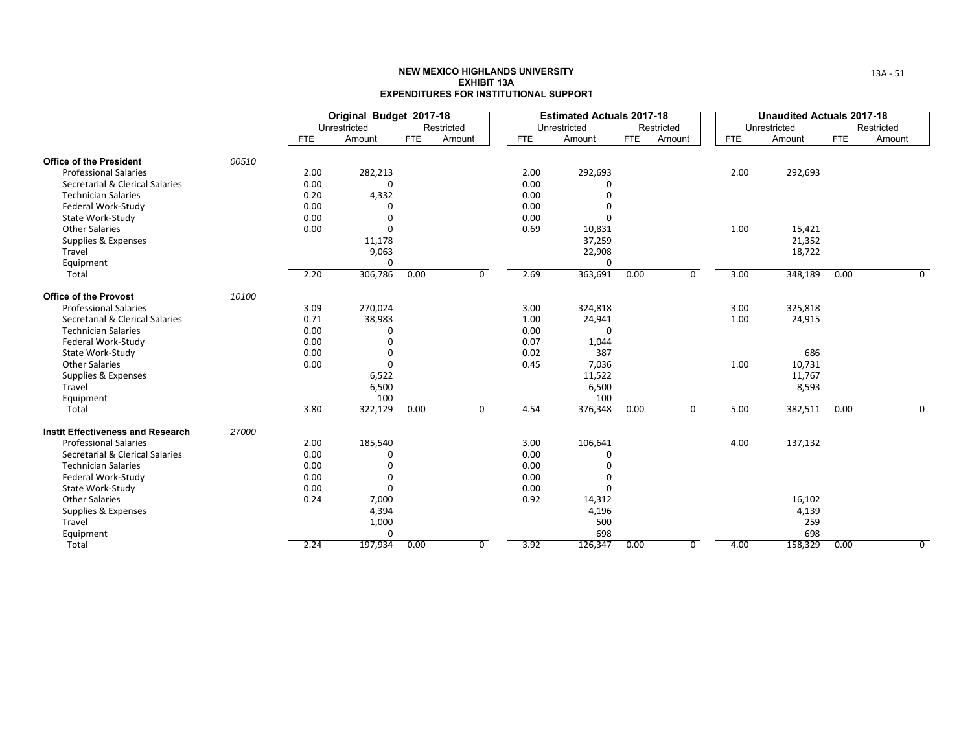|                                          |       |            | Original Budget 2017-18<br>Unrestricted |            | Restricted |            | <b>Estimated Actuals 2017-18</b><br>Unrestricted |      | Restricted |            | <b>Unaudited Actuals 2017-18</b><br>Unrestricted |      | Restricted |
|------------------------------------------|-------|------------|-----------------------------------------|------------|------------|------------|--------------------------------------------------|------|------------|------------|--------------------------------------------------|------|------------|
|                                          |       | <b>FTE</b> | Amount                                  | <b>FTE</b> | Amount     | <b>FTE</b> | Amount                                           | FTE  | Amount     | <b>FTE</b> | Amount                                           | FTE  | Amount     |
| <b>Office of the President</b>           | 00510 |            |                                         |            |            |            |                                                  |      |            |            |                                                  |      |            |
| <b>Professional Salaries</b>             |       | 2.00       | 282,213                                 |            |            | 2.00       | 292,693                                          |      |            | 2.00       | 292,693                                          |      |            |
| Secretarial & Clerical Salaries          |       | 0.00       | $\Omega$                                |            |            | 0.00       |                                                  |      |            |            |                                                  |      |            |
| <b>Technician Salaries</b>               |       | 0.20       | 4,332                                   |            |            | 0.00       |                                                  |      |            |            |                                                  |      |            |
| Federal Work-Study                       |       | 0.00       | O                                       |            |            | 0.00       |                                                  |      |            |            |                                                  |      |            |
| State Work-Study                         |       | 0.00       | O                                       |            |            | 0.00       | ŋ                                                |      |            |            |                                                  |      |            |
| <b>Other Salaries</b>                    |       | 0.00       | 0                                       |            |            | 0.69       | 10,831                                           |      |            | 1.00       | 15,421                                           |      |            |
| Supplies & Expenses                      |       |            | 11,178                                  |            |            |            | 37,259                                           |      |            |            | 21,352                                           |      |            |
| Travel                                   |       |            | 9,063                                   |            |            |            | 22,908                                           |      |            |            | 18,722                                           |      |            |
| Equipment                                |       |            | 0                                       |            |            |            | $\Omega$                                         |      |            |            |                                                  |      |            |
| Total                                    |       | 2.20       | 306,786                                 | 0.00       | $\Omega$   | 2.69       | 363,691                                          | 0.00 | 0          | 3.00       | 348,189                                          | 0.00 | 0          |
| <b>Office of the Provost</b>             | 10100 |            |                                         |            |            |            |                                                  |      |            |            |                                                  |      |            |
| <b>Professional Salaries</b>             |       | 3.09       | 270,024                                 |            |            | 3.00       | 324,818                                          |      |            | 3.00       | 325,818                                          |      |            |
| Secretarial & Clerical Salaries          |       | 0.71       | 38,983                                  |            |            | 1.00       | 24,941                                           |      |            | 1.00       | 24,915                                           |      |            |
| <b>Technician Salaries</b>               |       | 0.00       | 0                                       |            |            | 0.00       | O                                                |      |            |            |                                                  |      |            |
| Federal Work-Study                       |       | 0.00       | 0                                       |            |            | 0.07       | 1,044                                            |      |            |            |                                                  |      |            |
| State Work-Study                         |       | 0.00       | 0                                       |            |            | 0.02       | 387                                              |      |            |            | 686                                              |      |            |
| <b>Other Salaries</b>                    |       | 0.00       | 0                                       |            |            | 0.45       | 7,036                                            |      |            | 1.00       | 10,731                                           |      |            |
| Supplies & Expenses                      |       |            | 6,522                                   |            |            |            | 11,522                                           |      |            |            | 11,767                                           |      |            |
| Travel                                   |       |            | 6,500                                   |            |            |            | 6,500                                            |      |            |            | 8,593                                            |      |            |
| Equipment                                |       |            | 100                                     |            |            |            | 100                                              |      |            |            |                                                  |      |            |
| Total                                    |       | 3.80       | 322,129                                 | 0.00       | $\Omega$   | 4.54       | 376,348                                          | 0.00 | $\Omega$   | 5.00       | 382,511                                          | 0.00 | $\Omega$   |
| <b>Instit Effectiveness and Research</b> | 27000 |            |                                         |            |            |            |                                                  |      |            |            |                                                  |      |            |
| <b>Professional Salaries</b>             |       | 2.00       | 185,540                                 |            |            | 3.00       | 106,641                                          |      |            | 4.00       | 137,132                                          |      |            |
| Secretarial & Clerical Salaries          |       | 0.00       | 0                                       |            |            | 0.00       |                                                  |      |            |            |                                                  |      |            |
| <b>Technician Salaries</b>               |       | 0.00       | 0                                       |            |            | 0.00       | ŋ                                                |      |            |            |                                                  |      |            |
| Federal Work-Study                       |       | 0.00       | 0                                       |            |            | 0.00       | ŋ                                                |      |            |            |                                                  |      |            |
| State Work-Study                         |       | 0.00       | 0                                       |            |            | 0.00       | ŋ                                                |      |            |            |                                                  |      |            |
| <b>Other Salaries</b>                    |       | 0.24       | 7,000                                   |            |            | 0.92       | 14,312                                           |      |            |            | 16,102                                           |      |            |
| Supplies & Expenses                      |       |            | 4,394                                   |            |            |            | 4,196                                            |      |            |            | 4,139                                            |      |            |
| Travel                                   |       |            | 1,000                                   |            |            |            | 500                                              |      |            |            | 259                                              |      |            |
| Equipment                                |       |            | 0                                       |            |            |            | 698                                              |      |            |            | 698                                              |      |            |
| Total                                    |       | 2.24       | 197,934                                 | 0.00       | $\Omega$   | 3.92       | 126,347                                          | 0.00 | $\Omega$   | 4.00       | 158,329                                          | 0.00 | 0          |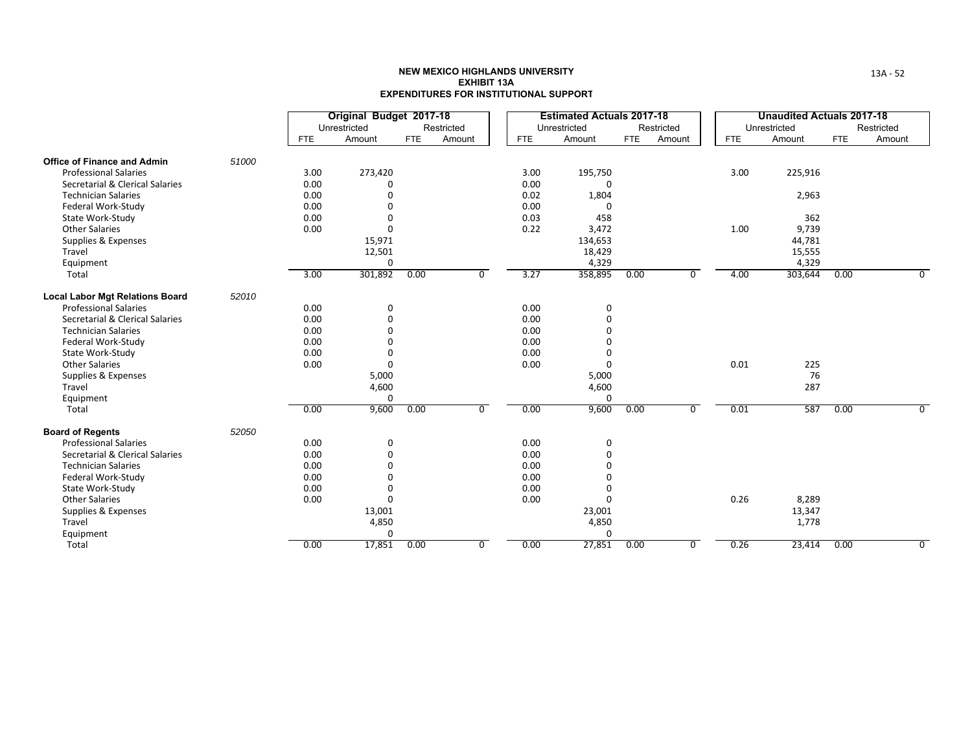|                                                                 |       |              | Original Budget 2017-18<br>Unrestricted |            | Restricted |              | <b>Estimated Actuals 2017-18</b><br>Unrestricted |            | Restricted |            | <b>Unaudited Actuals 2017-18</b><br>Unrestricted |            | Restricted     |
|-----------------------------------------------------------------|-------|--------------|-----------------------------------------|------------|------------|--------------|--------------------------------------------------|------------|------------|------------|--------------------------------------------------|------------|----------------|
|                                                                 |       | <b>FTE</b>   | Amount                                  | <b>FTE</b> | Amount     | <b>FTE</b>   | Amount                                           | <b>FTE</b> | Amount     | <b>FTE</b> | Amount                                           | <b>FTE</b> | Amount         |
| <b>Office of Finance and Admin</b>                              | 51000 |              |                                         |            |            |              |                                                  |            |            |            |                                                  |            |                |
| <b>Professional Salaries</b><br>Secretarial & Clerical Salaries |       | 3.00<br>0.00 | 273,420<br>O                            |            |            | 3.00<br>0.00 | 195,750                                          |            |            | 3.00       | 225,916                                          |            |                |
| <b>Technician Salaries</b>                                      |       | 0.00         | ŋ                                       |            |            | 0.02         | 1,804                                            |            |            |            | 2,963                                            |            |                |
| Federal Work-Study                                              |       | 0.00         | 0                                       |            |            | 0.00         | 0                                                |            |            |            |                                                  |            |                |
| State Work-Study                                                |       | 0.00         | O                                       |            |            | 0.03         | 458                                              |            |            |            | 362                                              |            |                |
| <b>Other Salaries</b>                                           |       | 0.00         | 0                                       |            |            | 0.22         | 3,472                                            |            |            | 1.00       | 9,739                                            |            |                |
| Supplies & Expenses                                             |       |              | 15,971                                  |            |            |              | 134,653                                          |            |            |            | 44,781                                           |            |                |
| Travel                                                          |       |              | 12,501                                  |            |            |              | 18,429                                           |            |            |            | 15,555                                           |            |                |
| Equipment                                                       |       |              | 0                                       |            |            |              | 4,329                                            |            |            |            | 4,329                                            |            |                |
| Total                                                           |       | 3.00         | 301,892                                 | 0.00       | 0          | 3.27         | 358,895                                          | 0.00       | $\Omega$   | 4.00       | 303,644                                          | 0.00       | $\overline{0}$ |
| <b>Local Labor Mgt Relations Board</b>                          | 52010 |              |                                         |            |            |              |                                                  |            |            |            |                                                  |            |                |
| <b>Professional Salaries</b>                                    |       | 0.00         | 0                                       |            |            | 0.00         | 0                                                |            |            |            |                                                  |            |                |
| Secretarial & Clerical Salaries                                 |       | 0.00         | 0                                       |            |            | 0.00         | $\Omega$                                         |            |            |            |                                                  |            |                |
| <b>Technician Salaries</b>                                      |       | 0.00         | O                                       |            |            | 0.00         | $\Omega$                                         |            |            |            |                                                  |            |                |
| Federal Work-Study                                              |       | 0.00         |                                         |            |            | 0.00         | $\Omega$                                         |            |            |            |                                                  |            |                |
| State Work-Study                                                |       | 0.00         | O                                       |            |            | 0.00         | $\Omega$                                         |            |            |            |                                                  |            |                |
| <b>Other Salaries</b>                                           |       | 0.00         | 0                                       |            |            | 0.00         | $\Omega$                                         |            |            | 0.01       | 225                                              |            |                |
| Supplies & Expenses                                             |       |              | 5,000                                   |            |            |              | 5,000                                            |            |            |            | 76                                               |            |                |
| Travel                                                          |       |              | 4,600                                   |            |            |              | 4,600                                            |            |            |            | 287                                              |            |                |
| Equipment                                                       |       |              | 0                                       |            |            |              | $\Omega$                                         |            |            |            |                                                  |            |                |
| Total                                                           |       | 0.00         | 9,600                                   | 0.00       | $\Omega$   | 0.00         | 9,600                                            | 0.00       | $\Omega$   | 0.01       | 587                                              | 0.00       | $\Omega$       |
| <b>Board of Regents</b>                                         | 52050 |              |                                         |            |            |              |                                                  |            |            |            |                                                  |            |                |
| <b>Professional Salaries</b>                                    |       | 0.00         | 0                                       |            |            | 0.00         | $\mathbf 0$                                      |            |            |            |                                                  |            |                |
| Secretarial & Clerical Salaries                                 |       | 0.00         | 0                                       |            |            | 0.00         | $\Omega$                                         |            |            |            |                                                  |            |                |
| <b>Technician Salaries</b>                                      |       | 0.00         | 0                                       |            |            | 0.00         | $\Omega$                                         |            |            |            |                                                  |            |                |
| Federal Work-Study                                              |       | 0.00         | O                                       |            |            | 0.00         | $\Omega$                                         |            |            |            |                                                  |            |                |
| State Work-Study                                                |       | 0.00         | 0                                       |            |            | 0.00         | $\Omega$                                         |            |            |            |                                                  |            |                |
| <b>Other Salaries</b>                                           |       | 0.00         | $\Omega$                                |            |            | 0.00         | $\Omega$                                         |            |            | 0.26       | 8,289                                            |            |                |
| Supplies & Expenses                                             |       |              | 13,001                                  |            |            |              | 23,001                                           |            |            |            | 13,347                                           |            |                |
| Travel                                                          |       |              | 4,850                                   |            |            |              | 4,850                                            |            |            |            | 1,778                                            |            |                |
| Equipment<br>Total                                              |       | 0.00         | 0<br>17,851                             | 0.00       | $\Omega$   | 0.00         | $\Omega$<br>27,851                               | 0.00       | $\Omega$   | 0.26       | 23,414                                           | 0.00       | 0              |
|                                                                 |       |              |                                         |            |            |              |                                                  |            |            |            |                                                  |            |                |

13A ‐ 52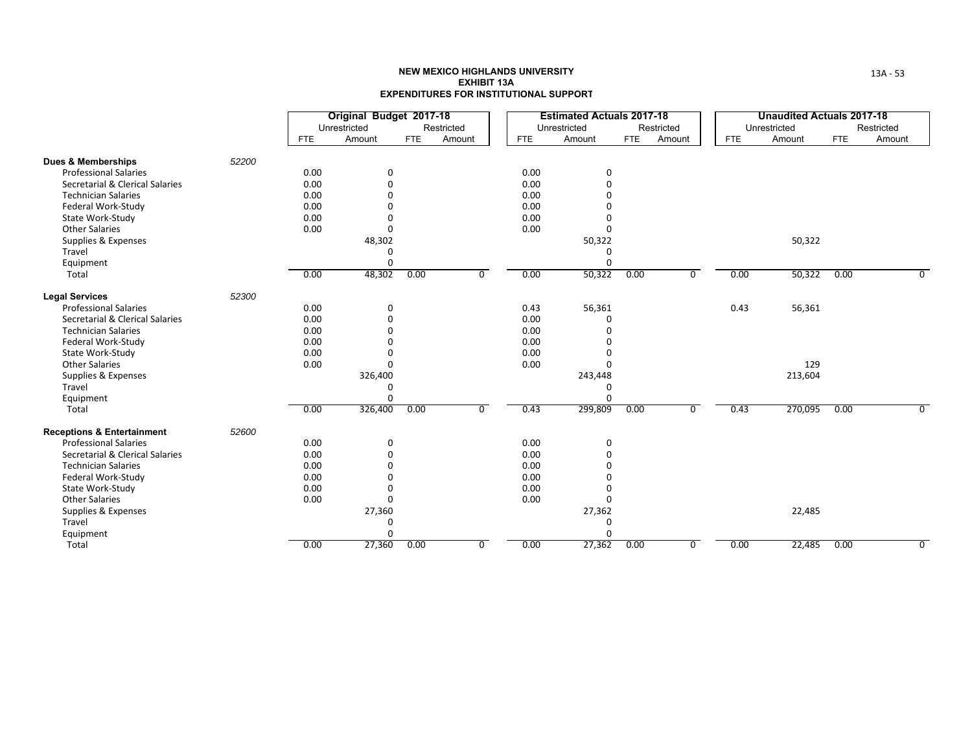|                                       |       |            | Original Budget 2017-18 |            |                |            | <b>Estimated Actuals 2017-18</b> |            |                |            | <b>Unaudited Actuals 2017-18</b> |            |                |
|---------------------------------------|-------|------------|-------------------------|------------|----------------|------------|----------------------------------|------------|----------------|------------|----------------------------------|------------|----------------|
|                                       |       |            | Unrestricted            |            | Restricted     |            | Unrestricted                     |            | Restricted     |            | Unrestricted                     |            | Restricted     |
|                                       |       | <b>FTE</b> | Amount                  | <b>FTE</b> | Amount         | <b>FTE</b> | Amount                           | <b>FTE</b> | Amount         | <b>FTE</b> | Amount                           | <b>FTE</b> | Amount         |
| <b>Dues &amp; Memberships</b>         | 52200 |            |                         |            |                |            |                                  |            |                |            |                                  |            |                |
| <b>Professional Salaries</b>          |       | 0.00       | 0                       |            |                | 0.00       | 0                                |            |                |            |                                  |            |                |
| Secretarial & Clerical Salaries       |       | 0.00       | 0                       |            |                | 0.00       | 0                                |            |                |            |                                  |            |                |
| <b>Technician Salaries</b>            |       | 0.00       |                         |            |                | 0.00       | $\Omega$                         |            |                |            |                                  |            |                |
| Federal Work-Study                    |       | 0.00       |                         |            |                | 0.00       | $\Omega$                         |            |                |            |                                  |            |                |
| State Work-Study                      |       | 0.00       | O                       |            |                | 0.00       | $\Omega$                         |            |                |            |                                  |            |                |
| <b>Other Salaries</b>                 |       | 0.00       | 0                       |            |                | 0.00       | $\Omega$                         |            |                |            |                                  |            |                |
| Supplies & Expenses                   |       |            | 48,302                  |            |                |            | 50,322                           |            |                |            | 50,322                           |            |                |
| Travel                                |       |            | 0                       |            |                |            | 0                                |            |                |            |                                  |            |                |
| Equipment                             |       |            | 0                       |            |                |            | $\Omega$                         |            |                |            |                                  |            |                |
| Total                                 |       | 0.00       | 48,302                  | 0.00       | 0              | 0.00       | 50,322                           | 0.00       | $\mathbf 0$    | 0.00       | 50,322                           | 0.00       | 0              |
| <b>Legal Services</b>                 | 52300 |            |                         |            |                |            |                                  |            |                |            |                                  |            |                |
| <b>Professional Salaries</b>          |       | 0.00       | $\mathbf 0$             |            |                | 0.43       | 56,361                           |            |                | 0.43       | 56,361                           |            |                |
| Secretarial & Clerical Salaries       |       | 0.00       | $\Omega$                |            |                | 0.00       | 0                                |            |                |            |                                  |            |                |
| <b>Technician Salaries</b>            |       | 0.00       | O                       |            |                | 0.00       | $\Omega$                         |            |                |            |                                  |            |                |
| Federal Work-Study                    |       | 0.00       | ŋ                       |            |                | 0.00       | $\Omega$                         |            |                |            |                                  |            |                |
| State Work-Study                      |       | 0.00       | n                       |            |                | 0.00       | $\Omega$                         |            |                |            |                                  |            |                |
| <b>Other Salaries</b>                 |       | 0.00       | $\Omega$                |            |                | 0.00       | U                                |            |                |            | 129                              |            |                |
| Supplies & Expenses                   |       |            | 326,400                 |            |                |            | 243,448                          |            |                |            | 213,604                          |            |                |
| Travel                                |       |            | 0                       |            |                |            | 0                                |            |                |            |                                  |            |                |
| Equipment                             |       |            | $\Omega$                |            |                |            | $\Omega$                         |            |                |            |                                  |            |                |
| Total                                 |       | 0.00       | 326,400                 | 0.00       | 0              | 0.43       | 299,809                          | 0.00       | $\mathbf 0$    | 0.43       | 270,095                          | 0.00       | $\mathbf 0$    |
| <b>Receptions &amp; Entertainment</b> | 52600 |            |                         |            |                |            |                                  |            |                |            |                                  |            |                |
| <b>Professional Salaries</b>          |       | 0.00       | 0                       |            |                | 0.00       | 0                                |            |                |            |                                  |            |                |
| Secretarial & Clerical Salaries       |       | 0.00       | 0                       |            |                | 0.00       | 0                                |            |                |            |                                  |            |                |
| <b>Technician Salaries</b>            |       | 0.00       | $\Omega$                |            |                | 0.00       | $\Omega$                         |            |                |            |                                  |            |                |
| Federal Work-Study                    |       | 0.00       | ŋ                       |            |                | 0.00       | $\Omega$                         |            |                |            |                                  |            |                |
| State Work-Study                      |       | 0.00       | ი                       |            |                | 0.00       | $\Omega$                         |            |                |            |                                  |            |                |
| <b>Other Salaries</b>                 |       | 0.00       | $\Omega$                |            |                | 0.00       | $\Omega$                         |            |                |            |                                  |            |                |
| Supplies & Expenses                   |       |            | 27,360                  |            |                |            | 27,362                           |            |                |            | 22,485                           |            |                |
| Travel                                |       |            | $\Omega$                |            |                |            | $\mathbf 0$                      |            |                |            |                                  |            |                |
| Equipment                             |       |            | O                       |            |                |            | $\Omega$                         |            |                |            |                                  |            |                |
| Total                                 |       | 0.00       | 27,360                  | 0.00       | $\overline{0}$ | 0.00       | 27,362                           | 0.00       | $\overline{0}$ | 0.00       | 22,485                           | 0.00       | $\overline{0}$ |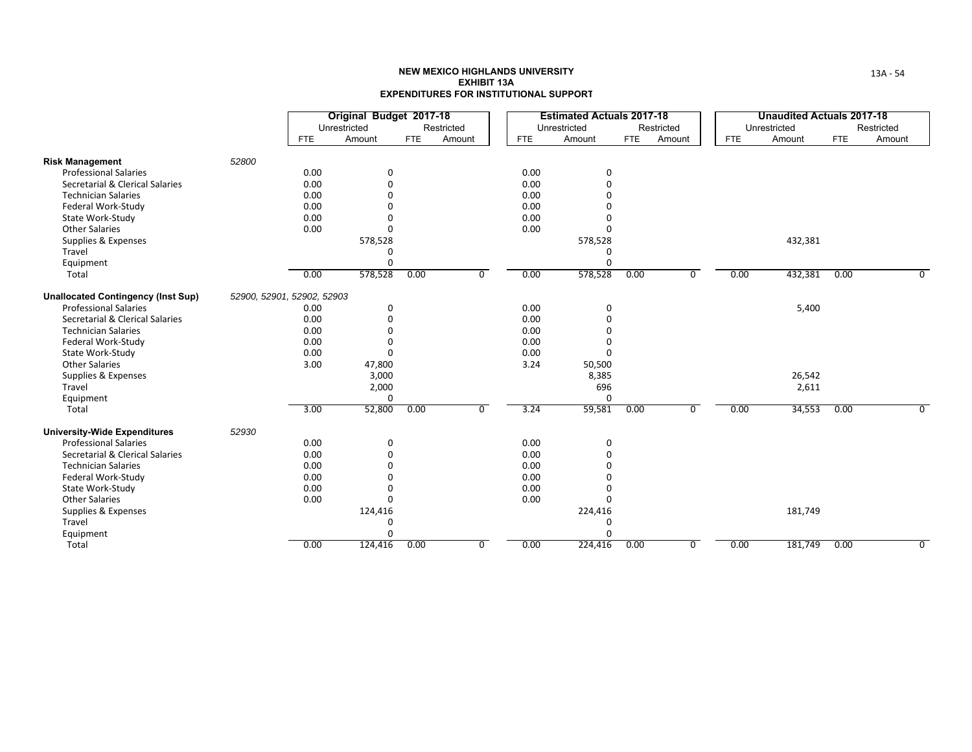|                                           |       |                            | Original Budget 2017-18 |            |                |            | <b>Estimated Actuals 2017-18</b> |            |             |            | <b>Unaudited Actuals 2017-18</b> |            |                |
|-------------------------------------------|-------|----------------------------|-------------------------|------------|----------------|------------|----------------------------------|------------|-------------|------------|----------------------------------|------------|----------------|
|                                           |       |                            | Unrestricted            |            | Restricted     |            | Unrestricted                     |            | Restricted  |            | Unrestricted                     |            | Restricted     |
|                                           |       | <b>FTE</b>                 | Amount                  | <b>FTE</b> | Amount         | <b>FTE</b> | Amount                           | <b>FTE</b> | Amount      | <b>FTE</b> | Amount                           | <b>FTE</b> | Amount         |
| <b>Risk Management</b>                    | 52800 |                            |                         |            |                |            |                                  |            |             |            |                                  |            |                |
| <b>Professional Salaries</b>              |       | 0.00                       | 0                       |            |                | 0.00       | 0                                |            |             |            |                                  |            |                |
| Secretarial & Clerical Salaries           |       | 0.00                       | 0                       |            |                | 0.00       | 0                                |            |             |            |                                  |            |                |
| <b>Technician Salaries</b>                |       | 0.00                       |                         |            |                | 0.00       | $\Omega$                         |            |             |            |                                  |            |                |
| Federal Work-Study                        |       | 0.00                       |                         |            |                | 0.00       | $\Omega$                         |            |             |            |                                  |            |                |
| State Work-Study                          |       | 0.00                       |                         |            |                | 0.00       | $\Omega$                         |            |             |            |                                  |            |                |
| <b>Other Salaries</b>                     |       | 0.00                       | O                       |            |                | 0.00       | $\Omega$                         |            |             |            |                                  |            |                |
| Supplies & Expenses                       |       |                            | 578,528                 |            |                |            | 578,528                          |            |             |            | 432,381                          |            |                |
| Travel                                    |       |                            | O                       |            |                |            | 0                                |            |             |            |                                  |            |                |
| Equipment                                 |       |                            | $\Omega$                |            |                |            | $\Omega$                         |            |             |            |                                  |            |                |
| Total                                     |       | 0.00                       | 578,528                 | 0.00       | 0              | 0.00       | 578,528                          | 0.00       | $\mathbf 0$ | 0.00       | 432,381                          | 0.00       | 0              |
| <b>Unallocated Contingency (Inst Sup)</b> |       | 52900, 52901, 52902, 52903 |                         |            |                |            |                                  |            |             |            |                                  |            |                |
| <b>Professional Salaries</b>              |       | 0.00                       | 0                       |            |                | 0.00       | 0                                |            |             |            | 5,400                            |            |                |
| Secretarial & Clerical Salaries           |       | 0.00                       | $\Omega$                |            |                | 0.00       | $\mathbf 0$                      |            |             |            |                                  |            |                |
| <b>Technician Salaries</b>                |       | 0.00                       | O                       |            |                | 0.00       | $\mathbf 0$                      |            |             |            |                                  |            |                |
| Federal Work-Study                        |       | 0.00                       | 0                       |            |                | 0.00       | $\mathbf 0$                      |            |             |            |                                  |            |                |
| State Work-Study                          |       | 0.00                       | $\mathbf 0$             |            |                | 0.00       | $\Omega$                         |            |             |            |                                  |            |                |
| <b>Other Salaries</b>                     |       | 3.00                       | 47,800                  |            |                | 3.24       | 50,500                           |            |             |            |                                  |            |                |
| Supplies & Expenses                       |       |                            | 3,000                   |            |                |            | 8,385                            |            |             |            | 26,542                           |            |                |
| Travel                                    |       |                            | 2,000                   |            |                |            | 696                              |            |             |            | 2,611                            |            |                |
| Equipment                                 |       |                            | 0                       |            |                |            | $\Omega$                         |            |             |            |                                  |            |                |
| Total                                     |       | 3.00                       | 52,800                  | 0.00       | 0              | 3.24       | 59,581                           | 0.00       | $\mathbf 0$ | 0.00       | 34,553                           | 0.00       | $\mathbf 0$    |
| <b>University-Wide Expenditures</b>       | 52930 |                            |                         |            |                |            |                                  |            |             |            |                                  |            |                |
| <b>Professional Salaries</b>              |       | 0.00                       | 0                       |            |                | 0.00       | 0                                |            |             |            |                                  |            |                |
| Secretarial & Clerical Salaries           |       | 0.00                       | 0                       |            |                | 0.00       | 0                                |            |             |            |                                  |            |                |
| <b>Technician Salaries</b>                |       | 0.00                       | $\Omega$                |            |                | 0.00       | $\Omega$                         |            |             |            |                                  |            |                |
| Federal Work-Study                        |       | 0.00                       | ŋ                       |            |                | 0.00       | $\Omega$                         |            |             |            |                                  |            |                |
| State Work-Study                          |       | 0.00                       | ი                       |            |                | 0.00       | $\Omega$                         |            |             |            |                                  |            |                |
| <b>Other Salaries</b>                     |       | 0.00                       | 0                       |            |                | 0.00       | $\Omega$                         |            |             |            |                                  |            |                |
| Supplies & Expenses                       |       |                            | 124,416                 |            |                |            | 224,416                          |            |             |            | 181,749                          |            |                |
| Travel                                    |       |                            | $\Omega$                |            |                |            | $\mathbf 0$                      |            |             |            |                                  |            |                |
| Equipment                                 |       |                            | ი                       |            |                |            | O                                |            |             |            |                                  |            |                |
| Total                                     |       | 0.00                       | 124,416                 | 0.00       | $\overline{0}$ | 0.00       | 224,416                          | 0.00       | 0           | 0.00       | 181,749                          | 0.00       | $\overline{0}$ |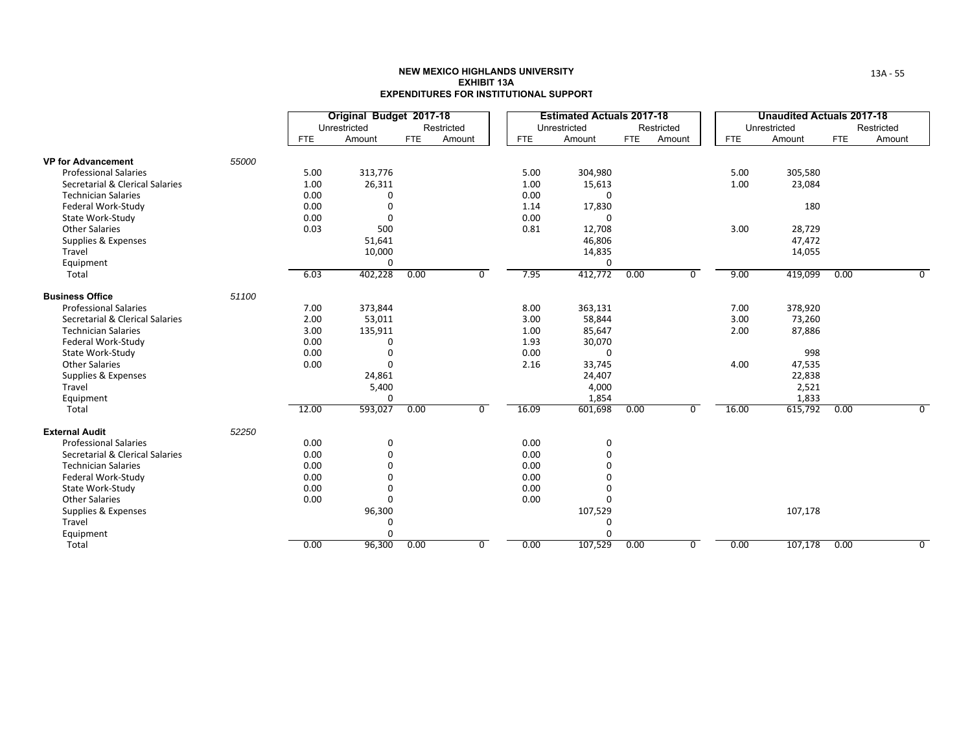|                                 |       |            | Original Budget 2017-18<br>Unrestricted |            | Restricted |            | <b>Estimated Actuals 2017-18</b><br>Unrestricted |            | Restricted     |            | <b>Unaudited Actuals 2017-18</b><br>Unrestricted |            | Restricted     |
|---------------------------------|-------|------------|-----------------------------------------|------------|------------|------------|--------------------------------------------------|------------|----------------|------------|--------------------------------------------------|------------|----------------|
|                                 |       | <b>FTE</b> | Amount                                  | <b>FTE</b> | Amount     | <b>FTE</b> | Amount                                           | <b>FTE</b> | Amount         | <b>FTE</b> | Amount                                           | <b>FTE</b> | Amount         |
| <b>VP for Advancement</b>       | 55000 |            |                                         |            |            |            |                                                  |            |                |            |                                                  |            |                |
| <b>Professional Salaries</b>    |       | 5.00       | 313,776                                 |            |            | 5.00       | 304,980                                          |            |                | 5.00       | 305,580                                          |            |                |
| Secretarial & Clerical Salaries |       | 1.00       | 26,311                                  |            |            | 1.00       | 15,613                                           |            |                | 1.00       | 23,084                                           |            |                |
| <b>Technician Salaries</b>      |       | 0.00       | 0                                       |            |            | 0.00       | $\Omega$                                         |            |                |            |                                                  |            |                |
| Federal Work-Study              |       | 0.00       | 0                                       |            |            | 1.14       | 17,830                                           |            |                |            | 180                                              |            |                |
| State Work-Study                |       | 0.00       | $\Omega$                                |            |            | 0.00       | $\Omega$                                         |            |                |            |                                                  |            |                |
| <b>Other Salaries</b>           |       | 0.03       | 500                                     |            |            | 0.81       | 12,708                                           |            |                | 3.00       | 28,729                                           |            |                |
| Supplies & Expenses             |       |            | 51,641                                  |            |            |            | 46,806                                           |            |                |            | 47,472                                           |            |                |
| Travel                          |       |            | 10,000                                  |            |            |            | 14,835                                           |            |                |            | 14,055                                           |            |                |
| Equipment                       |       |            | $\Omega$                                |            |            |            | $\Omega$                                         |            |                |            |                                                  |            |                |
| Total                           |       | 6.03       | 402,228                                 | 0.00       | $\Omega$   | 7.95       | 412,772                                          | 0.00       | 0              | 9.00       | 419,099                                          | 0.00       | 0              |
| <b>Business Office</b>          | 51100 |            |                                         |            |            |            |                                                  |            |                |            |                                                  |            |                |
| <b>Professional Salaries</b>    |       | 7.00       | 373,844                                 |            |            | 8.00       | 363,131                                          |            |                | 7.00       | 378,920                                          |            |                |
| Secretarial & Clerical Salaries |       | 2.00       | 53,011                                  |            |            | 3.00       | 58,844                                           |            |                | 3.00       | 73,260                                           |            |                |
| <b>Technician Salaries</b>      |       | 3.00       | 135,911                                 |            |            | 1.00       | 85,647                                           |            |                | 2.00       | 87,886                                           |            |                |
| Federal Work-Study              |       | 0.00       | 0                                       |            |            | 1.93       | 30,070                                           |            |                |            |                                                  |            |                |
| State Work-Study                |       | 0.00       | 0                                       |            |            | 0.00       | $\Omega$                                         |            |                |            | 998                                              |            |                |
| <b>Other Salaries</b>           |       | 0.00       | $\Omega$                                |            |            | 2.16       | 33,745                                           |            |                | 4.00       | 47,535                                           |            |                |
| Supplies & Expenses             |       |            | 24,861                                  |            |            |            | 24,407                                           |            |                |            | 22,838                                           |            |                |
| Travel                          |       |            | 5,400                                   |            |            |            | 4,000                                            |            |                |            | 2,521                                            |            |                |
| Equipment                       |       |            | $\Omega$                                |            |            |            | 1,854                                            |            |                |            | 1,833                                            |            |                |
| Total                           |       | 12.00      | 593,027                                 | 0.00       | $\Omega$   | 16.09      | 601,698                                          | 0.00       | $\mathbf 0$    | 16.00      | 615,792                                          | 0.00       | $\mathbf 0$    |
| <b>External Audit</b>           | 52250 |            |                                         |            |            |            |                                                  |            |                |            |                                                  |            |                |
| <b>Professional Salaries</b>    |       | 0.00       | 0                                       |            |            | 0.00       | 0                                                |            |                |            |                                                  |            |                |
| Secretarial & Clerical Salaries |       | 0.00       | 0                                       |            |            | 0.00       | $\Omega$                                         |            |                |            |                                                  |            |                |
| <b>Technician Salaries</b>      |       | 0.00       | ŋ                                       |            |            | 0.00       | $\Omega$                                         |            |                |            |                                                  |            |                |
| Federal Work-Study              |       | 0.00       | 0                                       |            |            | 0.00       | $\Omega$                                         |            |                |            |                                                  |            |                |
| State Work-Study                |       | 0.00       | 0                                       |            |            | 0.00       | $\Omega$                                         |            |                |            |                                                  |            |                |
| <b>Other Salaries</b>           |       | 0.00       | 0                                       |            |            | 0.00       | $\Omega$                                         |            |                |            |                                                  |            |                |
| Supplies & Expenses             |       |            | 96,300                                  |            |            |            | 107,529                                          |            |                |            | 107,178                                          |            |                |
| Travel                          |       |            | 0                                       |            |            |            | 0                                                |            |                |            |                                                  |            |                |
| Equipment                       |       |            | 0                                       |            |            |            | $\Omega$                                         |            |                |            |                                                  |            |                |
| Total                           |       | 0.00       | 96,300                                  | 0.00       | 0          | 0.00       | 107,529                                          | 0.00       | $\overline{0}$ | 0.00       | 107,178                                          | 0.00       | $\overline{0}$ |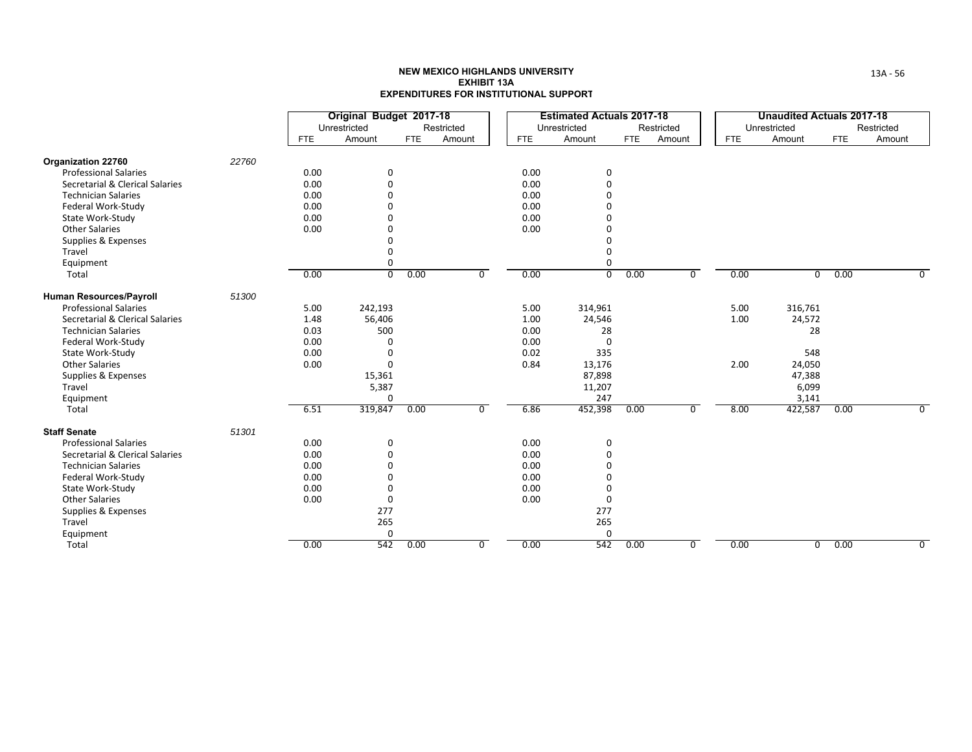|                                 |       |            | Original Budget 2017-18 |            |             |            | <b>Estimated Actuals 2017-18</b> |            |                |            | <b>Unaudited Actuals 2017-18</b> |            |                |
|---------------------------------|-------|------------|-------------------------|------------|-------------|------------|----------------------------------|------------|----------------|------------|----------------------------------|------------|----------------|
|                                 |       |            | Unrestricted            |            | Restricted  |            | Unrestricted                     |            | Restricted     |            | Unrestricted                     |            | Restricted     |
|                                 |       | <b>FTE</b> | Amount                  | <b>FTE</b> | Amount      | <b>FTE</b> | Amount                           | <b>FTE</b> | Amount         | <b>FTE</b> | Amount                           | <b>FTE</b> | Amount         |
| Organization 22760              | 22760 |            |                         |            |             |            |                                  |            |                |            |                                  |            |                |
| <b>Professional Salaries</b>    |       | 0.00       | 0                       |            |             | 0.00       | 0                                |            |                |            |                                  |            |                |
| Secretarial & Clerical Salaries |       | 0.00       | 0                       |            |             | 0.00       | $\Omega$                         |            |                |            |                                  |            |                |
| <b>Technician Salaries</b>      |       | 0.00       |                         |            |             | 0.00       | O                                |            |                |            |                                  |            |                |
| Federal Work-Study              |       | 0.00       |                         |            |             | 0.00       |                                  |            |                |            |                                  |            |                |
| State Work-Study                |       | 0.00       |                         |            |             | 0.00       |                                  |            |                |            |                                  |            |                |
| <b>Other Salaries</b>           |       | 0.00       |                         |            |             | 0.00       |                                  |            |                |            |                                  |            |                |
| Supplies & Expenses             |       |            |                         |            |             |            |                                  |            |                |            |                                  |            |                |
| Travel                          |       |            | O                       |            |             |            | O                                |            |                |            |                                  |            |                |
| Equipment                       |       |            | 0                       |            |             |            | $\Omega$                         |            |                |            |                                  |            |                |
| Total                           |       | 0.00       | $\overline{0}$          | 0.00       | 0           | 0.00       | $\overline{0}$                   | 0.00       | $\overline{0}$ | 0.00       | 0                                | 0.00       | 0              |
| Human Resources/Payroll         | 51300 |            |                         |            |             |            |                                  |            |                |            |                                  |            |                |
| <b>Professional Salaries</b>    |       | 5.00       | 242,193                 |            |             | 5.00       | 314,961                          |            |                | 5.00       | 316,761                          |            |                |
| Secretarial & Clerical Salaries |       | 1.48       | 56,406                  |            |             | 1.00       | 24,546                           |            |                | 1.00       | 24,572                           |            |                |
| <b>Technician Salaries</b>      |       | 0.03       | 500                     |            |             | 0.00       | 28                               |            |                |            | 28                               |            |                |
| Federal Work-Study              |       | 0.00       | $\Omega$                |            |             | 0.00       | $\Omega$                         |            |                |            |                                  |            |                |
| State Work-Study                |       | 0.00       | O                       |            |             | 0.02       | 335                              |            |                |            | 548                              |            |                |
| <b>Other Salaries</b>           |       | 0.00       | $\Omega$                |            |             | 0.84       | 13,176                           |            |                | 2.00       | 24,050                           |            |                |
| Supplies & Expenses             |       |            | 15,361                  |            |             |            | 87,898                           |            |                |            | 47,388                           |            |                |
| Travel                          |       |            | 5,387                   |            |             |            | 11,207                           |            |                |            | 6,099                            |            |                |
| Equipment                       |       |            | 0                       |            |             |            | 247                              |            |                |            | 3,141                            |            |                |
| Total                           |       | 6.51       | 319,847                 | 0.00       | $\mathbf 0$ | 6.86       | 452,398                          | 0.00       | $\mathbf 0$    | 8.00       | 422,587                          | 0.00       | $\overline{0}$ |
| <b>Staff Senate</b>             | 51301 |            |                         |            |             |            |                                  |            |                |            |                                  |            |                |
| <b>Professional Salaries</b>    |       | 0.00       | 0                       |            |             | 0.00       | 0                                |            |                |            |                                  |            |                |
| Secretarial & Clerical Salaries |       | 0.00       | $\Omega$                |            |             | 0.00       | $\Omega$                         |            |                |            |                                  |            |                |
| <b>Technician Salaries</b>      |       | 0.00       | 0                       |            |             | 0.00       | $\Omega$                         |            |                |            |                                  |            |                |
| Federal Work-Study              |       | 0.00       | U                       |            |             | 0.00       | $\Omega$                         |            |                |            |                                  |            |                |
| State Work-Study                |       | 0.00       | 0                       |            |             | 0.00       | $\Omega$                         |            |                |            |                                  |            |                |
| <b>Other Salaries</b>           |       | 0.00       | 0                       |            |             | 0.00       | $\mathbf 0$                      |            |                |            |                                  |            |                |
| Supplies & Expenses             |       |            | 277                     |            |             |            | 277                              |            |                |            |                                  |            |                |
| Travel                          |       |            | 265                     |            |             |            | 265                              |            |                |            |                                  |            |                |
| Equipment                       |       |            | 0                       |            |             |            | $\Omega$                         |            |                |            |                                  |            |                |
| Total                           |       | 0.00       | 542                     | 0.00       | 0           | 0.00       | 542                              | 0.00       | 0              | 0.00       | 0                                | 0.00       | 0              |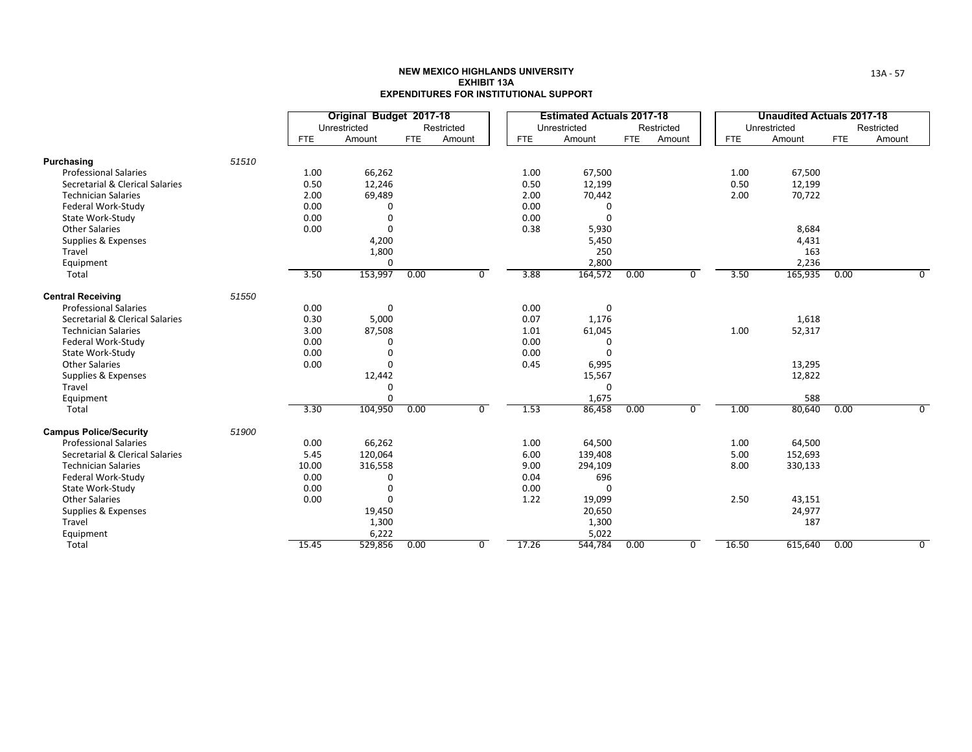|                                 |       |            | Original Budget 2017-18<br>Unrestricted |            | Restricted     |            | <b>Estimated Actuals 2017-18</b><br>Unrestricted |            | Restricted |            | <b>Unaudited Actuals 2017-18</b><br>Unrestricted |            | Restricted |
|---------------------------------|-------|------------|-----------------------------------------|------------|----------------|------------|--------------------------------------------------|------------|------------|------------|--------------------------------------------------|------------|------------|
|                                 |       | <b>FTE</b> | Amount                                  | <b>FTE</b> | Amount         | <b>FTE</b> | Amount                                           | <b>FTE</b> | Amount     | <b>FTE</b> | Amount                                           | <b>FTE</b> | Amount     |
| Purchasing                      | 51510 |            |                                         |            |                |            |                                                  |            |            |            |                                                  |            |            |
| <b>Professional Salaries</b>    |       | 1.00       | 66,262                                  |            |                | 1.00       | 67,500                                           |            |            | 1.00       | 67,500                                           |            |            |
| Secretarial & Clerical Salaries |       | 0.50       | 12,246                                  |            |                | 0.50       | 12,199                                           |            |            | 0.50       | 12,199                                           |            |            |
| <b>Technician Salaries</b>      |       | 2.00       | 69,489                                  |            |                | 2.00       | 70,442                                           |            |            | 2.00       | 70,722                                           |            |            |
| Federal Work-Study              |       | 0.00       | n                                       |            |                | 0.00       | 0                                                |            |            |            |                                                  |            |            |
| State Work-Study                |       | 0.00       | 0                                       |            |                | 0.00       | $\mathbf 0$                                      |            |            |            |                                                  |            |            |
| <b>Other Salaries</b>           |       | 0.00       | $\Omega$                                |            |                | 0.38       | 5,930                                            |            |            |            | 8,684                                            |            |            |
| Supplies & Expenses             |       |            | 4,200                                   |            |                |            | 5,450                                            |            |            |            | 4,431                                            |            |            |
| Travel                          |       |            | 1,800                                   |            |                |            | 250                                              |            |            |            | 163                                              |            |            |
| Equipment                       |       |            | 0                                       |            |                |            | 2,800                                            |            |            |            | 2,236                                            |            |            |
| Total                           |       | 3.50       | 153,997                                 | 0.00       | $\Omega$       | 3.88       | 164,572                                          | 0.00       | 0          | 3.50       | 165,935                                          | 0.00       | $\Omega$   |
| <b>Central Receiving</b>        | 51550 |            |                                         |            |                |            |                                                  |            |            |            |                                                  |            |            |
| <b>Professional Salaries</b>    |       | 0.00       | 0                                       |            |                | 0.00       | 0                                                |            |            |            |                                                  |            |            |
| Secretarial & Clerical Salaries |       | 0.30       | 5,000                                   |            |                | 0.07       | 1,176                                            |            |            |            | 1,618                                            |            |            |
| <b>Technician Salaries</b>      |       | 3.00       | 87,508                                  |            |                | 1.01       | 61,045                                           |            |            | 1.00       | 52,317                                           |            |            |
| Federal Work-Study              |       | 0.00       | 0                                       |            |                | 0.00       | 0                                                |            |            |            |                                                  |            |            |
| State Work-Study                |       | 0.00       | 0                                       |            |                | 0.00       | $\Omega$                                         |            |            |            |                                                  |            |            |
| <b>Other Salaries</b>           |       | 0.00       | 0                                       |            |                | 0.45       | 6,995                                            |            |            |            | 13,295                                           |            |            |
| Supplies & Expenses             |       |            | 12,442                                  |            |                |            | 15,567                                           |            |            |            | 12,822                                           |            |            |
| Travel                          |       |            | 0                                       |            |                |            | $\Omega$                                         |            |            |            |                                                  |            |            |
| Equipment                       |       |            | $\Omega$                                |            |                |            | 1,675                                            |            |            |            | 588                                              |            |            |
| Total                           |       | 3.30       | 104,950                                 | 0.00       | $\mathbf 0$    | 1.53       | 86,458                                           | 0.00       | $\Omega$   | 1.00       | 80,640                                           | 0.00       | $\Omega$   |
| <b>Campus Police/Security</b>   | 51900 |            |                                         |            |                |            |                                                  |            |            |            |                                                  |            |            |
| <b>Professional Salaries</b>    |       | 0.00       | 66,262                                  |            |                | 1.00       | 64,500                                           |            |            | 1.00       | 64,500                                           |            |            |
| Secretarial & Clerical Salaries |       | 5.45       | 120,064                                 |            |                | 6.00       | 139,408                                          |            |            | 5.00       | 152,693                                          |            |            |
| <b>Technician Salaries</b>      |       | 10.00      | 316,558                                 |            |                | 9.00       | 294,109                                          |            |            | 8.00       | 330,133                                          |            |            |
| Federal Work-Study              |       | 0.00       | 0                                       |            |                | 0.04       | 696                                              |            |            |            |                                                  |            |            |
| State Work-Study                |       | 0.00       | 0                                       |            |                | 0.00       | $\Omega$                                         |            |            |            |                                                  |            |            |
| <b>Other Salaries</b>           |       | 0.00       | 0                                       |            |                | 1.22       | 19,099                                           |            |            | 2.50       | 43,151                                           |            |            |
| Supplies & Expenses             |       |            | 19,450                                  |            |                |            | 20,650                                           |            |            |            | 24,977                                           |            |            |
| Travel                          |       |            | 1,300                                   |            |                |            | 1,300                                            |            |            |            | 187                                              |            |            |
| Equipment                       |       |            | 6,222                                   |            |                |            | 5,022                                            |            |            |            |                                                  |            |            |
| Total                           |       | 15.45      | 529,856                                 | 0.00       | $\overline{0}$ | 17.26      | 544,784                                          | 0.00       | 0          | 16.50      | 615,640                                          | 0.00       | 0          |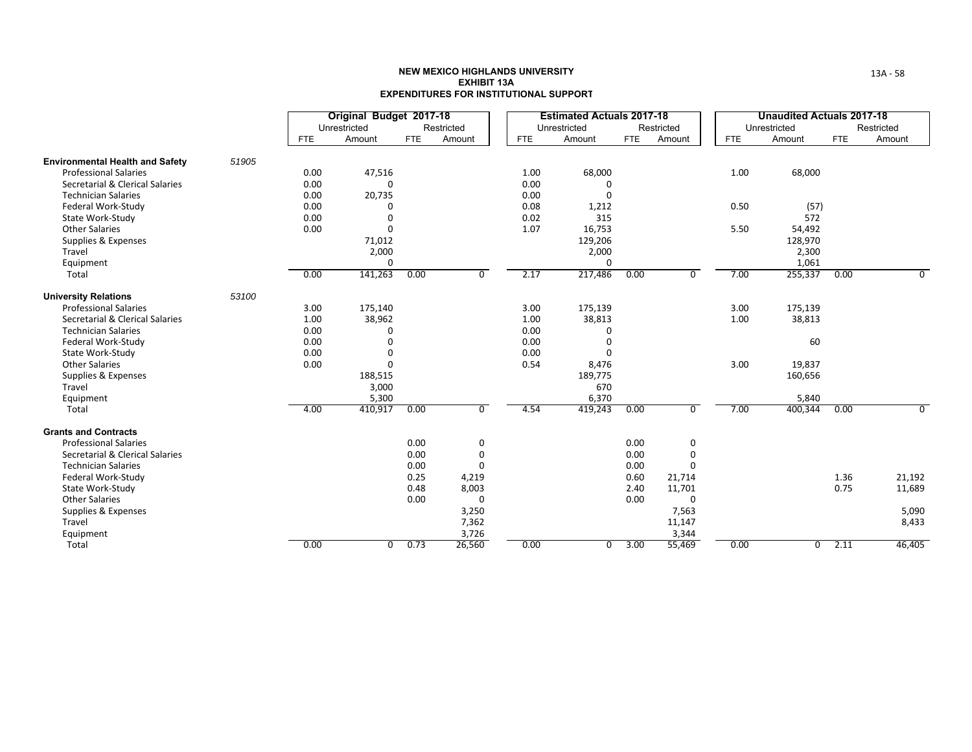|                                        |       |            | Original Budget 2017-18 |            |            |            | <b>Estimated Actuals 2017-18</b> |            |             |            | <b>Unaudited Actuals 2017-18</b> |            |            |
|----------------------------------------|-------|------------|-------------------------|------------|------------|------------|----------------------------------|------------|-------------|------------|----------------------------------|------------|------------|
|                                        |       |            | Unrestricted            |            | Restricted |            | Unrestricted                     |            | Restricted  |            | Unrestricted                     |            | Restricted |
|                                        |       | <b>FTE</b> | Amount                  | <b>FTE</b> | Amount     | <b>FTE</b> | Amount                           | <b>FTE</b> | Amount      | <b>FTE</b> | Amount                           | <b>FTE</b> | Amount     |
| <b>Environmental Health and Safety</b> | 51905 |            |                         |            |            |            |                                  |            |             |            |                                  |            |            |
| <b>Professional Salaries</b>           |       | 0.00       | 47,516                  |            |            | 1.00       | 68,000                           |            |             | 1.00       | 68,000                           |            |            |
| Secretarial & Clerical Salaries        |       | 0.00       | $\Omega$                |            |            | 0.00       | 0                                |            |             |            |                                  |            |            |
| <b>Technician Salaries</b>             |       | 0.00       | 20,735                  |            |            | 0.00       | $\Omega$                         |            |             |            |                                  |            |            |
| Federal Work-Study                     |       | 0.00       |                         |            |            | 0.08       | 1,212                            |            |             | 0.50       | (57)                             |            |            |
| State Work-Study                       |       | 0.00       |                         |            |            | 0.02       | 315                              |            |             |            | 572                              |            |            |
| <b>Other Salaries</b>                  |       | 0.00       | $\Omega$                |            |            | 1.07       | 16,753                           |            |             | 5.50       | 54,492                           |            |            |
| Supplies & Expenses                    |       |            | 71,012                  |            |            |            | 129,206                          |            |             |            | 128,970                          |            |            |
| Travel                                 |       |            | 2,000                   |            |            |            | 2,000                            |            |             |            | 2,300                            |            |            |
| Equipment                              |       |            | 0                       |            |            |            | $\Omega$                         |            |             |            | 1,061                            |            |            |
| Total                                  |       | 0.00       | 141,263                 | 0.00       | 0          | 2.17       | 217,486                          | 0.00       | $\Omega$    | 7.00       | 255,337                          | 0.00       | 0          |
| <b>University Relations</b>            | 53100 |            |                         |            |            |            |                                  |            |             |            |                                  |            |            |
| <b>Professional Salaries</b>           |       | 3.00       | 175,140                 |            |            | 3.00       | 175,139                          |            |             | 3.00       | 175,139                          |            |            |
| Secretarial & Clerical Salaries        |       | 1.00       | 38,962                  |            |            | 1.00       | 38,813                           |            |             | 1.00       | 38,813                           |            |            |
| <b>Technician Salaries</b>             |       | 0.00       | U                       |            |            | 0.00       | $\Omega$                         |            |             |            |                                  |            |            |
| Federal Work-Study                     |       | 0.00       |                         |            |            | 0.00       | 0                                |            |             |            | 60                               |            |            |
| State Work-Study                       |       | 0.00       |                         |            |            | 0.00       | $\Omega$                         |            |             |            |                                  |            |            |
| <b>Other Salaries</b>                  |       | 0.00       | $\Omega$                |            |            | 0.54       | 8,476                            |            |             | 3.00       | 19,837                           |            |            |
| Supplies & Expenses                    |       |            | 188,515                 |            |            |            | 189,775                          |            |             |            | 160,656                          |            |            |
| Travel                                 |       |            | 3,000                   |            |            |            | 670                              |            |             |            |                                  |            |            |
| Equipment                              |       |            | 5,300                   |            |            |            | 6,370                            |            |             |            | 5,840                            |            |            |
| Total                                  |       | 4.00       | 410,917                 | 0.00       | 0          | 4.54       | 419,243                          | 0.00       | $\mathbf 0$ | 7.00       | 400,344                          | 0.00       | $\Omega$   |
| <b>Grants and Contracts</b>            |       |            |                         |            |            |            |                                  |            |             |            |                                  |            |            |
| <b>Professional Salaries</b>           |       |            |                         | 0.00       | 0          |            |                                  | 0.00       | 0           |            |                                  |            |            |
| Secretarial & Clerical Salaries        |       |            |                         | 0.00       | 0          |            |                                  | 0.00       | 0           |            |                                  |            |            |
| <b>Technician Salaries</b>             |       |            |                         | 0.00       | $\Omega$   |            |                                  | 0.00       | $\Omega$    |            |                                  |            |            |
| Federal Work-Study                     |       |            |                         | 0.25       | 4,219      |            |                                  | 0.60       | 21,714      |            |                                  | 1.36       | 21,192     |
| State Work-Study                       |       |            |                         | 0.48       | 8,003      |            |                                  | 2.40       | 11,701      |            |                                  | 0.75       | 11,689     |
| <b>Other Salaries</b>                  |       |            |                         | 0.00       | $\Omega$   |            |                                  | 0.00       | $\Omega$    |            |                                  |            |            |
| Supplies & Expenses                    |       |            |                         |            | 3,250      |            |                                  |            | 7,563       |            |                                  |            | 5,090      |
| Travel                                 |       |            |                         |            | 7,362      |            |                                  |            | 11,147      |            |                                  |            | 8,433      |
| Equipment                              |       |            | $\overline{0}$          |            | 3,726      |            |                                  |            | 3,344       |            |                                  |            |            |
| Total                                  |       | 0.00       |                         | 0.73       | 26,560     | 0.00       | $\Omega$                         | 3.00       | 55,469      | 0.00       | $\overline{0}$                   | 2.11       | 46,405     |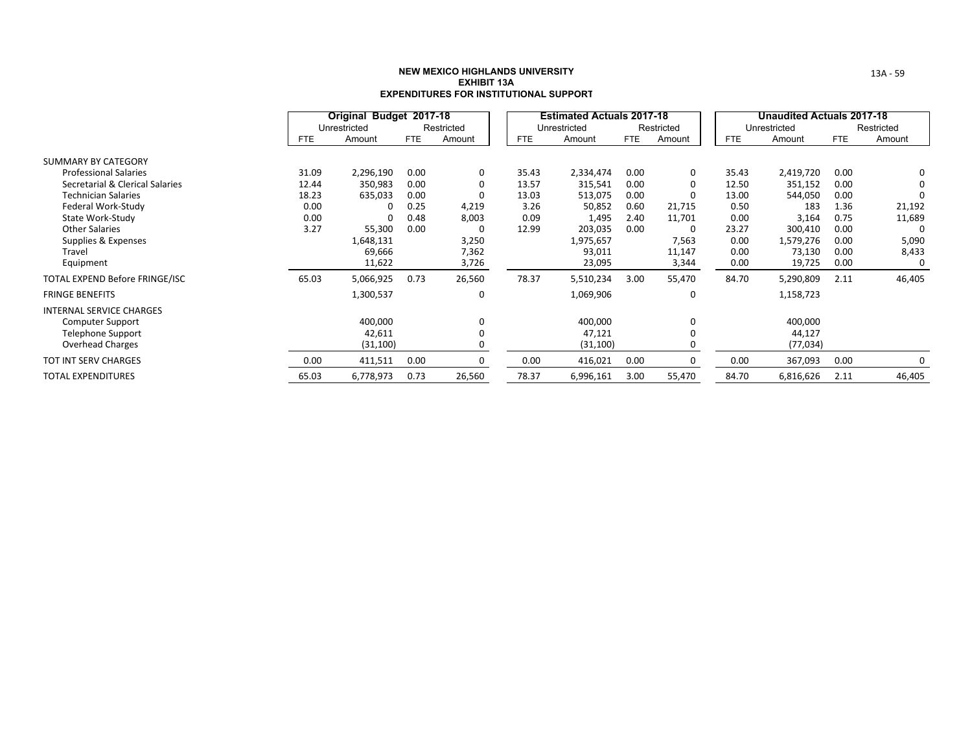|                                 |            | Original Budget 2017-18 |            |            |            | <b>Estimated Actuals 2017-18</b> |            |             |            | Unaudited Actuals 2017-18 |            |            |
|---------------------------------|------------|-------------------------|------------|------------|------------|----------------------------------|------------|-------------|------------|---------------------------|------------|------------|
|                                 |            | Unrestricted            |            | Restricted |            | Unrestricted                     |            | Restricted  |            | Unrestricted              |            | Restricted |
|                                 | <b>FTE</b> | Amount                  | <b>FTE</b> | Amount     | <b>FTE</b> | Amount                           | <b>FTE</b> | Amount      | <b>FTE</b> | Amount                    | <b>FTE</b> | Amount     |
| SUMMARY BY CATEGORY             |            |                         |            |            |            |                                  |            |             |            |                           |            |            |
| <b>Professional Salaries</b>    | 31.09      | 2,296,190               | 0.00       | 0          | 35.43      | 2,334,474                        | 0.00       | $\mathbf 0$ | 35.43      | 2,419,720                 | 0.00       | 0          |
| Secretarial & Clerical Salaries | 12.44      | 350,983                 | 0.00       | 0          | 13.57      | 315,541                          | 0.00       | 0           | 12.50      | 351,152                   | 0.00       | 0          |
| <b>Technician Salaries</b>      | 18.23      | 635,033                 | 0.00       | 0          | 13.03      | 513,075                          | 0.00       | 0           | 13.00      | 544,050                   | 0.00       |            |
| Federal Work-Study              | 0.00       | 0                       | 0.25       | 4,219      | 3.26       | 50,852                           | 0.60       | 21,715      | 0.50       | 183                       | 1.36       | 21,192     |
| State Work-Study                | 0.00       | 0                       | 0.48       | 8,003      | 0.09       | 1,495                            | 2.40       | 11,701      | 0.00       | 3,164                     | 0.75       | 11,689     |
| <b>Other Salaries</b>           | 3.27       | 55,300                  | 0.00       | 0          | 12.99      | 203,035                          | 0.00       | 0           | 23.27      | 300,410                   | 0.00       | 0          |
| Supplies & Expenses             |            | 1,648,131               |            | 3,250      |            | 1,975,657                        |            | 7,563       | 0.00       | 1,579,276                 | 0.00       | 5,090      |
| Travel                          |            | 69,666                  |            | 7,362      |            | 93,011                           |            | 11,147      | 0.00       | 73,130                    | 0.00       | 8,433      |
| Equipment                       |            | 11,622                  |            | 3,726      |            | 23,095                           |            | 3,344       | 0.00       | 19,725                    | 0.00       | 0          |
| TOTAL EXPEND Before FRINGE/ISC  | 65.03      | 5,066,925               | 0.73       | 26,560     | 78.37      | 5,510,234                        | 3.00       | 55,470      | 84.70      | 5,290,809                 | 2.11       | 46,405     |
| <b>FRINGE BENEFITS</b>          |            | 1,300,537               |            | 0          |            | 1,069,906                        |            | 0           |            | 1,158,723                 |            |            |
| <b>INTERNAL SERVICE CHARGES</b> |            |                         |            |            |            |                                  |            |             |            |                           |            |            |
| <b>Computer Support</b>         |            | 400,000                 |            | 0          |            | 400,000                          |            | 0           |            | 400,000                   |            |            |
| <b>Telephone Support</b>        |            | 42,611                  |            |            |            | 47,121                           |            | $\Omega$    |            | 44,127                    |            |            |
| <b>Overhead Charges</b>         |            | (31, 100)               |            | O          |            | (31, 100)                        |            | O           |            | (77, 034)                 |            |            |
| <b>TOT INT SERV CHARGES</b>     | 0.00       | 411,511                 | 0.00       | O          | 0.00       | 416,021                          | 0.00       | 0           | 0.00       | 367,093                   | 0.00       | 0          |
| <b>TOTAL EXPENDITURES</b>       | 65.03      | 6,778,973               | 0.73       | 26,560     | 78.37      | 6,996,161                        | 3.00       | 55,470      | 84.70      | 6,816,626                 | 2.11       | 46,405     |

13A ‐ 59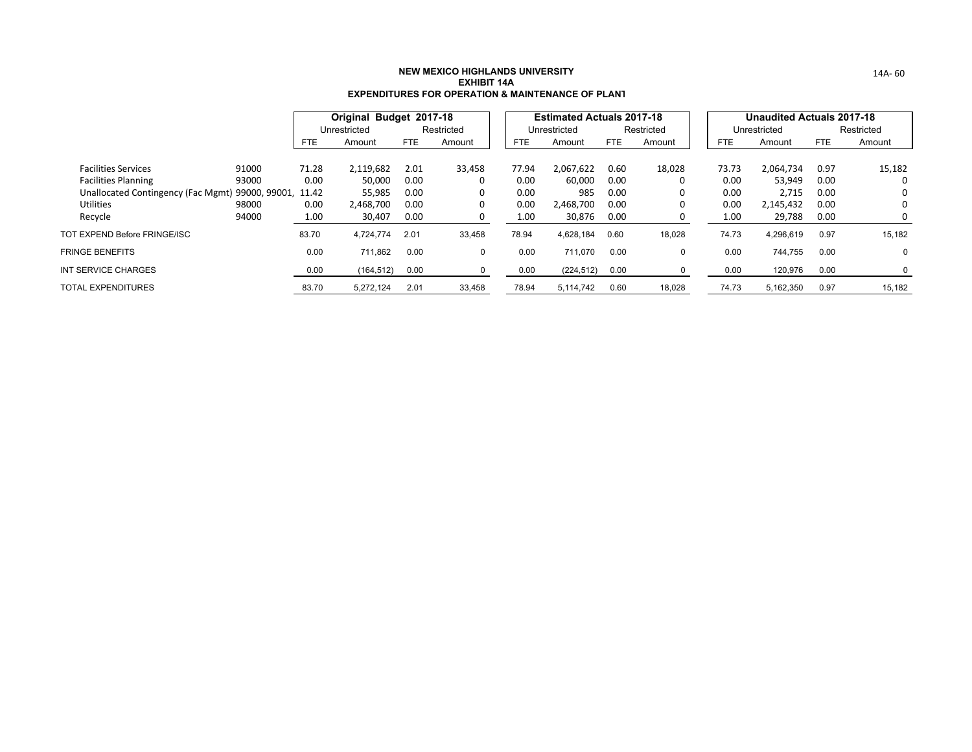|                                                        |       |            | Original Budget 2017-18 |      |              |       | <b>Estimated Actuals 2017-18</b> |            |            |       | Unaudited Actuals 2017-18 |      |            |
|--------------------------------------------------------|-------|------------|-------------------------|------|--------------|-------|----------------------------------|------------|------------|-------|---------------------------|------|------------|
|                                                        |       |            | Unrestricted            |      | Restricted   |       | Unrestricted                     |            | Restricted |       | Unrestricted              |      | Restricted |
|                                                        |       | <b>FTE</b> | Amount                  | FTE. | Amount       | FTE   | Amount                           | <b>FTE</b> | Amount     | FTE.  | Amount                    | FTE. | Amount     |
| <b>Facilities Services</b>                             | 91000 | 71.28      | 2,119,682               | 2.01 | 33,458       | 77.94 | 2,067,622                        | 0.60       | 18,028     | 73.73 | 2,064,734                 | 0.97 | 15,182     |
| <b>Facilities Planning</b>                             | 93000 | 0.00       | 50,000                  | 0.00 | 0            | 0.00  | 60,000                           | 0.00       | 0          | 0.00  | 53,949                    | 0.00 | 0          |
| Unallocated Contingency (Fac Mgmt) 99000, 99001, 11.42 |       |            | 55,985                  | 0.00 | 0            | 0.00  | 985                              | 0.00       | 0          | 0.00  | 2,715                     | 0.00 | 0          |
| <b>Utilities</b>                                       | 98000 | 0.00       | 2.468.700               | 0.00 | 0            | 0.00  | 2.468.700                        | 0.00       | 0          | 0.00  | 2,145,432                 | 0.00 | 0          |
| Recycle                                                | 94000 | 1.00       | 30,407                  | 0.00 |              | 1.00  | 30,876                           | 0.00       | 0          | 1.00  | 29,788                    | 0.00 | 0          |
| TOT EXPEND Before FRINGE/ISC                           |       | 83.70      | 4,724,774               | 2.01 | 33,458       | 78.94 | 4,628,184                        | 0.60       | 18,028     | 74.73 | 4,296,619                 | 0.97 | 15,182     |
| <b>FRINGE BENEFITS</b>                                 |       | 0.00       | 711,862                 | 0.00 | $\mathbf{0}$ | 0.00  | 711.070                          | 0.00       | 0          | 0.00  | 744,755                   | 0.00 | 0          |
| INT SERVICE CHARGES                                    |       | 0.00       | (164, 512)              | 0.00 | 0            | 0.00  | (224, 512)                       | 0.00       | 0          | 0.00  | 120,976                   | 0.00 | 0          |
| TOTAL EXPENDITURES                                     |       | 83.70      | 5,272,124               | 2.01 | 33,458       | 78.94 | 5.114.742                        | 0.60       | 18,028     | 74.73 | 5,162,350                 | 0.97 | 15,182     |

14A‐ 60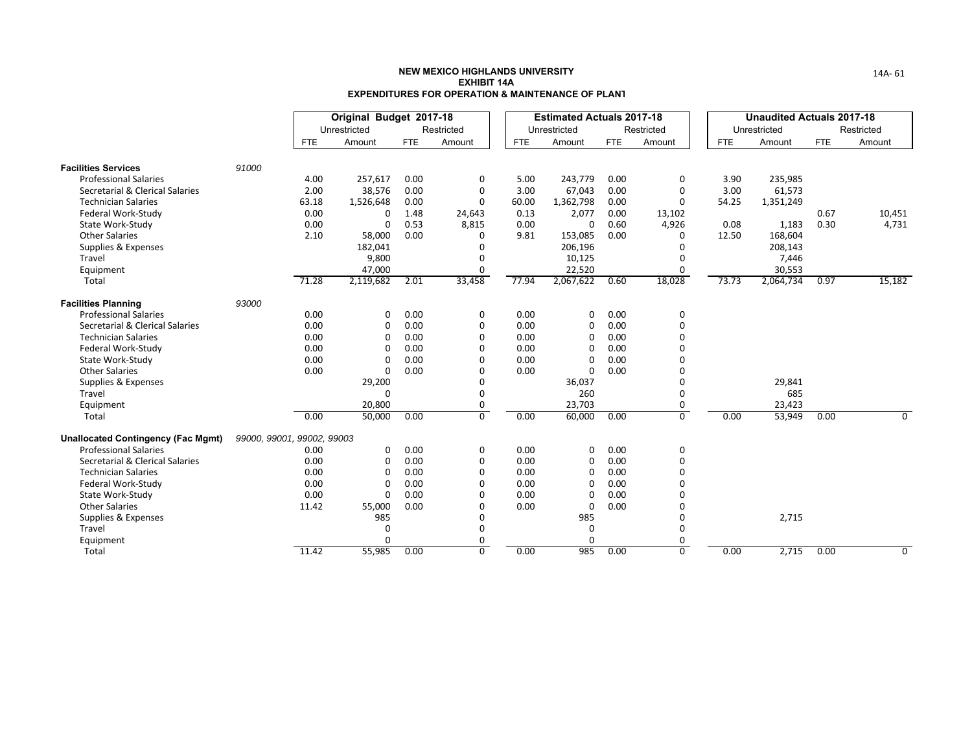|                                           |                            |       | Original Budget 2017-18 |            |                |            | <b>Estimated Actuals 2017-18</b> |            |                |            | <b>Unaudited Actuals 2017-18</b> |            |                |
|-------------------------------------------|----------------------------|-------|-------------------------|------------|----------------|------------|----------------------------------|------------|----------------|------------|----------------------------------|------------|----------------|
|                                           |                            |       | Unrestricted            |            | Restricted     |            | Unrestricted                     |            | Restricted     |            | Unrestricted                     |            | Restricted     |
|                                           |                            | FTE.  | Amount                  | <b>FTE</b> | Amount         | <b>FTE</b> | Amount                           | <b>FTE</b> | Amount         | <b>FTE</b> | Amount                           | <b>FTE</b> | Amount         |
| <b>Facilities Services</b>                | 91000                      |       |                         |            |                |            |                                  |            |                |            |                                  |            |                |
| <b>Professional Salaries</b>              |                            | 4.00  | 257,617                 | 0.00       | 0              | 5.00       | 243,779                          | 0.00       | 0              | 3.90       | 235,985                          |            |                |
| Secretarial & Clerical Salaries           |                            | 2.00  | 38,576                  | 0.00       | $\mathbf 0$    | 3.00       | 67,043                           | 0.00       | $\Omega$       | 3.00       | 61,573                           |            |                |
| <b>Technician Salaries</b>                |                            | 63.18 | 1,526,648               | 0.00       | $\Omega$       | 60.00      | 1,362,798                        | 0.00       | $\Omega$       | 54.25      | 1,351,249                        |            |                |
| Federal Work-Study                        |                            | 0.00  | 0                       | 1.48       | 24,643         | 0.13       | 2,077                            | 0.00       | 13,102         |            |                                  | 0.67       | 10,451         |
| State Work-Study                          |                            | 0.00  | 0                       | 0.53       | 8,815          | 0.00       | 0                                | 0.60       | 4,926          | 0.08       | 1,183                            | 0.30       | 4,731          |
| <b>Other Salaries</b>                     |                            | 2.10  | 58,000                  | 0.00       | 0              | 9.81       | 153,085                          | 0.00       | $\Omega$       | 12.50      | 168,604                          |            |                |
| Supplies & Expenses                       |                            |       | 182,041                 |            | 0              |            | 206,196                          |            |                |            | 208,143                          |            |                |
| Travel                                    |                            |       | 9,800                   |            | 0              |            | 10,125                           |            | $\Omega$       |            | 7,446                            |            |                |
| Equipment                                 |                            |       | 47,000                  |            | 0              |            | 22,520                           |            | $\Omega$       |            | 30,553                           |            |                |
| Total                                     |                            | 71.28 | 2,119,682               | 2.01       | 33,458         | 77.94      | 2,067,622                        | 0.60       | 18,028         | 73.73      | 2,064,734                        | 0.97       | 15,182         |
| <b>Facilities Planning</b>                | 93000                      |       |                         |            |                |            |                                  |            |                |            |                                  |            |                |
| <b>Professional Salaries</b>              |                            | 0.00  | $\Omega$                | 0.00       | 0              | 0.00       | 0                                | 0.00       | 0              |            |                                  |            |                |
| Secretarial & Clerical Salaries           |                            | 0.00  | 0                       | 0.00       | 0              | 0.00       | 0                                | 0.00       | $\Omega$       |            |                                  |            |                |
| <b>Technician Salaries</b>                |                            | 0.00  | 0                       | 0.00       | 0              | 0.00       | 0                                | 0.00       |                |            |                                  |            |                |
| Federal Work-Study                        |                            | 0.00  | 0                       | 0.00       | $\Omega$       | 0.00       | 0                                | 0.00       |                |            |                                  |            |                |
| State Work-Study                          |                            | 0.00  | 0                       | 0.00       | $\Omega$       | 0.00       | 0                                | 0.00       |                |            |                                  |            |                |
| <b>Other Salaries</b>                     |                            | 0.00  | $\Omega$                | 0.00       | $\Omega$       | 0.00       | $\Omega$                         | 0.00       |                |            |                                  |            |                |
| Supplies & Expenses                       |                            |       | 29,200                  |            | $\Omega$       |            | 36,037                           |            |                |            | 29,841                           |            |                |
| Travel                                    |                            |       | $\Omega$                |            | $\Omega$       |            | 260                              |            | $\Omega$       |            | 685                              |            |                |
| Equipment                                 |                            |       | 20,800                  |            | 0              |            | 23,703                           |            | $\mathbf 0$    |            | 23,423                           |            |                |
| Total                                     |                            | 0.00  | 50,000                  | 0.00       | $\overline{0}$ | 0.00       | 60,000                           | 0.00       | $\overline{0}$ | 0.00       | 53,949                           | 0.00       | $\overline{0}$ |
| <b>Unallocated Contingency (Fac Mgmt)</b> | 99000, 99001, 99002, 99003 |       |                         |            |                |            |                                  |            |                |            |                                  |            |                |
| <b>Professional Salaries</b>              |                            | 0.00  | 0                       | 0.00       | 0              | 0.00       | 0                                | 0.00       | 0              |            |                                  |            |                |
| Secretarial & Clerical Salaries           |                            | 0.00  | 0                       | 0.00       | $\mathbf 0$    | 0.00       | O                                | 0.00       | $\Omega$       |            |                                  |            |                |
| <b>Technician Salaries</b>                |                            | 0.00  | 0                       | 0.00       | $\Omega$       | 0.00       | O                                | 0.00       | $\Omega$       |            |                                  |            |                |
| Federal Work-Study                        |                            | 0.00  | 0                       | 0.00       | $\Omega$       | 0.00       | O                                | 0.00       |                |            |                                  |            |                |
| State Work-Study                          |                            | 0.00  | $\Omega$                | 0.00       | $\Omega$       | 0.00       | O                                | 0.00       |                |            |                                  |            |                |
| <b>Other Salaries</b>                     |                            | 11.42 | 55,000                  | 0.00       | $\Omega$       | 0.00       | 0                                | 0.00       |                |            |                                  |            |                |
| Supplies & Expenses                       |                            |       | 985                     |            | 0              |            | 985                              |            | 0              |            | 2,715                            |            |                |
| Travel                                    |                            |       | 0                       |            | 0              |            | 0                                |            | 0              |            |                                  |            |                |
| Equipment                                 |                            |       | $\Omega$                |            | 0              |            | 0                                |            | 0              |            |                                  |            |                |
| Total                                     |                            | 11.42 | 55,985                  | 0.00       | $\overline{0}$ | 0.00       | 985                              | 0.00       | $\overline{0}$ | 0.00       | 2,715                            | 0.00       | $\overline{0}$ |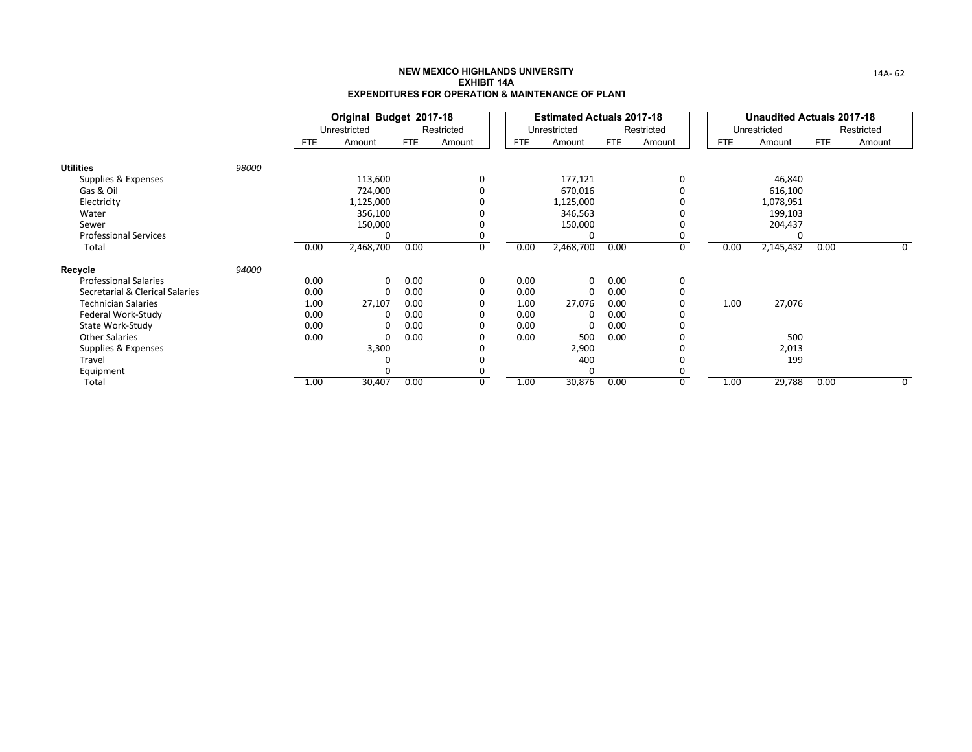|                                 |       |      | Original Budget 2017-18 |            |            |            | <b>Estimated Actuals 2017-18</b> |            |            |            |      | <b>Unaudited Actuals 2017-18</b> |            |            |
|---------------------------------|-------|------|-------------------------|------------|------------|------------|----------------------------------|------------|------------|------------|------|----------------------------------|------------|------------|
|                                 |       |      | Unrestricted            |            | Restricted |            | Unrestricted                     |            | Restricted |            |      | Unrestricted                     |            | Restricted |
|                                 |       | FTE. | Amount                  | <b>FTE</b> | Amount     | <b>FTE</b> | Amount                           | <b>FTE</b> | Amount     | <b>FTE</b> |      | Amount                           | <b>FTE</b> | Amount     |
| <b>Utilities</b>                | 98000 |      |                         |            |            |            |                                  |            |            |            |      |                                  |            |            |
| Supplies & Expenses             |       |      | 113,600                 |            | 0          |            | 177,121                          |            |            |            |      | 46,840                           |            |            |
| Gas & Oil                       |       |      | 724,000                 |            |            |            | 670,016                          |            |            |            |      | 616,100                          |            |            |
| Electricity                     |       |      | 1,125,000               |            |            |            | 1,125,000                        |            |            |            |      | 1,078,951                        |            |            |
| Water                           |       |      | 356,100                 |            |            |            | 346,563                          |            |            |            |      | 199,103                          |            |            |
| Sewer                           |       |      | 150,000                 |            |            |            | 150,000                          |            |            |            |      | 204,437                          |            |            |
| <b>Professional Services</b>    |       |      | 0                       |            |            |            | 0                                |            |            |            |      | 0                                |            |            |
| Total                           |       | 0.00 | 2,468,700               | 0.00       | 0          | 0.00       | 2,468,700                        | 0.00       | Ō          |            | 0.00 | 2,145,432                        | 0.00       | 0          |
| Recycle                         | 94000 |      |                         |            |            |            |                                  |            |            |            |      |                                  |            |            |
| <b>Professional Salaries</b>    |       | 0.00 | 0                       | 0.00       | 0          | 0.00       | 0                                | 0.00       | 0          |            |      |                                  |            |            |
| Secretarial & Clerical Salaries |       | 0.00 | 0                       | 0.00       | 0          | 0.00       | 0                                | 0.00       | 0          |            |      |                                  |            |            |
| <b>Technician Salaries</b>      |       | 1.00 | 27,107                  | 0.00       | 0          | 1.00       | 27,076                           | 0.00       |            |            | 1.00 | 27,076                           |            |            |
| Federal Work-Study              |       | 0.00 | 0                       | 0.00       | 0          | 0.00       | 0                                | 0.00       |            |            |      |                                  |            |            |
| State Work-Study                |       | 0.00 | 0                       | 0.00       | 0          | 0.00       | 0                                | 0.00       |            |            |      |                                  |            |            |
| <b>Other Salaries</b>           |       | 0.00 | 0                       | 0.00       |            | 0.00       | 500                              | 0.00       |            |            |      | 500                              |            |            |
| Supplies & Expenses             |       |      | 3,300                   |            |            |            | 2,900                            |            |            |            |      | 2,013                            |            |            |
| Travel                          |       |      | C                       |            |            |            | 400                              |            |            |            |      | 199                              |            |            |
| Equipment                       |       |      | $\Omega$                |            |            |            | 0                                |            |            |            |      |                                  |            |            |
| Total                           |       | 1.00 | 30,407                  | 0.00       | 0          | 1.00       | 30,876                           | 0.00       | 0          |            | 1.00 | 29,788                           | 0.00       | 0          |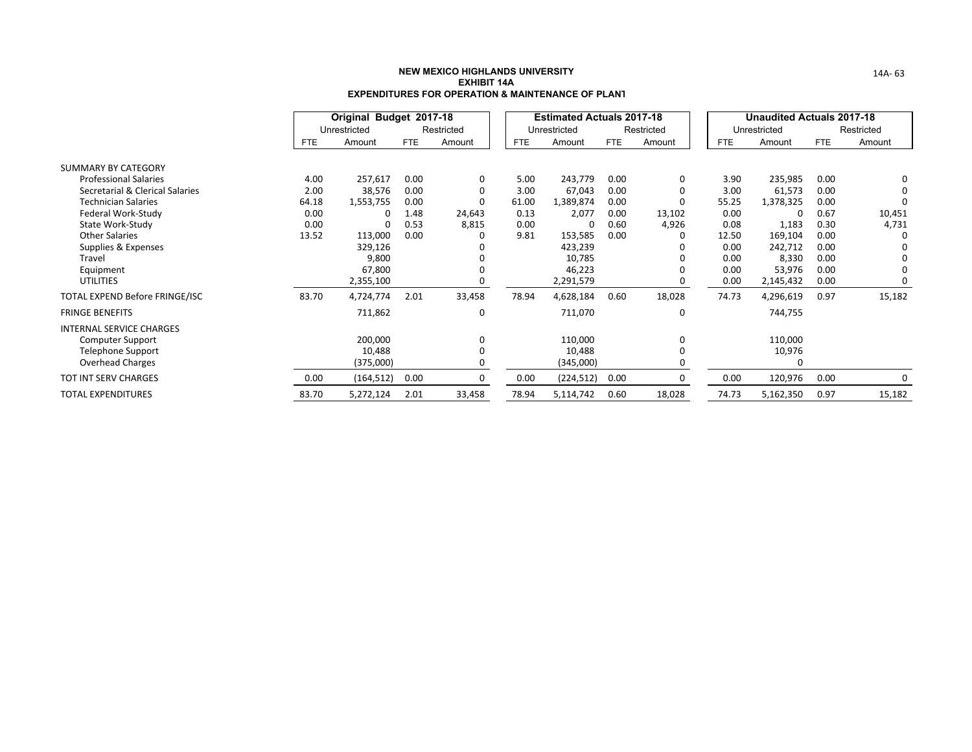|                                 |       | Original Budget 2017-18 |            |            |            | <b>Estimated Actuals 2017-18</b> |            |            |            | <b>Unaudited Actuals 2017-18</b> |            |            |
|---------------------------------|-------|-------------------------|------------|------------|------------|----------------------------------|------------|------------|------------|----------------------------------|------------|------------|
|                                 |       | Unrestricted            |            | Restricted |            | Unrestricted                     |            | Restricted |            | Unrestricted                     |            | Restricted |
|                                 | FTE.  | Amount                  | <b>FTE</b> | Amount     | <b>FTE</b> | Amount                           | <b>FTE</b> | Amount     | <b>FTE</b> | Amount                           | <b>FTE</b> | Amount     |
| SUMMARY BY CATEGORY             |       |                         |            |            |            |                                  |            |            |            |                                  |            |            |
| <b>Professional Salaries</b>    | 4.00  | 257,617                 | 0.00       | 0          | 5.00       | 243,779                          | 0.00       | 0          | 3.90       | 235,985                          | 0.00       | 0          |
| Secretarial & Clerical Salaries | 2.00  | 38,576                  | 0.00       | 0          | 3.00       | 67,043                           | 0.00       |            | 3.00       | 61,573                           | 0.00       | $\Omega$   |
| <b>Technician Salaries</b>      | 64.18 | 1,553,755               | 0.00       | 0          | 61.00      | 1,389,874                        | 0.00       |            | 55.25      | 1,378,325                        | 0.00       | 0          |
| Federal Work-Study              | 0.00  | 0                       | 1.48       | 24,643     | 0.13       | 2,077                            | 0.00       | 13,102     | 0.00       | 0                                | 0.67       | 10,451     |
| State Work-Study                | 0.00  | $\Omega$                | 0.53       | 8,815      | 0.00       | 0                                | 0.60       | 4,926      | 0.08       | 1,183                            | 0.30       | 4,731      |
| <b>Other Salaries</b>           | 13.52 | 113,000                 | 0.00       |            | 9.81       | 153,585                          | 0.00       |            | 12.50      | 169,104                          | 0.00       | - 0        |
| Supplies & Expenses             |       | 329,126                 |            |            |            | 423,239                          |            |            | 0.00       | 242,712                          | 0.00       | n          |
| Travel                          |       | 9,800                   |            |            |            | 10,785                           |            |            | 0.00       | 8,330                            | 0.00       | $\Omega$   |
| Equipment                       |       | 67,800                  |            |            |            | 46,223                           |            |            | 0.00       | 53,976                           | 0.00       | $\Omega$   |
| <b>UTILITIES</b>                |       | 2,355,100               |            |            |            | 2,291,579                        |            | 0          | 0.00       | 2,145,432                        | 0.00       | 0          |
| TOTAL EXPEND Before FRINGE/ISC  | 83.70 | 4,724,774               | 2.01       | 33,458     | 78.94      | 4,628,184                        | 0.60       | 18,028     | 74.73      | 4,296,619                        | 0.97       | 15,182     |
| <b>FRINGE BENEFITS</b>          |       | 711,862                 |            | $\Omega$   |            | 711,070                          |            | $\Omega$   |            | 744,755                          |            |            |
| <b>INTERNAL SERVICE CHARGES</b> |       |                         |            |            |            |                                  |            |            |            |                                  |            |            |
| Computer Support                |       | 200,000                 |            | $\Omega$   |            | 110,000                          |            | $\Omega$   |            | 110,000                          |            |            |
| <b>Telephone Support</b>        |       | 10,488                  |            |            |            | 10,488                           |            |            |            | 10,976                           |            |            |
| <b>Overhead Charges</b>         |       | (375,000)               |            |            |            | (345,000)                        |            |            |            | O                                |            |            |
| <b>TOT INT SERV CHARGES</b>     | 0.00  | (164, 512)              | 0.00       | 0          | 0.00       | (224, 512)                       | 0.00       | 0          | 0.00       | 120,976                          | 0.00       | 0          |
| TOTAL EXPENDITURES              | 83.70 | 5,272,124               | 2.01       | 33,458     | 78.94      | 5,114,742                        | 0.60       | 18,028     | 74.73      | 5,162,350                        | 0.97       | 15,182     |

14A‐ 63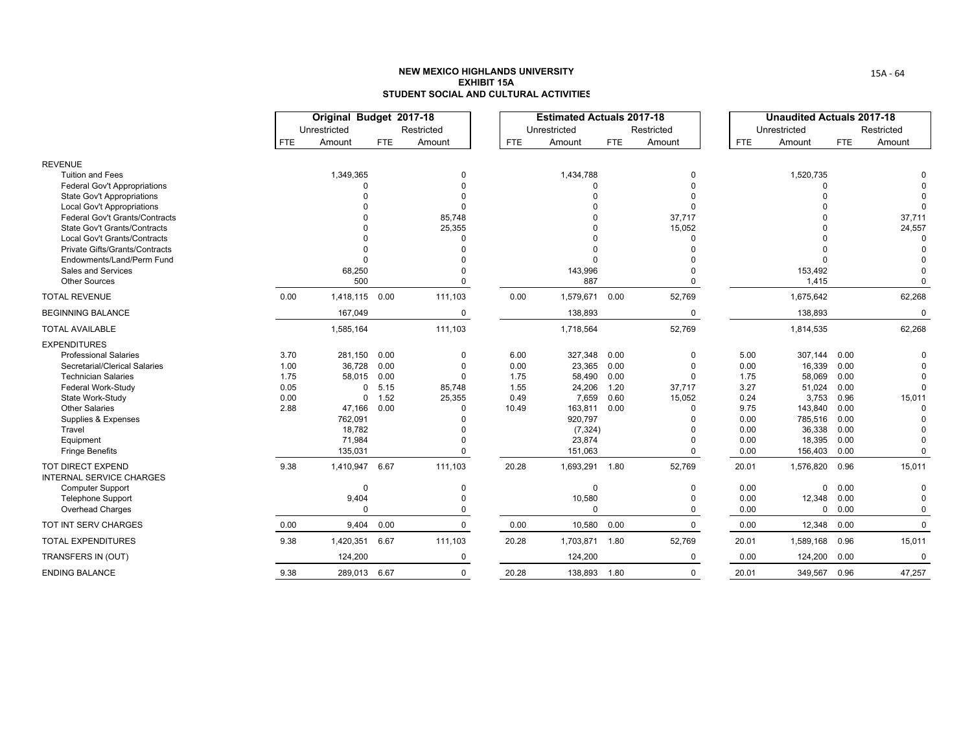|                                                             |            | Original Budget 2017-18<br>Unrestricted |            | Restricted |            | <b>Estimated Actuals 2017-18</b><br>Unrestricted |            | Restricted  |       | <b>Unaudited Actuals 2017-18</b><br>Unrestricted |            | Restricted  |
|-------------------------------------------------------------|------------|-----------------------------------------|------------|------------|------------|--------------------------------------------------|------------|-------------|-------|--------------------------------------------------|------------|-------------|
|                                                             | <b>FTE</b> | Amount                                  | <b>FTE</b> | Amount     | <b>FTE</b> | Amount                                           | <b>FTE</b> | Amount      | FTE   | Amount                                           | <b>FTE</b> | Amount      |
| <b>REVENUE</b>                                              |            |                                         |            |            |            |                                                  |            |             |       |                                                  |            |             |
| <b>Tuition and Fees</b>                                     |            | 1,349,365                               |            | 0          |            | 1,434,788                                        |            | $\Omega$    |       | 1,520,735                                        |            |             |
| <b>Federal Gov't Appropriations</b>                         |            |                                         |            |            |            | $\Omega$                                         |            |             |       | $\Omega$                                         |            |             |
| <b>State Gov't Appropriations</b>                           |            |                                         |            |            |            |                                                  |            |             |       |                                                  |            |             |
| <b>Local Gov't Appropriations</b>                           |            |                                         |            |            |            |                                                  |            |             |       |                                                  |            |             |
| <b>Federal Gov't Grants/Contracts</b>                       |            |                                         |            | 85,748     |            |                                                  |            | 37,717      |       |                                                  |            | 37,711      |
| <b>State Gov't Grants/Contracts</b>                         |            |                                         |            | 25,355     |            |                                                  |            | 15,052      |       |                                                  |            | 24,557      |
| Local Gov't Grants/Contracts                                |            |                                         |            |            |            |                                                  |            | $\Omega$    |       |                                                  |            | $\Omega$    |
| <b>Private Gifts/Grants/Contracts</b>                       |            |                                         |            |            |            |                                                  |            | $\Omega$    |       |                                                  |            | $\Omega$    |
| Endowments/Land/Perm Fund                                   |            | $\Omega$                                |            |            |            | $\Omega$                                         |            |             |       |                                                  |            |             |
| Sales and Services                                          |            | 68,250                                  |            |            |            | 143,996                                          |            |             |       | 153,492                                          |            |             |
| <b>Other Sources</b>                                        |            | 500                                     |            | 0          |            | 887                                              |            | $\Omega$    |       | 1,415                                            |            | $\Omega$    |
| <b>TOTAL REVENUE</b>                                        | 0.00       | 1,418,115                               | 0.00       | 111,103    | 0.00       | 1,579,671                                        | 0.00       | 52,769      |       | 1,675,642                                        |            | 62,268      |
| <b>BEGINNING BALANCE</b>                                    |            | 167,049                                 |            | 0          |            | 138,893                                          |            | 0           |       | 138,893                                          |            | $\mathbf 0$ |
| <b>TOTAL AVAILABLE</b>                                      |            | 1,585,164                               |            | 111,103    |            | 1,718,564                                        |            | 52,769      |       | 1,814,535                                        |            | 62,268      |
| <b>EXPENDITURES</b>                                         |            |                                         |            |            |            |                                                  |            |             |       |                                                  |            |             |
| <b>Professional Salaries</b>                                | 3.70       | 281,150                                 | 0.00       | 0          | 6.00       | 327,348                                          | 0.00       | 0           | 5.00  | 307,144                                          | 0.00       | $\Omega$    |
| Secretarial/Clerical Salaries                               | 1.00       | 36,728                                  | 0.00       | 0          | 0.00       | 23,365                                           | 0.00       | $\Omega$    | 0.00  | 16,339                                           | 0.00       |             |
| <b>Technician Salaries</b>                                  | 1.75       | 58,015                                  | 0.00       | $\Omega$   | 1.75       | 58,490                                           | 0.00       | $\Omega$    | 1.75  | 58,069                                           | 0.00       | $\Omega$    |
| Federal Work-Study                                          | 0.05       | 0                                       | 5.15       | 85,748     | 1.55       | 24,206                                           | 1.20       | 37,717      | 3.27  | 51,024                                           | 0.00       | $\Omega$    |
| State Work-Study                                            | 0.00       | $\mathbf 0$                             | 1.52       | 25,355     | 0.49       | 7,659                                            | 0.60       | 15,052      | 0.24  | 3,753                                            | 0.96       | 15,011      |
| <b>Other Salaries</b>                                       | 2.88       | 47,166                                  | 0.00       | O          | 10.49      | 163,811                                          | 0.00       | $\Omega$    | 9.75  | 143,840                                          | 0.00       | $\Omega$    |
| Supplies & Expenses                                         |            | 762,091                                 |            | U          |            | 920,797                                          |            | ŋ           | 0.00  | 785,516                                          | 0.00       | $\Omega$    |
| Travel                                                      |            | 18,782                                  |            |            |            | (7, 324)                                         |            | $\Omega$    | 0.00  | 36,338                                           | 0.00       |             |
| Equipment                                                   |            | 71,984                                  |            |            |            | 23,874                                           |            | $\Omega$    | 0.00  | 18,395                                           | 0.00       | $\Omega$    |
| <b>Fringe Benefits</b>                                      |            | 135,031                                 |            | 0          |            | 151,063                                          |            | $\Omega$    | 0.00  | 156,403                                          | 0.00       | $\mathbf 0$ |
| <b>TOT DIRECT EXPEND</b><br><b>INTERNAL SERVICE CHARGES</b> | 9.38       | 1,410,947                               | 6.67       | 111,103    | 20.28      | 1,693,291 1.80                                   |            | 52,769      | 20.01 | 1,576,820                                        | 0.96       | 15,011      |
| <b>Computer Support</b>                                     |            | $\mathbf 0$                             |            | 0          |            | $\mathbf 0$                                      |            | 0           | 0.00  | $\mathbf{0}$                                     | 0.00       | $\mathbf 0$ |
| <b>Telephone Support</b>                                    |            | 9,404                                   |            | 0          |            | 10,580                                           |            | $\Omega$    | 0.00  | 12,348                                           | 0.00       | $\Omega$    |
| Overhead Charges                                            |            | $\Omega$                                |            | 0          |            | $\Omega$                                         |            | 0           | 0.00  |                                                  | 0 0.00     | $\mathbf 0$ |
| TOT INT SERV CHARGES                                        | 0.00       | 9,404                                   | 0.00       | 0          | 0.00       | 10,580                                           | 0.00       | $\mathbf 0$ | 0.00  | 12,348                                           | 0.00       | $\mathbf 0$ |
| <b>TOTAL EXPENDITURES</b>                                   | 9.38       | 1,420,351                               | 6.67       | 111,103    | 20.28      | 1,703,871                                        | 1.80       | 52,769      | 20.01 | 1,589,168                                        | 0.96       | 15,011      |
| TRANSFERS IN (OUT)                                          |            | 124,200                                 |            | 0          |            | 124,200                                          |            | 0           | 0.00  | 124,200                                          | 0.00       | $\mathbf 0$ |
| <b>ENDING BALANCE</b>                                       | 9.38       | 289.013 6.67                            |            | 0          | 20.28      | 138,893 1.80                                     |            | $\Omega$    | 20.01 | 349,567                                          | 0.96       | 47,257      |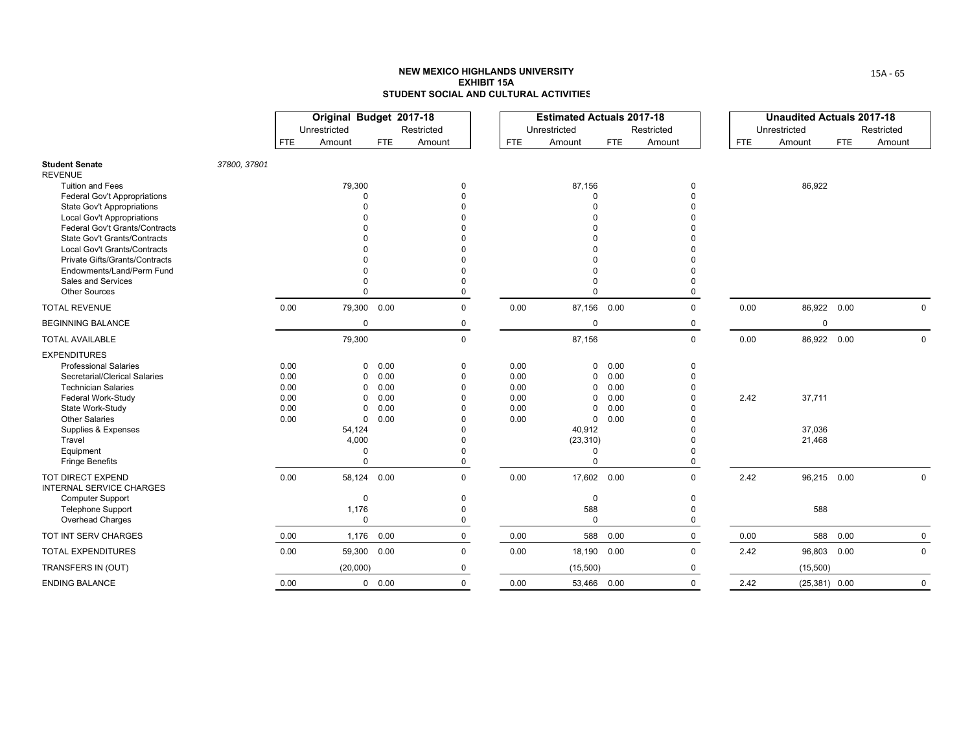|                                                                |              |            | Original Budget 2017-18 |             |              |            | <b>Estimated Actuals 2017-18</b> |            |              |            | <b>Unaudited Actuals 2017-18</b> |            |              |
|----------------------------------------------------------------|--------------|------------|-------------------------|-------------|--------------|------------|----------------------------------|------------|--------------|------------|----------------------------------|------------|--------------|
|                                                                |              |            | Unrestricted            |             | Restricted   |            | Unrestricted                     |            | Restricted   |            | Unrestricted                     |            | Restricted   |
|                                                                |              | <b>FTE</b> | Amount                  | <b>FTE</b>  | Amount       | <b>FTE</b> | Amount                           | <b>FTE</b> | Amount       | <b>FTE</b> | Amount                           | <b>FTE</b> | Amount       |
| <b>Student Senate</b><br><b>REVENUE</b>                        | 37800, 37801 |            |                         |             |              |            |                                  |            |              |            |                                  |            |              |
| <b>Tuition and Fees</b>                                        |              |            | 79,300                  |             | $\Omega$     |            | 87,156                           |            | 0            |            | 86,922                           |            |              |
| <b>Federal Gov't Appropriations</b>                            |              |            | $\Omega$                |             |              |            | $\Omega$                         |            | $\Omega$     |            |                                  |            |              |
| State Gov't Appropriations                                     |              |            |                         |             |              |            | $\Omega$                         |            |              |            |                                  |            |              |
| <b>Local Gov't Appropriations</b>                              |              |            |                         |             |              |            |                                  |            |              |            |                                  |            |              |
| Federal Gov't Grants/Contracts                                 |              |            |                         |             |              |            |                                  |            |              |            |                                  |            |              |
| State Gov't Grants/Contracts                                   |              |            |                         |             |              |            |                                  |            |              |            |                                  |            |              |
| Local Gov't Grants/Contracts<br>Private Gifts/Grants/Contracts |              |            |                         |             |              |            |                                  |            |              |            |                                  |            |              |
| Endowments/Land/Perm Fund                                      |              |            |                         |             |              |            |                                  |            |              |            |                                  |            |              |
| Sales and Services                                             |              |            |                         |             |              |            | $\Omega$                         |            |              |            |                                  |            |              |
| <b>Other Sources</b>                                           |              |            | 0                       |             | $\Omega$     |            | $\Omega$                         |            | $\Omega$     |            |                                  |            |              |
| <b>TOTAL REVENUE</b>                                           |              | 0.00       |                         | 79,300 0.00 | $\mathbf{0}$ | 0.00       | 87,156 0.00                      |            | $\mathbf 0$  | 0.00       | 86,922 0.00                      |            | $\Omega$     |
| <b>BEGINNING BALANCE</b>                                       |              |            | $\mathbf 0$             |             | 0            |            | $\mathbf 0$                      |            | 0            |            | $\mathbf 0$                      |            |              |
| <b>TOTAL AVAILABLE</b>                                         |              |            | 79,300                  |             | $\pmb{0}$    |            | 87,156                           |            | $\mathsf{O}$ | 0.00       | 86,922 0.00                      |            | $\mathbf 0$  |
| <b>EXPENDITURES</b>                                            |              |            |                         |             |              |            |                                  |            |              |            |                                  |            |              |
| <b>Professional Salaries</b>                                   |              | 0.00       | $\mathbf 0$             | 0.00        | $\Omega$     | 0.00       | $\mathbf 0$                      | 0.00       | 0            |            |                                  |            |              |
| Secretarial/Clerical Salaries                                  |              | 0.00       | 0                       | 0.00        | $\Omega$     | 0.00       | $\mathbf 0$                      | 0.00       | $\Omega$     |            |                                  |            |              |
| <b>Technician Salaries</b>                                     |              | 0.00       | 0                       | 0.00        | $\Omega$     | 0.00       | 0                                | 0.00       |              |            |                                  |            |              |
| Federal Work-Study                                             |              | 0.00       | $\Omega$                | 0.00        |              | 0.00       | $\mathbf 0$                      | 0.00       |              | 2.42       | 37,711                           |            |              |
| State Work-Study                                               |              | 0.00       | 0                       | 0.00        |              | 0.00       | $\mathbf 0$                      | 0.00       |              |            |                                  |            |              |
| <b>Other Salaries</b>                                          |              | 0.00       | $\mathbf 0$             | 0.00        |              | 0.00       | $\mathbf 0$                      | 0.00       |              |            |                                  |            |              |
| Supplies & Expenses                                            |              |            | 54,124                  |             |              |            | 40,912                           |            |              |            | 37,036                           |            |              |
| Travel<br>Equipment                                            |              |            | 4,000<br>$\Omega$       |             |              |            | (23, 310)<br>$\Omega$            |            |              |            | 21,468                           |            |              |
| <b>Fringe Benefits</b>                                         |              |            | 0                       |             | $\Omega$     |            | $\Omega$                         |            | 0            |            |                                  |            |              |
| TOT DIRECT EXPEND<br><b>INTERNAL SERVICE CHARGES</b>           |              | 0.00       |                         | 58,124 0.00 | $\Omega$     | 0.00       | 17,602 0.00                      |            | $\Omega$     | 2.42       | 96,215 0.00                      |            | $\mathbf 0$  |
| <b>Computer Support</b>                                        |              |            | $\mathbf 0$             |             | $\Omega$     |            | $\mathbf 0$                      |            | $\mathbf 0$  |            |                                  |            |              |
| <b>Telephone Support</b>                                       |              |            | 1,176                   |             | $\Omega$     |            | 588                              |            | $\Omega$     |            | 588                              |            |              |
| Overhead Charges                                               |              |            | $\mathbf 0$             |             | 0            |            | $\mathbf 0$                      |            | $\mathbf 0$  |            |                                  |            |              |
| TOT INT SERV CHARGES                                           |              | 0.00       | 1,176                   | 0.00        | 0            | 0.00       | 588                              | 0.00       | $\mathbf 0$  | 0.00       |                                  | 588 0.00   | $\mathbf{0}$ |
| <b>TOTAL EXPENDITURES</b>                                      |              | 0.00       | 59,300                  | 0.00        | $\mathbf{0}$ | 0.00       | 18,190                           | 0.00       | $\Omega$     | 2.42       | 96,803 0.00                      |            | $\Omega$     |
| TRANSFERS IN (OUT)                                             |              |            | (20,000)                |             | 0            |            | (15,500)                         |            | $\Omega$     |            | (15,500)                         |            |              |
| <b>ENDING BALANCE</b>                                          |              | 0.00       |                         | 0 0.00      | $\mathbf{0}$ | 0.00       | 53,466 0.00                      |            | $\Omega$     | 2.42       | $(25,381)$ 0.00                  |            | $\mathbf 0$  |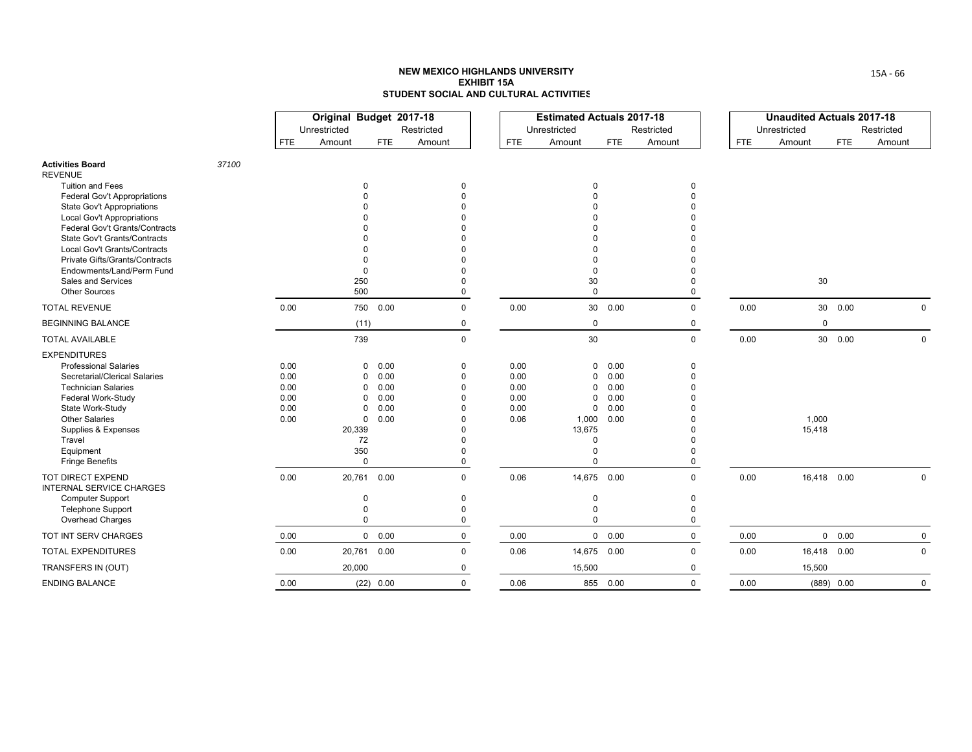|                                                                                                                    |       |                      | Original Budget 2017-18<br>Unrestricted |                                            | Restricted                       |                      | <b>Estimated Actuals 2017-18</b><br>Unrestricted |                      | Restricted           |            | <b>Unaudited Actuals 2017-18</b><br>Unrestricted |            | Restricted  |
|--------------------------------------------------------------------------------------------------------------------|-------|----------------------|-----------------------------------------|--------------------------------------------|----------------------------------|----------------------|--------------------------------------------------|----------------------|----------------------|------------|--------------------------------------------------|------------|-------------|
|                                                                                                                    |       | <b>FTE</b>           | Amount                                  | <b>FTE</b>                                 | Amount                           | <b>FTE</b>           | Amount                                           | FTE                  | Amount               | <b>FTE</b> | Amount                                           | <b>FTE</b> | Amount      |
| <b>Activities Board</b><br><b>REVENUE</b>                                                                          | 37100 |                      |                                         |                                            |                                  |                      |                                                  |                      |                      |            |                                                  |            |             |
| <b>Tuition and Fees</b><br><b>Federal Gov't Appropriations</b>                                                     |       |                      | 0                                       |                                            | 0                                |                      | $\Omega$                                         |                      | 0                    |            |                                                  |            |             |
| <b>State Gov't Appropriations</b><br><b>Local Gov't Appropriations</b>                                             |       |                      |                                         |                                            |                                  |                      |                                                  |                      |                      |            |                                                  |            |             |
| Federal Gov't Grants/Contracts<br><b>State Gov't Grants/Contracts</b>                                              |       |                      |                                         |                                            |                                  |                      |                                                  |                      |                      |            |                                                  |            |             |
| Local Gov't Grants/Contracts<br><b>Private Gifts/Grants/Contracts</b>                                              |       |                      |                                         |                                            |                                  |                      |                                                  |                      |                      |            |                                                  |            |             |
| Endowments/Land/Perm Fund<br>Sales and Services                                                                    |       |                      | $\Omega$<br>250                         |                                            | $\Omega$                         |                      | 30                                               |                      |                      |            | 30                                               |            |             |
| <b>Other Sources</b><br><b>TOTAL REVENUE</b>                                                                       |       | 0.00                 | 500                                     | 750 0.00                                   | $\Omega$<br>$\mathbf 0$          | 0.00                 | $\Omega$                                         | 30  0.00             | $\Omega$<br>$\Omega$ | 0.00       |                                                  | 30  0.00   | $\Omega$    |
| <b>BEGINNING BALANCE</b>                                                                                           |       |                      | (11)                                    |                                            | 0                                |                      | 0                                                |                      | 0                    |            | $\mathbf 0$                                      |            |             |
| <b>TOTAL AVAILABLE</b>                                                                                             |       |                      | 739                                     |                                            | $\mathbf 0$                      |                      | 30                                               |                      | $\mathbf{0}$         | 0.00       |                                                  | 30  0.00   | $\Omega$    |
| <b>EXPENDITURES</b><br><b>Professional Salaries</b><br>Secretarial/Clerical Salaries<br><b>Technician Salaries</b> |       | 0.00<br>0.00<br>0.00 |                                         | 0.00<br>0<br>0.00<br>0<br>0.00<br>$\Omega$ | 0<br>0<br>$\Omega$               | 0.00<br>0.00<br>0.00 | 0<br>$\Omega$<br>$\Omega$                        | 0.00<br>0.00<br>0.00 | 0<br>$\Omega$        |            |                                                  |            |             |
| Federal Work-Study<br>State Work-Study<br><b>Other Salaries</b><br>Supplies & Expenses                             |       | 0.00<br>0.00<br>0.00 | $\Omega$<br>20,339                      | 0.00<br>$\Omega$<br>0.00<br>0.00<br>0      | $\Omega$<br>$\Omega$<br>U        | 0.00<br>0.00<br>0.06 | $\Omega$<br>$\Omega$<br>1,000<br>13,675          | 0.00<br>0.00<br>0.00 |                      |            | 1,000<br>15,418                                  |            |             |
| Travel<br>Equipment<br><b>Fringe Benefits</b>                                                                      |       |                      | 72<br>350                               | $\mathbf 0$                                | $\Omega$<br>0                    |                      | $\Omega$<br>$\Omega$<br>$\Omega$                 |                      | $\Omega$             |            |                                                  |            |             |
| <b>TOT DIRECT EXPEND</b><br><b>INTERNAL SERVICE CHARGES</b>                                                        |       | 0.00                 | 20,761                                  | 0.00                                       | $\Omega$                         | 0.06                 | 14,675 0.00                                      |                      | $\Omega$             | 0.00       | 16,418 0.00                                      |            | $\mathbf 0$ |
| <b>Computer Support</b><br><b>Telephone Support</b><br>Overhead Charges                                            |       |                      | $\Omega$<br>$\Omega$                    | $\mathbf 0$                                | $\mathbf{0}$<br>0<br>$\mathbf 0$ |                      | $\Omega$<br>$\Omega$<br>$\Omega$                 |                      | 0<br>$\Omega$<br>0   |            |                                                  |            |             |
| TOT INT SERV CHARGES                                                                                               |       | 0.00                 |                                         | $0\quad 0.00$                              | $\mathbf 0$                      | 0.00                 |                                                  | 0 0.00               | $\mathbf 0$          | 0.00       |                                                  | 0 0.00     | $\mathbf 0$ |
| <b>TOTAL EXPENDITURES</b>                                                                                          |       | 0.00                 | 20,761                                  | 0.00                                       | $\mathbf 0$                      | 0.06                 | 14,675 0.00                                      |                      | $\Omega$             | 0.00       | 16,418 0.00                                      |            | $\mathbf 0$ |
| TRANSFERS IN (OUT)                                                                                                 |       |                      | 20,000                                  |                                            | 0                                |                      | 15,500                                           |                      | 0                    |            | 15,500                                           |            |             |
| <b>ENDING BALANCE</b>                                                                                              |       | 0.00                 |                                         | (22) 0.00                                  | $\Omega$                         | 0.06                 |                                                  | 855 0.00             | $\Omega$             | 0.00       |                                                  | (889) 0.00 | $\mathbf 0$ |

15A ‐ 66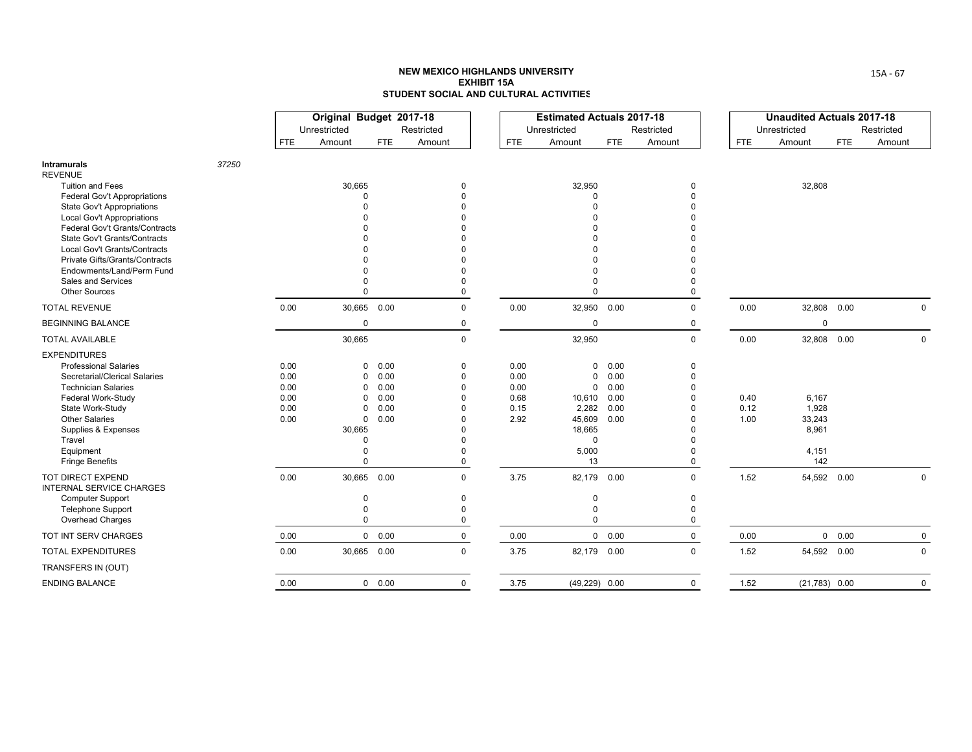|                                                                                                                                                                                                                                                                                                                                        |       |                                              | Original Budget 2017-18<br>Unrestricted                              |                                              | Restricted                                                                |                                              | <b>Estimated Actuals 2017-18</b><br>Unrestricted                                           |                                              | Restricted                                         |                      | <b>Unaudited Actuals 2017-18</b><br>Unrestricted  |            | Restricted  |
|----------------------------------------------------------------------------------------------------------------------------------------------------------------------------------------------------------------------------------------------------------------------------------------------------------------------------------------|-------|----------------------------------------------|----------------------------------------------------------------------|----------------------------------------------|---------------------------------------------------------------------------|----------------------------------------------|--------------------------------------------------------------------------------------------|----------------------------------------------|----------------------------------------------------|----------------------|---------------------------------------------------|------------|-------------|
|                                                                                                                                                                                                                                                                                                                                        |       | <b>FTE</b>                                   | Amount                                                               | <b>FTE</b>                                   | Amount                                                                    | <b>FTE</b>                                   | Amount                                                                                     | FTE                                          | Amount                                             | <b>FTE</b>           | Amount                                            | <b>FTE</b> | Amount      |
| <b>Intramurals</b><br><b>REVENUE</b>                                                                                                                                                                                                                                                                                                   | 37250 |                                              |                                                                      |                                              |                                                                           |                                              |                                                                                            |                                              |                                                    |                      |                                                   |            |             |
| <b>Tuition and Fees</b><br><b>Federal Gov't Appropriations</b><br><b>State Gov't Appropriations</b><br><b>Local Gov't Appropriations</b><br>Federal Gov't Grants/Contracts<br>State Gov't Grants/Contracts<br>Local Gov't Grants/Contracts<br><b>Private Gifts/Grants/Contracts</b><br>Endowments/Land/Perm Fund<br>Sales and Services |       |                                              | 30,665<br>$\Omega$                                                   |                                              | $\Omega$                                                                  |                                              | 32,950<br>$\Omega$<br>$\Omega$<br>0                                                        |                                              | 0<br>$\Omega$<br>0                                 |                      | 32,808                                            |            |             |
| <b>Other Sources</b>                                                                                                                                                                                                                                                                                                                   |       |                                              | $\Omega$                                                             |                                              | $\Omega$                                                                  |                                              | $\Omega$                                                                                   |                                              | $\Omega$                                           |                      |                                                   |            |             |
| <b>TOTAL REVENUE</b>                                                                                                                                                                                                                                                                                                                   |       | 0.00                                         | 30,665                                                               | 0.00                                         | $\mathbf 0$                                                               | 0.00                                         | 32,950                                                                                     | 0.00                                         | $\mathbf 0$                                        | 0.00                 | 32,808                                            | 0.00       | $\Omega$    |
| <b>BEGINNING BALANCE</b>                                                                                                                                                                                                                                                                                                               |       |                                              | $\mathbf 0$                                                          |                                              | 0                                                                         |                                              | $\mathbf 0$                                                                                |                                              | 0                                                  |                      | 0                                                 |            |             |
| <b>TOTAL AVAILABLE</b>                                                                                                                                                                                                                                                                                                                 |       |                                              | 30,665                                                               |                                              | $\mathbf 0$                                                               |                                              | 32,950                                                                                     |                                              | $\mathbf 0$                                        | 0.00                 | 32,808 0.00                                       |            | $\mathbf 0$ |
| <b>EXPENDITURES</b><br><b>Professional Salaries</b><br>Secretarial/Clerical Salaries<br><b>Technician Salaries</b><br>Federal Work-Study<br>State Work-Study<br><b>Other Salaries</b><br>Supplies & Expenses<br>Travel<br>Equipment<br><b>Fringe Benefits</b>                                                                          |       | 0.00<br>0.00<br>0.00<br>0.00<br>0.00<br>0.00 | 0<br>0<br>0<br>0<br>0<br>$\mathbf 0$<br>30,665<br>$\Omega$<br>0<br>0 | 0.00<br>0.00<br>0.00<br>0.00<br>0.00<br>0.00 | $\Omega$<br>$\Omega$<br>$\Omega$<br>$\Omega$<br>$\Omega$<br>$\Omega$<br>0 | 0.00<br>0.00<br>0.00<br>0.68<br>0.15<br>2.92 | 0<br>0<br>$\mathbf 0$<br>10,610<br>2,282<br>45,609<br>18,665<br>$\mathbf 0$<br>5,000<br>13 | 0.00<br>0.00<br>0.00<br>0.00<br>0.00<br>0.00 | 0<br>$\Omega$<br>O<br>$\Omega$                     | 0.40<br>0.12<br>1.00 | 6,167<br>1,928<br>33,243<br>8,961<br>4,151<br>142 |            |             |
| TOT DIRECT EXPEND<br><b>INTERNAL SERVICE CHARGES</b><br><b>Computer Support</b><br><b>Telephone Support</b><br>Overhead Charges                                                                                                                                                                                                        |       | 0.00                                         | 30,665<br>$\mathbf 0$<br>$\mathbf 0$<br>$\Omega$                     | 0.00                                         | $\Omega$<br>$\Omega$<br>$\Omega$<br>0                                     | 3.75                                         | 82,179 0.00<br>0<br>0<br>$\Omega$                                                          |                                              | $\Omega$<br>$\mathbf 0$<br>$\Omega$<br>$\mathbf 0$ | 1.52                 | 54,592 0.00                                       |            | $\Omega$    |
| TOT INT SERV CHARGES                                                                                                                                                                                                                                                                                                                   |       | 0.00                                         |                                                                      | $\mathbf 0$<br>0.00                          | $\mathbf 0$                                                               | 0.00                                         |                                                                                            | $0\quad 0.00$                                | $\mathbf 0$                                        | 0.00                 |                                                   | 0 0.00     | $\mathbf 0$ |
| <b>TOTAL EXPENDITURES</b>                                                                                                                                                                                                                                                                                                              |       | 0.00                                         |                                                                      | 30,665 0.00                                  | $\mathbf{0}$                                                              | 3.75                                         | 82,179 0.00                                                                                |                                              | $\Omega$                                           | 1.52                 | 54,592 0.00                                       |            | $\mathbf 0$ |
| TRANSFERS IN (OUT)                                                                                                                                                                                                                                                                                                                     |       |                                              |                                                                      |                                              |                                                                           |                                              |                                                                                            |                                              |                                                    |                      |                                                   |            |             |
| <b>ENDING BALANCE</b>                                                                                                                                                                                                                                                                                                                  |       | 0.00                                         |                                                                      | $0\quad 0.00$                                | $\mathbf 0$                                                               | 3.75                                         | $(49,229)$ 0.00                                                                            |                                              | $\mathbf 0$                                        | 1.52                 | $(21,783)$ 0.00                                   |            | $\mathbf 0$ |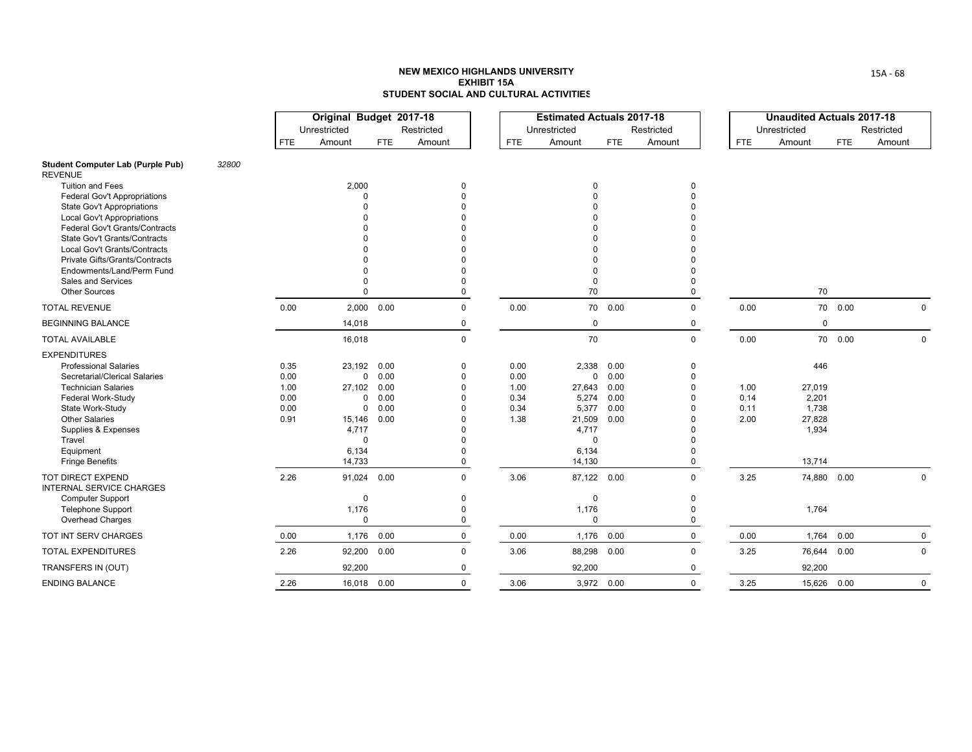|                                                                                                                                                                                                                                                               |       |                                              | Original Budget 2017-18<br>Unrestricted                            |                                                                                 | Restricted                                                       |                                              | <b>Estimated Actuals 2017-18</b><br>Unrestricted                                                   |                                              | Restricted                     |                              | <b>Unaudited Actuals 2017-18</b><br>Unrestricted             |            | Restricted  |
|---------------------------------------------------------------------------------------------------------------------------------------------------------------------------------------------------------------------------------------------------------------|-------|----------------------------------------------|--------------------------------------------------------------------|---------------------------------------------------------------------------------|------------------------------------------------------------------|----------------------------------------------|----------------------------------------------------------------------------------------------------|----------------------------------------------|--------------------------------|------------------------------|--------------------------------------------------------------|------------|-------------|
|                                                                                                                                                                                                                                                               |       | <b>FTE</b>                                   | Amount                                                             | FTE.                                                                            | Amount                                                           | <b>FTE</b>                                   | Amount                                                                                             | <b>FTE</b>                                   | Amount                         | <b>FTE</b>                   | Amount                                                       | <b>FTE</b> | Amount      |
| <b>Student Computer Lab (Purple Pub)</b><br><b>REVENUE</b>                                                                                                                                                                                                    | 32800 |                                              |                                                                    |                                                                                 |                                                                  |                                              |                                                                                                    |                                              |                                |                              |                                                              |            |             |
| <b>Tuition and Fees</b><br><b>Federal Gov't Appropriations</b><br><b>State Gov't Appropriations</b><br><b>Local Gov't Appropriations</b><br>Federal Gov't Grants/Contracts<br><b>State Gov't Grants/Contracts</b><br>Local Gov't Grants/Contracts             |       |                                              | 2,000<br>$\Omega$                                                  |                                                                                 | 0                                                                |                                              | <sup>0</sup>                                                                                       |                                              | 0                              |                              |                                                              |            |             |
| Private Gifts/Grants/Contracts<br>Endowments/Land/Perm Fund<br>Sales and Services<br><b>Other Sources</b>                                                                                                                                                     |       |                                              | $\Omega$                                                           |                                                                                 | $\Omega$                                                         |                                              | $\Omega$<br>70                                                                                     |                                              | $\Omega$                       |                              | 70                                                           |            |             |
| <b>TOTAL REVENUE</b>                                                                                                                                                                                                                                          |       | 0.00                                         |                                                                    | 2,000 0.00                                                                      | $\mathbf 0$                                                      | 0.00                                         |                                                                                                    | 70  0.00                                     | $\Omega$                       | 0.00                         |                                                              | 70  0.00   | $\Omega$    |
| <b>BEGINNING BALANCE</b>                                                                                                                                                                                                                                      |       |                                              | 14,018                                                             |                                                                                 | $\mathbf 0$                                                      |                                              | $\mathbf 0$                                                                                        |                                              | 0                              |                              | $\mathbf 0$                                                  |            |             |
| <b>TOTAL AVAILABLE</b>                                                                                                                                                                                                                                        |       |                                              | 16,018                                                             |                                                                                 | $\mathbf 0$                                                      |                                              | 70                                                                                                 |                                              | $\mathbf 0$                    | 0.00                         |                                                              | 70  0.00   | $\Omega$    |
| <b>EXPENDITURES</b><br><b>Professional Salaries</b><br>Secretarial/Clerical Salaries<br><b>Technician Salaries</b><br>Federal Work-Study<br>State Work-Study<br><b>Other Salaries</b><br>Supplies & Expenses<br>Travel<br>Equipment<br><b>Fringe Benefits</b> |       | 0.35<br>0.00<br>1.00<br>0.00<br>0.00<br>0.91 | 23,192<br>27,102<br>15,146<br>4,717<br>$\Omega$<br>6,134<br>14,733 | 0.00<br>$\mathbf 0$<br>0.00<br>0.00<br>0.00<br>0<br>$\mathbf 0$<br>0.00<br>0.00 | 0<br>0<br>$\Omega$<br>$\Omega$<br>$\Omega$<br>U<br>$\Omega$<br>0 | 0.00<br>0.00<br>1.00<br>0.34<br>0.34<br>1.38 | 2,338<br>$\mathbf 0$<br>27,643<br>5,274<br>5,377<br>21,509<br>4,717<br>$\Omega$<br>6,134<br>14,130 | 0.00<br>0.00<br>0.00<br>0.00<br>0.00<br>0.00 | 0<br>$\Omega$                  | 1.00<br>0.14<br>0.11<br>2.00 | 446<br>27,019<br>2,201<br>1,738<br>27,828<br>1,934<br>13,714 |            |             |
| <b>TOT DIRECT EXPEND</b><br><b>INTERNAL SERVICE CHARGES</b><br><b>Computer Support</b><br><b>Telephone Support</b><br>Overhead Charges                                                                                                                        |       | 2.26                                         | 91,024<br>$\mathbf 0$<br>1,176<br>$\mathbf 0$                      | 0.00                                                                            | $\Omega$<br>$\mathbf{0}$<br>0<br>$\mathbf{0}$                    | 3.06                                         | 87,122 0.00<br>$\Omega$<br>1,176<br>$\Omega$                                                       |                                              | $\Omega$<br>$\Omega$<br>0<br>0 | 3.25                         | 74,880 0.00<br>1,764                                         |            | 0           |
| TOT INT SERV CHARGES                                                                                                                                                                                                                                          |       | 0.00                                         | 1,176                                                              | 0.00                                                                            | $\mathbf 0$                                                      | 0.00                                         | 1,176                                                                                              | 0.00                                         | $\mathbf 0$                    | 0.00                         | 1,764                                                        | 0.00       | $\mathbf 0$ |
| <b>TOTAL EXPENDITURES</b>                                                                                                                                                                                                                                     |       | 2.26                                         | 92,200                                                             | 0.00                                                                            | $\mathbf 0$                                                      | 3.06                                         | 88,298 0.00                                                                                        |                                              | $\Omega$                       | 3.25                         | 76,644                                                       | 0.00       | 0           |
| TRANSFERS IN (OUT)                                                                                                                                                                                                                                            |       |                                              | 92,200                                                             |                                                                                 | 0                                                                |                                              | 92,200                                                                                             |                                              | 0                              |                              | 92,200                                                       |            |             |
| <b>ENDING BALANCE</b>                                                                                                                                                                                                                                         |       | 2.26                                         |                                                                    | 16,018 0.00                                                                     | $\Omega$                                                         | 3.06                                         | 3,972 0.00                                                                                         |                                              | $\Omega$                       | 3.25                         | 15,626 0.00                                                  |            | $\Omega$    |

15A ‐ 68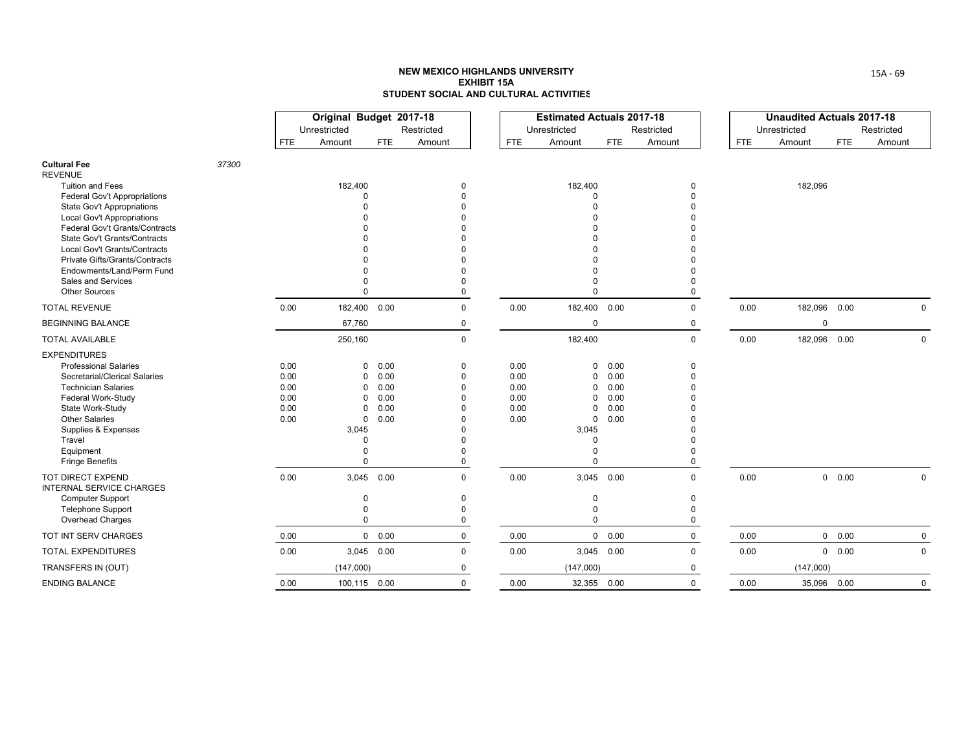|                                                                                                                                                                                                                                                                       |       |                                              | Original Budget 2017-18<br>Unrestricted                                           |                                              | Restricted                                          |                                              | <b>Estimated Actuals 2017-18</b><br>Unrestricted                                                             |                                              | Restricted                                      |            | <b>Unaudited Actuals 2017-18</b><br>Unrestricted |            | Restricted   |
|-----------------------------------------------------------------------------------------------------------------------------------------------------------------------------------------------------------------------------------------------------------------------|-------|----------------------------------------------|-----------------------------------------------------------------------------------|----------------------------------------------|-----------------------------------------------------|----------------------------------------------|--------------------------------------------------------------------------------------------------------------|----------------------------------------------|-------------------------------------------------|------------|--------------------------------------------------|------------|--------------|
|                                                                                                                                                                                                                                                                       |       | <b>FTE</b>                                   | Amount                                                                            | <b>FTE</b>                                   | Amount                                              | <b>FTE</b>                                   | Amount                                                                                                       | <b>FTE</b>                                   | Amount                                          | <b>FTE</b> | Amount                                           | <b>FTE</b> | Amount       |
| <b>Cultural Fee</b><br><b>REVENUE</b>                                                                                                                                                                                                                                 | 37300 |                                              |                                                                                   |                                              |                                                     |                                              |                                                                                                              |                                              |                                                 |            |                                                  |            |              |
| <b>Tuition and Fees</b><br>Federal Gov't Appropriations<br><b>State Gov't Appropriations</b><br><b>Local Gov't Appropriations</b><br>Federal Gov't Grants/Contracts<br>State Gov't Grants/Contracts<br>Local Gov't Grants/Contracts<br>Private Gifts/Grants/Contracts |       |                                              | 182,400<br>$\Omega$                                                               |                                              | $\Omega$                                            |                                              | 182,400<br>$\Omega$<br>$\cap$                                                                                |                                              | 0<br>$\Omega$                                   |            | 182,096                                          |            |              |
| Endowments/Land/Perm Fund<br>Sales and Services<br><b>Other Sources</b>                                                                                                                                                                                               |       |                                              |                                                                                   |                                              | $\Omega$                                            |                                              | $\Omega$                                                                                                     |                                              | $\Omega$                                        |            |                                                  |            |              |
| <b>TOTAL REVENUE</b>                                                                                                                                                                                                                                                  |       | 0.00                                         | 182,400 0.00                                                                      |                                              | $\mathbf 0$                                         | 0.00                                         | 182,400 0.00                                                                                                 |                                              | 0                                               | 0.00       | 182,096 0.00                                     |            | $\Omega$     |
| <b>BEGINNING BALANCE</b>                                                                                                                                                                                                                                              |       |                                              | 67,760                                                                            |                                              | 0                                                   |                                              | $\mathbf 0$                                                                                                  |                                              | 0                                               |            | 0                                                |            |              |
| <b>TOTAL AVAILABLE</b>                                                                                                                                                                                                                                                |       |                                              | 250,160                                                                           |                                              | $\mathbf 0$                                         |                                              | 182,400                                                                                                      |                                              | $\mathbf 0$                                     | 0.00       | 182,096 0.00                                     |            | $\mathbf 0$  |
| <b>EXPENDITURES</b><br><b>Professional Salaries</b><br>Secretarial/Clerical Salaries<br><b>Technician Salaries</b><br>Federal Work-Study<br>State Work-Study<br><b>Other Salaries</b><br>Supplies & Expenses<br>Travel<br>Equipment<br><b>Fringe Benefits</b>         |       | 0.00<br>0.00<br>0.00<br>0.00<br>0.00<br>0.00 | 0<br>0<br>$\Omega$<br>0<br>0<br>$\mathbf 0$<br>3,045<br>$\Omega$<br>0<br>$\Omega$ | 0.00<br>0.00<br>0.00<br>0.00<br>0.00<br>0.00 | $\Omega$<br>U<br>$\Omega$                           | 0.00<br>0.00<br>0.00<br>0.00<br>0.00<br>0.00 | 0<br>$\mathbf 0$<br>$\Omega$<br>$\mathbf 0$<br>0<br>$\mathbf 0$<br>3,045<br>$\Omega$<br>$\Omega$<br>$\Omega$ | 0.00<br>0.00<br>0.00<br>0.00<br>0.00<br>0.00 | 0<br>$\Omega$<br>$\Omega$                       |            |                                                  |            |              |
| TOT DIRECT EXPEND<br><b>INTERNAL SERVICE CHARGES</b><br><b>Computer Support</b><br>Telephone Support<br>Overhead Charges                                                                                                                                              |       | 0.00                                         | 3,045<br>$\Omega$<br>0<br>$\Omega$                                                | 0.00                                         | $\mathbf{0}$<br>$\Omega$<br>$\Omega$<br>$\mathbf 0$ | 0.00                                         | 3,045 0.00<br>0<br>0<br>$\Omega$                                                                             |                                              | $\mathbf 0$<br>$\Omega$<br>$\Omega$<br>$\Omega$ | 0.00       |                                                  | 0 0.00     | $\mathbf 0$  |
| TOT INT SERV CHARGES                                                                                                                                                                                                                                                  |       | 0.00                                         |                                                                                   | 0 0.00                                       | $\mathbf 0$                                         | 0.00                                         |                                                                                                              | $0\quad 0.00$                                | $\mathbf 0$                                     | 0.00       |                                                  | 0 0.00     | $\mathbf 0$  |
| <b>TOTAL EXPENDITURES</b>                                                                                                                                                                                                                                             |       | 0.00                                         |                                                                                   | 3,045 0.00                                   | $\mathbf 0$                                         | 0.00                                         | 3,045 0.00                                                                                                   |                                              | 0                                               | 0.00       |                                                  | 0 0.00     | $\mathbf{0}$ |
| TRANSFERS IN (OUT)                                                                                                                                                                                                                                                    |       |                                              | (147,000)                                                                         |                                              | 0                                                   |                                              | (147,000)                                                                                                    |                                              | 0                                               |            | (147,000)                                        |            |              |
| <b>ENDING BALANCE</b>                                                                                                                                                                                                                                                 |       | 0.00                                         | 100,115 0.00                                                                      |                                              | $\mathbf{0}$                                        | 0.00                                         | 32,355 0.00                                                                                                  |                                              | $\Omega$                                        | 0.00       | 35,096 0.00                                      |            | $\Omega$     |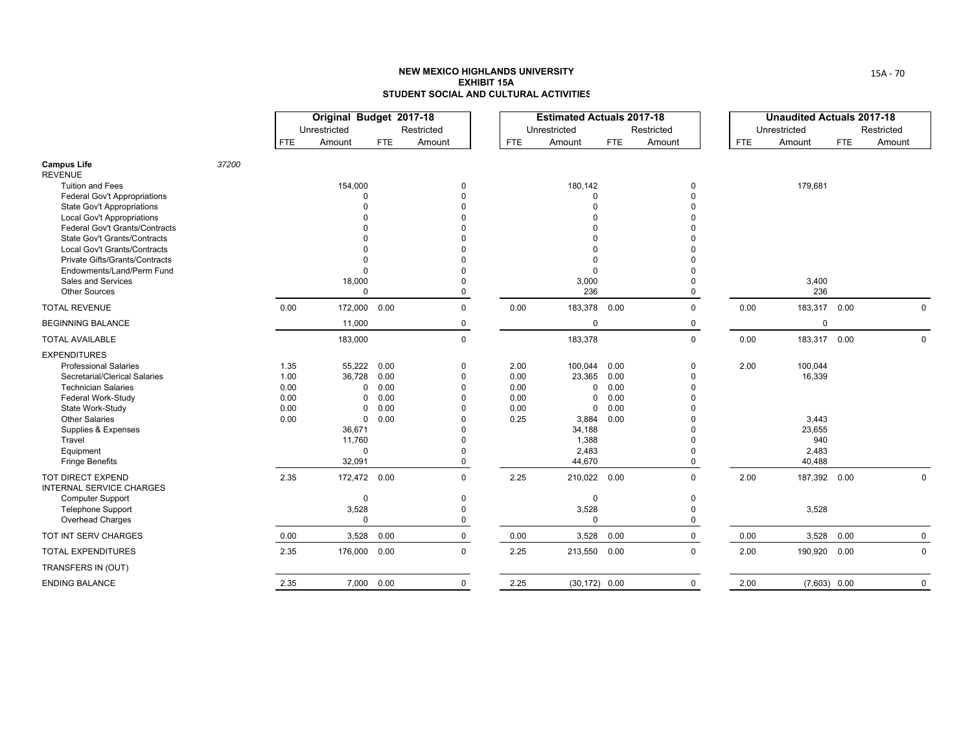|                                                                                                                                                                                                                                                               |       |                                              | Original Budget 2017-18<br>Unrestricted                                                                           |                                              | Restricted                                                                                                       |                                              | <b>Estimated Actuals 2017-18</b><br>Unrestricted                                                    |                                              | Restricted                            |      | <b>Unaudited Actuals 2017-18</b><br>Unrestricted               |            | Restricted   |
|---------------------------------------------------------------------------------------------------------------------------------------------------------------------------------------------------------------------------------------------------------------|-------|----------------------------------------------|-------------------------------------------------------------------------------------------------------------------|----------------------------------------------|------------------------------------------------------------------------------------------------------------------|----------------------------------------------|-----------------------------------------------------------------------------------------------------|----------------------------------------------|---------------------------------------|------|----------------------------------------------------------------|------------|--------------|
|                                                                                                                                                                                                                                                               |       | <b>FTE</b>                                   | Amount                                                                                                            | FTE.                                         | Amount                                                                                                           | <b>FTE</b>                                   | Amount                                                                                              | FTE                                          | Amount                                | FTE  | Amount                                                         | <b>FTE</b> | Amount       |
| <b>Campus Life</b><br><b>REVENUE</b>                                                                                                                                                                                                                          | 37200 |                                              |                                                                                                                   |                                              |                                                                                                                  |                                              |                                                                                                     |                                              |                                       |      |                                                                |            |              |
| <b>Tuition and Fees</b><br><b>Federal Gov't Appropriations</b><br><b>State Gov't Appropriations</b><br><b>Local Gov't Appropriations</b><br>Federal Gov't Grants/Contracts<br>State Gov't Grants/Contracts<br><b>Local Gov't Grants/Contracts</b>             |       |                                              | 154,000<br>$\Omega$                                                                                               |                                              | 0<br>$\Omega$<br><sup>0</sup>                                                                                    |                                              | 180,142<br>$\Omega$<br>$\Omega$<br><sup>0</sup>                                                     |                                              | 0                                     |      | 179,681                                                        |            |              |
| <b>Private Gifts/Grants/Contracts</b><br>Endowments/Land/Perm Fund<br>Sales and Services<br><b>Other Sources</b>                                                                                                                                              |       |                                              | 18,000<br>$\Omega$                                                                                                |                                              | $\Omega$<br>$\Omega$<br>0                                                                                        |                                              | $\Omega$<br>$\Omega$<br>3,000<br>236                                                                |                                              | $\Omega$                              |      | 3,400<br>236                                                   |            |              |
| <b>TOTAL REVENUE</b>                                                                                                                                                                                                                                          |       | 0.00                                         | 172,000 0.00                                                                                                      |                                              | $\mathbf 0$                                                                                                      | 0.00                                         | 183,378 0.00                                                                                        |                                              | $\Omega$                              | 0.00 | 183,317 0.00                                                   |            | $\Omega$     |
| <b>BEGINNING BALANCE</b>                                                                                                                                                                                                                                      |       |                                              | 11,000                                                                                                            |                                              | 0                                                                                                                |                                              | $\mathbf 0$                                                                                         |                                              | 0                                     |      | 0                                                              |            |              |
| <b>TOTAL AVAILABLE</b>                                                                                                                                                                                                                                        |       |                                              | 183,000                                                                                                           |                                              | $\mathsf 0$                                                                                                      |                                              | 183,378                                                                                             |                                              | $\mathbf 0$                           | 0.00 | 183,317 0.00                                                   |            | $\mathbf 0$  |
| <b>EXPENDITURES</b><br><b>Professional Salaries</b><br>Secretarial/Clerical Salaries<br><b>Technician Salaries</b><br>Federal Work-Study<br>State Work-Study<br><b>Other Salaries</b><br>Supplies & Expenses<br>Travel<br>Equipment<br><b>Fringe Benefits</b> |       | 1.35<br>1.00<br>0.00<br>0.00<br>0.00<br>0.00 | 55,222<br>36,728<br>$\mathbf 0$<br>$\Omega$<br>$\Omega$<br>$\mathbf{0}$<br>36,671<br>11,760<br>$\Omega$<br>32,091 | 0.00<br>0.00<br>0.00<br>0.00<br>0.00<br>0.00 | 0<br>$\mathbf 0$<br>$\Omega$<br>$\Omega$<br>$\Omega$<br>$\Omega$<br>$\Omega$<br>$\Omega$<br>$\Omega$<br>$\Omega$ | 2.00<br>0.00<br>0.00<br>0.00<br>0.00<br>0.25 | 100,044<br>23,365<br>$\mathbf 0$<br>0<br>$\mathbf 0$<br>3,884<br>34,188<br>1,388<br>2,483<br>44,670 | 0.00<br>0.00<br>0.00<br>0.00<br>0.00<br>0.00 | $\Omega$<br>$\Omega$<br>0             | 2.00 | 100,044<br>16,339<br>3,443<br>23,655<br>940<br>2,483<br>40,488 |            |              |
| TOT DIRECT EXPEND<br><b>INTERNAL SERVICE CHARGES</b><br><b>Computer Support</b><br><b>Telephone Support</b><br>Overhead Charges                                                                                                                               |       | 2.35                                         | 172,472 0.00<br>0<br>3,528<br>$\Omega$                                                                            |                                              | $\Omega$<br>0<br>$\Omega$<br>0                                                                                   | 2.25                                         | 210,022 0.00<br>0<br>3,528<br>$\Omega$                                                              |                                              | $\Omega$<br>0<br>$\Omega$<br>$\Omega$ | 2.00 | 187,392 0.00<br>3,528                                          |            | 0            |
| TOT INT SERV CHARGES                                                                                                                                                                                                                                          |       | 0.00                                         | 3,528                                                                                                             | 0.00                                         | $\mathbf 0$                                                                                                      | 0.00                                         | 3,528                                                                                               | 0.00                                         | $\mathbf 0$                           | 0.00 | 3,528                                                          | 0.00       | $\mathbf 0$  |
| <b>TOTAL EXPENDITURES</b>                                                                                                                                                                                                                                     |       | 2.35                                         | 176,000 0.00                                                                                                      |                                              | $\Omega$                                                                                                         | 2.25                                         | 213,550 0.00                                                                                        |                                              | $\Omega$                              | 2.00 | 190,920 0.00                                                   |            | $\mathbf 0$  |
| TRANSFERS IN (OUT)                                                                                                                                                                                                                                            |       |                                              |                                                                                                                   |                                              |                                                                                                                  |                                              |                                                                                                     |                                              |                                       |      |                                                                |            |              |
| <b>ENDING BALANCE</b>                                                                                                                                                                                                                                         |       | 2.35                                         |                                                                                                                   | 7,000 0.00                                   | $\mathsf 0$                                                                                                      | 2.25                                         | $(30, 172)$ 0.00                                                                                    |                                              | $\mathbf 0$                           | 2.00 | $(7,603)$ 0.00                                                 |            | $\mathsf{O}$ |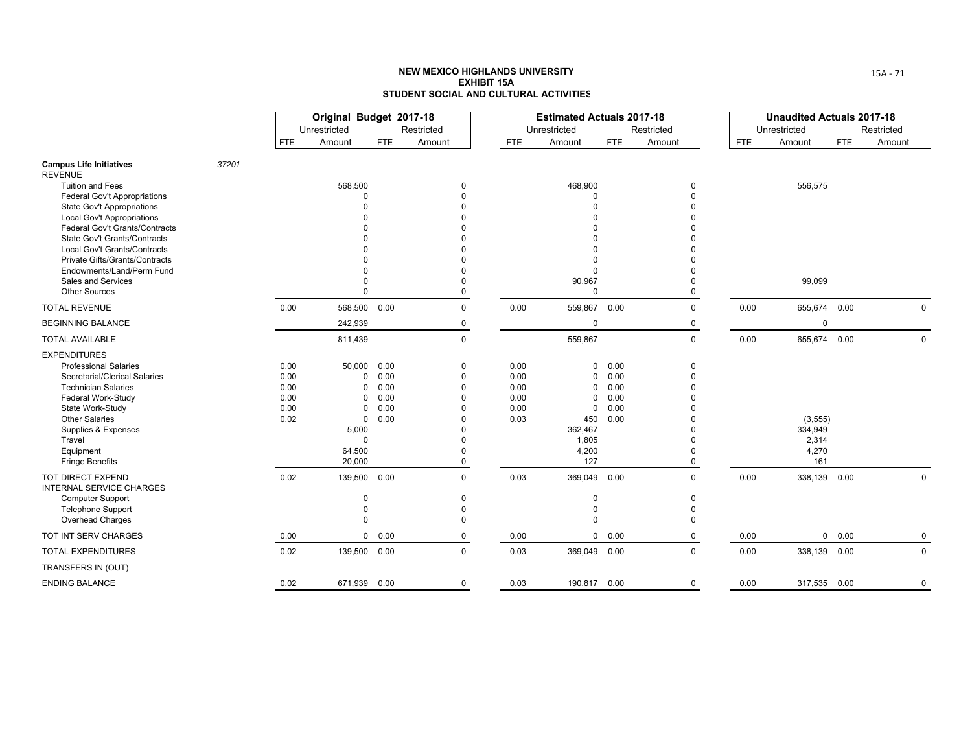|                                                                                                                                                                                                                                                                                                                                           |       |                                              | Original Budget 2017-18<br>Unrestricted                                                                    |                                              | Restricted                                                                                                |                                              | <b>Estimated Actuals 2017-18</b><br>Unrestricted                                                           |                                              | Restricted                                      |            | <b>Unaudited Actuals 2017-18</b><br>Unrestricted |            | Restricted   |
|-------------------------------------------------------------------------------------------------------------------------------------------------------------------------------------------------------------------------------------------------------------------------------------------------------------------------------------------|-------|----------------------------------------------|------------------------------------------------------------------------------------------------------------|----------------------------------------------|-----------------------------------------------------------------------------------------------------------|----------------------------------------------|------------------------------------------------------------------------------------------------------------|----------------------------------------------|-------------------------------------------------|------------|--------------------------------------------------|------------|--------------|
|                                                                                                                                                                                                                                                                                                                                           |       | <b>FTE</b>                                   | Amount                                                                                                     | FTE.                                         | Amount                                                                                                    | <b>FTE</b>                                   | Amount                                                                                                     | <b>FTE</b>                                   | Amount                                          | <b>FTE</b> | Amount                                           | <b>FTE</b> | Amount       |
| <b>Campus Life Initiatives</b><br><b>REVENUE</b>                                                                                                                                                                                                                                                                                          | 37201 |                                              |                                                                                                            |                                              |                                                                                                           |                                              |                                                                                                            |                                              |                                                 |            |                                                  |            |              |
| <b>Tuition and Fees</b><br>Federal Gov't Appropriations<br><b>State Gov't Appropriations</b><br>Local Gov't Appropriations<br>Federal Gov't Grants/Contracts<br>State Gov't Grants/Contracts<br>Local Gov't Grants/Contracts<br>Private Gifts/Grants/Contracts<br>Endowments/Land/Perm Fund<br>Sales and Services<br><b>Other Sources</b> |       |                                              | 568,500<br>$\Omega$<br>$\Omega$                                                                            |                                              | 0<br>$\Omega$<br>$\Omega$<br>$\Omega$<br>$\Omega$<br>$\Omega$                                             |                                              | 468,900<br>$\Omega$<br>$\Omega$<br>$\Omega$<br>$\Omega$<br>90,967<br>$\Omega$                              |                                              | 0<br>$\Omega$<br>$\Omega$                       |            | 556,575<br>99,099                                |            |              |
| <b>TOTAL REVENUE</b>                                                                                                                                                                                                                                                                                                                      |       | 0.00                                         | 568,500 0.00                                                                                               |                                              | $\mathbf 0$                                                                                               | 0.00                                         | 559,867                                                                                                    | 0.00                                         | $\Omega$                                        | 0.00       | 655,674 0.00                                     |            | $\Omega$     |
| <b>BEGINNING BALANCE</b>                                                                                                                                                                                                                                                                                                                  |       |                                              | 242,939                                                                                                    |                                              | 0                                                                                                         |                                              | $\mathbf 0$                                                                                                |                                              | 0                                               |            | 0                                                |            |              |
| <b>TOTAL AVAILABLE</b>                                                                                                                                                                                                                                                                                                                    |       |                                              | 811,439                                                                                                    |                                              | $\mathbf 0$                                                                                               |                                              | 559,867                                                                                                    |                                              | $\mathbf 0$                                     | 0.00       | 655,674 0.00                                     |            | $\Omega$     |
| <b>EXPENDITURES</b><br><b>Professional Salaries</b><br>Secretarial/Clerical Salaries<br><b>Technician Salaries</b><br>Federal Work-Study<br>State Work-Study<br><b>Other Salaries</b><br>Supplies & Expenses<br>Travel<br>Equipment<br><b>Fringe Benefits</b>                                                                             |       | 0.00<br>0.00<br>0.00<br>0.00<br>0.00<br>0.02 | 50,000<br>$\mathbf 0$<br>$\Omega$<br>$\Omega$<br>0<br>$\mathbf 0$<br>5,000<br>$\Omega$<br>64,500<br>20,000 | 0.00<br>0.00<br>0.00<br>0.00<br>0.00<br>0.00 | 0<br>$\mathbf 0$<br>$\Omega$<br>$\Omega$<br>$\Omega$<br>$\Omega$<br>$\Omega$<br>$\Omega$<br>$\Omega$<br>0 | 0.00<br>0.00<br>0.00<br>0.00<br>0.00<br>0.03 | $\mathbf 0$<br>$\mathbf{0}$<br>$\mathbf{0}$<br>0<br>$\mathbf 0$<br>450<br>362,467<br>1,805<br>4,200<br>127 | 0.00<br>0.00<br>0.00<br>0.00<br>0.00<br>0.00 | 0<br>$\Omega$<br>$\Omega$                       |            | (3, 555)<br>334,949<br>2,314<br>4,270<br>161     |            |              |
| TOT DIRECT EXPEND<br><b>INTERNAL SERVICE CHARGES</b><br><b>Computer Support</b><br><b>Telephone Support</b><br>Overhead Charges                                                                                                                                                                                                           |       | 0.02                                         | 139,500<br>0<br>0<br>$\Omega$                                                                              | 0.00                                         | $\mathbf 0$<br>0<br>$\Omega$<br>0                                                                         | 0.03                                         | 369,049<br>0<br>$\mathbf 0$<br>$\mathbf 0$                                                                 | 0.00                                         | $\Omega$<br>$\Omega$<br>$\Omega$<br>$\mathbf 0$ | 0.00       | 338,139 0.00                                     |            | $\mathbf 0$  |
| TOT INT SERV CHARGES                                                                                                                                                                                                                                                                                                                      |       | 0.00                                         |                                                                                                            | $0\quad 0.00$                                | 0                                                                                                         | 0.00                                         |                                                                                                            | 0 0.00                                       | 0                                               | 0.00       |                                                  | 0 0.00     | $\mathbf{0}$ |
| <b>TOTAL EXPENDITURES</b>                                                                                                                                                                                                                                                                                                                 |       | 0.02                                         | 139,500 0.00                                                                                               |                                              | $\mathbf 0$                                                                                               | 0.03                                         | 369,049 0.00                                                                                               |                                              | 0                                               | 0.00       | 338,139 0.00                                     |            | 0            |
| TRANSFERS IN (OUT)                                                                                                                                                                                                                                                                                                                        |       |                                              |                                                                                                            |                                              |                                                                                                           |                                              |                                                                                                            |                                              |                                                 |            |                                                  |            |              |
| <b>ENDING BALANCE</b>                                                                                                                                                                                                                                                                                                                     |       | 0.02                                         | 671,939 0.00                                                                                               |                                              | $\mathbf 0$                                                                                               | 0.03                                         | 190,817 0.00                                                                                               |                                              | $\mathbf 0$                                     | 0.00       | 317,535 0.00                                     |            | $\mathbf 0$  |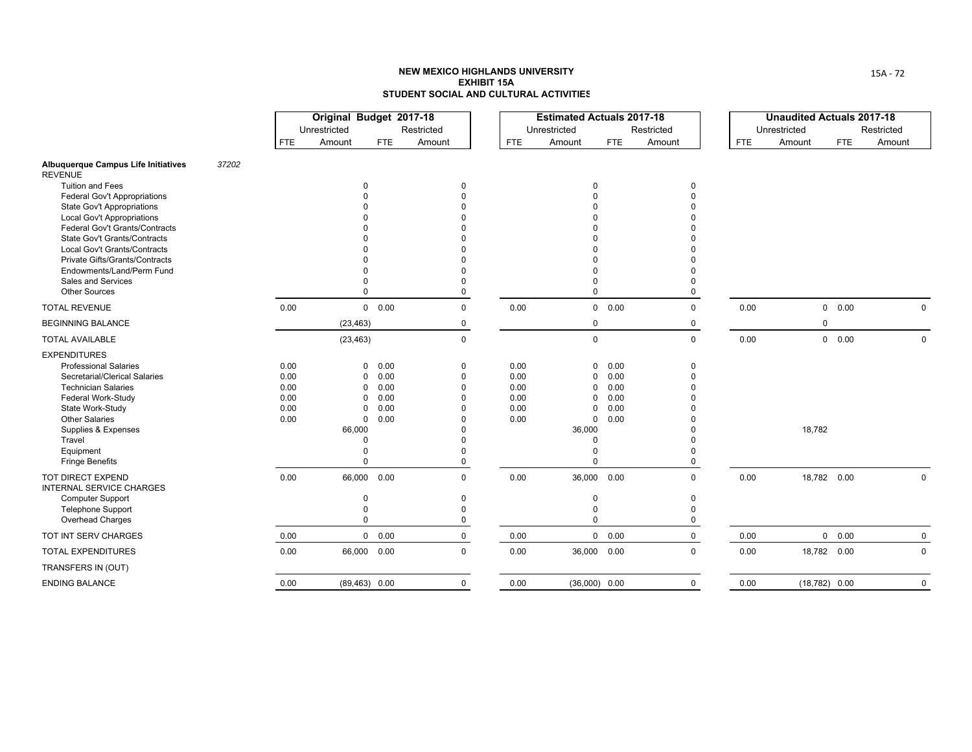|                                                                       |       |              | Original Budget 2017-18<br>Unrestricted |                                         | Restricted           |              | <b>Estimated Actuals 2017-18</b><br>Unrestricted |               | Restricted  |            | <b>Unaudited Actuals 2017-18</b><br>Unrestricted |                 | Restricted |              |
|-----------------------------------------------------------------------|-------|--------------|-----------------------------------------|-----------------------------------------|----------------------|--------------|--------------------------------------------------|---------------|-------------|------------|--------------------------------------------------|-----------------|------------|--------------|
|                                                                       |       | <b>FTE</b>   | Amount                                  | FTE                                     | Amount               | <b>FTE</b>   | Amount                                           | <b>FTE</b>    | Amount      | <b>FTE</b> | Amount                                           | <b>FTE</b>      | Amount     |              |
| Albuquerque Campus Life Initiatives<br><b>REVENUE</b>                 | 37202 |              |                                         |                                         |                      |              |                                                  |               |             |            |                                                  |                 |            |              |
| <b>Tuition and Fees</b>                                               |       |              |                                         | $\Omega$                                | $\Omega$             |              | 0                                                |               | 0           |            |                                                  |                 |            |              |
| <b>Federal Gov't Appropriations</b>                                   |       |              |                                         |                                         | $\Omega$             |              |                                                  |               | $\Omega$    |            |                                                  |                 |            |              |
| <b>State Gov't Appropriations</b>                                     |       |              |                                         |                                         |                      |              |                                                  |               |             |            |                                                  |                 |            |              |
| <b>Local Gov't Appropriations</b>                                     |       |              |                                         |                                         |                      |              |                                                  |               |             |            |                                                  |                 |            |              |
| Federal Gov't Grants/Contracts<br><b>State Gov't Grants/Contracts</b> |       |              |                                         |                                         |                      |              |                                                  |               |             |            |                                                  |                 |            |              |
| Local Gov't Grants/Contracts                                          |       |              |                                         |                                         |                      |              |                                                  |               |             |            |                                                  |                 |            |              |
| Private Gifts/Grants/Contracts                                        |       |              |                                         |                                         |                      |              |                                                  |               |             |            |                                                  |                 |            |              |
| Endowments/Land/Perm Fund                                             |       |              |                                         |                                         |                      |              |                                                  |               |             |            |                                                  |                 |            |              |
| Sales and Services                                                    |       |              |                                         |                                         | $\Omega$             |              | $\Omega$                                         |               | $\Omega$    |            |                                                  |                 |            |              |
| <b>Other Sources</b>                                                  |       |              |                                         |                                         | $\Omega$             |              | $\Omega$                                         |               | $\Omega$    |            |                                                  |                 |            |              |
| <b>TOTAL REVENUE</b>                                                  |       | 0.00         |                                         | 0 0.00                                  | $\mathbf 0$          | 0.00         |                                                  | $0\quad 0.00$ | $\mathbf 0$ | 0.00       |                                                  | 0 0.00          |            | $\mathbf 0$  |
| <b>BEGINNING BALANCE</b>                                              |       |              | (23, 463)                               |                                         | $\mathbf 0$          |              | $\mathbf 0$                                      |               | $\mathbf 0$ |            |                                                  | $\mathbf 0$     |            |              |
| <b>TOTAL AVAILABLE</b>                                                |       |              | (23, 463)                               |                                         | $\mathbf 0$          |              | $\mathbf 0$                                      |               | $\mathbf 0$ | 0.00       |                                                  | 0 0.00          |            | $\Omega$     |
| <b>EXPENDITURES</b>                                                   |       |              |                                         |                                         |                      |              |                                                  |               |             |            |                                                  |                 |            |              |
| <b>Professional Salaries</b>                                          |       | 0.00         |                                         | 0.00<br>0                               | 0                    | 0.00         | 0                                                | 0.00          | 0           |            |                                                  |                 |            |              |
| Secretarial/Clerical Salaries                                         |       | 0.00         |                                         | 0.00<br>0                               | $\Omega$             | 0.00         | 0                                                | 0.00          | $\Omega$    |            |                                                  |                 |            |              |
| <b>Technician Salaries</b>                                            |       | 0.00         |                                         | 0.00<br>$\Omega$                        | $\Omega$             | 0.00         | $\Omega$                                         | 0.00          | $\Omega$    |            |                                                  |                 |            |              |
| Federal Work-Study                                                    |       | 0.00         |                                         | 0.00<br>0                               | $\Omega$             | 0.00         | 0                                                | 0.00          |             |            |                                                  |                 |            |              |
| State Work-Study<br><b>Other Salaries</b>                             |       | 0.00<br>0.00 |                                         | 0.00<br>$\Omega$<br>$\mathbf 0$<br>0.00 | $\Omega$<br>$\Omega$ | 0.00<br>0.00 | $\mathbf 0$<br>$\mathbf 0$                       | 0.00<br>0.00  |             |            |                                                  |                 |            |              |
| Supplies & Expenses                                                   |       |              | 66,000                                  |                                         |                      |              | 36,000                                           |               |             |            | 18,782                                           |                 |            |              |
| Travel                                                                |       |              |                                         | $\Omega$                                | $\Omega$             |              | $\Omega$                                         |               |             |            |                                                  |                 |            |              |
| Equipment                                                             |       |              |                                         | $\Omega$                                | $\Omega$             |              | $\Omega$                                         |               | $\Omega$    |            |                                                  |                 |            |              |
| <b>Fringe Benefits</b>                                                |       |              |                                         | $\Omega$                                | 0                    |              | $\Omega$                                         |               | $\Omega$    |            |                                                  |                 |            |              |
| <b>TOT DIRECT EXPEND</b><br><b>INTERNAL SERVICE CHARGES</b>           |       | 0.00         | 66,000                                  | 0.00                                    | $\mathbf 0$          | 0.00         | 36,000 0.00                                      |               | $\mathbf 0$ | 0.00       |                                                  | 18,782 0.00     |            | $\mathbf 0$  |
| <b>Computer Support</b>                                               |       |              |                                         | $\Omega$                                | $\mathbf 0$          |              | $\mathbf 0$                                      |               | 0           |            |                                                  |                 |            |              |
| <b>Telephone Support</b>                                              |       |              |                                         | $\Omega$                                | $\Omega$             |              | 0                                                |               | $\Omega$    |            |                                                  |                 |            |              |
| Overhead Charges                                                      |       |              |                                         | 0                                       | 0                    |              | $\Omega$                                         |               | 0           |            |                                                  |                 |            |              |
| TOT INT SERV CHARGES                                                  |       | 0.00         |                                         | $0\quad 0.00$                           | 0                    | 0.00         |                                                  | 0 0.00        | $\mathbf 0$ | 0.00       |                                                  | 0 0.00          |            | $\mathbf 0$  |
| <b>TOTAL EXPENDITURES</b>                                             |       | 0.00         |                                         | 66,000 0.00                             | $\mathbf 0$          | 0.00         | 36,000 0.00                                      |               | $\Omega$    | 0.00       |                                                  | 18,782 0.00     |            | $\mathbf{0}$ |
| TRANSFERS IN (OUT)                                                    |       |              |                                         |                                         |                      |              |                                                  |               |             |            |                                                  |                 |            |              |
| <b>ENDING BALANCE</b>                                                 |       | 0.00         |                                         | $(89, 463)$ 0.00                        | $\mathbf 0$          | 0.00         | $(36,000)$ 0.00                                  |               | $\mathbf 0$ | 0.00       |                                                  | $(18,782)$ 0.00 |            | $\Omega$     |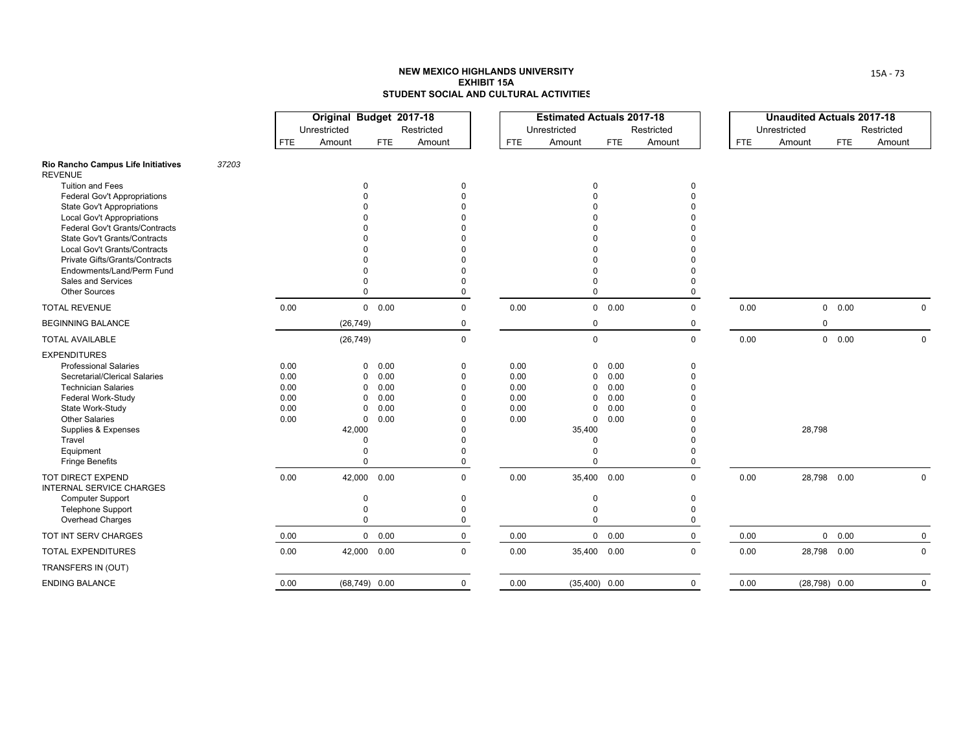|                                                                       |       |              | Original Budget 2017-18<br>Unrestricted |                                  | Restricted  |              | <b>Estimated Actuals 2017-18</b><br>Unrestricted |               | Restricted  |            | <b>Unaudited Actuals 2017-18</b><br>Unrestricted |             | Restricted |              |
|-----------------------------------------------------------------------|-------|--------------|-----------------------------------------|----------------------------------|-------------|--------------|--------------------------------------------------|---------------|-------------|------------|--------------------------------------------------|-------------|------------|--------------|
|                                                                       |       | <b>FTE</b>   | Amount                                  | <b>FTE</b>                       | Amount      | <b>FTE</b>   | Amount                                           | FTE           | Amount      | <b>FTE</b> | Amount                                           | <b>FTE</b>  | Amount     |              |
| Rio Rancho Campus Life Initiatives<br><b>REVENUE</b>                  | 37203 |              |                                         |                                  |             |              |                                                  |               |             |            |                                                  |             |            |              |
| <b>Tuition and Fees</b>                                               |       |              |                                         | 0                                | 0           |              | $\Omega$                                         |               | 0           |            |                                                  |             |            |              |
| <b>Federal Gov't Appropriations</b>                                   |       |              |                                         |                                  |             |              |                                                  |               | $\Omega$    |            |                                                  |             |            |              |
| <b>State Gov't Appropriations</b>                                     |       |              |                                         |                                  |             |              |                                                  |               |             |            |                                                  |             |            |              |
| <b>Local Gov't Appropriations</b>                                     |       |              |                                         |                                  |             |              |                                                  |               |             |            |                                                  |             |            |              |
| Federal Gov't Grants/Contracts<br><b>State Gov't Grants/Contracts</b> |       |              |                                         |                                  |             |              |                                                  |               |             |            |                                                  |             |            |              |
| Local Gov't Grants/Contracts                                          |       |              |                                         |                                  |             |              |                                                  |               |             |            |                                                  |             |            |              |
| Private Gifts/Grants/Contracts                                        |       |              |                                         |                                  |             |              |                                                  |               |             |            |                                                  |             |            |              |
| Endowments/Land/Perm Fund                                             |       |              |                                         |                                  |             |              |                                                  |               |             |            |                                                  |             |            |              |
| Sales and Services                                                    |       |              |                                         |                                  |             |              |                                                  |               | $\Omega$    |            |                                                  |             |            |              |
| <b>Other Sources</b>                                                  |       |              |                                         | $\Omega$                         | $\Omega$    |              | $\Omega$                                         |               | $\Omega$    |            |                                                  |             |            |              |
| <b>TOTAL REVENUE</b>                                                  |       | 0.00         |                                         | $0\quad 0.00$                    | $\mathbf 0$ | 0.00         |                                                  | $0\quad 0.00$ | $\mathbf 0$ | 0.00       |                                                  | 0 0.00      |            | $\mathbf 0$  |
| <b>BEGINNING BALANCE</b>                                              |       |              | (26, 749)                               |                                  | 0           |              | $\mathbf 0$                                      |               | $\mathbf 0$ |            | 0                                                |             |            |              |
| <b>TOTAL AVAILABLE</b>                                                |       |              | (26, 749)                               |                                  | $\mathbf 0$ |              | $\mathbf 0$                                      |               | $\mathbf 0$ | 0.00       |                                                  | 0 0.00      |            | $\Omega$     |
| <b>EXPENDITURES</b>                                                   |       |              |                                         |                                  |             |              |                                                  |               |             |            |                                                  |             |            |              |
| <b>Professional Salaries</b>                                          |       | 0.00         |                                         | $\mathbf 0$<br>0.00              | 0           | 0.00         | $\mathbf 0$                                      | 0.00          | 0           |            |                                                  |             |            |              |
| Secretarial/Clerical Salaries                                         |       | 0.00         |                                         | 0.00<br>0                        | $\Omega$    | 0.00         | 0                                                | 0.00          | $\Omega$    |            |                                                  |             |            |              |
| <b>Technician Salaries</b>                                            |       | 0.00         |                                         | 0.00<br>$\Omega$                 | $\Omega$    | 0.00         | $\Omega$                                         | 0.00          | $\Omega$    |            |                                                  |             |            |              |
| Federal Work-Study                                                    |       | 0.00         |                                         | 0.00<br>0                        | $\Omega$    | 0.00         | 0                                                | 0.00          |             |            |                                                  |             |            |              |
| State Work-Study<br><b>Other Salaries</b>                             |       | 0.00<br>0.00 |                                         | 0.00<br>0<br>0.00<br>$\mathbf 0$ | $\Omega$    | 0.00<br>0.00 | $\mathbf 0$<br>$\mathbf 0$                       | 0.00<br>0.00  |             |            |                                                  |             |            |              |
| Supplies & Expenses                                                   |       |              | 42,000                                  |                                  |             |              | 35,400                                           |               |             |            | 28,798                                           |             |            |              |
| Travel                                                                |       |              |                                         | $\Omega$                         |             |              | $\Omega$                                         |               |             |            |                                                  |             |            |              |
| Equipment                                                             |       |              |                                         | $\Omega$                         | $\Omega$    |              | $\Omega$                                         |               | $\Omega$    |            |                                                  |             |            |              |
| <b>Fringe Benefits</b>                                                |       |              |                                         | $\Omega$                         | 0           |              | $\Omega$                                         |               | $\mathbf 0$ |            |                                                  |             |            |              |
| <b>TOT DIRECT EXPEND</b><br><b>INTERNAL SERVICE CHARGES</b>           |       | 0.00         | 42,000                                  | 0.00                             | $\mathbf 0$ | 0.00         | 35,400 0.00                                      |               | $\mathbf 0$ | 0.00       |                                                  | 28,798 0.00 |            | $\mathbf 0$  |
| <b>Computer Support</b>                                               |       |              |                                         | $\Omega$                         | 0           |              | $\mathbf 0$                                      |               | $\mathbf 0$ |            |                                                  |             |            |              |
| <b>Telephone Support</b>                                              |       |              |                                         | $\Omega$                         | 0           |              | $\Omega$                                         |               | $\Omega$    |            |                                                  |             |            |              |
| Overhead Charges                                                      |       |              |                                         | $\Omega$                         | 0           |              | $\Omega$                                         |               | $\mathbf 0$ |            |                                                  |             |            |              |
| TOT INT SERV CHARGES                                                  |       | 0.00         |                                         | $0\quad 0.00$                    | 0           | 0.00         |                                                  | 0 0.00        | $\mathbf 0$ | 0.00       |                                                  | 0 0.00      |            | $\mathbf 0$  |
| <b>TOTAL EXPENDITURES</b>                                             |       | 0.00         | 42,000                                  | 0.00                             | $\mathbf 0$ | 0.00         | 35,400 0.00                                      |               | $\mathbf 0$ | 0.00       |                                                  | 28,798 0.00 |            | $\mathbf{0}$ |
| TRANSFERS IN (OUT)                                                    |       |              |                                         |                                  |             |              |                                                  |               |             |            |                                                  |             |            |              |
| <b>ENDING BALANCE</b>                                                 |       | 0.00         |                                         | $(68,749)$ 0.00                  | $\mathbf 0$ | 0.00         | $(35,400)$ 0.00                                  |               | $\mathbf 0$ | 0.00       | $(28,798)$ 0.00                                  |             |            | $\Omega$     |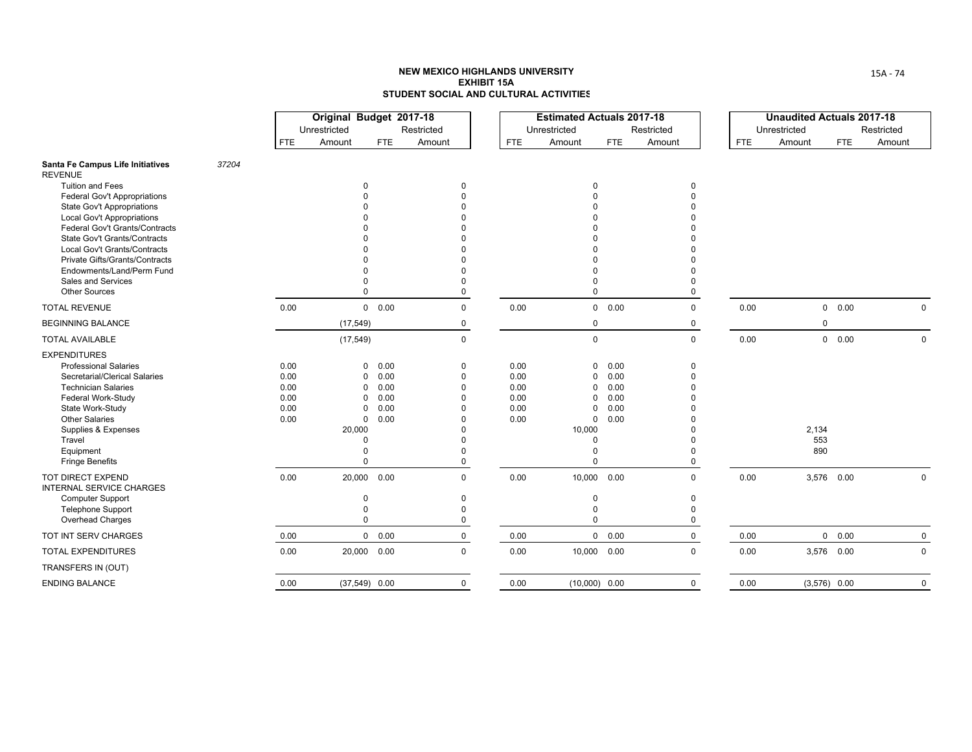|                                                                        |       |              | Original Budget 2017-18<br>Unrestricted |                                         | Restricted  |              | <b>Estimated Actuals 2017-18</b><br>Unrestricted |               | Restricted  |            | <b>Unaudited Actuals 2017-18</b><br>Unrestricted |                | Restricted  |
|------------------------------------------------------------------------|-------|--------------|-----------------------------------------|-----------------------------------------|-------------|--------------|--------------------------------------------------|---------------|-------------|------------|--------------------------------------------------|----------------|-------------|
|                                                                        |       | <b>FTE</b>   | Amount                                  | <b>FTE</b>                              | Amount      | <b>FTE</b>   | Amount                                           | FTE           | Amount      | <b>FTE</b> | Amount                                           | <b>FTE</b>     | Amount      |
| Santa Fe Campus Life Initiatives<br><b>REVENUE</b>                     | 37204 |              |                                         |                                         |             |              |                                                  |               |             |            |                                                  |                |             |
| <b>Tuition and Fees</b>                                                |       |              |                                         | 0                                       | 0           |              | $\Omega$                                         |               | 0           |            |                                                  |                |             |
| <b>Federal Gov't Appropriations</b>                                    |       |              |                                         |                                         |             |              |                                                  |               | $\Omega$    |            |                                                  |                |             |
| <b>State Gov't Appropriations</b><br><b>Local Gov't Appropriations</b> |       |              |                                         |                                         |             |              |                                                  |               |             |            |                                                  |                |             |
| Federal Gov't Grants/Contracts                                         |       |              |                                         |                                         |             |              |                                                  |               |             |            |                                                  |                |             |
| <b>State Gov't Grants/Contracts</b>                                    |       |              |                                         |                                         |             |              |                                                  |               |             |            |                                                  |                |             |
| Local Gov't Grants/Contracts                                           |       |              |                                         |                                         |             |              |                                                  |               |             |            |                                                  |                |             |
| Private Gifts/Grants/Contracts                                         |       |              |                                         |                                         |             |              |                                                  |               |             |            |                                                  |                |             |
| Endowments/Land/Perm Fund                                              |       |              |                                         |                                         |             |              |                                                  |               |             |            |                                                  |                |             |
| Sales and Services                                                     |       |              |                                         |                                         | $\Omega$    |              |                                                  |               | U           |            |                                                  |                |             |
| <b>Other Sources</b>                                                   |       |              |                                         | $\Omega$                                | $\Omega$    |              | $\Omega$                                         |               | $\Omega$    |            |                                                  |                |             |
| <b>TOTAL REVENUE</b>                                                   |       | 0.00         |                                         | $0\quad 0.00$                           | $\mathbf 0$ | 0.00         |                                                  | 0 0.00        | 0           | 0.00       |                                                  | 0 0.00         | 0           |
| <b>BEGINNING BALANCE</b>                                               |       |              | (17, 549)                               |                                         | 0           |              | 0                                                |               | 0           |            | $\mathbf 0$                                      |                |             |
| <b>TOTAL AVAILABLE</b>                                                 |       |              | (17, 549)                               |                                         | $\mathbf 0$ |              | $\mathbf 0$                                      |               | $\Omega$    | 0.00       |                                                  | 0 0.00         | $\Omega$    |
| <b>EXPENDITURES</b>                                                    |       |              |                                         |                                         |             |              |                                                  |               |             |            |                                                  |                |             |
| <b>Professional Salaries</b>                                           |       | 0.00         |                                         | 0<br>0.00                               | 0           | 0.00         | $\Omega$                                         | 0.00          | 0           |            |                                                  |                |             |
| Secretarial/Clerical Salaries                                          |       | 0.00         |                                         | 0.00<br>0                               | $\Omega$    | 0.00         | $\Omega$                                         | 0.00          | $\Omega$    |            |                                                  |                |             |
| <b>Technician Salaries</b>                                             |       | 0.00         |                                         | 0.00<br>$\Omega$                        | $\Omega$    | 0.00         | $\Omega$                                         | 0.00          |             |            |                                                  |                |             |
| Federal Work-Study                                                     |       | 0.00         |                                         | 0.00<br><sup>0</sup>                    | U           | 0.00         | $\Omega$                                         | 0.00          |             |            |                                                  |                |             |
| State Work-Study<br><b>Other Salaries</b>                              |       | 0.00<br>0.00 |                                         | 0.00<br>$\Omega$<br>0.00<br>$\mathbf 0$ | U           | 0.00<br>0.00 | $\mathbf 0$<br>$\Omega$                          | 0.00<br>0.00  |             |            |                                                  |                |             |
| Supplies & Expenses                                                    |       |              | 20,000                                  |                                         |             |              | 10,000                                           |               |             |            | 2,134                                            |                |             |
| Travel                                                                 |       |              |                                         | $\Omega$                                |             |              | $\Omega$                                         |               |             |            | 553                                              |                |             |
| Equipment                                                              |       |              |                                         | $\Omega$                                |             |              |                                                  |               |             |            | 890                                              |                |             |
| <b>Fringe Benefits</b>                                                 |       |              |                                         | $\Omega$                                | 0           |              | $\Omega$                                         |               | $\Omega$    |            |                                                  |                |             |
| <b>TOT DIRECT EXPEND</b><br><b>INTERNAL SERVICE CHARGES</b>            |       | 0.00         | 20,000                                  | 0.00                                    | $\mathbf 0$ | 0.00         | 10,000 0.00                                      |               | $\Omega$    | 0.00       |                                                  | 3,576 0.00     | 0           |
| <b>Computer Support</b>                                                |       |              |                                         | $\Omega$                                | $\mathbf 0$ |              | $\Omega$                                         |               | $\Omega$    |            |                                                  |                |             |
| <b>Telephone Support</b>                                               |       |              |                                         | $\Omega$                                | $\Omega$    |              | $\Omega$                                         |               | O           |            |                                                  |                |             |
| Overhead Charges                                                       |       |              |                                         | $\Omega$                                | 0           |              | $\Omega$                                         |               | 0           |            |                                                  |                |             |
| TOT INT SERV CHARGES                                                   |       | 0.00         |                                         | $0\quad 0.00$                           | 0           | 0.00         |                                                  | $0\quad 0.00$ | $\mathbf 0$ | 0.00       |                                                  | 0 0.00         | 0           |
| <b>TOTAL EXPENDITURES</b>                                              |       | 0.00         |                                         | 20,000 0.00                             | $\mathbf 0$ | 0.00         | 10,000 0.00                                      |               | $\Omega$    | 0.00       |                                                  | 3,576 0.00     | 0           |
| TRANSFERS IN (OUT)                                                     |       |              |                                         |                                         |             |              |                                                  |               |             |            |                                                  |                |             |
| <b>ENDING BALANCE</b>                                                  |       | 0.00         |                                         | $(37,549)$ 0.00                         | $\mathbf 0$ | 0.00         | $(10,000)$ 0.00                                  |               | $\Omega$    | 0.00       |                                                  | $(3,576)$ 0.00 | $\mathbf 0$ |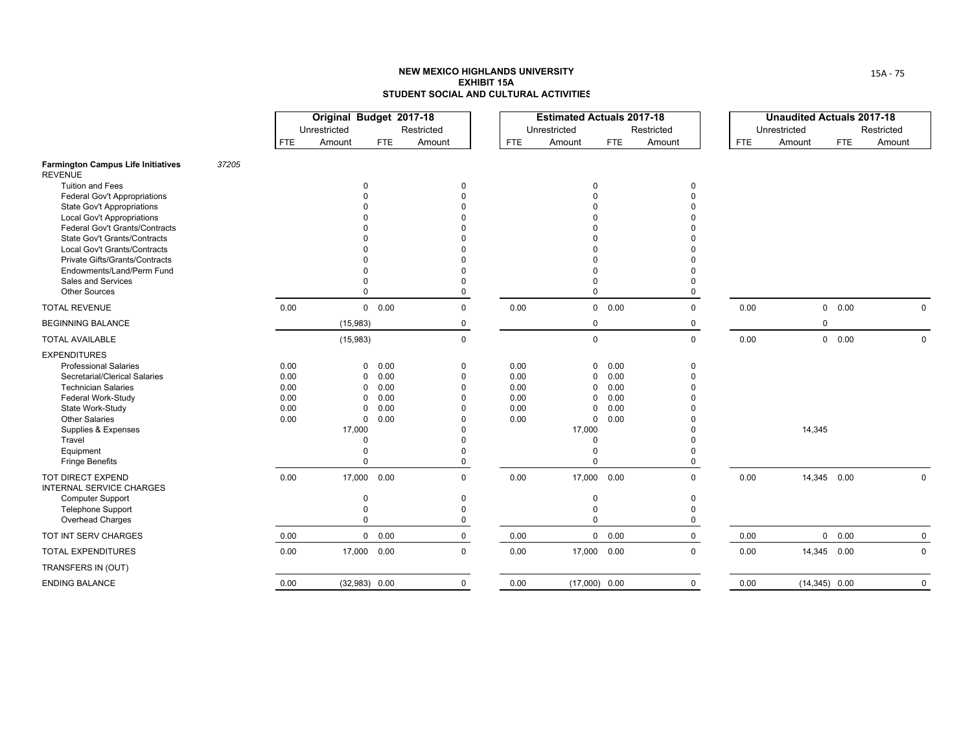|                                                                |       |            | Original Budget 2017-18<br>Unrestricted |                     | Restricted           |            | <b>Estimated Actuals 2017-18</b><br>Unrestricted |               | Restricted  |            | <b>Unaudited Actuals 2017-18</b><br>Unrestricted |             | Restricted |             |
|----------------------------------------------------------------|-------|------------|-----------------------------------------|---------------------|----------------------|------------|--------------------------------------------------|---------------|-------------|------------|--------------------------------------------------|-------------|------------|-------------|
|                                                                |       | <b>FTE</b> | Amount                                  | FTE                 | Amount               | <b>FTE</b> | Amount                                           | <b>FTE</b>    | Amount      | <b>FTE</b> | Amount                                           | <b>FTE</b>  | Amount     |             |
| <b>Farmington Campus Life Initiatives</b><br><b>REVENUE</b>    | 37205 |            |                                         |                     |                      |            |                                                  |               |             |            |                                                  |             |            |             |
| <b>Tuition and Fees</b>                                        |       |            |                                         | $\Omega$            | 0                    |            | 0                                                |               | 0           |            |                                                  |             |            |             |
| <b>Federal Gov't Appropriations</b>                            |       |            |                                         |                     | $\Omega$             |            |                                                  |               | $\Omega$    |            |                                                  |             |            |             |
| <b>State Gov't Appropriations</b>                              |       |            |                                         |                     |                      |            |                                                  |               |             |            |                                                  |             |            |             |
| <b>Local Gov't Appropriations</b>                              |       |            |                                         |                     |                      |            |                                                  |               |             |            |                                                  |             |            |             |
| Federal Gov't Grants/Contracts                                 |       |            |                                         |                     |                      |            |                                                  |               |             |            |                                                  |             |            |             |
| State Gov't Grants/Contracts                                   |       |            |                                         |                     |                      |            |                                                  |               |             |            |                                                  |             |            |             |
| Local Gov't Grants/Contracts<br>Private Gifts/Grants/Contracts |       |            |                                         |                     |                      |            |                                                  |               |             |            |                                                  |             |            |             |
| Endowments/Land/Perm Fund                                      |       |            |                                         |                     | $\Omega$             |            |                                                  |               |             |            |                                                  |             |            |             |
| Sales and Services                                             |       |            |                                         |                     | 0                    |            | $\Omega$                                         |               | $\Omega$    |            |                                                  |             |            |             |
| <b>Other Sources</b>                                           |       |            |                                         |                     | $\mathbf 0$          |            | $\Omega$                                         |               | $\Omega$    |            |                                                  |             |            |             |
| <b>TOTAL REVENUE</b>                                           |       | 0.00       |                                         | $0\quad 0.00$       | $\mathbf 0$          | 0.00       |                                                  | $0\quad 0.00$ | $\mathbf 0$ | 0.00       |                                                  | 0 0.00      |            | $\mathbf 0$ |
| <b>BEGINNING BALANCE</b>                                       |       |            | (15,983)                                |                     | 0                    |            | $\mathbf 0$                                      |               | 0           |            | 0                                                |             |            |             |
| <b>TOTAL AVAILABLE</b>                                         |       |            | (15,983)                                |                     | $\mathsf 0$          |            | $\mathsf 0$                                      |               | $\mathbf 0$ | 0.00       |                                                  | 0 0.00      |            | $\Omega$    |
| <b>EXPENDITURES</b>                                            |       |            |                                         |                     |                      |            |                                                  |               |             |            |                                                  |             |            |             |
| <b>Professional Salaries</b>                                   |       | 0.00       |                                         | 0.00<br>0           | 0                    | 0.00       | $\mathbf 0$                                      | 0.00          | 0           |            |                                                  |             |            |             |
| Secretarial/Clerical Salaries                                  |       | 0.00       |                                         | 0.00<br>0           | $\mathbf 0$          | 0.00       | $\mathbf 0$                                      | 0.00          | $\Omega$    |            |                                                  |             |            |             |
| <b>Technician Salaries</b>                                     |       | 0.00       |                                         | 0.00<br>$\Omega$    | $\Omega$             | 0.00       | $\mathbf 0$                                      | 0.00          | $\Omega$    |            |                                                  |             |            |             |
| Federal Work-Study                                             |       | 0.00       |                                         | 0.00<br>$\Omega$    | $\Omega$             | 0.00       | $\mathbf 0$                                      | 0.00          |             |            |                                                  |             |            |             |
| State Work-Study                                               |       | 0.00       |                                         | 0.00<br>$\Omega$    | $\Omega$             | 0.00       | $\mathbf 0$                                      | 0.00          |             |            |                                                  |             |            |             |
| <b>Other Salaries</b>                                          |       | 0.00       |                                         | $\mathbf 0$<br>0.00 | $\Omega$             | 0.00       | $\mathbf 0$                                      | 0.00          |             |            |                                                  |             |            |             |
| Supplies & Expenses<br>Travel                                  |       |            | 17,000                                  | $\Omega$            | $\Omega$<br>$\Omega$ |            | 17,000<br>0                                      |               |             |            | 14,345                                           |             |            |             |
| Equipment                                                      |       |            |                                         |                     | $\Omega$             |            | $\Omega$                                         |               | $\Omega$    |            |                                                  |             |            |             |
| <b>Fringe Benefits</b>                                         |       |            |                                         | $\Omega$            | $\mathbf 0$          |            | $\Omega$                                         |               | $\Omega$    |            |                                                  |             |            |             |
| <b>TOT DIRECT EXPEND</b><br><b>INTERNAL SERVICE CHARGES</b>    |       | 0.00       | 17,000                                  | 0.00                | $\Omega$             | 0.00       | 17,000 0.00                                      |               | $\Omega$    | 0.00       | 14,345 0.00                                      |             |            | $\Omega$    |
| <b>Computer Support</b>                                        |       |            |                                         | $\Omega$            | 0                    |            | 0                                                |               | $\Omega$    |            |                                                  |             |            |             |
| Telephone Support                                              |       |            |                                         |                     | $\Omega$             |            | 0                                                |               | $\Omega$    |            |                                                  |             |            |             |
| Overhead Charges                                               |       |            |                                         | $\Omega$            | 0                    |            | $\Omega$                                         |               | $\Omega$    |            |                                                  |             |            |             |
| TOT INT SERV CHARGES                                           |       | 0.00       |                                         | 0 0.00              | $\mathsf 0$          | 0.00       |                                                  | $0\quad 0.00$ | $\mathbf 0$ | 0.00       |                                                  | 0 0.00      |            | $\mathbf 0$ |
| <b>TOTAL EXPENDITURES</b>                                      |       | 0.00       |                                         | 17,000 0.00         | $\mathbf 0$          | 0.00       | 17,000 0.00                                      |               | $\Omega$    | 0.00       |                                                  | 14,345 0.00 |            | $\mathbf 0$ |
| TRANSFERS IN (OUT)                                             |       |            |                                         |                     |                      |            |                                                  |               |             |            |                                                  |             |            |             |
| <b>ENDING BALANCE</b>                                          |       | 0.00       |                                         | $(32,983)$ 0.00     | $\mathbf 0$          | 0.00       | $(17,000)$ 0.00                                  |               | $\mathbf 0$ | 0.00       | $(14,345)$ 0.00                                  |             |            | $\mathbf 0$ |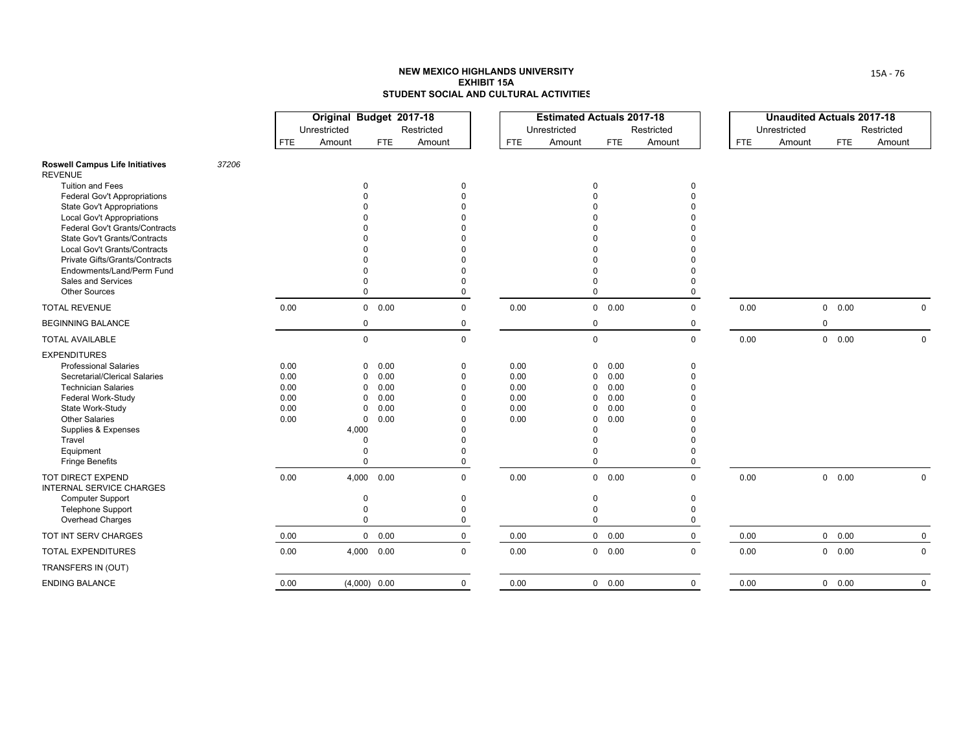|                                                                       |       |            | Original Budget 2017-18<br>Unrestricted |                     | Restricted   |            | <b>Estimated Actuals 2017-18</b><br>Unrestricted |               | Restricted   |            | <b>Unaudited Actuals 2017-18</b><br>Unrestricted |               | Restricted |             |
|-----------------------------------------------------------------------|-------|------------|-----------------------------------------|---------------------|--------------|------------|--------------------------------------------------|---------------|--------------|------------|--------------------------------------------------|---------------|------------|-------------|
|                                                                       |       | <b>FTE</b> | Amount                                  | <b>FTE</b>          | Amount       | <b>FTE</b> | Amount                                           | <b>FTE</b>    | Amount       | <b>FTE</b> | Amount                                           | <b>FTE</b>    | Amount     |             |
| <b>Roswell Campus Life Initiatives</b><br><b>REVENUE</b>              | 37206 |            |                                         |                     |              |            |                                                  |               |              |            |                                                  |               |            |             |
| <b>Tuition and Fees</b>                                               |       |            |                                         | 0                   | <sup>0</sup> |            | <sup>0</sup>                                     |               | 0            |            |                                                  |               |            |             |
| <b>Federal Gov't Appropriations</b>                                   |       |            |                                         |                     |              |            |                                                  |               |              |            |                                                  |               |            |             |
| <b>State Gov't Appropriations</b>                                     |       |            |                                         |                     |              |            |                                                  |               |              |            |                                                  |               |            |             |
| Local Gov't Appropriations                                            |       |            |                                         |                     |              |            |                                                  |               |              |            |                                                  |               |            |             |
| Federal Gov't Grants/Contracts<br><b>State Gov't Grants/Contracts</b> |       |            |                                         |                     |              |            |                                                  |               |              |            |                                                  |               |            |             |
| Local Gov't Grants/Contracts                                          |       |            |                                         |                     |              |            |                                                  |               |              |            |                                                  |               |            |             |
| Private Gifts/Grants/Contracts                                        |       |            |                                         |                     |              |            |                                                  |               |              |            |                                                  |               |            |             |
| Endowments/Land/Perm Fund                                             |       |            |                                         |                     |              |            |                                                  |               |              |            |                                                  |               |            |             |
| Sales and Services                                                    |       |            |                                         |                     |              |            |                                                  |               |              |            |                                                  |               |            |             |
| <b>Other Sources</b>                                                  |       |            |                                         | $\Omega$            | $\Omega$     |            | $\Omega$                                         |               | <sup>0</sup> |            |                                                  |               |            |             |
| <b>TOTAL REVENUE</b>                                                  |       | 0.00       |                                         | $0\quad 0.00$       | $\mathbf 0$  | 0.00       |                                                  | $0\quad 0.00$ | $\Omega$     | 0.00       |                                                  | 0 0.00        |            | $\Omega$    |
| <b>BEGINNING BALANCE</b>                                              |       |            |                                         | $\mathbf 0$         | $\mathbf 0$  |            | $\mathbf 0$                                      |               | 0            |            |                                                  | $\mathbf 0$   |            |             |
| <b>TOTAL AVAILABLE</b>                                                |       |            |                                         | $\mathbf 0$         | $\mathbf 0$  |            | $\mathbf 0$                                      |               | $\mathbf 0$  | 0.00       |                                                  | 0 0.00        |            | $\Omega$    |
| <b>EXPENDITURES</b>                                                   |       |            |                                         |                     |              |            |                                                  |               |              |            |                                                  |               |            |             |
| <b>Professional Salaries</b>                                          |       | 0.00       |                                         | $\mathbf 0$<br>0.00 | 0            | 0.00       | 0                                                | 0.00          | 0            |            |                                                  |               |            |             |
| Secretarial/Clerical Salaries                                         |       | 0.00       |                                         | 0.00<br>0           | $\Omega$     | 0.00       | 0                                                | 0.00          |              |            |                                                  |               |            |             |
| <b>Technician Salaries</b>                                            |       | 0.00       |                                         | 0.00<br>0           | $\Omega$     | 0.00       | $\Omega$                                         | 0.00          |              |            |                                                  |               |            |             |
| Federal Work-Study                                                    |       | 0.00       |                                         | 0.00<br>$\Omega$    | $\Omega$     | 0.00       | $\Omega$                                         | 0.00          |              |            |                                                  |               |            |             |
| State Work-Study                                                      |       | 0.00       |                                         | 0.00<br>$\Omega$    | $\Omega$     | 0.00       | $\Omega$                                         | 0.00          |              |            |                                                  |               |            |             |
| <b>Other Salaries</b>                                                 |       | 0.00       |                                         | 0.00<br>0           |              | 0.00       | $\Omega$<br>$\Omega$                             | 0.00          |              |            |                                                  |               |            |             |
| Supplies & Expenses<br>Travel                                         |       |            | 4,000                                   | $\Omega$            |              |            |                                                  |               |              |            |                                                  |               |            |             |
| Equipment                                                             |       |            |                                         | $\Omega$            | U            |            |                                                  |               |              |            |                                                  |               |            |             |
| <b>Fringe Benefits</b>                                                |       |            |                                         | $\Omega$            | 0            |            | $\Omega$                                         |               | <sup>0</sup> |            |                                                  |               |            |             |
| <b>TOT DIRECT EXPEND</b><br><b>INTERNAL SERVICE CHARGES</b>           |       | 0.00       | 4,000                                   | 0.00                | $\mathbf 0$  | 0.00       |                                                  | 0 0.00        | $\Omega$     | 0.00       |                                                  | $0\quad 0.00$ |            | 0           |
| <b>Computer Support</b>                                               |       |            |                                         | $\Omega$            | $\mathbf{0}$ |            | $\Omega$                                         |               | $\Omega$     |            |                                                  |               |            |             |
| <b>Telephone Support</b>                                              |       |            |                                         | $\Omega$            | $\Omega$     |            | $\Omega$                                         |               | <sup>0</sup> |            |                                                  |               |            |             |
| Overhead Charges                                                      |       |            |                                         | $\Omega$            | 0            |            | $\mathbf 0$                                      |               | 0            |            |                                                  |               |            |             |
| TOT INT SERV CHARGES                                                  |       | 0.00       |                                         | $0\quad 0.00$       | $\mathbf 0$  | 0.00       |                                                  | 0 0.00        | $\mathbf 0$  | 0.00       |                                                  | 0 0.00        |            | $\mathbf 0$ |
| <b>TOTAL EXPENDITURES</b>                                             |       | 0.00       |                                         | 4,000 0.00          | $\mathbf 0$  | 0.00       |                                                  | 0 0.00        | $\Omega$     | 0.00       |                                                  | 0 0.00        |            | 0           |
| TRANSFERS IN (OUT)                                                    |       |            |                                         |                     |              |            |                                                  |               |              |            |                                                  |               |            |             |
| <b>ENDING BALANCE</b>                                                 |       | 0.00       |                                         | $(4,000)$ 0.00      | $\mathbf 0$  | 0.00       |                                                  | 0 0.00        | $\Omega$     | 0.00       |                                                  | 0 0.00        |            | $\Omega$    |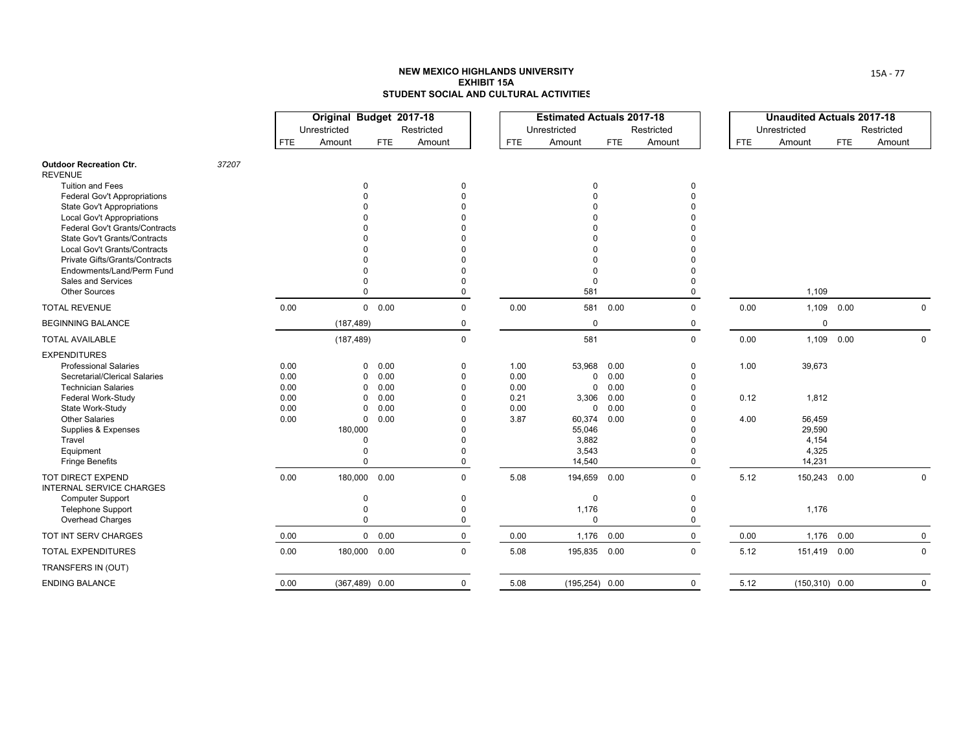|                                                             |       |            | Original Budget 2017-18<br>Unrestricted |               | Restricted  |            | <b>Estimated Actuals 2017-18</b><br>Unrestricted |            | Restricted   |            | <b>Unaudited Actuals 2017-18</b><br>Unrestricted |            | Restricted |
|-------------------------------------------------------------|-------|------------|-----------------------------------------|---------------|-------------|------------|--------------------------------------------------|------------|--------------|------------|--------------------------------------------------|------------|------------|
|                                                             |       | <b>FTE</b> | Amount                                  | <b>FTE</b>    | Amount      | <b>FTE</b> | Amount                                           | <b>FTE</b> | Amount       | <b>FTE</b> | Amount                                           | <b>FTE</b> | Amount     |
| <b>Outdoor Recreation Ctr.</b><br><b>REVENUE</b>            | 37207 |            |                                         |               |             |            |                                                  |            |              |            |                                                  |            |            |
| <b>Tuition and Fees</b>                                     |       |            | $\Omega$                                |               | $\Omega$    |            | $\Omega$                                         |            | 0            |            |                                                  |            |            |
| <b>Federal Gov't Appropriations</b>                         |       |            |                                         |               | $\Omega$    |            | $\Omega$                                         |            | $\Omega$     |            |                                                  |            |            |
| <b>State Gov't Appropriations</b>                           |       |            |                                         |               |             |            |                                                  |            |              |            |                                                  |            |            |
| <b>Local Gov't Appropriations</b>                           |       |            |                                         |               |             |            |                                                  |            |              |            |                                                  |            |            |
| Federal Gov't Grants/Contracts                              |       |            |                                         |               |             |            |                                                  |            |              |            |                                                  |            |            |
| <b>State Gov't Grants/Contracts</b>                         |       |            |                                         |               |             |            |                                                  |            |              |            |                                                  |            |            |
| <b>Local Gov't Grants/Contracts</b>                         |       |            |                                         |               |             |            |                                                  |            |              |            |                                                  |            |            |
| <b>Private Gifts/Grants/Contracts</b>                       |       |            |                                         |               |             |            |                                                  |            |              |            |                                                  |            |            |
| Endowments/Land/Perm Fund<br>Sales and Services             |       |            |                                         |               | $\Omega$    |            | $\Omega$                                         |            | 0            |            |                                                  |            |            |
| <b>Other Sources</b>                                        |       |            | $\Omega$                                |               | 0           |            | 581                                              |            | $\Omega$     |            | 1,109                                            |            |            |
| <b>TOTAL REVENUE</b>                                        |       | 0.00       |                                         | $0\quad 0.00$ | $\mathbf 0$ | 0.00       | 581                                              | 0.00       | $\mathbf 0$  | 0.00       | 1,109 0.00                                       |            | $\Omega$   |
| <b>BEGINNING BALANCE</b>                                    |       |            | (187, 489)                              |               | 0           |            | 0                                                |            | 0            |            | 0                                                |            |            |
| <b>TOTAL AVAILABLE</b>                                      |       |            | (187, 489)                              |               | $\mathbf 0$ |            | 581                                              |            | $\mathsf{O}$ | 0.00       | 1,109 0.00                                       |            | 0          |
| <b>EXPENDITURES</b>                                         |       |            |                                         |               |             |            |                                                  |            |              |            |                                                  |            |            |
| <b>Professional Salaries</b>                                |       | 0.00       | 0                                       | 0.00          | 0           | 1.00       | 53,968                                           | 0.00       | 0            | 1.00       | 39,673                                           |            |            |
| Secretarial/Clerical Salaries                               |       | 0.00       | 0                                       | 0.00          | $\Omega$    | 0.00       | $\Omega$                                         | 0.00       | $\Omega$     |            |                                                  |            |            |
| <b>Technician Salaries</b>                                  |       | 0.00       | $\Omega$                                | 0.00          | $\Omega$    | 0.00       | $\mathbf{0}$                                     | 0.00       | $\Omega$     |            |                                                  |            |            |
| Federal Work-Study                                          |       | 0.00       | 0                                       | 0.00          | $\Omega$    | 0.21       | 3,306                                            | 0.00       | $\Omega$     | 0.12       | 1,812                                            |            |            |
| State Work-Study                                            |       | 0.00       | 0                                       | 0.00          | $\Omega$    | 0.00       |                                                  | 0 0.00     |              |            |                                                  |            |            |
| <b>Other Salaries</b>                                       |       | 0.00       | 0                                       | 0.00          | $\Omega$    | 3.87       | 60,374                                           | 0.00       |              | 4.00       | 56,459                                           |            |            |
| Supplies & Expenses                                         |       |            | 180,000                                 |               | $\Omega$    |            | 55,046                                           |            |              |            | 29,590                                           |            |            |
| Travel                                                      |       |            | $\Omega$                                |               | $\Omega$    |            | 3,882                                            |            | $\Omega$     |            | 4,154                                            |            |            |
| Equipment                                                   |       |            | $\Omega$<br>$\Omega$                    |               | $\Omega$    |            | 3,543                                            |            | O            |            | 4,325<br>14,231                                  |            |            |
| <b>Fringe Benefits</b>                                      |       |            |                                         |               | $\mathbf 0$ |            | 14,540                                           |            | $\Omega$     |            |                                                  |            |            |
| <b>TOT DIRECT EXPEND</b><br><b>INTERNAL SERVICE CHARGES</b> |       | 0.00       | 180,000 0.00                            |               | $\Omega$    | 5.08       | 194,659 0.00                                     |            | $\Omega$     | 5.12       | 150,243 0.00                                     |            | 0          |
| <b>Computer Support</b>                                     |       |            | $\Omega$                                |               | $\Omega$    |            | $\mathbf 0$                                      |            | $\Omega$     |            |                                                  |            |            |
| <b>Telephone Support</b>                                    |       |            | $\Omega$                                |               | $\Omega$    |            | 1,176                                            |            | $\Omega$     |            | 1,176                                            |            |            |
| Overhead Charges                                            |       |            | $\Omega$                                |               | 0           |            | $\Omega$                                         |            | $\Omega$     |            |                                                  |            |            |
| TOT INT SERV CHARGES                                        |       | 0.00       |                                         | $0\quad 0.00$ | $\mathbf 0$ | 0.00       | 1,176                                            | 0.00       | $\mathbf 0$  | 0.00       | 1,176 0.00                                       |            | 0          |
| <b>TOTAL EXPENDITURES</b>                                   |       | 0.00       | 180,000 0.00                            |               | $\mathbf 0$ | 5.08       | 195,835 0.00                                     |            | $\Omega$     | 5.12       | 151,419 0.00                                     |            | 0          |
| TRANSFERS IN (OUT)                                          |       |            |                                         |               |             |            |                                                  |            |              |            |                                                  |            |            |
| <b>ENDING BALANCE</b>                                       |       | 0.00       | $(367, 489)$ 0.00                       |               | $\mathbf 0$ | 5.08       | $(195, 254)$ 0.00                                |            | $\mathbf 0$  | 5.12       | $(150, 310)$ 0.00                                |            | 0          |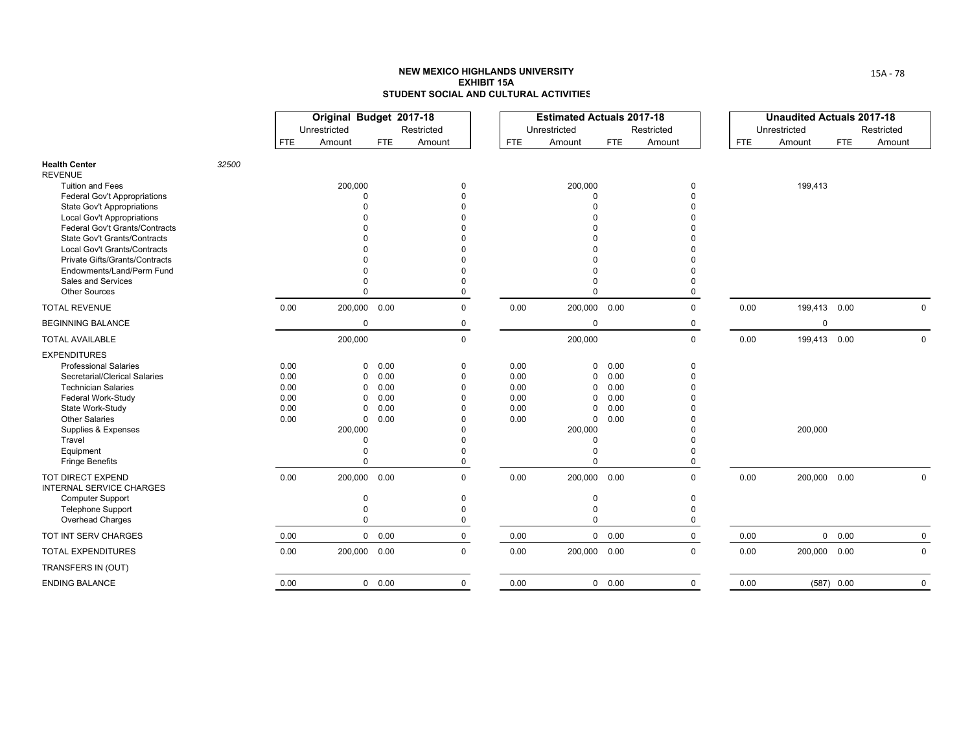|                                                                         |       |              | Original Budget 2017-18<br>Unrestricted |               | Restricted                       |              | <b>Estimated Actuals 2017-18</b><br>Unrestricted |              | Restricted                             |            | <b>Unaudited Actuals 2017-18</b><br>Unrestricted |            | Restricted |
|-------------------------------------------------------------------------|-------|--------------|-----------------------------------------|---------------|----------------------------------|--------------|--------------------------------------------------|--------------|----------------------------------------|------------|--------------------------------------------------|------------|------------|
|                                                                         |       | <b>FTE</b>   | Amount                                  | <b>FTE</b>    | Amount                           | <b>FTE</b>   | Amount                                           | <b>FTE</b>   | Amount                                 | <b>FTE</b> | Amount                                           | <b>FTE</b> | Amount     |
| <b>Health Center</b><br><b>REVENUE</b>                                  | 32500 |              |                                         |               |                                  |              |                                                  |              |                                        |            |                                                  |            |            |
| <b>Tuition and Fees</b><br>Federal Gov't Appropriations                 |       |              | 200,000<br>$\Omega$                     |               | 0<br>$\Omega$                    |              | 200,000<br>$\Omega$                              |              | 0<br>O                                 |            | 199,413                                          |            |            |
| State Gov't Appropriations                                              |       |              | $\Omega$                                |               |                                  |              | $\Omega$                                         |              |                                        |            |                                                  |            |            |
| <b>Local Gov't Appropriations</b><br>Federal Gov't Grants/Contracts     |       |              |                                         |               |                                  |              |                                                  |              |                                        |            |                                                  |            |            |
| <b>State Gov't Grants/Contracts</b><br>Local Gov't Grants/Contracts     |       |              |                                         |               |                                  |              |                                                  |              |                                        |            |                                                  |            |            |
| Private Gifts/Grants/Contracts<br>Endowments/Land/Perm Fund             |       |              |                                         |               |                                  |              |                                                  |              |                                        |            |                                                  |            |            |
| Sales and Services<br><b>Other Sources</b>                              |       |              | $\Omega$                                |               | $\Omega$<br>$\Omega$             |              | $\Omega$<br>$\Omega$                             |              | $\Omega$<br>$\Omega$                   |            |                                                  |            |            |
| <b>TOTAL REVENUE</b>                                                    |       | 0.00         | 200,000 0.00                            |               | $\mathbf 0$                      | 0.00         | 200,000 0.00                                     |              | $\Omega$                               | 0.00       | 199,413 0.00                                     |            | $\Omega$   |
| <b>BEGINNING BALANCE</b>                                                |       |              | $\mathbf 0$                             |               | 0                                |              | 0                                                |              | 0                                      |            | 0                                                |            |            |
| <b>TOTAL AVAILABLE</b>                                                  |       |              | 200,000                                 |               | $\mathbf 0$                      |              | 200,000                                          |              | $\mathbf 0$                            | 0.00       | 199,413 0.00                                     |            | 0          |
| <b>EXPENDITURES</b><br><b>Professional Salaries</b>                     |       | 0.00         | 0                                       | 0.00          | $\Omega$                         | 0.00         | 0                                                | 0.00         | $\Omega$                               |            |                                                  |            |            |
| Secretarial/Clerical Salaries<br><b>Technician Salaries</b>             |       | 0.00<br>0.00 | 0<br>$\Omega$                           | 0.00<br>0.00  | $\Omega$<br>$\Omega$             | 0.00<br>0.00 | $\mathbf 0$<br>0                                 | 0.00<br>0.00 | $\Omega$                               |            |                                                  |            |            |
| Federal Work-Study<br>State Work-Study                                  |       | 0.00<br>0.00 | $\Omega$<br>$\Omega$                    | 0.00<br>0.00  | $\Omega$<br>$\Omega$             | 0.00<br>0.00 | 0<br>$\Omega$                                    | 0.00<br>0.00 |                                        |            |                                                  |            |            |
| <b>Other Salaries</b><br>Supplies & Expenses                            |       | 0.00         | $\mathbf 0$<br>200,000                  | 0.00          | $\Omega$<br>$\Omega$             | 0.00         | $\mathbf 0$<br>200,000                           | 0.00         |                                        |            | 200,000                                          |            |            |
| Travel<br>Equipment<br><b>Fringe Benefits</b>                           |       |              | $\Omega$<br>$\Omega$                    |               | $\Omega$<br>$\Omega$<br>$\Omega$ |              | $\Omega$<br>$\Omega$                             |              | 0                                      |            |                                                  |            |            |
| <b>TOT DIRECT EXPEND</b><br><b>INTERNAL SERVICE CHARGES</b>             |       | 0.00         | 200,000 0.00                            |               | $\mathbf 0$                      | 0.00         | 200,000 0.00                                     |              | $\Omega$                               | 0.00       | 200,000 0.00                                     |            | $\Omega$   |
| <b>Computer Support</b><br><b>Telephone Support</b><br>Overhead Charges |       |              | $\mathbf 0$<br>$\Omega$<br>$\Omega$     |               | 0<br>$\Omega$<br>0               |              | $\mathbf 0$<br>$\mathbf 0$<br>$\Omega$           |              | $\mathbf 0$<br>$\Omega$<br>$\mathbf 0$ |            |                                                  |            |            |
| TOT INT SERV CHARGES                                                    |       | 0.00         |                                         | $0\quad 0.00$ | 0                                | 0.00         |                                                  | 0 0.00       | $\mathbf 0$                            | 0.00       |                                                  | 0 0.00     | 0          |
| <b>TOTAL EXPENDITURES</b>                                               |       | 0.00         | 200,000 0.00                            |               | $\mathbf 0$                      | 0.00         | 200,000 0.00                                     |              | $\Omega$                               | 0.00       | 200,000 0.00                                     |            | 0          |
| TRANSFERS IN (OUT)                                                      |       |              |                                         |               |                                  |              |                                                  |              |                                        |            |                                                  |            |            |
| <b>ENDING BALANCE</b>                                                   |       | 0.00         |                                         | $0\quad 0.00$ | $\mathbf 0$                      | 0.00         |                                                  | 0 0.00       | $\Omega$                               | 0.00       |                                                  | (587) 0.00 | 0          |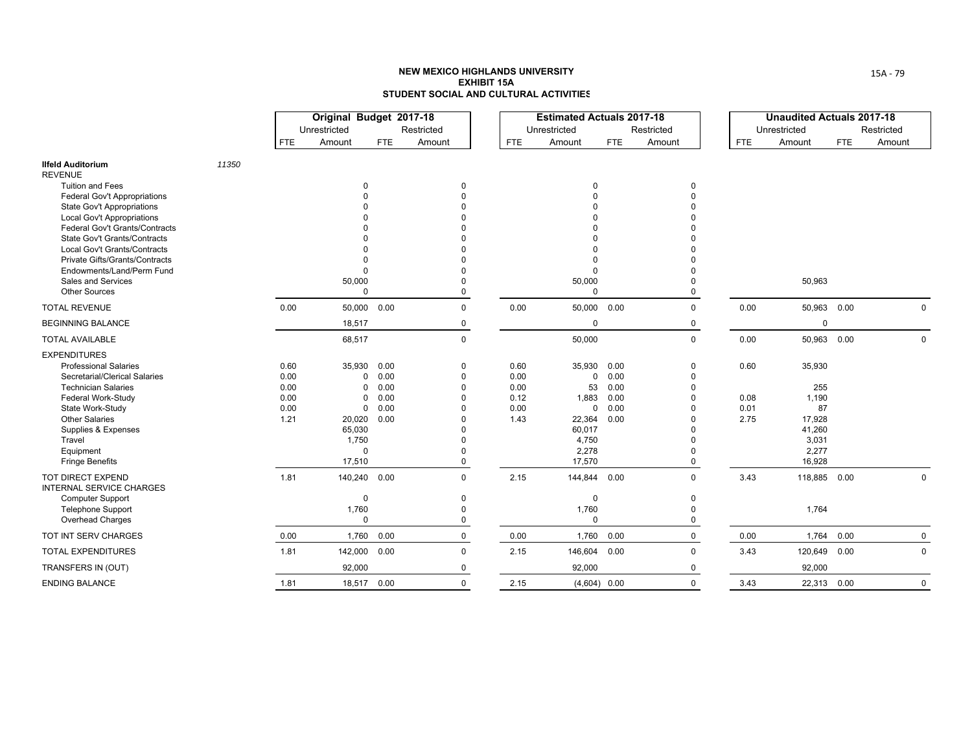|                                                                                                                                                                                                                                                                                     |       |                                              | Original Budget 2017-18<br>Unrestricted                                                     |                                              | Restricted                                                                          |                                              | <b>Estimated Actuals 2017-18</b><br>Unrestricted                                       |                                              | Restricted                                 |                              | <b>Unaudited Actuals 2017-18</b><br>Unrestricted                             |            | Restricted   |
|-------------------------------------------------------------------------------------------------------------------------------------------------------------------------------------------------------------------------------------------------------------------------------------|-------|----------------------------------------------|---------------------------------------------------------------------------------------------|----------------------------------------------|-------------------------------------------------------------------------------------|----------------------------------------------|----------------------------------------------------------------------------------------|----------------------------------------------|--------------------------------------------|------------------------------|------------------------------------------------------------------------------|------------|--------------|
|                                                                                                                                                                                                                                                                                     |       | <b>FTE</b>                                   | Amount                                                                                      | <b>FTE</b>                                   | Amount                                                                              | <b>FTE</b>                                   | Amount                                                                                 | <b>FTE</b>                                   | Amount                                     | <b>FTE</b>                   | Amount                                                                       | <b>FTE</b> | Amount       |
| <b>Ilfeld Auditorium</b><br><b>REVENUE</b>                                                                                                                                                                                                                                          | 11350 |                                              |                                                                                             |                                              |                                                                                     |                                              |                                                                                        |                                              |                                            |                              |                                                                              |            |              |
| <b>Tuition and Fees</b><br><b>Federal Gov't Appropriations</b><br><b>State Gov't Appropriations</b><br><b>Local Gov't Appropriations</b><br>Federal Gov't Grants/Contracts<br><b>State Gov't Grants/Contracts</b><br>Local Gov't Grants/Contracts<br>Private Gifts/Grants/Contracts |       |                                              | 0                                                                                           |                                              | 0                                                                                   |                                              | 0                                                                                      |                                              | 0                                          |                              |                                                                              |            |              |
| Endowments/Land/Perm Fund<br>Sales and Services<br><b>Other Sources</b>                                                                                                                                                                                                             |       |                                              | $\Omega$<br>50,000<br>$\Omega$                                                              |                                              | $\Omega$<br>$\Omega$                                                                |                                              | 50,000<br>$\Omega$                                                                     |                                              | $\Omega$                                   |                              | 50,963                                                                       |            |              |
| <b>TOTAL REVENUE</b>                                                                                                                                                                                                                                                                |       | 0.00                                         |                                                                                             | 50,000 0.00                                  | $\mathbf 0$                                                                         | 0.00                                         | 50,000 0.00                                                                            |                                              | $\Omega$                                   | 0.00                         | 50,963 0.00                                                                  |            | $\Omega$     |
| <b>BEGINNING BALANCE</b>                                                                                                                                                                                                                                                            |       |                                              | 18,517                                                                                      |                                              | 0                                                                                   |                                              | $\Omega$                                                                               |                                              | 0                                          |                              | $\mathbf 0$                                                                  |            |              |
| <b>TOTAL AVAILABLE</b>                                                                                                                                                                                                                                                              |       |                                              | 68,517                                                                                      |                                              | $\mathbf 0$                                                                         |                                              | 50,000                                                                                 |                                              | $\mathbf 0$                                | 0.00                         | 50,963 0.00                                                                  |            | $\mathbf{0}$ |
| <b>EXPENDITURES</b><br><b>Professional Salaries</b><br>Secretarial/Clerical Salaries<br><b>Technician Salaries</b><br>Federal Work-Study<br>State Work-Study<br><b>Other Salaries</b><br>Supplies & Expenses<br>Travel<br>Equipment<br><b>Fringe Benefits</b>                       |       | 0.60<br>0.00<br>0.00<br>0.00<br>0.00<br>1.21 | 35,930<br>0<br>$\Omega$<br>$\Omega$<br>0<br>20,020<br>65,030<br>1,750<br>$\Omega$<br>17,510 | 0.00<br>0.00<br>0.00<br>0.00<br>0.00<br>0.00 | 0<br>0<br>$\Omega$<br>$\Omega$<br>$\Omega$<br>$\Omega$<br>$\Omega$<br>$\Omega$<br>0 | 0.60<br>0.00<br>0.00<br>0.12<br>0.00<br>1.43 | 35,930<br>0<br>53<br>1.883<br>$\Omega$<br>22,364<br>60,017<br>4,750<br>2,278<br>17,570 | 0.00<br>0.00<br>0.00<br>0.00<br>0.00<br>0.00 | 0<br>$\Omega$<br>$\Omega$<br>$\Omega$<br>0 | 0.60<br>0.08<br>0.01<br>2.75 | 35,930<br>255<br>1,190<br>87<br>17,928<br>41,260<br>3,031<br>2,277<br>16,928 |            |              |
| <b>TOT DIRECT EXPEND</b><br><b>INTERNAL SERVICE CHARGES</b><br><b>Computer Support</b><br><b>Telephone Support</b><br>Overhead Charges                                                                                                                                              |       | 1.81                                         | 140,240<br>$\mathbf 0$<br>1,760<br>$\mathbf 0$                                              | 0.00                                         | $\Omega$<br>$\mathbf{0}$<br>0<br>$\mathbf 0$                                        | 2.15                                         | 144,844 0.00<br>$\Omega$<br>1,760<br>$\Omega$                                          |                                              | $\Omega$<br>$\mathbf 0$<br>$\Omega$<br>0   | 3.43                         | 118,885 0.00<br>1,764                                                        |            | $\mathbf 0$  |
| TOT INT SERV CHARGES                                                                                                                                                                                                                                                                |       | 0.00                                         | 1,760                                                                                       | 0.00                                         | $\mathbf 0$                                                                         | 0.00                                         | 1,760                                                                                  | 0.00                                         | $\mathbf 0$                                | 0.00                         | 1,764                                                                        | 0.00       | $\mathbf 0$  |
| <b>TOTAL EXPENDITURES</b>                                                                                                                                                                                                                                                           |       | 1.81                                         | 142,000                                                                                     | 0.00                                         | $\mathbf 0$                                                                         | 2.15                                         | 146,604 0.00                                                                           |                                              | $\Omega$                                   | 3.43                         | 120,649                                                                      | 0.00       | $\mathbf 0$  |
| TRANSFERS IN (OUT)                                                                                                                                                                                                                                                                  |       |                                              | 92,000                                                                                      |                                              | 0                                                                                   |                                              | 92,000                                                                                 |                                              | 0                                          |                              | 92,000                                                                       |            |              |
| <b>ENDING BALANCE</b>                                                                                                                                                                                                                                                               |       | 1.81                                         |                                                                                             | 18,517 0.00                                  | $\Omega$                                                                            | 2.15                                         | $(4,604)$ 0.00                                                                         |                                              | $\Omega$                                   | 3.43                         | 22,313 0.00                                                                  |            | $\mathbf 0$  |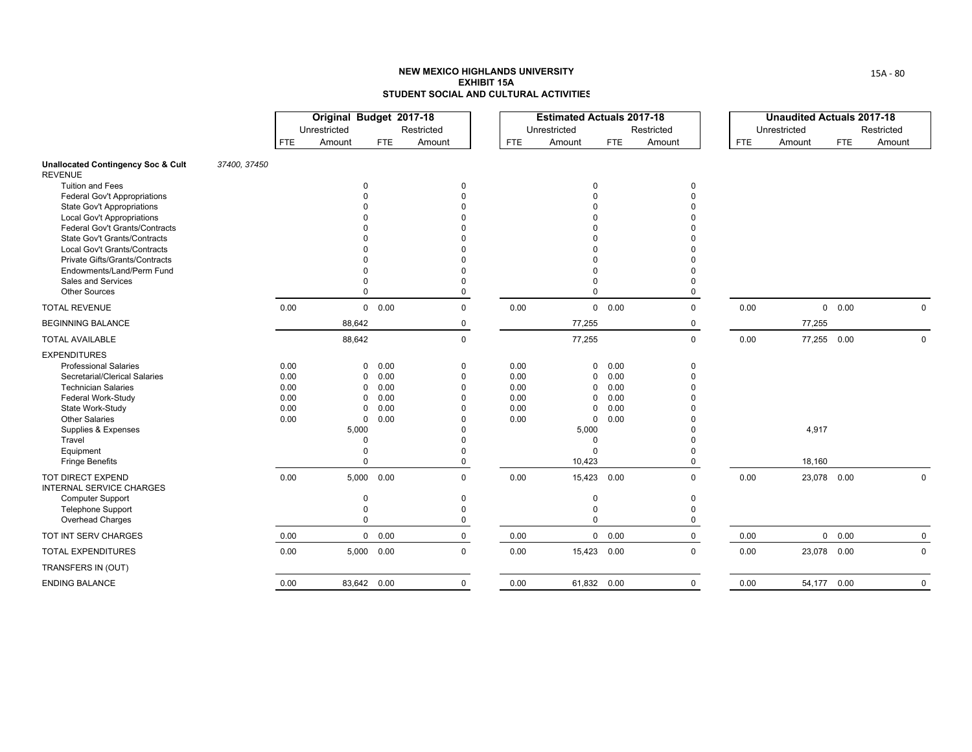|                                                                                                                                                                                                                                                               |              |                                              | Original Budget 2017-18<br>Unrestricted |                                                                                                                   | Restricted                            |                                              | <b>Estimated Actuals 2017-18</b><br>Unrestricted                                              |                                              | Restricted                     |            | <b>Unaudited Actuals 2017-18</b><br>Unrestricted |            | Restricted   |
|---------------------------------------------------------------------------------------------------------------------------------------------------------------------------------------------------------------------------------------------------------------|--------------|----------------------------------------------|-----------------------------------------|-------------------------------------------------------------------------------------------------------------------|---------------------------------------|----------------------------------------------|-----------------------------------------------------------------------------------------------|----------------------------------------------|--------------------------------|------------|--------------------------------------------------|------------|--------------|
|                                                                                                                                                                                                                                                               |              | <b>FTE</b>                                   | Amount                                  | <b>FTE</b>                                                                                                        | Amount                                | <b>FTE</b>                                   | Amount                                                                                        | <b>FTE</b>                                   | Amount                         | <b>FTE</b> | Amount                                           | <b>FTE</b> | Amount       |
| <b>Unallocated Contingency Soc &amp; Cult</b><br><b>REVENUE</b>                                                                                                                                                                                               | 37400, 37450 |                                              |                                         |                                                                                                                   |                                       |                                              |                                                                                               |                                              |                                |            |                                                  |            |              |
| <b>Tuition and Fees</b><br>Federal Gov't Appropriations<br><b>State Gov't Appropriations</b><br><b>Local Gov't Appropriations</b><br>Federal Gov't Grants/Contracts<br>State Gov't Grants/Contracts                                                           |              |                                              |                                         | 0                                                                                                                 | $\Omega$                              |                                              | 0<br>$\Omega$                                                                                 |                                              | 0<br>$\Omega$                  |            |                                                  |            |              |
| Local Gov't Grants/Contracts<br>Private Gifts/Grants/Contracts<br>Endowments/Land/Perm Fund<br>Sales and Services<br><b>Other Sources</b>                                                                                                                     |              |                                              |                                         | 0                                                                                                                 | $\Omega$                              |                                              | $\Omega$<br>$\mathbf 0$                                                                       |                                              | $\Omega$                       |            |                                                  |            |              |
| <b>TOTAL REVENUE</b>                                                                                                                                                                                                                                          |              | 0.00                                         |                                         | 0 0.00                                                                                                            | $\mathbf 0$                           | 0.00                                         |                                                                                               | $0\quad 0.00$                                | $\mathbf 0$                    | 0.00       |                                                  | 0 0.00     | $\Omega$     |
| <b>BEGINNING BALANCE</b>                                                                                                                                                                                                                                      |              |                                              | 88,642                                  |                                                                                                                   | 0                                     |                                              | 77,255                                                                                        |                                              | 0                              |            | 77,255                                           |            |              |
| <b>TOTAL AVAILABLE</b>                                                                                                                                                                                                                                        |              |                                              | 88,642                                  |                                                                                                                   | $\mathbf 0$                           |                                              | 77,255                                                                                        |                                              | $\mathbf 0$                    | 0.00       | 77,255 0.00                                      |            | $\mathbf 0$  |
| <b>EXPENDITURES</b><br><b>Professional Salaries</b><br>Secretarial/Clerical Salaries<br><b>Technician Salaries</b><br>Federal Work-Study<br>State Work-Study<br><b>Other Salaries</b><br>Supplies & Expenses<br>Travel<br>Equipment<br><b>Fringe Benefits</b> |              | 0.00<br>0.00<br>0.00<br>0.00<br>0.00<br>0.00 | 5,000                                   | 0.00<br>0<br>0.00<br>0<br>0.00<br>0<br>0.00<br>0<br>0.00<br>0<br>$\mathbf 0$<br>0.00<br>$\Omega$<br>$\Omega$<br>0 | $\Omega$<br>$\Omega$                  | 0.00<br>0.00<br>0.00<br>0.00<br>0.00<br>0.00 | 0<br>0<br>$\mathbf{0}$<br>$\mathbf 0$<br>0<br>0<br>5,000<br>$\mathbf 0$<br>$\Omega$<br>10,423 | 0.00<br>0.00<br>0.00<br>0.00<br>0.00<br>0.00 | 0<br>$\Omega$<br>U<br>$\Omega$ |            | 4,917<br>18,160                                  |            |              |
| TOT DIRECT EXPEND<br><b>INTERNAL SERVICE CHARGES</b><br><b>Computer Support</b><br><b>Telephone Support</b><br>Overhead Charges                                                                                                                               |              | 0.00                                         | 5,000                                   | 0.00<br>0<br>$\Omega$<br>$\mathbf 0$                                                                              | $\Omega$<br>$\Omega$<br>$\Omega$<br>0 | 0.00                                         | 15,423 0.00<br>$\mathbf 0$<br>0<br>0                                                          |                                              | $\Omega$<br>0<br>$\Omega$<br>0 | 0.00       | 23,078 0.00                                      |            | $\mathbf 0$  |
| TOT INT SERV CHARGES                                                                                                                                                                                                                                          |              | 0.00                                         |                                         | $0\quad 0.00$                                                                                                     | 0                                     | 0.00                                         |                                                                                               | $0\quad 0.00$                                | $\mathbf 0$                    | 0.00       |                                                  | 0 0.00     | $\mathbf 0$  |
| <b>TOTAL EXPENDITURES</b>                                                                                                                                                                                                                                     |              | 0.00                                         |                                         | 5,000 0.00                                                                                                        | $\Omega$                              | 0.00                                         | 15,423 0.00                                                                                   |                                              | $\Omega$                       | 0.00       | 23,078 0.00                                      |            | $\Omega$     |
| TRANSFERS IN (OUT)                                                                                                                                                                                                                                            |              |                                              |                                         |                                                                                                                   |                                       |                                              |                                                                                               |                                              |                                |            |                                                  |            |              |
| <b>ENDING BALANCE</b>                                                                                                                                                                                                                                         |              | 0.00                                         |                                         | 83,642 0.00                                                                                                       | $\mathbf 0$                           | 0.00                                         | 61,832 0.00                                                                                   |                                              | $\Omega$                       | 0.00       | 54,177 0.00                                      |            | $\mathbf{0}$ |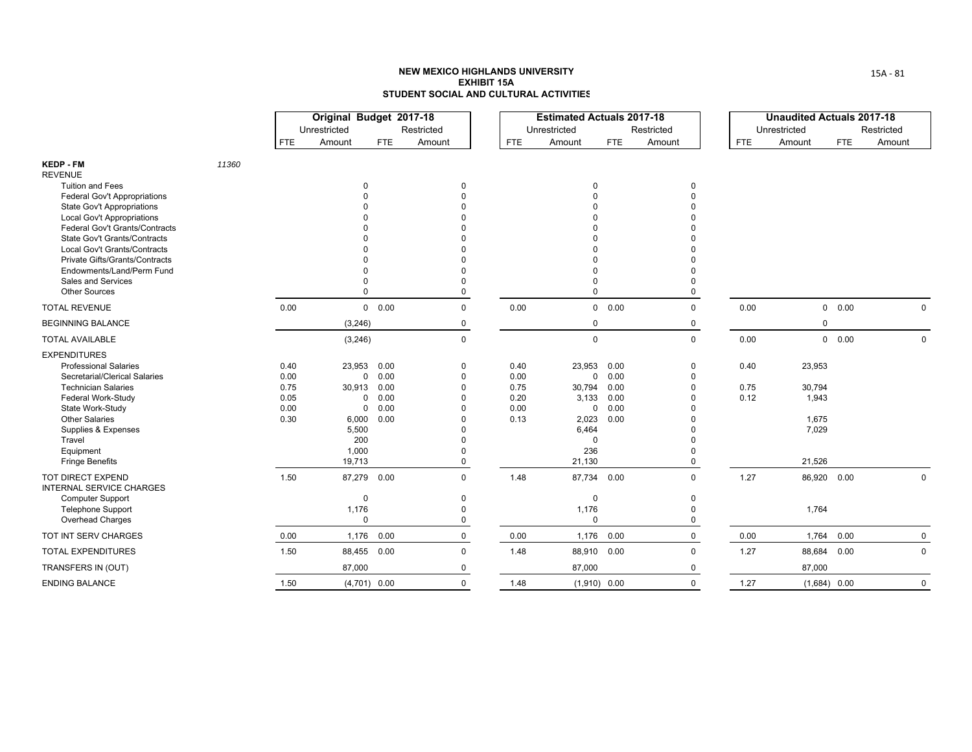|                                                                    |       |              | Original Budget 2017-18<br>Unrestricted |                        | Restricted  |              | <b>Estimated Actuals 2017-18</b><br>Unrestricted |               | Restricted  |            | <b>Unaudited Actuals 2017-18</b><br>Unrestricted |            | Restricted  |
|--------------------------------------------------------------------|-------|--------------|-----------------------------------------|------------------------|-------------|--------------|--------------------------------------------------|---------------|-------------|------------|--------------------------------------------------|------------|-------------|
|                                                                    |       | <b>FTE</b>   | Amount                                  | FTE.                   | Amount      | <b>FTE</b>   | Amount                                           | <b>FTE</b>    | Amount      | <b>FTE</b> | Amount                                           | <b>FTE</b> | Amount      |
| <b>KEDP - FM</b>                                                   | 11360 |              |                                         |                        |             |              |                                                  |               |             |            |                                                  |            |             |
| <b>REVENUE</b><br><b>Tuition and Fees</b>                          |       |              |                                         | $\Omega$               |             |              | $\mathbf 0$                                      |               | $\mathbf 0$ |            |                                                  |            |             |
| Federal Gov't Appropriations                                       |       |              |                                         |                        |             |              |                                                  |               | $\Omega$    |            |                                                  |            |             |
| <b>State Gov't Appropriations</b>                                  |       |              |                                         |                        |             |              |                                                  |               |             |            |                                                  |            |             |
| <b>Local Gov't Appropriations</b>                                  |       |              |                                         |                        |             |              |                                                  |               |             |            |                                                  |            |             |
| Federal Gov't Grants/Contracts                                     |       |              |                                         |                        |             |              |                                                  |               |             |            |                                                  |            |             |
| State Gov't Grants/Contracts                                       |       |              |                                         |                        |             |              |                                                  |               |             |            |                                                  |            |             |
| Local Gov't Grants/Contracts                                       |       |              |                                         |                        |             |              |                                                  |               |             |            |                                                  |            |             |
| <b>Private Gifts/Grants/Contracts</b><br>Endowments/Land/Perm Fund |       |              |                                         |                        |             |              |                                                  |               |             |            |                                                  |            |             |
| Sales and Services                                                 |       |              |                                         |                        |             |              | $\Omega$                                         |               | $\Omega$    |            |                                                  |            |             |
| <b>Other Sources</b>                                               |       |              |                                         | $\Omega$               | $\Omega$    |              | $\mathbf 0$                                      |               | $\mathbf 0$ |            |                                                  |            |             |
| <b>TOTAL REVENUE</b>                                               |       | 0.00         |                                         | $0\quad 0.00$          | $\mathbf 0$ | 0.00         |                                                  | $0\quad 0.00$ | $\mathbf 0$ | 0.00       |                                                  | 0 0.00     | $\Omega$    |
| <b>BEGINNING BALANCE</b>                                           |       |              | (3,246)                                 |                        | 0           |              | 0                                                |               | 0           |            | 0                                                |            |             |
| <b>TOTAL AVAILABLE</b>                                             |       |              | (3,246)                                 |                        | $\mathbf 0$ |              | $\mathsf 0$                                      |               | $\mathbf 0$ | 0.00       |                                                  | 0 0.00     | 0           |
| <b>EXPENDITURES</b>                                                |       |              |                                         |                        |             |              |                                                  |               |             |            |                                                  |            |             |
| <b>Professional Salaries</b>                                       |       | 0.40         | 23,953                                  | 0.00                   | $\Omega$    | 0.40         | 23,953                                           | 0.00          | 0           | 0.40       | 23,953                                           |            |             |
| Secretarial/Clerical Salaries                                      |       | 0.00         |                                         | 0.00<br>$\mathbf 0$    |             | 0.00         | $\mathbf{0}$                                     | 0.00          | $\Omega$    |            |                                                  |            |             |
| <b>Technician Salaries</b>                                         |       | 0.75         | 30,913                                  | 0.00                   | $\Omega$    | 0.75         | 30,794                                           | 0.00          | $\Omega$    | 0.75       | 30,794                                           |            |             |
| Federal Work-Study<br>State Work-Study                             |       | 0.05<br>0.00 |                                         | 0.00<br>0<br>0.00<br>0 |             | 0.20<br>0.00 | 3,133<br>0                                       | 0.00<br>0.00  | n           | 0.12       | 1,943                                            |            |             |
| <b>Other Salaries</b>                                              |       | 0.30         | 6,000                                   | 0.00                   |             | 0.13         | 2,023                                            | 0.00          |             |            | 1,675                                            |            |             |
| Supplies & Expenses                                                |       |              | 5,500                                   |                        |             |              | 6,464                                            |               |             |            | 7,029                                            |            |             |
| Travel                                                             |       |              | 200                                     |                        |             |              | $\mathbf 0$                                      |               |             |            |                                                  |            |             |
| Equipment                                                          |       |              | 1,000                                   |                        |             |              | 236                                              |               | $\Omega$    |            |                                                  |            |             |
| <b>Fringe Benefits</b>                                             |       |              | 19,713                                  |                        | 0           |              | 21,130                                           |               | 0           |            | 21,526                                           |            |             |
| <b>TOT DIRECT EXPEND</b><br><b>INTERNAL SERVICE CHARGES</b>        |       | 1.50         | 87,279                                  | 0.00                   | $\Omega$    | 1.48         | 87,734 0.00                                      |               | $\Omega$    | 1.27       | 86,920 0.00                                      |            | 0           |
| <b>Computer Support</b>                                            |       |              |                                         | $\mathbf 0$            | $\Omega$    |              | $\mathbf 0$                                      |               | $\Omega$    |            |                                                  |            |             |
| <b>Telephone Support</b>                                           |       |              | 1,176                                   |                        | $\Omega$    |              | 1,176                                            |               | $\Omega$    |            | 1,764                                            |            |             |
| Overhead Charges                                                   |       |              |                                         | $\mathbf 0$            | $\mathbf 0$ |              | $\Omega$                                         |               | $\Omega$    |            |                                                  |            |             |
| TOT INT SERV CHARGES                                               |       | 0.00         | 1,176                                   | 0.00                   | $\Omega$    | 0.00         | 1,176                                            | 0.00          | $\Omega$    | 0.00       | 1,764                                            | 0.00       | $\mathbf 0$ |
| <b>TOTAL EXPENDITURES</b>                                          |       | 1.50         |                                         | 88,455 0.00            | $\Omega$    | 1.48         | 88,910 0.00                                      |               | $\Omega$    | 1.27       | 88,684 0.00                                      |            | 0           |
| TRANSFERS IN (OUT)                                                 |       |              | 87,000                                  |                        | 0           |              | 87,000                                           |               | $\Omega$    |            | 87,000                                           |            |             |
| <b>ENDING BALANCE</b>                                              |       | 1.50         |                                         | $(4,701)$ 0.00         | $\Omega$    | 1.48         | $(1,910)$ 0.00                                   |               | $\Omega$    | 1.27       | $(1,684)$ 0.00                                   |            | $\Omega$    |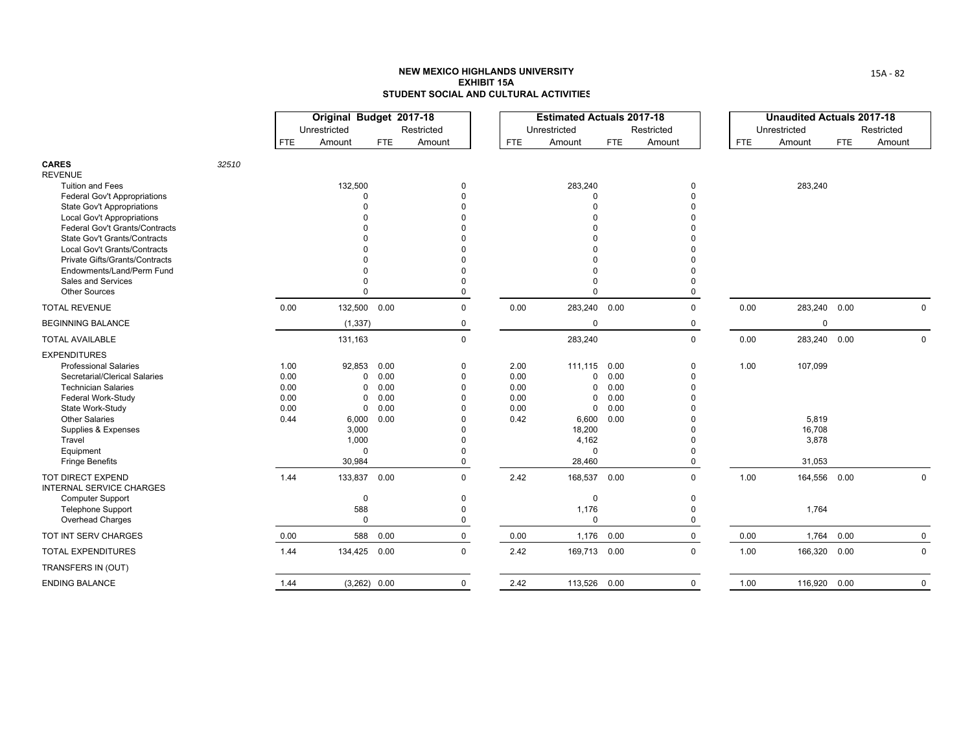|                                                                     |       |            | Original Budget 2017-18 |                |             |            | <b>Estimated Actuals 2017-18</b> |      |             |            | <b>Unaudited Actuals 2017-18</b> |            |              |
|---------------------------------------------------------------------|-------|------------|-------------------------|----------------|-------------|------------|----------------------------------|------|-------------|------------|----------------------------------|------------|--------------|
|                                                                     |       |            | Unrestricted            |                | Restricted  |            | Unrestricted                     |      | Restricted  |            | Unrestricted                     |            | Restricted   |
|                                                                     |       | <b>FTE</b> | Amount                  | FTE            | Amount      | <b>FTE</b> | Amount                           | FTE  | Amount      | <b>FTE</b> | Amount                           | <b>FTE</b> | Amount       |
| <b>CARES</b>                                                        | 32510 |            |                         |                |             |            |                                  |      |             |            |                                  |            |              |
| <b>REVENUE</b>                                                      |       |            |                         |                |             |            |                                  |      |             |            |                                  |            |              |
| <b>Tuition and Fees</b>                                             |       |            | 132,500                 |                | $\Omega$    |            | 283,240                          |      | 0           |            | 283,240                          |            |              |
| Federal Gov't Appropriations                                        |       |            | $\Omega$                |                |             |            | $\Omega$                         |      | $\Omega$    |            |                                  |            |              |
| <b>State Gov't Appropriations</b>                                   |       |            |                         |                |             |            | $\Omega$                         |      |             |            |                                  |            |              |
| <b>Local Gov't Appropriations</b><br>Federal Gov't Grants/Contracts |       |            |                         |                |             |            |                                  |      |             |            |                                  |            |              |
| <b>State Gov't Grants/Contracts</b>                                 |       |            |                         |                |             |            |                                  |      |             |            |                                  |            |              |
| Local Gov't Grants/Contracts                                        |       |            |                         |                |             |            |                                  |      |             |            |                                  |            |              |
| Private Gifts/Grants/Contracts                                      |       |            |                         |                |             |            |                                  |      |             |            |                                  |            |              |
| Endowments/Land/Perm Fund                                           |       |            |                         |                |             |            |                                  |      |             |            |                                  |            |              |
| Sales and Services                                                  |       |            |                         |                |             |            |                                  |      |             |            |                                  |            |              |
| <b>Other Sources</b>                                                |       |            | $\Omega$                |                | $\Omega$    |            | $\Omega$                         |      | 0           |            |                                  |            |              |
| <b>TOTAL REVENUE</b>                                                |       | 0.00       | 132,500 0.00            |                | $\mathbf 0$ | 0.00       | 283,240                          | 0.00 | $\mathbf 0$ | 0.00       | 283,240 0.00                     |            | $\mathbf{0}$ |
| <b>BEGINNING BALANCE</b>                                            |       |            | (1, 337)                |                | 0           |            | $\mathbf 0$                      |      | $\mathbf 0$ |            | $\mathbf 0$                      |            |              |
| <b>TOTAL AVAILABLE</b>                                              |       |            | 131,163                 |                | $\mathbf 0$ |            | 283,240                          |      | $\mathbf 0$ | 0.00       | 283,240 0.00                     |            | $\mathbf 0$  |
| <b>EXPENDITURES</b>                                                 |       |            |                         |                |             |            |                                  |      |             |            |                                  |            |              |
| <b>Professional Salaries</b>                                        |       | 1.00       | 92,853                  | 0.00           | $\Omega$    | 2.00       | 111,115                          | 0.00 | 0           | 1.00       | 107,099                          |            |              |
| Secretarial/Clerical Salaries                                       |       | 0.00       | 0                       | 0.00           | $\Omega$    | 0.00       | $\Omega$                         | 0.00 | $\Omega$    |            |                                  |            |              |
| <b>Technician Salaries</b>                                          |       | 0.00       | $\Omega$                | 0.00           |             | 0.00       | $\mathbf 0$                      | 0.00 | $\Omega$    |            |                                  |            |              |
| Federal Work-Study                                                  |       | 0.00       | 0                       | 0.00           |             | 0.00       | 0                                | 0.00 |             |            |                                  |            |              |
| State Work-Study                                                    |       | 0.00       | $\mathbf 0$             | 0.00           |             | 0.00       | $\mathbf 0$                      | 0.00 |             |            |                                  |            |              |
| <b>Other Salaries</b>                                               |       | 0.44       | 6,000<br>3,000          | 0.00           |             | 0.42       | 6,600<br>18,200                  | 0.00 |             |            | 5,819<br>16,708                  |            |              |
| Supplies & Expenses<br>Travel                                       |       |            | 1,000                   |                |             |            | 4,162                            |      | O           |            | 3,878                            |            |              |
| Equipment                                                           |       |            | $\Omega$                |                |             |            | $\Omega$                         |      | O           |            |                                  |            |              |
| <b>Fringe Benefits</b>                                              |       |            | 30,984                  |                | $\Omega$    |            | 28,460                           |      | $\Omega$    |            | 31,053                           |            |              |
| TOT DIRECT EXPEND<br><b>INTERNAL SERVICE CHARGES</b>                |       | 1.44       | 133,837                 | 0.00           | $\Omega$    | 2.42       | 168,537                          | 0.00 | $\Omega$    | 1.00       | 164,556 0.00                     |            | $\mathbf 0$  |
| <b>Computer Support</b>                                             |       |            | $\mathbf 0$             |                | $\Omega$    |            | $\mathbf 0$                      |      | $\mathbf 0$ |            |                                  |            |              |
| <b>Telephone Support</b>                                            |       |            | 588                     |                | $\Omega$    |            | 1,176                            |      | $\Omega$    |            | 1,764                            |            |              |
| Overhead Charges                                                    |       |            | $\mathbf 0$             |                | $\Omega$    |            | $\mathbf 0$                      |      | 0           |            |                                  |            |              |
| TOT INT SERV CHARGES                                                |       | 0.00       | 588                     | 0.00           | 0           | 0.00       | 1,176                            | 0.00 | $\mathbf 0$ | 0.00       |                                  | 1,764 0.00 | $\mathbf 0$  |
| <b>TOTAL EXPENDITURES</b>                                           |       | 1.44       | 134,425 0.00            |                | $\mathbf 0$ | 2.42       | 169,713 0.00                     |      | $\mathbf 0$ | 1.00       | 166,320 0.00                     |            | 0            |
| TRANSFERS IN (OUT)                                                  |       |            |                         |                |             |            |                                  |      |             |            |                                  |            |              |
| <b>ENDING BALANCE</b>                                               |       | 1.44       |                         | $(3,262)$ 0.00 | 0           | 2.42       | 113,526 0.00                     |      | $\mathbf 0$ | 1.00       | 116,920 0.00                     |            | $\mathbf 0$  |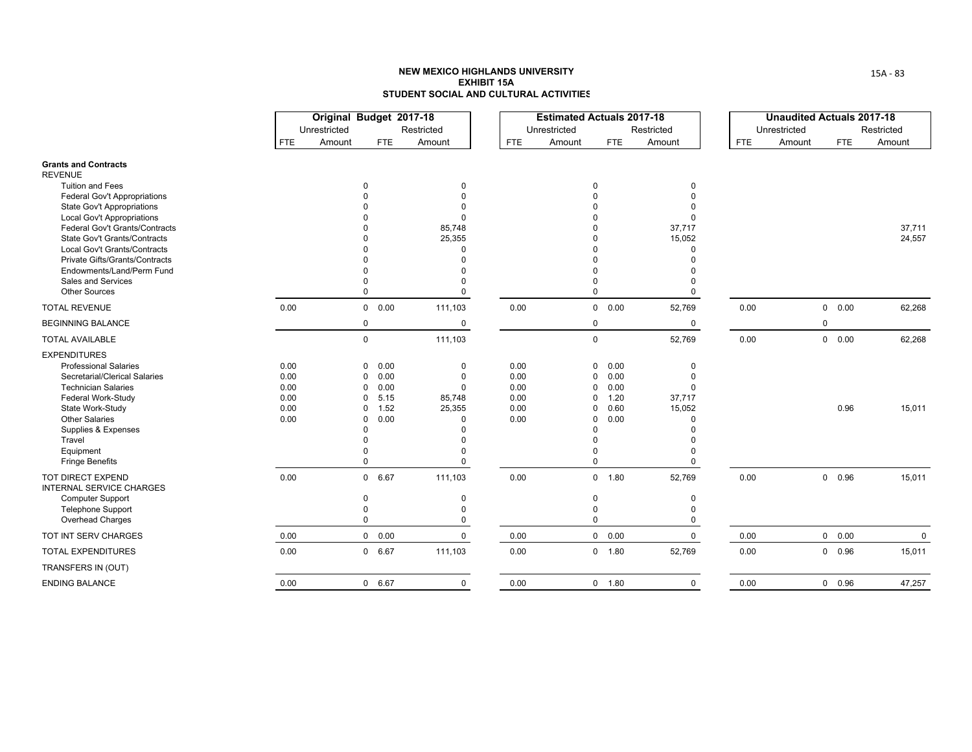|                                                      |            | Original Budget 2017-18 |                        |                      |            | <b>Estimated Actuals 2017-18</b> |               |                      |            | <b>Unaudited Actuals 2017-18</b> |             |                      |
|------------------------------------------------------|------------|-------------------------|------------------------|----------------------|------------|----------------------------------|---------------|----------------------|------------|----------------------------------|-------------|----------------------|
|                                                      | <b>FTE</b> | Unrestricted<br>Amount  | <b>FTE</b>             | Restricted<br>Amount | <b>FTE</b> | Unrestricted<br>Amount           | <b>FTE</b>    | Restricted<br>Amount | <b>FTE</b> | Unrestricted<br>Amount           | <b>FTE</b>  | Restricted<br>Amount |
|                                                      |            |                         |                        |                      |            |                                  |               |                      |            |                                  |             |                      |
| <b>Grants and Contracts</b><br><b>REVENUE</b>        |            |                         |                        |                      |            |                                  |               |                      |            |                                  |             |                      |
| <b>Tuition and Fees</b>                              |            |                         | $\Omega$               | $\Omega$             |            |                                  |               | $\Omega$             |            |                                  |             |                      |
| <b>Federal Gov't Appropriations</b>                  |            |                         |                        |                      |            |                                  |               |                      |            |                                  |             |                      |
| <b>State Gov't Appropriations</b>                    |            |                         |                        |                      |            |                                  |               |                      |            |                                  |             |                      |
| <b>Local Gov't Appropriations</b>                    |            |                         |                        | $\Omega$             |            |                                  |               |                      |            |                                  |             |                      |
| Federal Gov't Grants/Contracts                       |            |                         |                        | 85,748               |            |                                  |               | 37,717               |            |                                  |             | 37,711               |
| <b>State Gov't Grants/Contracts</b>                  |            |                         |                        | 25,355               |            |                                  |               | 15,052               |            |                                  |             | 24,557               |
| Local Gov't Grants/Contracts                         |            |                         |                        | U                    |            |                                  |               |                      |            |                                  |             |                      |
| Private Gifts/Grants/Contracts                       |            |                         |                        |                      |            |                                  |               |                      |            |                                  |             |                      |
| Endowments/Land/Perm Fund                            |            |                         |                        |                      |            |                                  |               |                      |            |                                  |             |                      |
| Sales and Services                                   |            |                         |                        | O                    |            |                                  |               |                      |            |                                  |             |                      |
| <b>Other Sources</b>                                 |            |                         | $\Omega$               | 0                    |            | $\Omega$                         |               | 0                    |            |                                  |             |                      |
| <b>TOTAL REVENUE</b>                                 | 0.00       |                         | $\overline{0}$<br>0.00 | 111,103              | 0.00       |                                  | $0\quad 0.00$ | 52,769               | 0.00       |                                  | 0 0.00      | 62,268               |
| <b>BEGINNING BALANCE</b>                             |            |                         | $\mathbf 0$            | 0                    |            | 0                                |               | $\mathbf 0$          |            |                                  | $\mathbf 0$ |                      |
| <b>TOTAL AVAILABLE</b>                               |            |                         | $\mathbf 0$            | 111,103              |            | $\mathsf 0$                      |               | 52,769               | 0.00       |                                  | 0 0.00      | 62,268               |
| <b>EXPENDITURES</b>                                  |            |                         |                        |                      |            |                                  |               |                      |            |                                  |             |                      |
| <b>Professional Salaries</b>                         | 0.00       |                         | 0.00<br>0              | 0                    | 0.00       | 0                                | 0.00          | 0                    |            |                                  |             |                      |
| Secretarial/Clerical Salaries                        | 0.00       |                         | 0.00<br>$\mathbf 0$    | $\Omega$             | 0.00       | $\Omega$                         | 0.00          | $\Omega$             |            |                                  |             |                      |
| <b>Technician Salaries</b>                           | 0.00       |                         | 0.00<br>$\Omega$       | $\Omega$             | 0.00       | $\Omega$                         | 0.00          | $\Omega$             |            |                                  |             |                      |
| Federal Work-Study                                   | 0.00       |                         | 5.15<br>$\Omega$       | 85,748               | 0.00       | 0                                | 1.20          | 37,717               |            |                                  |             |                      |
| State Work-Study                                     | 0.00       |                         | 1.52<br>$\Omega$       | 25,355               | 0.00       | $\Omega$                         | 0.60          | 15,052               |            |                                  | 0.96        | 15,011               |
| <b>Other Salaries</b>                                | 0.00       |                         | 0.00<br>0              | $\Omega$             | 0.00       | $\Omega$                         | 0.00          |                      |            |                                  |             |                      |
| Supplies & Expenses                                  |            |                         | U                      |                      |            | $\Omega$                         |               |                      |            |                                  |             |                      |
| Travel                                               |            |                         |                        |                      |            |                                  |               |                      |            |                                  |             |                      |
| Equipment<br><b>Fringe Benefits</b>                  |            |                         | $\Omega$               | $\Omega$             |            | $\Omega$                         |               | $\Omega$             |            |                                  |             |                      |
|                                                      |            |                         |                        |                      |            |                                  |               |                      |            |                                  |             |                      |
| <b>TOT DIRECT EXPEND</b><br>INTERNAL SERVICE CHARGES | 0.00       |                         | 0 6.67                 | 111,103              | 0.00       |                                  | 0 1.80        | 52,769               | 0.00       |                                  | 0 0.96      | 15,011               |
| <b>Computer Support</b>                              |            |                         | $\Omega$               | $\mathbf 0$          |            | $\Omega$                         |               | $\Omega$             |            |                                  |             |                      |
| <b>Telephone Support</b>                             |            |                         | $\Omega$               | 0                    |            | $\Omega$                         |               | $\Omega$             |            |                                  |             |                      |
| Overhead Charges                                     |            |                         | $\mathbf 0$            | 0                    |            | $\mathbf 0$                      |               | 0                    |            |                                  |             |                      |
| TOT INT SERV CHARGES                                 | 0.00       |                         | $0\quad 0.00$          | $\mathbf 0$          | 0.00       |                                  | $0\quad 0.00$ | $\mathbf 0$          | 0.00       |                                  | 0 0.00      | $\mathbf 0$          |
| <b>TOTAL EXPENDITURES</b>                            | 0.00       |                         | 0 6.67                 | 111,103              | 0.00       |                                  | 0 1.80        | 52,769               | 0.00       |                                  | 0 0.96      | 15,011               |
| TRANSFERS IN (OUT)                                   |            |                         |                        |                      |            |                                  |               |                      |            |                                  |             |                      |
| <b>ENDING BALANCE</b>                                | 0.00       |                         | 0 6.67                 | $\mathbf 0$          | 0.00       |                                  | 0 1.80        | $\Omega$             | 0.00       |                                  | 0 0.96      | 47,257               |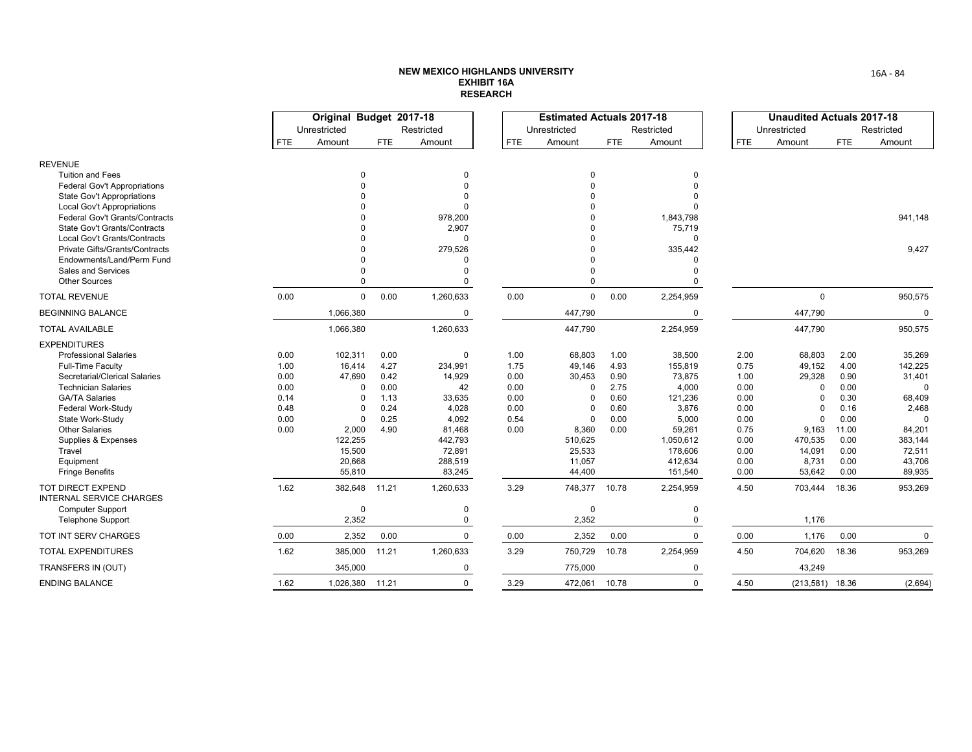|                                                                       |              | Original Budget 2017-18 |              |                      |              | <b>Estimated Actuals 2017-18</b> |              |                      |              | <b>Unaudited Actuals 2017-18</b> |              |                      |
|-----------------------------------------------------------------------|--------------|-------------------------|--------------|----------------------|--------------|----------------------------------|--------------|----------------------|--------------|----------------------------------|--------------|----------------------|
|                                                                       | <b>FTE</b>   | Unrestricted<br>Amount  | <b>FTE</b>   | Restricted<br>Amount | <b>FTE</b>   | Unrestricted<br>Amount           | FTE.         | Restricted<br>Amount | <b>FTE</b>   | Unrestricted<br>Amount           | <b>FTE</b>   | Restricted<br>Amount |
|                                                                       |              |                         |              |                      |              |                                  |              |                      |              |                                  |              |                      |
| <b>REVENUE</b>                                                        |              |                         |              |                      |              |                                  |              |                      |              |                                  |              |                      |
| <b>Tuition and Fees</b>                                               |              | $\Omega$                |              | 0                    |              | $\mathbf 0$                      |              | 0                    |              |                                  |              |                      |
| <b>Federal Gov't Appropriations</b>                                   |              |                         |              | $\Omega$             |              | $\Omega$                         |              | $\Omega$             |              |                                  |              |                      |
| <b>State Gov't Appropriations</b>                                     |              |                         |              |                      |              | $\Omega$                         |              |                      |              |                                  |              |                      |
| <b>Local Gov't Appropriations</b>                                     |              |                         |              | $\Omega$             |              | $\Omega$                         |              |                      |              |                                  |              |                      |
| Federal Gov't Grants/Contracts<br><b>State Gov't Grants/Contracts</b> |              |                         |              | 978,200<br>2,907     |              | $\Omega$<br>$\Omega$             |              | 1,843,798<br>75,719  |              |                                  |              | 941.148              |
| Local Gov't Grants/Contracts                                          |              |                         |              | $\Omega$             |              | $\Omega$                         |              | $\Omega$             |              |                                  |              |                      |
| Private Gifts/Grants/Contracts                                        |              |                         |              | 279,526              |              | $\Omega$                         |              | 335,442              |              |                                  |              | 9,427                |
| Endowments/Land/Perm Fund                                             |              |                         |              | $\Omega$             |              | $\Omega$                         |              | $\Omega$             |              |                                  |              |                      |
| Sales and Services                                                    |              |                         |              | $\Omega$             |              | $\Omega$                         |              | $\Omega$             |              |                                  |              |                      |
| <b>Other Sources</b>                                                  |              | $\Omega$                |              | $\Omega$             |              | $\Omega$                         |              | $\Omega$             |              |                                  |              |                      |
| <b>TOTAL REVENUE</b>                                                  | 0.00         | $\mathbf 0$             | 0.00         | 1,260,633            | 0.00         | $\mathbf 0$                      | 0.00         | 2,254,959            |              | 0                                |              | 950,575              |
| <b>BEGINNING BALANCE</b>                                              |              | 1,066,380               |              | 0                    |              | 447,790                          |              | 0                    |              | 447,790                          |              | 0                    |
| <b>TOTAL AVAILABLE</b>                                                |              | 1,066,380               |              | 1,260,633            |              | 447,790                          |              | 2,254,959            |              | 447,790                          |              | 950,575              |
| <b>EXPENDITURES</b>                                                   |              |                         |              |                      |              |                                  |              |                      |              |                                  |              |                      |
| <b>Professional Salaries</b>                                          | 0.00         | 102,311                 | 0.00         | $\mathbf 0$          | 1.00         | 68,803                           | 1.00         | 38,500               | 2.00         | 68,803                           | 2.00         | 35,269               |
| <b>Full-Time Faculty</b>                                              | 1.00         | 16,414                  | 4.27         | 234,991              | 1.75         | 49,146                           | 4.93         | 155,819              | 0.75         | 49,152                           | 4.00         | 142,225              |
| Secretarial/Clerical Salaries                                         | 0.00         | 47,690                  | 0.42         | 14,929               | 0.00         | 30,453                           | 0.90         | 73,875               | 1.00         | 29,328                           | 0.90         | 31,401               |
| <b>Technician Salaries</b>                                            | 0.00         | $\Omega$<br>$\Omega$    | 0.00         | 42                   | 0.00         | $\Omega$                         | 2.75         | 4,000                | 0.00         | $\Omega$                         | 0.00<br>0.30 |                      |
| <b>GA/TA Salaries</b><br>Federal Work-Study                           | 0.14<br>0.48 |                         | 1.13<br>0.24 | 33,635<br>4,028      | 0.00<br>0.00 | $\cap$                           | 0.60<br>0.60 | 121,236<br>3,876     | 0.00<br>0.00 |                                  | 0.16         | 68,409<br>2,468      |
| State Work-Study                                                      | 0.00         | $\Omega$                | 0.25         | 4,092                | 0.54         | $\Omega$                         | 0.00         | 5,000                | 0.00         | $\Omega$                         | 0.00         | $\Omega$             |
| <b>Other Salaries</b>                                                 | 0.00         | 2,000                   | 4.90         | 81,468               | 0.00         | 8,360                            | 0.00         | 59,261               | 0.75         | 9,163                            | 11.00        | 84,201               |
| Supplies & Expenses                                                   |              | 122,255                 |              | 442,793              |              | 510,625                          |              | 1,050,612            | 0.00         | 470,535                          | 0.00         | 383,144              |
| Travel                                                                |              | 15,500                  |              | 72,891               |              | 25,533                           |              | 178,606              | 0.00         | 14,091                           | 0.00         | 72,511               |
| Equipment                                                             |              | 20,668                  |              | 288,519              |              | 11,057                           |              | 412,634              | 0.00         | 8,731                            | 0.00         | 43,706               |
| <b>Fringe Benefits</b>                                                |              | 55,810                  |              | 83,245               |              | 44,400                           |              | 151,540              | 0.00         | 53,642                           | 0.00         | 89,935               |
| TOT DIRECT EXPEND<br><b>INTERNAL SERVICE CHARGES</b>                  | 1.62         | 382,648                 | 11.21        | 1,260,633            | 3.29         | 748,377                          | 10.78        | 2,254,959            | 4.50         | 703,444                          | 18.36        | 953,269              |
| <b>Computer Support</b>                                               |              | $\Omega$                |              | 0                    |              | $\mathbf 0$                      |              | 0                    |              |                                  |              |                      |
| Telephone Support                                                     |              | 2,352                   |              | $\mathbf 0$          |              | 2,352                            |              | 0                    |              | 1,176                            |              |                      |
| TOT INT SERV CHARGES                                                  | 0.00         | 2,352                   | 0.00         | $\mathbf 0$          | 0.00         | 2,352                            | 0.00         | $\mathbf 0$          | 0.00         | 1,176                            | 0.00         | $\mathbf{0}$         |
| <b>TOTAL EXPENDITURES</b>                                             | 1.62         | 385,000                 | 11.21        | 1,260,633            | 3.29         | 750,729                          | 10.78        | 2,254,959            | 4.50         | 704,620                          | 18.36        | 953,269              |
| TRANSFERS IN (OUT)                                                    |              | 345,000                 |              | $\mathbf 0$          |              | 775,000                          |              | 0                    |              | 43,249                           |              |                      |
| <b>ENDING BALANCE</b>                                                 | 1.62         | 1,026,380               | 11.21        | $\Omega$             | 3.29         | 472,061                          | 10.78        | $\Omega$             | 4.50         | $(213,581)$ 18.36                |              | (2,694)              |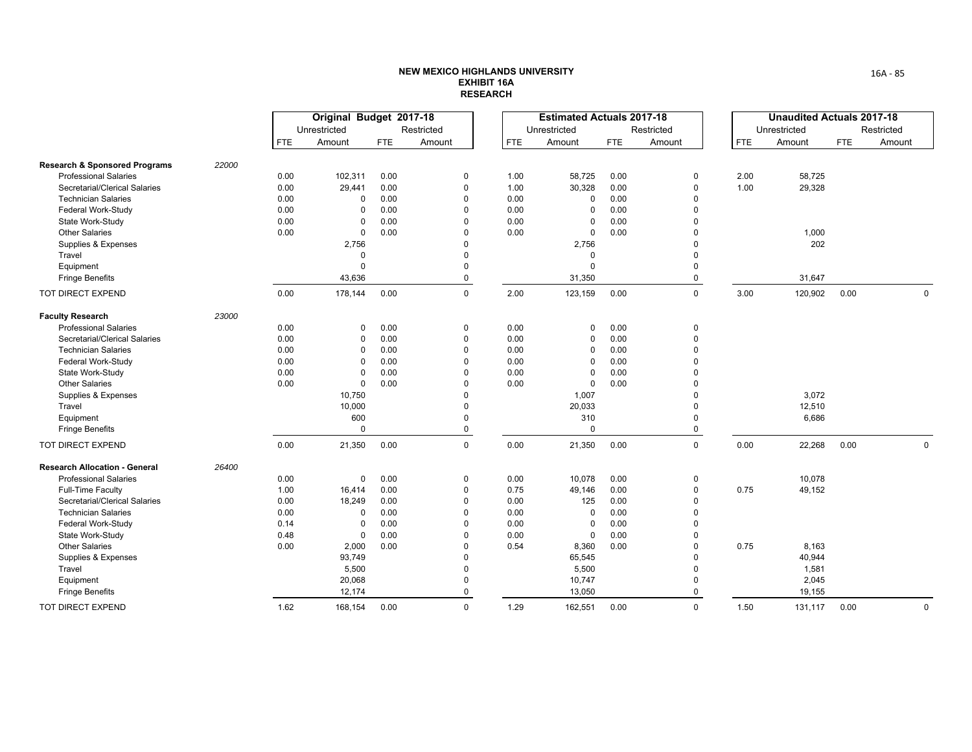|                                          |       |            | Original Budget 2017-18 |            |             |            | <b>Estimated Actuals 2017-18</b> |            |             |            | <b>Unaudited Actuals 2017-18</b> |            |              |
|------------------------------------------|-------|------------|-------------------------|------------|-------------|------------|----------------------------------|------------|-------------|------------|----------------------------------|------------|--------------|
|                                          |       |            | Unrestricted            |            | Restricted  |            | Unrestricted                     |            | Restricted  |            | Unrestricted                     |            | Restricted   |
|                                          |       | <b>FTE</b> | Amount                  | <b>FTE</b> | Amount      | <b>FTE</b> | Amount                           | <b>FTE</b> | Amount      | <b>FTE</b> | Amount                           | <b>FTE</b> | Amount       |
| <b>Research &amp; Sponsored Programs</b> | 22000 |            |                         |            |             |            |                                  |            |             |            |                                  |            |              |
| <b>Professional Salaries</b>             |       | 0.00       | 102,311                 | 0.00       | 0           | 1.00       | 58,725                           | 0.00       | 0           | 2.00       | 58,725                           |            |              |
| Secretarial/Clerical Salaries            |       | 0.00       | 29,441                  | 0.00       | $\mathbf 0$ | 1.00       | 30,328                           | 0.00       | $\mathbf 0$ | 1.00       | 29,328                           |            |              |
| <b>Technician Salaries</b>               |       | 0.00       | $\mathbf 0$             | 0.00       | $\Omega$    | 0.00       | $\Omega$                         | 0.00       | $\Omega$    |            |                                  |            |              |
| Federal Work-Study                       |       | 0.00       | 0                       | 0.00       | $\mathbf 0$ | 0.00       | 0                                | 0.00       | $\Omega$    |            |                                  |            |              |
| State Work-Study                         |       | 0.00       | $\mathbf 0$             | 0.00       | $\Omega$    | 0.00       | $\Omega$                         | 0.00       | $\Omega$    |            |                                  |            |              |
| <b>Other Salaries</b>                    |       | 0.00       | $\mathbf 0$             | 0.00       | $\mathbf 0$ | 0.00       | $\mathbf 0$                      | 0.00       | $\Omega$    |            | 1,000                            |            |              |
| Supplies & Expenses                      |       |            | 2,756                   |            | $\mathbf 0$ |            | 2,756                            |            | $\mathbf 0$ |            | 202                              |            |              |
| Travel                                   |       |            | $\mathbf 0$             |            | $\mathbf 0$ |            | 0                                |            | $\mathbf 0$ |            |                                  |            |              |
| Equipment                                |       |            | $\mathbf 0$             |            | $\Omega$    |            | $\Omega$                         |            | $\Omega$    |            |                                  |            |              |
| <b>Fringe Benefits</b>                   |       |            | 43,636                  |            | $\pmb{0}$   |            | 31,350                           |            | 0           |            | 31,647                           |            |              |
| <b>TOT DIRECT EXPEND</b>                 |       | 0.00       | 178,144                 | 0.00       | $\mathbf 0$ | 2.00       | 123,159                          | 0.00       | $\mathbf 0$ | 3.00       | 120,902                          | 0.00       | $\mathbf 0$  |
| <b>Faculty Research</b>                  | 23000 |            |                         |            |             |            |                                  |            |             |            |                                  |            |              |
| <b>Professional Salaries</b>             |       | 0.00       | 0                       | 0.00       | 0           | 0.00       | 0                                | 0.00       | 0           |            |                                  |            |              |
| Secretarial/Clerical Salaries            |       | 0.00       | 0                       | 0.00       | $\mathbf 0$ | 0.00       | $\Omega$                         | 0.00       | $\Omega$    |            |                                  |            |              |
| <b>Technician Salaries</b>               |       | 0.00       | $\mathbf 0$             | 0.00       | $\mathbf 0$ | 0.00       | $\Omega$                         | 0.00       | $\Omega$    |            |                                  |            |              |
| Federal Work-Study                       |       | 0.00       | $\mathbf 0$             | 0.00       | $\Omega$    | 0.00       | $\Omega$                         | 0.00       | $\Omega$    |            |                                  |            |              |
| State Work-Study                         |       | 0.00       | $\mathbf 0$             | 0.00       | $\Omega$    | 0.00       | $\Omega$                         | 0.00       | $\Omega$    |            |                                  |            |              |
| <b>Other Salaries</b>                    |       | 0.00       | $\mathbf 0$             | 0.00       | $\mathbf 0$ | 0.00       | $\mathbf 0$                      | 0.00       | $\Omega$    |            |                                  |            |              |
| Supplies & Expenses                      |       |            | 10,750                  |            | $\mathbf 0$ |            | 1,007                            |            | $\Omega$    |            | 3,072                            |            |              |
| Travel                                   |       |            | 10,000                  |            | $\mathbf 0$ |            | 20,033                           |            | $\Omega$    |            | 12,510                           |            |              |
| Equipment                                |       |            | 600                     |            | $\mathbf 0$ |            | 310                              |            | $\mathbf 0$ |            | 6,686                            |            |              |
| <b>Fringe Benefits</b>                   |       |            | $\mathbf 0$             |            | $\pmb{0}$   |            | $\Omega$                         |            | 0           |            |                                  |            |              |
| TOT DIRECT EXPEND                        |       | 0.00       | 21,350                  | 0.00       | $\mathbf 0$ | 0.00       | 21,350                           | 0.00       | $\mathbf 0$ | 0.00       | 22,268                           | 0.00       | $\mathbf 0$  |
| <b>Research Allocation - General</b>     | 26400 |            |                         |            |             |            |                                  |            |             |            |                                  |            |              |
| <b>Professional Salaries</b>             |       | 0.00       | $\mathbf 0$             | 0.00       | $\mathbf 0$ | 0.00       | 10,078                           | 0.00       | $\mathbf 0$ |            | 10,078                           |            |              |
| <b>Full-Time Faculty</b>                 |       | 1.00       | 16,414                  | 0.00       | $\mathbf 0$ | 0.75       | 49,146                           | 0.00       | 0           | 0.75       | 49,152                           |            |              |
| Secretarial/Clerical Salaries            |       | 0.00       | 18,249                  | 0.00       | $\mathbf 0$ | 0.00       | 125                              | 0.00       | $\Omega$    |            |                                  |            |              |
| <b>Technician Salaries</b>               |       | 0.00       | 0                       | 0.00       | $\mathbf 0$ | 0.00       | 0                                | 0.00       | $\mathbf 0$ |            |                                  |            |              |
| Federal Work-Study                       |       | 0.14       | $\mathbf 0$             | 0.00       | $\Omega$    | 0.00       | $\mathbf 0$                      | 0.00       | $\Omega$    |            |                                  |            |              |
| State Work-Study                         |       | 0.48       | $\mathbf 0$             | 0.00       | $\Omega$    | 0.00       | $\mathbf 0$                      | 0.00       | $\Omega$    |            |                                  |            |              |
| <b>Other Salaries</b>                    |       | 0.00       | 2,000                   | 0.00       | $\mathbf 0$ | 0.54       | 8,360                            | 0.00       | 0           | 0.75       | 8,163                            |            |              |
| Supplies & Expenses                      |       |            | 93,749                  |            | $\mathbf 0$ |            | 65,545                           |            | $\Omega$    |            | 40,944                           |            |              |
| Travel                                   |       |            | 5,500                   |            | $\mathbf 0$ |            | 5,500                            |            | $\mathbf 0$ |            | 1,581                            |            |              |
| Equipment                                |       |            | 20,068                  |            | $\mathbf 0$ |            | 10,747                           |            | $\mathbf 0$ |            | 2,045                            |            |              |
| <b>Fringe Benefits</b>                   |       |            | 12,174                  |            | $\Omega$    |            | 13,050                           |            | 0           |            | 19,155                           |            |              |
| <b>TOT DIRECT EXPEND</b>                 |       | 1.62       | 168,154                 | 0.00       | $\mathbf 0$ | 1.29       | 162,551                          | 0.00       | $\mathbf 0$ | 1.50       | 131,117                          | 0.00       | $\mathbf{0}$ |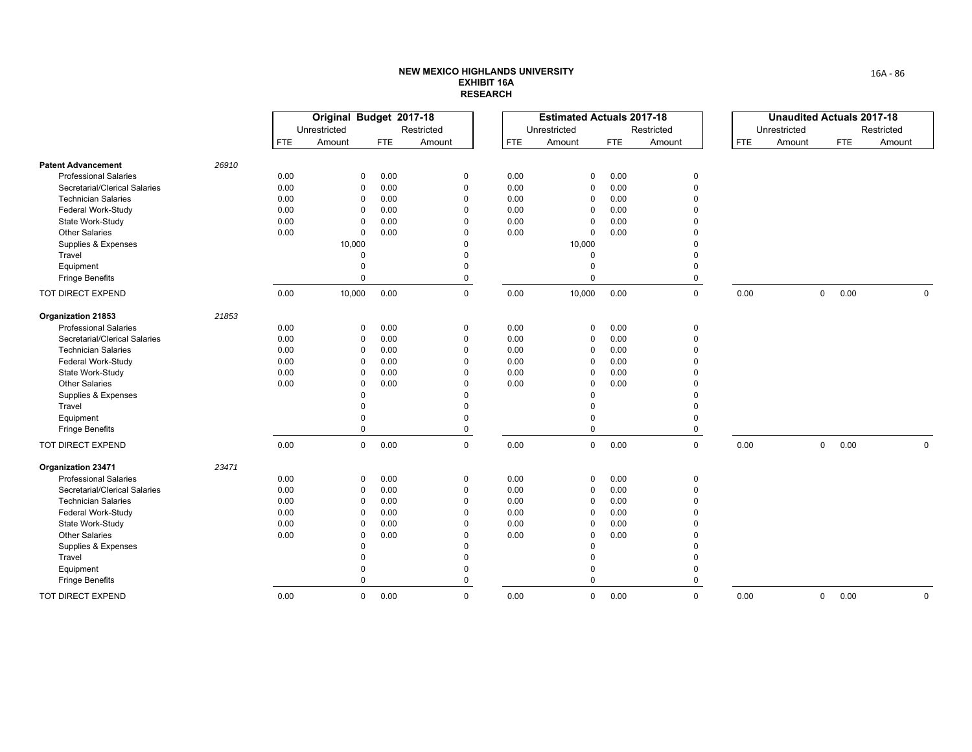|                               |       |            | Original Budget 2017-18 |            |             |            | <b>Estimated Actuals 2017-18</b> |            |              |            | <b>Unaudited Actuals 2017-18</b> |            |             |
|-------------------------------|-------|------------|-------------------------|------------|-------------|------------|----------------------------------|------------|--------------|------------|----------------------------------|------------|-------------|
|                               |       |            | Unrestricted            |            | Restricted  |            | Unrestricted                     |            | Restricted   |            | Unrestricted                     |            | Restricted  |
|                               |       | <b>FTE</b> | Amount                  | <b>FTE</b> | Amount      | <b>FTE</b> | Amount                           | <b>FTE</b> | Amount       | <b>FTE</b> | Amount                           | <b>FTE</b> | Amount      |
| <b>Patent Advancement</b>     | 26910 |            |                         |            |             |            |                                  |            |              |            |                                  |            |             |
| <b>Professional Salaries</b>  |       | 0.00       | $\mathbf 0$             | 0.00       | 0           | 0.00       | 0                                | 0.00       | $\mathbf 0$  |            |                                  |            |             |
| Secretarial/Clerical Salaries |       | 0.00       | 0                       | 0.00       | 0           | 0.00       | $\Omega$                         | 0.00       | 0            |            |                                  |            |             |
| <b>Technician Salaries</b>    |       | 0.00       | $\mathbf 0$             | 0.00       | $\mathbf 0$ | 0.00       | 0                                | 0.00       | $\Omega$     |            |                                  |            |             |
| Federal Work-Study            |       | 0.00       | $\Omega$                | 0.00       | $\Omega$    | 0.00       | $\Omega$                         | 0.00       | $\Omega$     |            |                                  |            |             |
| State Work-Study              |       | 0.00       | 0                       | 0.00       | $\Omega$    | 0.00       | $\Omega$                         | 0.00       | $\Omega$     |            |                                  |            |             |
| <b>Other Salaries</b>         |       | 0.00       | 0                       | 0.00       | $\Omega$    | 0.00       | 0                                | 0.00       | $\Omega$     |            |                                  |            |             |
| Supplies & Expenses           |       |            | 10,000                  |            | $\Omega$    |            | 10,000                           |            | $\Omega$     |            |                                  |            |             |
| Travel                        |       |            | $\Omega$                |            | $\Omega$    |            | 0                                |            | $\Omega$     |            |                                  |            |             |
| Equipment                     |       |            | $\mathbf 0$             |            | $\Omega$    |            | $\Omega$                         |            | $\Omega$     |            |                                  |            |             |
| <b>Fringe Benefits</b>        |       |            | $\Omega$                |            | $\mathbf 0$ |            | $\mathbf{0}$                     |            | 0            |            |                                  |            |             |
| TOT DIRECT EXPEND             |       | 0.00       | 10,000                  | 0.00       | $\mathbf 0$ | 0.00       | 10,000                           | 0.00       | $\mathbf 0$  | 0.00       | $\mathbf 0$                      | 0.00       | $\mathbf 0$ |
| Organization 21853            | 21853 |            |                         |            |             |            |                                  |            |              |            |                                  |            |             |
| <b>Professional Salaries</b>  |       | 0.00       | $\mathbf 0$             | 0.00       | 0           | 0.00       | 0                                | 0.00       | $\mathbf 0$  |            |                                  |            |             |
| Secretarial/Clerical Salaries |       | 0.00       | 0                       | 0.00       | $\mathbf 0$ | 0.00       | $\Omega$                         | 0.00       | $\mathbf 0$  |            |                                  |            |             |
| <b>Technician Salaries</b>    |       | 0.00       | $\mathbf 0$             | 0.00       | $\Omega$    | 0.00       | 0                                | 0.00       | $\Omega$     |            |                                  |            |             |
| Federal Work-Study            |       | 0.00       | $\mathbf 0$             | 0.00       | $\Omega$    | 0.00       | $\Omega$                         | 0.00       | $\Omega$     |            |                                  |            |             |
| State Work-Study              |       | 0.00       | $\Omega$                | 0.00       | $\Omega$    | 0.00       | $\Omega$                         | 0.00       | $\Omega$     |            |                                  |            |             |
| <b>Other Salaries</b>         |       | 0.00       | $\mathbf 0$             | 0.00       | $\Omega$    | 0.00       | $\Omega$                         | 0.00       | $\Omega$     |            |                                  |            |             |
| Supplies & Expenses           |       |            | $\Omega$                |            | $\Omega$    |            | $\Omega$                         |            | $\Omega$     |            |                                  |            |             |
| Travel                        |       |            | $\Omega$                |            | $\Omega$    |            | $\Omega$                         |            | $\Omega$     |            |                                  |            |             |
| Equipment                     |       |            | $\Omega$                |            | $\Omega$    |            | 0                                |            | $\Omega$     |            |                                  |            |             |
| <b>Fringe Benefits</b>        |       |            | $\mathbf 0$             |            | 0           |            | $\mathbf 0$                      |            | 0            |            |                                  |            |             |
| TOT DIRECT EXPEND             |       | 0.00       | $\mathbf 0$             | 0.00       | $\mathbf 0$ | 0.00       | $\mathbf 0$                      | 0.00       | $\mathbf 0$  | 0.00       | $\mathbf 0$                      | 0.00       | $\mathbf 0$ |
| Organization 23471            | 23471 |            |                         |            |             |            |                                  |            |              |            |                                  |            |             |
| <b>Professional Salaries</b>  |       | 0.00       | 0                       | 0.00       | 0           | 0.00       | $\Omega$                         | 0.00       | 0            |            |                                  |            |             |
| Secretarial/Clerical Salaries |       | 0.00       | 0                       | 0.00       | $\Omega$    | 0.00       | $\Omega$                         | 0.00       | $\Omega$     |            |                                  |            |             |
| <b>Technician Salaries</b>    |       | 0.00       | $\mathbf 0$             | 0.00       | $\mathbf 0$ | 0.00       | $\Omega$                         | 0.00       | $\Omega$     |            |                                  |            |             |
| Federal Work-Study            |       | 0.00       | $\Omega$                | 0.00       | $\Omega$    | 0.00       | O                                | 0.00       | $\Omega$     |            |                                  |            |             |
| State Work-Study              |       | 0.00       | 0                       | 0.00       | $\Omega$    | 0.00       | 0                                | 0.00       | $\Omega$     |            |                                  |            |             |
| <b>Other Salaries</b>         |       | 0.00       | $\mathbf 0$             | 0.00       | $\Omega$    | 0.00       | $\Omega$                         | 0.00       | $\Omega$     |            |                                  |            |             |
| Supplies & Expenses           |       |            | $\Omega$                |            | $\Omega$    |            | $\Omega$                         |            | $\Omega$     |            |                                  |            |             |
| Travel                        |       |            | $\Omega$                |            | $\Omega$    |            | $\Omega$                         |            | $\Omega$     |            |                                  |            |             |
| Equipment                     |       |            | O                       |            | O           |            | 0                                |            | $\Omega$     |            |                                  |            |             |
| <b>Fringe Benefits</b>        |       |            | $\Omega$                |            | 0           |            | $\mathbf 0$                      |            | $\Omega$     |            |                                  |            |             |
| TOT DIRECT EXPEND             |       | 0.00       | $\mathbf 0$             | 0.00       | $\Omega$    | 0.00       | $\mathbf 0$                      | 0.00       | $\mathbf{0}$ | 0.00       | $\mathbf 0$                      | 0.00       | $\mathbf 0$ |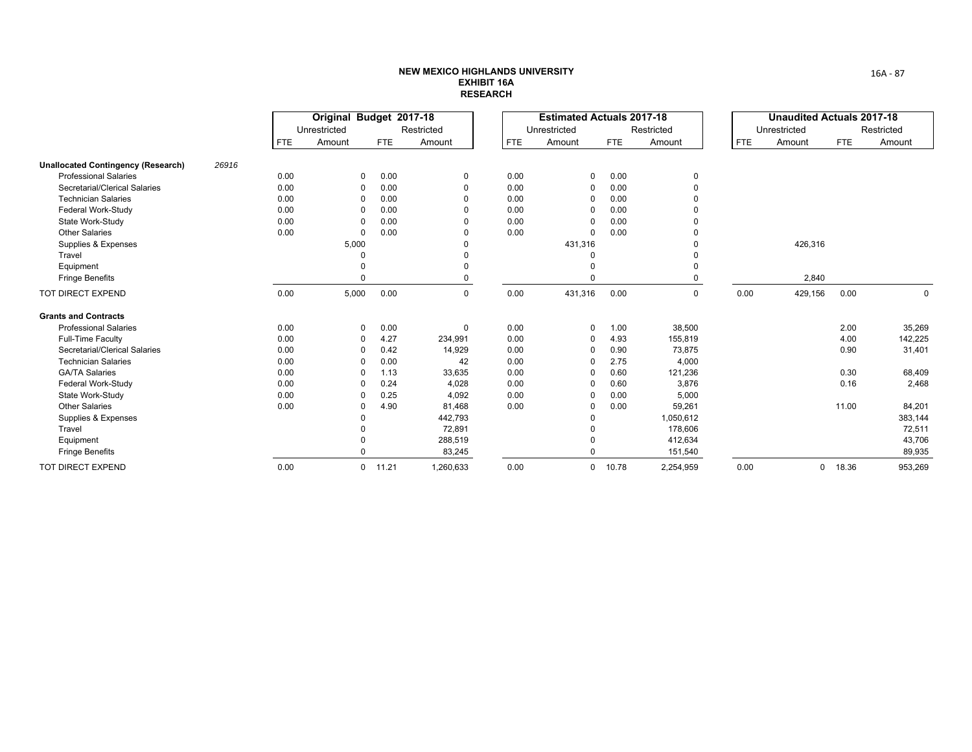|                                           |       | Original Budget 2017-18<br>Restricted<br>Unrestricted |                |            |             |      | <b>Estimated Actuals 2017-18</b> |            |            |            | <b>Unaudited Actuals 2017-18</b> |            |             |
|-------------------------------------------|-------|-------------------------------------------------------|----------------|------------|-------------|------|----------------------------------|------------|------------|------------|----------------------------------|------------|-------------|
|                                           |       |                                                       |                |            |             |      | Unrestricted                     |            | Restricted |            | Unrestricted                     |            | Restricted  |
|                                           |       | <b>FTE</b>                                            | Amount         | <b>FTE</b> | Amount      | FTE  | Amount                           | <b>FTE</b> | Amount     | <b>FTE</b> | Amount                           | <b>FTE</b> | Amount      |
| <b>Unallocated Contingency (Research)</b> | 26916 |                                                       |                |            |             |      |                                  |            |            |            |                                  |            |             |
| <b>Professional Salaries</b>              |       | 0.00                                                  | $\mathbf 0$    | 0.00       | $\mathbf 0$ | 0.00 | 0                                | 0.00       | 0          |            |                                  |            |             |
| Secretarial/Clerical Salaries             |       | 0.00                                                  | $\Omega$       | 0.00       | $\Omega$    | 0.00 | 0                                | 0.00       | $\Omega$   |            |                                  |            |             |
| <b>Technician Salaries</b>                |       | 0.00                                                  | $\Omega$       | 0.00       |             | 0.00 | $\Omega$                         | 0.00       |            |            |                                  |            |             |
| Federal Work-Study                        |       | 0.00                                                  | n              | 0.00       |             | 0.00 |                                  | 0.00       |            |            |                                  |            |             |
| State Work-Study                          |       | 0.00                                                  | $\Omega$       | 0.00       |             | 0.00 |                                  | 0.00       |            |            |                                  |            |             |
| <b>Other Salaries</b>                     |       | 0.00                                                  | $\Omega$       | 0.00       |             | 0.00 | 0                                | 0.00       |            |            |                                  |            |             |
| Supplies & Expenses                       |       |                                                       | 5,000          |            |             |      | 431,316                          |            |            |            | 426,316                          |            |             |
| Travel                                    |       |                                                       |                |            | $\Omega$    |      | $\Omega$                         |            |            |            |                                  |            |             |
| Equipment                                 |       |                                                       |                |            | $\Omega$    |      | $\Omega$                         |            | $\Omega$   |            |                                  |            |             |
| <b>Fringe Benefits</b>                    |       |                                                       |                |            | $\Omega$    |      | $\Omega$                         |            | $\Omega$   |            | 2,840                            |            |             |
| TOT DIRECT EXPEND                         |       | 0.00                                                  | 5,000          | 0.00       | $\mathbf 0$ | 0.00 | 431,316                          | 0.00       | 0          | 0.00       | 429,156                          | 0.00       | $\mathbf 0$ |
| <b>Grants and Contracts</b>               |       |                                                       |                |            |             |      |                                  |            |            |            |                                  |            |             |
| <b>Professional Salaries</b>              |       | 0.00                                                  | $\Omega$       | 0.00       | $\mathbf 0$ | 0.00 | 0                                | 1.00       | 38,500     |            |                                  | 2.00       | 35,269      |
| Full-Time Faculty                         |       | 0.00                                                  | $\Omega$       | 4.27       | 234,991     | 0.00 | 0                                | 4.93       | 155,819    |            |                                  | 4.00       | 142,225     |
| Secretarial/Clerical Salaries             |       | 0.00                                                  | $\Omega$       | 0.42       | 14,929      | 0.00 | $\Omega$                         | 0.90       | 73,875     |            |                                  | 0.90       | 31,401      |
| <b>Technician Salaries</b>                |       | 0.00                                                  | $\Omega$       | 0.00       | 42          | 0.00 |                                  | 2.75       | 4,000      |            |                                  |            |             |
| <b>GA/TA Salaries</b>                     |       | 0.00                                                  | $\Omega$       | 1.13       | 33,635      | 0.00 |                                  | 0.60       | 121,236    |            |                                  | 0.30       | 68,409      |
| Federal Work-Study                        |       | 0.00                                                  | $\Omega$       | 0.24       | 4,028       | 0.00 | $\Omega$                         | 0.60       | 3,876      |            |                                  | 0.16       | 2,468       |
| State Work-Study                          |       | 0.00                                                  |                | 0.25       | 4,092       | 0.00 |                                  | 0.00       | 5,000      |            |                                  |            |             |
| <b>Other Salaries</b>                     |       | 0.00                                                  | $\Omega$       | 4.90       | 81,468      | 0.00 | $\Omega$                         | 0.00       | 59,261     |            |                                  | 11.00      | 84,201      |
| Supplies & Expenses                       |       |                                                       |                |            | 442,793     |      | $\mathbf 0$                      |            | 1,050,612  |            |                                  |            | 383,144     |
| Travel                                    |       |                                                       |                |            | 72,891      |      | $\mathbf 0$                      |            | 178,606    |            |                                  |            | 72,511      |
| Equipment                                 |       |                                                       |                |            | 288,519     |      | 0                                |            | 412,634    |            |                                  |            | 43,706      |
| <b>Fringe Benefits</b>                    |       |                                                       | n              |            | 83,245      |      | 0                                |            | 151,540    |            |                                  |            | 89,935      |
| <b>TOT DIRECT EXPEND</b>                  |       | 0.00                                                  | $\overline{0}$ | 11.21      | 1,260,633   | 0.00 | $\mathbf 0$                      | 10.78      | 2,254,959  | 0.00       | 0                                | 18.36      | 953,269     |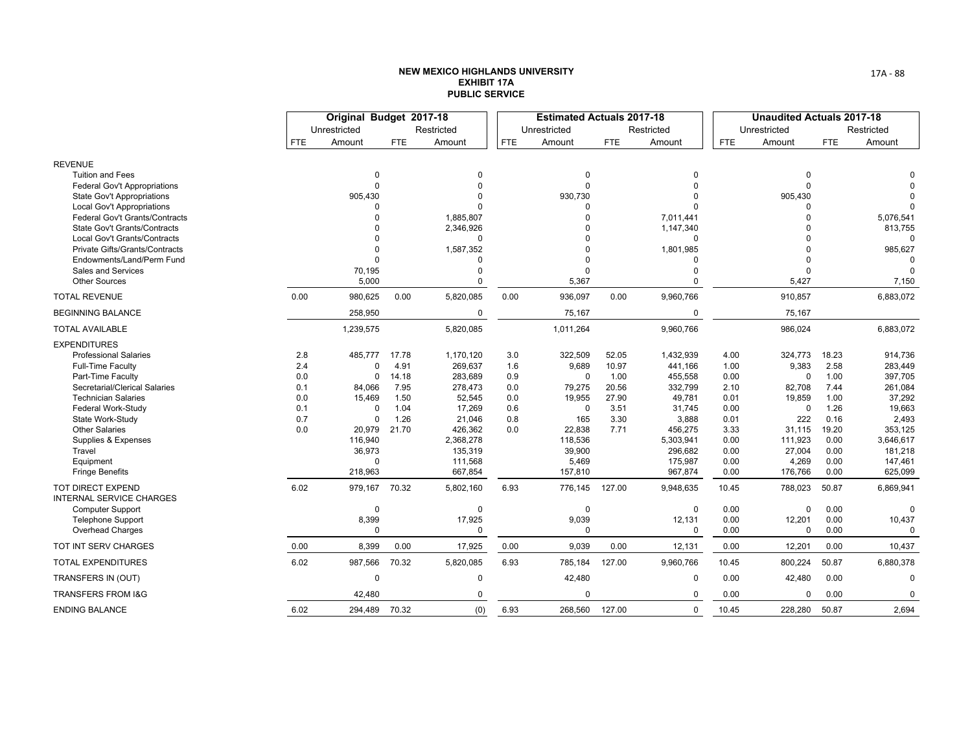|                                                      |            | Original Budget 2017-18 |            |             |            | <b>Estimated Actuals 2017-18</b> |            |             |            | <b>Unaudited Actuals 2017-18</b> |            |            |
|------------------------------------------------------|------------|-------------------------|------------|-------------|------------|----------------------------------|------------|-------------|------------|----------------------------------|------------|------------|
|                                                      |            | Unrestricted            |            | Restricted  |            | Unrestricted                     |            | Restricted  |            | Unrestricted                     |            | Restricted |
|                                                      | <b>FTE</b> | Amount                  | <b>FTE</b> | Amount      | <b>FTE</b> | Amount                           | <b>FTE</b> | Amount      | <b>FTE</b> | Amount                           | <b>FTE</b> | Amount     |
| <b>REVENUE</b>                                       |            |                         |            |             |            |                                  |            |             |            |                                  |            |            |
| <b>Tuition and Fees</b>                              |            | $\Omega$                |            | $\Omega$    |            | $\Omega$                         |            | O           |            | $\Omega$                         |            |            |
| <b>Federal Gov't Appropriations</b>                  |            | $\Omega$                |            | $\Omega$    |            | $\Omega$                         |            |             |            | $\Omega$                         |            |            |
| <b>State Gov't Appropriations</b>                    |            | 905,430                 |            |             |            | 930,730                          |            |             |            | 905,430                          |            |            |
| Local Gov't Appropriations                           |            |                         |            |             |            |                                  |            |             |            |                                  |            | O          |
| <b>Federal Gov't Grants/Contracts</b>                |            | $\Omega$                |            | 1,885,807   |            |                                  |            | 7,011,441   |            | $\Omega$                         |            | 5,076,541  |
| State Gov't Grants/Contracts                         |            | $\Omega$                |            | 2,346,926   |            |                                  |            | 1,147,340   |            |                                  |            | 813,755    |
| Local Gov't Grants/Contracts                         |            | 0                       |            |             |            |                                  |            | $\Omega$    |            | $\Omega$                         |            |            |
| <b>Private Gifts/Grants/Contracts</b>                |            | $\mathbf{0}$            |            | 1,587,352   |            |                                  |            | 1,801,985   |            |                                  |            | 985,627    |
| Endowments/Land/Perm Fund                            |            | $\Omega$                |            |             |            |                                  |            |             |            | $\Omega$                         |            |            |
| <b>Sales and Services</b><br><b>Other Sources</b>    |            | 70,195<br>5,000         |            |             |            | 5,367                            |            | $\Omega$    |            | $\Omega$<br>5,427                |            | 7,150      |
| <b>TOTAL REVENUE</b>                                 | 0.00       | 980,625                 | 0.00       | 5,820,085   | 0.00       | 936,097                          | 0.00       | 9,960,766   |            | 910,857                          |            | 6,883,072  |
| <b>BEGINNING BALANCE</b>                             |            | 258,950                 |            | 0           |            | 75,167                           |            | $\mathbf 0$ |            | 75,167                           |            |            |
| <b>TOTAL AVAILABLE</b>                               |            | 1,239,575               |            | 5,820,085   |            | 1,011,264                        |            | 9,960,766   |            | 986,024                          |            | 6,883,072  |
| <b>EXPENDITURES</b>                                  |            |                         |            |             |            |                                  |            |             |            |                                  |            |            |
| <b>Professional Salaries</b>                         | 2.8        | 485,777                 | 17.78      | 1,170,120   | 3.0        | 322,509                          | 52.05      | 1,432,939   | 4.00       | 324,773                          | 18.23      | 914,736    |
| <b>Full-Time Faculty</b>                             | 2.4        | $\Omega$                | 4.91       | 269,637     | 1.6        | 9,689                            | 10.97      | 441,166     | 1.00       | 9,383                            | 2.58       | 283,449    |
| Part-Time Faculty                                    | 0.0        | 0                       | 14.18      | 283,689     | 0.9        | $\Omega$                         | 1.00       | 455,558     | 0.00       | 0                                | 1.00       | 397,705    |
| Secretarial/Clerical Salaries                        | 0.1        | 84,066                  | 7.95       | 278,473     | 0.0        | 79,275                           | 20.56      | 332,799     | 2.10       | 82,708                           | 7.44       | 261,084    |
| <b>Technician Salaries</b>                           | 0.0        | 15,469                  | 1.50       | 52,545      | 0.0        | 19,955                           | 27.90      | 49,781      | 0.01       | 19,859                           | 1.00       | 37,292     |
| Federal Work-Study                                   | 0.1        | 0                       | 1.04       | 17,269      | 0.6        | $\Omega$                         | 3.51       | 31,745      | 0.00       | $\Omega$                         | 1.26       | 19,663     |
| State Work-Study                                     | 0.7        | 0                       | 1.26       | 21,046      | 0.8        | 165                              | 3.30       | 3,888       | 0.01       | 222                              | 0.16       | 2,493      |
| <b>Other Salaries</b>                                | 0.0        | 20,979                  | 21.70      | 426,362     | 0.0        | 22,838                           | 7.71       | 456,275     | 3.33       | 31,115                           | 19.20      | 353,125    |
| Supplies & Expenses                                  |            | 116,940                 |            | 2,368,278   |            | 118,536                          |            | 5,303,941   | 0.00       | 111,923                          | 0.00       | 3,646,617  |
| Travel                                               |            | 36,973                  |            | 135,319     |            | 39,900                           |            | 296,682     | 0.00       | 27,004                           | 0.00       | 181,218    |
| Equipment                                            |            | 0                       |            | 111,568     |            | 5,469                            |            | 175,987     | 0.00       | 4,269                            | 0.00       | 147,461    |
| <b>Fringe Benefits</b>                               |            | 218,963                 |            | 667,854     |            | 157,810                          |            | 967,874     | 0.00       | 176,766                          | 0.00       | 625,099    |
| TOT DIRECT EXPEND<br><b>INTERNAL SERVICE CHARGES</b> | 6.02       | 979,167                 | 70.32      | 5,802,160   | 6.93       | 776,145                          | 127.00     | 9,948,635   | 10.45      | 788,023                          | 50.87      | 6,869,941  |
| <b>Computer Support</b>                              |            | $\mathbf 0$             |            | $\mathbf 0$ |            | $\Omega$                         |            | 0           | 0.00       | $\mathbf 0$                      | 0.00       | $\Omega$   |
| <b>Telephone Support</b>                             |            | 8,399                   |            | 17,925      |            | 9,039                            |            | 12,131      | 0.00       | 12,201                           | 0.00       | 10,437     |
| <b>Overhead Charges</b>                              |            | 0                       |            | $\Omega$    |            | $\Omega$                         |            | $\mathbf 0$ | 0.00       | 0                                | 0.00       | $\Omega$   |
| <b>TOT INT SERV CHARGES</b>                          | 0.00       | 8,399                   | 0.00       | 17,925      | 0.00       | 9,039                            | 0.00       | 12,131      | 0.00       | 12,201                           | 0.00       | 10,437     |
| <b>TOTAL EXPENDITURES</b>                            | 6.02       | 987,566                 | 70.32      | 5,820,085   | 6.93       | 785,184                          | 127.00     | 9,960,766   | 10.45      | 800,224                          | 50.87      | 6,880,378  |
| TRANSFERS IN (OUT)                                   |            | 0                       |            | 0           |            | 42,480                           |            | $\mathbf 0$ | 0.00       | 42,480                           | 0.00       | 0          |
| <b>TRANSFERS FROM I&amp;G</b>                        |            | 42,480                  |            | $\Omega$    |            | $\Omega$                         |            | $\mathbf 0$ | 0.00       | $\mathbf 0$                      | 0.00       | 0          |
| ENDING BALANCE                                       | 6.02       | 294,489 70.32           |            | (0)         | 6.93       | 268,560 127.00                   |            | $\mathbf 0$ | 10.45      | 228,280                          | 50.87      | 2,694      |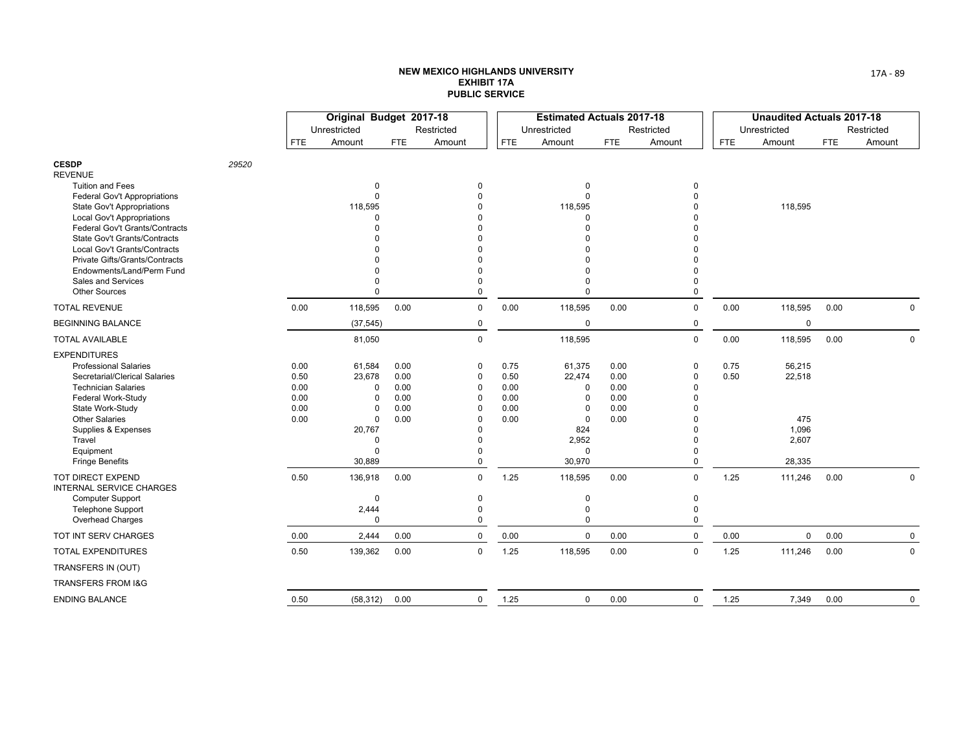|                                                                     |       |              | Original Budget 2017-18 |              |                      |              | <b>Estimated Actuals 2017-18</b> |              |             |            | <b>Unaudited Actuals 2017-18</b> |      |             |
|---------------------------------------------------------------------|-------|--------------|-------------------------|--------------|----------------------|--------------|----------------------------------|--------------|-------------|------------|----------------------------------|------|-------------|
|                                                                     |       |              | Unrestricted            |              | Restricted           |              | Unrestricted                     |              | Restricted  |            | Unrestricted                     |      | Restricted  |
|                                                                     |       | FTE          | Amount                  | <b>FTE</b>   | Amount               | <b>FTE</b>   | Amount                           | <b>FTE</b>   | Amount      | <b>FTE</b> | Amount                           | FTE. | Amount      |
| <b>CESDP</b><br><b>REVENUE</b>                                      | 29520 |              |                         |              |                      |              |                                  |              |             |            |                                  |      |             |
| <b>Tuition and Fees</b>                                             |       |              | 0                       |              | $\mathbf 0$          |              | $\Omega$                         |              | $\mathbf 0$ |            |                                  |      |             |
| <b>Federal Gov't Appropriations</b>                                 |       |              | $\mathbf 0$             |              | $\Omega$             |              | $\Omega$                         |              | 0           |            |                                  |      |             |
| <b>State Gov't Appropriations</b>                                   |       |              | 118,595                 |              |                      |              | 118,595<br>$\Omega$              |              |             |            | 118,595                          |      |             |
| <b>Local Gov't Appropriations</b><br>Federal Gov't Grants/Contracts |       |              | 0<br>U                  |              |                      |              |                                  |              |             |            |                                  |      |             |
| State Gov't Grants/Contracts                                        |       |              |                         |              |                      |              |                                  |              |             |            |                                  |      |             |
| Local Gov't Grants/Contracts                                        |       |              |                         |              |                      |              |                                  |              |             |            |                                  |      |             |
| Private Gifts/Grants/Contracts                                      |       |              |                         |              |                      |              |                                  |              |             |            |                                  |      |             |
| Endowments/Land/Perm Fund                                           |       |              | $\Omega$                |              | O                    |              |                                  |              |             |            |                                  |      |             |
| Sales and Services                                                  |       |              | $\Omega$                |              | O                    |              |                                  |              | 0           |            |                                  |      |             |
| <b>Other Sources</b>                                                |       |              | $\Omega$                |              | $\Omega$             |              | $\Omega$                         |              | 0           |            |                                  |      |             |
| <b>TOTAL REVENUE</b>                                                |       | 0.00         | 118,595                 | 0.00         | $\mathbf 0$          | 0.00         | 118,595                          | 0.00         | $\mathbf 0$ | 0.00       | 118,595                          | 0.00 | $\mathbf 0$ |
| <b>BEGINNING BALANCE</b>                                            |       |              | (37, 545)               |              | $\mathbf 0$          |              | $\mathbf 0$                      |              | $\mathbf 0$ |            | $\mathbf 0$                      |      |             |
| <b>TOTAL AVAILABLE</b>                                              |       |              | 81,050                  |              | $\mathbf 0$          |              | 118,595                          |              | $\mathbf 0$ | 0.00       | 118,595                          | 0.00 | $\mathbf 0$ |
| <b>EXPENDITURES</b>                                                 |       |              |                         |              |                      |              |                                  |              |             |            |                                  |      |             |
| <b>Professional Salaries</b>                                        |       | 0.00         | 61,584                  | 0.00         | 0                    | 0.75         | 61,375                           | 0.00         | 0           | 0.75       | 56,215                           |      |             |
| Secretarial/Clerical Salaries                                       |       | 0.50         | 23,678                  | 0.00         | $\mathbf 0$          | 0.50         | 22,474                           | 0.00         | 0           | 0.50       | 22,518                           |      |             |
| <b>Technician Salaries</b>                                          |       | 0.00         | 0                       | 0.00         | $\Omega$             | 0.00         | $\Omega$                         | 0.00         | 0           |            |                                  |      |             |
| Federal Work-Study                                                  |       | 0.00         | $\Omega$                | 0.00         | $\Omega$             | 0.00         | $\Omega$                         | 0.00         | 0           |            |                                  |      |             |
| State Work-Study<br><b>Other Salaries</b>                           |       | 0.00<br>0.00 | 0<br>0                  | 0.00<br>0.00 | $\Omega$<br>$\Omega$ | 0.00<br>0.00 | $\Omega$<br>$\Omega$             | 0.00<br>0.00 | O<br>0      |            | 475                              |      |             |
| Supplies & Expenses                                                 |       |              | 20,767                  |              | $\Omega$             |              | 824                              |              | O           |            | 1,096                            |      |             |
| Travel                                                              |       |              | 0                       |              | $\Omega$             |              | 2,952                            |              | 0           |            | 2,607                            |      |             |
| Equipment                                                           |       |              | $\Omega$                |              | ŋ                    |              | $\Omega$                         |              | 0           |            |                                  |      |             |
| <b>Fringe Benefits</b>                                              |       |              | 30,889                  |              | $\Omega$             |              | 30,970                           |              | $\Omega$    |            | 28,335                           |      |             |
| TOT DIRECT EXPEND<br><b>INTERNAL SERVICE CHARGES</b>                |       | 0.50         | 136,918                 | 0.00         | $\mathbf 0$          | 1.25         | 118,595                          | 0.00         | $\mathbf 0$ | 1.25       | 111,246                          | 0.00 | 0           |
| <b>Computer Support</b>                                             |       |              | 0                       |              | $\mathbf 0$          |              | 0                                |              | $\mathbf 0$ |            |                                  |      |             |
| <b>Telephone Support</b>                                            |       |              | 2,444                   |              | 0                    |              | $\mathbf 0$                      |              | 0           |            |                                  |      |             |
| Overhead Charges                                                    |       |              | $\Omega$                |              | $\Omega$             |              | $\mathbf 0$                      |              | 0           |            |                                  |      |             |
| TOT INT SERV CHARGES                                                |       | 0.00         | 2,444                   | 0.00         | $\mathbf 0$          | 0.00         | $\mathbf 0$                      | 0.00         | $\mathsf 0$ | 0.00       | $\mathsf{O}$                     | 0.00 | 0           |
| <b>TOTAL EXPENDITURES</b>                                           |       | 0.50         | 139,362                 | 0.00         | $\mathbf 0$          | 1.25         | 118,595                          | 0.00         | $\mathbf 0$ | 1.25       | 111,246                          | 0.00 | $\mathbf 0$ |
| TRANSFERS IN (OUT)                                                  |       |              |                         |              |                      |              |                                  |              |             |            |                                  |      |             |
| TRANSFERS FROM I&G                                                  |       |              |                         |              |                      |              |                                  |              |             |            |                                  |      |             |
| <b>ENDING BALANCE</b>                                               |       | 0.50         | (58, 312)               | 0.00         | $\mathbf 0$          | 1.25         | $\mathsf 0$                      | 0.00         | $\mathbf 0$ | 1.25       | 7,349                            | 0.00 | 0           |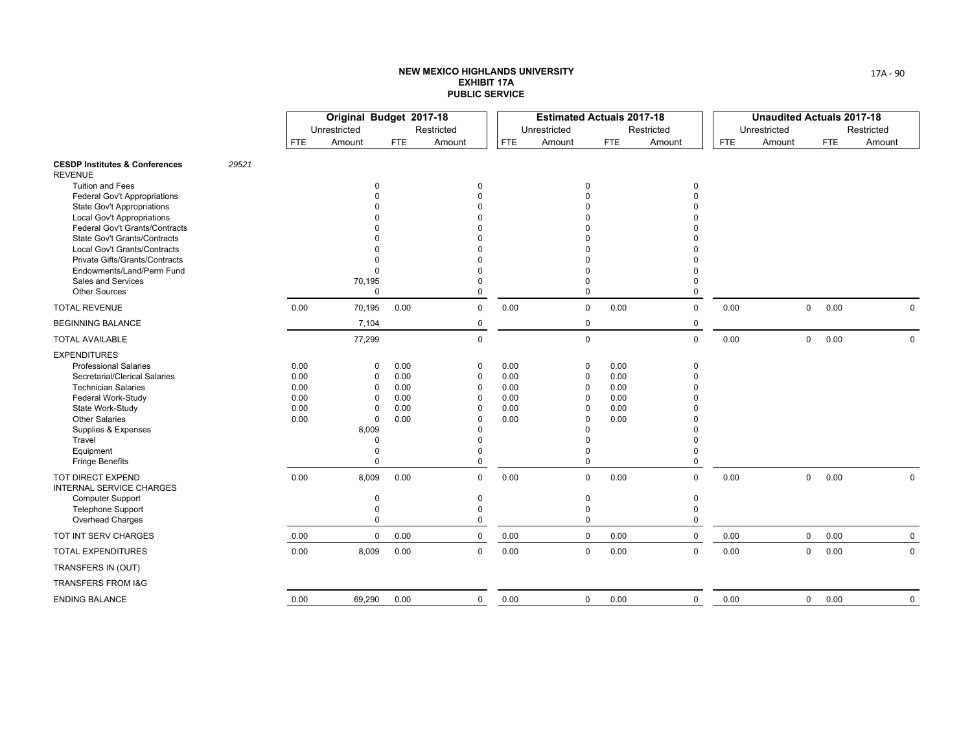|                                                                     |       |              | Original Budget 2017-18 |              |              |              | <b>Estimated Actuals 2017-18</b> |              |             |            | <b>Unaudited Actuals 2017-18</b> |              |            |             |
|---------------------------------------------------------------------|-------|--------------|-------------------------|--------------|--------------|--------------|----------------------------------|--------------|-------------|------------|----------------------------------|--------------|------------|-------------|
|                                                                     |       |              | Unrestricted            |              | Restricted   |              | Unrestricted                     |              | Restricted  |            | Unrestricted                     |              |            | Restricted  |
|                                                                     |       | <b>FTE</b>   | Amount                  | <b>FTE</b>   | Amount       | <b>FTE</b>   | Amount                           | <b>FTE</b>   | Amount      | <b>FTE</b> | Amount                           |              | <b>FTE</b> | Amount      |
| <b>CESDP Institutes &amp; Conferences</b><br><b>REVENUE</b>         | 29521 |              |                         |              |              |              |                                  |              |             |            |                                  |              |            |             |
| <b>Tuition and Fees</b>                                             |       |              | 0                       |              | $\mathbf 0$  |              | $\Omega$                         |              | $\Omega$    |            |                                  |              |            |             |
| <b>Federal Gov't Appropriations</b>                                 |       |              | $\Omega$                |              | $\Omega$     |              | $\Omega$                         |              |             |            |                                  |              |            |             |
| <b>State Gov't Appropriations</b>                                   |       |              |                         |              |              |              |                                  |              |             |            |                                  |              |            |             |
| <b>Local Gov't Appropriations</b><br>Federal Gov't Grants/Contracts |       |              |                         |              |              |              |                                  |              |             |            |                                  |              |            |             |
| <b>State Gov't Grants/Contracts</b>                                 |       |              |                         |              |              |              |                                  |              |             |            |                                  |              |            |             |
| Local Gov't Grants/Contracts                                        |       |              | U                       |              |              |              |                                  |              |             |            |                                  |              |            |             |
| Private Gifts/Grants/Contracts                                      |       |              | O                       |              |              |              |                                  |              |             |            |                                  |              |            |             |
| Endowments/Land/Perm Fund                                           |       |              | $\Omega$                |              |              |              | $\Omega$                         |              |             |            |                                  |              |            |             |
| Sales and Services                                                  |       |              | 70,195                  |              | <sup>0</sup> |              | $\Omega$                         |              |             |            |                                  |              |            |             |
| <b>Other Sources</b>                                                |       |              | $\Omega$                |              | $\Omega$     |              | $\mathbf 0$                      |              | $\Omega$    |            |                                  |              |            |             |
| <b>TOTAL REVENUE</b>                                                |       | 0.00         | 70,195                  | 0.00         | $\mathbf 0$  | 0.00         | $\mathbf 0$                      | 0.00         | $\mathbf 0$ | 0.00       |                                  | $\mathsf{O}$ | 0.00       | $\mathbf 0$ |
| <b>BEGINNING BALANCE</b>                                            |       |              | 7,104                   |              | $\mathbf 0$  |              | $\pmb{0}$                        |              | 0           |            |                                  |              |            |             |
| <b>TOTAL AVAILABLE</b>                                              |       |              | 77,299                  |              | $\Omega$     |              | $\mathbf 0$                      |              | $\mathbf 0$ | 0.00       |                                  | $\mathbf 0$  | 0.00       | $\Omega$    |
| <b>EXPENDITURES</b>                                                 |       |              |                         |              |              |              |                                  |              |             |            |                                  |              |            |             |
| <b>Professional Salaries</b>                                        |       | 0.00         | 0                       | 0.00         | 0            | 0.00         | 0                                | 0.00         | $\mathbf 0$ |            |                                  |              |            |             |
| Secretarial/Clerical Salaries                                       |       | 0.00         | $\Omega$                | 0.00         | $\Omega$     | 0.00         | $\Omega$<br>$\Omega$             | 0.00         |             |            |                                  |              |            |             |
| <b>Technician Salaries</b><br>Federal Work-Study                    |       | 0.00<br>0.00 | $\Omega$<br>$\Omega$    | 0.00<br>0.00 | 0<br>0       | 0.00<br>0.00 | $\Omega$                         | 0.00<br>0.00 |             |            |                                  |              |            |             |
| State Work-Study                                                    |       | 0.00         | $\Omega$                | 0.00         | $\Omega$     | 0.00         | $\Omega$                         | 0.00         |             |            |                                  |              |            |             |
| <b>Other Salaries</b>                                               |       | 0.00         | 0                       | 0.00         | $\Omega$     | 0.00         | $\Omega$                         | 0.00         |             |            |                                  |              |            |             |
| Supplies & Expenses                                                 |       |              | 8,009                   |              | $\Omega$     |              | $\Omega$                         |              |             |            |                                  |              |            |             |
| Travel                                                              |       |              | $\Omega$                |              | $\Omega$     |              | $\Omega$                         |              |             |            |                                  |              |            |             |
| Equipment                                                           |       |              | $\Omega$                |              | <sup>0</sup> |              | $\Omega$                         |              | U           |            |                                  |              |            |             |
| <b>Fringe Benefits</b>                                              |       |              | $\Omega$                |              | $\Omega$     |              | $\mathbf 0$                      |              | $\Omega$    |            |                                  |              |            |             |
| TOT DIRECT EXPEND<br>INTERNAL SERVICE CHARGES                       |       | 0.00         | 8,009                   | 0.00         | $\mathbf 0$  | 0.00         | $\mathbf 0$                      | 0.00         | $\mathbf 0$ | 0.00       |                                  | 0            | 0.00       | 0           |
| <b>Computer Support</b>                                             |       |              | 0                       |              | 0            |              | 0                                |              | 0           |            |                                  |              |            |             |
| <b>Telephone Support</b>                                            |       |              | $\mathbf 0$             |              | 0            |              | $\mathbf 0$                      |              | $\mathbf 0$ |            |                                  |              |            |             |
| <b>Overhead Charges</b>                                             |       |              | $\mathbf 0$             |              | 0            |              | $\mathbf 0$                      |              | $\mathbf 0$ |            |                                  |              |            |             |
| TOT INT SERV CHARGES                                                |       | 0.00         | $\mathbf 0$             | 0.00         | $\mathbf 0$  | 0.00         | $\mathbf 0$                      | 0.00         | $\mathbf 0$ | 0.00       |                                  | $\mathsf{O}$ | 0.00       | $\mathbf 0$ |
| <b>TOTAL EXPENDITURES</b>                                           |       | 0.00         | 8,009                   | 0.00         | $\mathbf 0$  | 0.00         | $\mathbf 0$                      | 0.00         | $\mathbf 0$ | 0.00       |                                  | $\mathbf 0$  | 0.00       | $\mathbf 0$ |
| TRANSFERS IN (OUT)                                                  |       |              |                         |              |              |              |                                  |              |             |            |                                  |              |            |             |
| <b>TRANSFERS FROM I&amp;G</b>                                       |       |              |                         |              |              |              |                                  |              |             |            |                                  |              |            |             |
| <b>ENDING BALANCE</b>                                               |       | 0.00         | 69,290                  | 0.00         | $\mathsf{O}$ | 0.00         | 0                                | 0.00         | $\mathbf 0$ | 0.00       |                                  | $\mathsf{O}$ | 0.00       | 0           |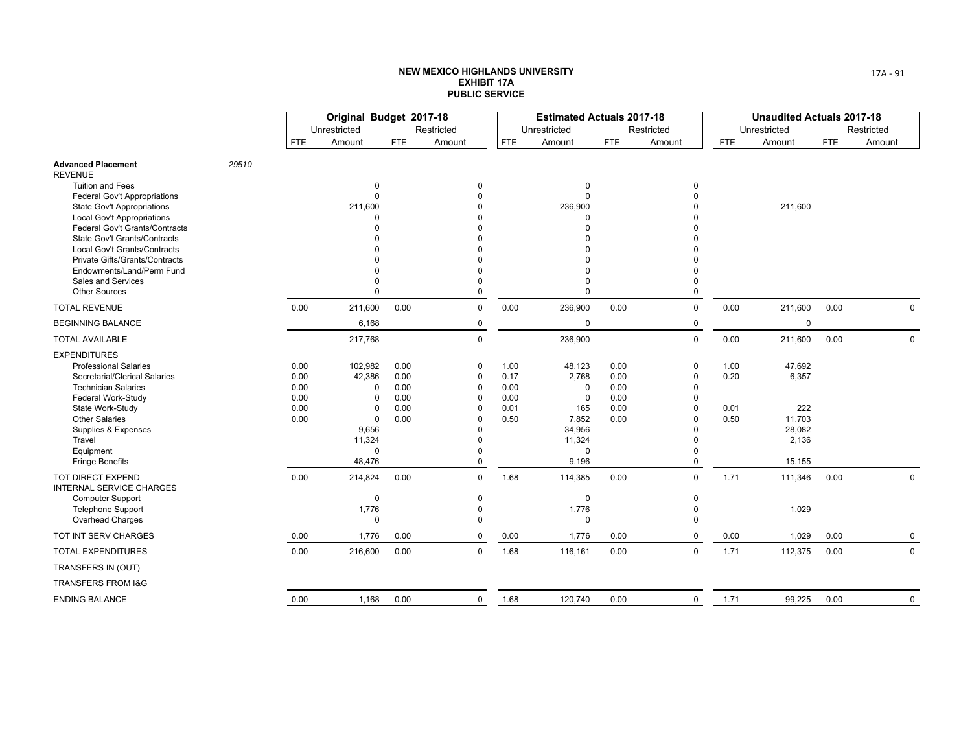|                                                                            |       |              | Original Budget 2017-18 |              |                      |              | <b>Estimated Actuals 2017-18</b> |              |             |            | <b>Unaudited Actuals 2017-18</b> |            |             |
|----------------------------------------------------------------------------|-------|--------------|-------------------------|--------------|----------------------|--------------|----------------------------------|--------------|-------------|------------|----------------------------------|------------|-------------|
|                                                                            |       |              | Unrestricted            |              | Restricted           |              | Unrestricted                     |              | Restricted  |            | Unrestricted                     |            | Restricted  |
|                                                                            |       | <b>FTE</b>   | Amount                  | <b>FTE</b>   | Amount               | <b>FTE</b>   | Amount                           | <b>FTE</b>   | Amount      | <b>FTE</b> | Amount                           | <b>FTE</b> | Amount      |
| <b>Advanced Placement</b><br><b>REVENUE</b>                                | 29510 |              |                         |              |                      |              |                                  |              |             |            |                                  |            |             |
| <b>Tuition and Fees</b>                                                    |       |              | $\Omega$                |              | $\Omega$             |              | $\Omega$                         |              | 0           |            |                                  |            |             |
| <b>Federal Gov't Appropriations</b>                                        |       |              | $\Omega$                |              | $\Omega$             |              | $\Omega$                         |              | $\Omega$    |            |                                  |            |             |
| State Gov't Appropriations                                                 |       |              | 211,600                 |              |                      |              | 236,900                          |              |             |            | 211,600                          |            |             |
| <b>Local Gov't Appropriations</b><br><b>Federal Gov't Grants/Contracts</b> |       |              | O                       |              |                      |              |                                  |              |             |            |                                  |            |             |
| State Gov't Grants/Contracts                                               |       |              |                         |              |                      |              |                                  |              |             |            |                                  |            |             |
| Local Gov't Grants/Contracts                                               |       |              |                         |              |                      |              |                                  |              |             |            |                                  |            |             |
| Private Gifts/Grants/Contracts                                             |       |              |                         |              |                      |              |                                  |              |             |            |                                  |            |             |
| Endowments/Land/Perm Fund                                                  |       |              |                         |              |                      |              |                                  |              |             |            |                                  |            |             |
| <b>Sales and Services</b>                                                  |       |              | O                       |              |                      |              |                                  |              | 0           |            |                                  |            |             |
| <b>Other Sources</b>                                                       |       |              | U                       |              | $\Omega$             |              | $\Omega$                         |              | $\Omega$    |            |                                  |            |             |
| <b>TOTAL REVENUE</b>                                                       |       | 0.00         | 211,600                 | 0.00         | $\mathbf 0$          | 0.00         | 236,900                          | 0.00         | $\mathbf 0$ | 0.00       | 211,600                          | 0.00       | $\mathbf 0$ |
| <b>BEGINNING BALANCE</b>                                                   |       |              | 6,168                   |              | $\pmb{0}$            |              | $\mathbf 0$                      |              | $\mathbf 0$ |            | $\mathbf 0$                      |            |             |
| <b>TOTAL AVAILABLE</b>                                                     |       |              | 217,768                 |              | $\Omega$             |              | 236,900                          |              | $\mathbf 0$ | 0.00       | 211,600                          | 0.00       | $\mathbf 0$ |
| <b>EXPENDITURES</b>                                                        |       |              |                         |              |                      |              |                                  |              |             |            |                                  |            |             |
| <b>Professional Salaries</b>                                               |       | 0.00         | 102,982                 | 0.00         | 0                    | 1.00         | 48,123                           | 0.00         | $\Omega$    | 1.00       | 47,692                           |            |             |
| Secretarial/Clerical Salaries                                              |       | 0.00         | 42,386                  | 0.00         | $\Omega$             | 0.17         | 2,768                            | 0.00         | 0           | 0.20       | 6,357                            |            |             |
| <b>Technician Salaries</b>                                                 |       | 0.00         | $\Omega$                | 0.00         | 0                    | 0.00         | $\Omega$                         | 0.00         | $\Omega$    |            |                                  |            |             |
| Federal Work-Study<br>State Work-Study                                     |       | 0.00<br>0.00 | $\Omega$<br>$\Omega$    | 0.00<br>0.00 | $\Omega$<br>$\Omega$ | 0.00<br>0.01 | $\Omega$<br>165                  | 0.00<br>0.00 | $\Omega$    | 0.01       | 222                              |            |             |
| <b>Other Salaries</b>                                                      |       | 0.00         | 0                       | 0.00         | $\Omega$             | 0.50         | 7,852                            | 0.00         |             | 0.50       | 11,703                           |            |             |
| Supplies & Expenses                                                        |       |              | 9,656                   |              | $\Omega$             |              | 34,956                           |              | $\Omega$    |            | 28,082                           |            |             |
| Travel                                                                     |       |              | 11,324                  |              | ŋ                    |              | 11,324                           |              |             |            | 2,136                            |            |             |
| Equipment                                                                  |       |              | 0                       |              | ŋ                    |              | $\Omega$                         |              | 0           |            |                                  |            |             |
| <b>Fringe Benefits</b>                                                     |       |              | 48,476                  |              | $\Omega$             |              | 9,196                            |              | $\Omega$    |            | 15,155                           |            |             |
| TOT DIRECT EXPEND<br><b>INTERNAL SERVICE CHARGES</b>                       |       | 0.00         | 214,824                 | 0.00         | $\mathbf 0$          | 1.68         | 114,385                          | 0.00         | $\mathbf 0$ | 1.71       | 111,346                          | 0.00       | 0           |
| <b>Computer Support</b>                                                    |       |              | 0                       |              | $\mathbf 0$          |              | $\mathbf 0$                      |              | 0           |            |                                  |            |             |
| <b>Telephone Support</b>                                                   |       |              | 1,776                   |              | $\Omega$             |              | 1,776                            |              | $\Omega$    |            | 1,029                            |            |             |
| Overhead Charges                                                           |       |              | $\Omega$                |              | $\mathbf 0$          |              | $\mathbf 0$                      |              | $\mathbf 0$ |            |                                  |            |             |
| TOT INT SERV CHARGES                                                       |       | 0.00         | 1,776                   | 0.00         | $\Omega$             | 0.00         | 1,776                            | 0.00         | $\mathbf 0$ | 0.00       | 1,029                            | 0.00       | $\mathbf 0$ |
| <b>TOTAL EXPENDITURES</b>                                                  |       | 0.00         | 216,600                 | 0.00         | $\mathbf 0$          | 1.68         | 116,161                          | 0.00         | $\mathbf 0$ | 1.71       | 112,375                          | 0.00       | $\mathbf 0$ |
| TRANSFERS IN (OUT)                                                         |       |              |                         |              |                      |              |                                  |              |             |            |                                  |            |             |
| TRANSFERS FROM I&G                                                         |       |              |                         |              |                      |              |                                  |              |             |            |                                  |            |             |
| <b>ENDING BALANCE</b>                                                      |       | 0.00         | 1,168                   | 0.00         | $\mathbf 0$          | 1.68         | 120,740                          | 0.00         | $\mathbf 0$ | 1.71       | 99,225                           | 0.00       | 0           |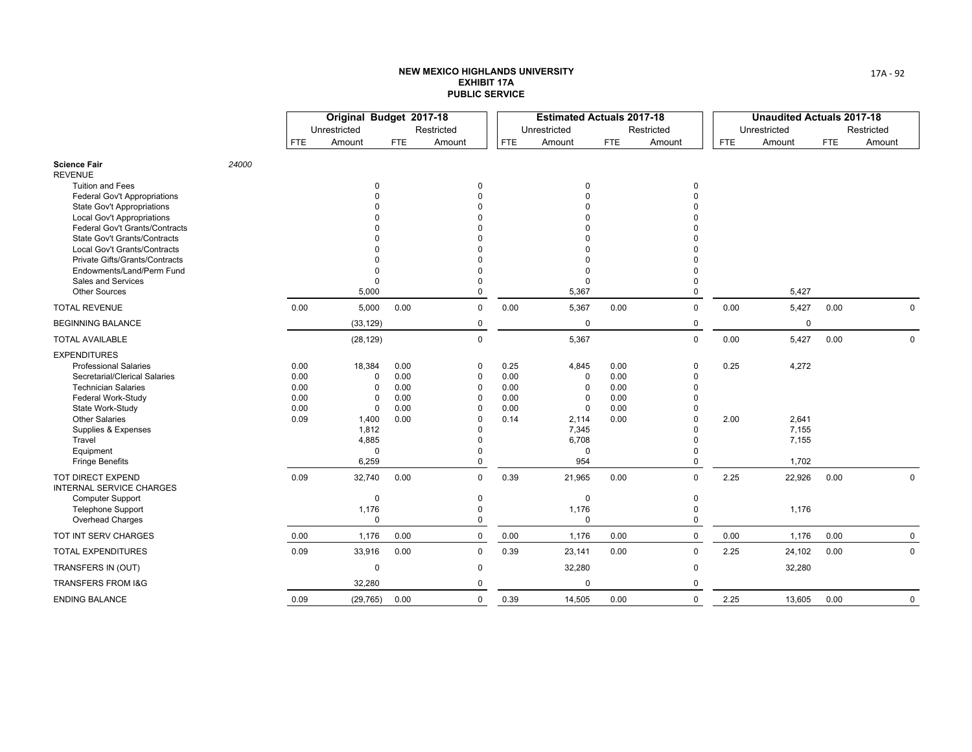|                                                                            |       |              | Original Budget 2017-18 |              |                            |              | <b>Estimated Actuals 2017-18</b> |              |             |            | <b>Unaudited Actuals 2017-18</b> |            |             |
|----------------------------------------------------------------------------|-------|--------------|-------------------------|--------------|----------------------------|--------------|----------------------------------|--------------|-------------|------------|----------------------------------|------------|-------------|
|                                                                            |       |              | Unrestricted            |              | Restricted                 |              | Unrestricted                     |              | Restricted  |            | Unrestricted                     |            | Restricted  |
|                                                                            |       | <b>FTE</b>   | Amount                  | <b>FTE</b>   | Amount                     | <b>FTE</b>   | Amount                           | <b>FTE</b>   | Amount      | <b>FTE</b> | Amount                           | <b>FTE</b> | Amount      |
| <b>Science Fair</b><br><b>REVENUE</b>                                      | 24000 |              |                         |              |                            |              |                                  |              |             |            |                                  |            |             |
| <b>Tuition and Fees</b>                                                    |       |              | 0                       |              | 0                          |              | $\Omega$                         |              | 0           |            |                                  |            |             |
| <b>Federal Gov't Appropriations</b>                                        |       |              | $\Omega$                |              | $\Omega$                   |              |                                  |              |             |            |                                  |            |             |
| <b>State Gov't Appropriations</b>                                          |       |              |                         |              | $\Omega$                   |              |                                  |              |             |            |                                  |            |             |
| <b>Local Gov't Appropriations</b><br><b>Federal Gov't Grants/Contracts</b> |       |              |                         |              |                            |              |                                  |              |             |            |                                  |            |             |
| State Gov't Grants/Contracts                                               |       |              |                         |              |                            |              |                                  |              |             |            |                                  |            |             |
| <b>Local Gov't Grants/Contracts</b>                                        |       |              |                         |              |                            |              |                                  |              |             |            |                                  |            |             |
| Private Gifts/Grants/Contracts                                             |       |              |                         |              |                            |              |                                  |              |             |            |                                  |            |             |
| Endowments/Land/Perm Fund                                                  |       |              | $\mathbf 0$             |              | n                          |              | $\Omega$                         |              |             |            |                                  |            |             |
| Sales and Services                                                         |       |              | $\Omega$                |              | $\Omega$                   |              | $\Omega$                         |              |             |            |                                  |            |             |
| <b>Other Sources</b>                                                       |       |              | 5,000                   |              | $\Omega$                   |              | 5,367                            |              | 0           |            | 5,427                            |            |             |
| <b>TOTAL REVENUE</b>                                                       |       | 0.00         | 5,000                   | 0.00         | $\mathbf 0$                | 0.00         | 5,367                            | 0.00         | $\mathbf 0$ | 0.00       | 5,427                            | 0.00       | $\mathbf 0$ |
| <b>BEGINNING BALANCE</b>                                                   |       |              | (33, 129)               |              | 0                          |              | $\mathbf 0$                      |              | 0           |            | $\mathbf 0$                      |            |             |
| <b>TOTAL AVAILABLE</b>                                                     |       |              | (28, 129)               |              | $\Omega$                   |              | 5,367                            |              | $\Omega$    | 0.00       | 5,427                            | 0.00       | $\mathbf 0$ |
| <b>EXPENDITURES</b>                                                        |       |              |                         |              |                            |              |                                  |              |             |            |                                  |            |             |
| <b>Professional Salaries</b>                                               |       | 0.00         | 18,384                  | 0.00         | 0                          | 0.25         | 4,845                            | 0.00         | $\Omega$    | 0.25       | 4,272                            |            |             |
| Secretarial/Clerical Salaries<br><b>Technician Salaries</b>                |       | 0.00         | 0                       | 0.00         | $\mathbf 0$<br>$\mathbf 0$ | 0.00         | $\mathbf 0$<br>$\Omega$          | 0.00<br>0.00 | ŋ<br>O      |            |                                  |            |             |
| Federal Work-Study                                                         |       | 0.00<br>0.00 | 0<br>$\Omega$           | 0.00<br>0.00 | $\Omega$                   | 0.00<br>0.00 | $\Omega$                         | 0.00         | O           |            |                                  |            |             |
| State Work-Study                                                           |       | 0.00         | $\mathbf 0$             | 0.00         | $\Omega$                   | 0.00         | $\mathbf 0$                      | 0.00         |             |            |                                  |            |             |
| <b>Other Salaries</b>                                                      |       | 0.09         | 1,400                   | 0.00         | $\Omega$                   | 0.14         | 2,114                            | 0.00         | O           | 2.00       | 2,641                            |            |             |
| Supplies & Expenses                                                        |       |              | 1,812                   |              | $\Omega$                   |              | 7,345                            |              |             |            | 7,155                            |            |             |
| Travel                                                                     |       |              | 4,885                   |              | O                          |              | 6,708                            |              |             |            | 7,155                            |            |             |
| Equipment                                                                  |       |              | 0                       |              | $\Omega$                   |              | $\Omega$                         |              |             |            |                                  |            |             |
| <b>Fringe Benefits</b>                                                     |       |              | 6,259                   |              | $\Omega$                   |              | 954                              |              | $\Omega$    |            | 1,702                            |            |             |
| <b>TOT DIRECT EXPEND</b><br><b>INTERNAL SERVICE CHARGES</b>                |       | 0.09         | 32,740                  | 0.00         | $\Omega$                   | 0.39         | 21,965                           | 0.00         | $\Omega$    | 2.25       | 22,926                           | 0.00       | $\Omega$    |
| <b>Computer Support</b>                                                    |       |              | $\mathbf 0$             |              | 0                          |              | $\mathbf 0$                      |              | 0           |            |                                  |            |             |
| <b>Telephone Support</b>                                                   |       |              | 1,176                   |              | $\Omega$                   |              | 1,176                            |              | $\Omega$    |            | 1,176                            |            |             |
| Overhead Charges                                                           |       |              | $\Omega$                |              | $\Omega$                   |              | $\mathbf 0$                      |              | $\Omega$    |            |                                  |            |             |
| TOT INT SERV CHARGES                                                       |       | 0.00         | 1,176                   | 0.00         | $\mathsf 0$                | 0.00         | 1,176                            | 0.00         | 0           | 0.00       | 1,176                            | 0.00       | $\mathbf 0$ |
| <b>TOTAL EXPENDITURES</b>                                                  |       | 0.09         | 33,916                  | 0.00         | $\mathbf 0$                | 0.39         | 23,141                           | 0.00         | $\mathbf 0$ | 2.25       | 24,102                           | 0.00       | 0           |
| TRANSFERS IN (OUT)                                                         |       |              | 0                       |              | $\mathbf 0$                |              | 32,280                           |              | $\Omega$    |            | 32,280                           |            |             |
| TRANSFERS FROM I&G                                                         |       |              | 32,280                  |              | $\Omega$                   |              | $\mathbf 0$                      |              | $\Omega$    |            |                                  |            |             |
| <b>ENDING BALANCE</b>                                                      |       | 0.09         | (29, 765)               | 0.00         | $\mathbf 0$                | 0.39         | 14,505                           | 0.00         | $\mathbf 0$ | 2.25       | 13,605                           | 0.00       | $\mathbf 0$ |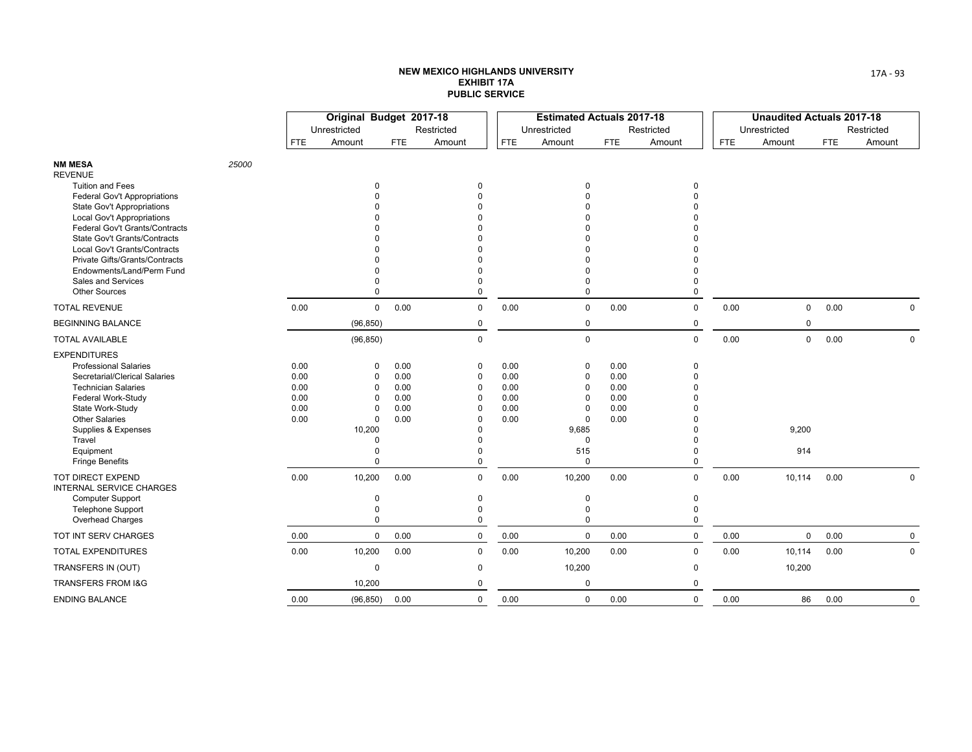|                                                          |       |              | Original Budget 2017-18 |              |                      |              | <b>Estimated Actuals 2017-18</b> |              |               |            | <b>Unaudited Actuals 2017-18</b> |            |             |
|----------------------------------------------------------|-------|--------------|-------------------------|--------------|----------------------|--------------|----------------------------------|--------------|---------------|------------|----------------------------------|------------|-------------|
|                                                          |       |              | Unrestricted            |              | Restricted           |              | Unrestricted                     |              | Restricted    |            | Unrestricted                     |            | Restricted  |
|                                                          |       | <b>FTE</b>   | Amount                  | <b>FTE</b>   | Amount               | <b>FTE</b>   | Amount                           | <b>FTE</b>   | Amount        | <b>FTE</b> | Amount                           | <b>FTE</b> | Amount      |
| <b>NM MESA</b><br><b>REVENUE</b>                         | 25000 |              |                         |              |                      |              |                                  |              |               |            |                                  |            |             |
| <b>Tuition and Fees</b>                                  |       |              | 0                       |              | $\mathbf 0$          |              | $\Omega$                         |              | $\Omega$      |            |                                  |            |             |
| Federal Gov't Appropriations                             |       |              | $\Omega$                |              | $\Omega$             |              |                                  |              |               |            |                                  |            |             |
| State Gov't Appropriations<br>Local Gov't Appropriations |       |              |                         |              |                      |              |                                  |              |               |            |                                  |            |             |
| Federal Gov't Grants/Contracts                           |       |              |                         |              |                      |              |                                  |              |               |            |                                  |            |             |
| <b>State Gov't Grants/Contracts</b>                      |       |              |                         |              |                      |              |                                  |              |               |            |                                  |            |             |
| Local Gov't Grants/Contracts                             |       |              |                         |              |                      |              |                                  |              |               |            |                                  |            |             |
| Private Gifts/Grants/Contracts                           |       |              |                         |              |                      |              |                                  |              |               |            |                                  |            |             |
| Endowments/Land/Perm Fund                                |       |              | $\Omega$                |              |                      |              | $\Omega$                         |              |               |            |                                  |            |             |
| Sales and Services<br><b>Other Sources</b>               |       |              | 0<br>$\Omega$           |              | 0<br>$\Omega$        |              | $\Omega$<br>$\mathbf 0$          |              | 0             |            |                                  |            |             |
| <b>TOTAL REVENUE</b>                                     |       | 0.00         |                         | 0.00         | $\mathbf 0$          | 0.00         |                                  | 0.00         |               | 0.00       |                                  | 0.00       |             |
| <b>BEGINNING BALANCE</b>                                 |       |              | 0                       |              |                      |              | $\mathbf 0$<br>$\mathbf 0$       |              | 0             |            | $\mathbf 0$<br>$\mathbf 0$       |            | 0           |
| <b>TOTAL AVAILABLE</b>                                   |       |              | (96, 850)<br>(96, 850)  |              | 0<br>$\Omega$        |              | $\mathbf 0$                      |              | 0<br>$\Omega$ | 0.00       | $\mathsf{O}$                     | 0.00       | $\mathbf 0$ |
|                                                          |       |              |                         |              |                      |              |                                  |              |               |            |                                  |            |             |
| <b>EXPENDITURES</b><br><b>Professional Salaries</b>      |       |              |                         |              |                      |              |                                  |              | $\Omega$      |            |                                  |            |             |
| Secretarial/Clerical Salaries                            |       | 0.00<br>0.00 | 0<br>0                  | 0.00<br>0.00 | 0<br>$\mathbf 0$     | 0.00<br>0.00 | $\mathbf 0$<br>$\mathbf 0$       | 0.00<br>0.00 | n             |            |                                  |            |             |
| <b>Technician Salaries</b>                               |       | 0.00         | 0                       | 0.00         | $\mathbf 0$          | 0.00         | $\mathbf 0$                      | 0.00         |               |            |                                  |            |             |
| Federal Work-Study                                       |       | 0.00         | $\Omega$                | 0.00         | $\Omega$             | 0.00         | $\Omega$                         | 0.00         |               |            |                                  |            |             |
| State Work-Study                                         |       | 0.00         | 0                       | 0.00         | 0                    | 0.00         | $\mathbf 0$                      | 0.00         |               |            |                                  |            |             |
| <b>Other Salaries</b>                                    |       | 0.00         | 0                       | 0.00         | $\Omega$             | 0.00         | $\mathbf 0$                      | 0.00         |               |            |                                  |            |             |
| Supplies & Expenses                                      |       |              | 10,200                  |              | $\Omega$             |              | 9,685                            |              |               |            | 9,200                            |            |             |
| Travel<br>Equipment                                      |       |              | $\Omega$<br>$\Omega$    |              | $\Omega$<br>$\Omega$ |              | $\mathbf 0$<br>515               |              |               |            | 914                              |            |             |
| <b>Fringe Benefits</b>                                   |       |              | $\Omega$                |              | $\Omega$             |              | $\mathbf 0$                      |              | 0             |            |                                  |            |             |
| TOT DIRECT EXPEND<br><b>INTERNAL SERVICE CHARGES</b>     |       | 0.00         | 10,200                  | 0.00         | $\mathbf 0$          | 0.00         | 10,200                           | 0.00         | $\Omega$      | 0.00       | 10,114                           | 0.00       | 0           |
| <b>Computer Support</b>                                  |       |              | 0                       |              | $\mathbf 0$          |              | $\mathbf 0$                      |              | 0             |            |                                  |            |             |
| Telephone Support                                        |       |              | 0                       |              | $\Omega$             |              | $\mathbf 0$                      |              | $\Omega$      |            |                                  |            |             |
| Overhead Charges                                         |       |              | $\Omega$                |              | $\Omega$             |              | $\mathbf 0$                      |              | 0             |            |                                  |            |             |
| TOT INT SERV CHARGES                                     |       | 0.00         | 0                       | 0.00         | $\mathbf 0$          | 0.00         | $\mathbf 0$                      | 0.00         | 0             | 0.00       | $\mathbf 0$                      | 0.00       | $\mathbf 0$ |
| <b>TOTAL EXPENDITURES</b>                                |       | 0.00         | 10,200                  | 0.00         | $\mathbf 0$          | 0.00         | 10,200                           | 0.00         | 0             | 0.00       | 10,114                           | 0.00       | 0           |
| TRANSFERS IN (OUT)                                       |       |              | 0                       |              | $\mathbf 0$          |              | 10,200                           |              | 0             |            | 10,200                           |            |             |
| TRANSFERS FROM I&G                                       |       |              | 10,200                  |              | $\Omega$             |              | $\mathbf 0$                      |              | 0             |            |                                  |            |             |
| <b>ENDING BALANCE</b>                                    |       | 0.00         | (96, 850)               | 0.00         | $\mathsf 0$          | 0.00         | $\mathbf 0$                      | 0.00         | 0             | 0.00       | 86                               | 0.00       | $\mathbf 0$ |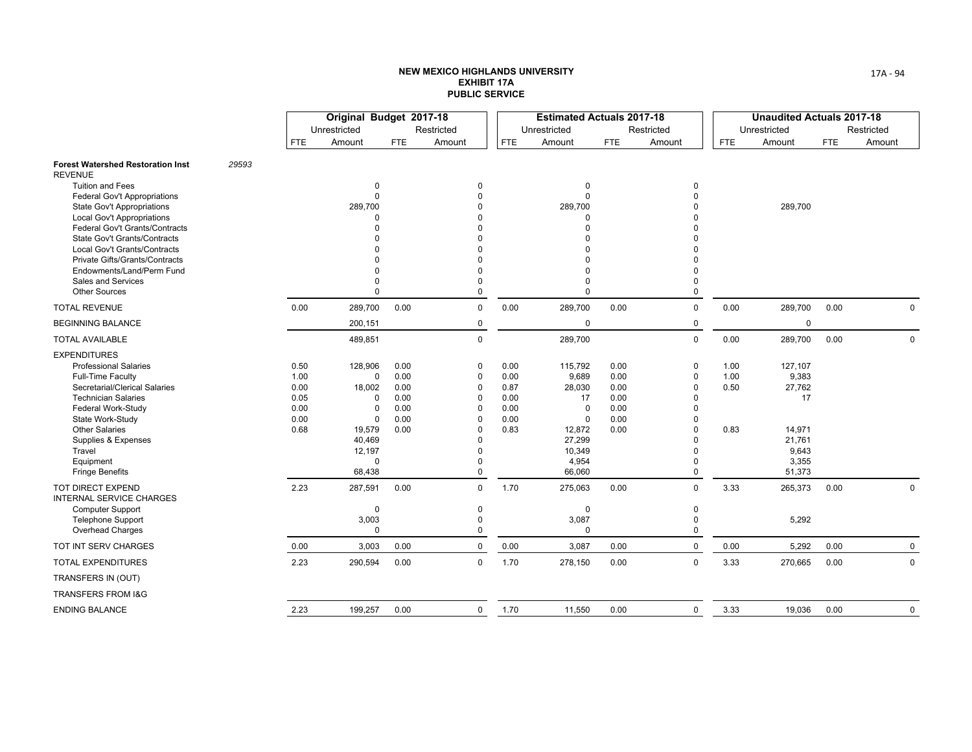|                                                                        |       |              | Original Budget 2017-18 |              |                      |              | <b>Estimated Actuals 2017-18</b> |              |               |            | <b>Unaudited Actuals 2017-18</b> |            |             |
|------------------------------------------------------------------------|-------|--------------|-------------------------|--------------|----------------------|--------------|----------------------------------|--------------|---------------|------------|----------------------------------|------------|-------------|
|                                                                        |       |              | Unrestricted            |              | Restricted           |              | Unrestricted                     |              | Restricted    |            | Unrestricted                     |            | Restricted  |
|                                                                        |       | <b>FTE</b>   | Amount                  | <b>FTE</b>   | Amount               | <b>FTE</b>   | Amount                           | <b>FTE</b>   | Amount        | <b>FTE</b> | Amount                           | <b>FTE</b> | Amount      |
| <b>Forest Watershed Restoration Inst</b><br><b>REVENUE</b>             | 29593 |              |                         |              |                      |              |                                  |              |               |            |                                  |            |             |
| <b>Tuition and Fees</b>                                                |       |              | 0                       |              | $\Omega$             |              | $\Omega$                         |              | 0             |            |                                  |            |             |
| <b>Federal Gov't Appropriations</b>                                    |       |              | 0                       |              |                      |              | $\Omega$                         |              | 0             |            |                                  |            |             |
| <b>State Gov't Appropriations</b><br><b>Local Gov't Appropriations</b> |       |              | 289,700<br>$\Omega$     |              |                      |              | 289,700<br>$\Omega$              |              | 0             |            | 289,700                          |            |             |
| Federal Gov't Grants/Contracts                                         |       |              | $\Omega$                |              |                      |              | $\Omega$                         |              | U             |            |                                  |            |             |
| State Gov't Grants/Contracts                                           |       |              | $\Omega$                |              |                      |              |                                  |              | ŋ             |            |                                  |            |             |
| Local Gov't Grants/Contracts                                           |       |              | $\Omega$                |              |                      |              |                                  |              | ŋ             |            |                                  |            |             |
| Private Gifts/Grants/Contracts                                         |       |              | $\Omega$                |              |                      |              |                                  |              | 0             |            |                                  |            |             |
| Endowments/Land/Perm Fund                                              |       |              | $\Omega$                |              | $\Omega$             |              |                                  |              | 0             |            |                                  |            |             |
| Sales and Services<br><b>Other Sources</b>                             |       |              | $\mathbf 0$<br>$\Omega$ |              | $\Omega$<br>$\Omega$ |              | $\Omega$<br>$\Omega$             |              | 0<br>0        |            |                                  |            |             |
| <b>TOTAL REVENUE</b>                                                   |       | 0.00         | 289,700                 | 0.00         | $\mathbf 0$          | 0.00         | 289,700                          | 0.00         | $\mathbf 0$   | 0.00       | 289,700                          | 0.00       | $\Omega$    |
| <b>BEGINNING BALANCE</b>                                               |       |              | 200,151                 |              | 0                    |              | $\mathbf 0$                      |              | 0             |            | $\mathbf 0$                      |            |             |
| <b>TOTAL AVAILABLE</b>                                                 |       |              | 489,851                 |              | 0                    |              | 289,700                          |              | $\mathbf 0$   | 0.00       | 289,700                          | 0.00       | $\mathbf 0$ |
| <b>EXPENDITURES</b>                                                    |       |              |                         |              |                      |              |                                  |              |               |            |                                  |            |             |
| <b>Professional Salaries</b>                                           |       | 0.50         | 128,906                 | 0.00         | $\Omega$             | 0.00         | 115,792                          | 0.00         | $\mathbf 0$   | 1.00       | 127,107                          |            |             |
| Full-Time Faculty                                                      |       | 1.00         | $\mathbf 0$             | 0.00         | 0                    | 0.00         | 9,689                            | 0.00         | 0             | 1.00       | 9,383                            |            |             |
| Secretarial/Clerical Salaries                                          |       | 0.00         | 18,002                  | 0.00         | $\Omega$             | 0.87         | 28,030                           | 0.00         | 0             | 0.50       | 27,762                           |            |             |
| <b>Technician Salaries</b>                                             |       | 0.05         | $\Omega$                | 0.00         | $\Omega$             | 0.00         | 17                               | 0.00         | $\Omega$      |            | 17                               |            |             |
| Federal Work-Study                                                     |       | 0.00         | $\mathbf 0$<br>$\Omega$ | 0.00<br>0.00 | $\Omega$<br>$\Omega$ | 0.00         | $\Omega$<br>$\Omega$             | 0.00         | $\Omega$<br>0 |            |                                  |            |             |
| State Work-Study<br><b>Other Salaries</b>                              |       | 0.00<br>0.68 | 19,579                  | 0.00         | 0                    | 0.00<br>0.83 | 12,872                           | 0.00<br>0.00 | 0             | 0.83       | 14,971                           |            |             |
| Supplies & Expenses                                                    |       |              | 40,469                  |              | $\Omega$             |              | 27,299                           |              |               |            | 21,761                           |            |             |
| Travel                                                                 |       |              | 12,197                  |              | $\Omega$             |              | 10,349                           |              | $\Omega$      |            | 9,643                            |            |             |
| Equipment                                                              |       |              | $\mathbf 0$             |              | $\Omega$             |              | 4,954                            |              | $\mathbf 0$   |            | 3,355                            |            |             |
| <b>Fringe Benefits</b>                                                 |       |              | 68,438                  |              | $\mathbf 0$          |              | 66,060                           |              | 0             |            | 51,373                           |            |             |
| <b>TOT DIRECT EXPEND</b><br><b>INTERNAL SERVICE CHARGES</b>            |       | 2.23         | 287,591                 | 0.00         | $\Omega$             | 1.70         | 275,063                          | 0.00         | $\mathbf 0$   | 3.33       | 265,373                          | 0.00       | $\pmb{0}$   |
| <b>Computer Support</b>                                                |       |              | $\mathbf 0$             |              | $\mathbf 0$          |              | $\Omega$                         |              | 0             |            |                                  |            |             |
| <b>Telephone Support</b>                                               |       |              | 3,003                   |              | 0                    |              | 3,087                            |              | $\mathbf 0$   |            | 5,292                            |            |             |
| <b>Overhead Charges</b>                                                |       |              | $\mathbf 0$             |              | $\Omega$             |              | $\mathbf 0$                      |              | 0             |            |                                  |            |             |
| TOT INT SERV CHARGES                                                   |       | 0.00         | 3,003                   | 0.00         | $\mathbf 0$          | 0.00         | 3,087                            | 0.00         | 0             | 0.00       | 5,292                            | 0.00       | 0           |
| <b>TOTAL EXPENDITURES</b>                                              |       | 2.23         | 290,594                 | 0.00         | $\mathbf 0$          | 1.70         | 278,150                          | 0.00         | $\mathbf 0$   | 3.33       | 270,665                          | 0.00       | $\mathbf 0$ |
| TRANSFERS IN (OUT)                                                     |       |              |                         |              |                      |              |                                  |              |               |            |                                  |            |             |
| <b>TRANSFERS FROM I&amp;G</b>                                          |       |              |                         |              |                      |              |                                  |              |               |            |                                  |            |             |
| <b>ENDING BALANCE</b>                                                  |       | 2.23         | 199,257                 | 0.00         | 0                    | 1.70         | 11,550                           | 0.00         | $\mathbf 0$   | 3.33       | 19,036                           | 0.00       | 0           |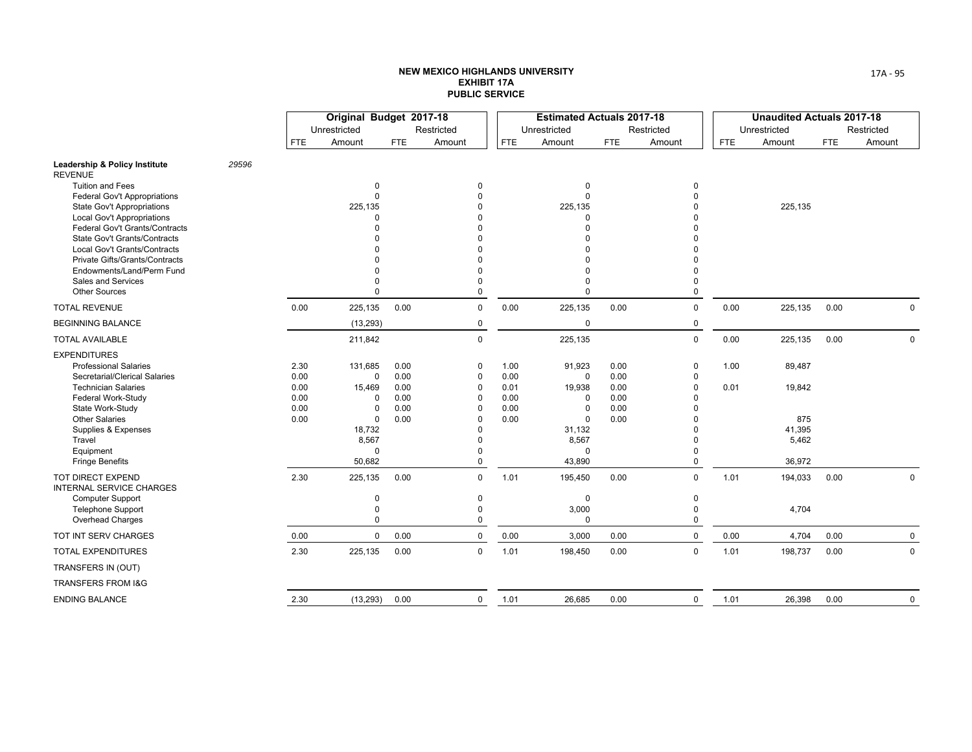|                                                                              |       |            | Original Budget 2017-18 |            |                      |            | <b>Estimated Actuals 2017-18</b> |            |             |            | <b>Unaudited Actuals 2017-18</b> |            |             |
|------------------------------------------------------------------------------|-------|------------|-------------------------|------------|----------------------|------------|----------------------------------|------------|-------------|------------|----------------------------------|------------|-------------|
|                                                                              |       |            | Unrestricted            |            | Restricted           |            | Unrestricted                     |            | Restricted  |            | Unrestricted                     |            | Restricted  |
|                                                                              |       | <b>FTE</b> | Amount                  | <b>FTE</b> | Amount               | <b>FTE</b> | Amount                           | <b>FTE</b> | Amount      | <b>FTE</b> | Amount                           | <b>FTE</b> | Amount      |
| Leadership & Policy Institute<br><b>REVENUE</b>                              | 29596 |            |                         |            |                      |            |                                  |            |             |            |                                  |            |             |
| <b>Tuition and Fees</b>                                                      |       |            | 0                       |            | $\Omega$             |            | $\Omega$                         |            | $\Omega$    |            |                                  |            |             |
| <b>Federal Gov't Appropriations</b>                                          |       |            | $\mathbf{0}$            |            | $\Omega$             |            | $\Omega$                         |            | $\Omega$    |            |                                  |            |             |
| State Gov't Appropriations                                                   |       |            | 225,135                 |            |                      |            | 225,135                          |            |             |            | 225,135                          |            |             |
| <b>Local Gov't Appropriations</b>                                            |       |            | $\Omega$                |            |                      |            | $\Omega$<br>$\Omega$             |            |             |            |                                  |            |             |
| <b>Federal Gov't Grants/Contracts</b><br><b>State Gov't Grants/Contracts</b> |       |            |                         |            |                      |            |                                  |            |             |            |                                  |            |             |
| Local Gov't Grants/Contracts                                                 |       |            |                         |            |                      |            |                                  |            |             |            |                                  |            |             |
| Private Gifts/Grants/Contracts                                               |       |            |                         |            |                      |            | $\Omega$                         |            |             |            |                                  |            |             |
| Endowments/Land/Perm Fund                                                    |       |            | O                       |            |                      |            | $\Omega$                         |            |             |            |                                  |            |             |
| <b>Sales and Services</b>                                                    |       |            | O                       |            |                      |            | $\Omega$                         |            |             |            |                                  |            |             |
| <b>Other Sources</b>                                                         |       |            | $\Omega$                |            | $\Omega$             |            | $\Omega$                         |            | $\Omega$    |            |                                  |            |             |
| <b>TOTAL REVENUE</b>                                                         |       | 0.00       | 225,135                 | 0.00       | $\mathbf 0$          | 0.00       | 225,135                          | 0.00       | $\mathbf 0$ | 0.00       | 225,135                          | 0.00       | $\mathbf 0$ |
| <b>BEGINNING BALANCE</b>                                                     |       |            | (13, 293)               |            | $\mathbf 0$          |            | 0                                |            | 0           |            |                                  |            |             |
| <b>TOTAL AVAILABLE</b>                                                       |       |            | 211,842                 |            | $\Omega$             |            | 225,135                          |            | $\mathbf 0$ | 0.00       | 225,135                          | 0.00       | $\mathbf 0$ |
| <b>EXPENDITURES</b>                                                          |       |            |                         |            |                      |            |                                  |            |             |            |                                  |            |             |
| <b>Professional Salaries</b>                                                 |       | 2.30       | 131,685                 | 0.00       | $\Omega$             | 1.00       | 91,923                           | 0.00       | $\mathbf 0$ | 1.00       | 89,487                           |            |             |
| Secretarial/Clerical Salaries                                                |       | 0.00       | 0                       | 0.00       | $\mathbf 0$          | 0.00       | 0                                | 0.00       | $\Omega$    |            |                                  |            |             |
| <b>Technician Salaries</b>                                                   |       | 0.00       | 15,469                  | 0.00       | $\Omega$             | 0.01       | 19,938                           | 0.00       | $\Omega$    | 0.01       | 19,842                           |            |             |
| Federal Work-Study                                                           |       | 0.00       | 0                       | 0.00       | $\Omega$             | 0.00       | $\Omega$                         | 0.00       |             |            |                                  |            |             |
| State Work-Study                                                             |       | 0.00       | 0                       | 0.00       | $\Omega$<br>$\Omega$ | 0.00       | $\Omega$<br>$\Omega$             | 0.00       |             |            |                                  |            |             |
| <b>Other Salaries</b><br>Supplies & Expenses                                 |       | 0.00       | 0<br>18,732             | 0.00       | $\Omega$             | 0.00       | 31,132                           | 0.00       |             |            | 875<br>41,395                    |            |             |
| Travel                                                                       |       |            | 8,567                   |            | $\Omega$             |            | 8,567                            |            |             |            | 5,462                            |            |             |
| Equipment                                                                    |       |            | 0                       |            |                      |            | $\Omega$                         |            | $\Omega$    |            |                                  |            |             |
| <b>Fringe Benefits</b>                                                       |       |            | 50,682                  |            | $\Omega$             |            | 43,890                           |            | $\Omega$    |            | 36,972                           |            |             |
| TOT DIRECT EXPEND<br><b>INTERNAL SERVICE CHARGES</b>                         |       | 2.30       | 225,135                 | 0.00       | $\mathbf 0$          | 1.01       | 195,450                          | 0.00       | $\mathsf 0$ | 1.01       | 194,033                          | 0.00       | $\mathbf 0$ |
| <b>Computer Support</b>                                                      |       |            | 0                       |            | $\mathbf 0$          |            | $\mathbf 0$                      |            | $\mathbf 0$ |            |                                  |            |             |
| <b>Telephone Support</b>                                                     |       |            | 0                       |            | $\Omega$             |            | 3,000                            |            | $\Omega$    |            | 4,704                            |            |             |
| Overhead Charges                                                             |       |            | 0                       |            | $\mathbf 0$          |            | $\mathbf 0$                      |            | $\mathbf 0$ |            |                                  |            |             |
| TOT INT SERV CHARGES                                                         |       | 0.00       | 0                       | 0.00       | $\mathbf 0$          | 0.00       | 3,000                            | 0.00       | $\mathbf 0$ | 0.00       | 4,704                            | 0.00       | $\mathbf 0$ |
| <b>TOTAL EXPENDITURES</b>                                                    |       | 2.30       | 225,135                 | 0.00       | $\mathbf 0$          | 1.01       | 198,450                          | 0.00       | $\mathsf 0$ | 1.01       | 198,737                          | 0.00       | $\mathbf 0$ |
| TRANSFERS IN (OUT)                                                           |       |            |                         |            |                      |            |                                  |            |             |            |                                  |            |             |
| TRANSFERS FROM I&G                                                           |       |            |                         |            |                      |            |                                  |            |             |            |                                  |            |             |
| <b>ENDING BALANCE</b>                                                        |       | 2.30       | (13, 293)               | 0.00       | 0                    | 1.01       | 26,685                           | 0.00       | $\mathbf 0$ | 1.01       | 26,398                           | 0.00       | $\mathbf 0$ |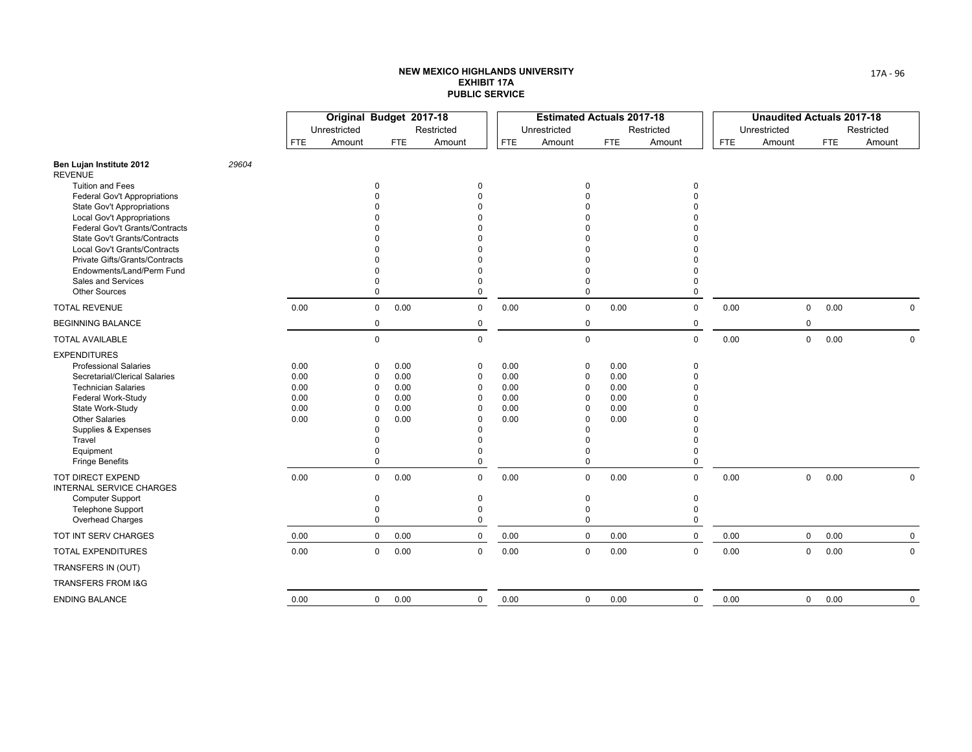|                                                                     |       |              | Original Budget 2017-18 |             |              |                      |              | <b>Estimated Actuals 2017-18</b> |             |              |             |            | <b>Unaudited Actuals 2017-18</b> |              |            |            |             |
|---------------------------------------------------------------------|-------|--------------|-------------------------|-------------|--------------|----------------------|--------------|----------------------------------|-------------|--------------|-------------|------------|----------------------------------|--------------|------------|------------|-------------|
|                                                                     |       |              | Unrestricted            |             |              | Restricted           |              | Unrestricted                     |             |              | Restricted  |            | Unrestricted                     |              |            | Restricted |             |
|                                                                     |       | <b>FTE</b>   | Amount                  |             | <b>FTE</b>   | Amount               | <b>FTE</b>   | Amount                           |             | <b>FTE</b>   | Amount      | <b>FTE</b> | Amount                           |              | <b>FTE</b> | Amount     |             |
| Ben Lujan Institute 2012<br><b>REVENUE</b>                          | 29604 |              |                         |             |              |                      |              |                                  |             |              |             |            |                                  |              |            |            |             |
| <b>Tuition and Fees</b>                                             |       |              |                         | 0           |              | $\mathbf 0$          |              |                                  | 0           |              | 0           |            |                                  |              |            |            |             |
| <b>Federal Gov't Appropriations</b>                                 |       |              |                         | 0           |              | O                    |              |                                  |             |              |             |            |                                  |              |            |            |             |
| State Gov't Appropriations                                          |       |              |                         |             |              |                      |              |                                  |             |              |             |            |                                  |              |            |            |             |
| <b>Local Gov't Appropriations</b><br>Federal Gov't Grants/Contracts |       |              |                         |             |              |                      |              |                                  |             |              |             |            |                                  |              |            |            |             |
| State Gov't Grants/Contracts                                        |       |              |                         |             |              |                      |              |                                  |             |              |             |            |                                  |              |            |            |             |
| Local Gov't Grants/Contracts                                        |       |              |                         |             |              |                      |              |                                  |             |              |             |            |                                  |              |            |            |             |
| Private Gifts/Grants/Contracts                                      |       |              |                         |             |              |                      |              |                                  |             |              |             |            |                                  |              |            |            |             |
| Endowments/Land/Perm Fund                                           |       |              |                         | 0           |              |                      |              |                                  | $\Omega$    |              |             |            |                                  |              |            |            |             |
| Sales and Services                                                  |       |              |                         | 0           |              |                      |              |                                  | $\Omega$    |              | ი           |            |                                  |              |            |            |             |
| <b>Other Sources</b>                                                |       |              |                         | $\mathbf 0$ |              | $\Omega$             |              |                                  | $\mathbf 0$ |              | $\Omega$    |            |                                  |              |            |            |             |
| <b>TOTAL REVENUE</b>                                                |       | 0.00         |                         | 0           | 0.00         | $\mathbf 0$          | 0.00         |                                  | $\mathbf 0$ | 0.00         | $\mathbf 0$ | 0.00       |                                  | $\mathbf 0$  | 0.00       |            | $\mathbf 0$ |
| <b>BEGINNING BALANCE</b>                                            |       |              |                         | 0           |              | $\mathbf 0$          |              |                                  | $\mathbf 0$ |              | 0           |            |                                  | $\mathbf 0$  |            |            |             |
| <b>TOTAL AVAILABLE</b>                                              |       |              |                         | 0           |              | $\mathbf 0$          |              |                                  | $\mathbf 0$ |              | $\mathbf 0$ | 0.00       |                                  | $\mathsf{O}$ | 0.00       |            | $\mathbf 0$ |
| <b>EXPENDITURES</b>                                                 |       |              |                         |             |              |                      |              |                                  |             |              |             |            |                                  |              |            |            |             |
| <b>Professional Salaries</b>                                        |       | 0.00         |                         | 0           | 0.00         | $\mathbf 0$          | 0.00         |                                  | 0           | 0.00         | 0           |            |                                  |              |            |            |             |
| Secretarial/Clerical Salaries                                       |       | 0.00         |                         | 0           | 0.00         | $\mathbf 0$          | 0.00         |                                  | $\mathbf 0$ | 0.00         | $\Omega$    |            |                                  |              |            |            |             |
| <b>Technician Salaries</b>                                          |       | 0.00         |                         | 0<br>0      | 0.00         | $\Omega$<br>$\Omega$ | 0.00         | $\Omega$                         | $\Omega$    | 0.00         | ი           |            |                                  |              |            |            |             |
| Federal Work-Study<br>State Work-Study                              |       | 0.00<br>0.00 |                         | 0           | 0.00<br>0.00 | 0                    | 0.00<br>0.00 |                                  | $\mathbf 0$ | 0.00<br>0.00 |             |            |                                  |              |            |            |             |
| <b>Other Salaries</b>                                               |       | 0.00         |                         | 0           | 0.00         | $\Omega$             | 0.00         | $\Omega$                         |             | 0.00         |             |            |                                  |              |            |            |             |
| Supplies & Expenses                                                 |       |              |                         | 0           |              | $\Omega$             |              |                                  | $\mathbf 0$ |              |             |            |                                  |              |            |            |             |
| Travel                                                              |       |              |                         | U           |              | O                    |              |                                  | $\Omega$    |              |             |            |                                  |              |            |            |             |
| Equipment                                                           |       |              |                         | U           |              |                      |              |                                  | $\mathbf 0$ |              |             |            |                                  |              |            |            |             |
| <b>Fringe Benefits</b>                                              |       |              |                         | $\Omega$    |              | $\Omega$             |              |                                  | $\mathbf 0$ |              | O           |            |                                  |              |            |            |             |
| <b>TOT DIRECT EXPEND</b><br><b>INTERNAL SERVICE CHARGES</b>         |       | 0.00         |                         | 0           | 0.00         | $\mathbf 0$          | 0.00         |                                  | 0           | 0.00         | $\mathbf 0$ | 0.00       |                                  | $\mathbf 0$  | 0.00       |            | $\Omega$    |
| <b>Computer Support</b>                                             |       |              |                         | 0           |              | $\mathbf 0$          |              |                                  | 0           |              | 0           |            |                                  |              |            |            |             |
| <b>Telephone Support</b>                                            |       |              |                         | 0           |              | $\Omega$             |              |                                  | $\mathbf 0$ |              | 0           |            |                                  |              |            |            |             |
| Overhead Charges                                                    |       |              |                         | $\mathbf 0$ |              | $\Omega$             |              |                                  | $\mathbf 0$ |              | 0           |            |                                  |              |            |            |             |
| TOT INT SERV CHARGES                                                |       | 0.00         |                         | 0           | 0.00         | $\mathbf 0$          | 0.00         |                                  | $\mathbf 0$ | 0.00         | $\mathbf 0$ | 0.00       |                                  | $\mathsf{O}$ | 0.00       |            | $\mathbf 0$ |
| <b>TOTAL EXPENDITURES</b>                                           |       | 0.00         |                         | 0           | 0.00         | $\mathbf 0$          | 0.00         |                                  | 0           | 0.00         | $\mathbf 0$ | 0.00       |                                  | $\mathbf 0$  | 0.00       |            | $\mathbf 0$ |
| TRANSFERS IN (OUT)                                                  |       |              |                         |             |              |                      |              |                                  |             |              |             |            |                                  |              |            |            |             |
| TRANSFERS FROM I&G                                                  |       |              |                         |             |              |                      |              |                                  |             |              |             |            |                                  |              |            |            |             |
| <b>ENDING BALANCE</b>                                               |       | 0.00         |                         | $\mathbf 0$ | 0.00         | $\mathbf 0$          | 0.00         |                                  | $\mathbf 0$ | 0.00         | $\pmb{0}$   | 0.00       |                                  | $\mathsf{O}$ | 0.00       |            | 0           |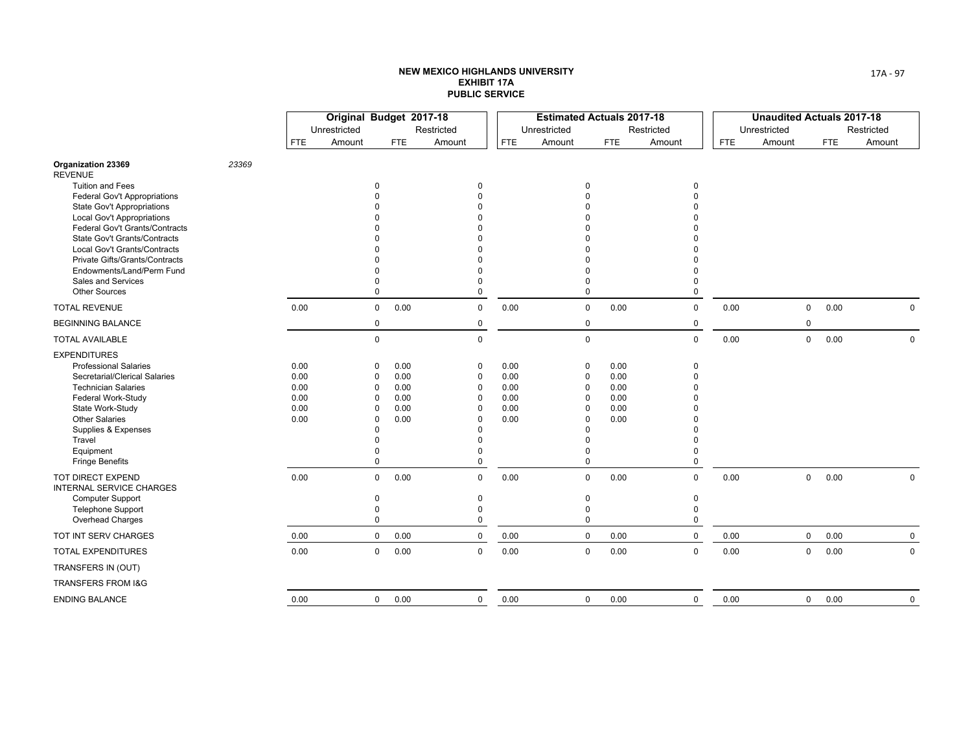|                                                                     |       |              | Original Budget 2017-18 |               |              |               |              | <b>Estimated Actuals 2017-18</b> |              |            |               |              | <b>Unaudited Actuals 2017-18</b> |            |             |
|---------------------------------------------------------------------|-------|--------------|-------------------------|---------------|--------------|---------------|--------------|----------------------------------|--------------|------------|---------------|--------------|----------------------------------|------------|-------------|
|                                                                     |       |              | Unrestricted            |               |              | Restricted    |              | Unrestricted                     |              | Restricted |               | Unrestricted |                                  |            | Restricted  |
|                                                                     |       | <b>FTE</b>   | Amount                  |               | <b>FTE</b>   | Amount        | <b>FTE</b>   | Amount                           | <b>FTE</b>   | Amount     |               | <b>FTE</b>   | Amount                           | <b>FTE</b> | Amount      |
| Organization 23369<br><b>REVENUE</b>                                | 23369 |              |                         |               |              |               |              |                                  |              |            |               |              |                                  |            |             |
| <b>Tuition and Fees</b>                                             |       |              |                         | 0             |              | 0             |              |                                  |              |            | 0             |              |                                  |            |             |
| <b>Federal Gov't Appropriations</b>                                 |       |              |                         | O             |              | $\Omega$      |              |                                  |              |            | 0             |              |                                  |            |             |
| <b>State Gov't Appropriations</b>                                   |       |              |                         |               |              |               |              |                                  |              |            |               |              |                                  |            |             |
| <b>Local Gov't Appropriations</b><br>Federal Gov't Grants/Contracts |       |              |                         |               |              |               |              |                                  |              |            |               |              |                                  |            |             |
| <b>State Gov't Grants/Contracts</b>                                 |       |              |                         |               |              |               |              |                                  |              |            |               |              |                                  |            |             |
| Local Gov't Grants/Contracts                                        |       |              |                         |               |              |               |              |                                  |              |            |               |              |                                  |            |             |
| Private Gifts/Grants/Contracts                                      |       |              |                         |               |              |               |              |                                  |              |            |               |              |                                  |            |             |
| Endowments/Land/Perm Fund                                           |       |              |                         | ŋ             |              |               |              |                                  |              |            |               |              |                                  |            |             |
| Sales and Services                                                  |       |              |                         | O             |              | $\Omega$      |              |                                  |              |            | ი             |              |                                  |            |             |
| <b>Other Sources</b>                                                |       |              |                         | 0             |              |               |              | $\Omega$                         |              |            | $\Omega$      |              |                                  |            |             |
| <b>TOTAL REVENUE</b>                                                |       | 0.00         |                         | $\mathbf 0$   | 0.00         | $\mathbf 0$   | 0.00         | $\mathbf 0$                      | 0.00         |            | $\mathbf 0$   | 0.00         | $\mathbf 0$                      | 0.00       | $\mathbf 0$ |
| <b>BEGINNING BALANCE</b>                                            |       |              |                         | 0             |              | 0             |              | 0                                |              |            | 0             |              | 0                                |            |             |
| <b>TOTAL AVAILABLE</b>                                              |       |              |                         | 0             |              | $\Omega$      |              | $\mathbf 0$                      |              |            | $\mathbf 0$   | 0.00         | $\mathsf{O}$                     | 0.00       | $\Omega$    |
| <b>EXPENDITURES</b>                                                 |       |              |                         |               |              |               |              |                                  |              |            |               |              |                                  |            |             |
| <b>Professional Salaries</b><br>Secretarial/Clerical Salaries       |       | 0.00<br>0.00 |                         | O             | 0.00<br>0.00 | 0             | 0.00<br>0.00 | $\Omega$                         | 0.00<br>0.00 |            | 0<br>0        |              |                                  |            |             |
| <b>Technician Salaries</b>                                          |       | 0.00         |                         | 0<br>$\Omega$ | 0.00         | $\Omega$<br>0 | 0.00         | $\Omega$<br>$\Omega$             | 0.00         |            | n             |              |                                  |            |             |
| Federal Work-Study                                                  |       | 0.00         |                         | O             | 0.00         | $\Omega$      | 0.00         | $\Omega$                         | 0.00         |            |               |              |                                  |            |             |
| State Work-Study                                                    |       | 0.00         |                         | 0             | 0.00         | $\Omega$      | 0.00         |                                  | 0.00         |            |               |              |                                  |            |             |
| <b>Other Salaries</b>                                               |       | 0.00         |                         | 0             | 0.00         | 0             | 0.00         | $\Omega$                         | 0.00         |            |               |              |                                  |            |             |
| Supplies & Expenses                                                 |       |              |                         | ŋ             |              | $\Omega$      |              |                                  |              |            |               |              |                                  |            |             |
| Travel                                                              |       |              |                         |               |              | ŋ             |              |                                  |              |            |               |              |                                  |            |             |
| Equipment<br><b>Fringe Benefits</b>                                 |       |              |                         | U<br>0        |              | $\Omega$      |              | $\Omega$<br>$\mathbf 0$          |              |            | n<br>$\Omega$ |              |                                  |            |             |
|                                                                     |       |              |                         |               |              |               |              |                                  |              |            |               |              |                                  |            |             |
| TOT DIRECT EXPEND<br>INTERNAL SERVICE CHARGES                       |       | 0.00         |                         | 0             | 0.00         | $\mathbf 0$   | 0.00         | $\mathbf 0$                      | 0.00         |            | $\mathbf 0$   | 0.00         | $\mathbf 0$                      | 0.00       | 0           |
| <b>Computer Support</b><br><b>Telephone Support</b>                 |       |              |                         | 0<br>0        |              | 0<br>$\Omega$ |              | 0<br>$\Omega$                    |              |            | 0<br>0        |              |                                  |            |             |
| Overhead Charges                                                    |       |              |                         | 0             |              | $\Omega$      |              | $\mathbf 0$                      |              |            | 0             |              |                                  |            |             |
| TOT INT SERV CHARGES                                                |       | 0.00         |                         | $\mathbf{0}$  | 0.00         | $\mathbf 0$   | 0.00         | $\mathbf 0$                      | 0.00         |            | $\mathbf 0$   | 0.00         | $\mathsf{O}$                     | 0.00       | $\mathbf 0$ |
| <b>TOTAL EXPENDITURES</b>                                           |       | 0.00         |                         | 0             | 0.00         | $\mathbf 0$   | 0.00         | 0                                | 0.00         |            | $\mathbf 0$   | 0.00         | 0                                | 0.00       | $\mathbf 0$ |
| TRANSFERS IN (OUT)                                                  |       |              |                         |               |              |               |              |                                  |              |            |               |              |                                  |            |             |
| TRANSFERS FROM I&G                                                  |       |              |                         |               |              |               |              |                                  |              |            |               |              |                                  |            |             |
| <b>ENDING BALANCE</b>                                               |       | 0.00         |                         | 0             | 0.00         | $\mathbf 0$   | 0.00         | $\mathbf 0$                      | 0.00         |            | $\mathsf 0$   | 0.00         | $\mathbf 0$                      | 0.00       | 0           |
|                                                                     |       |              |                         |               |              |               |              |                                  |              |            |               |              |                                  |            |             |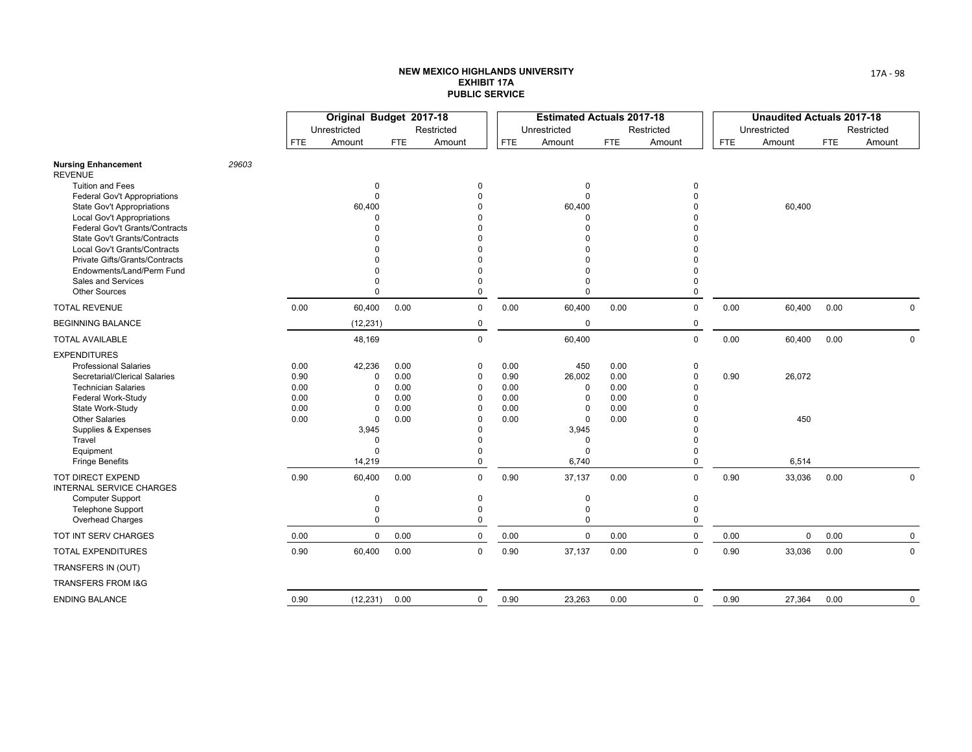|                                                                     |       |              | Original Budget 2017-18 |              |               |              | <b>Estimated Actuals 2017-18</b> |              |               |            | <b>Unaudited Actuals 2017-18</b> |      |             |
|---------------------------------------------------------------------|-------|--------------|-------------------------|--------------|---------------|--------------|----------------------------------|--------------|---------------|------------|----------------------------------|------|-------------|
|                                                                     |       |              | Unrestricted            |              | Restricted    |              | Unrestricted                     |              | Restricted    |            | Unrestricted                     |      | Restricted  |
|                                                                     |       | <b>FTE</b>   | Amount                  | <b>FTE</b>   | Amount        | <b>FTE</b>   | Amount                           | <b>FTE</b>   | Amount        | <b>FTE</b> | Amount                           | FTE  | Amount      |
| <b>Nursing Enhancement</b><br><b>REVENUE</b>                        | 29603 |              |                         |              |               |              |                                  |              |               |            |                                  |      |             |
| <b>Tuition and Fees</b>                                             |       |              | 0                       |              | 0             |              | $\Omega$                         |              | $\Omega$      |            |                                  |      |             |
| <b>Federal Gov't Appropriations</b>                                 |       |              | 0                       |              | $\Omega$      |              | $\mathbf 0$                      |              |               |            |                                  |      |             |
| State Gov't Appropriations                                          |       |              | 60,400<br>U             |              |               |              | 60,400                           |              |               |            | 60,400                           |      |             |
| <b>Local Gov't Appropriations</b><br>Federal Gov't Grants/Contracts |       |              |                         |              |               |              |                                  |              |               |            |                                  |      |             |
| State Gov't Grants/Contracts                                        |       |              |                         |              |               |              |                                  |              |               |            |                                  |      |             |
| Local Gov't Grants/Contracts                                        |       |              |                         |              |               |              |                                  |              |               |            |                                  |      |             |
| Private Gifts/Grants/Contracts                                      |       |              |                         |              |               |              |                                  |              |               |            |                                  |      |             |
| Endowments/Land/Perm Fund                                           |       |              |                         |              |               |              |                                  |              |               |            |                                  |      |             |
| Sales and Services                                                  |       |              | O                       |              |               |              |                                  |              | 0             |            |                                  |      |             |
| <b>Other Sources</b>                                                |       |              | 0                       |              | $\Omega$      |              | $\Omega$                         |              | $\Omega$      |            |                                  |      |             |
| <b>TOTAL REVENUE</b>                                                |       | 0.00         | 60,400                  | 0.00         | $\mathbf 0$   | 0.00         | 60,400                           | 0.00         | $\mathbf 0$   | 0.00       | 60,400                           | 0.00 | $\mathbf 0$ |
| <b>BEGINNING BALANCE</b>                                            |       |              | (12, 231)               |              | $\pmb{0}$     |              | $\mathbf 0$                      |              | $\mathbf 0$   |            |                                  |      |             |
| <b>TOTAL AVAILABLE</b>                                              |       |              | 48,169                  |              | $\Omega$      |              | 60,400                           |              | $\mathbf 0$   | 0.00       | 60,400                           | 0.00 | $\mathbf 0$ |
| <b>EXPENDITURES</b>                                                 |       |              |                         |              |               |              |                                  |              |               |            |                                  |      |             |
| <b>Professional Salaries</b><br>Secretarial/Clerical Salaries       |       | 0.00<br>0.90 | 42,236<br>0             | 0.00<br>0.00 | 0<br>$\Omega$ | 0.00<br>0.90 | 450<br>26,002                    | 0.00<br>0.00 | 0<br>0        | 0.90       | 26,072                           |      |             |
| <b>Technician Salaries</b>                                          |       | 0.00         | $\Omega$                | 0.00         | 0             | 0.00         | $\Omega$                         | 0.00         | n             |            |                                  |      |             |
| Federal Work-Study                                                  |       | 0.00         | 0                       | 0.00         | $\Omega$      | 0.00         | $\Omega$                         | 0.00         |               |            |                                  |      |             |
| State Work-Study                                                    |       | 0.00         | $\Omega$                | 0.00         | $\Omega$      | 0.00         | $\Omega$                         | 0.00         |               |            |                                  |      |             |
| <b>Other Salaries</b>                                               |       | 0.00         | 0                       | 0.00         | $\Omega$      | 0.00         | $\Omega$                         | 0.00         | n             |            | 450                              |      |             |
| Supplies & Expenses                                                 |       |              | 3,945                   |              | $\Omega$      |              | 3,945                            |              |               |            |                                  |      |             |
| Travel                                                              |       |              | 0                       |              | $\Omega$      |              | $\Omega$                         |              | O             |            |                                  |      |             |
| Equipment                                                           |       |              | $\Omega$<br>14,219      |              | O<br>$\Omega$ |              | $\Omega$<br>6,740                |              | O<br>$\Omega$ |            |                                  |      |             |
| <b>Fringe Benefits</b>                                              |       |              |                         |              |               |              |                                  |              |               |            | 6,514                            |      |             |
| TOT DIRECT EXPEND<br><b>INTERNAL SERVICE CHARGES</b>                |       | 0.90         | 60,400                  | 0.00         | $\Omega$      | 0.90         | 37,137                           | 0.00         | $\mathbf 0$   | 0.90       | 33,036                           | 0.00 | 0           |
| <b>Computer Support</b>                                             |       |              | 0                       |              | 0             |              | 0                                |              | 0             |            |                                  |      |             |
| <b>Telephone Support</b>                                            |       |              | $\Omega$<br>$\Omega$    |              | 0<br>$\Omega$ |              | $\Omega$<br>$\Omega$             |              | $\mathbf 0$   |            |                                  |      |             |
| Overhead Charges                                                    |       |              |                         |              |               |              |                                  |              | $\mathbf 0$   |            |                                  |      |             |
| TOT INT SERV CHARGES                                                |       | 0.00         | 0                       | 0.00         | $\mathbf 0$   | 0.00         | $\mathbf 0$                      | 0.00         | 0             | 0.00       | $\mathsf{O}$                     | 0.00 | 0           |
| <b>TOTAL EXPENDITURES</b>                                           |       | 0.90         | 60,400                  | 0.00         | $\mathbf 0$   | 0.90         | 37,137                           | 0.00         | $\mathbf 0$   | 0.90       | 33,036                           | 0.00 | $\mathbf 0$ |
| TRANSFERS IN (OUT)                                                  |       |              |                         |              |               |              |                                  |              |               |            |                                  |      |             |
| TRANSFERS FROM I&G                                                  |       |              |                         |              |               |              |                                  |              |               |            |                                  |      |             |
| <b>ENDING BALANCE</b>                                               |       | 0.90         | (12, 231)               | 0.00         | $\mathbf 0$   | 0.90         | 23,263                           | 0.00         | $\mathbf 0$   | 0.90       | 27,364                           | 0.00 | 0           |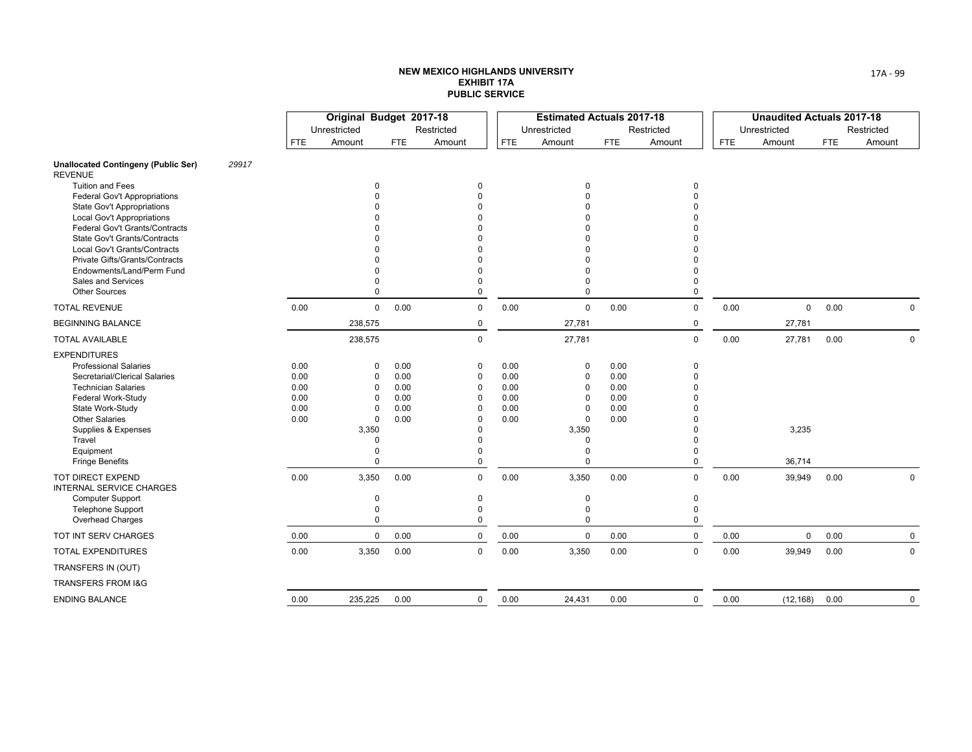|                                                                |       |            | Original Budget 2017-18 |            |                          |            | <b>Estimated Actuals 2017-18</b> |            |               |            | <b>Unaudited Actuals 2017-18</b> |            |             |
|----------------------------------------------------------------|-------|------------|-------------------------|------------|--------------------------|------------|----------------------------------|------------|---------------|------------|----------------------------------|------------|-------------|
|                                                                |       |            | Unrestricted            |            | Restricted               |            | Unrestricted                     |            | Restricted    |            | Unrestricted                     |            | Restricted  |
|                                                                |       | <b>FTE</b> | Amount                  | <b>FTE</b> | Amount                   | <b>FTE</b> | Amount                           | <b>FTE</b> | Amount        | <b>FTE</b> | Amount                           | <b>FTE</b> | Amount      |
| <b>Unallocated Contingeny (Public Ser)</b><br><b>REVENUE</b>   | 29917 |            |                         |            |                          |            |                                  |            |               |            |                                  |            |             |
| <b>Tuition and Fees</b>                                        |       |            | $\Omega$                |            | $\Omega$                 |            | $\Omega$                         |            | 0             |            |                                  |            |             |
| <b>Federal Gov't Appropriations</b>                            |       |            | $\Omega$                |            | $\Omega$                 |            |                                  |            | 0             |            |                                  |            |             |
| State Gov't Appropriations                                     |       |            | $\Omega$                |            |                          |            |                                  |            |               |            |                                  |            |             |
| <b>Local Gov't Appropriations</b>                              |       |            | n                       |            |                          |            |                                  |            |               |            |                                  |            |             |
| <b>Federal Gov't Grants/Contracts</b>                          |       |            | n                       |            |                          |            |                                  |            |               |            |                                  |            |             |
| State Gov't Grants/Contracts                                   |       |            |                         |            |                          |            |                                  |            |               |            |                                  |            |             |
| Local Gov't Grants/Contracts<br>Private Gifts/Grants/Contracts |       |            | n<br>$\Omega$           |            |                          |            |                                  |            |               |            |                                  |            |             |
| Endowments/Land/Perm Fund                                      |       |            | $\Omega$                |            |                          |            |                                  |            |               |            |                                  |            |             |
| <b>Sales and Services</b>                                      |       |            | $\Omega$                |            |                          |            | $\Omega$                         |            | 0             |            |                                  |            |             |
| <b>Other Sources</b>                                           |       |            | $\Omega$                |            | $\Omega$                 |            | $\Omega$                         |            | 0             |            |                                  |            |             |
| <b>TOTAL REVENUE</b>                                           |       | 0.00       | $\mathbf 0$             | 0.00       | $\mathbf 0$              | 0.00       | $\Omega$                         | 0.00       | $\mathbf 0$   | 0.00       | $\mathbf 0$                      | 0.00       | $\mathbf 0$ |
| <b>BEGINNING BALANCE</b>                                       |       |            | 238,575                 |            | $\mathbf 0$              |            | 27,781                           |            | 0             |            | 27,781                           |            |             |
| <b>TOTAL AVAILABLE</b>                                         |       |            | 238,575                 |            | $\mathbf 0$              |            | 27,781                           |            | $\mathbf 0$   | 0.00       | 27,781                           | 0.00       | $\mathbf 0$ |
| <b>EXPENDITURES</b>                                            |       |            |                         |            |                          |            |                                  |            |               |            |                                  |            |             |
| <b>Professional Salaries</b>                                   |       | 0.00       | $\Omega$                | 0.00       | $\Omega$                 | 0.00       | 0                                | 0.00       | $\mathbf 0$   |            |                                  |            |             |
| Secretarial/Clerical Salaries                                  |       | 0.00       | $\Omega$                | 0.00       | $\Omega$                 | 0.00       | $\Omega$                         | 0.00       | $\Omega$      |            |                                  |            |             |
| <b>Technician Salaries</b>                                     |       | 0.00       | $\Omega$                | 0.00       | $\Omega$                 | 0.00       | $\Omega$                         | 0.00       |               |            |                                  |            |             |
| Federal Work-Study                                             |       | 0.00       | $\Omega$                | 0.00       | $\Omega$                 | 0.00       | $\Omega$                         | 0.00       |               |            |                                  |            |             |
| State Work-Study                                               |       | 0.00       | $\Omega$                | 0.00       | 0                        | 0.00       | $\Omega$                         | 0.00       |               |            |                                  |            |             |
| <b>Other Salaries</b>                                          |       | 0.00       | $\mathbf 0$             | 0.00       | $\Omega$                 | 0.00       | $\Omega$                         | 0.00       |               |            |                                  |            |             |
| Supplies & Expenses                                            |       |            | 3,350                   |            | $\Omega$                 |            | 3,350                            |            |               |            | 3,235                            |            |             |
| Travel                                                         |       |            | $\Omega$                |            | $\Omega$                 |            | $\Omega$                         |            | O             |            |                                  |            |             |
| Equipment                                                      |       |            | 0<br>$\Omega$           |            | <sup>0</sup><br>$\Omega$ |            | $\Omega$<br>$\Omega$             |            | 0<br>$\Omega$ |            |                                  |            |             |
| <b>Fringe Benefits</b>                                         |       |            |                         |            |                          |            |                                  |            |               |            | 36,714                           |            |             |
| <b>TOT DIRECT EXPEND</b><br>INTERNAL SERVICE CHARGES           |       | 0.00       | 3,350                   | 0.00       | $\mathbf 0$              | 0.00       | 3,350                            | 0.00       | $\mathbf 0$   | 0.00       | 39,949                           | 0.00       | $\Omega$    |
| <b>Computer Support</b>                                        |       |            | $\Omega$                |            | 0                        |            | 0                                |            | 0             |            |                                  |            |             |
| <b>Telephone Support</b>                                       |       |            | 0                       |            | $\Omega$                 |            | $\Omega$                         |            | $\mathbf 0$   |            |                                  |            |             |
| Overhead Charges                                               |       |            | 0                       |            | 0                        |            | $\mathbf 0$                      |            | 0             |            |                                  |            |             |
| TOT INT SERV CHARGES                                           |       | 0.00       | 0                       | 0.00       | $\mathbf 0$              | 0.00       | $\mathbf 0$                      | 0.00       | 0             | 0.00       | $\mathsf{O}$                     | 0.00       | $\mathbf 0$ |
| <b>TOTAL EXPENDITURES</b>                                      |       | 0.00       | 3,350                   | 0.00       | $\mathbf 0$              | 0.00       | 3,350                            | 0.00       | $\mathbf 0$   | 0.00       | 39,949                           | 0.00       | $\mathbf 0$ |
| TRANSFERS IN (OUT)                                             |       |            |                         |            |                          |            |                                  |            |               |            |                                  |            |             |
| <b>TRANSFERS FROM I&amp;G</b>                                  |       |            |                         |            |                          |            |                                  |            |               |            |                                  |            |             |
| <b>ENDING BALANCE</b>                                          |       | 0.00       | 235,225                 | 0.00       | $\mathbf 0$              | 0.00       | 24,431                           | 0.00       | $\mathbf 0$   | 0.00       | (12, 168)                        | 0.00       | 0           |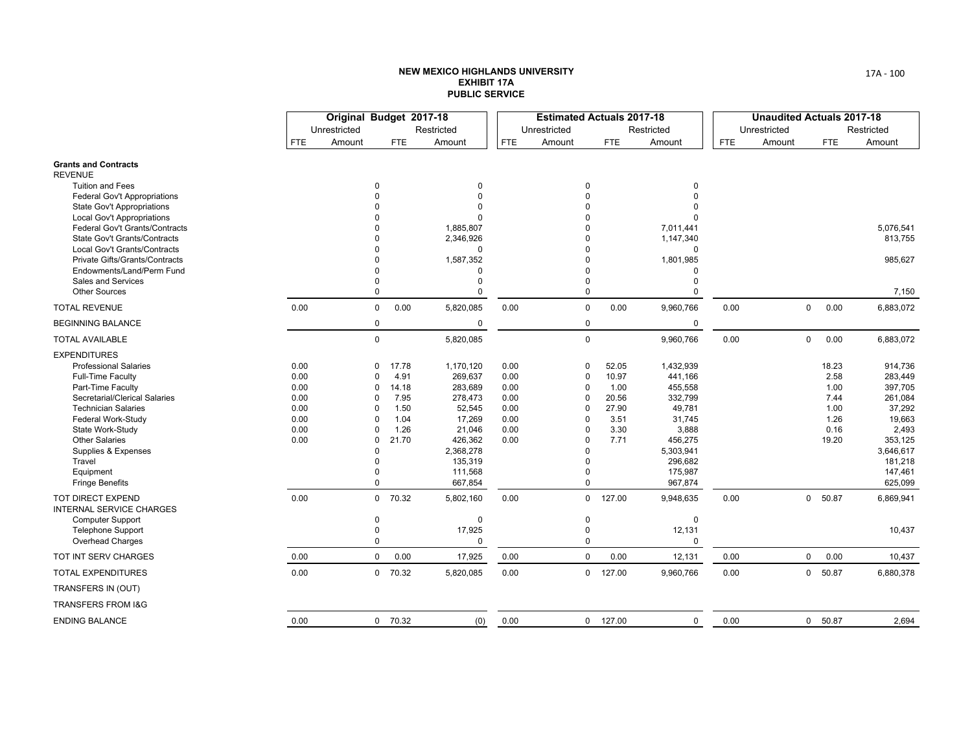|                                                                     |            | Original Budget 2017-18 |               |            |                           |            | <b>Estimated Actuals 2017-18</b> |            |                       |            | <b>Unaudited Actuals 2017-18</b> |                |            |            |
|---------------------------------------------------------------------|------------|-------------------------|---------------|------------|---------------------------|------------|----------------------------------|------------|-----------------------|------------|----------------------------------|----------------|------------|------------|
|                                                                     |            | Unrestricted            |               |            | Restricted                |            | Unrestricted                     |            | Restricted            |            | Unrestricted                     |                |            | Restricted |
|                                                                     | <b>FTE</b> | Amount                  |               | <b>FTE</b> | Amount                    | <b>FTE</b> | Amount                           | <b>FTE</b> | Amount                | <b>FTE</b> | Amount                           |                | <b>FTE</b> | Amount     |
| <b>Grants and Contracts</b>                                         |            |                         |               |            |                           |            |                                  |            |                       |            |                                  |                |            |            |
| <b>REVENUE</b>                                                      |            |                         |               |            |                           |            |                                  |            |                       |            |                                  |                |            |            |
| <b>Tuition and Fees</b>                                             |            |                         | 0             |            | $\Omega$                  |            | $\Omega$                         |            | $\Omega$              |            |                                  |                |            |            |
| <b>Federal Gov't Appropriations</b>                                 |            |                         | $\Omega$      |            | $\Omega$                  |            | $\theta$                         |            |                       |            |                                  |                |            |            |
| <b>State Gov't Appropriations</b>                                   |            |                         | $\Omega$      |            | $\Omega$                  |            | $\Omega$                         |            |                       |            |                                  |                |            |            |
| <b>Local Gov't Appropriations</b><br>Federal Gov't Grants/Contracts |            |                         | 0<br>$\Omega$ |            | <sup>0</sup><br>1,885,807 |            | $\Omega$<br>$\Omega$             |            | $\Omega$<br>7,011,441 |            |                                  |                |            | 5,076,541  |
| <b>State Gov't Grants/Contracts</b>                                 |            |                         | $\Omega$      |            | 2,346,926                 |            | $\Omega$                         |            | 1,147,340             |            |                                  |                |            | 813,755    |
| Local Gov't Grants/Contracts                                        |            |                         | 0             |            | $\Omega$                  |            | $\Omega$                         |            | $\Omega$              |            |                                  |                |            |            |
| Private Gifts/Grants/Contracts                                      |            |                         | $\Omega$      |            | 1,587,352                 |            | $\Omega$                         |            | 1,801,985             |            |                                  |                |            | 985,627    |
| Endowments/Land/Perm Fund                                           |            |                         | $\Omega$      |            | $\Omega$                  |            | $\Omega$                         |            | $\Omega$              |            |                                  |                |            |            |
| Sales and Services                                                  |            |                         | 0             |            | $\Omega$                  |            | $\theta$                         |            | $\Omega$              |            |                                  |                |            |            |
| <b>Other Sources</b>                                                |            |                         | 0             |            | $\Omega$                  |            | $\mathbf 0$                      |            | 0                     |            |                                  |                |            | 7,150      |
| <b>TOTAL REVENUE</b>                                                | 0.00       |                         | 0             | 0.00       | 5,820,085                 | 0.00       | $\mathbf 0$                      | 0.00       | 9,960,766             | 0.00       |                                  | 0              | 0.00       | 6,883,072  |
| <b>BEGINNING BALANCE</b>                                            |            |                         | 0             |            | 0                         |            | 0                                |            | $\mathbf 0$           |            |                                  |                |            |            |
| <b>TOTAL AVAILABLE</b>                                              |            |                         | $\mathbf 0$   |            | 5,820,085                 |            | $\mathbf 0$                      |            | 9,960,766             | 0.00       |                                  | $\mathbf 0$    | 0.00       | 6,883,072  |
| <b>EXPENDITURES</b>                                                 |            |                         |               |            |                           |            |                                  |            |                       |            |                                  |                |            |            |
| <b>Professional Salaries</b>                                        | 0.00       |                         | 0             | 17.78      | 1,170,120                 | 0.00       | $\Omega$                         | 52.05      | 1,432,939             |            |                                  |                | 18.23      | 914,736    |
| Full-Time Faculty                                                   | 0.00       |                         | O             | 4.91       | 269,637                   | 0.00       | $\Omega$                         | 10.97      | 441,166               |            |                                  |                | 2.58       | 283,449    |
| Part-Time Faculty                                                   | 0.00       |                         | O             | 14.18      | 283,689                   | 0.00       | $\Omega$                         | 1.00       | 455,558               |            |                                  |                | 1.00       | 397,705    |
| Secretarial/Clerical Salaries                                       | 0.00       |                         | O             | 7.95       | 278,473                   | 0.00       | $\Omega$                         | 20.56      | 332,799               |            |                                  |                | 7.44       | 261,084    |
| <b>Technician Salaries</b>                                          | 0.00       |                         | O             | 1.50       | 52,545                    | 0.00       | $\Omega$                         | 27.90      | 49,781                |            |                                  |                | 1.00       | 37,292     |
| Federal Work-Study                                                  | 0.00       |                         | $\Omega$      | 1.04       | 17,269                    | 0.00       | $\Omega$                         | 3.51       | 31,745                |            |                                  |                | 1.26       | 19,663     |
| State Work-Study                                                    | 0.00       |                         | O             | 1.26       | 21,046                    | 0.00       | $\Omega$                         | 3.30       | 3,888                 |            |                                  |                | 0.16       | 2,493      |
| <b>Other Salaries</b>                                               | 0.00       |                         | $\Omega$      | 21.70      | 426,362                   | 0.00       | $\Omega$                         | 7.71       | 456,275               |            |                                  |                | 19.20      | 353,125    |
| Supplies & Expenses                                                 |            |                         | O             |            | 2,368,278                 |            | $\Omega$                         |            | 5,303,941             |            |                                  |                |            | 3,646,617  |
| Travel                                                              |            |                         | 0             |            | 135,319                   |            | $\Omega$                         |            | 296,682               |            |                                  |                |            | 181,218    |
| Equipment                                                           |            |                         | 0             |            | 111,568                   |            | $\Omega$                         |            | 175,987               |            |                                  |                |            | 147,461    |
| <b>Fringe Benefits</b>                                              |            |                         | 0             |            | 667,854                   |            | $\mathbf 0$                      |            | 967,874               |            |                                  |                |            | 625,099    |
| TOT DIRECT EXPEND<br>INTERNAL SERVICE CHARGES                       | 0.00       |                         |               | $0$ 70.32  | 5,802,160                 | 0.00       | $\mathbf 0$                      | 127.00     | 9,948,635             | 0.00       |                                  | $\mathbf{0}$   | 50.87      | 6,869,941  |
| <b>Computer Support</b>                                             |            |                         | 0             |            | $\Omega$                  |            | $\mathbf 0$                      |            | 0                     |            |                                  |                |            |            |
| <b>Telephone Support</b>                                            |            |                         | $\pmb{0}$     |            | 17,925                    |            | $\pmb{0}$                        |            | 12,131                |            |                                  |                |            | 10,437     |
| <b>Overhead Charges</b>                                             |            |                         | 0             |            | $\Omega$                  |            | 0                                |            | 0                     |            |                                  |                |            |            |
| TOT INT SERV CHARGES                                                | 0.00       |                         | 0             | 0.00       | 17,925                    | 0.00       | $\mathbf 0$                      | 0.00       | 12,131                | 0.00       |                                  | $\mathbf 0$    | 0.00       | 10,437     |
| <b>TOTAL EXPENDITURES</b>                                           | 0.00       |                         |               | $0$ 70.32  | 5,820,085                 | 0.00       | $\mathbf 0$                      | 127.00     | 9,960,766             | 0.00       |                                  | $\overline{0}$ | 50.87      | 6,880,378  |
| TRANSFERS IN (OUT)                                                  |            |                         |               |            |                           |            |                                  |            |                       |            |                                  |                |            |            |
| TRANSFERS FROM I&G                                                  |            |                         |               |            |                           |            |                                  |            |                       |            |                                  |                |            |            |
| <b>ENDING BALANCE</b>                                               | 0.00       |                         |               | $0$ 70.32  | (0)                       | 0.00       |                                  | $0$ 127.00 | $\mathbf 0$           | 0.00       |                                  |                | 0 50.87    | 2,694      |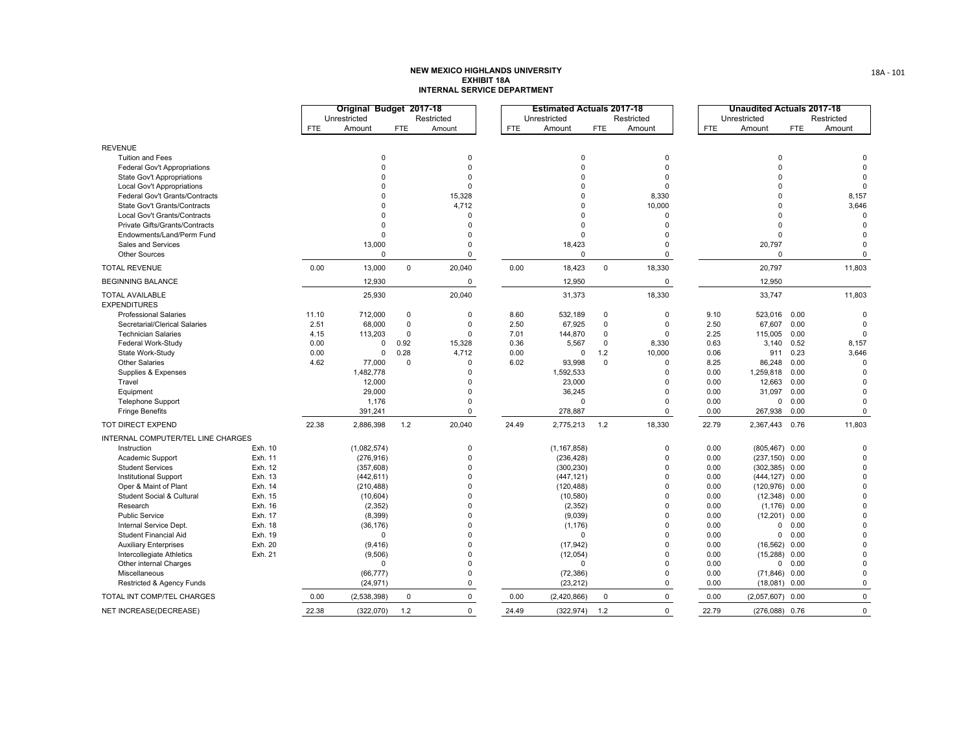|                                               |                    |            | Original Budget 2017-18 |             |                         |            | <b>Estimated Actuals 2017-18</b> |             |                      |              | <b>Unaudited Actuals 2017-18</b> |              |                         |
|-----------------------------------------------|--------------------|------------|-------------------------|-------------|-------------------------|------------|----------------------------------|-------------|----------------------|--------------|----------------------------------|--------------|-------------------------|
|                                               |                    |            | Unrestricted            |             | Restricted              |            | Unrestricted                     |             | Restricted           |              | Unrestricted                     |              | Restricted              |
|                                               |                    | <b>FTE</b> | Amount                  | <b>FTE</b>  | Amount                  | <b>FTE</b> | Amount                           | <b>FTE</b>  | Amount               | <b>FTE</b>   | Amount                           | <b>FTE</b>   | Amount                  |
| <b>REVENUE</b>                                |                    |            |                         |             |                         |            |                                  |             |                      |              |                                  |              |                         |
| <b>Tuition and Fees</b>                       |                    |            | $\mathbf 0$             |             | $\mathbf 0$             |            | $\mathbf 0$                      |             | $\Omega$             |              | $\mathbf 0$                      |              | $\Omega$                |
| Federal Gov't Appropriations                  |                    |            | $\Omega$                |             | $\Omega$                |            | $\Omega$                         |             | $\Omega$             |              | $\Omega$                         |              | $\Omega$                |
| State Gov't Appropriations                    |                    |            | $\Omega$                |             | $\Omega$                |            | $\Omega$                         |             | $\Omega$             |              | $\Omega$                         |              | $\mathbf 0$             |
| Local Gov't Appropriations                    |                    |            | $\Omega$                |             | $\Omega$                |            | $\Omega$                         |             | $\Omega$             |              | $\Omega$                         |              | $\Omega$                |
| Federal Gov't Grants/Contracts                |                    |            | O                       |             | 15,328                  |            | $\Omega$                         |             | 8,330                |              | $\Omega$                         |              | 8,157                   |
| State Gov't Grants/Contracts                  |                    |            | $\Omega$                |             | 4,712                   |            | $\Omega$                         |             | 10,000               |              | $\Omega$                         |              | 3,646                   |
| Local Gov't Grants/Contracts                  |                    |            | $\Omega$                |             | $\Omega$                |            | $\Omega$                         |             | $\Omega$             |              | $\Omega$                         |              | $\mathbf 0$             |
| Private Gifts/Grants/Contracts                |                    |            | $\Omega$                |             | $\Omega$                |            | $\Omega$                         |             | $\Omega$             |              | $\Omega$                         |              | $\Omega$                |
| Endowments/Land/Perm Fund                     |                    |            | $\Omega$                |             | $\Omega$                |            | $\Omega$                         |             | $\Omega$             |              | $\Omega$                         |              | $\Omega$                |
| Sales and Services                            |                    |            | 13,000                  |             | $\Omega$                |            | 18,423                           |             | $\Omega$             |              | 20,797                           |              | $\Omega$                |
| <b>Other Sources</b>                          |                    |            | $\mathbf 0$             |             | $\mathbf 0$             |            | $\mathbf 0$                      |             | $\mathbf 0$          |              | $\Omega$                         |              | $\Omega$                |
| <b>TOTAL REVENUE</b>                          |                    | 0.00       | 13,000                  | $\mathbf 0$ | 20,040                  | 0.00       | 18,423                           | $\mathbf 0$ | 18,330               |              | 20,797                           |              | 11,803                  |
| <b>BEGINNING BALANCE</b>                      |                    |            | 12,930                  |             | $\mathbf 0$             |            | 12,950                           |             | $\mathbf 0$          |              | 12,950                           |              |                         |
| <b>TOTAL AVAILABLE</b><br><b>EXPENDITURES</b> |                    |            | 25,930                  |             | 20,040                  |            | 31,373                           |             | 18,330               |              | 33,747                           |              | 11,803                  |
| <b>Professional Salaries</b>                  |                    | 11.10      | 712,000                 | $\mathbf 0$ | $\mathbf 0$             | 8.60       | 532,189                          | $\mathbf 0$ | $\mathbf 0$          | 9.10         | 523,016                          | 0.00         | $\mathbf 0$             |
| Secretarial/Clerical Salaries                 |                    | 2.51       | 68,000                  | $\mathbf 0$ | $\Omega$                | 2.50       | 67,925                           | $\Omega$    | $\mathbf 0$          | 2.50         | 67,607                           | 0.00         | $\Omega$                |
| <b>Technician Salaries</b>                    |                    | 4.15       | 113,203                 | $\mathbf 0$ | $\mathbf 0$             | 7.01       | 144,870                          | $\Omega$    | $\Omega$             | 2.25         | 115,005                          | 0.00         | $\mathbf 0$             |
| Federal Work-Study                            |                    | 0.00       | $\mathbf 0$             | 0.92        | 15,328                  | 0.36       | 5,567                            | $\mathbf 0$ | 8,330                | 0.63         | 3,140                            | 0.52         | 8,157                   |
| State Work-Study                              |                    | 0.00       | $\mathbf 0$             | 0.28        | 4,712                   | 0.00       | $\Omega$                         | 1.2         | 10,000               | 0.06         | 911                              | 0.23         | 3,646                   |
| <b>Other Salaries</b>                         |                    | 4.62       | 77,000                  | $\mathbf 0$ | $\Omega$                | 6.02       | 93,998                           | $\Omega$    | $\Omega$             | 8.25         | 86,248                           | 0.00         | $\mathbf 0$             |
| Supplies & Expenses                           |                    |            | 1,482,778               |             | $\Omega$                |            | 1,592,533                        |             | $\mathbf 0$          | 0.00         | 1,259,818                        | 0.00         | $\mathbf 0$             |
| Travel                                        |                    |            | 12,000                  |             | $\Omega$                |            | 23,000                           |             | $\Omega$             | 0.00         | 12,663                           | 0.00         | $\Omega$                |
| Equipment                                     |                    |            | 29,000                  |             | $\Omega$                |            | 36,245                           |             | $\Omega$             | 0.00         | 31,097                           | 0.00         | $\mathbf 0$             |
| <b>Telephone Support</b>                      |                    |            | 1,176                   |             | $\Omega$                |            | $\Omega$                         |             | $\Omega$             | 0.00         | $\mathbf 0$                      | 0.00         | $\Omega$                |
| <b>Fringe Benefits</b>                        |                    |            | 391,241                 |             | $\mathbf 0$             |            | 278,887                          |             | $\mathbf 0$          | 0.00         | 267,938                          | 0.00         | $\mathbf 0$             |
| TOT DIRECT EXPEND                             |                    | 22.38      | 2,886,398               | 1.2         | 20,040                  | 24.49      | 2,775,213                        | 1.2         | 18,330               | 22.79        | 2,367,443                        | 0.76         | 11,803                  |
| INTERNAL COMPUTER/TEL LINE CHARGES            |                    |            |                         |             |                         |            |                                  |             |                      |              |                                  |              |                         |
| Instruction                                   | Exh. 10            |            | (1,082,574)             |             | $\mathbf 0$             |            | (1, 167, 858)                    |             | $\mathbf 0$          | 0.00         | (805, 467)                       | 0.00         | $\mathbf 0$             |
| Academic Support                              | Exh. 11            |            | (276, 916)              |             | $\mathbf 0$             |            | (236, 428)                       |             | $\mathbf{0}$         | 0.00         | $(237, 150)$ 0.00                |              | $\mathbf 0$             |
| <b>Student Services</b>                       | Exh. 12            |            | (357, 608)              |             | $\mathbf 0$             |            | (300, 230)                       |             | $\Omega$             | 0.00         | (302, 385)                       | 0.00         | $\mathbf 0$             |
| <b>Institutional Support</b>                  | Exh. 13            |            | (442, 611)              |             | $\mathbf 0$<br>$\Omega$ |            | (447, 121)                       |             | $\Omega$<br>$\Omega$ | 0.00         | (444, 127)                       | 0.00         | $\mathbf 0$             |
| Oper & Maint of Plant                         | Exh. 14            |            | (210, 488)              |             | $\Omega$                |            | (120, 488)                       |             | $\Omega$             | 0.00         | (120, 976)                       | 0.00         | $\mathbf 0$             |
| Student Social & Cultural<br>Research         | Exh. 15<br>Exh. 16 |            | (10, 604)               |             | $\Omega$                |            | (10, 580)                        |             | $\Omega$             | 0.00<br>0.00 | (12, 348)                        | 0.00         | $\mathbf 0$<br>$\Omega$ |
| <b>Public Service</b>                         | Exh. 17            |            | (2, 352)                |             | $\Omega$                |            | (2, 352)<br>(9,039)              |             | $\Omega$             | 0.00         | (1, 176)                         | 0.00<br>0.00 | $\mathbf 0$             |
| Internal Service Dept.                        | Exh. 18            |            | (8, 399)<br>(36, 176)   |             | $\Omega$                |            | (1, 176)                         |             | $\Omega$             | 0.00         | (12, 201)<br>$\mathbf 0$         | 0.00         | $\Omega$                |
| <b>Student Financial Aid</b>                  | Exh. 19            |            | 0                       |             | $\Omega$                |            | $\Omega$                         |             | $\Omega$             | 0.00         | $\mathbf 0$                      | 0.00         | $\mathbf 0$             |
| <b>Auxiliary Enterprises</b>                  | Exh. 20            |            | (9, 416)                |             | $\Omega$                |            | (17, 942)                        |             | $\Omega$             | 0.00         | (16, 562)                        | 0.00         | $\mathbf 0$             |
| Intercollegiate Athletics                     | Exh. 21            |            | (9,506)                 |             | $\Omega$                |            | (12, 054)                        |             | $\Omega$             | 0.00         | (15, 288)                        | 0.00         | $\mathbf 0$             |
| Other internal Charges                        |                    |            | $\mathbf 0$             |             | $\Omega$                |            | $\Omega$                         |             | $\Omega$             | 0.00         | $\mathbf 0$                      | 0.00         | $\mathbf 0$             |
| Miscellaneous                                 |                    |            | (66, 777)               |             | 0                       |            | (72, 386)                        |             | $\Omega$             | 0.00         | (71, 846)                        | 0.00         | $\mathbf 0$             |
| Restricted & Agency Funds                     |                    |            | (24, 971)               |             | $\mathbf 0$             |            | (23, 212)                        |             | $\mathbf 0$          | 0.00         | $(18,081)$ 0.00                  |              | $\mathbf 0$             |
| TOTAL INT COMP/TEL CHARGES                    |                    | 0.00       | (2,538,398)             | $\mathbf 0$ | $\mathbf 0$             | 0.00       | (2,420,866)                      | $\mathbf 0$ | $\mathbf 0$          | 0.00         | (2,057,607)                      | 0.00         | $\mathbf{0}$            |
| NET INCREASE(DECREASE)                        |                    | 22.38      | (322,070)               | 1.2         | $\mathbf 0$             | 24.49      | (322, 974)                       | 1.2         | $\mathbf 0$          | 22.79        | $(276,088)$ 0.76                 |              | $\mathbf{0}$            |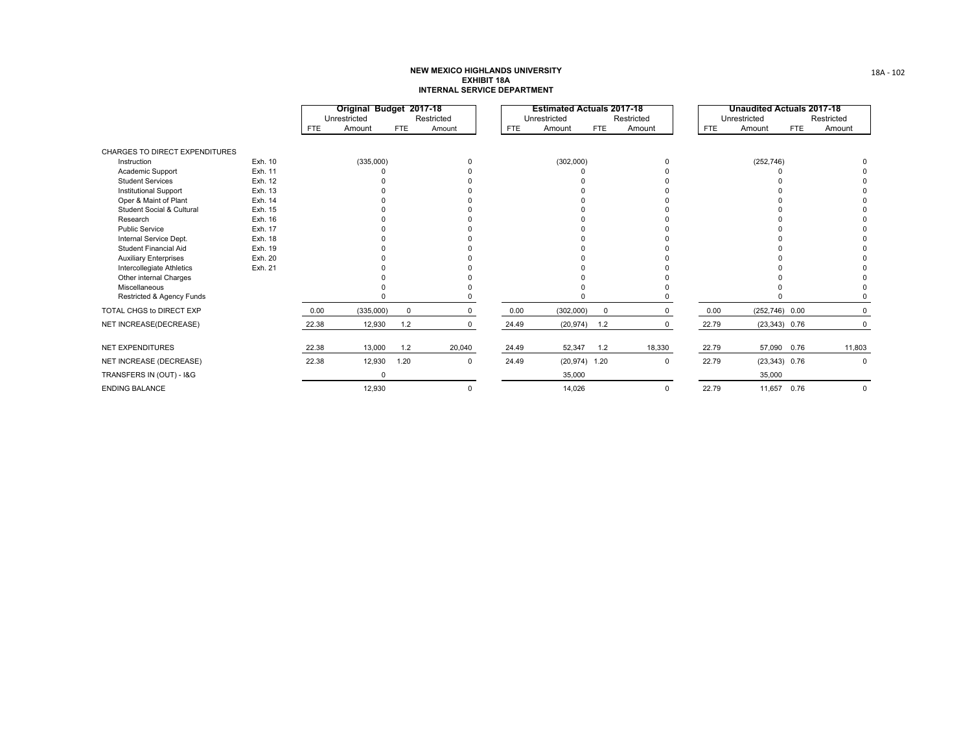|                                       |         |            | Original Budget 2017-18<br>Unrestricted |             | Restricted  |            | <b>Estimated Actuals 2017-18</b><br>Unrestricted |            | Restricted  |            | <b>Unaudited Actuals 2017-18</b><br>Unrestricted |                   | Restricted |
|---------------------------------------|---------|------------|-----------------------------------------|-------------|-------------|------------|--------------------------------------------------|------------|-------------|------------|--------------------------------------------------|-------------------|------------|
|                                       |         | <b>FTE</b> | Amount                                  | FTE         | Amount      | <b>FTE</b> | Amount                                           | <b>FTE</b> | Amount      | <b>FTE</b> | Amount                                           | FTE               | Amount     |
| <b>CHARGES TO DIRECT EXPENDITURES</b> |         |            |                                         |             |             |            |                                                  |            |             |            |                                                  |                   |            |
| Instruction                           | Exh. 10 |            | (335,000)                               |             |             |            | (302,000)                                        |            | $\Omega$    |            | (252, 746)                                       |                   |            |
| Academic Support                      | Exh. 11 |            |                                         |             |             |            |                                                  |            |             |            |                                                  |                   |            |
| <b>Student Services</b>               | Exh. 12 |            |                                         |             |             |            |                                                  |            |             |            |                                                  |                   |            |
| <b>Institutional Support</b>          | Exh. 13 |            |                                         |             |             |            |                                                  |            |             |            |                                                  |                   |            |
| Oper & Maint of Plant                 | Exh. 14 |            |                                         |             |             |            |                                                  |            |             |            |                                                  |                   |            |
| <b>Student Social &amp; Cultural</b>  | Exh. 15 |            |                                         |             |             |            |                                                  |            |             |            |                                                  |                   |            |
| Research                              | Exh. 16 |            |                                         |             |             |            |                                                  |            |             |            |                                                  |                   |            |
| <b>Public Service</b>                 | Exh. 17 |            |                                         |             |             |            |                                                  |            |             |            |                                                  |                   |            |
| Internal Service Dept.                | Exh. 18 |            |                                         |             |             |            |                                                  |            |             |            |                                                  |                   |            |
| <b>Student Financial Aid</b>          | Exh. 19 |            |                                         |             |             |            |                                                  |            |             |            |                                                  |                   |            |
| <b>Auxiliary Enterprises</b>          | Exh. 20 |            |                                         |             |             |            |                                                  |            |             |            |                                                  |                   |            |
| Intercollegiate Athletics             | Exh. 21 |            |                                         |             |             |            |                                                  |            |             |            |                                                  |                   |            |
| Other internal Charges                |         |            |                                         |             |             |            |                                                  |            |             |            |                                                  |                   |            |
| Miscellaneous                         |         |            |                                         |             |             |            |                                                  |            |             |            |                                                  |                   |            |
| Restricted & Agency Funds             |         |            |                                         |             |             |            |                                                  |            |             |            |                                                  |                   |            |
| TOTAL CHGS to DIRECT EXP              |         | 0.00       | (335,000)                               | $\mathbf 0$ |             | 0.00       | (302,000)                                        | $^{\circ}$ | $\Omega$    | 0.00       |                                                  | $(252, 746)$ 0.00 |            |
| NET INCREASE(DECREASE)                |         | 22.38      | 12,930                                  | 1.2         |             | 24.49      | (20, 974)                                        | 1.2        | 0           | 22.79      |                                                  | $(23, 343)$ 0.76  | $\Omega$   |
| <b>NET EXPENDITURES</b>               |         | 22.38      | 13,000                                  | 1.2         | 20,040      | 24.49      | 52,347                                           | 1.2        | 18,330      | 22.79      |                                                  | 57,090 0.76       | 11,803     |
| NET INCREASE (DECREASE)               |         | 22.38      | 12,930                                  | 1.20        | $\mathbf 0$ | 24.49      | $(20,974)$ 1.20                                  |            | $\mathbf 0$ | 22.79      |                                                  | $(23, 343)$ 0.76  | $\Omega$   |
| TRANSFERS IN (OUT) - I&G              |         |            | $\Omega$                                |             |             |            | 35,000                                           |            |             |            | 35,000                                           |                   |            |
| <b>ENDING BALANCE</b>                 |         |            | 12,930                                  |             | $\Omega$    |            | 14.026                                           |            | $\Omega$    | 22.79      | 11,657                                           | 0.76              | $\Omega$   |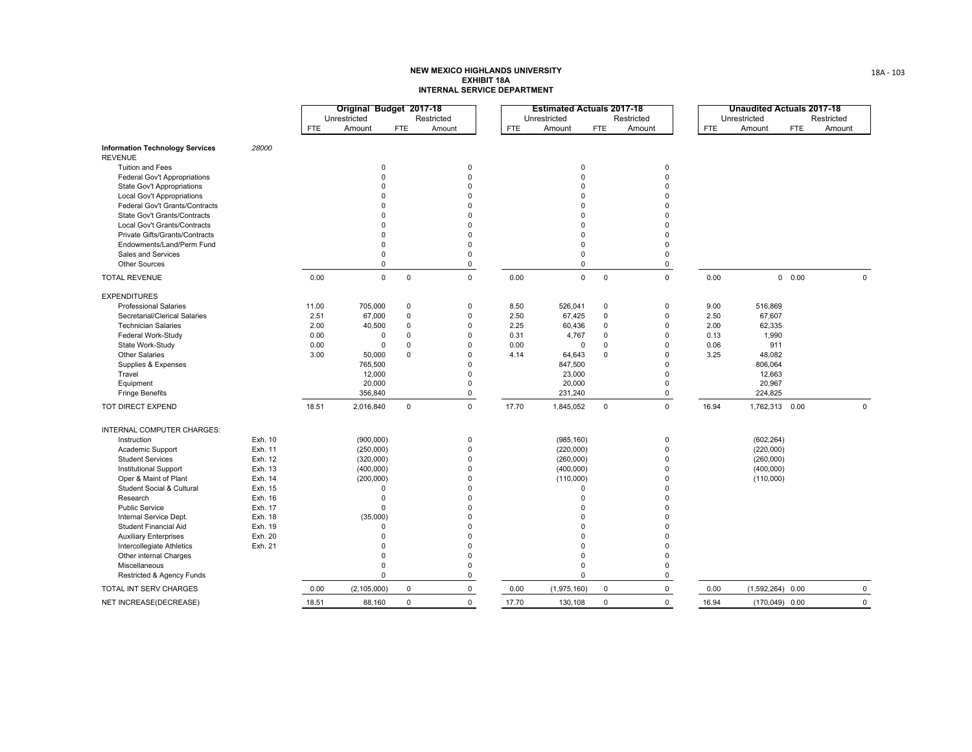|                                        |         |       | Original Budget 2017-18 |             |             |            | <b>Estimated Actuals 2017-18</b> |             |              |            | <b>Unaudited Actuals 2017-18</b> |            |             |
|----------------------------------------|---------|-------|-------------------------|-------------|-------------|------------|----------------------------------|-------------|--------------|------------|----------------------------------|------------|-------------|
|                                        |         |       | Unrestricted            |             | Restricted  |            | Unrestricted                     |             | Restricted   |            | Unrestricted                     |            | Restricted  |
|                                        |         | FTE   | Amount                  | <b>FTE</b>  | Amount      | <b>FTE</b> | Amount                           | <b>FTE</b>  | Amount       | <b>FTE</b> | Amount                           | <b>FTE</b> | Amount      |
| <b>Information Technology Services</b> | 28000   |       |                         |             |             |            |                                  |             |              |            |                                  |            |             |
| <b>REVENUE</b>                         |         |       |                         |             |             |            |                                  |             |              |            |                                  |            |             |
| Tuition and Fees                       |         |       | 0                       |             | $\mathbf 0$ |            | $\mathbf 0$                      |             | $\mathbf 0$  |            |                                  |            |             |
| Federal Gov't Appropriations           |         |       | $\mathbf 0$             |             | $\mathbf 0$ |            | $\mathbf 0$                      |             | $\mathbf 0$  |            |                                  |            |             |
| State Gov't Appropriations             |         |       | U                       |             | $\Omega$    |            | $\Omega$                         |             | $\Omega$     |            |                                  |            |             |
| Local Gov't Appropriations             |         |       |                         |             | $\Omega$    |            | $\Omega$                         |             | $\Omega$     |            |                                  |            |             |
| Federal Gov't Grants/Contracts         |         |       |                         |             | $\Omega$    |            | $\Omega$                         |             | $\Omega$     |            |                                  |            |             |
| State Gov't Grants/Contracts           |         |       | 0                       |             | $\Omega$    |            | $\Omega$                         |             | $\Omega$     |            |                                  |            |             |
| Local Gov't Grants/Contracts           |         |       | O                       |             | $\Omega$    |            | $\Omega$                         |             | $\Omega$     |            |                                  |            |             |
| Private Gifts/Grants/Contracts         |         |       | O                       |             | $\Omega$    |            | $\Omega$                         |             | $\Omega$     |            |                                  |            |             |
| Endowments/Land/Perm Fund              |         |       | $\Omega$                |             | $\Omega$    |            | $\mathbf 0$                      |             | $\mathbf{0}$ |            |                                  |            |             |
| Sales and Services                     |         |       | $\Omega$                |             | $\Omega$    |            | $\mathbf 0$                      |             | $\mathbf 0$  |            |                                  |            |             |
| Other Sources                          |         |       | $\mathbf 0$             |             | 0           |            | 0                                |             | $\mathbf 0$  |            |                                  |            |             |
| <b>TOTAL REVENUE</b>                   |         | 0.00  | $\mathbf 0$             | $\mathbf 0$ | $\mathbf 0$ | 0.00       | $\mathbf 0$                      | $\mathsf 0$ | $\mathsf 0$  | 0.00       |                                  | 0 0.00     | $\mathbf 0$ |
| <b>EXPENDITURES</b>                    |         |       |                         |             |             |            |                                  |             |              |            |                                  |            |             |
| <b>Professional Salaries</b>           |         | 11.00 | 705,000                 | $\mathbf 0$ | $\mathbf 0$ | 8.50       | 526,041                          | $\mathbf 0$ | $\mathbf 0$  | 9.00       | 516,869                          |            |             |
| Secretarial/Clerical Salaries          |         | 2.51  | 67,000                  | $\mathbf 0$ | $\mathbf 0$ | 2.50       | 67,425                           | $\mathbf 0$ | $\mathbf 0$  | 2.50       | 67,607                           |            |             |
| <b>Technician Salaries</b>             |         | 2.00  | 40,500                  | $\Omega$    | $\mathbf 0$ | 2.25       | 60,436                           | $\Omega$    | $\mathbf{0}$ | 2.00       | 62,335                           |            |             |
| Federal Work-Study                     |         | 0.00  | $\mathbf 0$             | $\Omega$    | $\Omega$    | 0.31       | 4,767                            | $\mathbf 0$ | $\mathbf{0}$ | 0.13       | 1,990                            |            |             |
| State Work-Study                       |         | 0.00  | $\Omega$                | $\Omega$    | $\Omega$    | 0.00       | $\mathbf 0$                      | $\mathbf 0$ | $\mathbf{0}$ | 0.06       | 911                              |            |             |
| <b>Other Salaries</b>                  |         | 3.00  | 50,000                  | $\Omega$    | $\Omega$    | 4.14       | 64,643                           | $\Omega$    | $\Omega$     | 3.25       | 48,082                           |            |             |
| Supplies & Expenses                    |         |       | 765,500                 |             | $\Omega$    |            | 847,500                          |             | $\Omega$     |            | 806,064                          |            |             |
| Travel                                 |         |       | 12,000                  |             | $\Omega$    |            | 23,000                           |             | $\mathbf{0}$ |            | 12,663                           |            |             |
| Equipment                              |         |       | 20,000                  |             | $\Omega$    |            | 20,000                           |             | $\mathbf{0}$ |            | 20,967                           |            |             |
| <b>Fringe Benefits</b>                 |         |       | 356,840                 |             | 0           |            | 231,240                          |             | $\mathbf 0$  |            | 224,825                          |            |             |
| TOT DIRECT EXPEND                      |         | 18.51 | 2,016,840               | 0           | $\mathbf 0$ | 17.70      | 1,845,052                        | $\mathbf 0$ | $\mathsf 0$  | 16.94      | 1,762,313 0.00                   |            | $\mathbf 0$ |
| INTERNAL COMPUTER CHARGES:             |         |       |                         |             |             |            |                                  |             |              |            |                                  |            |             |
| Instruction                            | Exh. 10 |       | (900, 000)              |             | $\mathsf 0$ |            | (985, 160)                       |             | $\pmb{0}$    |            | (602, 264)                       |            |             |
| Academic Support                       | Exh. 11 |       | (250,000)               |             | $\mathbf 0$ |            | (220,000)                        |             | $\mathbf 0$  |            | (220,000)                        |            |             |
| <b>Student Services</b>                | Exh. 12 |       | (320,000)               |             | $\Omega$    |            | (260,000)                        |             | $\mathbf{0}$ |            | (260,000)                        |            |             |
| Institutional Support                  | Exh. 13 |       | (400,000)               |             | $\mathbf 0$ |            | (400,000)                        |             | $\Omega$     |            | (400,000)                        |            |             |
| Oper & Maint of Plant                  | Exh. 14 |       | (200,000)               |             | $\Omega$    |            | (110,000)                        |             | $\mathbf{0}$ |            | (110,000)                        |            |             |
| Student Social & Cultural              | Exh. 15 |       | $\Omega$                |             | $\mathbf 0$ |            | $\Omega$                         |             | $\Omega$     |            |                                  |            |             |
| Research                               | Exh. 16 |       | $\Omega$                |             | $\Omega$    |            | $\Omega$                         |             | $\Omega$     |            |                                  |            |             |
| <b>Public Service</b>                  | Exh. 17 |       | $\Omega$                |             | $\Omega$    |            | $\Omega$                         |             | $\Omega$     |            |                                  |            |             |
| Internal Service Dept.                 | Exh. 18 |       | (35,000)                |             | $\Omega$    |            | $\Omega$                         |             | $\Omega$     |            |                                  |            |             |
| Student Financial Aid                  | Exh. 19 |       | $\Omega$                |             | $\Omega$    |            | $\Omega$                         |             | $\Omega$     |            |                                  |            |             |
| <b>Auxiliary Enterprises</b>           | Exh. 20 |       | $\Omega$                |             | $\Omega$    |            | $\Omega$                         |             | $\Omega$     |            |                                  |            |             |
| Intercollegiate Athletics              | Exh. 21 |       | O                       |             | $\Omega$    |            | $\Omega$                         |             | $\Omega$     |            |                                  |            |             |
| Other internal Charges                 |         |       | $\Omega$                |             | $\Omega$    |            | $\Omega$                         |             | $\mathbf{0}$ |            |                                  |            |             |
| Miscellaneous                          |         |       | $\Omega$                |             | $\Omega$    |            | $\Omega$                         |             | $\mathbf 0$  |            |                                  |            |             |
| Restricted & Agency Funds              |         |       | $\Omega$                |             | $\Omega$    |            | $\Omega$                         |             | $\mathbf 0$  |            |                                  |            |             |
| TOTAL INT SERV CHARGES                 |         | 0.00  | (2, 105, 000)           | 0           | 0           | 0.00       | (1,975,160)                      | 0           | $\mathsf 0$  | 0.00       | $(1,592,264)$ 0.00               |            | $\mathsf 0$ |
| NET INCREASE(DECREASE)                 |         | 18.51 | 88,160                  | $\Omega$    | $\Omega$    | 17.70      | 130,108                          | $\Omega$    | $\Omega$     | 16.94      | $(170,049)$ 0.00                 |            | $\Omega$    |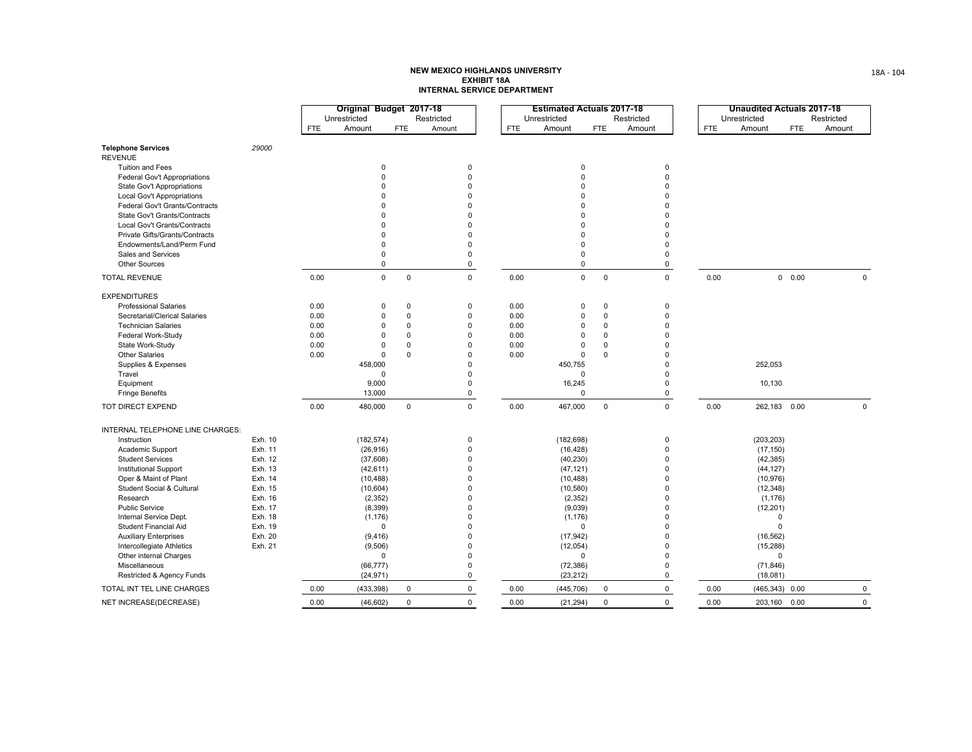|                                  |         |            | Original Budget 2017-18 |             |             |            | <b>Estimated Actuals 2017-18</b> |                |              |            | Unaudited Actuals 2017-18 |                      |             |
|----------------------------------|---------|------------|-------------------------|-------------|-------------|------------|----------------------------------|----------------|--------------|------------|---------------------------|----------------------|-------------|
|                                  |         |            | Unrestricted            |             | Restricted  |            | Unrestricted                     |                | Restricted   |            | Unrestricted              |                      | Restricted  |
|                                  |         | <b>FTE</b> | Amount                  | <b>FTE</b>  | Amount      | <b>FTE</b> | Amount                           | <b>FTE</b>     | Amount       | <b>FTE</b> | Amount                    | <b>FTE</b>           | Amount      |
| <b>Telephone Services</b>        | 29000   |            |                         |             |             |            |                                  |                |              |            |                           |                      |             |
| <b>REVENUE</b>                   |         |            |                         |             |             |            |                                  |                |              |            |                           |                      |             |
| <b>Tuition and Fees</b>          |         |            | $\mathbf 0$             |             | $\mathbf 0$ |            | $\Omega$                         |                | $\mathbf{0}$ |            |                           |                      |             |
| Federal Gov't Appropriations     |         |            | 0                       |             | 0           |            | $\Omega$                         |                | $\mathbf{0}$ |            |                           |                      |             |
| State Gov't Appropriations       |         |            | $\Omega$                |             | $\Omega$    |            | $\Omega$                         |                | $\Omega$     |            |                           |                      |             |
| Local Gov't Appropriations       |         |            | $\Omega$                |             | $\Omega$    |            | $\Omega$                         |                | $\Omega$     |            |                           |                      |             |
| Federal Gov't Grants/Contracts   |         |            | $\Omega$                |             | $\Omega$    |            | $\Omega$                         |                | $\Omega$     |            |                           |                      |             |
| State Gov't Grants/Contracts     |         |            | $\Omega$                |             | $\Omega$    |            | $\Omega$                         |                | $\Omega$     |            |                           |                      |             |
| Local Gov't Grants/Contracts     |         |            | $\Omega$                |             | $\Omega$    |            | $\Omega$                         |                | $\Omega$     |            |                           |                      |             |
| Private Gifts/Grants/Contracts   |         |            | $\Omega$                |             | $\Omega$    |            | $\Omega$                         |                | $\mathbf{0}$ |            |                           |                      |             |
| Endowments/Land/Perm Fund        |         |            | $\Omega$                |             | $\Omega$    |            | $\Omega$                         |                | $\Omega$     |            |                           |                      |             |
| Sales and Services               |         |            | $\Omega$                |             | $\Omega$    |            | $\mathbf 0$                      |                | $\mathbf{0}$ |            |                           |                      |             |
| Other Sources                    |         |            | $\mathbf 0$             |             | $\mathbf 0$ |            | $\mathbf 0$                      |                | $\mathsf 0$  |            |                           |                      |             |
| <b>TOTAL REVENUE</b>             |         | 0.00       | $\mathbf{0}$            | $\mathbf 0$ | $\mathbf 0$ | 0.00       | $\mathbf 0$                      | $\overline{0}$ | $\mathbf 0$  | 0.00       |                           | 0.00<br>$\mathbf{0}$ | $\mathbf 0$ |
| <b>EXPENDITURES</b>              |         |            |                         |             |             |            |                                  |                |              |            |                           |                      |             |
| <b>Professional Salaries</b>     |         | 0.00       | 0                       | $\pmb{0}$   | 0           | 0.00       | $\Omega$                         | $\mathbf 0$    | $\pmb{0}$    |            |                           |                      |             |
| Secretarial/Clerical Salaries    |         | 0.00       | $\mathbf 0$             | $\Omega$    | $\mathbf 0$ | 0.00       | $\mathbf 0$                      | $\mathbf 0$    | $\mathbf 0$  |            |                           |                      |             |
| <b>Technician Salaries</b>       |         | 0.00       | $\Omega$                | $\Omega$    | $\Omega$    | 0.00       | $\Omega$                         | $\Omega$       | $\Omega$     |            |                           |                      |             |
| Federal Work-Study               |         | 0.00       | $\Omega$                | $\Omega$    | $\Omega$    | 0.00       | $\Omega$                         | $\Omega$       | $\Omega$     |            |                           |                      |             |
| State Work-Study                 |         | 0.00       | 0                       | $\mathbf 0$ | $\mathbf 0$ | 0.00       | $\Omega$                         | $\Omega$       | $\Omega$     |            |                           |                      |             |
| <b>Other Salaries</b>            |         | 0.00       | $\Omega$                | $\Omega$    | $\Omega$    | 0.00       | $\Omega$                         | $\Omega$       | $\Omega$     |            |                           |                      |             |
| Supplies & Expenses              |         |            | 458,000                 |             | $\Omega$    |            | 450,755                          |                | $\Omega$     |            | 252,053                   |                      |             |
| Travel                           |         |            | $\mathbf 0$             |             | $\Omega$    |            | $\Omega$                         |                | $\mathbf 0$  |            |                           |                      |             |
| Equipment                        |         |            | 9,000                   |             | $\mathbf 0$ |            | 16,245                           |                | $\mathbf 0$  |            | 10,130                    |                      |             |
| <b>Fringe Benefits</b>           |         |            | 13,000                  |             | 0           |            | $\Omega$                         |                | $\mathbf 0$  |            |                           |                      |             |
| TOT DIRECT EXPEND                |         | 0.00       | 480,000                 | $\mathbf 0$ | $\mathbf 0$ | 0.00       | 467,000                          | $\mathbf 0$    | $\mathbf 0$  | 0.00       | 262,183 0.00              |                      | $\mathbf 0$ |
| INTERNAL TELEPHONE LINE CHARGES: |         |            |                         |             |             |            |                                  |                |              |            |                           |                      |             |
| Instruction                      | Exh. 10 |            | (182, 574)              |             | $\mathbf 0$ |            | (182, 698)                       |                | $\mathbf 0$  |            | (203, 203)                |                      |             |
| Academic Support                 | Exh. 11 |            | (26, 916)               |             | $\mathbf 0$ |            | (16, 428)                        |                | $\mathbf{0}$ |            | (17, 150)                 |                      |             |
| <b>Student Services</b>          | Exh. 12 |            | (37,608)                |             | $\Omega$    |            | (40, 230)                        |                | $\mathbf{0}$ |            | (42, 385)                 |                      |             |
| <b>Institutional Support</b>     | Exh. 13 |            | (42, 611)               |             | $\Omega$    |            | (47, 121)                        |                | $\mathbf{0}$ |            | (44, 127)                 |                      |             |
| Oper & Maint of Plant            | Exh. 14 |            | (10, 488)               |             | $\Omega$    |            | (10, 488)                        |                | $\mathbf{0}$ |            | (10, 976)                 |                      |             |
| Student Social & Cultural        | Exh. 15 |            | (10, 604)               |             | $\Omega$    |            | (10, 580)                        |                | $\Omega$     |            | (12, 348)                 |                      |             |
| Research                         | Exh. 16 |            | (2, 352)                |             | $\Omega$    |            | (2, 352)                         |                | $\Omega$     |            | (1, 176)                  |                      |             |
| <b>Public Service</b>            | Exh. 17 |            | (8, 399)                |             | $\Omega$    |            | (9,039)                          |                | $\Omega$     |            | (12, 201)                 |                      |             |
| Internal Service Dept.           | Exh. 18 |            | (1, 176)                |             | $\Omega$    |            | (1, 176)                         |                | $\mathbf{0}$ |            | 0                         |                      |             |
| Student Financial Aid            | Exh. 19 |            | 0                       |             | $\Omega$    |            | $\Omega$                         |                | $\Omega$     |            | 0                         |                      |             |
| <b>Auxiliary Enterprises</b>     | Exh. 20 |            | (9, 416)                |             | $\Omega$    |            | (17, 942)                        |                | $\mathbf 0$  |            | (16, 562)                 |                      |             |
| Intercollegiate Athletics        | Exh. 21 |            | (9, 506)                |             | $\mathbf 0$ |            | (12, 054)                        |                | $\mathbf 0$  |            | (15, 288)                 |                      |             |
| Other internal Charges           |         |            | $\mathbf 0$             |             | $\mathbf 0$ |            | $\Omega$                         |                | $\mathbf{0}$ |            | $\mathbf 0$               |                      |             |
| Miscellaneous                    |         |            | (66, 777)               |             | $\Omega$    |            | (72, 386)                        |                | $\mathbf{0}$ |            | (71, 846)                 |                      |             |
| Restricted & Agency Funds        |         |            | (24, 971)               |             | $\mathbf 0$ |            | (23, 212)                        |                | $\mathbf 0$  |            | (18,081)                  |                      |             |
| TOTAL INT TEL LINE CHARGES       |         | 0.00       | (433, 398)              | $\mathbf 0$ | 0           | 0.00       | (445, 706)                       | $\mathbf 0$    | $\mathsf 0$  | 0.00       | (465, 343)                | 0.00                 | $\mathbf 0$ |
| NET INCREASE(DECREASE)           |         | 0.00       | (46, 602)               | $\mathbf 0$ | $\mathbf 0$ | 0.00       | (21, 294)                        | $\mathbf 0$    | $\mathbf 0$  | 0.00       | 203,160                   | 0.00                 | $\mathbf 0$ |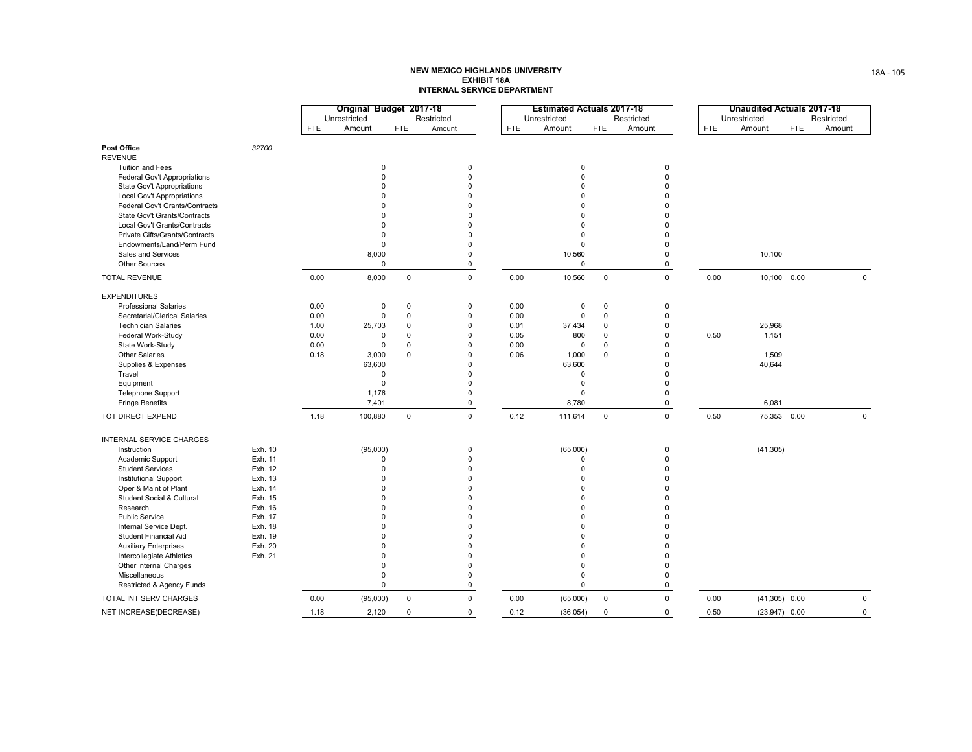|                                |         |            | Original Budget 2017-18 |              |             |            |      | <b>Estimated Actuals 2017-18</b> |             |              |            | <b>Unaudited Actuals 2017-18</b> |            |             |
|--------------------------------|---------|------------|-------------------------|--------------|-------------|------------|------|----------------------------------|-------------|--------------|------------|----------------------------------|------------|-------------|
|                                |         |            | Unrestricted            |              | Restricted  |            |      | Unrestricted                     |             | Restricted   |            | Unrestricted                     |            | Restricted  |
|                                |         | <b>FTE</b> | Amount                  | <b>FTE</b>   | Amount      | <b>FTE</b> |      | Amount                           | <b>FTE</b>  | Amount       | <b>FTE</b> | Amount                           | <b>FTE</b> | Amount      |
| Post Office                    | 32700   |            |                         |              |             |            |      |                                  |             |              |            |                                  |            |             |
| <b>REVENUE</b>                 |         |            |                         |              |             |            |      |                                  |             |              |            |                                  |            |             |
| Tuition and Fees               |         |            | $\mathbf 0$             |              | $\mathbf 0$ |            |      | $\pmb{0}$                        |             | $\mathbf 0$  |            |                                  |            |             |
| Federal Gov't Appropriations   |         |            | 0                       |              | $\mathbf 0$ |            |      | $\mathbf 0$                      |             | $\mathbf 0$  |            |                                  |            |             |
| State Gov't Appropriations     |         |            | $\Omega$                |              | $\Omega$    |            |      | $\Omega$                         |             | $\Omega$     |            |                                  |            |             |
| Local Gov't Appropriations     |         |            | $\Omega$                |              | $\mathbf 0$ |            |      | $\Omega$                         |             | $\Omega$     |            |                                  |            |             |
| Federal Gov't Grants/Contracts |         |            | $\Omega$                |              | $\Omega$    |            |      | $\Omega$                         |             | $\Omega$     |            |                                  |            |             |
| State Gov't Grants/Contracts   |         |            | $\Omega$                |              | $\Omega$    |            |      | $\Omega$                         |             | $\Omega$     |            |                                  |            |             |
| Local Gov't Grants/Contracts   |         |            | $\Omega$                |              | $\Omega$    |            |      | $\Omega$                         |             | $\Omega$     |            |                                  |            |             |
| Private Gifts/Grants/Contracts |         |            | $\mathbf 0$             |              | $\Omega$    |            |      | $\mathbf 0$                      |             | $\Omega$     |            |                                  |            |             |
| Endowments/Land/Perm Fund      |         |            | 0                       |              | $\mathbf 0$ |            |      | $\mathsf 0$                      |             | $\mathbf 0$  |            |                                  |            |             |
| Sales and Services             |         |            | 8,000                   |              | $\mathbf 0$ |            |      | 10,560                           |             | 0            |            | 10,100                           |            |             |
| Other Sources                  |         |            | $\mathbf 0$             |              | 0           |            |      | $\mathsf 0$                      |             | 0            |            |                                  |            |             |
| <b>TOTAL REVENUE</b>           |         | 0.00       | 8,000                   | $\mathsf{O}$ | $\mathbf 0$ |            | 0.00 | 10,560                           | $\mathbf 0$ | $\mathbf 0$  | 0.00       | 10,100 0.00                      |            | $\mathbf 0$ |
| <b>EXPENDITURES</b>            |         |            |                         |              |             |            |      |                                  |             |              |            |                                  |            |             |
| <b>Professional Salaries</b>   |         | 0.00       | $\mathbf 0$             | $\mathbf 0$  | $\mathbf 0$ |            | 0.00 | $\mathbf 0$                      | $\mathbf 0$ | $\mathbf 0$  |            |                                  |            |             |
| Secretarial/Clerical Salaries  |         | 0.00       | $\mathsf 0$             | $\mathbf 0$  | 0           |            | 0.00 | $\pmb{0}$                        | $\mathbf 0$ | $\mathbf 0$  |            |                                  |            |             |
| <b>Technician Salaries</b>     |         | 1.00       | 25,703                  | $\Omega$     | $\mathbf 0$ |            | 0.01 | 37,434                           | $\Omega$    | $\Omega$     |            | 25,968                           |            |             |
| Federal Work-Study             |         | 0.00       | 0                       | $\Omega$     | $\Omega$    |            | 0.05 | 800                              | $\Omega$    | $\Omega$     | 0.50       | 1,151                            |            |             |
| State Work-Study               |         | 0.00       | $\Omega$                | $\Omega$     | $\Omega$    |            | 0.00 | $\Omega$                         | $\Omega$    | $\Omega$     |            |                                  |            |             |
| <b>Other Salaries</b>          |         | 0.18       | 3,000                   | $\Omega$     | $\mathbf 0$ |            | 0.06 | 1,000                            | $\Omega$    | $\Omega$     |            | 1,509                            |            |             |
| Supplies & Expenses            |         |            | 63,600                  |              | $\mathbf 0$ |            |      | 63,600                           |             | $\Omega$     |            | 40,644                           |            |             |
| Travel                         |         |            | $\mathbf 0$             |              | $\mathbf 0$ |            |      | $\mathsf 0$                      |             | $\Omega$     |            |                                  |            |             |
| Equipment                      |         |            | $\mathbf 0$             |              | 0           |            |      | $\mathsf 0$                      |             | $\Omega$     |            |                                  |            |             |
| Telephone Support              |         |            | 1,176                   |              | $\mathbf 0$ |            |      | $\Omega$                         |             | $\mathbf{0}$ |            |                                  |            |             |
| <b>Fringe Benefits</b>         |         |            | 7,401                   |              | 0           |            |      | 8,780                            |             | $\mathbf 0$  |            | 6,081                            |            |             |
| TOT DIRECT EXPEND              |         | 1.18       | 100,880                 | $\mathsf 0$  | $\mathsf 0$ |            | 0.12 | 111,614                          | $\mathsf 0$ | $\mathsf 0$  | 0.50       | 75,353 0.00                      |            | $\mathbf 0$ |
| INTERNAL SERVICE CHARGES       |         |            |                         |              |             |            |      |                                  |             |              |            |                                  |            |             |
| Instruction                    | Exh. 10 |            | (95,000)                |              | $\mathbf 0$ |            |      | (65,000)                         |             | $\mathsf 0$  |            | (41, 305)                        |            |             |
| Academic Support               | Exh. 11 |            | 0                       |              | $\mathbf 0$ |            |      | $\mathbf 0$                      |             | $\Omega$     |            |                                  |            |             |
| <b>Student Services</b>        | Exh. 12 |            | 0                       |              | $\Omega$    |            |      | $\Omega$                         |             | $\Omega$     |            |                                  |            |             |
| <b>Institutional Support</b>   | Exh. 13 |            | $\Omega$                |              | $\mathbf 0$ |            |      | $\Omega$                         |             | $\Omega$     |            |                                  |            |             |
| Oper & Maint of Plant          | Exh. 14 |            | $\Omega$                |              | $\Omega$    |            |      | $\Omega$                         |             | O            |            |                                  |            |             |
| Student Social & Cultural      | Exh. 15 |            | $\Omega$                |              | $\Omega$    |            |      | $\Omega$                         |             | $\Omega$     |            |                                  |            |             |
| Research                       | Exh. 16 |            | $\Omega$                |              | $\Omega$    |            |      | $\Omega$                         |             | $\Omega$     |            |                                  |            |             |
| <b>Public Service</b>          | Exh. 17 |            | $\Omega$                |              | $\Omega$    |            |      | $\Omega$                         |             | $\Omega$     |            |                                  |            |             |
| Internal Service Dept.         | Exh. 18 |            | $\Omega$                |              | $\mathbf 0$ |            |      | $\Omega$                         |             | $\Omega$     |            |                                  |            |             |
| Student Financial Aid          | Exh. 19 |            | $\Omega$                |              | $\Omega$    |            |      | $\Omega$                         |             | $\Omega$     |            |                                  |            |             |
| <b>Auxiliary Enterprises</b>   | Exh. 20 |            | $\Omega$                |              | $\Omega$    |            |      | $\Omega$                         |             | $\Omega$     |            |                                  |            |             |
| Intercollegiate Athletics      | Exh. 21 |            | $\mathbf 0$             |              | $\Omega$    |            |      | $\mathbf 0$                      |             | $\Omega$     |            |                                  |            |             |
| Other internal Charges         |         |            | 0                       |              | $\mathbf 0$ |            |      | $\mathsf 0$                      |             | $\mathbf 0$  |            |                                  |            |             |
| Miscellaneous                  |         |            | 0                       |              | $\mathbf 0$ |            |      | $\mathsf 0$                      |             | $\mathbf 0$  |            |                                  |            |             |
| Restricted & Agency Funds      |         |            | $\mathbf 0$             |              | 0           |            |      | $\mathbf 0$                      |             | 0            |            |                                  |            |             |
| TOTAL INT SERV CHARGES         |         | 0.00       | (95,000)                | $\mathbf 0$  | 0           |            | 0.00 | (65,000)                         | $\mathsf 0$ | $\mathsf 0$  | 0.00       | $(41,305)$ 0.00                  |            | $\mathbf 0$ |
| NET INCREASE(DECREASE)         |         | 1.18       | 2,120                   | $\mathbf 0$  | $\mathbf 0$ |            | 0.12 | (36, 054)                        | $\mathsf 0$ | $\mathbf 0$  | 0.50       | $(23,947)$ 0.00                  |            | $\mathbf 0$ |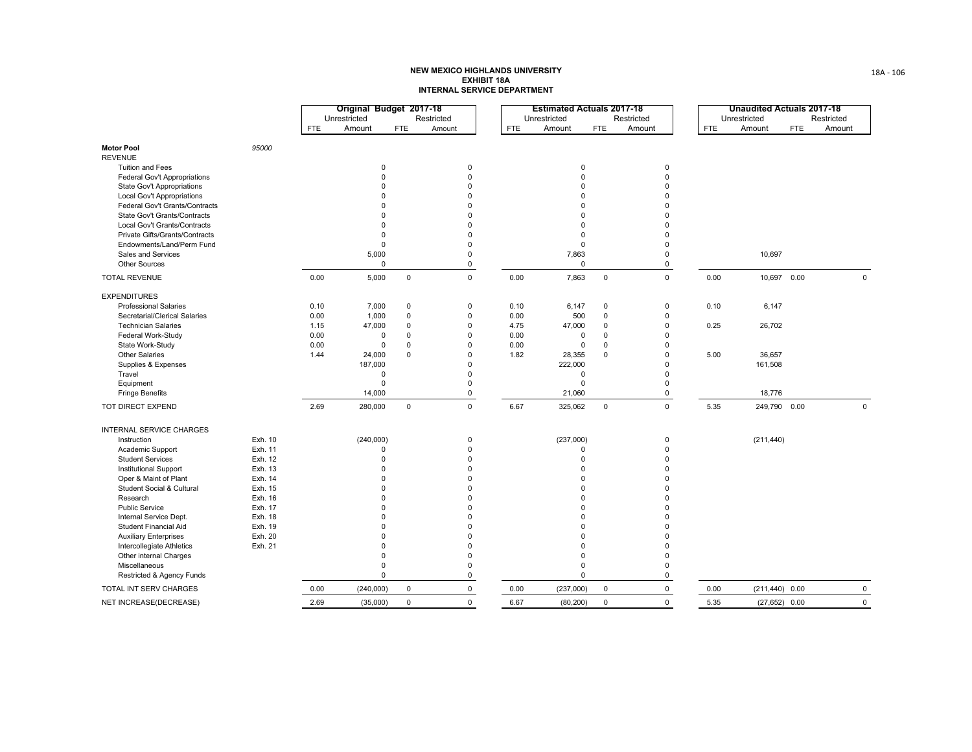|                                |         |            | Original Budget 2017-18 |             |             |      | <b>Estimated Actuals 2017-18</b> |             |             |            | <b>Unaudited Actuals 2017-18</b> |            |              |
|--------------------------------|---------|------------|-------------------------|-------------|-------------|------|----------------------------------|-------------|-------------|------------|----------------------------------|------------|--------------|
|                                |         |            | Unrestricted            |             | Restricted  |      | Unrestricted                     |             | Restricted  |            | Unrestricted                     |            | Restricted   |
|                                |         | <b>FTE</b> | Amount                  | <b>FTE</b>  | Amount      | FTE  | Amount                           | <b>FTE</b>  | Amount      | <b>FTE</b> | Amount                           | <b>FTE</b> | Amount       |
| <b>Motor Pool</b>              | 95000   |            |                         |             |             |      |                                  |             |             |            |                                  |            |              |
| <b>REVENUE</b>                 |         |            |                         |             |             |      |                                  |             |             |            |                                  |            |              |
| Tuition and Fees               |         |            | 0                       |             | $\mathbf 0$ |      | $\mathbf 0$                      |             | $\mathbf 0$ |            |                                  |            |              |
| Federal Gov't Appropriations   |         |            | $\Omega$                |             | $\mathbf 0$ |      | $\mathbf 0$                      |             | $\Omega$    |            |                                  |            |              |
| State Gov't Appropriations     |         |            | U                       |             | $\mathbf 0$ |      | $\Omega$                         |             | $\Omega$    |            |                                  |            |              |
| Local Gov't Appropriations     |         |            |                         |             | $\Omega$    |      | $\Omega$                         |             | $\Omega$    |            |                                  |            |              |
| Federal Gov't Grants/Contracts |         |            |                         |             | $\Omega$    |      | $\Omega$                         |             | $\Omega$    |            |                                  |            |              |
| State Gov't Grants/Contracts   |         |            |                         |             | $\Omega$    |      | $\Omega$                         |             | $\Omega$    |            |                                  |            |              |
| Local Gov't Grants/Contracts   |         |            | U                       |             | $\Omega$    |      | $\mathbf 0$                      |             | $\Omega$    |            |                                  |            |              |
| Private Gifts/Grants/Contracts |         |            | $\Omega$                |             | $\Omega$    |      | $\mathbf 0$                      |             | $\Omega$    |            |                                  |            |              |
| Endowments/Land/Perm Fund      |         |            | $\Omega$                |             | $\Omega$    |      | $\mathbf 0$                      |             | $\Omega$    |            |                                  |            |              |
| Sales and Services             |         |            | 5,000                   |             | $\mathbf 0$ |      | 7,863                            |             | $\mathbf 0$ |            | 10,697                           |            |              |
| Other Sources                  |         |            | 0                       |             | $\mathsf 0$ |      | $\mathbf 0$                      |             | $\mathbf 0$ |            |                                  |            |              |
| <b>TOTAL REVENUE</b>           |         | 0.00       | 5,000                   | $\mathsf 0$ | $\mathbf 0$ | 0.00 | 7,863                            | $\mathbf 0$ | $\mathbf 0$ | 0.00       | 10,697 0.00                      |            | $\mathbf 0$  |
| <b>EXPENDITURES</b>            |         |            |                         |             |             |      |                                  |             |             |            |                                  |            |              |
| <b>Professional Salaries</b>   |         | 0.10       | 7,000                   | $\mathsf 0$ | $\mathbf 0$ | 0.10 | 6,147                            | $\mathbf 0$ | $\mathbf 0$ | 0.10       | 6,147                            |            |              |
| Secretarial/Clerical Salaries  |         | 0.00       | 1,000                   | $\mathbf 0$ | $\mathbf 0$ | 0.00 | 500                              | $\mathbf 0$ | 0           |            |                                  |            |              |
| <b>Technician Salaries</b>     |         | 1.15       | 47,000                  | $\mathbf 0$ | $\Omega$    | 4.75 | 47,000                           | $\Omega$    | $\mathbf 0$ | 0.25       | 26,702                           |            |              |
| Federal Work-Study             |         | 0.00       | $\Omega$                | $\mathbf 0$ | $\Omega$    | 0.00 | 0                                | $\Omega$    | $\Omega$    |            |                                  |            |              |
| State Work-Study               |         | 0.00       | $\Omega$                | $\mathbf 0$ | $\Omega$    | 0.00 | $\mathbf 0$                      | $\Omega$    | $\Omega$    |            |                                  |            |              |
| <b>Other Salaries</b>          |         | 1.44       | 24,000                  | $\mathbf 0$ | $\Omega$    | 1.82 | 28,355                           | $\Omega$    | $\Omega$    | 5.00       | 36,657                           |            |              |
| Supplies & Expenses            |         |            | 187,000                 |             | $\Omega$    |      | 222,000                          |             | $\Omega$    |            | 161,508                          |            |              |
| Travel                         |         |            | 0                       |             | $\Omega$    |      | $\mathbf 0$                      |             | $\Omega$    |            |                                  |            |              |
| Equipment                      |         |            | 0                       |             | $\mathbf 0$ |      | $\mathbf 0$                      |             | $\Omega$    |            |                                  |            |              |
| <b>Fringe Benefits</b>         |         |            | 14,000                  |             | $\mathbf 0$ |      | 21,060                           |             | 0           |            | 18,776                           |            |              |
| TOT DIRECT EXPEND              |         | 2.69       | 280,000                 | $\mathbf 0$ | $\Omega$    | 6.67 | 325,062                          | $\mathbf 0$ | $\mathbf 0$ | 5.35       | 249,790 0.00                     |            | $\Omega$     |
| INTERNAL SERVICE CHARGES       |         |            |                         |             |             |      |                                  |             |             |            |                                  |            |              |
| Instruction                    | Exh. 10 |            | (240,000)               |             | $\mathsf 0$ |      | (237,000)                        |             | $\mathsf 0$ |            | (211, 440)                       |            |              |
| Academic Support               | Exh. 11 |            | $\Omega$                |             | $\mathbf 0$ |      | $\mathbf 0$                      |             | $\mathbf 0$ |            |                                  |            |              |
| <b>Student Services</b>        | Exh. 12 |            | $\Omega$                |             | $\Omega$    |      | $\mathbf 0$                      |             | $\Omega$    |            |                                  |            |              |
| <b>Institutional Support</b>   | Exh. 13 |            | $\Omega$                |             | $\Omega$    |      | $\Omega$                         |             | $\Omega$    |            |                                  |            |              |
| Oper & Maint of Plant          | Exh. 14 |            | $\Omega$                |             | $\Omega$    |      | $\Omega$                         |             | $\Omega$    |            |                                  |            |              |
| Student Social & Cultural      | Exh. 15 |            | O                       |             | $\Omega$    |      | $\Omega$                         |             | $\Omega$    |            |                                  |            |              |
| Research                       | Exh. 16 |            | O                       |             | $\mathbf 0$ |      | $\Omega$                         |             | $\Omega$    |            |                                  |            |              |
| <b>Public Service</b>          | Exh. 17 |            | U                       |             | $\Omega$    |      | $\Omega$                         |             | $\Omega$    |            |                                  |            |              |
| Internal Service Dept.         | Exh. 18 |            | $\Omega$                |             | $\Omega$    |      | $\Omega$                         |             | $\Omega$    |            |                                  |            |              |
| Student Financial Aid          | Exh. 19 |            | $\Omega$                |             | $\Omega$    |      | $\Omega$                         |             | $\Omega$    |            |                                  |            |              |
| <b>Auxiliary Enterprises</b>   | Exh. 20 |            | $\Omega$                |             | $\Omega$    |      | $\Omega$                         |             | $\Omega$    |            |                                  |            |              |
| Intercollegiate Athletics      | Exh. 21 |            | $\Omega$                |             | $\Omega$    |      | $\Omega$                         |             | $\Omega$    |            |                                  |            |              |
| Other internal Charges         |         |            | O                       |             | $\Omega$    |      | $\Omega$                         |             | $\Omega$    |            |                                  |            |              |
| Miscellaneous                  |         |            | $\Omega$                |             | $\mathbf 0$ |      | $\mathbf 0$                      |             | $\mathbf 0$ |            |                                  |            |              |
| Restricted & Agency Funds      |         |            | 0                       |             | $\mathsf 0$ |      | $\mathbf 0$                      |             | 0           |            |                                  |            |              |
| TOTAL INT SERV CHARGES         |         | 0.00       | (240,000)               | $\mathsf 0$ | $\mathsf 0$ | 0.00 | (237,000)                        | $\mathsf 0$ | $\mathsf 0$ | 0.00       | $(211, 440)$ 0.00                |            | $\mathbf 0$  |
| NET INCREASE(DECREASE)         |         | 2.69       | (35,000)                | $\mathbf 0$ | $\Omega$    | 6.67 | (80, 200)                        | $\mathbf 0$ | $\mathbf 0$ | 5.35       | $(27,652)$ 0.00                  |            | $\mathbf{0}$ |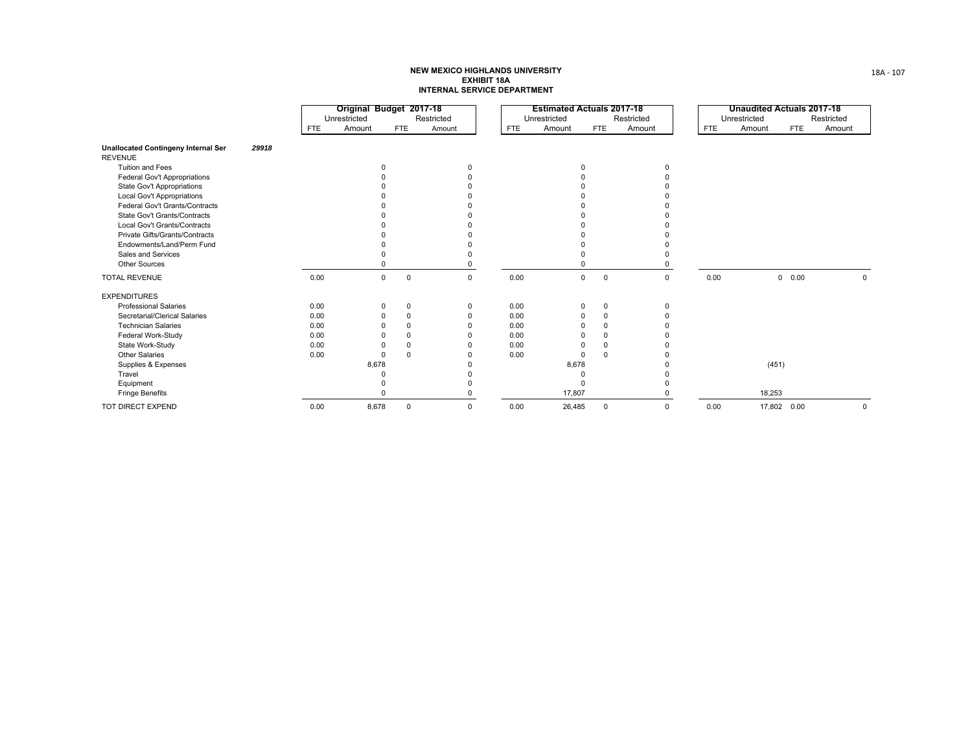|                                            |       |            | Original Budget 2017-18 |                            |             |            | <b>Estimated Actuals 2017-18</b> |             |              |             |            | <b>Unaudited Actuals 2017-18</b> |             |             |
|--------------------------------------------|-------|------------|-------------------------|----------------------------|-------------|------------|----------------------------------|-------------|--------------|-------------|------------|----------------------------------|-------------|-------------|
|                                            |       |            | Unrestricted            |                            | Restricted  |            | Unrestricted                     |             |              | Restricted  |            | Unrestricted                     |             | Restricted  |
|                                            |       | <b>FTE</b> | Amount                  | <b>FTE</b>                 | Amount      | <b>FTE</b> | Amount                           |             | <b>FTE</b>   | Amount      | <b>FTE</b> | Amount                           | <b>FTE</b>  | Amount      |
| <b>Unallocated Contingeny Internal Ser</b> | 29918 |            |                         |                            |             |            |                                  |             |              |             |            |                                  |             |             |
| <b>REVENUE</b>                             |       |            |                         |                            |             |            |                                  |             |              |             |            |                                  |             |             |
| Tuition and Fees                           |       |            |                         |                            | n           |            |                                  | $\Omega$    |              |             |            |                                  |             |             |
| Federal Gov't Appropriations               |       |            |                         |                            |             |            |                                  |             |              |             |            |                                  |             |             |
| State Gov't Appropriations                 |       |            |                         |                            |             |            |                                  |             |              |             |            |                                  |             |             |
| <b>Local Gov't Appropriations</b>          |       |            |                         |                            |             |            |                                  |             |              |             |            |                                  |             |             |
| Federal Gov't Grants/Contracts             |       |            |                         |                            |             |            |                                  |             |              |             |            |                                  |             |             |
| State Gov't Grants/Contracts               |       |            |                         |                            |             |            |                                  |             |              |             |            |                                  |             |             |
| Local Gov't Grants/Contracts               |       |            |                         |                            |             |            |                                  |             |              |             |            |                                  |             |             |
| Private Gifts/Grants/Contracts             |       |            |                         |                            |             |            |                                  |             |              |             |            |                                  |             |             |
| Endowments/Land/Perm Fund                  |       |            |                         |                            |             |            |                                  |             |              |             |            |                                  |             |             |
| Sales and Services                         |       |            |                         |                            |             |            |                                  |             |              |             |            |                                  |             |             |
| Other Sources                              |       |            |                         |                            |             |            |                                  |             |              |             |            |                                  |             |             |
| <b>TOTAL REVENUE</b>                       |       | 0.00       |                         | $\mathbf 0$<br>$\mathbf 0$ | $\mathbf 0$ | 0.00       |                                  | $\mathbf 0$ | $^{\circ}$   | $\mathbf 0$ | 0.00       |                                  | 0.00<br>0   | $\Omega$    |
| <b>EXPENDITURES</b>                        |       |            |                         |                            |             |            |                                  |             |              |             |            |                                  |             |             |
| <b>Professional Salaries</b>               |       | 0.00       |                         | $\mathbf 0$<br>$\Omega$    | $\Omega$    | 0.00       |                                  | $\Omega$    | $\mathbf 0$  | $\Omega$    |            |                                  |             |             |
| Secretarial/Clerical Salaries              |       | 0.00       |                         | $\Omega$<br>O              |             | 0.00       |                                  | $\Omega$    | $\Omega$     |             |            |                                  |             |             |
| <b>Technician Salaries</b>                 |       | 0.00       |                         | $\Omega$                   |             | 0.00       |                                  |             | $\Omega$     |             |            |                                  |             |             |
| Federal Work-Study                         |       | 0.00       |                         | $\Omega$                   |             | 0.00       |                                  | n           | $\Omega$     |             |            |                                  |             |             |
| State Work-Study                           |       | 0.00       |                         | $\Omega$                   |             | 0.00       |                                  | $\Omega$    | <sup>0</sup> |             |            |                                  |             |             |
| <b>Other Salaries</b>                      |       | 0.00       |                         | $\Omega$<br>$\Omega$       |             | 0.00       |                                  | $\Omega$    | $\Omega$     |             |            |                                  |             |             |
| Supplies & Expenses                        |       |            | 8,678                   |                            |             |            |                                  | 8,678       |              |             |            | (451)                            |             |             |
| Travel                                     |       |            |                         |                            |             |            |                                  | $\Omega$    |              |             |            |                                  |             |             |
| Equipment                                  |       |            |                         |                            |             |            |                                  | $\Omega$    |              |             |            |                                  |             |             |
| <b>Fringe Benefits</b>                     |       |            |                         |                            |             |            |                                  | 17,807      |              |             |            | 18,253                           |             |             |
| TOT DIRECT EXPEND                          |       | 0.00       | 8,678                   | $\mathbf 0$                | $\mathbf 0$ | 0.00       |                                  | 26,485      | $\mathbf 0$  | $\Omega$    | 0.00       |                                  | 17,802 0.00 | $\mathbf 0$ |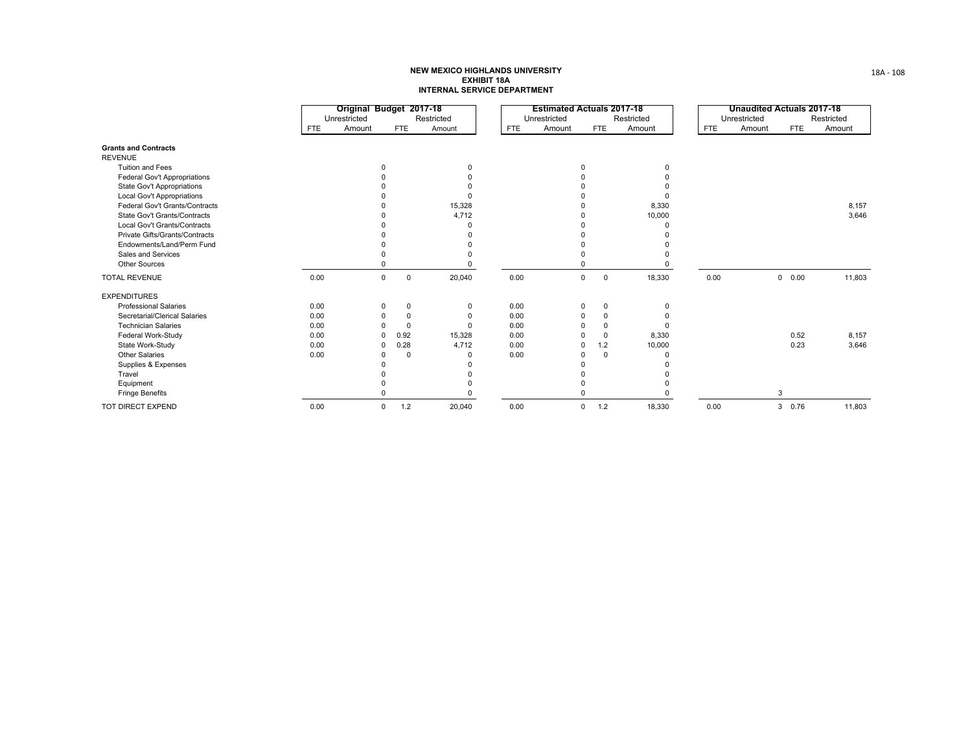|                                   |            | Original Budget 2017-18 |             |            |            | <b>Estimated Actuals 2017-18</b> |             |            |            | <b>Unaudited Actuals 2017-18</b> |               |            |
|-----------------------------------|------------|-------------------------|-------------|------------|------------|----------------------------------|-------------|------------|------------|----------------------------------|---------------|------------|
|                                   |            | Unrestricted            |             | Restricted |            | Unrestricted                     |             | Restricted |            | Unrestricted                     |               | Restricted |
|                                   | <b>FTE</b> | Amount                  | <b>FTE</b>  | Amount     | <b>FTE</b> | Amount                           | <b>FTE</b>  | Amount     | <b>FTE</b> | Amount                           | FTE           | Amount     |
| <b>Grants and Contracts</b>       |            |                         |             |            |            |                                  |             |            |            |                                  |               |            |
| <b>REVENUE</b>                    |            |                         |             |            |            |                                  |             |            |            |                                  |               |            |
| <b>Tuition and Fees</b>           |            | ŋ                       |             | $\Omega$   |            | $\Omega$                         |             | $\Omega$   |            |                                  |               |            |
| Federal Gov't Appropriations      |            |                         |             |            |            |                                  |             |            |            |                                  |               |            |
| State Gov't Appropriations        |            |                         |             |            |            |                                  |             |            |            |                                  |               |            |
| <b>Local Gov't Appropriations</b> |            |                         |             |            |            |                                  |             |            |            |                                  |               |            |
| Federal Gov't Grants/Contracts    |            |                         |             | 15,328     |            |                                  |             | 8,330      |            |                                  |               | 8,157      |
| State Gov't Grants/Contracts      |            |                         |             | 4,712      |            |                                  |             | 10,000     |            |                                  |               | 3,646      |
| Local Gov't Grants/Contracts      |            |                         |             |            |            |                                  |             |            |            |                                  |               |            |
| Private Gifts/Grants/Contracts    |            |                         |             |            |            |                                  |             |            |            |                                  |               |            |
| Endowments/Land/Perm Fund         |            |                         |             |            |            |                                  |             |            |            |                                  |               |            |
| Sales and Services                |            |                         |             |            |            |                                  |             |            |            |                                  |               |            |
| <b>Other Sources</b>              |            |                         |             |            |            |                                  |             |            |            |                                  |               |            |
| <b>TOTAL REVENUE</b>              | 0.00       | $\mathbf 0$             | $\mathbf 0$ | 20,040     | 0.00       | $\mathbf 0$                      | $\mathbf 0$ | 18,330     | 0.00       |                                  | $0\quad 0.00$ | 11,803     |
| <b>EXPENDITURES</b>               |            |                         |             |            |            |                                  |             |            |            |                                  |               |            |
| <b>Professional Salaries</b>      | 0.00       | 0                       | $\Omega$    | ŋ          | 0.00       | $\mathbf 0$                      | $\Omega$    | $\Omega$   |            |                                  |               |            |
| Secretarial/Clerical Salaries     | 0.00       | 0                       | $\Omega$    |            | 0.00       | $\Omega$                         |             |            |            |                                  |               |            |
| <b>Technician Salaries</b>        | 0.00       |                         | $\Omega$    | n          | 0.00       | $\Omega$                         |             |            |            |                                  |               |            |
| Federal Work-Study                | 0.00       | $\Omega$                | 0.92        | 15,328     | 0.00       |                                  | $\Omega$    | 8,330      |            |                                  | 0.52          | 8,157      |
| State Work-Study                  | 0.00       | $\Omega$                | 0.28        | 4,712      | 0.00       | $\Omega$                         | 1.2         | 10,000     |            |                                  | 0.23          | 3,646      |
| <b>Other Salaries</b>             | 0.00       |                         | $\Omega$    |            | 0.00       | 0                                | $\Omega$    |            |            |                                  |               |            |
| Supplies & Expenses               |            |                         |             |            |            |                                  |             |            |            |                                  |               |            |
| Travel                            |            |                         |             |            |            |                                  |             |            |            |                                  |               |            |
| Equipment                         |            |                         |             |            |            |                                  |             |            |            |                                  |               |            |
| <b>Fringe Benefits</b>            |            |                         |             |            |            |                                  |             |            |            |                                  | 3             |            |
| TOT DIRECT EXPEND                 | 0.00       | 0                       | 1.2         | 20,040     | 0.00       | $\mathbf 0$                      | 1.2         | 18,330     | 0.00       |                                  | 3 0.76        | 11,803     |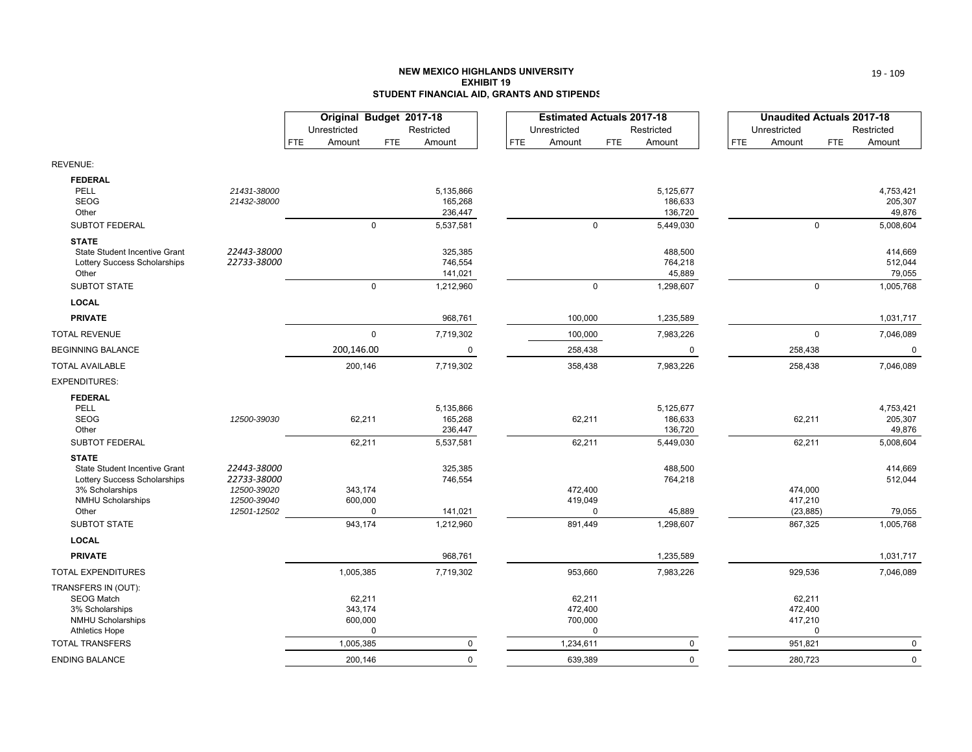#### **NEW MEXICO HIGHLANDS UNIVERSITYEXHIBIT 19STUDENT FINANCIAL AID, GRANTS AND STIPENDS**

|                                                               |                            | Original Budget 2017-18<br>Unrestricted |             | Restricted         |            | <b>Estimated Actuals 2017-18</b><br>Unrestricted |             | Restricted         |     | <b>Unaudited Actuals 2017-18</b><br>Unrestricted |             | Restricted         |
|---------------------------------------------------------------|----------------------------|-----------------------------------------|-------------|--------------------|------------|--------------------------------------------------|-------------|--------------------|-----|--------------------------------------------------|-------------|--------------------|
|                                                               |                            | <b>FTE</b><br>Amount                    | <b>FTE</b>  | Amount             | <b>FTE</b> | Amount                                           | <b>FTE</b>  | Amount             | FTE | Amount                                           | <b>FTE</b>  | Amount             |
| REVENUE:                                                      |                            |                                         |             |                    |            |                                                  |             |                    |     |                                                  |             |                    |
| <b>FEDERAL</b>                                                |                            |                                         |             |                    |            |                                                  |             |                    |     |                                                  |             |                    |
| PELL                                                          | 21431-38000                |                                         |             | 5,135,866          |            |                                                  |             | 5,125,677          |     |                                                  |             | 4,753,421          |
| <b>SEOG</b>                                                   | 21432-38000                |                                         |             | 165,268            |            |                                                  |             | 186,633            |     |                                                  |             | 205,307            |
| Other                                                         |                            |                                         | $\Omega$    | 236,447            |            |                                                  |             | 136,720            |     |                                                  |             | 49,876             |
| SUBTOT FEDERAL                                                |                            |                                         |             | 5,537,581          |            |                                                  | $\Omega$    | 5,449,030          |     |                                                  | $\Omega$    | 5,008,604          |
| <b>STATE</b>                                                  |                            |                                         |             |                    |            |                                                  |             |                    |     |                                                  |             |                    |
| State Student Incentive Grant<br>Lottery Success Scholarships | 22443-38000<br>22733-38000 |                                         |             | 325,385<br>746,554 |            |                                                  |             | 488,500<br>764,218 |     |                                                  |             | 414,669<br>512,044 |
| Other                                                         |                            |                                         |             | 141,021            |            |                                                  |             | 45,889             |     |                                                  |             | 79,055             |
| <b>SUBTOT STATE</b>                                           |                            |                                         | $\mathbf 0$ | 1,212,960          |            |                                                  | $\mathbf 0$ | 1,298,607          |     |                                                  | $\mathbf 0$ | 1,005,768          |
| <b>LOCAL</b>                                                  |                            |                                         |             |                    |            |                                                  |             |                    |     |                                                  |             |                    |
| <b>PRIVATE</b>                                                |                            |                                         |             | 968,761            |            | 100,000                                          |             | 1,235,589          |     |                                                  |             | 1,031,717          |
| <b>TOTAL REVENUE</b>                                          |                            | $\pmb{0}$                               |             | 7,719,302          |            | 100,000                                          |             | 7,983,226          |     |                                                  | $\mathbf 0$ | 7,046,089          |
| <b>BEGINNING BALANCE</b>                                      |                            | 200,146.00                              |             | 0                  |            | 258,438                                          |             | 0                  |     | 258,438                                          |             | 0                  |
| TOTAL AVAILABLE                                               |                            | 200,146                                 |             | 7,719,302          |            | 358,438                                          |             | 7,983,226          |     | 258,438                                          |             | 7,046,089          |
| EXPENDITURES:                                                 |                            |                                         |             |                    |            |                                                  |             |                    |     |                                                  |             |                    |
| <b>FEDERAL</b>                                                |                            |                                         |             |                    |            |                                                  |             |                    |     |                                                  |             |                    |
| PELL                                                          |                            |                                         |             | 5,135,866          |            |                                                  |             | 5,125,677          |     |                                                  |             | 4,753,421          |
| <b>SEOG</b>                                                   | 12500-39030                | 62,211                                  |             | 165,268            |            | 62,211                                           |             | 186,633            |     | 62,211                                           |             | 205,307            |
| Other                                                         |                            |                                         |             | 236,447            |            |                                                  |             | 136,720            |     |                                                  |             | 49,876             |
| SUBTOT FEDERAL                                                |                            | 62,211                                  |             | 5,537,581          |            | 62,211                                           |             | 5,449,030          |     | 62,211                                           |             | 5,008,604          |
| <b>STATE</b>                                                  |                            |                                         |             |                    |            |                                                  |             |                    |     |                                                  |             |                    |
| State Student Incentive Grant<br>Lottery Success Scholarships | 22443-38000<br>22733-38000 |                                         |             | 325,385<br>746,554 |            |                                                  |             | 488,500<br>764,218 |     |                                                  |             | 414,669<br>512,044 |
| 3% Scholarships                                               | 12500-39020                | 343,174                                 |             |                    |            | 472,400                                          |             |                    |     | 474,000                                          |             |                    |
| <b>NMHU Scholarships</b>                                      | 12500-39040                | 600,000                                 |             |                    |            | 419,049                                          |             |                    |     | 417,210                                          |             |                    |
| Other                                                         | 12501-12502                | 0                                       |             | 141,021            |            |                                                  | $\Omega$    | 45,889             |     | (23, 885)                                        |             | 79,055             |
| <b>SUBTOT STATE</b>                                           |                            | 943,174                                 |             | 1,212,960          |            | 891,449                                          |             | 1,298,607          |     | 867,325                                          |             | 1,005,768          |
| <b>LOCAL</b>                                                  |                            |                                         |             |                    |            |                                                  |             |                    |     |                                                  |             |                    |
| <b>PRIVATE</b>                                                |                            |                                         |             | 968,761            |            |                                                  |             | 1,235,589          |     |                                                  |             | 1,031,717          |
| <b>TOTAL EXPENDITURES</b>                                     |                            | 1,005,385                               |             | 7,719,302          |            | 953,660                                          |             | 7,983,226          |     | 929,536                                          |             | 7,046,089          |
| TRANSFERS IN (OUT):                                           |                            |                                         |             |                    |            |                                                  |             |                    |     |                                                  |             |                    |
| <b>SEOG Match</b>                                             |                            | 62,211                                  |             |                    |            | 62,211                                           |             |                    |     | 62,211                                           |             |                    |
| 3% Scholarships<br><b>NMHU Scholarships</b>                   |                            | 343,174<br>600,000                      |             |                    |            | 472,400<br>700,000                               |             |                    |     | 472,400<br>417,210                               |             |                    |
| <b>Athletics Hope</b>                                         |                            | $\mathbf 0$                             |             |                    |            |                                                  | $\mathbf 0$ |                    |     |                                                  | $\mathbf 0$ |                    |
| <b>TOTAL TRANSFERS</b>                                        |                            | 1,005,385                               |             | $\mathbf 0$        |            | 1,234,611                                        |             | 0                  |     | 951,821                                          |             | $\mathbf 0$        |
| ENDING BALANCE                                                |                            | 200,146                                 |             | $\Omega$           |            | 639,389                                          |             | 0                  |     | 280,723                                          |             | $\mathbf 0$        |
|                                                               |                            |                                         |             |                    |            |                                                  |             |                    |     |                                                  |             |                    |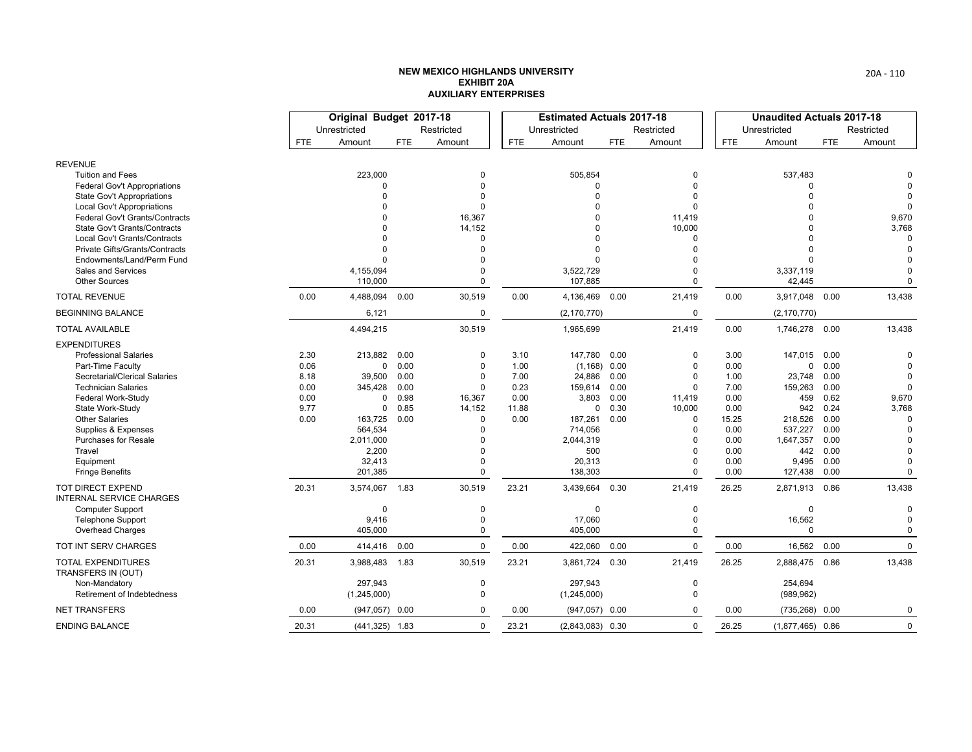|                                                             |       | Original Budget 2017-18 |      |             |       | <b>Estimated Actuals 2017-18</b> |            |             |            | <b>Unaudited Actuals 2017-18</b> |            |             |
|-------------------------------------------------------------|-------|-------------------------|------|-------------|-------|----------------------------------|------------|-------------|------------|----------------------------------|------------|-------------|
|                                                             |       | Unrestricted            |      | Restricted  |       | Unrestricted                     |            | Restricted  |            | Unrestricted                     |            | Restricted  |
|                                                             | FTE   | Amount                  | FTE  | Amount      | FTE.  | Amount                           | <b>FTE</b> | Amount      | <b>FTE</b> | Amount                           | <b>FTE</b> | Amount      |
| <b>REVENUE</b>                                              |       |                         |      |             |       |                                  |            |             |            |                                  |            |             |
| <b>Tuition and Fees</b>                                     |       | 223,000                 |      | $\Omega$    |       | 505,854                          |            | $\Omega$    |            | 537,483                          |            |             |
| <b>Federal Gov't Appropriations</b>                         |       | $\Omega$                |      | $\Omega$    |       | $\Omega$                         |            | 0           |            | 0                                |            | $\Omega$    |
| <b>State Gov't Appropriations</b>                           |       | $\Omega$                |      | $\Omega$    |       | $\Omega$                         |            | O           |            | $\Omega$                         |            | $\Omega$    |
| Local Gov't Appropriations                                  |       |                         |      | $\Omega$    |       | U                                |            | $\Omega$    |            |                                  |            | $\Omega$    |
| <b>Federal Gov't Grants/Contracts</b>                       |       | <sup>0</sup>            |      | 16,367      |       | n                                |            | 11,419      |            |                                  |            | 9,670       |
| State Gov't Grants/Contracts                                |       | $\Omega$                |      | 14,152      |       | 0                                |            | 10,000      |            |                                  |            | 3,768       |
| <b>Local Gov't Grants/Contracts</b>                         |       | $\Omega$                |      | $\Omega$    |       | 0                                |            | 0           |            |                                  |            | $\Omega$    |
| Private Gifts/Grants/Contracts                              |       | $\Omega$                |      | $\Omega$    |       | $\Omega$                         |            | $\Omega$    |            | $\Omega$                         |            | $\Omega$    |
| Endowments/Land/Perm Fund                                   |       | $\Omega$                |      | $\Omega$    |       | U                                |            | O           |            | $\Omega$                         |            | $\mathbf 0$ |
| Sales and Services                                          |       | 4,155,094               |      | $\Omega$    |       | 3,522,729                        |            | $\mathbf 0$ |            | 3,337,119                        |            | $\mathbf 0$ |
| <b>Other Sources</b>                                        |       | 110,000                 |      | $\Omega$    |       | 107,885                          |            | $\mathbf 0$ |            | 42,445                           |            | 0           |
| <b>TOTAL REVENUE</b>                                        | 0.00  | 4,488,094               | 0.00 | 30,519      | 0.00  | 4,136,469 0.00                   |            | 21,419      | 0.00       | 3,917,048                        | 0.00       | 13,438      |
| <b>BEGINNING BALANCE</b>                                    |       | 6,121                   |      | 0           |       | (2, 170, 770)                    |            | $\mathbf 0$ |            | (2, 170, 770)                    |            |             |
| <b>TOTAL AVAILABLE</b>                                      |       | 4,494,215               |      | 30,519      |       | 1,965,699                        |            | 21,419      | 0.00       | 1,746,278                        | 0.00       | 13,438      |
| <b>EXPENDITURES</b>                                         |       |                         |      |             |       |                                  |            |             |            |                                  |            |             |
| <b>Professional Salaries</b>                                | 2.30  | 213,882                 | 0.00 | $\mathbf 0$ | 3.10  | 147,780                          | 0.00       | 0           | 3.00       | 147,015                          | 0.00       | $\Omega$    |
| Part-Time Faculty                                           | 0.06  | 0                       | 0.00 | $\mathbf 0$ | 1.00  | $(1,168)$ 0.00                   |            | $\Omega$    | 0.00       | 0                                | 0.00       | $\Omega$    |
| Secretarial/Clerical Salaries                               | 8.18  | 39,500                  | 0.00 | $\mathbf 0$ | 7.00  | 24,886                           | 0.00       | $\Omega$    | 1.00       | 23,748                           | 0.00       | $\Omega$    |
| <b>Technician Salaries</b>                                  | 0.00  | 345,428                 | 0.00 | $\mathbf 0$ | 0.23  | 159,614                          | 0.00       | $\Omega$    | 7.00       | 159,263                          | 0.00       | $\mathbf 0$ |
| Federal Work-Study                                          | 0.00  | $\Omega$                | 0.98 | 16,367      | 0.00  | 3,803                            | 0.00       | 11,419      | 0.00       | 459                              | 0.62       | 9,670       |
| State Work-Study                                            | 9.77  | 0                       | 0.85 | 14,152      | 11.88 | 0                                | 0.30       | 10,000      | 0.00       | 942                              | 0.24       | 3,768       |
| <b>Other Salaries</b>                                       | 0.00  | 163,725                 | 0.00 | $\Omega$    | 0.00  | 187,261                          | 0.00       | 0           | 15.25      | 218,526                          | 0.00       | $\Omega$    |
| Supplies & Expenses                                         |       | 564,534                 |      | $\Omega$    |       | 714,056                          |            | $\Omega$    | 0.00       | 537,227                          | 0.00       |             |
| <b>Purchases for Resale</b>                                 |       | 2,011,000               |      | $\Omega$    |       | 2,044,319                        |            | O           | 0.00       | 1,647,357                        | 0.00       | $\Omega$    |
| Travel                                                      |       | 2,200                   |      | $\Omega$    |       | 500                              |            | 0           | 0.00       | 442                              | 0.00       | $\Omega$    |
| Equipment                                                   |       | 32,413                  |      | $\Omega$    |       | 20,313                           |            | 0           | 0.00       | 9,495                            | 0.00       | $\mathbf 0$ |
| <b>Fringe Benefits</b>                                      |       | 201,385                 |      | $\Omega$    |       | 138,303                          |            | $\Omega$    | 0.00       | 127,438                          | 0.00       | $\Omega$    |
| <b>TOT DIRECT EXPEND</b><br><b>INTERNAL SERVICE CHARGES</b> | 20.31 | 3,574,067 1.83          |      | 30,519      | 23.21 | 3,439,664                        | 0.30       | 21,419      | 26.25      | 2,871,913                        | 0.86       | 13,438      |
| <b>Computer Support</b>                                     |       | $\Omega$                |      | 0           |       | $\Omega$                         |            | 0           |            | 0                                |            | $\Omega$    |
| <b>Telephone Support</b>                                    |       | 9,416                   |      | $\mathbf 0$ |       | 17,060                           |            | $\Omega$    |            | 16,562                           |            | $\mathbf 0$ |
| Overhead Charges                                            |       | 405,000                 |      | $\Omega$    |       | 405,000                          |            | $\Omega$    |            | $\Omega$                         |            | $\mathbf 0$ |
| TOT INT SERV CHARGES                                        | 0.00  | 414,416                 | 0.00 | $\mathbf 0$ | 0.00  | 422,060                          | 0.00       | $\mathbf 0$ | 0.00       | 16,562                           | 0.00       | $\mathbf 0$ |
| <b>TOTAL EXPENDITURES</b><br>TRANSFERS IN (OUT)             | 20.31 | 3,988,483 1.83          |      | 30,519      | 23.21 | 3,861,724                        | 0.30       | 21,419      | 26.25      | 2,888,475                        | 0.86       | 13,438      |
| Non-Mandatory                                               |       | 297,943                 |      | 0           |       | 297,943                          |            | 0           |            | 254,694                          |            |             |
| Retirement of Indebtedness                                  |       | (1,245,000)             |      | $\Omega$    |       | (1, 245, 000)                    |            | $\mathbf 0$ |            | (989, 962)                       |            |             |
| <b>NET TRANSFERS</b>                                        | 0.00  | $(947,057)$ 0.00        |      | $\Omega$    | 0.00  | $(947,057)$ 0.00                 |            | $\Omega$    | 0.00       | (735, 268)                       | 0.00       | 0           |
| <b>ENDING BALANCE</b>                                       | 20.31 | $(441,325)$ 1.83        |      | $\mathbf 0$ | 23.21 | $(2,843,083)$ 0.30               |            | $\mathbf 0$ | 26.25      | $(1,877,465)$ 0.86               |            | $\mathbf 0$ |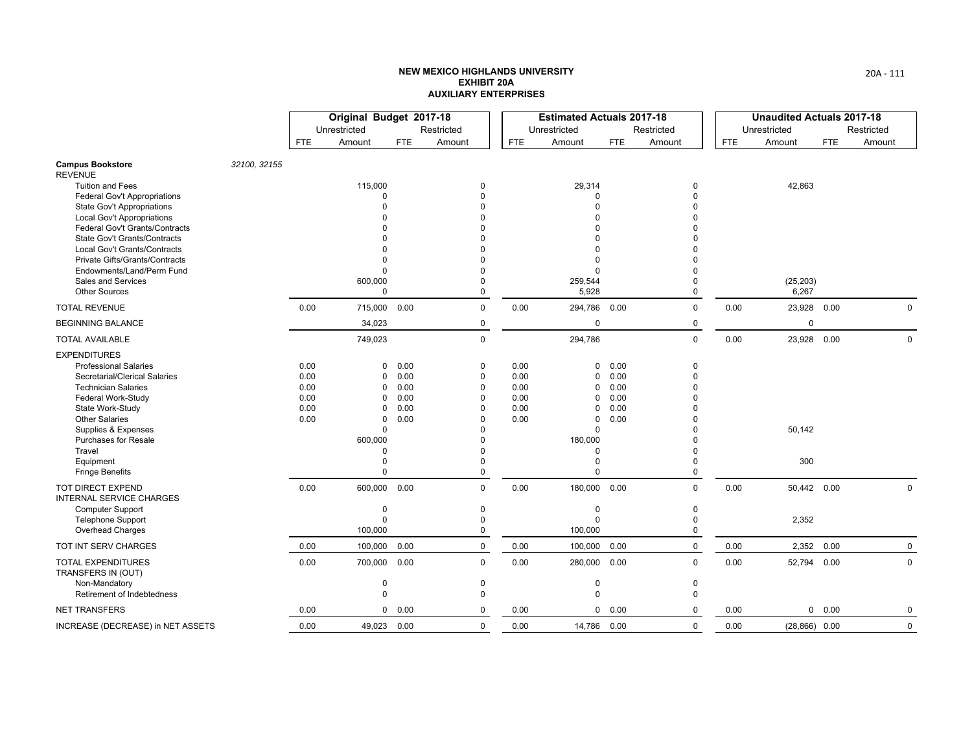|                                                                        |              |      | Original Budget 2017-18 |            |                      |            | <b>Estimated Actuals 2017-18</b> |            |              |            | <b>Unaudited Actuals 2017-18</b> |            |             |
|------------------------------------------------------------------------|--------------|------|-------------------------|------------|----------------------|------------|----------------------------------|------------|--------------|------------|----------------------------------|------------|-------------|
|                                                                        |              |      | Unrestricted            |            | Restricted           |            | Unrestricted                     |            | Restricted   |            | Unrestricted                     |            | Restricted  |
|                                                                        |              | FTE. | Amount                  | <b>FTE</b> | Amount               | <b>FTE</b> | Amount                           | <b>FTE</b> | Amount       | <b>FTE</b> | Amount                           | <b>FTE</b> | Amount      |
| <b>Campus Bookstore</b><br><b>REVENUE</b>                              | 32100, 32155 |      |                         |            |                      |            |                                  |            |              |            |                                  |            |             |
| <b>Tuition and Fees</b>                                                |              |      | 115,000                 |            | 0                    |            | 29,314                           |            | 0            |            | 42,863                           |            |             |
| <b>Federal Gov't Appropriations</b>                                    |              |      | $\Omega$                |            | $\Omega$             |            | 0                                |            | U            |            |                                  |            |             |
| <b>State Gov't Appropriations</b><br><b>Local Gov't Appropriations</b> |              |      | $\Omega$                |            | $\Omega$<br>$\Omega$ |            | 0<br>0                           |            |              |            |                                  |            |             |
| Federal Gov't Grants/Contracts                                         |              |      |                         |            | $\Omega$             |            | U                                |            |              |            |                                  |            |             |
| <b>State Gov't Grants/Contracts</b>                                    |              |      |                         |            | $\Omega$             |            |                                  |            |              |            |                                  |            |             |
| Local Gov't Grants/Contracts                                           |              |      |                         |            | $\Omega$             |            | U                                |            |              |            |                                  |            |             |
| Private Gifts/Grants/Contracts                                         |              |      | $\Omega$                |            |                      |            | 0                                |            |              |            |                                  |            |             |
| Endowments/Land/Perm Fund                                              |              |      | $\Omega$                |            | $\Omega$             |            | 0                                |            |              |            |                                  |            |             |
| Sales and Services                                                     |              |      | 600,000                 |            | $\Omega$             |            | 259,544                          |            | O            |            | (25, 203)                        |            |             |
| <b>Other Sources</b>                                                   |              |      | $\Omega$                |            | $\mathbf 0$          |            | 5,928                            |            | 0            |            | 6,267                            |            |             |
| <b>TOTAL REVENUE</b>                                                   |              | 0.00 | 715,000                 | 0.00       | $\Omega$             | 0.00       | 294,786 0.00                     |            | $\Omega$     | 0.00       | 23,928                           | 0.00       | 0           |
| <b>BEGINNING BALANCE</b>                                               |              |      | 34,023                  |            | $\mathbf 0$          |            | 0                                |            | 0            |            | $\mathbf 0$                      |            |             |
| <b>TOTAL AVAILABLE</b>                                                 |              |      | 749,023                 |            | $\mathbf 0$          |            | 294,786                          |            | 0            | 0.00       | 23,928 0.00                      |            | $\mathbf 0$ |
| <b>EXPENDITURES</b>                                                    |              |      |                         |            |                      |            |                                  |            |              |            |                                  |            |             |
| <b>Professional Salaries</b>                                           |              | 0.00 | 0                       | 0.00       | 0                    | 0.00       | $\mathbf 0$                      | 0.00       | $\mathbf{0}$ |            |                                  |            |             |
| Secretarial/Clerical Salaries                                          |              | 0.00 | $\Omega$                | 0.00       | $\Omega$             | 0.00       | 0                                | 0.00       | U            |            |                                  |            |             |
| <b>Technician Salaries</b>                                             |              | 0.00 | $\Omega$                | 0.00       | $\Omega$             | 0.00       | 0                                | 0.00       |              |            |                                  |            |             |
| <b>Federal Work-Study</b>                                              |              | 0.00 | 0                       | 0.00       | $\Omega$             | 0.00       | 0                                | 0.00       |              |            |                                  |            |             |
| State Work-Study                                                       |              | 0.00 | 0                       | 0.00       | $\Omega$             | 0.00       | 0                                | 0.00       |              |            |                                  |            |             |
| <b>Other Salaries</b>                                                  |              | 0.00 | 0<br>$\Omega$           | 0.00       | $\Omega$<br>$\Omega$ | 0.00       | 0                                | 0.00       |              |            |                                  |            |             |
| Supplies & Expenses<br><b>Purchases for Resale</b>                     |              |      | 600,000                 |            | $\Omega$             |            | 0<br>180,000                     |            |              |            | 50,142                           |            |             |
| Travel                                                                 |              |      | $\Omega$                |            | $\Omega$             |            | 0                                |            |              |            |                                  |            |             |
| Equipment                                                              |              |      | $\mathbf 0$             |            | $\Omega$             |            | 0                                |            | 0            |            | 300                              |            |             |
| <b>Fringe Benefits</b>                                                 |              |      | $\Omega$                |            | $\Omega$             |            | $\Omega$                         |            | 0            |            |                                  |            |             |
| <b>TOT DIRECT EXPEND</b><br><b>INTERNAL SERVICE CHARGES</b>            |              | 0.00 | 600,000 0.00            |            | $\mathbf 0$          | 0.00       | 180,000 0.00                     |            | 0            | 0.00       | 50,442 0.00                      |            | $\mathbf 0$ |
| <b>Computer Support</b>                                                |              |      | $\mathbf 0$             |            | $\mathbf 0$          |            | 0                                |            | 0            |            |                                  |            |             |
| <b>Telephone Support</b>                                               |              |      | $\mathbf 0$             |            | $\mathbf 0$          |            | 0                                |            | 0            |            | 2,352                            |            |             |
| Overhead Charges                                                       |              |      | 100,000                 |            | $\mathbf 0$          |            | 100,000                          |            | 0            |            |                                  |            |             |
| TOT INT SERV CHARGES                                                   |              | 0.00 | 100,000                 | 0.00       | $\mathbf 0$          | 0.00       | 100,000 0.00                     |            | 0            | 0.00       | 2,352                            | 0.00       | $\mathbf 0$ |
| <b>TOTAL EXPENDITURES</b><br>TRANSFERS IN (OUT)                        |              | 0.00 | 700,000                 | 0.00       | $\Omega$             | 0.00       | 280,000 0.00                     |            | $\Omega$     | 0.00       | 52,794                           | 0.00       | $\Omega$    |
| Non-Mandatory                                                          |              |      | $\mathbf 0$             |            | $\mathbf 0$          |            | 0                                |            | 0            |            |                                  |            |             |
| Retirement of Indebtedness                                             |              |      | $\mathbf 0$             |            | $\mathbf 0$          |            | 0                                |            | 0            |            |                                  |            |             |
| <b>NET TRANSFERS</b>                                                   |              | 0.00 | 0                       | 0.00       | 0                    | 0.00       | 0                                | 0.00       | 0            | 0.00       | 0                                | 0.00       | 0           |
| INCREASE (DECREASE) in NET ASSETS                                      |              | 0.00 | 49,023 0.00             |            | $\mathbf 0$          | 0.00       | 14,786 0.00                      |            | 0            | 0.00       | $(28, 866)$ 0.00                 |            | $\mathbf 0$ |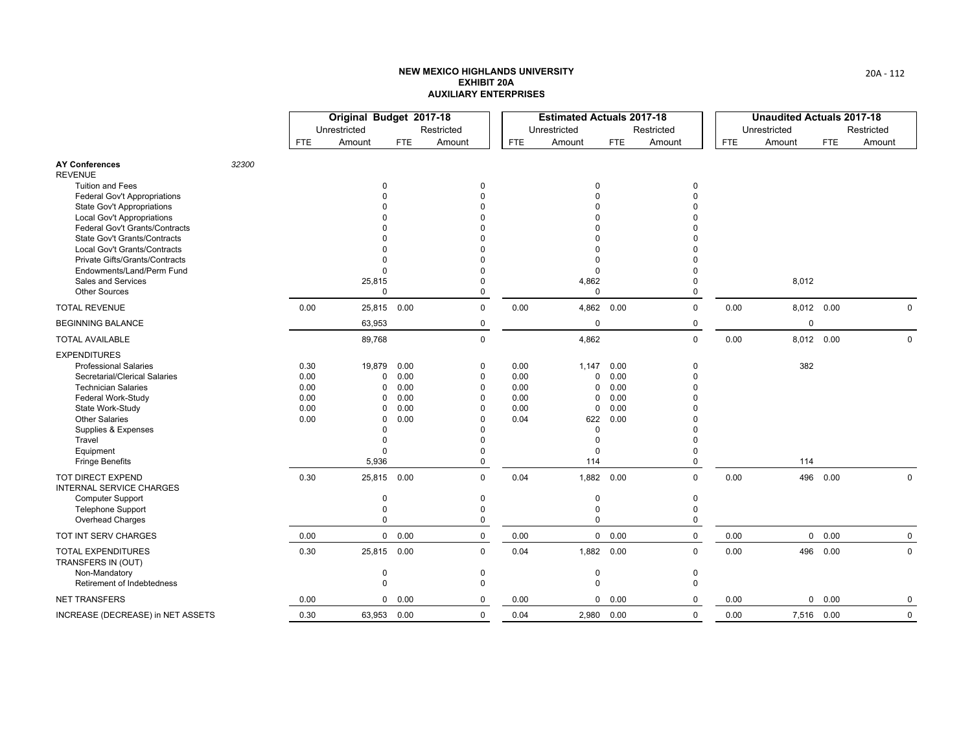|                                                                   |       |              | Original Budget 2017-18 |              |                      |              | <b>Estimated Actuals 2017-18</b> |              |                      |            | <b>Unaudited Actuals 2017-18</b> |            |             |
|-------------------------------------------------------------------|-------|--------------|-------------------------|--------------|----------------------|--------------|----------------------------------|--------------|----------------------|------------|----------------------------------|------------|-------------|
|                                                                   |       |              | Unrestricted            |              | Restricted           |              | Unrestricted                     |              | Restricted           |            | Unrestricted                     |            | Restricted  |
|                                                                   |       | FTE.         | Amount                  | <b>FTE</b>   | Amount               | <b>FTE</b>   | Amount                           | <b>FTE</b>   | Amount               | <b>FTE</b> | Amount                           | <b>FTE</b> | Amount      |
| <b>AY Conferences</b><br><b>REVENUE</b>                           | 32300 |              |                         |              |                      |              |                                  |              |                      |            |                                  |            |             |
| <b>Tuition and Fees</b>                                           |       |              | $\Omega$                |              | 0                    |              | 0                                |              | 0                    |            |                                  |            |             |
| Federal Gov't Appropriations<br><b>State Gov't Appropriations</b> |       |              |                         |              | $\Omega$<br>$\Omega$ |              | $\Omega$<br>$\Omega$             |              | $\Omega$             |            |                                  |            |             |
| <b>Local Gov't Appropriations</b>                                 |       |              |                         |              |                      |              |                                  |              |                      |            |                                  |            |             |
| Federal Gov't Grants/Contracts                                    |       |              |                         |              |                      |              |                                  |              |                      |            |                                  |            |             |
| <b>State Gov't Grants/Contracts</b>                               |       |              |                         |              | $\Omega$             |              |                                  |              |                      |            |                                  |            |             |
| Local Gov't Grants/Contracts                                      |       |              |                         |              | $\Omega$             |              | $\Omega$                         |              |                      |            |                                  |            |             |
| Private Gifts/Grants/Contracts<br>Endowments/Land/Perm Fund       |       |              | $\Omega$<br>$\Omega$    |              | $\Omega$<br>$\Omega$ |              | $\Omega$<br>$\mathbf 0$          |              |                      |            |                                  |            |             |
| Sales and Services                                                |       |              | 25,815                  |              | $\Omega$             |              | 4,862                            |              | 0                    |            | 8,012                            |            |             |
| <b>Other Sources</b>                                              |       |              | $\Omega$                |              | $\Omega$             |              | $\mathbf 0$                      |              | 0                    |            |                                  |            |             |
| <b>TOTAL REVENUE</b>                                              |       | 0.00         | 25,815 0.00             |              | $\mathbf 0$          | 0.00         | 4,862 0.00                       |              | 0                    | 0.00       | 8,012 0.00                       |            | $\Omega$    |
| <b>BEGINNING BALANCE</b>                                          |       |              | 63,953                  |              | 0                    |              | 0                                |              | 0                    |            | $\mathbf 0$                      |            |             |
| <b>TOTAL AVAILABLE</b>                                            |       |              | 89,768                  |              | 0                    |              | 4,862                            |              | 0                    | 0.00       | 8,012 0.00                       |            | $\mathbf 0$ |
| <b>EXPENDITURES</b>                                               |       |              |                         |              |                      |              |                                  |              |                      |            |                                  |            |             |
| <b>Professional Salaries</b>                                      |       | 0.30         | 19,879                  | 0.00         | 0                    | 0.00         | 1,147                            | 0.00         | 0                    |            | 382                              |            |             |
| Secretarial/Clerical Salaries                                     |       | 0.00         | 0                       | 0.00         | 0                    | 0.00         | 0                                | 0.00         | $\Omega$             |            |                                  |            |             |
| <b>Technician Salaries</b><br><b>Federal Work-Study</b>           |       | 0.00<br>0.00 | $\Omega$<br>0           | 0.00<br>0.00 | $\Omega$<br>$\Omega$ | 0.00<br>0.00 | 0<br>0                           | 0.00<br>0.00 | $\Omega$<br>$\Omega$ |            |                                  |            |             |
| State Work-Study                                                  |       | 0.00         | 0                       | 0.00         | $\Omega$             | 0.00         | 0                                | 0.00         |                      |            |                                  |            |             |
| <b>Other Salaries</b>                                             |       | 0.00         | $\Omega$                | 0.00         | $\Omega$             | 0.04         | 622                              | 0.00         |                      |            |                                  |            |             |
| Supplies & Expenses                                               |       |              | $\Omega$                |              | $\Omega$             |              | 0                                |              |                      |            |                                  |            |             |
| Travel                                                            |       |              | $\Omega$                |              | $\Omega$             |              | $\Omega$                         |              | $\Omega$             |            |                                  |            |             |
| Equipment<br><b>Fringe Benefits</b>                               |       |              | $\Omega$<br>5,936       |              | $\Omega$<br>0        |              | $\Omega$<br>114                  |              | $\Omega$<br>0        |            | 114                              |            |             |
|                                                                   |       |              |                         |              |                      |              |                                  |              |                      |            |                                  |            |             |
| <b>TOT DIRECT EXPEND</b><br>INTERNAL SERVICE CHARGES              |       | 0.30         | 25,815 0.00             |              | 0                    | 0.04         | 1,882 0.00                       |              | $\Omega$             | 0.00       | 496                              | 0.00       | $\pmb{0}$   |
| <b>Computer Support</b>                                           |       |              | 0                       |              | 0                    |              | 0                                |              | 0                    |            |                                  |            |             |
| <b>Telephone Support</b><br>Overhead Charges                      |       |              | 0<br>$\Omega$           |              | $\mathbf 0$<br>0     |              | 0<br>$\Omega$                    |              | 0<br>$\Omega$        |            |                                  |            |             |
| TOT INT SERV CHARGES                                              |       | 0.00         |                         | 0 0.00       | $\mathbf 0$          | 0.00         |                                  | 0 0.00       | $\mathbf 0$          | 0.00       |                                  | 0 0.00     | $\mathbf 0$ |
| <b>TOTAL EXPENDITURES</b><br>TRANSFERS IN (OUT)                   |       | 0.30         | 25,815 0.00             |              | $\mathbf 0$          | 0.04         | 1,882 0.00                       |              | $\Omega$             | 0.00       | 496                              | 0.00       | $\Omega$    |
| Non-Mandatory                                                     |       |              | 0                       |              | 0                    |              | 0                                |              | 0                    |            |                                  |            |             |
| Retirement of Indebtedness                                        |       |              | $\mathbf 0$             |              | $\mathbf 0$          |              | $\mathbf 0$                      |              | $\mathbf 0$          |            |                                  |            |             |
| <b>NET TRANSFERS</b>                                              |       | 0.00         |                         | 0 0.00       | 0                    | 0.00         | 0                                | 0.00         | 0                    | 0.00       | 0                                | 0.00       | 0           |
| INCREASE (DECREASE) in NET ASSETS                                 |       | 0.30         | 63,953 0.00             |              | $\mathbf 0$          | 0.04         | 2,980 0.00                       |              | 0                    | 0.00       | 7,516 0.00                       |            | $\mathbf 0$ |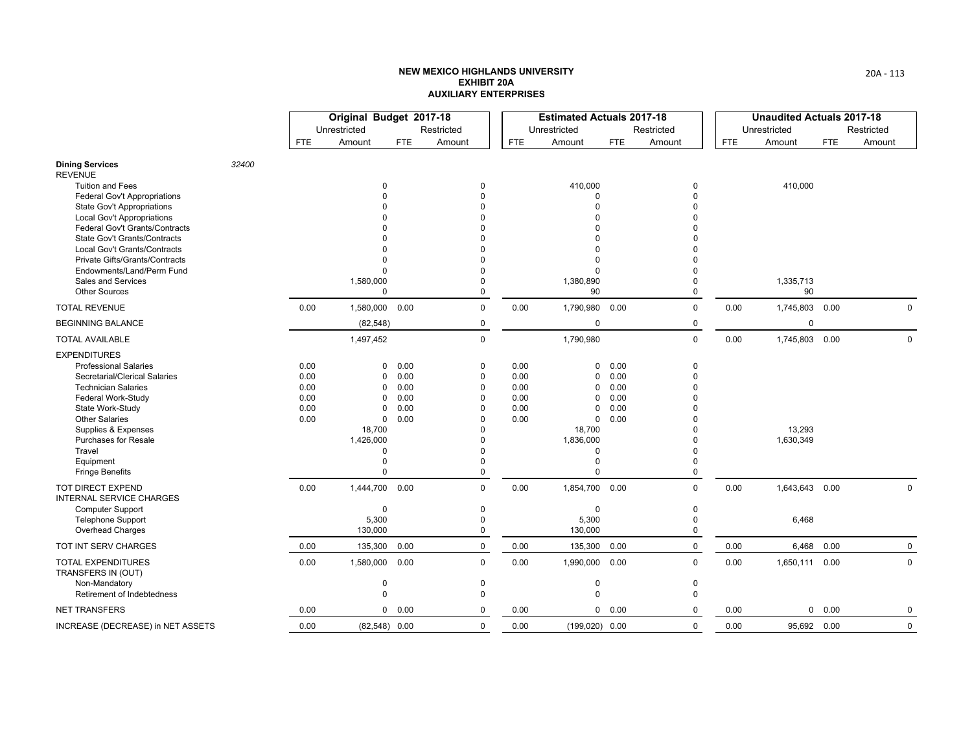|                                                              |       |            | Original Budget 2017-18 |            |                      |            | <b>Estimated Actuals 2017-18</b> |            |             |            | <b>Unaudited Actuals 2017-18</b> |            |             |
|--------------------------------------------------------------|-------|------------|-------------------------|------------|----------------------|------------|----------------------------------|------------|-------------|------------|----------------------------------|------------|-------------|
|                                                              |       |            | Unrestricted            |            | Restricted           |            | Unrestricted                     |            | Restricted  |            | Unrestricted                     |            | Restricted  |
|                                                              |       | <b>FTE</b> | Amount                  | <b>FTE</b> | Amount               | <b>FTE</b> | Amount                           | <b>FTE</b> | Amount      | <b>FTE</b> | Amount                           | <b>FTE</b> | Amount      |
| <b>Dining Services</b><br><b>REVENUE</b>                     | 32400 |            |                         |            |                      |            |                                  |            |             |            |                                  |            |             |
| <b>Tuition and Fees</b>                                      |       |            | $\Omega$                |            | $\mathbf 0$          |            | 410,000                          |            | 0           |            | 410,000                          |            |             |
| <b>Federal Gov't Appropriations</b>                          |       |            |                         |            | $\Omega$             |            | $\Omega$                         |            | 0           |            |                                  |            |             |
| <b>State Gov't Appropriations</b>                            |       |            |                         |            | $\Omega$             |            | $\Omega$<br>$\Omega$             |            | 0<br>U      |            |                                  |            |             |
| Local Gov't Appropriations<br>Federal Gov't Grants/Contracts |       |            |                         |            |                      |            | $\Omega$                         |            |             |            |                                  |            |             |
| State Gov't Grants/Contracts                                 |       |            |                         |            |                      |            | ŋ                                |            |             |            |                                  |            |             |
| Local Gov't Grants/Contracts                                 |       |            |                         |            |                      |            | $\Omega$                         |            |             |            |                                  |            |             |
| Private Gifts/Grants/Contracts                               |       |            |                         |            |                      |            | $\Omega$                         |            |             |            |                                  |            |             |
| Endowments/Land/Perm Fund                                    |       |            |                         |            | $\Omega$             |            | $\Omega$                         |            | U           |            |                                  |            |             |
| Sales and Services                                           |       |            | 1,580,000               |            | $\Omega$             |            | 1,380,890                        |            | 0           |            | 1,335,713                        |            |             |
| <b>Other Sources</b>                                         |       |            | $\Omega$                |            | 0                    |            | 90                               |            | 0           |            | 90                               |            |             |
| <b>TOTAL REVENUE</b>                                         |       | 0.00       | 1,580,000               | 0.00       | $\mathbf 0$          | 0.00       | 1,790,980 0.00                   |            | 0           | 0.00       | 1,745,803                        | 0.00       | 0           |
| <b>BEGINNING BALANCE</b>                                     |       |            | (82, 548)               |            | 0                    |            | 0                                |            | 0           |            | 0                                |            |             |
| <b>TOTAL AVAILABLE</b>                                       |       |            | 1,497,452               |            | $\mathbf 0$          |            | 1,790,980                        |            | 0           | 0.00       | 1,745,803 0.00                   |            | $\mathbf 0$ |
| <b>EXPENDITURES</b>                                          |       |            |                         |            |                      |            |                                  |            |             |            |                                  |            |             |
| <b>Professional Salaries</b>                                 |       | 0.00       | 0                       | 0.00       | $\mathbf 0$          | 0.00       | 0                                | 0.00       | $\mathbf 0$ |            |                                  |            |             |
| Secretarial/Clerical Salaries                                |       | 0.00       | $\Omega$                | 0.00       | $\mathbf 0$          | 0.00       | 0                                | 0.00       | 0           |            |                                  |            |             |
| <b>Technician Salaries</b>                                   |       | 0.00       | $\Omega$                | 0.00       | 0                    | 0.00       | 0                                | 0.00       | 0           |            |                                  |            |             |
| Federal Work-Study                                           |       | 0.00       | $\Omega$                | 0.00       | $\Omega$             | 0.00       | $\Omega$                         | 0.00       |             |            |                                  |            |             |
| State Work-Study                                             |       | 0.00       | $\Omega$                | 0.00       | $\Omega$             | 0.00       | 0                                | 0.00       |             |            |                                  |            |             |
| <b>Other Salaries</b><br>Supplies & Expenses                 |       | 0.00       | 0<br>18,700             | 0.00       | $\Omega$<br>$\Omega$ | 0.00       | 0<br>18,700                      | 0.00       | 0           |            | 13,293                           |            |             |
| <b>Purchases for Resale</b>                                  |       |            | 1,426,000               |            | $\Omega$             |            | 1,836,000                        |            | 0           |            | 1,630,349                        |            |             |
| Travel                                                       |       |            | $\Omega$                |            | $\Omega$             |            | 0                                |            | 0           |            |                                  |            |             |
| Equipment                                                    |       |            | $\Omega$                |            | $\Omega$             |            | $\mathbf 0$                      |            | 0           |            |                                  |            |             |
| <b>Fringe Benefits</b>                                       |       |            | $\Omega$                |            | 0                    |            | $\Omega$                         |            | $\mathbf 0$ |            |                                  |            |             |
| TOT DIRECT EXPEND<br><b>INTERNAL SERVICE CHARGES</b>         |       | 0.00       | 1,444,700 0.00          |            | $\Omega$             | 0.00       | 1,854,700 0.00                   |            | $\Omega$    | 0.00       | 1,643,643 0.00                   |            | $\mathbf 0$ |
| Computer Support                                             |       |            | $\Omega$                |            | $\Omega$             |            | $\mathbf 0$                      |            | 0           |            |                                  |            |             |
| <b>Telephone Support</b>                                     |       |            | 5,300                   |            | $\theta$             |            | 5,300                            |            | 0           |            | 6,468                            |            |             |
| Overhead Charges                                             |       |            | 130,000                 |            | $\mathbf 0$          |            | 130,000                          |            | $\mathbf 0$ |            |                                  |            |             |
| TOT INT SERV CHARGES                                         |       | 0.00       | 135,300                 | 0.00       | $\mathbf 0$          | 0.00       | 135,300                          | 0.00       | 0           | 0.00       | 6,468                            | 0.00       | $\mathbf 0$ |
| <b>TOTAL EXPENDITURES</b><br>TRANSFERS IN (OUT)              |       | 0.00       | 1,580,000               | 0.00       | $\mathbf 0$          | 0.00       | 1,990,000 0.00                   |            | $\mathbf 0$ | 0.00       | 1,650,111 0.00                   |            | 0           |
| Non-Mandatory                                                |       |            | $\mathbf 0$             |            | 0                    |            | 0                                |            | 0           |            |                                  |            |             |
| Retirement of Indebtedness                                   |       |            | $\mathbf 0$             |            | $\mathbf 0$          |            | $\mathbf 0$                      |            | $\mathbf 0$ |            |                                  |            |             |
| <b>NET TRANSFERS</b>                                         |       | 0.00       |                         | 0 0.00     | $\mathbf 0$          | 0.00       |                                  | 0 0.00     | $\Omega$    | 0.00       | $\mathbf 0$                      | 0.00       | 0           |
| INCREASE (DECREASE) in NET ASSETS                            |       | 0.00       | $(82,548)$ 0.00         |            | $\mathbf 0$          | 0.00       | $(199,020)$ 0.00                 |            | 0           | 0.00       | 95,692 0.00                      |            | $\mathbf 0$ |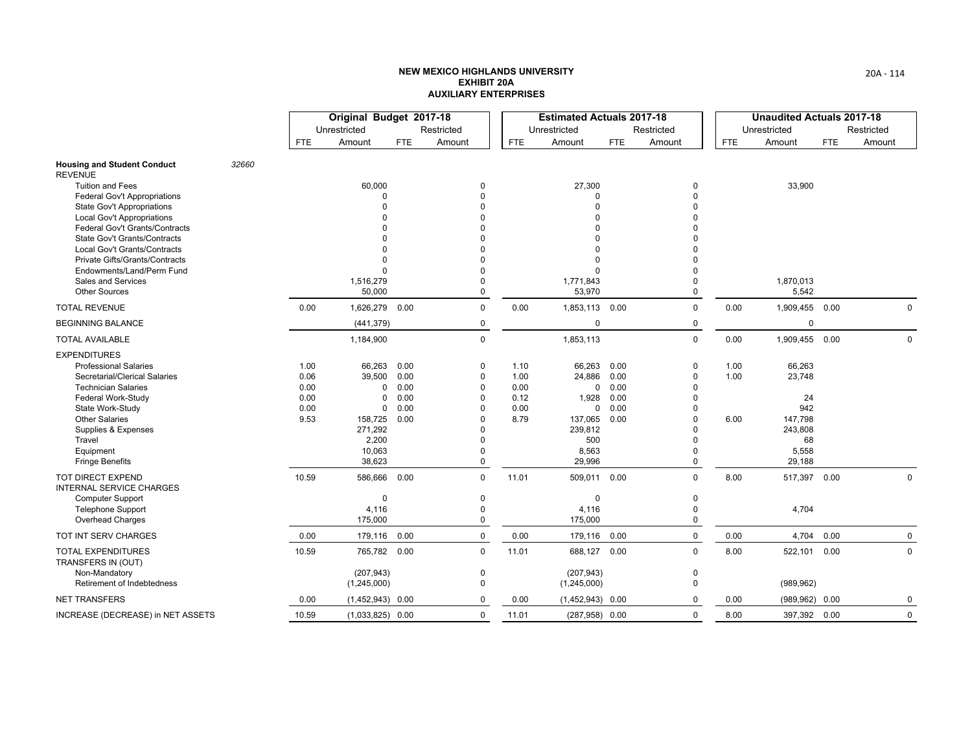|                                                                        |       |       | Original Budget 2017-18 |            |                      |            | <b>Estimated Actuals 2017-18</b> |            |            |            | <b>Unaudited Actuals 2017-18</b> |            |             |
|------------------------------------------------------------------------|-------|-------|-------------------------|------------|----------------------|------------|----------------------------------|------------|------------|------------|----------------------------------|------------|-------------|
|                                                                        |       |       | Unrestricted            |            | Restricted           |            | Unrestricted                     |            | Restricted |            | Unrestricted                     |            | Restricted  |
|                                                                        |       | FTE   | Amount                  | <b>FTE</b> | Amount               | <b>FTE</b> | Amount                           | <b>FTE</b> | Amount     | <b>FTE</b> | Amount                           | <b>FTE</b> | Amount      |
| <b>Housing and Student Conduct</b><br><b>REVENUE</b>                   | 32660 |       |                         |            |                      |            |                                  |            |            |            |                                  |            |             |
| Tuition and Fees                                                       |       |       | 60,000                  |            | $\Omega$             |            | 27,300                           |            | 0          |            | 33,900                           |            |             |
| <b>Federal Gov't Appropriations</b>                                    |       |       | $\Omega$<br>$\Omega$    |            | $\Omega$<br>$\Omega$ |            | 0                                |            | O          |            |                                  |            |             |
| <b>State Gov't Appropriations</b><br><b>Local Gov't Appropriations</b> |       |       |                         |            | $\Omega$             |            | 0<br>0                           |            |            |            |                                  |            |             |
| Federal Gov't Grants/Contracts                                         |       |       |                         |            | $\Omega$             |            | U                                |            |            |            |                                  |            |             |
| <b>State Gov't Grants/Contracts</b>                                    |       |       |                         |            | $\Omega$             |            | U                                |            |            |            |                                  |            |             |
| Local Gov't Grants/Contracts                                           |       |       |                         |            | $\Omega$             |            | 0                                |            |            |            |                                  |            |             |
| Private Gifts/Grants/Contracts                                         |       |       | $\Omega$                |            | $\Omega$             |            | 0                                |            |            |            |                                  |            |             |
| Endowments/Land/Perm Fund                                              |       |       | $\Omega$                |            | $\Omega$             |            | 0                                |            |            |            |                                  |            |             |
| Sales and Services<br><b>Other Sources</b>                             |       |       | 1,516,279<br>50,000     |            | $\Omega$<br>$\Omega$ |            | 1,771,843<br>53,970              |            | 0<br>0     |            | 1,870,013<br>5,542               |            |             |
| <b>TOTAL REVENUE</b>                                                   |       | 0.00  | 1,626,279               | 0.00       | $\mathbf 0$          | 0.00       | 1,853,113 0.00                   |            | 0          | 0.00       | 1,909,455 0.00                   |            | $\mathbf 0$ |
| <b>BEGINNING BALANCE</b>                                               |       |       | (441, 379)              |            | 0                    |            | $\mathbf 0$                      |            | 0          |            | $\mathbf 0$                      |            |             |
| <b>TOTAL AVAILABLE</b>                                                 |       |       | 1,184,900               |            | 0                    |            | 1,853,113                        |            | 0          | 0.00       | 1,909,455 0.00                   |            | $\mathbf 0$ |
| <b>EXPENDITURES</b>                                                    |       |       |                         |            |                      |            |                                  |            |            |            |                                  |            |             |
| <b>Professional Salaries</b>                                           |       | 1.00  | 66,263                  | 0.00       | 0                    | 1.10       | 66,263                           | 0.00       | 0          | 1.00       | 66,263                           |            |             |
| Secretarial/Clerical Salaries                                          |       | 0.06  | 39,500                  | 0.00       | $\Omega$             | 1.00       | 24,886                           | 0.00       | 0          | 1.00       | 23,748                           |            |             |
| <b>Technician Salaries</b>                                             |       | 0.00  | 0                       | 0.00       | 0                    | 0.00       | 0                                | 0.00       |            |            |                                  |            |             |
| Federal Work-Study                                                     |       | 0.00  | $\Omega$                | 0.00       | $\Omega$             | 0.12       | 1,928                            | 0.00       |            |            | 24                               |            |             |
| State Work-Study                                                       |       | 0.00  | $\mathbf 0$             | 0.00       | $\Omega$<br>$\Omega$ | 0.00       | $\mathbf 0$                      | 0.00       |            |            | 942                              |            |             |
| <b>Other Salaries</b><br>Supplies & Expenses                           |       | 9.53  | 158,725<br>271,292      | 0.00       | $\Omega$             | 8.79       | 137,065<br>239,812               | 0.00       |            | 6.00       | 147,798<br>243,808               |            |             |
| Travel                                                                 |       |       | 2,200                   |            | $\Omega$             |            | 500                              |            | 0          |            | 68                               |            |             |
| Equipment                                                              |       |       | 10,063                  |            | $\Omega$             |            | 8,563                            |            | 0          |            | 5,558                            |            |             |
| <b>Fringe Benefits</b>                                                 |       |       | 38,623                  |            | $\Omega$             |            | 29,996                           |            | $\Omega$   |            | 29,188                           |            |             |
| TOT DIRECT EXPEND<br><b>INTERNAL SERVICE CHARGES</b>                   |       | 10.59 | 586,666 0.00            |            | 0                    | 11.01      | 509,011 0.00                     |            | 0          | 8.00       | 517,397 0.00                     |            | 0           |
| <b>Computer Support</b>                                                |       |       | $\mathbf 0$             |            | 0                    |            | $\mathbf 0$                      |            | 0          |            |                                  |            |             |
| <b>Telephone Support</b>                                               |       |       | 4,116                   |            | $\Omega$             |            | 4,116                            |            | 0          |            | 4,704                            |            |             |
| Overhead Charges                                                       |       |       | 175,000                 |            | 0                    |            | 175,000                          |            | 0          |            |                                  |            |             |
| TOT INT SERV CHARGES                                                   |       | 0.00  | 179,116                 | 0.00       | 0                    | 0.00       | 179,116 0.00                     |            | 0          | 0.00       | 4,704                            | 0.00       | 0           |
| <b>TOTAL EXPENDITURES</b><br>TRANSFERS IN (OUT)                        |       | 10.59 | 765,782 0.00            |            | $\Omega$             | 11.01      | 688,127 0.00                     |            | $\Omega$   | 8.00       | 522,101                          | 0.00       | $\mathbf 0$ |
| Non-Mandatory                                                          |       |       | (207, 943)              |            | 0                    |            | (207, 943)                       |            | 0          |            |                                  |            |             |
| Retirement of Indebtedness                                             |       |       | (1,245,000)             |            | $\Omega$             |            | (1,245,000)                      |            | 0          |            | (989, 962)                       |            |             |
| <b>NET TRANSFERS</b>                                                   |       | 0.00  | $(1,452,943)$ 0.00      |            | 0                    | 0.00       | $(1,452,943)$ 0.00               |            | $\Omega$   | 0.00       | (989, 962)                       | 0.00       | 0           |
| INCREASE (DECREASE) in NET ASSETS                                      |       | 10.59 | $(1,033,825)$ 0.00      |            | $\mathbf 0$          | 11.01      | $(287,958)$ 0.00                 |            | $\Omega$   | 8.00       | 397,392 0.00                     |            | $\mathbf 0$ |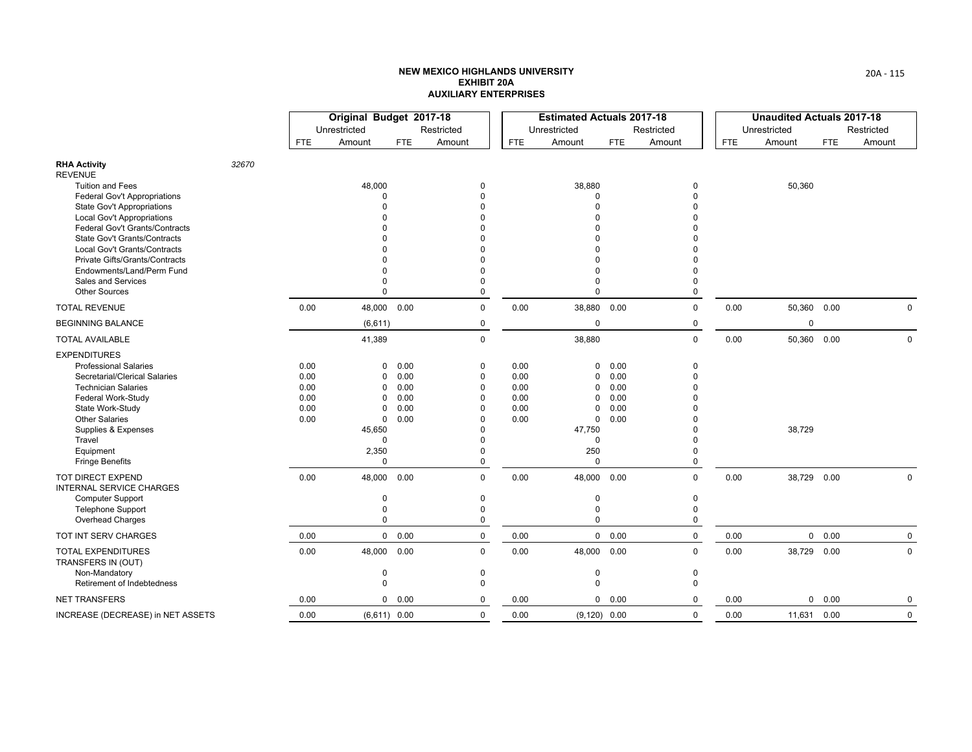|                                                                   |       |              | Original Budget 2017-18 |                |                      |              | <b>Estimated Actuals 2017-18</b> |              |             |            | <b>Unaudited Actuals 2017-18</b> |             |             |
|-------------------------------------------------------------------|-------|--------------|-------------------------|----------------|----------------------|--------------|----------------------------------|--------------|-------------|------------|----------------------------------|-------------|-------------|
|                                                                   |       |              | Unrestricted            |                | Restricted           |              | Unrestricted                     |              | Restricted  |            | Unrestricted                     |             | Restricted  |
|                                                                   |       | <b>FTE</b>   | Amount                  | <b>FTE</b>     | Amount               | <b>FTE</b>   | Amount                           | <b>FTE</b>   | Amount      | <b>FTE</b> | Amount                           | <b>FTE</b>  | Amount      |
| <b>RHA Activity</b><br><b>REVENUE</b>                             | 32670 |              |                         |                |                      |              |                                  |              |             |            |                                  |             |             |
| <b>Tuition and Fees</b>                                           |       |              | 48,000                  |                | $\Omega$             |              | 38,880                           |              | 0           |            | 50,360                           |             |             |
| <b>Federal Gov't Appropriations</b><br>State Gov't Appropriations |       |              | $\Omega$<br>$\Omega$    |                | $\Omega$<br>$\Omega$ |              | 0<br>$\Omega$                    |              |             |            |                                  |             |             |
| <b>Local Gov't Appropriations</b>                                 |       |              |                         |                |                      |              | U                                |              |             |            |                                  |             |             |
| Federal Gov't Grants/Contracts                                    |       |              |                         |                |                      |              |                                  |              |             |            |                                  |             |             |
| State Gov't Grants/Contracts                                      |       |              |                         |                |                      |              |                                  |              |             |            |                                  |             |             |
| Local Gov't Grants/Contracts<br>Private Gifts/Grants/Contracts    |       |              |                         |                |                      |              |                                  |              |             |            |                                  |             |             |
| Endowments/Land/Perm Fund                                         |       |              |                         |                | $\Omega$             |              | 0                                |              |             |            |                                  |             |             |
| Sales and Services                                                |       |              | $\Omega$                |                | $\Omega$             |              | 0                                |              | 0           |            |                                  |             |             |
| <b>Other Sources</b>                                              |       |              | $\Omega$                |                | $\Omega$             |              | $\Omega$                         |              | 0           |            |                                  |             |             |
| <b>TOTAL REVENUE</b>                                              |       | 0.00         | 48,000 0.00             |                | $\mathbf 0$          | 0.00         | 38,880 0.00                      |              | 0           | 0.00       |                                  | 50,360 0.00 | $\mathbf 0$ |
| <b>BEGINNING BALANCE</b>                                          |       |              | (6,611)                 |                | 0                    |              | 0                                |              | 0           |            | 0                                |             |             |
| <b>TOTAL AVAILABLE</b>                                            |       |              | 41,389                  |                | $\mathbf 0$          |              | 38,880                           |              | 0           | 0.00       | 50,360                           | 0.00        | $\mathbf 0$ |
| <b>EXPENDITURES</b>                                               |       |              |                         |                |                      |              |                                  |              |             |            |                                  |             |             |
| <b>Professional Salaries</b>                                      |       | 0.00         | $\Omega$                | 0.00           | 0                    | 0.00         | $\mathbf{0}$                     | 0.00         | 0           |            |                                  |             |             |
| Secretarial/Clerical Salaries                                     |       | 0.00         | 0                       | 0.00           | $\mathbf 0$          | 0.00         | 0                                | 0.00         | U           |            |                                  |             |             |
| <b>Technician Salaries</b><br>Federal Work-Study                  |       | 0.00<br>0.00 | $\Omega$<br>0           | 0.00<br>0.00   | $\mathbf 0$<br>0     | 0.00<br>0.00 | 0<br>0                           | 0.00<br>0.00 |             |            |                                  |             |             |
| State Work-Study                                                  |       | 0.00         | 0                       | 0.00           | 0                    | 0.00         | 0                                | 0.00         |             |            |                                  |             |             |
| <b>Other Salaries</b>                                             |       | 0.00         | $\mathbf 0$             | 0.00           | $\Omega$             | 0.00         | 0                                | 0.00         |             |            |                                  |             |             |
| Supplies & Expenses                                               |       |              | 45,650                  |                | $\Omega$             |              | 47,750                           |              |             |            | 38,729                           |             |             |
| Travel                                                            |       |              | $\Omega$                |                |                      |              | 0                                |              |             |            |                                  |             |             |
| Equipment<br><b>Fringe Benefits</b>                               |       |              | 2,350<br>$\mathbf 0$    |                | $\Omega$<br>$\Omega$ |              | 250<br>$\Omega$                  |              | U<br>0      |            |                                  |             |             |
| <b>TOT DIRECT EXPEND</b>                                          |       | 0.00         | 48,000 0.00             |                | $\mathbf 0$          | 0.00         | 48,000 0.00                      |              | 0           | 0.00       | 38,729 0.00                      |             | $\mathbf 0$ |
| <b>INTERNAL SERVICE CHARGES</b>                                   |       |              |                         |                |                      |              |                                  |              |             |            |                                  |             |             |
| Computer Support                                                  |       |              | $\mathbf 0$             |                | 0                    |              | 0                                |              | 0           |            |                                  |             |             |
| <b>Telephone Support</b>                                          |       |              | $\Omega$                |                | $\Omega$             |              | 0                                |              | $\Omega$    |            |                                  |             |             |
| Overhead Charges                                                  |       |              | 0                       |                | 0                    |              | 0                                |              | 0           |            |                                  |             |             |
| TOT INT SERV CHARGES                                              |       | 0.00         |                         | 0 0.00         | $\mathbf 0$          | 0.00         |                                  | 0 0.00       | $\mathbf 0$ | 0.00       |                                  | 0 0.00      | $\mathbf 0$ |
| TOTAL EXPENDITURES<br>TRANSFERS IN (OUT)                          |       | 0.00         | 48,000 0.00             |                | $\Omega$             | 0.00         | 48,000 0.00                      |              | $\Omega$    | 0.00       | 38,729                           | 0.00        | $\mathbf 0$ |
| Non-Mandatory                                                     |       |              | $\mathbf 0$             |                | $\mathbf 0$          |              | 0                                |              | 0           |            |                                  |             |             |
| Retirement of Indebtedness                                        |       |              | $\mathbf 0$             |                | $\Omega$             |              | $\Omega$                         |              | $\Omega$    |            |                                  |             |             |
| <b>NET TRANSFERS</b>                                              |       | 0.00         |                         | 0 0.00         | 0                    | 0.00         |                                  | 0 0.00       | 0           | 0.00       | 0                                | 0.00        | 0           |
| INCREASE (DECREASE) in NET ASSETS                                 |       | 0.00         |                         | $(6,611)$ 0.00 | $\mathbf 0$          | 0.00         | $(9,120)$ 0.00                   |              | 0           | 0.00       | 11,631 0.00                      |             | 0           |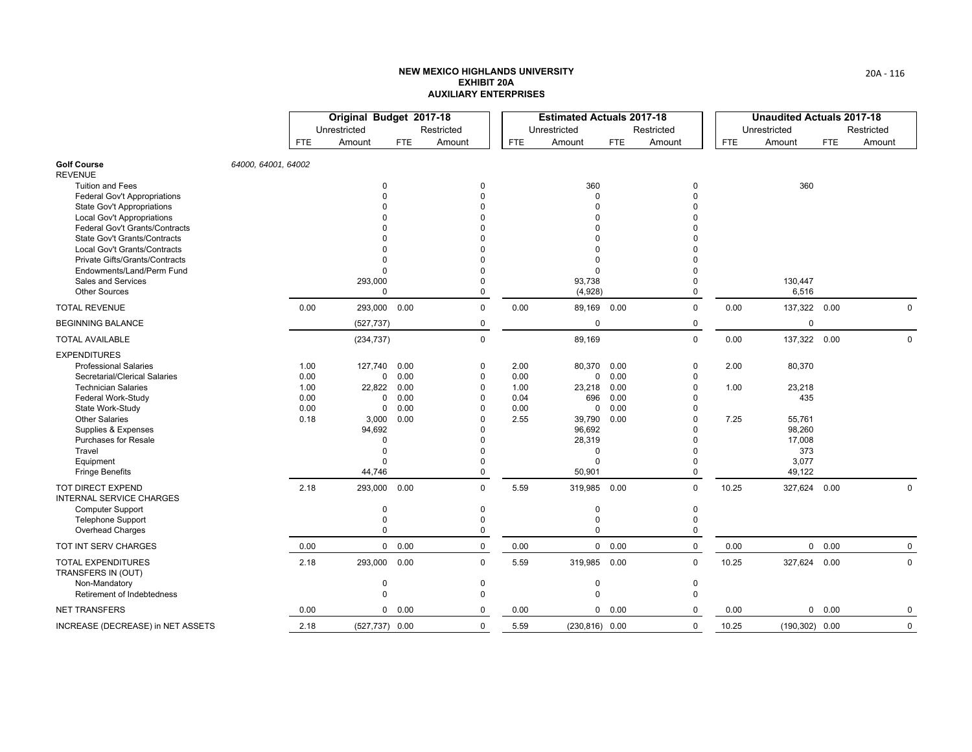|                                                                     |                     |      | Original Budget 2017-18 |        |                      |            | <b>Estimated Actuals 2017-18</b> |            |            |            | <b>Unaudited Actuals 2017-18</b> |            |             |
|---------------------------------------------------------------------|---------------------|------|-------------------------|--------|----------------------|------------|----------------------------------|------------|------------|------------|----------------------------------|------------|-------------|
|                                                                     |                     |      | Unrestricted            |        | Restricted           |            | Unrestricted                     |            | Restricted |            | Unrestricted                     |            | Restricted  |
|                                                                     |                     | FTE. | Amount                  | FTE    | Amount               | <b>FTE</b> | Amount                           | <b>FTE</b> | Amount     | <b>FTE</b> | Amount                           | <b>FTE</b> | Amount      |
| <b>Golf Course</b><br><b>REVENUE</b>                                | 64000, 64001, 64002 |      |                         |        |                      |            |                                  |            |            |            |                                  |            |             |
| <b>Tuition and Fees</b>                                             |                     |      | 0                       |        | 0                    |            | 360                              |            | 0          |            | 360                              |            |             |
| <b>Federal Gov't Appropriations</b>                                 |                     |      | $\Omega$                |        | $\Omega$             |            | 0                                |            | U          |            |                                  |            |             |
| <b>State Gov't Appropriations</b>                                   |                     |      |                         |        | $\Omega$<br>$\Omega$ |            | O                                |            |            |            |                                  |            |             |
| <b>Local Gov't Appropriations</b><br>Federal Gov't Grants/Contracts |                     |      |                         |        | $\Omega$             |            | 0<br>0                           |            |            |            |                                  |            |             |
| <b>State Gov't Grants/Contracts</b>                                 |                     |      |                         |        | $\Omega$             |            | U                                |            |            |            |                                  |            |             |
| Local Gov't Grants/Contracts                                        |                     |      |                         |        |                      |            | 0                                |            |            |            |                                  |            |             |
| Private Gifts/Grants/Contracts                                      |                     |      | $\Omega$                |        | $\Omega$             |            | 0                                |            |            |            |                                  |            |             |
| Endowments/Land/Perm Fund                                           |                     |      | $\Omega$                |        | $\Omega$             |            | $\Omega$                         |            |            |            |                                  |            |             |
| Sales and Services                                                  |                     |      | 293,000                 |        | $\Omega$             |            | 93,738                           |            | 0          |            | 130,447                          |            |             |
| <b>Other Sources</b>                                                |                     |      | $\mathbf 0$             |        | $\mathbf 0$          |            | (4,928)                          |            | 0          |            | 6,516                            |            |             |
| <b>TOTAL REVENUE</b>                                                |                     | 0.00 | 293,000                 | 0.00   | $\Omega$             | 0.00       | 89,169 0.00                      |            | $\Omega$   | 0.00       | 137,322                          | 0.00       | 0           |
| <b>BEGINNING BALANCE</b>                                            |                     |      | (527, 737)              |        | $\mathbf 0$          |            | 0                                |            | 0          |            | $\mathbf 0$                      |            |             |
| <b>TOTAL AVAILABLE</b>                                              |                     |      | (234, 737)              |        | $\mathbf{0}$         |            | 89,169                           |            | 0          | 0.00       | 137,322 0.00                     |            | 0           |
| <b>EXPENDITURES</b>                                                 |                     |      |                         |        |                      |            |                                  |            |            |            |                                  |            |             |
| <b>Professional Salaries</b>                                        |                     | 1.00 | 127,740 0.00            |        | $\mathbf 0$          | 2.00       | 80,370                           | 0.00       | 0          | 2.00       | 80,370                           |            |             |
| Secretarial/Clerical Salaries                                       |                     | 0.00 |                         | 0 0.00 | $\mathbf 0$          | 0.00       | 0                                | 0.00       |            |            |                                  |            |             |
| <b>Technician Salaries</b>                                          |                     | 1.00 | 22,822 0.00             |        | $\mathbf 0$          | 1.00       | 23,218                           | 0.00       |            | 1.00       | 23,218                           |            |             |
| <b>Federal Work-Study</b>                                           |                     | 0.00 | 0                       | 0.00   | $\Omega$             | 0.04       | 696                              | 0.00       |            |            | 435                              |            |             |
| State Work-Study                                                    |                     | 0.00 | 0                       | 0.00   | $\Omega$             | 0.00       | 0                                | 0.00       |            |            |                                  |            |             |
| <b>Other Salaries</b>                                               |                     | 0.18 | 3,000                   | 0.00   | $\Omega$             | 2.55       | 39,790                           | 0.00       |            | 7.25       | 55,761                           |            |             |
| Supplies & Expenses                                                 |                     |      | 94,692                  |        | $\Omega$             |            | 96,692                           |            |            |            | 98,260                           |            |             |
| <b>Purchases for Resale</b>                                         |                     |      | $\Omega$<br>$\Omega$    |        | $\Omega$<br>$\Omega$ |            | 28,319                           |            |            |            | 17,008                           |            |             |
| Travel<br>Equipment                                                 |                     |      | $\Omega$                |        | $\Omega$             |            | 0<br>0                           |            | 0          |            | 373<br>3,077                     |            |             |
| <b>Fringe Benefits</b>                                              |                     |      | 44,746                  |        | $\Omega$             |            | 50,901                           |            | 0          |            | 49,122                           |            |             |
| <b>TOT DIRECT EXPEND</b>                                            |                     | 2.18 | 293,000                 | 0.00   | $\mathbf 0$          | 5.59       | 319,985 0.00                     |            | 0          | 10.25      | 327,624                          | 0.00       | 0           |
| <b>INTERNAL SERVICE CHARGES</b>                                     |                     |      |                         |        |                      |            |                                  |            |            |            |                                  |            |             |
| <b>Computer Support</b>                                             |                     |      | $\mathbf 0$             |        | 0                    |            | 0                                |            | 0          |            |                                  |            |             |
| <b>Telephone Support</b>                                            |                     |      | $\mathbf 0$             |        | $\mathbf 0$          |            | 0                                |            | 0          |            |                                  |            |             |
| Overhead Charges                                                    |                     |      | $\Omega$                |        | $\mathbf 0$          |            | 0                                |            | 0          |            |                                  |            |             |
| TOT INT SERV CHARGES                                                |                     | 0.00 |                         | 0 0.00 | $\mathbf 0$          | 0.00       |                                  | 0 0.00     | 0          | 0.00       |                                  | 0 0.00     | $\mathbf 0$ |
| <b>TOTAL EXPENDITURES</b><br>TRANSFERS IN (OUT)                     |                     | 2.18 | 293,000 0.00            |        | $\Omega$             | 5.59       | 319,985 0.00                     |            | $\Omega$   | 10.25      | 327,624 0.00                     |            | $\mathbf 0$ |
| Non-Mandatory                                                       |                     |      | 0                       |        | $\mathbf 0$          |            | 0                                |            | 0          |            |                                  |            |             |
| Retirement of Indebtedness                                          |                     |      | $\mathbf 0$             |        | $\mathbf 0$          |            | 0                                |            | 0          |            |                                  |            |             |
| <b>NET TRANSFERS</b>                                                |                     | 0.00 |                         | 0 0.00 | $\Omega$             | 0.00       |                                  | 0 0.00     | 0          | 0.00       | 0                                | 0.00       | 0           |
| INCREASE (DECREASE) in NET ASSETS                                   |                     | 2.18 | $(527, 737)$ 0.00       |        | $\mathbf 0$          | 5.59       | $(230, 816)$ 0.00                |            | 0          | 10.25      | $(190, 302)$ 0.00                |            | $\mathbf 0$ |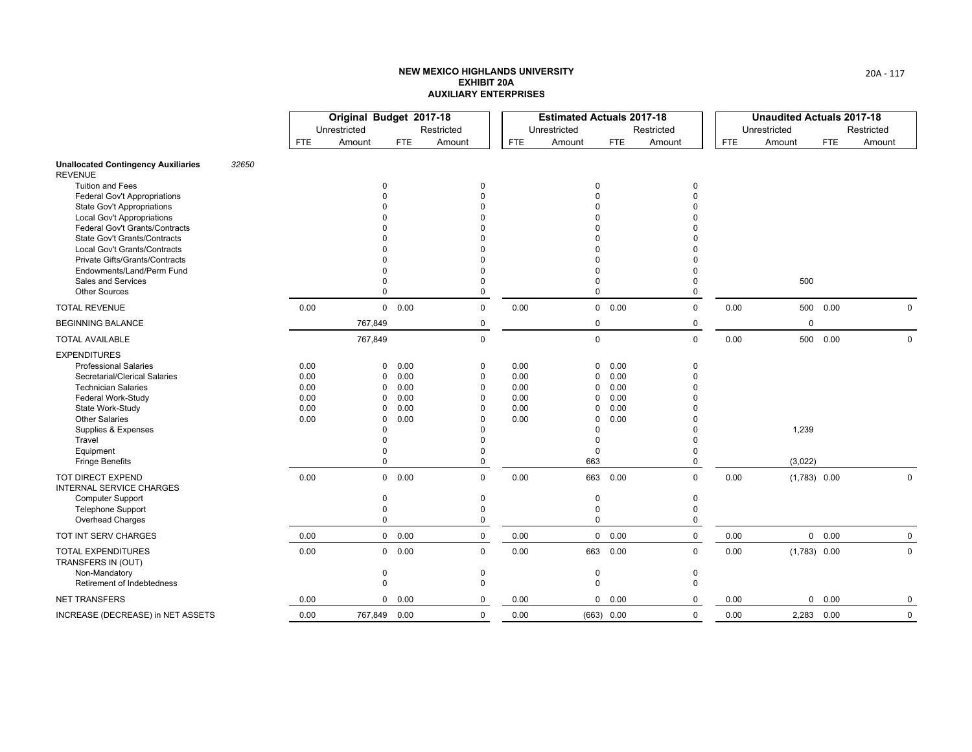|                                                                        |       |              | Original Budget 2017-18 |              |                         |              | <b>Estimated Actuals 2017-18</b> |              |             |            | <b>Unaudited Actuals 2017-18</b> |            |             |
|------------------------------------------------------------------------|-------|--------------|-------------------------|--------------|-------------------------|--------------|----------------------------------|--------------|-------------|------------|----------------------------------|------------|-------------|
|                                                                        |       |              | Unrestricted            |              | Restricted              |              | Unrestricted                     |              | Restricted  |            | Unrestricted                     |            | Restricted  |
|                                                                        |       | FTE.         | Amount                  | <b>FTE</b>   | Amount                  | <b>FTE</b>   | Amount                           | <b>FTE</b>   | Amount      | <b>FTE</b> | Amount                           | <b>FTE</b> | Amount      |
| <b>Unallocated Contingency Auxiliaries</b><br><b>REVENUE</b>           | 32650 |              |                         |              |                         |              |                                  |              |             |            |                                  |            |             |
| <b>Tuition and Fees</b>                                                |       |              | $\Omega$                |              | $\Omega$                |              | $\Omega$                         |              | $\Omega$    |            |                                  |            |             |
| <b>Federal Gov't Appropriations</b>                                    |       |              |                         |              | $\Omega$<br>$\Omega$    |              | 0                                |              |             |            |                                  |            |             |
| <b>State Gov't Appropriations</b><br><b>Local Gov't Appropriations</b> |       |              |                         |              |                         |              |                                  |              |             |            |                                  |            |             |
| <b>Federal Gov't Grants/Contracts</b>                                  |       |              |                         |              |                         |              |                                  |              |             |            |                                  |            |             |
| State Gov't Grants/Contracts                                           |       |              |                         |              |                         |              |                                  |              |             |            |                                  |            |             |
| <b>Local Gov't Grants/Contracts</b>                                    |       |              |                         |              |                         |              | U                                |              |             |            |                                  |            |             |
| Private Gifts/Grants/Contracts                                         |       |              |                         |              | $\Omega$                |              | 0                                |              |             |            |                                  |            |             |
| Endowments/Land/Perm Fund<br>Sales and Services                        |       |              | $\Omega$                |              | $\Omega$<br>$\Omega$    |              | O<br>0                           |              | 0           |            | 500                              |            |             |
| <b>Other Sources</b>                                                   |       |              | $\Omega$                |              | $\Omega$                |              | $\Omega$                         |              | 0           |            |                                  |            |             |
| <b>TOTAL REVENUE</b>                                                   |       | 0.00         |                         | 0 0.00       | $\mathbf 0$             | 0.00         |                                  | 0 0.00       | 0           | 0.00       |                                  | 500  0.00  | $\mathbf 0$ |
| <b>BEGINNING BALANCE</b>                                               |       |              | 767,849                 |              | 0                       |              | 0                                |              | 0           |            | $\mathbf 0$                      |            |             |
| <b>TOTAL AVAILABLE</b>                                                 |       |              | 767,849                 |              | $\mathbf 0$             |              | 0                                |              | 0           | 0.00       | 500                              | 0.00       | $\mathbf 0$ |
| <b>EXPENDITURES</b>                                                    |       |              |                         |              |                         |              |                                  |              |             |            |                                  |            |             |
| <b>Professional Salaries</b>                                           |       | 0.00         | $\Omega$                | 0.00         | $\mathbf 0$             | 0.00         | 0                                | 0.00         | $\Omega$    |            |                                  |            |             |
| Secretarial/Clerical Salaries                                          |       | 0.00         | 0                       | 0.00         | $\mathbf 0$             | 0.00         | 0                                | 0.00         | 0           |            |                                  |            |             |
| <b>Technician Salaries</b>                                             |       | 0.00         | $\Omega$                | 0.00         | $\mathbf 0$             | 0.00         | 0                                | 0.00         |             |            |                                  |            |             |
| Federal Work-Study                                                     |       | 0.00<br>0.00 | 0<br>$\Omega$           | 0.00<br>0.00 | $\mathbf 0$<br>$\Omega$ | 0.00<br>0.00 | 0<br>$\Omega$                    | 0.00<br>0.00 |             |            |                                  |            |             |
| State Work-Study<br><b>Other Salaries</b>                              |       | 0.00         | $\Omega$                | 0.00         | $\Omega$                | 0.00         | 0                                | 0.00         |             |            |                                  |            |             |
| Supplies & Expenses                                                    |       |              | $\Omega$                |              | $\Omega$                |              | 0                                |              |             |            | 1,239                            |            |             |
| Travel                                                                 |       |              | $\Omega$                |              | $\Omega$                |              | 0                                |              |             |            |                                  |            |             |
| Equipment                                                              |       |              | 0                       |              | $\Omega$                |              | 0                                |              | O           |            |                                  |            |             |
| <b>Fringe Benefits</b>                                                 |       |              | $\Omega$                |              | $\Omega$                |              | 663                              |              | 0           |            | (3,022)                          |            |             |
| TOT DIRECT EXPEND<br><b>INTERNAL SERVICE CHARGES</b>                   |       | 0.00         |                         | 0 0.00       | $\Omega$                | 0.00         |                                  | 663 0.00     | $\Omega$    | 0.00       | $(1,783)$ 0.00                   |            | $\mathsf 0$ |
| Computer Support                                                       |       |              | 0                       |              | 0                       |              | 0                                |              | 0           |            |                                  |            |             |
| Telephone Support                                                      |       |              | $\mathbf 0$             |              | $\Omega$                |              | 0                                |              | 0           |            |                                  |            |             |
| Overhead Charges                                                       |       |              | 0                       |              | $\mathbf 0$             |              | $\Omega$                         |              | 0           |            |                                  |            |             |
| TOT INT SERV CHARGES                                                   |       | 0.00         |                         | 0 0.00       | $\mathbf 0$             | 0.00         |                                  | 0 0.00       | $\mathbf 0$ | 0.00       |                                  | 0 0.00     | $\mathbf 0$ |
| <b>TOTAL EXPENDITURES</b><br>TRANSFERS IN (OUT)                        |       | 0.00         |                         | 0 0.00       | $\mathbf 0$             | 0.00         |                                  | 663 0.00     | 0           | 0.00       | $(1,783)$ 0.00                   |            | $\mathbf 0$ |
| Non-Mandatory                                                          |       |              | 0                       |              | 0                       |              | 0                                |              | 0           |            |                                  |            |             |
| Retirement of Indebtedness                                             |       |              | $\Omega$                |              | $\Omega$                |              | $\Omega$                         |              | $\Omega$    |            |                                  |            |             |
| <b>NET TRANSFERS</b>                                                   |       | 0.00         | 0                       | 0.00         | 0                       | 0.00         |                                  | 0 0.00       | 0           | 0.00       | 0                                | 0.00       | 0           |
| INCREASE (DECREASE) in NET ASSETS                                      |       | 0.00         | 767,849 0.00            |              | $\mathbf 0$             | 0.00         |                                  | (663) 0.00   | 0           | 0.00       |                                  | 2,283 0.00 | 0           |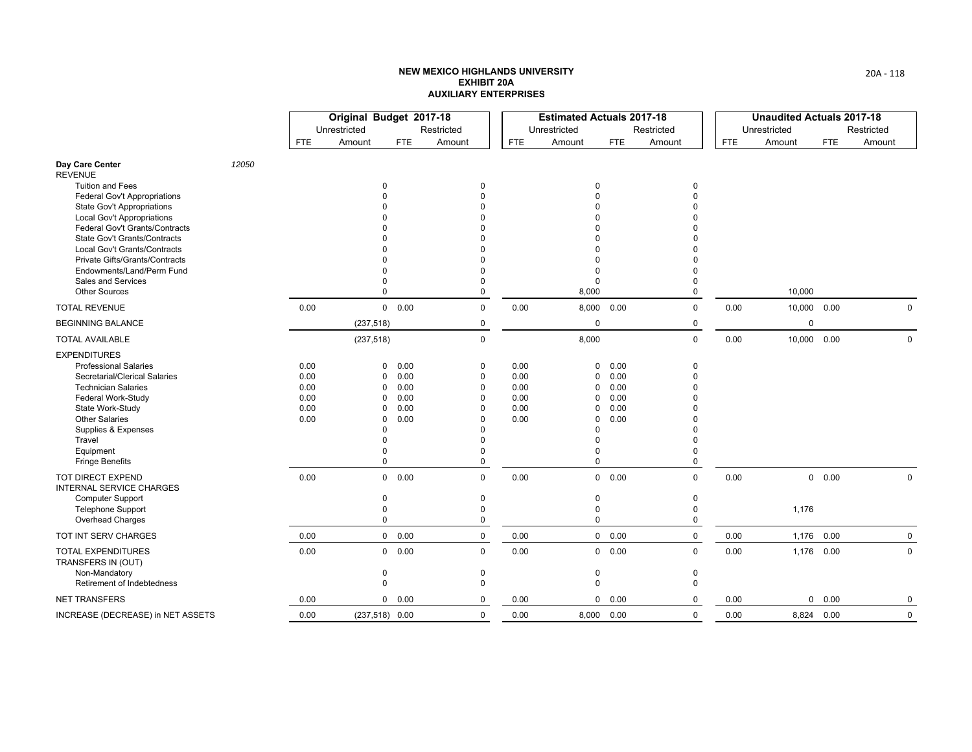|                                                                 |       |              | Original Budget 2017-18 |               |                         |              | <b>Estimated Actuals 2017-18</b> |               |                      |            | <b>Unaudited Actuals 2017-18</b> |               |              |
|-----------------------------------------------------------------|-------|--------------|-------------------------|---------------|-------------------------|--------------|----------------------------------|---------------|----------------------|------------|----------------------------------|---------------|--------------|
|                                                                 |       |              | Unrestricted            |               | Restricted              |              | Unrestricted                     |               | Restricted           |            | Unrestricted                     |               | Restricted   |
|                                                                 |       | <b>FTE</b>   | Amount                  | <b>FTE</b>    | Amount                  | <b>FTE</b>   | Amount                           | <b>FTE</b>    | Amount               | <b>FTE</b> | Amount                           | <b>FTE</b>    | Amount       |
| Day Care Center<br><b>REVENUE</b>                               | 12050 |              |                         |               |                         |              |                                  |               |                      |            |                                  |               |              |
| Tuition and Fees                                                |       |              |                         |               | $\Omega$                |              | $\mathbf 0$                      |               | $\Omega$             |            |                                  |               |              |
| Federal Gov't Appropriations                                    |       |              |                         |               |                         |              | $\Omega$                         |               | $\Omega$             |            |                                  |               |              |
| <b>State Gov't Appropriations</b><br>Local Gov't Appropriations |       |              |                         |               |                         |              | $\Omega$<br>$\Omega$             |               |                      |            |                                  |               |              |
| <b>Federal Gov't Grants/Contracts</b>                           |       |              |                         |               |                         |              | $\Omega$                         |               | $\Omega$             |            |                                  |               |              |
| State Gov't Grants/Contracts                                    |       |              |                         |               |                         |              | $\Omega$                         |               | $\Omega$             |            |                                  |               |              |
| Local Gov't Grants/Contracts                                    |       |              |                         |               |                         |              | $\Omega$                         |               |                      |            |                                  |               |              |
| Private Gifts/Grants/Contracts                                  |       |              |                         |               |                         |              | $\Omega$                         |               |                      |            |                                  |               |              |
| Endowments/Land/Perm Fund<br>Sales and Services                 |       |              |                         |               | $\Omega$                |              | $\Omega$<br>$\Omega$             |               | $\Omega$<br>$\Omega$ |            |                                  |               |              |
| <b>Other Sources</b>                                            |       |              | $\Omega$                |               | $\Omega$                |              | 8,000                            |               | $\Omega$             |            | 10,000                           |               |              |
| <b>TOTAL REVENUE</b>                                            |       | 0.00         |                         | 0 0.00        | $\mathbf 0$             | 0.00         | 8,000 0.00                       |               | 0                    | 0.00       | 10,000 0.00                      |               | $\mathbf{0}$ |
| <b>BEGINNING BALANCE</b>                                        |       |              | (237, 518)              |               | 0                       |              | $\mathbf 0$                      |               | 0                    |            | $\mathbf 0$                      |               |              |
| <b>TOTAL AVAILABLE</b>                                          |       |              | (237, 518)              |               | $\mathbf 0$             |              | 8,000                            |               | $\mathbf 0$          | 0.00       | 10,000 0.00                      |               | $\mathbf 0$  |
| <b>EXPENDITURES</b>                                             |       |              |                         |               |                         |              |                                  |               |                      |            |                                  |               |              |
| <b>Professional Salaries</b>                                    |       | 0.00         | $\Omega$                | 0.00          | 0                       | 0.00         | $\mathbf{0}$                     | 0.00          | $\mathbf 0$          |            |                                  |               |              |
| Secretarial/Clerical Salaries                                   |       | 0.00         | $\Omega$                | 0.00          | $\mathbf 0$             | 0.00         | 0                                | 0.00          | $\theta$             |            |                                  |               |              |
| <b>Technician Salaries</b>                                      |       | 0.00         | $\Omega$                | 0.00          | 0                       | 0.00         | 0                                | 0.00          | $\Omega$             |            |                                  |               |              |
| Federal Work-Study<br>State Work-Study                          |       | 0.00<br>0.00 | $\Omega$<br>$\Omega$    | 0.00<br>0.00  | $\Omega$<br>$\Omega$    | 0.00<br>0.00 | 0<br>$\mathbf 0$                 | 0.00<br>0.00  | $\Omega$<br>$\Omega$ |            |                                  |               |              |
| <b>Other Salaries</b>                                           |       | 0.00         | 0                       | 0.00          | $\Omega$                | 0.00         | 0                                | 0.00          | $\Omega$             |            |                                  |               |              |
| Supplies & Expenses                                             |       |              |                         |               |                         |              | $\Omega$                         |               | $\Omega$             |            |                                  |               |              |
| Travel                                                          |       |              |                         |               |                         |              | $\Omega$                         |               | $\Omega$             |            |                                  |               |              |
| Equipment                                                       |       |              |                         |               | $\Omega$                |              | $\Omega$                         |               | $\Omega$             |            |                                  |               |              |
| <b>Fringe Benefits</b>                                          |       |              | $\Omega$                |               | 0                       |              | $\Omega$                         |               | 0                    |            |                                  |               |              |
| <b>TOT DIRECT EXPEND</b><br><b>INTERNAL SERVICE CHARGES</b>     |       | 0.00         |                         | 0 0.00        | $\mathbf 0$             | 0.00         |                                  | $0\quad 0.00$ | $\mathbf 0$          | 0.00       |                                  | $0\quad 0.00$ | $\mathbf 0$  |
| <b>Computer Support</b>                                         |       |              | $\Omega$                |               | $\Omega$                |              | $\mathbf 0$                      |               | $\pmb{0}$            |            |                                  |               |              |
| <b>Telephone Support</b>                                        |       |              | $\Omega$                |               | $\Omega$<br>$\mathbf 0$ |              | $\mathbf 0$<br>$\mathbf 0$       |               | $\mathbf 0$          |            | 1,176                            |               |              |
| Overhead Charges                                                |       |              | 0                       |               |                         |              |                                  |               | 0                    |            |                                  |               |              |
| TOT INT SERV CHARGES                                            |       | 0.00         |                         | $0\quad 0.00$ | $\mathbf 0$             | 0.00         |                                  | $0\quad 0.00$ | $\mathbf 0$          | 0.00       | 1,176                            | 0.00          | $\mathbf 0$  |
| <b>TOTAL EXPENDITURES</b><br>TRANSFERS IN (OUT)                 |       | 0.00         |                         | 0 0.00        | $\mathbf 0$             | 0.00         |                                  | 0 0.00        | $\mathbf 0$          | 0.00       | 1,176 0.00                       |               | $\mathbf 0$  |
| Non-Mandatory                                                   |       |              | $\Omega$<br>$\Omega$    |               | 0<br>$\Omega$           |              | 0<br>$\mathbf 0$                 |               | 0<br>$\mathbf 0$     |            |                                  |               |              |
| Retirement of Indebtedness                                      |       |              |                         |               |                         |              |                                  |               |                      |            |                                  |               |              |
| <b>NET TRANSFERS</b>                                            |       | 0.00         |                         | 0 0.00        | 0                       | 0.00         |                                  | 0 0.00        | $\Omega$             | 0.00       |                                  | $0\quad 0.00$ | 0            |
| INCREASE (DECREASE) in NET ASSETS                               |       | 0.00         | $(237,518)$ 0.00        |               | $\mathbf 0$             | 0.00         | 8,000 0.00                       |               | $\mathbf 0$          | 0.00       | 8,824 0.00                       |               | $\mathsf 0$  |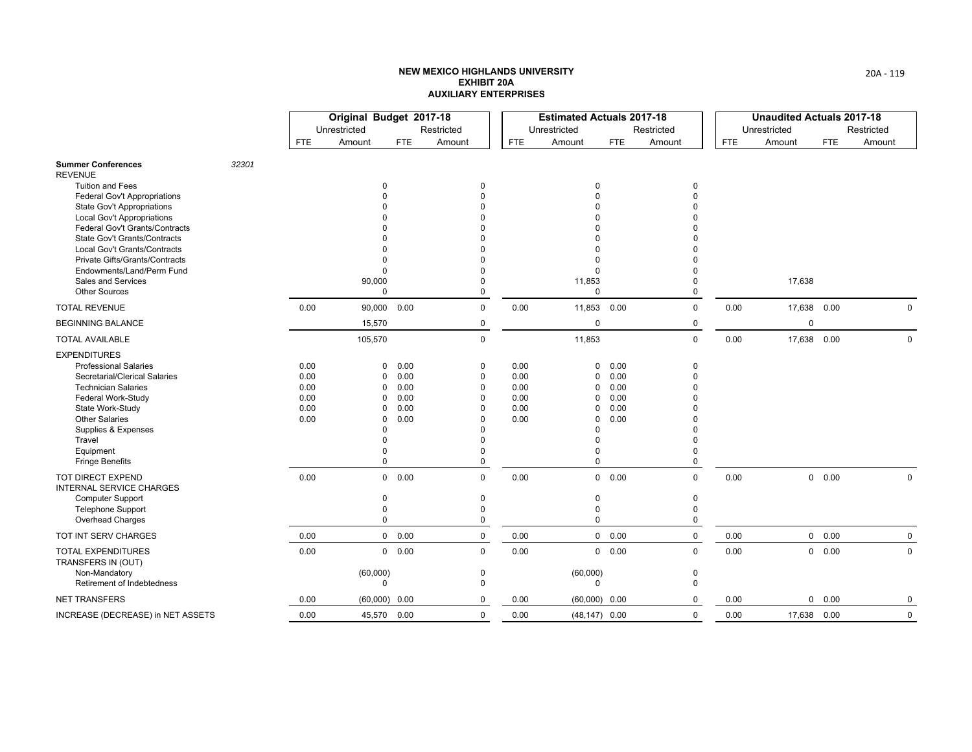|                                                                        |       |              | Original Budget 2017-18 |              |                      |              | <b>Estimated Actuals 2017-18</b> |              |            |            | <b>Unaudited Actuals 2017-18</b> |            |             |
|------------------------------------------------------------------------|-------|--------------|-------------------------|--------------|----------------------|--------------|----------------------------------|--------------|------------|------------|----------------------------------|------------|-------------|
|                                                                        |       |              | Unrestricted            |              | Restricted           |              | Unrestricted                     |              | Restricted |            | Unrestricted                     |            | Restricted  |
|                                                                        |       | <b>FTE</b>   | Amount                  | <b>FTE</b>   | Amount               | <b>FTE</b>   | Amount                           | <b>FTE</b>   | Amount     | <b>FTE</b> | Amount                           | <b>FTE</b> | Amount      |
| <b>Summer Conferences</b><br><b>REVENUE</b>                            | 32301 |              |                         |              |                      |              |                                  |              |            |            |                                  |            |             |
| <b>Tuition and Fees</b>                                                |       |              | $\Omega$                |              | $\Omega$             |              | 0                                |              | $\Omega$   |            |                                  |            |             |
| <b>Federal Gov't Appropriations</b>                                    |       |              |                         |              | $\Omega$             |              | $\Omega$                         |              |            |            |                                  |            |             |
| <b>State Gov't Appropriations</b><br><b>Local Gov't Appropriations</b> |       |              |                         |              | $\Omega$<br>$\Omega$ |              | U                                |              |            |            |                                  |            |             |
| Federal Gov't Grants/Contracts                                         |       |              |                         |              | <sup>n</sup>         |              |                                  |              |            |            |                                  |            |             |
| <b>State Gov't Grants/Contracts</b>                                    |       |              |                         |              | $\Omega$             |              |                                  |              |            |            |                                  |            |             |
| Local Gov't Grants/Contracts                                           |       |              |                         |              |                      |              | U                                |              |            |            |                                  |            |             |
| Private Gifts/Grants/Contracts                                         |       |              | $\Omega$                |              | $\Omega$             |              | 0                                |              |            |            |                                  |            |             |
| Endowments/Land/Perm Fund<br>Sales and Services                        |       |              | $\Omega$                |              | $\Omega$<br>$\Omega$ |              | 0                                |              | U          |            | 17,638                           |            |             |
| <b>Other Sources</b>                                                   |       |              | 90,000<br>$\mathbf 0$   |              | $\mathbf 0$          |              | 11,853<br>0                      |              | 0          |            |                                  |            |             |
| <b>TOTAL REVENUE</b>                                                   |       | 0.00         | 90,000 0.00             |              | $\mathbf 0$          | 0.00         | 11,853 0.00                      |              | 0          | 0.00       | 17,638 0.00                      |            | $\mathbf 0$ |
| <b>BEGINNING BALANCE</b>                                               |       |              | 15,570                  |              | 0                    |              | $\mathbf 0$                      |              | 0          |            | $\mathbf 0$                      |            |             |
| <b>TOTAL AVAILABLE</b>                                                 |       |              | 105,570                 |              | 0                    |              | 11,853                           |              | 0          | 0.00       | 17,638 0.00                      |            | $\mathsf 0$ |
| <b>EXPENDITURES</b>                                                    |       |              |                         |              |                      |              |                                  |              |            |            |                                  |            |             |
| <b>Professional Salaries</b>                                           |       | 0.00         | 0                       | 0.00         | 0                    | 0.00         | 0                                | 0.00         | 0          |            |                                  |            |             |
| Secretarial/Clerical Salaries                                          |       | 0.00         | 0                       | 0.00         | 0                    | 0.00         | 0                                | 0.00         | 0          |            |                                  |            |             |
| <b>Technician Salaries</b>                                             |       | 0.00         | $\Omega$                | 0.00         | $\Omega$             | 0.00         | $\mathbf 0$                      | 0.00         |            |            |                                  |            |             |
| Federal Work-Study<br>State Work-Study                                 |       | 0.00<br>0.00 | $\Omega$<br>$\Omega$    | 0.00<br>0.00 | $\Omega$<br>$\Omega$ | 0.00<br>0.00 | 0<br>0                           | 0.00<br>0.00 |            |            |                                  |            |             |
| <b>Other Salaries</b>                                                  |       | 0.00         | $\Omega$                | 0.00         | $\Omega$             | 0.00         | $\Omega$                         | 0.00         |            |            |                                  |            |             |
| Supplies & Expenses                                                    |       |              | $\Omega$                |              | $\Omega$             |              | 0                                |              |            |            |                                  |            |             |
| Travel                                                                 |       |              | $\Omega$                |              | $\Omega$             |              | 0                                |              |            |            |                                  |            |             |
| Equipment                                                              |       |              | $\Omega$                |              | $\Omega$             |              | 0                                |              |            |            |                                  |            |             |
| <b>Fringe Benefits</b>                                                 |       |              | 0                       |              | 0                    |              | $\Omega$                         |              | 0          |            |                                  |            |             |
| TOT DIRECT EXPEND<br><b>INTERNAL SERVICE CHARGES</b>                   |       | 0.00         |                         | 0 0.00       | 0                    | 0.00         |                                  | 0 0.00       | 0          | 0.00       |                                  | 0 0.00     | $\mathbf 0$ |
| <b>Computer Support</b>                                                |       |              | 0                       |              | 0                    |              | 0                                |              | 0          |            |                                  |            |             |
| <b>Telephone Support</b>                                               |       |              | 0                       |              | 0                    |              | 0                                |              | 0          |            |                                  |            |             |
| Overhead Charges                                                       |       |              | $\mathbf 0$             |              | 0                    |              | $\Omega$                         |              | 0          |            |                                  |            |             |
| TOT INT SERV CHARGES                                                   |       | 0.00         |                         | 0 0.00       | $\mathbf 0$          | 0.00         |                                  | 0 0.00       | 0          | 0.00       |                                  | 0 0.00     | $\mathbf 0$ |
| TOTAL EXPENDITURES<br>TRANSFERS IN (OUT)                               |       | 0.00         |                         | 0 0.00       | $\mathbf 0$          | 0.00         |                                  | 0 0.00       | 0          | 0.00       | 0                                | 0.00       | $\mathbf 0$ |
| Non-Mandatory                                                          |       |              | (60,000)                |              | 0                    |              | (60,000)                         |              | 0          |            |                                  |            |             |
| Retirement of Indebtedness                                             |       |              | $\Omega$                |              | $\Omega$             |              | 0                                |              | 0          |            |                                  |            |             |
| <b>NET TRANSFERS</b>                                                   |       | 0.00         | (60,000)                | 0.00         | 0                    | 0.00         | $(60,000)$ 0.00                  |              | $\Omega$   | 0.00       | 0                                | 0.00       | 0           |
| INCREASE (DECREASE) in NET ASSETS                                      |       | 0.00         | 45,570 0.00             |              | 0                    | 0.00         | $(48, 147)$ 0.00                 |              | 0          | 0.00       | 17,638 0.00                      |            | 0           |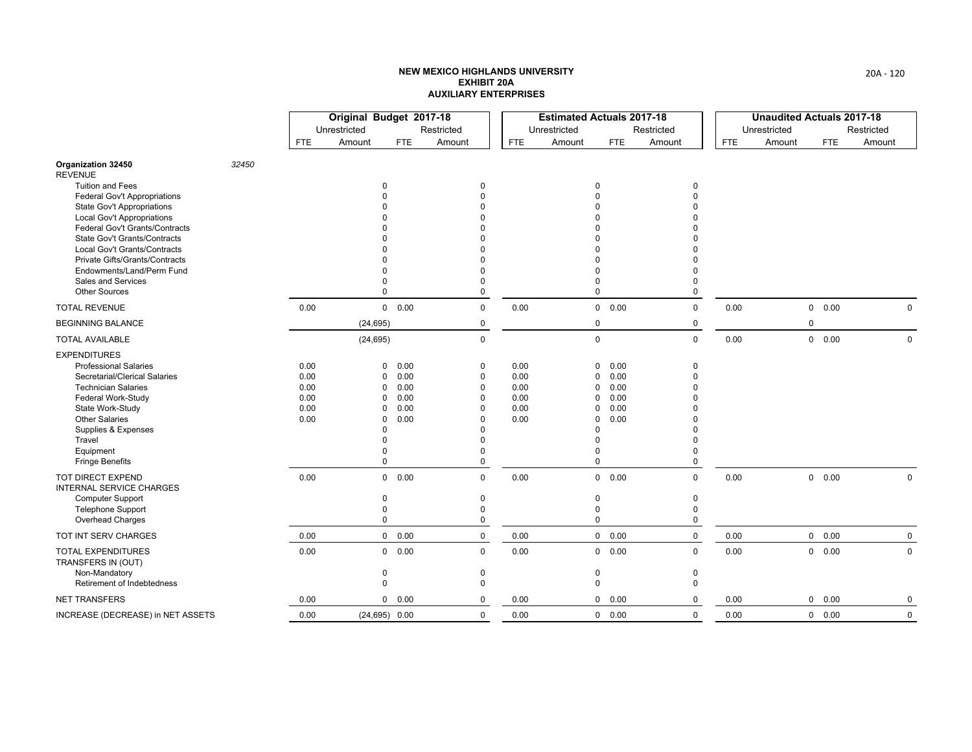|                                                             |       |              | Original Budget 2017-18 |               |               |              | <b>Estimated Actuals 2017-18</b> |                        |                      |            | <b>Unaudited Actuals 2017-18</b> |               |              |
|-------------------------------------------------------------|-------|--------------|-------------------------|---------------|---------------|--------------|----------------------------------|------------------------|----------------------|------------|----------------------------------|---------------|--------------|
|                                                             |       |              | Unrestricted            |               | Restricted    |              | Unrestricted                     |                        | Restricted           |            | Unrestricted                     |               | Restricted   |
|                                                             |       | <b>FTE</b>   | Amount                  | <b>FTE</b>    | Amount        | <b>FTE</b>   | Amount                           | <b>FTE</b>             | Amount               | <b>FTE</b> | Amount                           | <b>FTE</b>    | Amount       |
| Organization 32450<br><b>REVENUE</b>                        | 32450 |              |                         |               |               |              |                                  |                        |                      |            |                                  |               |              |
| <b>Tuition and Fees</b>                                     |       |              |                         |               |               |              |                                  | $\Omega$               | $\Omega$             |            |                                  |               |              |
| <b>Federal Gov't Appropriations</b>                         |       |              |                         |               |               |              |                                  | $\Omega$<br>$\Omega$   | $\Omega$             |            |                                  |               |              |
| State Gov't Appropriations<br>Local Gov't Appropriations    |       |              |                         |               |               |              |                                  | $\Omega$               |                      |            |                                  |               |              |
| <b>Federal Gov't Grants/Contracts</b>                       |       |              |                         |               |               |              |                                  | $\Omega$               |                      |            |                                  |               |              |
| <b>State Gov't Grants/Contracts</b>                         |       |              |                         |               |               |              |                                  | $\Omega$               | $\Omega$             |            |                                  |               |              |
| Local Gov't Grants/Contracts                                |       |              |                         |               |               |              |                                  | $\Omega$               |                      |            |                                  |               |              |
| Private Gifts/Grants/Contracts<br>Endowments/Land/Perm Fund |       |              |                         |               |               |              |                                  | $\Omega$<br>$\Omega$   | $\Omega$             |            |                                  |               |              |
| Sales and Services                                          |       |              |                         |               | $\Omega$      |              |                                  | $\Omega$               | $\Omega$             |            |                                  |               |              |
| <b>Other Sources</b>                                        |       |              | $\Omega$                |               | $\Omega$      |              |                                  | $\Omega$               | $\Omega$             |            |                                  |               |              |
| <b>TOTAL REVENUE</b>                                        |       | 0.00         |                         | 0 0.00        | $\mathbf 0$   | 0.00         |                                  | $0\quad 0.00$          | 0                    | 0.00       |                                  | 0 0.00        | $\mathbf{0}$ |
| <b>BEGINNING BALANCE</b>                                    |       |              | (24, 695)               |               | 0             |              |                                  | 0                      | 0                    |            | $\Omega$                         |               |              |
| <b>TOTAL AVAILABLE</b>                                      |       |              | (24, 695)               |               | $\mathbf 0$   |              |                                  | $\mathsf 0$            | $\mathbf 0$          | 0.00       |                                  | $0\quad 0.00$ | $\mathbf 0$  |
| <b>EXPENDITURES</b>                                         |       |              |                         |               |               |              |                                  |                        |                      |            |                                  |               |              |
| <b>Professional Salaries</b>                                |       | 0.00         | $\Omega$                | 0.00          | 0             | 0.00         |                                  | 0.00<br>$\mathbf{0}$   | $\mathbf 0$          |            |                                  |               |              |
| Secretarial/Clerical Salaries                               |       | 0.00         | $\Omega$                | 0.00          | $\mathbf 0$   | 0.00         |                                  | 0.00<br>0              | $\theta$             |            |                                  |               |              |
| <b>Technician Salaries</b><br>Federal Work-Study            |       | 0.00<br>0.00 | $\Omega$<br>$\Omega$    | 0.00<br>0.00  | 0<br>$\Omega$ | 0.00<br>0.00 |                                  | 0<br>0.00<br>0<br>0.00 | $\Omega$<br>$\Omega$ |            |                                  |               |              |
| State Work-Study                                            |       | 0.00         | $\Omega$                | 0.00          | $\Omega$      | 0.00         |                                  | 0.00<br>0              | $\Omega$             |            |                                  |               |              |
| <b>Other Salaries</b>                                       |       | 0.00         | 0                       | 0.00          | $\Omega$      | 0.00         |                                  | 0<br>0.00              | $\Omega$             |            |                                  |               |              |
| Supplies & Expenses                                         |       |              | ŋ                       |               |               |              |                                  | $\Omega$               | $\Omega$             |            |                                  |               |              |
| Travel                                                      |       |              |                         |               |               |              |                                  | $\Omega$               | $\Omega$             |            |                                  |               |              |
| Equipment<br><b>Fringe Benefits</b>                         |       |              | $\Omega$                |               | $\Omega$<br>0 |              |                                  | $\Omega$<br>$\Omega$   | $\Omega$<br>0        |            |                                  |               |              |
|                                                             |       |              |                         |               |               |              |                                  |                        |                      |            |                                  |               |              |
| <b>TOT DIRECT EXPEND</b><br><b>INTERNAL SERVICE CHARGES</b> |       | 0.00         |                         | 0 0.00        | $\mathbf 0$   | 0.00         |                                  | $0\quad 0.00$          | $\mathbf 0$          | 0.00       |                                  | $0\quad 0.00$ | $\mathbf 0$  |
| <b>Computer Support</b>                                     |       |              | $\Omega$                |               | $\Omega$      |              |                                  | $\mathbf 0$            | $\pmb{0}$            |            |                                  |               |              |
| <b>Telephone Support</b>                                    |       |              | $\Omega$                |               | $\Omega$      |              |                                  | $\mathbf 0$            | $\mathbf 0$          |            |                                  |               |              |
| Overhead Charges                                            |       |              | 0                       |               | $\mathbf 0$   |              |                                  | $\mathbf 0$            | 0                    |            |                                  |               |              |
| TOT INT SERV CHARGES                                        |       | 0.00         |                         | $0\quad 0.00$ | $\mathbf 0$   | 0.00         |                                  | $0\quad 0.00$          | $\mathbf 0$          | 0.00       |                                  | 0 0.00        | $\mathbf 0$  |
| <b>TOTAL EXPENDITURES</b><br>TRANSFERS IN (OUT)             |       | 0.00         |                         | 0 0.00        | $\mathbf 0$   | 0.00         |                                  | 0 0.00                 | $\mathbf 0$          | 0.00       |                                  | 0 0.00        | $\mathbf 0$  |
| Non-Mandatory                                               |       |              | $\Omega$                |               | 0             |              |                                  | 0                      | 0                    |            |                                  |               |              |
| Retirement of Indebtedness                                  |       |              | $\Omega$                |               | $\Omega$      |              |                                  | $\mathbf 0$            | $\mathbf 0$          |            |                                  |               |              |
| <b>NET TRANSFERS</b>                                        |       | 0.00         |                         | 0 0.00        | 0             | 0.00         |                                  | 0 0.00                 | 0                    | 0.00       |                                  | $0\quad 0.00$ | 0            |
| INCREASE (DECREASE) in NET ASSETS                           |       | 0.00         | $(24, 695)$ 0.00        |               | $\mathbf 0$   | 0.00         |                                  | 0 0.00                 | $\mathbf 0$          | 0.00       |                                  | $0\quad 0.00$ | $\mathsf 0$  |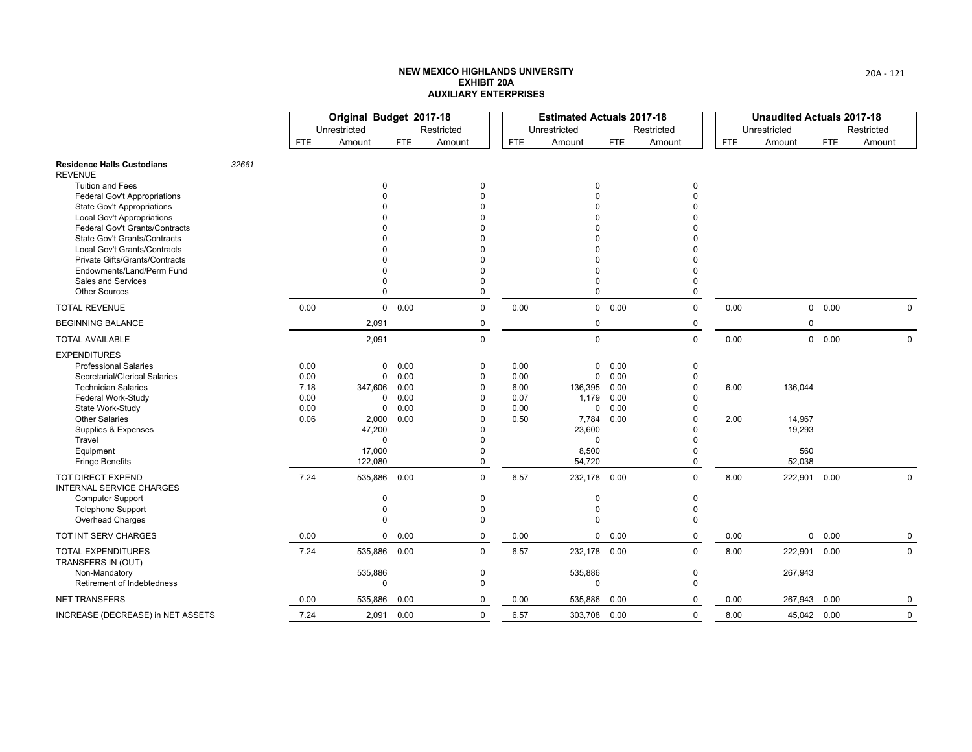|                                                                        |       |              | Original Budget 2017-18 |               |                      |              | <b>Estimated Actuals 2017-18</b> |              |                            |            | <b>Unaudited Actuals 2017-18</b> |               |             |
|------------------------------------------------------------------------|-------|--------------|-------------------------|---------------|----------------------|--------------|----------------------------------|--------------|----------------------------|------------|----------------------------------|---------------|-------------|
|                                                                        |       |              | Unrestricted            |               | Restricted           |              | Unrestricted                     |              | Restricted                 |            | Unrestricted                     |               | Restricted  |
|                                                                        |       | <b>FTE</b>   | Amount                  | <b>FTE</b>    | Amount               | <b>FTE</b>   | Amount                           | <b>FTE</b>   | Amount                     | <b>FTE</b> | Amount                           | <b>FTE</b>    | Amount      |
| <b>Residence Halls Custodians</b><br><b>REVENUE</b>                    | 32661 |              |                         |               |                      |              |                                  |              |                            |            |                                  |               |             |
| <b>Tuition and Fees</b>                                                |       |              | <sup>0</sup>            |               | $\Omega$             |              | $\Omega$                         |              | $\Omega$                   |            |                                  |               |             |
| <b>Federal Gov't Appropriations</b>                                    |       |              |                         |               | $\Omega$             |              | $\Omega$                         |              | $\Omega$                   |            |                                  |               |             |
| <b>State Gov't Appropriations</b><br><b>Local Gov't Appropriations</b> |       |              |                         |               | $\Omega$<br>$\Omega$ |              | $\Omega$<br>$\Omega$             |              |                            |            |                                  |               |             |
| Federal Gov't Grants/Contracts                                         |       |              |                         |               | $\Omega$             |              | $\Omega$                         |              |                            |            |                                  |               |             |
| State Gov't Grants/Contracts                                           |       |              |                         |               |                      |              | $\Omega$                         |              |                            |            |                                  |               |             |
| Local Gov't Grants/Contracts                                           |       |              |                         |               |                      |              | $\Omega$                         |              |                            |            |                                  |               |             |
| Private Gifts/Grants/Contracts                                         |       |              |                         |               |                      |              | $\Omega$                         |              |                            |            |                                  |               |             |
| Endowments/Land/Perm Fund                                              |       |              |                         |               | $\Omega$             |              | $\Omega$                         |              | 0                          |            |                                  |               |             |
| Sales and Services<br><b>Other Sources</b>                             |       |              | $\Omega$<br>$\Omega$    |               | $\Omega$<br>$\Omega$ |              | $\Omega$<br>$\Omega$             |              | 0<br>$\Omega$              |            |                                  |               |             |
| <b>TOTAL REVENUE</b>                                                   |       | 0.00         |                         | $0\quad 0.00$ | $\mathbf 0$          | 0.00         |                                  | 0 0.00       | $\mathbf 0$                | 0.00       |                                  | 0 0.00        | $\Omega$    |
| <b>BEGINNING BALANCE</b>                                               |       |              | 2,091                   |               | 0                    |              | $\mathbf 0$                      |              | 0                          |            | $\Omega$                         |               |             |
| <b>TOTAL AVAILABLE</b>                                                 |       |              | 2,091                   |               | $\Omega$             |              | $\mathbf 0$                      |              | $\Omega$                   | 0.00       |                                  | $0\quad 0.00$ | $\mathbf 0$ |
| <b>EXPENDITURES</b>                                                    |       |              |                         |               |                      |              |                                  |              |                            |            |                                  |               |             |
| <b>Professional Salaries</b>                                           |       | 0.00         | 0                       | 0.00          | 0                    | 0.00         | $\mathbf{0}$                     | 0.00         | 0                          |            |                                  |               |             |
| Secretarial/Clerical Salaries                                          |       | 0.00         | $\Omega$                | 0.00          | $\Omega$             | 0.00         | $\mathbf 0$                      | 0.00         | $\mathbf{0}$               |            |                                  |               |             |
| <b>Technician Salaries</b>                                             |       | 7.18         | 347,606                 | 0.00          | $\Omega$             | 6.00         | 136,395                          | 0.00         | 0                          | 6.00       | 136,044                          |               |             |
| Federal Work-Study<br>State Work-Study                                 |       | 0.00<br>0.00 | 0<br>$\Omega$           | 0.00<br>0.00  | $\Omega$<br>$\Omega$ | 0.07<br>0.00 | 1,179<br>$\mathbf 0$             | 0.00<br>0.00 | ŋ<br>$\Omega$              |            |                                  |               |             |
| <b>Other Salaries</b>                                                  |       | 0.06         | 2,000                   | 0.00          | $\Omega$             | 0.50         | 7,784                            | 0.00         | $\Omega$                   | 2.00       | 14,967                           |               |             |
| Supplies & Expenses                                                    |       |              | 47,200                  |               | $\Omega$             |              | 23,600                           |              | <sup>0</sup>               |            | 19,293                           |               |             |
| Travel                                                                 |       |              | $\Omega$                |               | $\Omega$             |              | $\mathbf 0$                      |              | $\Omega$                   |            |                                  |               |             |
| Equipment                                                              |       |              | 17,000                  |               | $\Omega$             |              | 8,500                            |              | 0                          |            | 560                              |               |             |
| <b>Fringe Benefits</b>                                                 |       |              | 122,080                 |               | $\mathbf 0$          |              | 54,720                           |              | 0                          |            | 52,038                           |               |             |
| <b>TOT DIRECT EXPEND</b><br><b>INTERNAL SERVICE CHARGES</b>            |       | 7.24         | 535,886 0.00            |               | $\mathbf 0$          | 6.57         | 232,178 0.00                     |              | $\mathbf 0$                | 8.00       | 222,901                          | 0.00          | $\mathbf 0$ |
| <b>Computer Support</b>                                                |       |              | 0                       |               | 0                    |              | 0                                |              | $\pmb{0}$                  |            |                                  |               |             |
| <b>Telephone Support</b>                                               |       |              | 0<br>$\theta$           |               | $\mathbf 0$          |              | $\mathbf 0$<br>$\Omega$          |              | $\mathbf 0$<br>$\mathbf 0$ |            |                                  |               |             |
| Overhead Charges                                                       |       |              |                         |               | $\pmb{0}$            |              |                                  |              |                            |            |                                  |               |             |
| TOT INT SERV CHARGES                                                   |       | 0.00         |                         | 0 0.00        | $\mathsf 0$          | 0.00         |                                  | 0 0.00       | $\mathbf 0$                | 0.00       |                                  | 0 0.00        | $\mathbf 0$ |
| <b>TOTAL EXPENDITURES</b><br>TRANSFERS IN (OUT)                        |       | 7.24         | 535,886                 | 0.00          | $\Omega$             | 6.57         | 232,178 0.00                     |              | $\Omega$                   | 8.00       | 222,901                          | 0.00          | $\mathbf 0$ |
| Non-Mandatory                                                          |       |              | 535,886                 |               | $\mathbf 0$          |              | 535,886                          |              | $\mathbf 0$                |            | 267,943                          |               |             |
| Retirement of Indebtedness                                             |       |              | $\Omega$                |               | $\Omega$             |              | $\Omega$                         |              | $\Omega$                   |            |                                  |               |             |
| <b>NET TRANSFERS</b>                                                   |       | 0.00         | 535,886                 | 0.00          | 0                    | 0.00         | 535,886                          | 0.00         | $\Omega$                   | 0.00       | 267,943                          | 0.00          | $\mathbf 0$ |
| INCREASE (DECREASE) in NET ASSETS                                      |       | 7.24         | 2,091 0.00              |               | $\mathbf 0$          | 6.57         | 303,708 0.00                     |              | $\mathbf 0$                | 8.00       | 45,042 0.00                      |               | $\mathbf 0$ |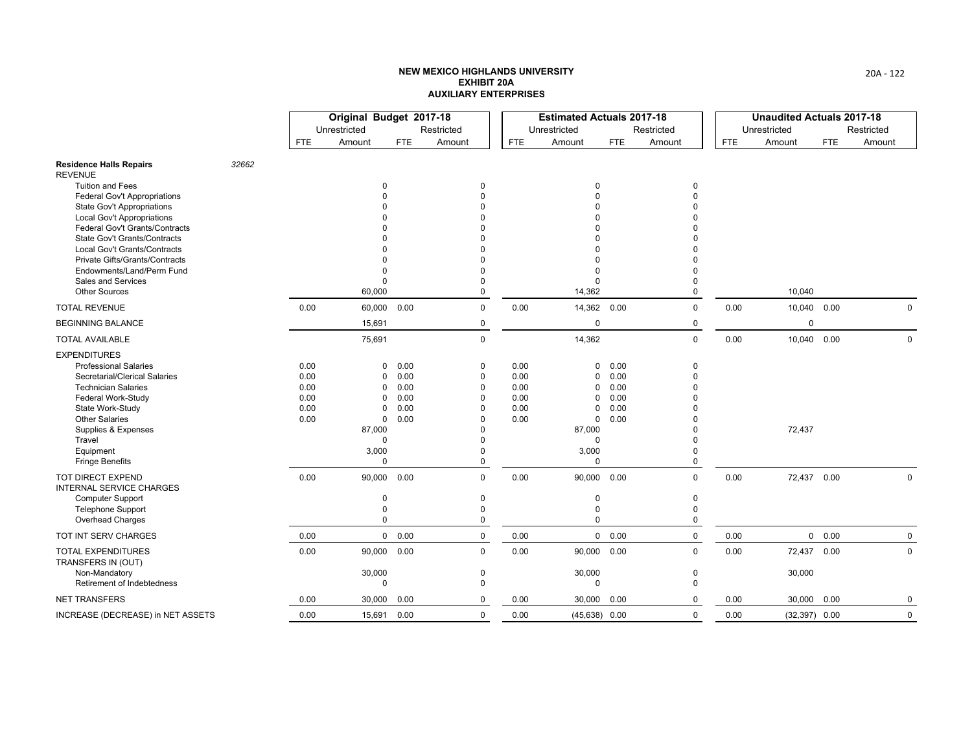|                                                                        |       |              | Original Budget 2017-18    |              |                      |              | <b>Estimated Actuals 2017-18</b> |              |                            |            | <b>Unaudited Actuals 2017-18</b> |            |             |
|------------------------------------------------------------------------|-------|--------------|----------------------------|--------------|----------------------|--------------|----------------------------------|--------------|----------------------------|------------|----------------------------------|------------|-------------|
|                                                                        |       |              | Unrestricted               |              | Restricted           |              | Unrestricted                     |              | Restricted                 |            | Unrestricted                     |            | Restricted  |
|                                                                        |       | FTE          | Amount                     | <b>FTE</b>   | Amount               | <b>FTE</b>   | Amount                           | <b>FTE</b>   | Amount                     | <b>FTE</b> | Amount                           | <b>FTE</b> | Amount      |
| <b>Residence Halls Repairs</b><br><b>REVENUE</b>                       | 32662 |              |                            |              |                      |              |                                  |              |                            |            |                                  |            |             |
| <b>Tuition and Fees</b>                                                |       |              | $\Omega$                   |              | $\Omega$             |              | $\Omega$                         |              | $\mathbf 0$                |            |                                  |            |             |
| <b>Federal Gov't Appropriations</b>                                    |       |              |                            |              | $\Omega$             |              | $\Omega$<br>$\Omega$             |              | $\Omega$                   |            |                                  |            |             |
| <b>State Gov't Appropriations</b><br><b>Local Gov't Appropriations</b> |       |              |                            |              |                      |              | $\Omega$                         |              |                            |            |                                  |            |             |
| Federal Gov't Grants/Contracts                                         |       |              |                            |              | $\Omega$             |              | $\Omega$                         |              |                            |            |                                  |            |             |
| <b>State Gov't Grants/Contracts</b>                                    |       |              |                            |              |                      |              | <sup>0</sup>                     |              |                            |            |                                  |            |             |
| Local Gov't Grants/Contracts                                           |       |              |                            |              |                      |              | $\Omega$                         |              |                            |            |                                  |            |             |
| Private Gifts/Grants/Contracts                                         |       |              |                            |              |                      |              | $\Omega$                         |              |                            |            |                                  |            |             |
| Endowments/Land/Perm Fund<br>Sales and Services                        |       |              | $\Omega$                   |              | $\Omega$<br>$\Omega$ |              | $\Omega$<br>$\Omega$             |              | $\Omega$<br>0              |            |                                  |            |             |
| <b>Other Sources</b>                                                   |       |              | 60,000                     |              | $\Omega$             |              | 14,362                           |              | $\mathbf{0}$               |            | 10,040                           |            |             |
| <b>TOTAL REVENUE</b>                                                   |       | 0.00         | 60,000                     | 0.00         | $\mathbf 0$          | 0.00         | 14,362 0.00                      |              | $\mathbf 0$                | 0.00       | 10,040 0.00                      |            | $\Omega$    |
| <b>BEGINNING BALANCE</b>                                               |       |              | 15,691                     |              | 0                    |              | $\mathbf 0$                      |              | 0                          |            | $\mathbf 0$                      |            |             |
| <b>TOTAL AVAILABLE</b>                                                 |       |              | 75,691                     |              | $\mathbf 0$          |              | 14,362                           |              | $\mathbf 0$                | 0.00       | 10,040 0.00                      |            | $\mathsf 0$ |
| <b>EXPENDITURES</b>                                                    |       |              |                            |              |                      |              |                                  |              |                            |            |                                  |            |             |
| <b>Professional Salaries</b>                                           |       | 0.00         | 0                          | 0.00         | 0                    | 0.00         | 0                                | 0.00         | $\mathbf 0$                |            |                                  |            |             |
| Secretarial/Clerical Salaries                                          |       | 0.00         | 0                          | 0.00         | $\mathbf 0$          | 0.00         | 0                                | 0.00         | $\mathbf{0}$               |            |                                  |            |             |
| <b>Technician Salaries</b>                                             |       | 0.00         | $\Omega$                   | 0.00         | $\Omega$             | 0.00         | $\mathbf 0$                      | 0.00         | $\Omega$                   |            |                                  |            |             |
| Federal Work-Study<br>State Work-Study                                 |       | 0.00<br>0.00 | $\Omega$<br>$\Omega$       | 0.00<br>0.00 | $\Omega$<br>$\Omega$ | 0.00<br>0.00 | 0<br>$\mathbf 0$                 | 0.00<br>0.00 | $\Omega$<br>$\Omega$       |            |                                  |            |             |
| <b>Other Salaries</b>                                                  |       | 0.00         | $\Omega$                   | 0.00         | $\Omega$             | 0.00         | $\mathbf 0$                      | 0.00         | $\Omega$                   |            |                                  |            |             |
| Supplies & Expenses                                                    |       |              | 87,000                     |              | $\Omega$             |              | 87,000                           |              | $\Omega$                   |            | 72,437                           |            |             |
| Travel                                                                 |       |              | $\Omega$                   |              | $\Omega$             |              | 0                                |              | $\Omega$                   |            |                                  |            |             |
| Equipment                                                              |       |              | 3,000                      |              | $\Omega$             |              | 3,000                            |              | 0                          |            |                                  |            |             |
| <b>Fringe Benefits</b>                                                 |       |              | $\mathbf 0$                |              | $\mathbf 0$          |              | $\Omega$                         |              | $\Omega$                   |            |                                  |            |             |
| TOT DIRECT EXPEND<br><b>INTERNAL SERVICE CHARGES</b>                   |       | 0.00         | 90,000                     | 0.00         | $\mathbf 0$          | 0.00         | 90,000 0.00                      |              | $\Omega$                   | 0.00       | 72,437 0.00                      |            | $\mathbf 0$ |
| Computer Support                                                       |       |              | 0                          |              | 0                    |              | $\pmb{0}$                        |              | $\pmb{0}$                  |            |                                  |            |             |
| <b>Telephone Support</b>                                               |       |              | $\mathbf 0$<br>$\mathbf 0$ |              | $\mathbf 0$          |              | $\mathbf 0$<br>$\Omega$          |              | $\mathbf 0$<br>$\mathbf 0$ |            |                                  |            |             |
| Overhead Charges                                                       |       |              |                            |              | 0                    |              |                                  |              |                            |            |                                  |            |             |
| TOT INT SERV CHARGES                                                   |       | 0.00         |                            | 0 0.00       | $\mathbf 0$          | 0.00         |                                  | 0 0.00       | $\mathbf 0$                | 0.00       |                                  | 0 0.00     | $\mathbf 0$ |
| <b>TOTAL EXPENDITURES</b><br>TRANSFERS IN (OUT)                        |       | 0.00         | 90,000 0.00                |              | $\Omega$             | 0.00         | 90,000 0.00                      |              | $\Omega$                   | 0.00       | 72,437                           | 0.00       | $\mathbf 0$ |
| Non-Mandatory                                                          |       |              | 30,000                     |              | $\mathbf 0$          |              | 30,000                           |              | $\mathbf 0$                |            | 30,000                           |            |             |
| Retirement of Indebtedness                                             |       |              | $\Omega$                   |              | $\Omega$             |              | $\mathbf{0}$                     |              | $\Omega$                   |            |                                  |            |             |
| <b>NET TRANSFERS</b>                                                   |       | 0.00         | 30,000                     | 0.00         | 0                    | 0.00         | 30,000 0.00                      |              | $\Omega$                   | 0.00       | 30,000                           | 0.00       | 0           |
| INCREASE (DECREASE) in NET ASSETS                                      |       | 0.00         | 15,691                     | 0.00         | $\mathbf 0$          | 0.00         | $(45, 638)$ 0.00                 |              | $\mathbf 0$                | 0.00       | $(32, 397)$ 0.00                 |            | $\mathbf 0$ |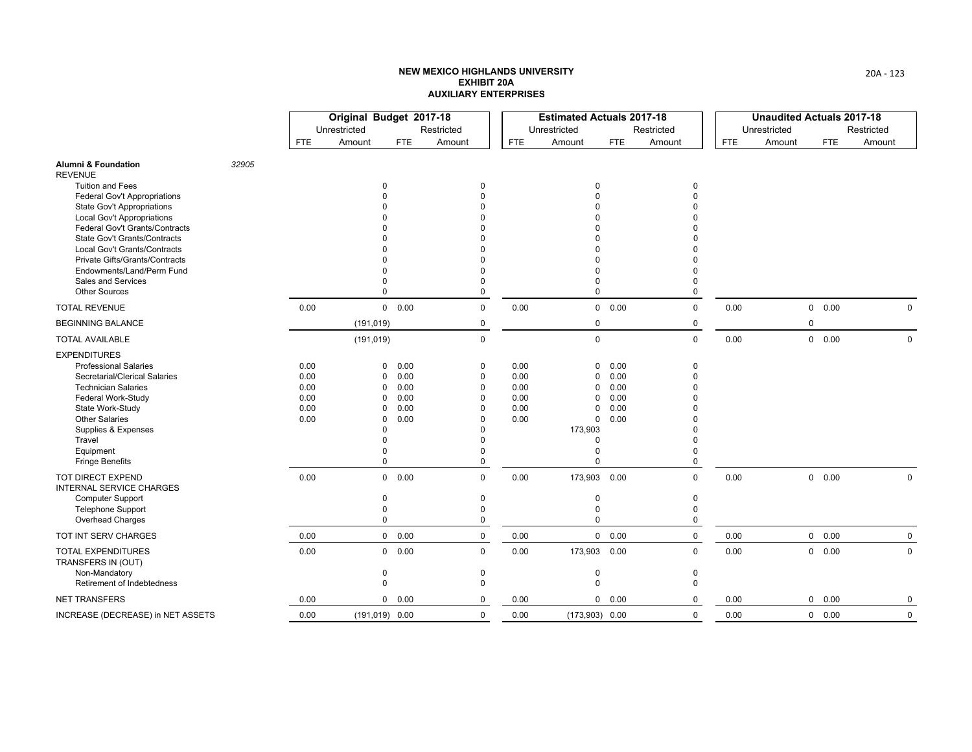|                                                                        |       |              | Original Budget 2017-18 |              |                      |              | <b>Estimated Actuals 2017-18</b> |              |               |            | <b>Unaudited Actuals 2017-18</b> |            |             |
|------------------------------------------------------------------------|-------|--------------|-------------------------|--------------|----------------------|--------------|----------------------------------|--------------|---------------|------------|----------------------------------|------------|-------------|
|                                                                        |       |              | Unrestricted            |              | Restricted           |              | Unrestricted                     |              | Restricted    |            | Unrestricted                     |            | Restricted  |
|                                                                        |       | <b>FTE</b>   | Amount                  | <b>FTE</b>   | Amount               | <b>FTE</b>   | Amount                           | <b>FTE</b>   | Amount        | <b>FTE</b> | Amount                           | <b>FTE</b> | Amount      |
| Alumni & Foundation<br><b>REVENUE</b>                                  | 32905 |              |                         |              |                      |              |                                  |              |               |            |                                  |            |             |
| <b>Tuition and Fees</b>                                                |       |              |                         |              | $\Omega$             |              | $\Omega$                         |              | $\mathbf{0}$  |            |                                  |            |             |
| <b>Federal Gov't Appropriations</b>                                    |       |              |                         |              |                      |              | $\Omega$                         |              | $\Omega$      |            |                                  |            |             |
| <b>State Gov't Appropriations</b><br><b>Local Gov't Appropriations</b> |       |              |                         |              |                      |              | $\Omega$<br>$\Omega$             |              |               |            |                                  |            |             |
| Federal Gov't Grants/Contracts                                         |       |              |                         |              |                      |              | $\Omega$                         |              |               |            |                                  |            |             |
| <b>State Gov't Grants/Contracts</b>                                    |       |              |                         |              |                      |              | $\Omega$                         |              |               |            |                                  |            |             |
| Local Gov't Grants/Contracts                                           |       |              |                         |              |                      |              | $\Omega$                         |              |               |            |                                  |            |             |
| Private Gifts/Grants/Contracts                                         |       |              |                         |              |                      |              | $\Omega$                         |              |               |            |                                  |            |             |
| Endowments/Land/Perm Fund                                              |       |              |                         |              | $\Omega$             |              | $\Omega$                         |              |               |            |                                  |            |             |
| Sales and Services<br><b>Other Sources</b>                             |       |              | $\Omega$                |              | $\Omega$             |              | $\Omega$<br>$\Omega$             |              | 0<br>0        |            |                                  |            |             |
| <b>TOTAL REVENUE</b>                                                   |       | 0.00         |                         | 0 0.00       | $\Omega$             | 0.00         |                                  | 0 0.00       | $\mathbf 0$   | 0.00       |                                  | 0 0.00     | $\Omega$    |
| <b>BEGINNING BALANCE</b>                                               |       |              | (191, 019)              |              | 0                    |              | 0                                |              | 0             |            | $\mathbf 0$                      |            |             |
| <b>TOTAL AVAILABLE</b>                                                 |       |              | (191, 019)              |              | $\mathbf 0$          |              | $\mathbf 0$                      |              | $\mathbf 0$   | 0.00       |                                  | 0 0.00     | $\mathbf 0$ |
| <b>EXPENDITURES</b>                                                    |       |              |                         |              |                      |              |                                  |              |               |            |                                  |            |             |
| <b>Professional Salaries</b>                                           |       | 0.00         | $\Omega$                | 0.00         | 0                    | 0.00         | 0                                | 0.00         | 0             |            |                                  |            |             |
| Secretarial/Clerical Salaries                                          |       | 0.00         | $\Omega$                | 0.00         | $\mathbf 0$          | 0.00         | 0                                | 0.00         | $\mathbf{0}$  |            |                                  |            |             |
| <b>Technician Salaries</b>                                             |       | 0.00         | $\Omega$                | 0.00         | $\Omega$             | 0.00         | 0                                | 0.00         | $\Omega$      |            |                                  |            |             |
| Federal Work-Study<br>State Work-Study                                 |       | 0.00<br>0.00 | $\Omega$<br>$\Omega$    | 0.00<br>0.00 | $\Omega$<br>$\Omega$ | 0.00<br>0.00 | 0<br>$\mathbf 0$                 | 0.00<br>0.00 | $\Omega$<br>ŋ |            |                                  |            |             |
| <b>Other Salaries</b>                                                  |       | 0.00         | $\Omega$                | 0.00         | $\Omega$             | 0.00         | $\mathbf{0}$                     | 0.00         |               |            |                                  |            |             |
| Supplies & Expenses                                                    |       |              | ∩                       |              | $\Omega$             |              | 173,903                          |              |               |            |                                  |            |             |
| Travel                                                                 |       |              |                         |              | $\Omega$             |              | 0                                |              | ŋ             |            |                                  |            |             |
| Equipment                                                              |       |              |                         |              | $\Omega$             |              | 0                                |              | $\Omega$      |            |                                  |            |             |
| <b>Fringe Benefits</b>                                                 |       |              | $\Omega$                |              | $\mathbf 0$          |              | $\Omega$                         |              | $\mathbf{0}$  |            |                                  |            |             |
| <b>TOT DIRECT EXPEND</b><br><b>INTERNAL SERVICE CHARGES</b>            |       | 0.00         | $\mathbf 0$             | 0.00         | $\mathbf 0$          | 0.00         | 173,903 0.00                     |              | $\mathbf{0}$  | 0.00       |                                  | 0 0.00     | $\mathbf 0$ |
| Computer Support                                                       |       |              | $\Omega$                |              | 0                    |              | 0                                |              | $\mathbf 0$   |            |                                  |            |             |
| <b>Telephone Support</b>                                               |       |              | $\Omega$                |              | $\Omega$             |              | 0                                |              | $\mathbf 0$   |            |                                  |            |             |
| Overhead Charges                                                       |       |              | $\mathbf 0$             |              | $\mathbf 0$          |              | 0                                |              | $\mathbf 0$   |            |                                  |            |             |
| TOT INT SERV CHARGES                                                   |       | 0.00         |                         | 0 0.00       | $\mathbf 0$          | 0.00         |                                  | 0 0.00       | $\mathbf 0$   | 0.00       |                                  | 0 0.00     | $\mathbf 0$ |
| <b>TOTAL EXPENDITURES</b><br>TRANSFERS IN (OUT)                        |       | 0.00         |                         | 0 0.00       | $\Omega$             | 0.00         | 173,903 0.00                     |              | $\Omega$      | 0.00       |                                  | 0 0.00     | $\Omega$    |
| Non-Mandatory                                                          |       |              | 0                       |              | $\mathbf 0$          |              | $\pmb{0}$                        |              | $\mathbf 0$   |            |                                  |            |             |
| Retirement of Indebtedness                                             |       |              | $\Omega$                |              | $\Omega$             |              | $\Omega$                         |              | $\Omega$      |            |                                  |            |             |
| <b>NET TRANSFERS</b>                                                   |       | 0.00         | $\mathbf{0}$            | 0.00         | 0                    | 0.00         |                                  | 0 0.00       | 0             | 0.00       | 0                                | 0.00       | 0           |
| INCREASE (DECREASE) in NET ASSETS                                      |       | 0.00         | $(191, 019)$ 0.00       |              | $\mathbf 0$          | 0.00         | $(173,903)$ 0.00                 |              | $\mathbf 0$   | 0.00       |                                  | 0 0.00     | $\mathbf 0$ |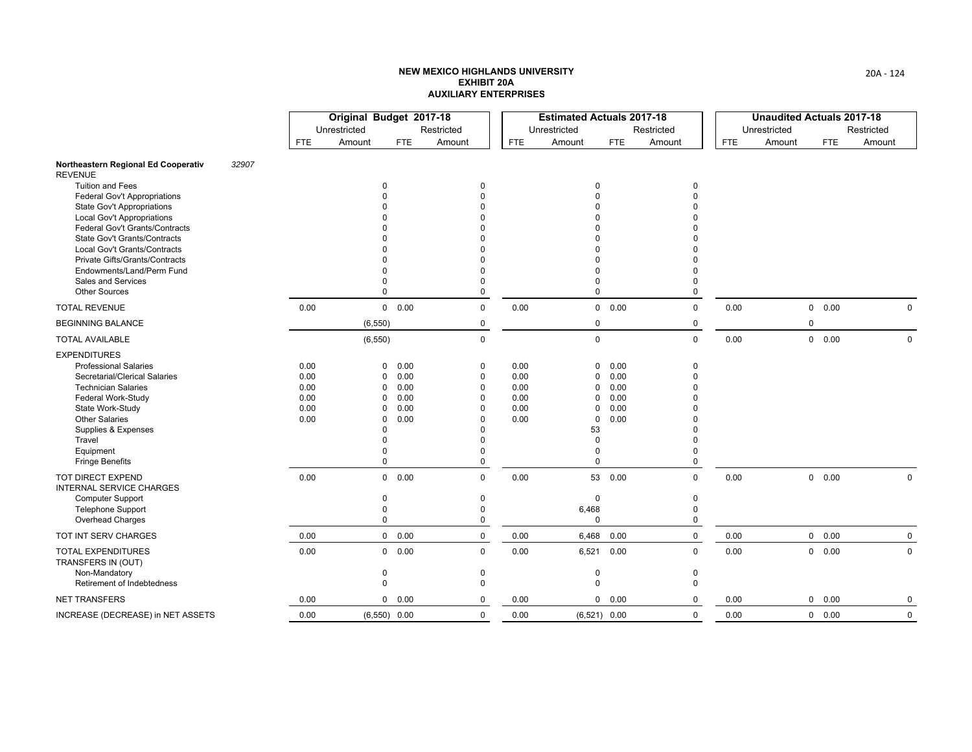|                                                                 |       |              | Original Budget 2017-18 |                        |                         |              | <b>Estimated Actuals 2017-18</b> |               |             |            | <b>Unaudited Actuals 2017-18</b> |               |             |
|-----------------------------------------------------------------|-------|--------------|-------------------------|------------------------|-------------------------|--------------|----------------------------------|---------------|-------------|------------|----------------------------------|---------------|-------------|
|                                                                 |       |              | Unrestricted            |                        | Restricted              |              | Unrestricted                     |               | Restricted  |            | Unrestricted                     |               | Restricted  |
|                                                                 |       | FTE          | Amount                  | <b>FTE</b>             | Amount                  | <b>FTE</b>   | Amount                           | <b>FTE</b>    | Amount      | <b>FTE</b> | Amount                           | <b>FTE</b>    | Amount      |
| Northeastern Regional Ed Cooperativ<br><b>REVENUE</b>           | 32907 |              |                         |                        |                         |              |                                  |               |             |            |                                  |               |             |
| <b>Tuition and Fees</b>                                         |       |              |                         | $\Omega$               | $\Omega$                |              | 0                                |               | $\mathbf 0$ |            |                                  |               |             |
| <b>Federal Gov't Appropriations</b>                             |       |              |                         |                        | $\Omega$<br>$\Omega$    |              | 0                                |               | 0           |            |                                  |               |             |
| State Gov't Appropriations<br><b>Local Gov't Appropriations</b> |       |              |                         |                        |                         |              |                                  |               |             |            |                                  |               |             |
| <b>Federal Gov't Grants/Contracts</b>                           |       |              |                         |                        |                         |              |                                  |               |             |            |                                  |               |             |
| State Gov't Grants/Contracts                                    |       |              |                         |                        |                         |              |                                  |               |             |            |                                  |               |             |
| Local Gov't Grants/Contracts                                    |       |              |                         |                        |                         |              |                                  |               |             |            |                                  |               |             |
| Private Gifts/Grants/Contracts                                  |       |              |                         |                        | $\Omega$                |              | 0                                |               |             |            |                                  |               |             |
| Endowments/Land/Perm Fund<br>Sales and Services                 |       |              |                         | 0                      | $\Omega$<br>$\Omega$    |              | 0<br>0                           |               | 0           |            |                                  |               |             |
| <b>Other Sources</b>                                            |       |              |                         | $\Omega$               | $\Omega$                |              | $\Omega$                         |               | 0           |            |                                  |               |             |
| <b>TOTAL REVENUE</b>                                            |       | 0.00         |                         | 0 0.00                 | 0                       | 0.00         |                                  | 0 0.00        | 0           | 0.00       |                                  | 0 0.00        | $\Omega$    |
| <b>BEGINNING BALANCE</b>                                        |       |              | (6, 550)                |                        | 0                       |              | 0                                |               | 0           |            | $\mathbf 0$                      |               |             |
| <b>TOTAL AVAILABLE</b>                                          |       |              | (6, 550)                |                        | $\mathbf 0$             |              | $\mathbf 0$                      |               | 0           | 0.00       |                                  | $0\quad 0.00$ | $\mathbf 0$ |
| <b>EXPENDITURES</b>                                             |       |              |                         |                        |                         |              |                                  |               |             |            |                                  |               |             |
| <b>Professional Salaries</b>                                    |       | 0.00         |                         | 0.00<br>$\Omega$       | $\mathbf 0$             | 0.00         | 0                                | 0.00          | $\mathbf 0$ |            |                                  |               |             |
| Secretarial/Clerical Salaries                                   |       | 0.00         |                         | 0.00<br>0              | $\mathbf 0$             | 0.00         | 0                                | 0.00          | 0           |            |                                  |               |             |
| <b>Technician Salaries</b>                                      |       | 0.00         |                         | 0.00<br><sup>0</sup>   | $\mathbf 0$             | 0.00         | 0                                | 0.00          | U           |            |                                  |               |             |
| Federal Work-Study<br>State Work-Study                          |       | 0.00<br>0.00 |                         | 0.00<br>0<br>0.00<br>0 | $\mathbf 0$<br>$\Omega$ | 0.00<br>0.00 | 0<br>$\mathbf 0$                 | 0.00<br>0.00  |             |            |                                  |               |             |
| <b>Other Salaries</b>                                           |       | 0.00         |                         | 0.00<br>0              | $\Omega$                | 0.00         | 0                                | 0.00          |             |            |                                  |               |             |
| Supplies & Expenses                                             |       |              |                         | $\Omega$               | $\Omega$                |              | 53                               |               |             |            |                                  |               |             |
| Travel                                                          |       |              |                         | $\Omega$               |                         |              | 0                                |               |             |            |                                  |               |             |
| Equipment                                                       |       |              |                         | 0                      | $\Omega$                |              | 0                                |               | U           |            |                                  |               |             |
| <b>Fringe Benefits</b>                                          |       |              |                         | $\Omega$               | 0                       |              | $\Omega$                         |               | 0           |            |                                  |               |             |
| TOT DIRECT EXPEND<br><b>INTERNAL SERVICE CHARGES</b>            |       | 0.00         |                         | 0 0.00                 | $\Omega$                | 0.00         |                                  | 53 0.00       | 0           | 0.00       |                                  | 0 0.00        | $\mathbf 0$ |
| <b>Computer Support</b>                                         |       |              | 0                       |                        | 0                       |              | 0                                |               | 0           |            |                                  |               |             |
| <b>Telephone Support</b>                                        |       |              |                         | 0                      | $\Omega$                |              | 6,468                            |               | $\mathbf 0$ |            |                                  |               |             |
| Overhead Charges                                                |       |              |                         | $\mathbf 0$            | $\mathbf 0$             |              | $\Omega$                         |               | 0           |            |                                  |               |             |
| TOT INT SERV CHARGES                                            |       | 0.00         |                         | 0 0.00                 | $\mathbf 0$             | 0.00         | 6,468                            | 0.00          | $\pmb{0}$   | 0.00       |                                  | 0 0.00        | $\mathbf 0$ |
| TOTAL EXPENDITURES<br>TRANSFERS IN (OUT)                        |       | 0.00         |                         | 0 0.00                 | $\mathbf 0$             | 0.00         | 6,521                            | 0.00          | 0           | 0.00       | $\mathbf 0$                      | 0.00          | $\Omega$    |
| Non-Mandatory                                                   |       |              | 0                       |                        | $\mathbf 0$             |              | 0                                |               | 0           |            |                                  |               |             |
| Retirement of Indebtedness                                      |       |              | $\mathbf 0$             |                        | $\Omega$                |              | $\mathbf 0$                      |               | $\mathbf 0$ |            |                                  |               |             |
| <b>NET TRANSFERS</b>                                            |       | 0.00         |                         | 0.00<br>0              | 0                       | 0.00         |                                  | $0\quad 0.00$ | $\Omega$    | 0.00       | 0                                | 0.00          | 0           |
| INCREASE (DECREASE) in NET ASSETS                               |       | 0.00         |                         | $(6,550)$ 0.00         | $\mathbf 0$             | 0.00         | $(6,521)$ 0.00                   |               | $\mathbf 0$ | 0.00       |                                  | 0 0.00        | $\mathbf 0$ |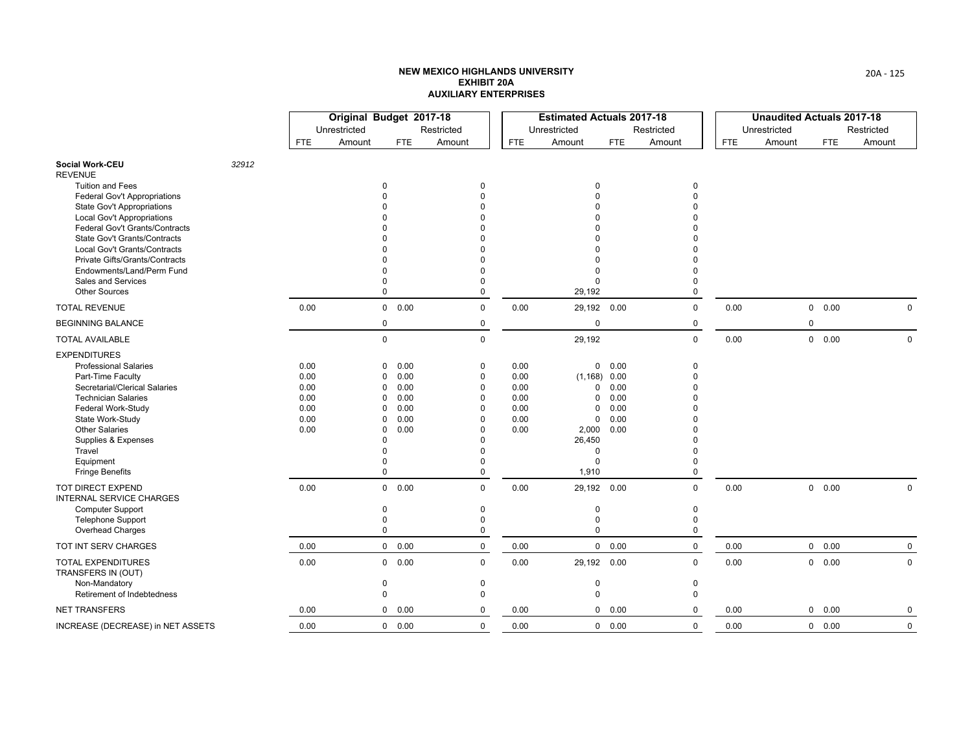|                                                                     |       |              | Original Budget 2017-18 |                                      |                      |            | <b>Estimated Actuals 2017-18</b> |              |            |            | <b>Unaudited Actuals 2017-18</b> |                        |             |
|---------------------------------------------------------------------|-------|--------------|-------------------------|--------------------------------------|----------------------|------------|----------------------------------|--------------|------------|------------|----------------------------------|------------------------|-------------|
|                                                                     |       |              | Unrestricted            |                                      | Restricted           |            | Unrestricted                     |              | Restricted |            | Unrestricted                     |                        | Restricted  |
|                                                                     |       | FTE          | Amount                  | <b>FTE</b>                           | Amount               | <b>FTE</b> | Amount                           | <b>FTE</b>   | Amount     | <b>FTE</b> | Amount                           | <b>FTE</b>             | Amount      |
| <b>Social Work-CEU</b><br><b>REVENUE</b>                            | 32912 |              |                         |                                      |                      |            |                                  |              |            |            |                                  |                        |             |
| <b>Tuition and Fees</b>                                             |       |              |                         | $\mathbf 0$                          | $\mathbf 0$          |            | 0                                |              | 0          |            |                                  |                        |             |
| <b>Federal Gov't Appropriations</b>                                 |       |              |                         |                                      | $\Omega$             |            | $\Omega$                         |              |            |            |                                  |                        |             |
| State Gov't Appropriations                                          |       |              |                         |                                      | $\Omega$<br>$\Omega$ |            | U                                |              |            |            |                                  |                        |             |
| <b>Local Gov't Appropriations</b><br>Federal Gov't Grants/Contracts |       |              |                         |                                      | $\Omega$             |            | U                                |              |            |            |                                  |                        |             |
| <b>State Gov't Grants/Contracts</b>                                 |       |              |                         |                                      | $\Omega$             |            | U                                |              |            |            |                                  |                        |             |
| Local Gov't Grants/Contracts                                        |       |              |                         |                                      | $\Omega$             |            |                                  |              |            |            |                                  |                        |             |
| Private Gifts/Grants/Contracts                                      |       |              |                         |                                      | $\Omega$             |            | O                                |              |            |            |                                  |                        |             |
| Endowments/Land/Perm Fund                                           |       |              |                         | $\Omega$                             | $\Omega$             |            | 0                                |              |            |            |                                  |                        |             |
| Sales and Services                                                  |       |              |                         | $\Omega$                             | $\Omega$             |            | 0                                |              | O          |            |                                  |                        |             |
| <b>Other Sources</b>                                                |       |              |                         | $\Omega$                             | $\mathbf 0$          |            | 29,192                           |              | 0          |            |                                  |                        |             |
| <b>TOTAL REVENUE</b>                                                |       | 0.00         |                         | 0 0.00                               | $\Omega$             | 0.00       | 29,192 0.00                      |              | $\Omega$   | 0.00       |                                  | 0.00<br>$\overline{0}$ | $\mathbf 0$ |
| <b>BEGINNING BALANCE</b>                                            |       |              |                         | $\mathbf 0$                          | 0                    |            | 0                                |              | 0          |            |                                  | $\pmb{0}$              |             |
| <b>TOTAL AVAILABLE</b>                                              |       |              |                         | $\mathbf 0$                          | $\Omega$             |            | 29,192                           |              | 0          | 0.00       |                                  | 0 0.00                 | $\mathbf 0$ |
| <b>EXPENDITURES</b>                                                 |       |              |                         |                                      |                      |            |                                  |              |            |            |                                  |                        |             |
| <b>Professional Salaries</b>                                        |       | 0.00         |                         | 0.00<br>0                            | $\mathbf 0$          | 0.00       |                                  | 0 0.00       | 0          |            |                                  |                        |             |
| Part-Time Faculty                                                   |       | 0.00         |                         | 0.00<br>$\Omega$                     | $\mathbf 0$          | 0.00       | $(1, 168)$ 0.00                  |              | 0          |            |                                  |                        |             |
| Secretarial/Clerical Salaries                                       |       | 0.00         |                         | 0.00<br>$\Omega$                     | $\mathbf 0$          | 0.00       | 0                                | 0.00         |            |            |                                  |                        |             |
| <b>Technician Salaries</b>                                          |       | 0.00         |                         | 0.00<br>0                            | $\mathbf 0$          | 0.00       | 0                                | 0.00         |            |            |                                  |                        |             |
| Federal Work-Study                                                  |       | 0.00         |                         | 0.00<br>$\Omega$                     | $\Omega$             | 0.00       | $\Omega$                         | 0.00         |            |            |                                  |                        |             |
| State Work-Study<br><b>Other Salaries</b>                           |       | 0.00<br>0.00 |                         | 0.00<br>$\Omega$<br>0.00<br>$\Omega$ | $\Omega$<br>$\Omega$ | 0.00       | 0<br>2,000                       | 0.00<br>0.00 |            |            |                                  |                        |             |
| Supplies & Expenses                                                 |       |              |                         | $\Omega$                             | $\Omega$             | 0.00       | 26,450                           |              |            |            |                                  |                        |             |
| Travel                                                              |       |              |                         | $\Omega$                             | $\Omega$             |            | 0                                |              |            |            |                                  |                        |             |
| Equipment                                                           |       |              |                         | $\Omega$                             | $\Omega$             |            | 0                                |              | U          |            |                                  |                        |             |
| <b>Fringe Benefits</b>                                              |       |              |                         | 0                                    | $\mathbf{0}$         |            | 1,910                            |              | 0          |            |                                  |                        |             |
| TOT DIRECT EXPEND<br>INTERNAL SERVICE CHARGES                       |       | 0.00         |                         | $0\quad 0.00$                        | $\mathbf 0$          | 0.00       | 29,192 0.00                      |              | 0          | 0.00       |                                  | 0 0.00                 | 0           |
| <b>Computer Support</b>                                             |       |              |                         | $\mathbf 0$                          | $\mathbf 0$          |            | 0                                |              | 0          |            |                                  |                        |             |
| <b>Telephone Support</b>                                            |       |              |                         | $\mathbf 0$                          | $\mathbf 0$          |            | 0                                |              | $\Omega$   |            |                                  |                        |             |
| Overhead Charges                                                    |       |              |                         | $\mathbf 0$                          | $\mathbf 0$          |            | $\Omega$                         |              | 0          |            |                                  |                        |             |
| TOT INT SERV CHARGES                                                |       | 0.00         |                         | 0 0.00                               | $\mathbf 0$          | 0.00       |                                  | 0 0.00       | 0          | 0.00       |                                  | $\mathsf{O}$<br>0.00   | $\mathbf 0$ |
| <b>TOTAL EXPENDITURES</b><br>TRANSFERS IN (OUT)                     |       | 0.00         |                         | 0 0.00                               | $\mathbf 0$          | 0.00       | 29,192 0.00                      |              | 0          | 0.00       |                                  | 0<br>0.00              | $\mathbf 0$ |
| Non-Mandatory                                                       |       |              |                         | $\mathbf 0$                          | $\mathbf 0$          |            | 0                                |              | 0          |            |                                  |                        |             |
| Retirement of Indebtedness                                          |       |              |                         | $\mathbf 0$                          | $\Omega$             |            | $\Omega$                         |              | $\Omega$   |            |                                  |                        |             |
| <b>NET TRANSFERS</b>                                                |       | 0.00         |                         | 0 0.00                               | $\mathbf 0$          | 0.00       |                                  | 0 0.00       | $\Omega$   | 0.00       |                                  | 0.00<br>0              | 0           |
| INCREASE (DECREASE) in NET ASSETS                                   |       | 0.00         |                         | 0 0.00                               | $\mathbf 0$          | 0.00       |                                  | 0 0.00       | 0          | 0.00       |                                  | 0 0.00                 | 0           |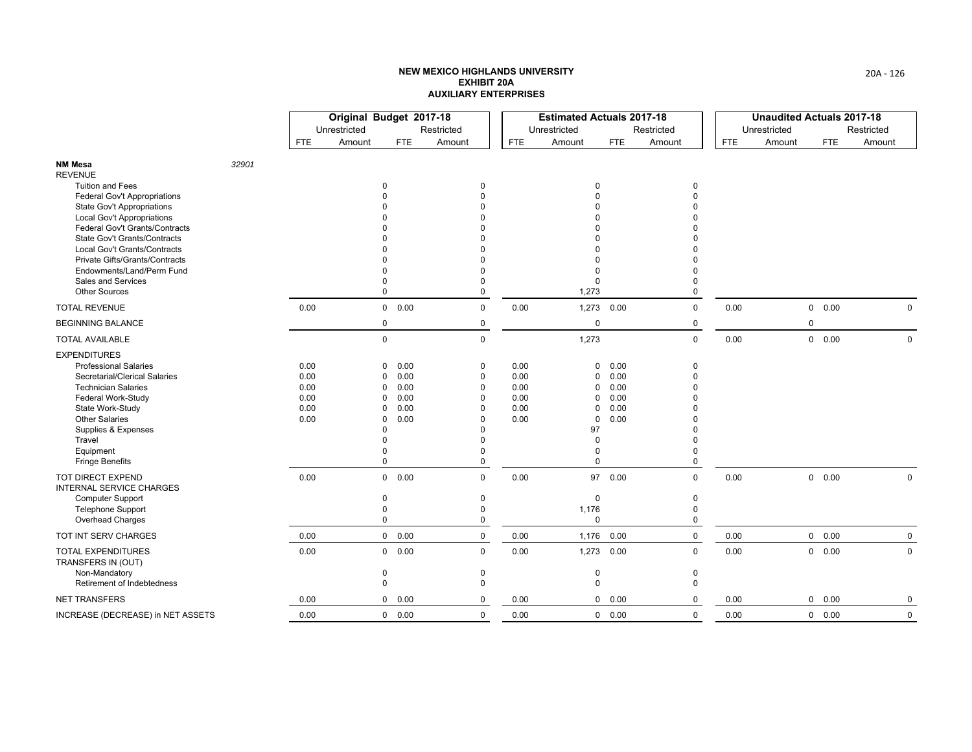|                                                                 |       |              | Original Budget 2017-18 |                               |                          |              | <b>Estimated Actuals 2017-18</b> |              |               |            | <b>Unaudited Actuals 2017-18</b> |               |             |
|-----------------------------------------------------------------|-------|--------------|-------------------------|-------------------------------|--------------------------|--------------|----------------------------------|--------------|---------------|------------|----------------------------------|---------------|-------------|
|                                                                 |       |              | Unrestricted            |                               | Restricted               |              | Unrestricted                     |              | Restricted    |            | Unrestricted                     |               | Restricted  |
|                                                                 |       | <b>FTE</b>   | Amount                  | <b>FTE</b>                    | Amount                   | <b>FTE</b>   | Amount                           | <b>FTE</b>   | Amount        | <b>FTE</b> | Amount                           | <b>FTE</b>    | Amount      |
| <b>NM Mesa</b><br><b>REVENUE</b>                                | 32901 |              |                         |                               |                          |              |                                  |              |               |            |                                  |               |             |
| <b>Tuition and Fees</b>                                         |       |              |                         | $\Omega$                      | $\Omega$                 |              | $\Omega$                         |              | 0             |            |                                  |               |             |
| <b>Federal Gov't Appropriations</b>                             |       |              |                         |                               | $\Omega$                 |              | $\Omega$                         |              | $\Omega$      |            |                                  |               |             |
| <b>State Gov't Appropriations</b><br>Local Gov't Appropriations |       |              |                         |                               | $\Omega$<br><sup>n</sup> |              |                                  |              |               |            |                                  |               |             |
| Federal Gov't Grants/Contracts                                  |       |              |                         |                               | $\Omega$                 |              |                                  |              |               |            |                                  |               |             |
| State Gov't Grants/Contracts                                    |       |              |                         |                               | $\Omega$                 |              |                                  |              |               |            |                                  |               |             |
| Local Gov't Grants/Contracts                                    |       |              |                         |                               |                          |              |                                  |              |               |            |                                  |               |             |
| Private Gifts/Grants/Contracts                                  |       |              |                         |                               | $\Omega$                 |              | $\Omega$                         |              |               |            |                                  |               |             |
| Endowments/Land/Perm Fund                                       |       |              |                         | $\Omega$                      | $\Omega$<br>$\Omega$     |              | $\Omega$                         |              | $\Omega$<br>0 |            |                                  |               |             |
| Sales and Services<br><b>Other Sources</b>                      |       |              |                         | $\Omega$                      | 0                        |              | 0<br>1,273                       |              | $\mathbf 0$   |            |                                  |               |             |
| <b>TOTAL REVENUE</b>                                            |       | 0.00         |                         | 0 0.00                        | 0                        | 0.00         | 1,273 0.00                       |              | $\mathbf 0$   | 0.00       |                                  | 0 0.00        | $\Omega$    |
| <b>BEGINNING BALANCE</b>                                        |       |              |                         | $\mathbf 0$                   | 0                        |              | $\mathbf 0$                      |              | 0             |            |                                  | $\mathbf 0$   |             |
| <b>TOTAL AVAILABLE</b>                                          |       |              |                         | $\mathsf 0$                   | 0                        |              | 1,273                            |              | $\mathbf 0$   | 0.00       |                                  | $0\quad 0.00$ | $\mathbf 0$ |
| <b>EXPENDITURES</b>                                             |       |              |                         |                               |                          |              |                                  |              |               |            |                                  |               |             |
| <b>Professional Salaries</b>                                    |       | 0.00         |                         | 0.00<br>$\Omega$              | 0                        | 0.00         | 0                                | 0.00         | 0             |            |                                  |               |             |
| Secretarial/Clerical Salaries                                   |       | 0.00         |                         | 0.00<br>$\Omega$              | 0                        | 0.00         | $\mathbf 0$                      | 0.00         | $\mathbf{0}$  |            |                                  |               |             |
| <b>Technician Salaries</b>                                      |       | 0.00         |                         | 0.00<br>0                     | 0                        | 0.00         | 0                                | 0.00         | $\Omega$      |            |                                  |               |             |
| <b>Federal Work-Study</b>                                       |       | 0.00         |                         | 0.00<br>$\Omega$              | $\Omega$<br>$\Omega$     | 0.00         | 0                                | 0.00         | $\Omega$      |            |                                  |               |             |
| State Work-Study<br><b>Other Salaries</b>                       |       | 0.00<br>0.00 |                         | 0.00<br>$\Omega$<br>0.00<br>0 | $\Omega$                 | 0.00<br>0.00 | 0<br>0                           | 0.00<br>0.00 |               |            |                                  |               |             |
| Supplies & Expenses                                             |       |              |                         | $\Omega$                      | $\Omega$                 |              | 97                               |              |               |            |                                  |               |             |
| Travel                                                          |       |              |                         | $\Omega$                      | $\Omega$                 |              | $\Omega$                         |              | $\Omega$      |            |                                  |               |             |
| Equipment                                                       |       |              |                         | $\Omega$                      | $\Omega$                 |              | 0                                |              | <sup>0</sup>  |            |                                  |               |             |
| <b>Fringe Benefits</b>                                          |       |              |                         | $\mathbf 0$                   | $\mathbf 0$              |              | $\Omega$                         |              | 0             |            |                                  |               |             |
| <b>TOT DIRECT EXPEND</b><br>INTERNAL SERVICE CHARGES            |       | 0.00         |                         | 0 0.00                        | $\mathbf 0$              | 0.00         |                                  | 97 0.00      | $\mathbf 0$   | 0.00       |                                  | $0\quad 0.00$ | $\mathbf 0$ |
| <b>Computer Support</b>                                         |       |              |                         | $\mathbf 0$                   | $\mathbf 0$              |              | $\mathbf 0$                      |              | $\pmb{0}$     |            |                                  |               |             |
| <b>Telephone Support</b>                                        |       |              |                         | 0                             | $\mathbf 0$              |              | 1,176                            |              | 0             |            |                                  |               |             |
| Overhead Charges                                                |       |              |                         | $\mathbf 0$                   | 0                        |              | $\mathbf 0$                      |              | 0             |            |                                  |               |             |
| TOT INT SERV CHARGES                                            |       | 0.00         |                         | 0 0.00                        | $\mathbf 0$              | 0.00         | 1,176                            | 0.00         | 0             | 0.00       |                                  | $0\quad 0.00$ | $\mathbf 0$ |
| <b>TOTAL EXPENDITURES</b><br>TRANSFERS IN (OUT)                 |       | 0.00         |                         | 0 0.00                        | $\mathbf 0$              | 0.00         | 1,273                            | 0.00         | 0             | 0.00       |                                  | 0 0.00        | $\mathbf 0$ |
| Non-Mandatory                                                   |       |              |                         | 0                             | 0                        |              | 0                                |              | 0             |            |                                  |               |             |
| Retirement of Indebtedness                                      |       |              |                         | $\mathbf 0$                   | $\mathbf 0$              |              | $\mathbf 0$                      |              | 0             |            |                                  |               |             |
| <b>NET TRANSFERS</b>                                            |       | 0.00         |                         | 0 0.00                        | 0                        | 0.00         |                                  | 0 0.00       | $\Omega$      | 0.00       |                                  | 0 0.00        | 0           |
| INCREASE (DECREASE) in NET ASSETS                               |       | 0.00         |                         | 0 0.00                        | $\mathbf 0$              | 0.00         |                                  | 0 0.00       | 0             | 0.00       |                                  | 0 0.00        | $\mathbf 0$ |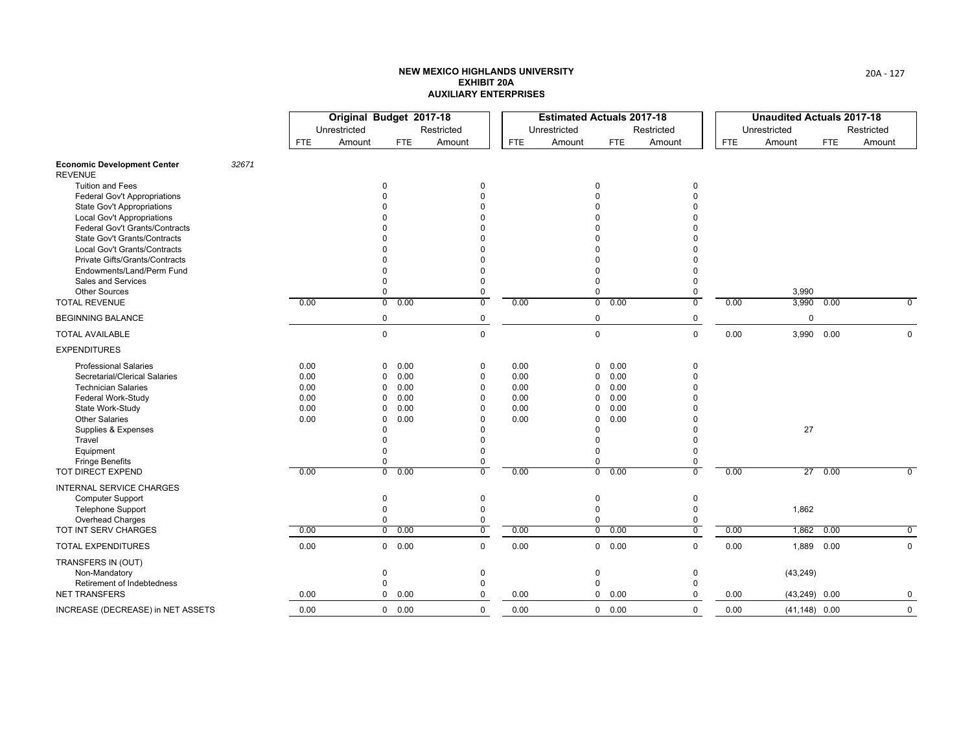|                                                               |      | Original Budget 2017-18 |                        |                |            | <b>Estimated Actuals 2017-18</b> |                        |                |            | <b>Unaudited Actuals 2017-18</b> |      |                |
|---------------------------------------------------------------|------|-------------------------|------------------------|----------------|------------|----------------------------------|------------------------|----------------|------------|----------------------------------|------|----------------|
|                                                               |      | Unrestricted            |                        | Restricted     |            | Unrestricted                     |                        | Restricted     |            | Unrestricted                     |      | Restricted     |
|                                                               | FTE. | Amount                  | FTE                    | Amount         | <b>FTE</b> | Amount                           | <b>FTE</b>             | Amount         | <b>FTE</b> | Amount                           | FTE  | Amount         |
| <b>Economic Development Center</b><br>32671<br><b>REVENUE</b> |      |                         |                        |                |            |                                  |                        |                |            |                                  |      |                |
| <b>Tuition and Fees</b>                                       |      |                         | $\Omega$               | $\Omega$       |            |                                  | 0                      | 0              |            |                                  |      |                |
| <b>Federal Gov't Appropriations</b>                           |      |                         |                        | $\Omega$       |            |                                  | $\Omega$               | $\Omega$       |            |                                  |      |                |
| <b>State Gov't Appropriations</b>                             |      |                         |                        |                |            |                                  | $\Omega$               |                |            |                                  |      |                |
| <b>Local Gov't Appropriations</b>                             |      |                         |                        |                |            |                                  | $\Omega$               |                |            |                                  |      |                |
| Federal Gov't Grants/Contracts                                |      |                         |                        |                |            |                                  | $\Omega$               |                |            |                                  |      |                |
| <b>State Gov't Grants/Contracts</b>                           |      |                         |                        |                |            |                                  | $\Omega$               |                |            |                                  |      |                |
| Local Gov't Grants/Contracts                                  |      |                         |                        |                |            |                                  |                        |                |            |                                  |      |                |
| Private Gifts/Grants/Contracts                                |      |                         |                        |                |            |                                  | $\Omega$               |                |            |                                  |      |                |
| Endowments/Land/Perm Fund                                     |      |                         |                        |                |            |                                  | $\Omega$               | $\Omega$       |            |                                  |      |                |
| <b>Sales and Services</b>                                     |      |                         | $\Omega$               | $\Omega$       |            |                                  | $\Omega$               | $\Omega$       |            |                                  |      |                |
| <b>Other Sources</b>                                          |      |                         | 0                      | 0              |            |                                  | $\mathbf 0$            | 0              |            | 3,990                            |      |                |
| <b>TOTAL REVENUE</b>                                          | 0.00 |                         | $\overline{0}$<br>0.00 | $\overline{0}$ | 0.00       |                                  | $\overline{0}$<br>0.00 | $\overline{0}$ | 0.00       | 3,990                            | 0.00 | $\overline{0}$ |
| <b>BEGINNING BALANCE</b>                                      |      |                         | $\pmb{0}$              | 0              |            |                                  | 0                      | 0              |            | $\mathbf 0$                      |      |                |
| <b>TOTAL AVAILABLE</b>                                        |      |                         | $\mathbf 0$            | $\Omega$       |            |                                  | $\mathbf 0$            | $\mathbf 0$    | 0.00       | 3,990 0.00                       |      | $\mathbf 0$    |
| <b>EXPENDITURES</b>                                           |      |                         |                        |                |            |                                  |                        |                |            |                                  |      |                |
| <b>Professional Salaries</b>                                  | 0.00 |                         | 0.00<br>$\Omega$       | 0              | 0.00       |                                  | 0.00<br>$\mathbf{0}$   | $\mathbf 0$    |            |                                  |      |                |
| Secretarial/Clerical Salaries                                 | 0.00 |                         | 0.00<br>$\Omega$       | $\mathbf 0$    | 0.00       |                                  | 0.00<br>$\mathbf 0$    | $\theta$       |            |                                  |      |                |
| <b>Technician Salaries</b>                                    | 0.00 |                         | 0.00<br>$\Omega$       | $\mathbf 0$    | 0.00       |                                  | 0.00<br>0              | $\Omega$       |            |                                  |      |                |
| Federal Work-Study                                            | 0.00 |                         | 0.00<br>$\Omega$       | $\Omega$       | 0.00       |                                  | 0<br>0.00              | $\Omega$       |            |                                  |      |                |
| State Work-Study                                              | 0.00 |                         | 0.00<br>$\Omega$       | $\Omega$       | 0.00       |                                  | $\Omega$<br>0.00       | $\Omega$       |            |                                  |      |                |
| <b>Other Salaries</b>                                         | 0.00 |                         | 0.00<br>$\Omega$       | $\Omega$       | 0.00       |                                  | 0.00<br>$\Omega$       |                |            |                                  |      |                |
| Supplies & Expenses                                           |      |                         | $\Omega$               | $\Omega$       |            |                                  | $\Omega$               | $\Omega$       |            | 27                               |      |                |
| Travel                                                        |      |                         | $\Omega$               | $\Omega$       |            |                                  | $\Omega$               | $\Omega$       |            |                                  |      |                |
| Equipment                                                     |      |                         | $\Omega$               | $\Omega$       |            |                                  | $\Omega$               | 0              |            |                                  |      |                |
| <b>Fringe Benefits</b>                                        |      |                         | 0                      | $\mathbf 0$    |            |                                  | 0                      | 0              |            |                                  |      |                |
| TOT DIRECT EXPEND                                             | 0.00 |                         | $\overline{0}$<br>0.00 | $\overline{0}$ | 0.00       |                                  | $\overline{0}$<br>0.00 | $\overline{0}$ | 0.00       | 27                               | 0.00 | $\overline{0}$ |
| <b>INTERNAL SERVICE CHARGES</b>                               |      |                         |                        |                |            |                                  |                        |                |            |                                  |      |                |
| Computer Support                                              |      |                         | $\mathbf 0$            | $\mathbf 0$    |            |                                  | $\mathbf 0$            | $\mathbf 0$    |            |                                  |      |                |
| <b>Telephone Support</b>                                      |      |                         | $\Omega$               | $\Omega$       |            |                                  | 0                      | 0              |            | 1,862                            |      |                |
| <b>Overhead Charges</b>                                       |      |                         | 0                      | 0              |            |                                  | $\mathbf 0$            | 0              |            |                                  |      |                |
| TOT INT SERV CHARGES                                          | 0.00 |                         | 0.00<br>0              | $\overline{0}$ | 0.00       |                                  | $\overline{0}$<br>0.00 | $\overline{0}$ | 0.00       | 1,862                            | 0.00 | $\mathbf{0}$   |
| <b>TOTAL EXPENDITURES</b>                                     | 0.00 |                         | 0 0.00                 | $\mathbf 0$    | 0.00       |                                  | $0\quad 0.00$          | $\mathbf 0$    | 0.00       | 1,889                            | 0.00 | $\mathbf 0$    |
| TRANSFERS IN (OUT)                                            |      |                         |                        |                |            |                                  |                        |                |            |                                  |      |                |
| Non-Mandatory                                                 |      |                         | 0                      | 0              |            |                                  | $\pmb{0}$              | 0              |            | (43, 249)                        |      |                |
| Retirement of Indebtedness                                    |      |                         | $\Omega$               | 0              |            |                                  | $\mathbf 0$            | 0              |            |                                  |      |                |
| <b>NET TRANSFERS</b>                                          | 0.00 |                         | $\mathbf 0$<br>0.00    | $\mathbf 0$    | 0.00       |                                  | $\mathbf{0}$<br>0.00   | $\mathbf 0$    | 0.00       | $(43,249)$ 0.00                  |      | 0              |
| INCREASE (DECREASE) in NET ASSETS                             | 0.00 |                         | 0 0.00                 | $\mathbf 0$    | 0.00       |                                  | 0 0.00                 | $\mathbf 0$    | 0.00       | $(41, 148)$ 0.00                 |      | $\mathbf 0$    |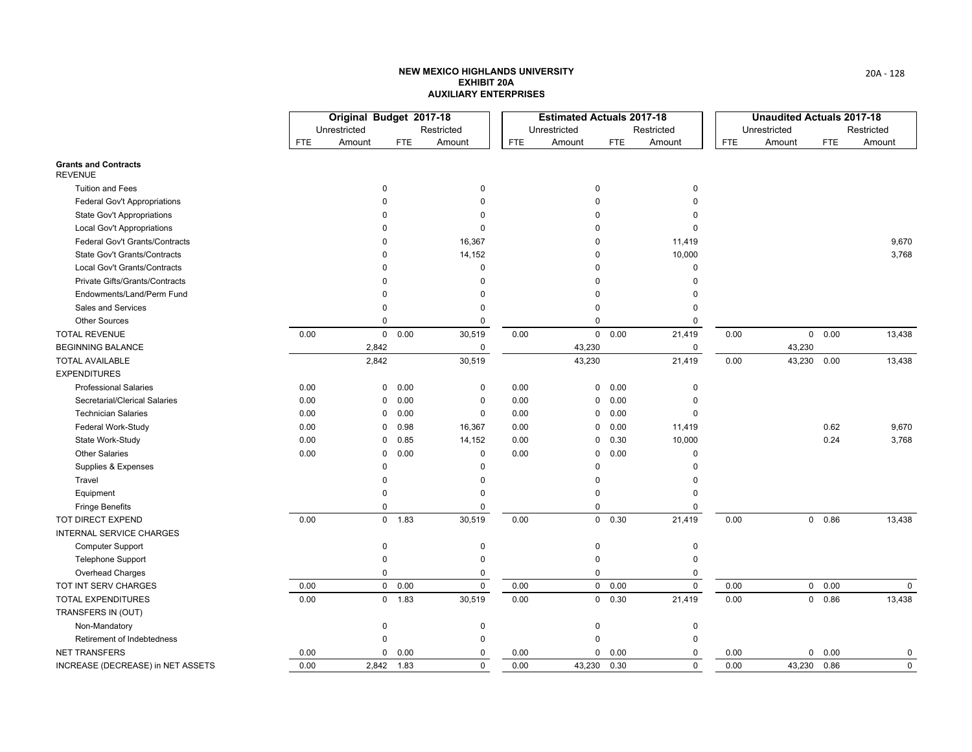|                                               |              | Original Budget 2017-18 |            |             |            | <b>Estimated Actuals 2017-18</b> |            |            |            | <b>Unaudited Actuals 2017-18</b> |            |            |
|-----------------------------------------------|--------------|-------------------------|------------|-------------|------------|----------------------------------|------------|------------|------------|----------------------------------|------------|------------|
|                                               | Unrestricted |                         |            | Restricted  |            | Unrestricted                     |            | Restricted |            | Unrestricted                     |            | Restricted |
|                                               | <b>FTE</b>   | Amount                  | <b>FTE</b> | Amount      | <b>FTE</b> | Amount                           | <b>FTE</b> | Amount     | <b>FTE</b> | Amount                           | <b>FTE</b> | Amount     |
| <b>Grants and Contracts</b><br><b>REVENUE</b> |              |                         |            |             |            |                                  |            |            |            |                                  |            |            |
| <b>Tuition and Fees</b>                       |              | $\mathbf 0$             |            | 0           |            | 0                                |            | 0          |            |                                  |            |            |
| <b>Federal Gov't Appropriations</b>           |              | <sup>0</sup>            |            | $\Omega$    |            | 0                                |            | 0          |            |                                  |            |            |
| <b>State Gov't Appropriations</b>             |              |                         |            | $\Omega$    |            | 0                                |            | 0          |            |                                  |            |            |
| <b>Local Gov't Appropriations</b>             |              |                         |            | $\Omega$    |            | 0                                |            | $\Omega$   |            |                                  |            |            |
| Federal Gov't Grants/Contracts                |              | $\Omega$                |            | 16,367      |            | 0                                |            | 11,419     |            |                                  |            | 9,670      |
| <b>State Gov't Grants/Contracts</b>           |              | <sup>0</sup>            |            | 14,152      |            | $\Omega$                         |            | 10,000     |            |                                  |            | 3,768      |
| Local Gov't Grants/Contracts                  |              | <sup>0</sup>            |            | 0           |            | 0                                |            | 0          |            |                                  |            |            |
| Private Gifts/Grants/Contracts                |              |                         |            | $\mathbf 0$ |            | 0                                |            | 0          |            |                                  |            |            |
| Endowments/Land/Perm Fund                     |              |                         |            | $\Omega$    |            | 0                                |            | U          |            |                                  |            |            |
| Sales and Services                            |              | $\Omega$                |            | $\Omega$    |            | 0                                |            | 0          |            |                                  |            |            |
| <b>Other Sources</b>                          |              | $\Omega$                |            | $\Omega$    |            | 0                                |            | 0          |            |                                  |            |            |
| <b>TOTAL REVENUE</b>                          | 0.00         | $\mathbf 0$             | 0.00       | 30,519      | 0.00       | $\mathbf 0$                      | 0.00       | 21,419     | 0.00       | 0                                | 0.00       | 13,438     |
| <b>BEGINNING BALANCE</b>                      |              | 2,842                   |            | $\mathbf 0$ |            | 43,230                           |            | 0          |            | 43,230                           |            |            |
| <b>TOTAL AVAILABLE</b>                        |              | 2,842                   |            | 30,519      |            | 43,230                           |            | 21,419     | 0.00       | 43,230                           | 0.00       | 13,438     |
| <b>EXPENDITURES</b>                           |              |                         |            |             |            |                                  |            |            |            |                                  |            |            |
| <b>Professional Salaries</b>                  | 0.00         | 0                       | 0.00       | 0           | 0.00       | $\mathbf 0$                      | 0.00       | 0          |            |                                  |            |            |
| Secretarial/Clerical Salaries                 | 0.00         | 0                       | 0.00       | 0           | 0.00       | 0                                | 0.00       | 0          |            |                                  |            |            |
| <b>Technician Salaries</b>                    | 0.00         | 0                       | 0.00       | 0           | 0.00       | $\mathbf 0$                      | 0.00       | 0          |            |                                  |            |            |
| Federal Work-Study                            | 0.00         | 0                       | 0.98       | 16,367      | 0.00       | 0                                | 0.00       | 11,419     |            |                                  | 0.62       | 9,670      |
| State Work-Study                              | 0.00         | 0                       | 0.85       | 14,152      | 0.00       | 0                                | 0.30       | 10,000     |            |                                  | 0.24       | 3,768      |
| <b>Other Salaries</b>                         | 0.00         | 0                       | 0.00       | $\mathsf 0$ | 0.00       | 0                                | 0.00       | 0          |            |                                  |            |            |
| Supplies & Expenses                           |              | $\Omega$                |            | $\Omega$    |            | $\mathbf 0$                      |            | $\Omega$   |            |                                  |            |            |
| Travel                                        |              | $\Omega$                |            | $\mathbf 0$ |            | 0                                |            | 0          |            |                                  |            |            |
| Equipment                                     |              | $\Omega$                |            | $\mathbf 0$ |            | $\mathbf 0$                      |            | 0          |            |                                  |            |            |
| <b>Fringe Benefits</b>                        |              | $\Omega$                |            | 0           |            | $\mathbf 0$                      |            | 0          |            |                                  |            |            |
| TOT DIRECT EXPEND                             | 0.00         |                         | $0$ 1.83   | 30,519      | 0.00       |                                  | 0 0.30     | 21,419     | 0.00       | 0                                | 0.86       | 13,438     |
| <b>INTERNAL SERVICE CHARGES</b>               |              |                         |            |             |            |                                  |            |            |            |                                  |            |            |
| <b>Computer Support</b>                       |              | 0                       |            | 0           |            | 0                                |            | 0          |            |                                  |            |            |
| <b>Telephone Support</b>                      |              | $\Omega$                |            | $\Omega$    |            | $\mathbf 0$                      |            | 0          |            |                                  |            |            |
| <b>Overhead Charges</b>                       |              | 0                       |            | 0           |            | 0                                |            | 0          |            |                                  |            |            |
| TOT INT SERV CHARGES                          | 0.00         | $\mathbf 0$             | 0.00       | $\pmb{0}$   | 0.00       | $\mathbf 0$                      | 0.00       | 0          | 0.00       | 0                                | 0.00       | 0          |
| <b>TOTAL EXPENDITURES</b>                     | 0.00         |                         | $0$ 1.83   | 30,519      | 0.00       |                                  | 0 0.30     | 21,419     | 0.00       | 0                                | 0.86       | 13,438     |
| TRANSFERS IN (OUT)                            |              |                         |            |             |            |                                  |            |            |            |                                  |            |            |
| Non-Mandatory                                 |              | $\mathbf 0$             |            | 0           |            | 0                                |            | 0          |            |                                  |            |            |
| Retirement of Indebtedness                    |              | $\Omega$                |            | 0           |            | $\mathbf 0$                      |            | 0          |            |                                  |            |            |
| <b>NET TRANSFERS</b>                          | 0.00         | 0                       | 0.00       | 0           | 0.00       | 0                                | 0.00       | 0          | 0.00       | 0                                | 0.00       | 0          |
| INCREASE (DECREASE) in NET ASSETS             | 0.00         | 2,842 1.83              |            | $\mathbf 0$ | 0.00       | 43,230 0.30                      |            | $\Omega$   | 0.00       | 43,230 0.86                      |            | 0          |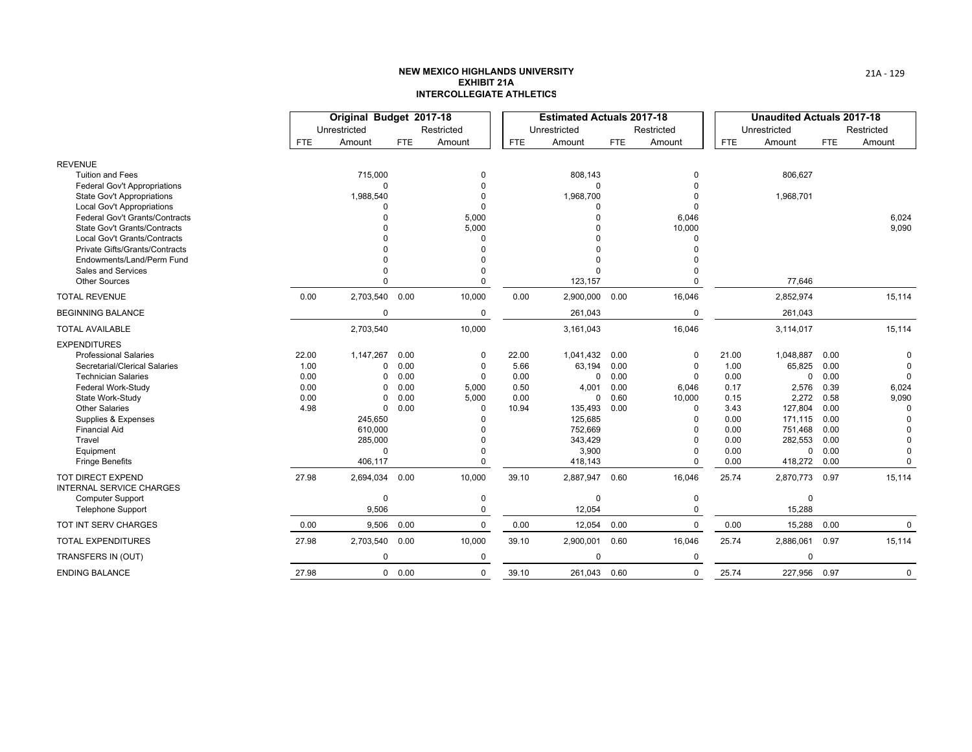|                                                             |       | Original Budget 2017-18 |               |            |       | <b>Estimated Actuals 2017-18</b> |            |             |            | <b>Unaudited Actuals 2017-18</b> |            |             |
|-------------------------------------------------------------|-------|-------------------------|---------------|------------|-------|----------------------------------|------------|-------------|------------|----------------------------------|------------|-------------|
|                                                             |       | Unrestricted            |               | Restricted |       | Unrestricted                     |            | Restricted  |            | Unrestricted                     |            | Restricted  |
|                                                             | FTE   | Amount                  | <b>FTE</b>    | Amount     | FTE.  | Amount                           | <b>FTE</b> | Amount      | <b>FTE</b> | Amount                           | <b>FTE</b> | Amount      |
| <b>REVENUE</b>                                              |       |                         |               |            |       |                                  |            |             |            |                                  |            |             |
| <b>Tuition and Fees</b>                                     |       | 715,000                 |               | $\Omega$   |       | 808,143                          |            | 0           |            | 806,627                          |            |             |
| <b>Federal Gov't Appropriations</b>                         |       | $\Omega$                |               |            |       | U                                |            |             |            |                                  |            |             |
| <b>State Gov't Appropriations</b>                           |       | 1,988,540               |               |            |       | 1,968,700                        |            |             |            | 1,968,701                        |            |             |
| Local Gov't Appropriations                                  |       |                         |               |            |       | O                                |            | $\Omega$    |            |                                  |            |             |
| <b>Federal Gov't Grants/Contracts</b>                       |       |                         |               | 5,000      |       | $\Omega$                         |            | 6,046       |            |                                  |            | 6,024       |
| <b>State Gov't Grants/Contracts</b>                         |       |                         |               | 5,000      |       | <sup>0</sup>                     |            | 10,000      |            |                                  |            | 9,090       |
| Local Gov't Grants/Contracts                                |       |                         |               | $\Omega$   |       |                                  |            | $\Omega$    |            |                                  |            |             |
| Private Gifts/Grants/Contracts                              |       |                         |               |            |       |                                  |            |             |            |                                  |            |             |
| Endowments/Land/Perm Fund<br>Sales and Services             |       |                         |               |            |       | $\Omega$<br>$\Omega$             |            |             |            |                                  |            |             |
| <b>Other Sources</b>                                        |       |                         |               | $\Omega$   |       | 123,157                          |            | $\Omega$    |            | 77,646                           |            |             |
| <b>TOTAL REVENUE</b>                                        | 0.00  | 2,703,540 0.00          |               | 10,000     | 0.00  | 2,900,000                        | 0.00       | 16,046      |            | 2,852,974                        |            | 15,114      |
| <b>BEGINNING BALANCE</b>                                    |       | $\Omega$                |               | 0          |       | 261,043                          |            | 0           |            | 261,043                          |            |             |
| <b>TOTAL AVAILABLE</b>                                      |       | 2,703,540               |               | 10,000     |       | 3,161,043                        |            | 16,046      |            | 3,114,017                        |            | 15,114      |
| <b>EXPENDITURES</b>                                         |       |                         |               |            |       |                                  |            |             |            |                                  |            |             |
| <b>Professional Salaries</b>                                | 22.00 | 1,147,267               | 0.00          | 0          | 22.00 | 1,041,432                        | 0.00       | $\mathbf 0$ | 21.00      | 1,048,887                        | 0.00       | $\Omega$    |
| Secretarial/Clerical Salaries                               | 1.00  | $\Omega$                | 0.00          | $\Omega$   | 5.66  | 63,194                           | 0.00       | 0           | 1.00       | 65,825                           | 0.00       | $\Omega$    |
| <b>Technician Salaries</b>                                  | 0.00  | $\Omega$                | 0.00          | $\Omega$   | 0.00  | $\mathbf 0$                      | 0.00       | 0           | 0.00       | 0                                | 0.00       | $\mathbf 0$ |
| Federal Work-Study                                          | 0.00  | $\Omega$                | 0.00          | 5,000      | 0.50  | 4,001                            | 0.00       | 6,046       | 0.17       | 2,576                            | 0.39       | 6,024       |
| State Work-Study                                            | 0.00  | $\Omega$                | 0.00          | 5,000      | 0.00  | $\mathbf{0}$                     | 0.60       | 10,000      | 0.15       | 2,272                            | 0.58       | 9,090       |
| <b>Other Salaries</b>                                       | 4.98  | $\Omega$                | 0.00          | $\Omega$   | 10.94 | 135,493                          | 0.00       | $\Omega$    | 3.43       | 127,804                          | 0.00       | $\Omega$    |
| Supplies & Expenses                                         |       | 245,650                 |               |            |       | 125,685                          |            | $\Omega$    | 0.00       | 171,115                          | 0.00       | $\Omega$    |
| <b>Financial Aid</b>                                        |       | 610,000                 |               |            |       | 752,669                          |            | $\Omega$    | 0.00       | 751,468                          | 0.00       | $\Omega$    |
| Travel                                                      |       | 285,000                 |               |            |       | 343,429                          |            | $\Omega$    | 0.00       | 282,553                          | 0.00       | $\Omega$    |
| Equipment                                                   |       | $\Omega$                |               |            |       | 3,900                            |            | $\Omega$    | 0.00       | 0                                | 0.00       | $\mathbf 0$ |
| <b>Fringe Benefits</b>                                      |       | 406,117                 |               | $\Omega$   |       | 418,143                          |            | $\Omega$    | 0.00       | 418,272                          | 0.00       | $\Omega$    |
| <b>TOT DIRECT EXPEND</b><br><b>INTERNAL SERVICE CHARGES</b> | 27.98 | 2,694,034               | 0.00          | 10,000     | 39.10 | 2,887,947 0.60                   |            | 16,046      | 25.74      | 2,870,773                        | 0.97       | 15,114      |
| <b>Computer Support</b>                                     |       | $\Omega$                |               | $\Omega$   |       | 0                                |            | 0           |            | 0                                |            |             |
| <b>Telephone Support</b>                                    |       | 9,506                   |               | $\Omega$   |       | 12,054                           |            | $\Omega$    |            | 15,288                           |            |             |
| TOT INT SERV CHARGES                                        | 0.00  | 9,506                   | 0.00          | $\Omega$   | 0.00  | 12,054                           | 0.00       | 0           | 0.00       | 15,288                           | 0.00       | 0           |
| <b>TOTAL EXPENDITURES</b>                                   | 27.98 | 2,703,540               | 0.00          | 10,000     | 39.10 | 2,900,001 0.60                   |            | 16,046      | 25.74      | 2,886,061                        | 0.97       | 15,114      |
| TRANSFERS IN (OUT)                                          |       | $\Omega$                |               | $\Omega$   |       | $\Omega$                         |            | 0           |            | 0                                |            |             |
| <b>ENDING BALANCE</b>                                       | 27.98 |                         | $0\quad 0.00$ | 0          | 39.10 | 261.043 0.60                     |            | $\mathbf 0$ | 25.74      | 227,956 0.97                     |            | $\mathbf 0$ |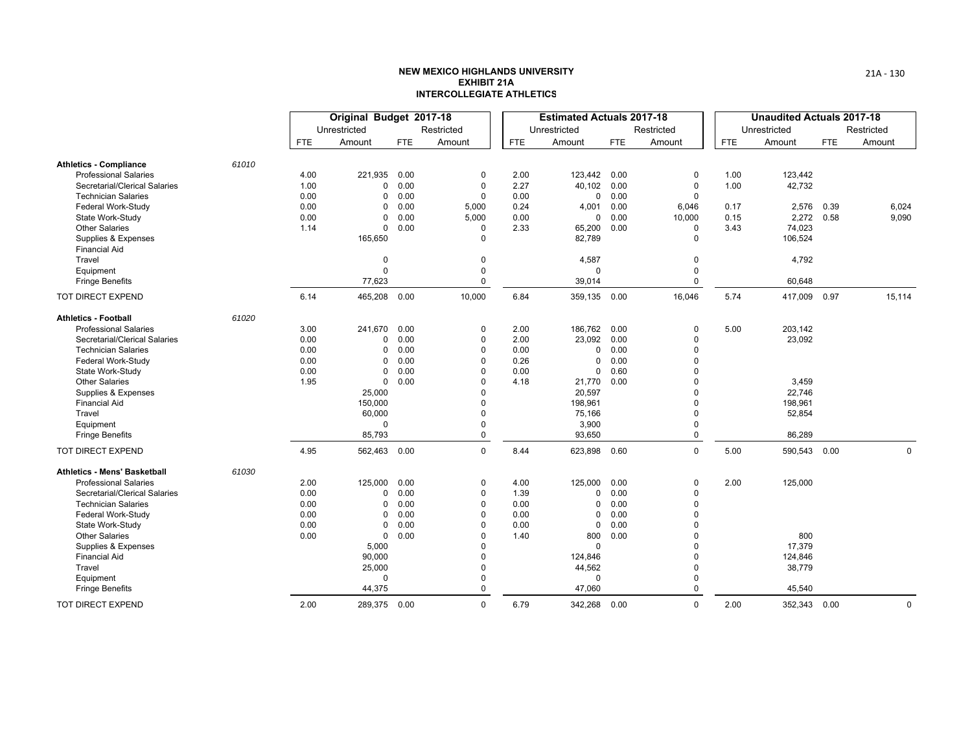|                                             |       | Original Budget 2017-18 |              |            |             |      | <b>Estimated Actuals 2017-18</b> |            |             |            | <b>Unaudited Actuals 2017-18</b> |      |             |
|---------------------------------------------|-------|-------------------------|--------------|------------|-------------|------|----------------------------------|------------|-------------|------------|----------------------------------|------|-------------|
|                                             |       |                         | Unrestricted |            | Restricted  |      | Unrestricted                     |            | Restricted  |            | Unrestricted                     |      | Restricted  |
|                                             |       | <b>FTE</b>              | Amount       | <b>FTE</b> | Amount      | FTE. | Amount                           | <b>FTE</b> | Amount      | <b>FTE</b> | Amount                           | FTE  | Amount      |
| <b>Athletics - Compliance</b>               | 61010 |                         |              |            |             |      |                                  |            |             |            |                                  |      |             |
| <b>Professional Salaries</b>                |       | 4.00                    | 221,935      | 0.00       | $\mathbf 0$ | 2.00 | 123,442 0.00                     |            | 0           | 1.00       | 123,442                          |      |             |
| Secretarial/Clerical Salaries               |       | 1.00                    | $\mathbf 0$  | 0.00       | $\mathbf 0$ | 2.27 | 40,102 0.00                      |            | $\mathbf 0$ | 1.00       | 42,732                           |      |             |
| <b>Technician Salaries</b>                  |       | 0.00                    | 0            | 0.00       | $\mathbf 0$ | 0.00 |                                  | 0 0.00     | 0           |            |                                  |      |             |
| Federal Work-Study                          |       | 0.00                    | $\mathbf 0$  | 0.00       | 5,000       | 0.24 | 4,001                            | 0.00       | 6,046       | 0.17       | 2,576                            | 0.39 | 6,024       |
| State Work-Study                            |       | 0.00                    | $\mathbf 0$  | 0.00       | 5,000       | 0.00 | $\mathbf{0}$                     | 0.00       | 10,000      | 0.15       | 2,272                            | 0.58 | 9,090       |
| <b>Other Salaries</b>                       |       | 1.14                    | $\mathbf 0$  | 0.00       | $\Omega$    | 2.33 | 65,200                           | 0.00       | 0           | 3.43       | 74,023                           |      |             |
| Supplies & Expenses<br><b>Financial Aid</b> |       |                         | 165,650      |            | $\Omega$    |      | 82,789                           |            | 0           |            | 106,524                          |      |             |
| Travel                                      |       |                         | $\mathbf 0$  |            | 0           |      | 4,587                            |            | 0           |            | 4,792                            |      |             |
| Equipment                                   |       |                         | $\Omega$     |            | $\mathbf 0$ |      | 0                                |            | 0           |            |                                  |      |             |
| <b>Fringe Benefits</b>                      |       |                         | 77,623       |            | $\mathbf 0$ |      | 39,014                           |            | $\mathbf 0$ |            | 60,648                           |      |             |
| <b>TOT DIRECT EXPEND</b>                    |       | 6.14                    | 465,208      | 0.00       | 10,000      | 6.84 | 359,135 0.00                     |            | 16,046      | 5.74       | 417,009 0.97                     |      | 15,114      |
| <b>Athletics - Football</b>                 | 61020 |                         |              |            |             |      |                                  |            |             |            |                                  |      |             |
| <b>Professional Salaries</b>                |       | 3.00                    | 241,670      | 0.00       | 0           | 2.00 | 186,762 0.00                     |            | 0           | 5.00       | 203,142                          |      |             |
| Secretarial/Clerical Salaries               |       | 0.00                    | 0            | 0.00       | $\mathbf 0$ | 2.00 | 23,092 0.00                      |            | 0           |            | 23,092                           |      |             |
| <b>Technician Salaries</b>                  |       | 0.00                    | 0            | 0.00       | $\mathbf 0$ | 0.00 | $\mathbf{0}$                     | 0.00       | 0           |            |                                  |      |             |
| Federal Work-Study                          |       | 0.00                    | $\mathbf 0$  | 0.00       | $\Omega$    | 0.26 | $\mathbf 0$                      | 0.00       | $\Omega$    |            |                                  |      |             |
| State Work-Study                            |       | 0.00                    | 0            | 0.00       | $\Omega$    | 0.00 | 0                                | 0.60       | 0           |            |                                  |      |             |
| <b>Other Salaries</b>                       |       | 1.95                    | $\mathbf 0$  | 0.00       | $\Omega$    | 4.18 | 21,770                           | 0.00       | 0           |            | 3,459                            |      |             |
| Supplies & Expenses                         |       |                         | 25,000       |            |             |      | 20,597                           |            | $\Omega$    |            | 22,746                           |      |             |
| <b>Financial Aid</b>                        |       |                         | 150,000      |            | $\Omega$    |      | 198,961                          |            | 0           |            | 198,961                          |      |             |
| Travel                                      |       |                         | 60,000       |            | $\Omega$    |      | 75,166                           |            | 0           |            | 52,854                           |      |             |
| Equipment                                   |       |                         | 0            |            | $\mathbf 0$ |      | 3,900                            |            | 0           |            |                                  |      |             |
| <b>Fringe Benefits</b>                      |       |                         | 85,793       |            | $\Omega$    |      | 93,650                           |            | $\mathbf 0$ |            | 86,289                           |      |             |
| TOT DIRECT EXPEND                           |       | 4.95                    | 562,463 0.00 |            | $\mathbf 0$ | 8.44 | 623,898 0.60                     |            | 0           | 5.00       | 590,543 0.00                     |      | $\mathbf 0$ |
| <b>Athletics - Mens' Basketball</b>         | 61030 |                         |              |            |             |      |                                  |            |             |            |                                  |      |             |
| <b>Professional Salaries</b>                |       | 2.00                    | 125,000      | 0.00       | $\mathbf 0$ | 4.00 | 125,000                          | 0.00       | $\mathbf 0$ | 2.00       | 125,000                          |      |             |
| Secretarial/Clerical Salaries               |       | 0.00                    | 0            | 0.00       | $\mathbf 0$ | 1.39 | 0                                | 0.00       | 0           |            |                                  |      |             |
| <b>Technician Salaries</b>                  |       | 0.00                    | 0            | 0.00       | $\mathbf 0$ | 0.00 | 0                                | 0.00       | 0           |            |                                  |      |             |
| Federal Work-Study                          |       | 0.00                    | $\mathbf 0$  | 0.00       | $\Omega$    | 0.00 | 0                                | 0.00       | $\Omega$    |            |                                  |      |             |
| State Work-Study                            |       | 0.00                    | $\mathbf 0$  | 0.00       | $\Omega$    | 0.00 | 0                                | 0.00       | 0           |            |                                  |      |             |
| <b>Other Salaries</b>                       |       | 0.00                    | $\mathbf 0$  | 0.00       | $\Omega$    | 1.40 | 800                              | 0.00       | 0           |            | 800                              |      |             |
| Supplies & Expenses                         |       |                         | 5,000        |            |             |      | $\Omega$                         |            | $\Omega$    |            | 17,379                           |      |             |
| <b>Financial Aid</b>                        |       |                         | 90,000       |            | $\Omega$    |      | 124,846                          |            | 0           |            | 124,846                          |      |             |
| Travel                                      |       |                         | 25,000       |            | $\Omega$    |      | 44,562                           |            | $\Omega$    |            | 38,779                           |      |             |
| Equipment                                   |       |                         | $\mathbf 0$  |            | $\mathbf 0$ |      | $\mathbf 0$                      |            | 0           |            |                                  |      |             |
| <b>Fringe Benefits</b>                      |       |                         | 44,375       |            | $\Omega$    |      | 47,060                           |            | 0           |            | 45,540                           |      |             |
| TOT DIRECT EXPEND                           |       | 2.00                    | 289,375 0.00 |            | $\Omega$    | 6.79 | 342,268 0.00                     |            | $\Omega$    | 2.00       | 352,343 0.00                     |      | $\mathbf 0$ |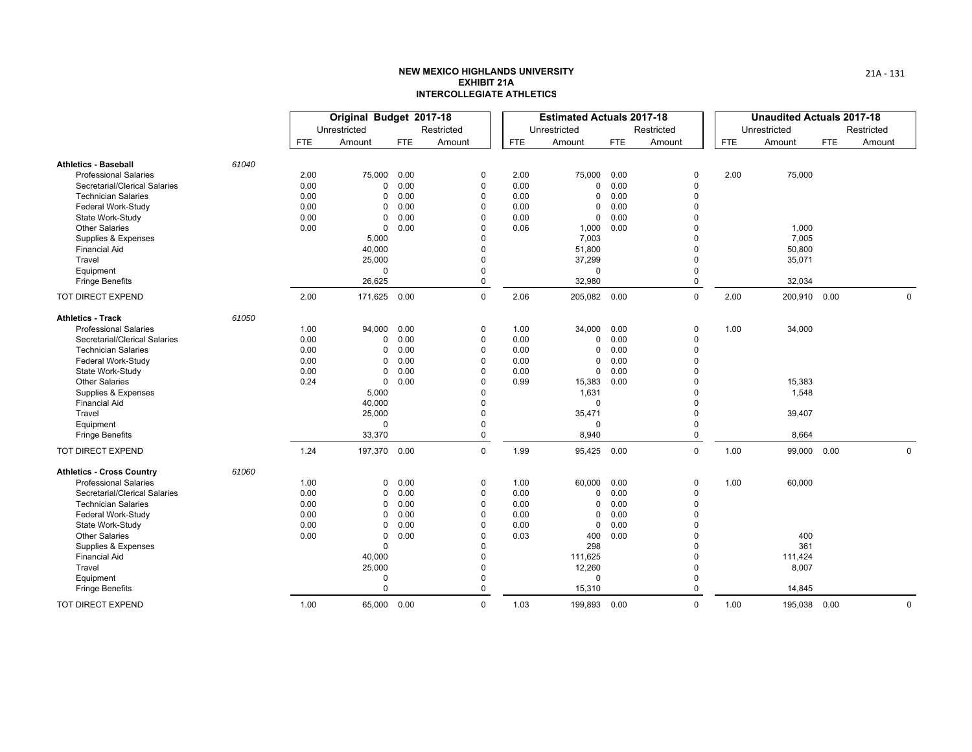|                                  |       |            | Original Budget 2017-18 |      |                |            | <b>Estimated Actuals 2017-18</b> |            |             |      | <b>Unaudited Actuals 2017-18</b> |            |            |
|----------------------------------|-------|------------|-------------------------|------|----------------|------------|----------------------------------|------------|-------------|------|----------------------------------|------------|------------|
|                                  |       |            | Unrestricted            |      | Restricted     |            | Unrestricted                     |            | Restricted  |      | Unrestricted                     |            | Restricted |
|                                  |       | <b>FTE</b> | Amount                  | FTE  | Amount         | <b>FTE</b> | Amount                           | <b>FTE</b> | Amount      | FTE. | Amount                           | <b>FTE</b> | Amount     |
| <b>Athletics - Baseball</b>      | 61040 |            |                         |      |                |            |                                  |            |             |      |                                  |            |            |
| <b>Professional Salaries</b>     |       | 2.00       | 75,000                  | 0.00 | 0              | 2.00       | 75,000                           | 0.00       | $\Omega$    | 2.00 | 75,000                           |            |            |
| Secretarial/Clerical Salaries    |       | 0.00       | 0                       | 0.00 | $\mathbf 0$    | 0.00       | $\mathbf 0$                      | 0.00       | $\Omega$    |      |                                  |            |            |
| <b>Technician Salaries</b>       |       | 0.00       | $\Omega$                | 0.00 | 0              | 0.00       | 0                                | 0.00       | $\Omega$    |      |                                  |            |            |
| Federal Work-Study               |       | 0.00       | 0                       | 0.00 | $\mathbf 0$    | 0.00       | $\mathbf 0$                      | 0.00       | $\Omega$    |      |                                  |            |            |
| State Work-Study                 |       | 0.00       | 0                       | 0.00 | $\Omega$       | 0.00       | $\mathbf 0$                      | 0.00       | $\Omega$    |      |                                  |            |            |
| <b>Other Salaries</b>            |       | 0.00       | 0                       | 0.00 | $\Omega$       | 0.06       | 1,000                            | 0.00       | $\Omega$    |      | 1,000                            |            |            |
| Supplies & Expenses              |       |            | 5,000                   |      | $\Omega$       |            | 7,003                            |            | $\Omega$    |      | 7,005                            |            |            |
| <b>Financial Aid</b>             |       |            | 40,000                  |      | $\Omega$       |            | 51,800                           |            | $\Omega$    |      | 50,800                           |            |            |
| Travel                           |       |            | 25,000                  |      | $\Omega$       |            | 37,299                           |            | $\Omega$    |      | 35,071                           |            |            |
| Equipment                        |       |            | $\Omega$                |      | 0              |            | 0                                |            | $\Omega$    |      |                                  |            |            |
| <b>Fringe Benefits</b>           |       |            | 26,625                  |      | $\mathbf 0$    |            | 32,980                           |            | $\mathbf 0$ |      | 32,034                           |            |            |
| <b>TOT DIRECT EXPEND</b>         |       | 2.00       | 171,625                 | 0.00 | $\mathbf 0$    | 2.06       | 205,082 0.00                     |            | $\mathbf 0$ | 2.00 | 200,910 0.00                     |            | 0          |
| <b>Athletics - Track</b>         | 61050 |            |                         |      |                |            |                                  |            |             |      |                                  |            |            |
| <b>Professional Salaries</b>     |       | 1.00       | 94,000                  | 0.00 | 0              | 1.00       | 34,000                           | 0.00       | $\Omega$    | 1.00 | 34,000                           |            |            |
| Secretarial/Clerical Salaries    |       | 0.00       | 0                       | 0.00 | $\mathbf 0$    | 0.00       | 0                                | 0.00       | $\Omega$    |      |                                  |            |            |
| <b>Technician Salaries</b>       |       | 0.00       | $\Omega$                | 0.00 | 0              | 0.00       | 0                                | 0.00       | $\Omega$    |      |                                  |            |            |
| Federal Work-Study               |       | 0.00       | 0                       | 0.00 | $\Omega$       | 0.00       | $\mathbf 0$                      | 0.00       | $\Omega$    |      |                                  |            |            |
| State Work-Study                 |       | 0.00       | 0                       | 0.00 | $\overline{0}$ | 0.00       | 0                                | 0.00       | $\Omega$    |      |                                  |            |            |
| <b>Other Salaries</b>            |       | 0.24       | 0                       | 0.00 | $\Omega$       | 0.99       | 15,383                           | 0.00       | $\Omega$    |      | 15,383                           |            |            |
| Supplies & Expenses              |       |            | 5,000                   |      | $\Omega$       |            | 1,631                            |            | $\Omega$    |      | 1,548                            |            |            |
| <b>Financial Aid</b>             |       |            | 40,000                  |      | $\Omega$       |            | $\Omega$                         |            | $\Omega$    |      |                                  |            |            |
| Travel                           |       |            | 25,000                  |      | $\Omega$       |            | 35,471                           |            | $\Omega$    |      | 39,407                           |            |            |
| Equipment                        |       |            | $\Omega$                |      | $\overline{0}$ |            | 0                                |            | $\mathbf 0$ |      |                                  |            |            |
| <b>Fringe Benefits</b>           |       |            | 33,370                  |      | $\mathbf 0$    |            | 8,940                            |            | $\Omega$    |      | 8,664                            |            |            |
| TOT DIRECT EXPEND                |       | 1.24       | 197,370 0.00            |      | $\mathbf 0$    | 1.99       | 95,425 0.00                      |            | $\mathbf 0$ | 1.00 | 99,000                           | 0.00       | 0          |
| <b>Athletics - Cross Country</b> | 61060 |            |                         |      |                |            |                                  |            |             |      |                                  |            |            |
| <b>Professional Salaries</b>     |       | 1.00       | $\Omega$                | 0.00 | $\mathbf 0$    | 1.00       | 60,000                           | 0.00       | $\Omega$    | 1.00 | 60,000                           |            |            |
| Secretarial/Clerical Salaries    |       | 0.00       | $\Omega$                | 0.00 | $\mathbf 0$    | 0.00       | 0                                | 0.00       | $\Omega$    |      |                                  |            |            |
| <b>Technician Salaries</b>       |       | 0.00       | 0                       | 0.00 | 0              | 0.00       | 0                                | 0.00       | 0           |      |                                  |            |            |
| Federal Work-Study               |       | 0.00       | 0                       | 0.00 | $\Omega$       | 0.00       | 0                                | 0.00       | $\Omega$    |      |                                  |            |            |
| State Work-Study                 |       | 0.00       | 0                       | 0.00 | $\Omega$       | 0.00       | 0                                | 0.00       | $\Omega$    |      |                                  |            |            |
| <b>Other Salaries</b>            |       | 0.00       | 0                       | 0.00 | $\Omega$       | 0.03       | 400                              | 0.00       | $\Omega$    |      | 400                              |            |            |
| Supplies & Expenses              |       |            | $\Omega$                |      | $\Omega$       |            | 298                              |            | $\Omega$    |      | 361                              |            |            |
| <b>Financial Aid</b>             |       |            | 40,000                  |      | 0              |            | 111,625                          |            | $\Omega$    |      | 111,424                          |            |            |
| Travel                           |       |            | 25,000                  |      | $\Omega$       |            | 12,260                           |            | $\Omega$    |      | 8,007                            |            |            |
| Equipment                        |       |            | $\overline{0}$          |      | $\mathbf 0$    |            | $\mathbf 0$                      |            | $\Omega$    |      |                                  |            |            |
| <b>Fringe Benefits</b>           |       |            | $\Omega$                |      | $\Omega$       |            | 15,310                           |            | $\Omega$    |      | 14,845                           |            |            |
| TOT DIRECT EXPEND                |       | 1.00       | 65,000 0.00             |      | $\mathbf 0$    | 1.03       | 199,893 0.00                     |            | $\Omega$    | 1.00 | 195,038                          | 0.00       | 0          |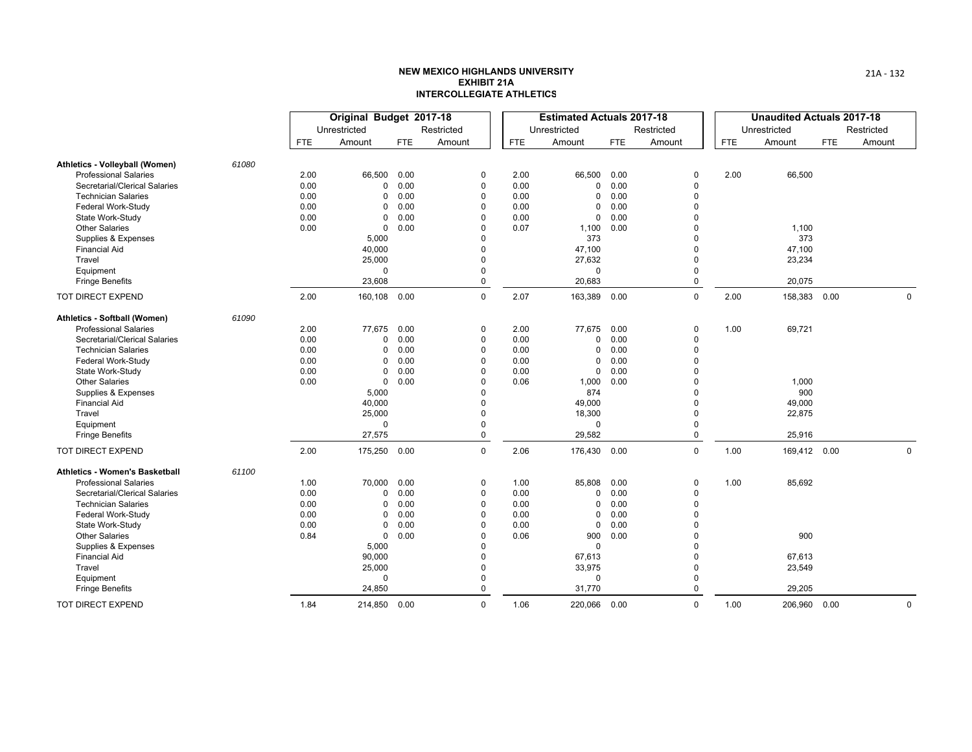|                                     |       |            | Original Budget 2017-18 |            |                         |            | <b>Estimated Actuals 2017-18</b> |            |                      |            | <b>Unaudited Actuals 2017-18</b> |            |            |
|-------------------------------------|-------|------------|-------------------------|------------|-------------------------|------------|----------------------------------|------------|----------------------|------------|----------------------------------|------------|------------|
|                                     |       |            | Unrestricted            |            | Restricted              |            | Unrestricted                     |            | Restricted           |            | Unrestricted                     |            | Restricted |
|                                     |       | <b>FTE</b> | Amount                  | <b>FTE</b> | Amount                  | <b>FTE</b> | Amount                           | <b>FTE</b> | Amount               | <b>FTE</b> | Amount                           | <b>FTE</b> | Amount     |
| Athletics - Volleyball (Women)      | 61080 |            |                         |            |                         |            |                                  |            |                      |            |                                  |            |            |
| <b>Professional Salaries</b>        |       | 2.00       | 66,500                  | 0.00       | 0                       | 2.00       | 66,500                           | 0.00       | 0                    | 2.00       | 66,500                           |            |            |
| Secretarial/Clerical Salaries       |       | 0.00       | 0                       | 0.00       | $\mathbf 0$             | 0.00       | 0                                | 0.00       | $\Omega$             |            |                                  |            |            |
| <b>Technician Salaries</b>          |       | 0.00       | 0                       | 0.00       | $\mathbf 0$             | 0.00       | $\Omega$                         | 0.00       | $\Omega$             |            |                                  |            |            |
| Federal Work-Study                  |       | 0.00       | $\Omega$                | 0.00       | $\Omega$                | 0.00       | $\mathbf 0$                      | 0.00       | $\Omega$             |            |                                  |            |            |
| State Work-Study                    |       | 0.00       | $\Omega$                | 0.00       | $\mathbf 0$             | 0.00       | $\mathbf 0$                      | 0.00       | $\Omega$             |            |                                  |            |            |
| <b>Other Salaries</b>               |       | 0.00       | 0                       | 0.00       | $\Omega$                | 0.07       | 1,100                            | 0.00       | $\Omega$             |            | 1,100                            |            |            |
| Supplies & Expenses                 |       |            | 5,000                   |            | $\Omega$                |            | 373                              |            | $\Omega$             |            | 373                              |            |            |
| <b>Financial Aid</b>                |       |            | 40,000                  |            | 0                       |            | 47,100                           |            | $\Omega$             |            | 47,100                           |            |            |
| Travel                              |       |            | 25,000                  |            | $\Omega$                |            | 27,632                           |            | $\Omega$             |            | 23,234                           |            |            |
| Equipment<br><b>Fringe Benefits</b> |       |            | $\Omega$<br>23,608      |            | $\Omega$<br>$\mathbf 0$ |            | $\mathbf 0$<br>20,683            |            | $\Omega$<br>$\Omega$ |            | 20,075                           |            |            |
| TOT DIRECT EXPEND                   |       | 2.00       | 160,108                 | 0.00       | $\mathbf 0$             | 2.07       | 163,389                          | 0.00       | $\Omega$             | 2.00       | 158,383                          | 0.00       | 0          |
| Athletics - Softball (Women)        | 61090 |            |                         |            |                         |            |                                  |            |                      |            |                                  |            |            |
| <b>Professional Salaries</b>        |       | 2.00       | 77,675                  | 0.00       | 0                       | 2.00       | 77,675                           | 0.00       | $\Omega$             | 1.00       | 69,721                           |            |            |
| Secretarial/Clerical Salaries       |       | 0.00       | 0                       | 0.00       | $\mathbf 0$             | 0.00       | 0                                | 0.00       | $\Omega$             |            |                                  |            |            |
| <b>Technician Salaries</b>          |       | 0.00       | $\Omega$                | 0.00       | $\mathbf 0$             | 0.00       | 0                                | 0.00       | $\mathbf 0$          |            |                                  |            |            |
| Federal Work-Study                  |       | 0.00       | $\Omega$                | 0.00       | $\Omega$                | 0.00       | 0                                | 0.00       | $\Omega$             |            |                                  |            |            |
| State Work-Study                    |       | 0.00       | $\Omega$                | 0.00       | $\Omega$                | 0.00       | $\mathbf 0$                      | 0.00       | $\Omega$             |            |                                  |            |            |
| <b>Other Salaries</b>               |       | 0.00       | $\mathbf 0$             | 0.00       | $\mathbf 0$             | 0.06       | 1,000                            | 0.00       | $\Omega$             |            | 1,000                            |            |            |
| Supplies & Expenses                 |       |            | 5,000                   |            | $\Omega$                |            | 874                              |            | $\Omega$             |            | 900                              |            |            |
| <b>Financial Aid</b>                |       |            | 40,000                  |            | $\Omega$                |            | 49,000                           |            | $\Omega$             |            | 49,000                           |            |            |
| Travel                              |       |            | 25,000                  |            | $\Omega$                |            | 18,300                           |            | $\Omega$             |            | 22,875                           |            |            |
| Equipment                           |       |            | $\Omega$                |            | $\Omega$                |            | 0                                |            | $\Omega$             |            |                                  |            |            |
| <b>Fringe Benefits</b>              |       |            | 27,575                  |            | $\mathbf 0$             |            | 29,582                           |            | $\Omega$             |            | 25,916                           |            |            |
| TOT DIRECT EXPEND                   |       | 2.00       | 175,250                 | 0.00       | $\mathbf 0$             | 2.06       | 176,430 0.00                     |            | $\mathbf 0$          | 1.00       | 169,412 0.00                     |            | 0          |
| Athletics - Women's Basketball      | 61100 |            |                         |            |                         |            |                                  |            |                      |            |                                  |            |            |
| <b>Professional Salaries</b>        |       | 1.00       | 70,000                  | 0.00       | 0                       | 1.00       | 85,808                           | 0.00       | 0                    | 1.00       | 85,692                           |            |            |
| Secretarial/Clerical Salaries       |       | 0.00       | 0                       | 0.00       | $\mathbf 0$             | 0.00       | 0                                | 0.00       | 0                    |            |                                  |            |            |
| <b>Technician Salaries</b>          |       | 0.00       | 0                       | 0.00       | $\mathbf 0$             | 0.00       | 0                                | 0.00       | $\mathbf 0$          |            |                                  |            |            |
| Federal Work-Study                  |       | 0.00       | 0                       | 0.00       | $\mathbf 0$             | 0.00       | 0                                | 0.00       | $\Omega$             |            |                                  |            |            |
| State Work-Study                    |       | 0.00       | 0                       | 0.00       | $\Omega$                | 0.00       | 0                                | 0.00       | $\Omega$             |            |                                  |            |            |
| <b>Other Salaries</b>               |       | 0.84       | $\mathbf 0$             | 0.00       | $\Omega$                | 0.06       | 900                              | 0.00       | $\Omega$             |            | 900                              |            |            |
| Supplies & Expenses                 |       |            | 5,000                   |            | $\Omega$                |            | $\Omega$                         |            | $\Omega$             |            |                                  |            |            |
| <b>Financial Aid</b>                |       |            | 90,000                  |            | $\Omega$                |            | 67,613                           |            | $\Omega$             |            | 67,613                           |            |            |
| Travel                              |       |            | 25,000                  |            | $\Omega$                |            | 33,975                           |            | $\Omega$             |            | 23,549                           |            |            |
| Equipment                           |       |            | $\Omega$                |            | 0                       |            | 0                                |            | $\Omega$<br>$\Omega$ |            |                                  |            |            |
| <b>Fringe Benefits</b>              |       |            | 24,850                  |            | $\Omega$                |            | 31,770                           |            |                      |            | 29,205                           |            |            |
| TOT DIRECT EXPEND                   |       | 1.84       | 214,850 0.00            |            | $\Omega$                | 1.06       | 220,066 0.00                     |            | $\Omega$             | 1.00       | 206,960                          | 0.00       | 0          |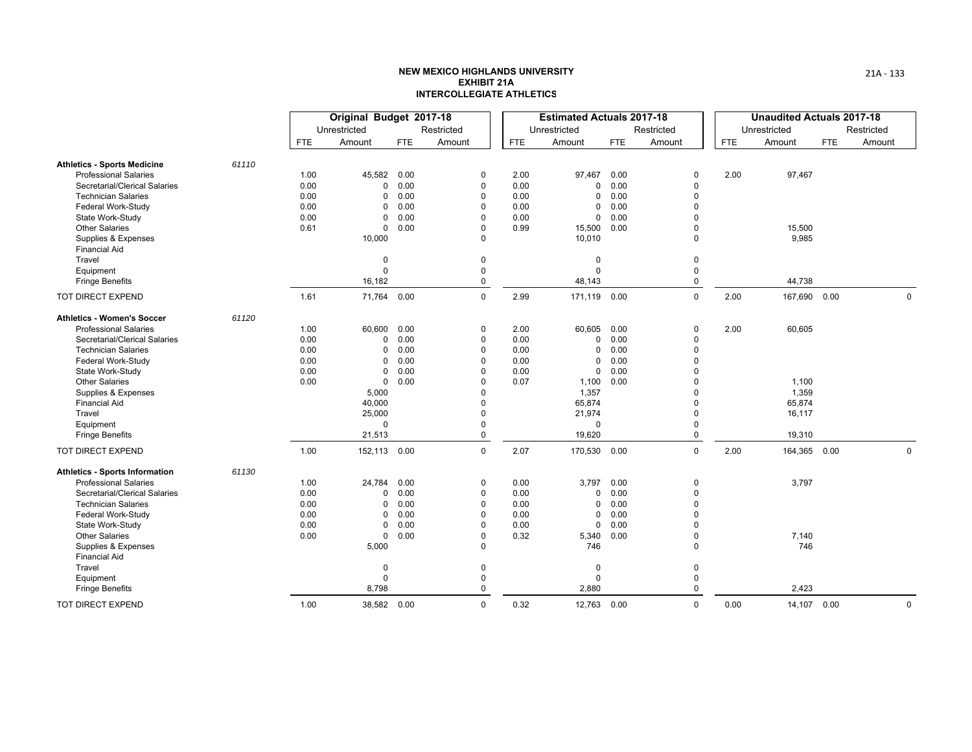|                                             |       |            | Original Budget 2017-18 |      |             |            | <b>Estimated Actuals 2017-18</b> |            |             |      | <b>Unaudited Actuals 2017-18</b> |            |            |
|---------------------------------------------|-------|------------|-------------------------|------|-------------|------------|----------------------------------|------------|-------------|------|----------------------------------|------------|------------|
|                                             |       |            | Unrestricted            |      | Restricted  |            | Unrestricted                     |            | Restricted  |      | Unrestricted                     |            | Restricted |
|                                             |       | <b>FTE</b> | Amount                  | FTE  | Amount      | <b>FTE</b> | Amount                           | <b>FTE</b> | Amount      | FTE. | Amount                           | <b>FTE</b> | Amount     |
| <b>Athletics - Sports Medicine</b>          | 61110 |            |                         |      |             |            |                                  |            |             |      |                                  |            |            |
| <b>Professional Salaries</b>                |       | 1.00       | 45,582                  | 0.00 | 0           | 2.00       | 97,467                           | 0.00       | $\Omega$    | 2.00 | 97,467                           |            |            |
| Secretarial/Clerical Salaries               |       | 0.00       | 0                       | 0.00 | $\mathbf 0$ | 0.00       | $\mathbf 0$                      | 0.00       | $\Omega$    |      |                                  |            |            |
| <b>Technician Salaries</b>                  |       | 0.00       | $\Omega$                | 0.00 | 0           | 0.00       | 0                                | 0.00       | $\Omega$    |      |                                  |            |            |
| Federal Work-Study                          |       | 0.00       | $\Omega$                | 0.00 | $\mathbf 0$ | 0.00       | 0                                | 0.00       | $\Omega$    |      |                                  |            |            |
| State Work-Study                            |       | 0.00       | 0                       | 0.00 | $\Omega$    | 0.00       | $\mathbf 0$                      | 0.00       | $\Omega$    |      |                                  |            |            |
| <b>Other Salaries</b>                       |       | 0.61       | $\mathbf 0$             | 0.00 | $\Omega$    | 0.99       | 15,500                           | 0.00       | $\Omega$    |      | 15,500                           |            |            |
| Supplies & Expenses<br><b>Financial Aid</b> |       |            | 10,000                  |      | 0           |            | 10,010                           |            | $\Omega$    |      | 9,985                            |            |            |
| Travel                                      |       |            | 0                       |      | $\pmb{0}$   |            | 0                                |            | $\mathbf 0$ |      |                                  |            |            |
| Equipment                                   |       |            | $\Omega$                |      | $\mathbf 0$ |            | $\Omega$                         |            | $\mathbf 0$ |      |                                  |            |            |
| <b>Fringe Benefits</b>                      |       |            | 16,182                  |      | 0           |            | 48,143                           |            | $\mathbf 0$ |      | 44,738                           |            |            |
| TOT DIRECT EXPEND                           |       | 1.61       | 71,764                  | 0.00 | $\mathbf 0$ | 2.99       | 171,119 0.00                     |            | $\mathbf 0$ | 2.00 | 167,690                          | 0.00       | 0          |
| <b>Athletics - Women's Soccer</b>           | 61120 |            |                         |      |             |            |                                  |            |             |      |                                  |            |            |
| <b>Professional Salaries</b>                |       | 1.00       | 60,600                  | 0.00 | 0           | 2.00       | 60,605                           | 0.00       | $\Omega$    | 2.00 | 60,605                           |            |            |
| Secretarial/Clerical Salaries               |       | 0.00       | 0                       | 0.00 | $\mathbf 0$ | 0.00       | 0                                | 0.00       | $\Omega$    |      |                                  |            |            |
| <b>Technician Salaries</b>                  |       | 0.00       | 0                       | 0.00 | 0           | 0.00       | 0                                | 0.00       | $\Omega$    |      |                                  |            |            |
| Federal Work-Study                          |       | 0.00       | 0                       | 0.00 | $\Omega$    | 0.00       | $\mathbf 0$                      | 0.00       | $\Omega$    |      |                                  |            |            |
| State Work-Study                            |       | 0.00       | 0                       | 0.00 | $\mathbf 0$ | 0.00       | 0                                | 0.00       | $\Omega$    |      |                                  |            |            |
| <b>Other Salaries</b>                       |       | 0.00       | 0                       | 0.00 | $\Omega$    | 0.07       | 1,100                            | 0.00       | $\Omega$    |      | 1,100                            |            |            |
| Supplies & Expenses                         |       |            | 5,000                   |      | $\Omega$    |            | 1,357                            |            | $\Omega$    |      | 1,359                            |            |            |
| <b>Financial Aid</b>                        |       |            | 40,000                  |      | $\Omega$    |            | 65,874                           |            | $\Omega$    |      | 65,874                           |            |            |
| Travel                                      |       |            | 25,000                  |      | $\Omega$    |            | 21,974                           |            | $\Omega$    |      | 16,117                           |            |            |
| Equipment                                   |       |            | $\mathbf 0$             |      | $\mathbf 0$ |            | $\mathbf 0$                      |            | $\Omega$    |      |                                  |            |            |
| <b>Fringe Benefits</b>                      |       |            | 21,513                  |      | $\mathbf 0$ |            | 19,620                           |            | $\Omega$    |      | 19,310                           |            |            |
| TOT DIRECT EXPEND                           |       | 1.00       | 152,113 0.00            |      | $\mathbf 0$ | 2.07       | 170,530 0.00                     |            | $\mathbf 0$ | 2.00 | 164,365                          | 0.00       | 0          |
| <b>Athletics - Sports Information</b>       | 61130 |            |                         |      |             |            |                                  |            |             |      |                                  |            |            |
| <b>Professional Salaries</b>                |       | 1.00       | 24,784                  | 0.00 | $\mathbf 0$ | 0.00       | 3,797                            | 0.00       | $\Omega$    |      | 3,797                            |            |            |
| Secretarial/Clerical Salaries               |       | 0.00       | 0                       | 0.00 | 0           | 0.00       | 0                                | 0.00       | $\Omega$    |      |                                  |            |            |
| <b>Technician Salaries</b>                  |       | 0.00       | 0                       | 0.00 | 0           | 0.00       | 0                                | 0.00       | 0           |      |                                  |            |            |
| Federal Work-Study                          |       | 0.00       | $\Omega$                | 0.00 | $\mathbf 0$ | 0.00       | 0                                | 0.00       | $\Omega$    |      |                                  |            |            |
| State Work-Study                            |       | 0.00       | 0                       | 0.00 | 0           | 0.00       | 0                                | 0.00       | $\Omega$    |      |                                  |            |            |
| <b>Other Salaries</b>                       |       | 0.00       | 0                       | 0.00 | 0           | 0.32       | 5,340                            | 0.00       | 0           |      | 7,140                            |            |            |
| Supplies & Expenses                         |       |            | 5,000                   |      | $\Omega$    |            | 746                              |            | $\Omega$    |      | 746                              |            |            |
| <b>Financial Aid</b>                        |       |            |                         |      |             |            |                                  |            |             |      |                                  |            |            |
| Travel                                      |       |            | $\overline{0}$          |      | 0           |            | 0                                |            | 0           |      |                                  |            |            |
| Equipment                                   |       |            | $\Omega$                |      | $\mathbf 0$ |            | $\Omega$                         |            | $\mathbf 0$ |      |                                  |            |            |
| <b>Fringe Benefits</b>                      |       |            | 8,798                   |      | $\mathbf 0$ |            | 2,880                            |            | $\Omega$    |      | 2,423                            |            |            |
| TOT DIRECT EXPEND                           |       | 1.00       | 38,582 0.00             |      | $\mathbf 0$ | 0.32       | 12,763 0.00                      |            | $\Omega$    | 0.00 | 14,107                           | 0.00       | 0          |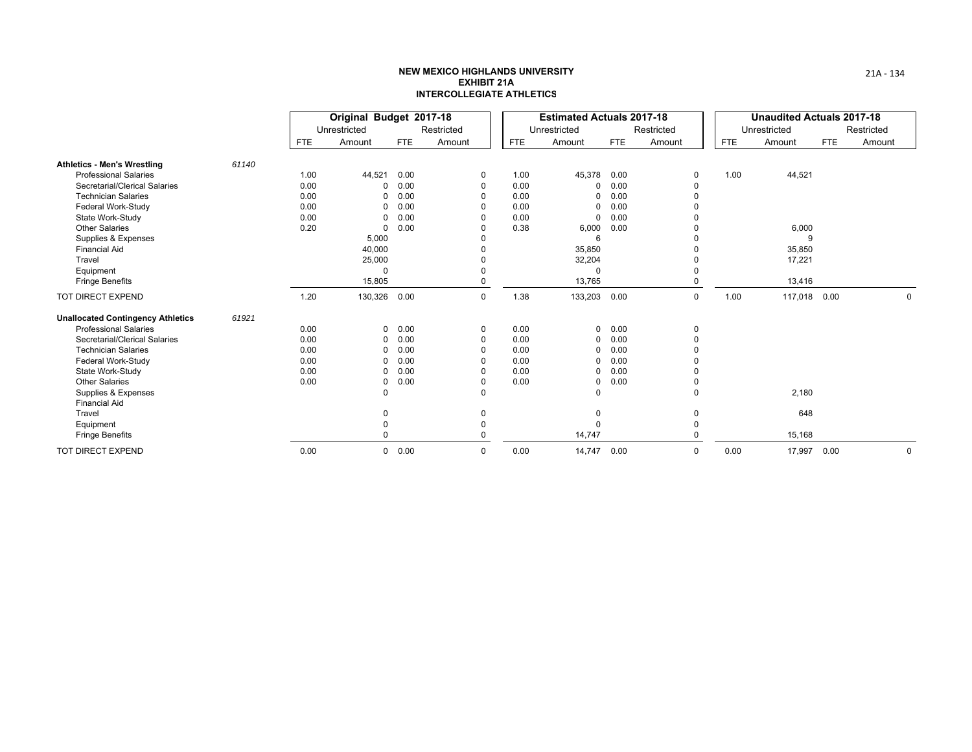|                                             |       |            | Original Budget 2017-18 |               |             |            | <b>Estimated Actuals 2017-18</b> |            |            |      | <b>Unaudited Actuals 2017-18</b> |            |            |
|---------------------------------------------|-------|------------|-------------------------|---------------|-------------|------------|----------------------------------|------------|------------|------|----------------------------------|------------|------------|
|                                             |       |            | Unrestricted            |               | Restricted  |            | Unrestricted                     |            | Restricted |      | Unrestricted                     |            | Restricted |
|                                             |       | <b>FTE</b> | Amount                  | <b>FTE</b>    | Amount      | <b>FTE</b> | Amount                           | <b>FTE</b> | Amount     | FTE  | Amount                           | <b>FTE</b> | Amount     |
| <b>Athletics - Men's Wrestling</b>          | 61140 |            |                         |               |             |            |                                  |            |            |      |                                  |            |            |
| <b>Professional Salaries</b>                |       | 1.00       | 44,521                  | 0.00          | 0           | 1.00       | 45,378 0.00                      |            |            | 1.00 | 44,521                           |            |            |
| Secretarial/Clerical Salaries               |       | 0.00       |                         | 0.00          | 0           | 0.00       | 0                                | 0.00       |            |      |                                  |            |            |
| <b>Technician Salaries</b>                  |       | 0.00       |                         | 0.00          | $\Omega$    | 0.00       | 0                                | 0.00       |            |      |                                  |            |            |
| Federal Work-Study                          |       | 0.00       |                         | 0.00          | $\Omega$    | 0.00       | 0                                | 0.00       |            |      |                                  |            |            |
| State Work-Study                            |       | 0.00       |                         | 0.00          | $\Omega$    | 0.00       | $\mathbf 0$                      | 0.00       |            |      |                                  |            |            |
| <b>Other Salaries</b>                       |       | 0.20       | $\Omega$                | 0.00          | $\Omega$    | 0.38       | 6,000                            | 0.00       |            |      | 6,000                            |            |            |
| Supplies & Expenses                         |       |            | 5,000                   |               |             |            | 6                                |            |            |      | 9                                |            |            |
| <b>Financial Aid</b>                        |       |            | 40,000                  |               |             |            | 35,850                           |            |            |      | 35,850                           |            |            |
| Travel                                      |       |            | 25,000                  |               |             |            | 32,204                           |            |            |      | 17,221                           |            |            |
| Equipment                                   |       |            | $\Omega$                |               |             |            | $\Omega$                         |            |            |      |                                  |            |            |
| <b>Fringe Benefits</b>                      |       |            | 15,805                  |               |             |            | 13,765                           |            |            |      | 13,416                           |            |            |
| TOT DIRECT EXPEND                           |       | 1.20       | 130,326                 | 0.00          | $\mathbf 0$ | 1.38       | 133,203 0.00                     |            | $\Omega$   | 1.00 | 117,018                          | 0.00       | $\Omega$   |
| <b>Unallocated Contingency Athletics</b>    | 61921 |            |                         |               |             |            |                                  |            |            |      |                                  |            |            |
| <b>Professional Salaries</b>                |       | 0.00       |                         | $0\quad 0.00$ | 0           | 0.00       | $\mathbf{0}$                     | 0.00       |            |      |                                  |            |            |
| Secretarial/Clerical Salaries               |       | 0.00       | 0                       | 0.00          | 0           | 0.00       | $\mathbf 0$                      | 0.00       |            |      |                                  |            |            |
| <b>Technician Salaries</b>                  |       | 0.00       |                         | 0.00          | 0           | 0.00       | 0                                | 0.00       |            |      |                                  |            |            |
| Federal Work-Study                          |       | 0.00       |                         | 0.00          | $\Omega$    | 0.00       | 0                                | 0.00       |            |      |                                  |            |            |
| State Work-Study                            |       | 0.00       |                         | 0.00          | $\Omega$    | 0.00       | $\mathbf{0}$                     | 0.00       |            |      |                                  |            |            |
| <b>Other Salaries</b>                       |       | 0.00       | 0                       | 0.00          | 0           | 0.00       | 0                                | 0.00       |            |      |                                  |            |            |
| Supplies & Expenses<br><b>Financial Aid</b> |       |            | <sup>0</sup>            |               | $\Omega$    |            | $\Omega$                         |            | $\Omega$   |      | 2,180                            |            |            |
| Travel                                      |       |            |                         |               |             |            | 0                                |            |            |      | 648                              |            |            |
| Equipment                                   |       |            |                         |               |             |            | $\Omega$                         |            |            |      |                                  |            |            |
| <b>Fringe Benefits</b>                      |       |            |                         |               |             |            | 14,747                           |            |            |      | 15,168                           |            |            |
| TOT DIRECT EXPEND                           |       | 0.00       |                         | $0\quad 0.00$ | 0           | 0.00       | 14,747 0.00                      |            | $\Omega$   | 0.00 | 17,997                           | 0.00       | 0          |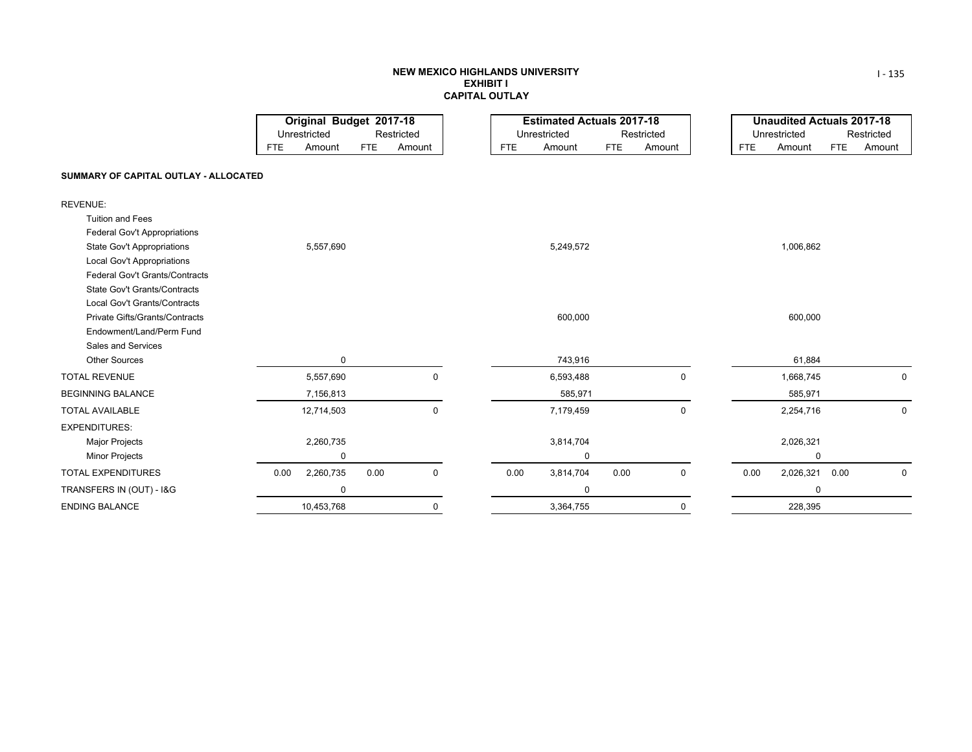#### **NEW MEXICO HIGHLANDS UNIVERSITY EXHIBIT ICAPITAL OUTLAY**

|                                       |            | Original Budget 2017-18 |            |            |            | <b>Estimated Actuals 2017-18</b> |            |            |            | <b>Unaudited Actuals 2017-18</b> |      |             |
|---------------------------------------|------------|-------------------------|------------|------------|------------|----------------------------------|------------|------------|------------|----------------------------------|------|-------------|
|                                       |            | Unrestricted            |            | Restricted |            | Unrestricted                     |            | Restricted |            | Unrestricted                     |      | Restricted  |
|                                       | <b>FTE</b> | Amount                  | <b>FTE</b> | Amount     | <b>FTE</b> | Amount                           | <b>FTE</b> | Amount     | <b>FTE</b> | Amount                           | FTE  | Amount      |
| SUMMARY OF CAPITAL OUTLAY - ALLOCATED |            |                         |            |            |            |                                  |            |            |            |                                  |      |             |
| <b>REVENUE:</b>                       |            |                         |            |            |            |                                  |            |            |            |                                  |      |             |
| <b>Tuition and Fees</b>               |            |                         |            |            |            |                                  |            |            |            |                                  |      |             |
| Federal Gov't Appropriations          |            |                         |            |            |            |                                  |            |            |            |                                  |      |             |
| <b>State Gov't Appropriations</b>     |            | 5,557,690               |            |            |            | 5,249,572                        |            |            |            | 1,006,862                        |      |             |
| Local Gov't Appropriations            |            |                         |            |            |            |                                  |            |            |            |                                  |      |             |
| Federal Gov't Grants/Contracts        |            |                         |            |            |            |                                  |            |            |            |                                  |      |             |
| <b>State Gov't Grants/Contracts</b>   |            |                         |            |            |            |                                  |            |            |            |                                  |      |             |
| Local Gov't Grants/Contracts          |            |                         |            |            |            |                                  |            |            |            |                                  |      |             |
| Private Gifts/Grants/Contracts        |            |                         |            |            |            | 600,000                          |            |            |            | 600,000                          |      |             |
| Endowment/Land/Perm Fund              |            |                         |            |            |            |                                  |            |            |            |                                  |      |             |
| Sales and Services                    |            |                         |            |            |            |                                  |            |            |            |                                  |      |             |
| <b>Other Sources</b>                  |            | 0                       |            |            |            | 743,916                          |            |            |            | 61,884                           |      |             |
| <b>TOTAL REVENUE</b>                  |            | 5,557,690               |            | 0          |            | 6,593,488                        |            | 0          |            | 1,668,745                        |      | 0           |
| <b>BEGINNING BALANCE</b>              |            | 7,156,813               |            |            |            | 585,971                          |            |            |            | 585,971                          |      |             |
| <b>TOTAL AVAILABLE</b>                |            | 12,714,503              |            | 0          |            | 7,179,459                        |            | 0          |            | 2,254,716                        |      | 0           |
| <b>EXPENDITURES:</b>                  |            |                         |            |            |            |                                  |            |            |            |                                  |      |             |
| <b>Major Projects</b>                 |            | 2,260,735               |            |            |            | 3,814,704                        |            |            |            | 2,026,321                        |      |             |
| <b>Minor Projects</b>                 |            | 0                       |            |            |            | 0                                |            |            |            | 0                                |      |             |
| <b>TOTAL EXPENDITURES</b>             | 0.00       | 2,260,735               | 0.00       | 0          | 0.00       | 3,814,704                        | 0.00       | 0          | 0.00       | 2,026,321                        | 0.00 | $\mathbf 0$ |
| TRANSFERS IN (OUT) - I&G              |            | 0                       |            |            |            | 0                                |            |            |            | $\mathbf 0$                      |      |             |
| <b>ENDING BALANCE</b>                 |            | 10,453,768              |            | 0          |            | 3,364,755                        |            | 0          |            | 228,395                          |      |             |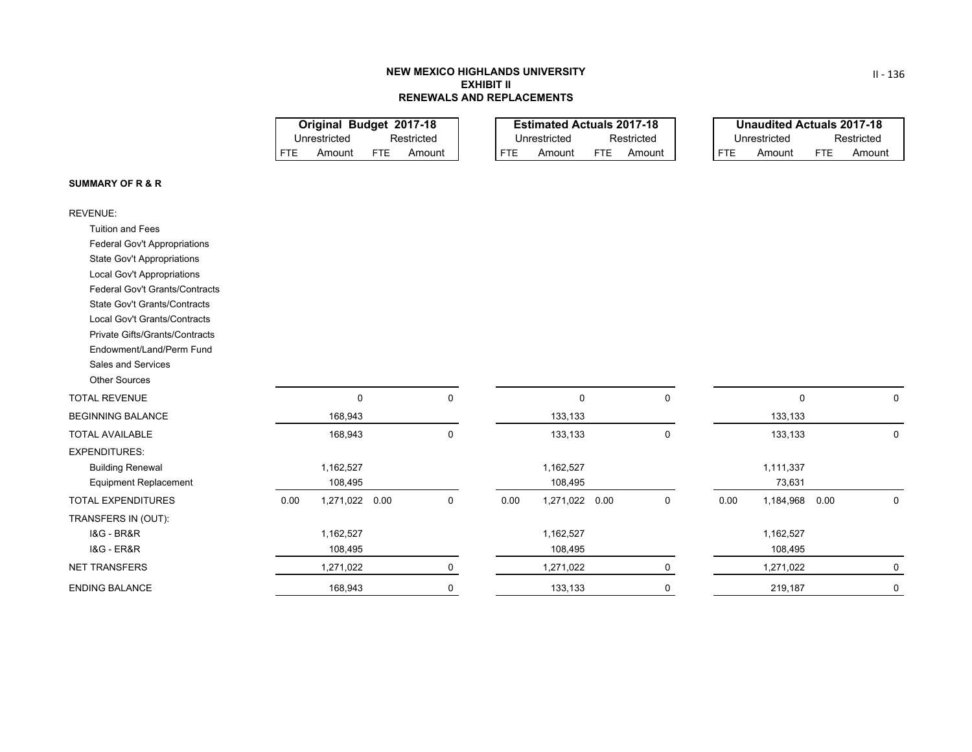# **NEW MEXICO HIGHLANDS UNIVERSITYEXHIBIT IIRENEWALS AND REPLACEMENTS**

FTE

Amount FTE Amount | FTE Amount FTE Amount **Original Budget 2017-18 Estimated Actuals 2017-18** Unrestricted Restricted Unrestricted Restricted Unrestricted

|      | <b>Unaudited Actuals 2017-18</b> |      |            |
|------|----------------------------------|------|------------|
|      | Unrestricted                     |      | Restricted |
| FTF. | Amount                           | FTF. | Amount     |

## **SUMMARY OF R & R**

| <b>REVENUE:</b>                     |      |                   |             |      |                |             |      |             |      |             |
|-------------------------------------|------|-------------------|-------------|------|----------------|-------------|------|-------------|------|-------------|
| <b>Tuition and Fees</b>             |      |                   |             |      |                |             |      |             |      |             |
| Federal Gov't Appropriations        |      |                   |             |      |                |             |      |             |      |             |
| State Gov't Appropriations          |      |                   |             |      |                |             |      |             |      |             |
| Local Gov't Appropriations          |      |                   |             |      |                |             |      |             |      |             |
| Federal Gov't Grants/Contracts      |      |                   |             |      |                |             |      |             |      |             |
| <b>State Gov't Grants/Contracts</b> |      |                   |             |      |                |             |      |             |      |             |
| Local Gov't Grants/Contracts        |      |                   |             |      |                |             |      |             |      |             |
| Private Gifts/Grants/Contracts      |      |                   |             |      |                |             |      |             |      |             |
| Endowment/Land/Perm Fund            |      |                   |             |      |                |             |      |             |      |             |
| Sales and Services                  |      |                   |             |      |                |             |      |             |      |             |
| <b>Other Sources</b>                |      |                   |             |      |                |             |      |             |      |             |
| <b>TOTAL REVENUE</b>                |      | $\mathbf 0$       | 0           |      | $\mathbf 0$    | $\mathbf 0$ |      | $\mathbf 0$ |      | $\mathbf 0$ |
| <b>BEGINNING BALANCE</b>            |      | 168,943           |             |      | 133,133        |             |      | 133,133     |      |             |
| <b>TOTAL AVAILABLE</b>              |      | 168,943           | $\mathbf 0$ |      | 133,133        | $\mathbf 0$ |      | 133,133     |      | 0           |
| <b>EXPENDITURES:</b>                |      |                   |             |      |                |             |      |             |      |             |
| <b>Building Renewal</b>             |      | 1,162,527         |             |      | 1,162,527      |             |      | 1,111,337   |      |             |
| <b>Equipment Replacement</b>        |      | 108,495           |             |      | 108,495        |             |      | 73,631      |      |             |
| <b>TOTAL EXPENDITURES</b>           | 0.00 | 1,271,022<br>0.00 | 0           | 0.00 | 1,271,022 0.00 | 0           | 0.00 | 1,184,968   | 0.00 | 0           |
| TRANSFERS IN (OUT):                 |      |                   |             |      |                |             |      |             |      |             |
| <b>I&amp;G - BR&amp;R</b>           |      | 1,162,527         |             |      | 1,162,527      |             |      | 1,162,527   |      |             |
| <b>I&amp;G - ER&amp;R</b>           |      | 108,495           |             |      | 108,495        |             |      | 108,495     |      |             |
| <b>NET TRANSFERS</b>                |      | 1,271,022         | 0           |      | 1,271,022      | 0           |      | 1,271,022   |      | 0           |
| <b>ENDING BALANCE</b>               |      | 168,943           | $\mathbf 0$ |      | 133,133        | $\mathbf 0$ |      | 219,187     |      | 0           |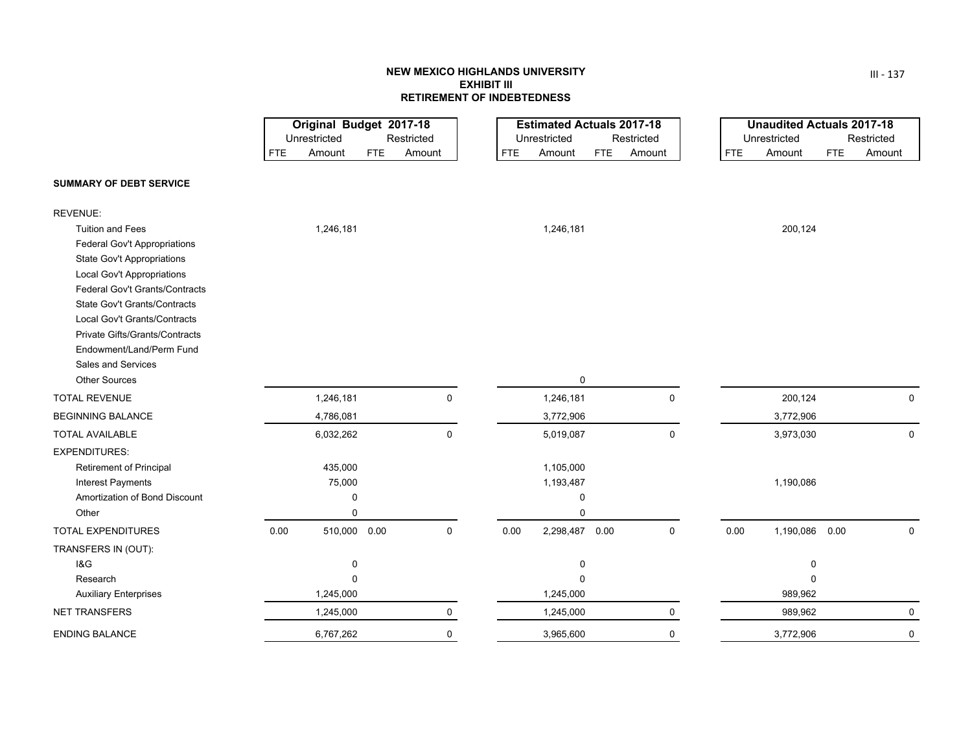# **NEW MEXICO HIGHLANDS UNIVERSITYEXHIBIT IIIRETIREMENT OF INDEBTEDNESS**

|                                                            | Original Budget 2017-18              |                                    |                                      | <b>Estimated Actuals 2017-18</b>   |                                      | <b>Unaudited Actuals 2017-18</b>   |
|------------------------------------------------------------|--------------------------------------|------------------------------------|--------------------------------------|------------------------------------|--------------------------------------|------------------------------------|
|                                                            | Unrestricted<br>Amount<br><b>FTE</b> | Restricted<br>Amount<br><b>FTE</b> | Unrestricted<br>Amount<br><b>FTE</b> | Restricted<br>Amount<br><b>FTE</b> | Unrestricted<br>Amount<br><b>FTE</b> | Restricted<br>Amount<br><b>FTE</b> |
|                                                            |                                      |                                    |                                      |                                    |                                      |                                    |
| <b>SUMMARY OF DEBT SERVICE</b>                             |                                      |                                    |                                      |                                    |                                      |                                    |
| <b>REVENUE:</b>                                            |                                      |                                    |                                      |                                    |                                      |                                    |
| <b>Tuition and Fees</b>                                    | 1,246,181                            |                                    | 1,246,181                            |                                    | 200,124                              |                                    |
| Federal Gov't Appropriations                               |                                      |                                    |                                      |                                    |                                      |                                    |
| <b>State Gov't Appropriations</b>                          |                                      |                                    |                                      |                                    |                                      |                                    |
| <b>Local Gov't Appropriations</b>                          |                                      |                                    |                                      |                                    |                                      |                                    |
| Federal Gov't Grants/Contracts                             |                                      |                                    |                                      |                                    |                                      |                                    |
| <b>State Gov't Grants/Contracts</b>                        |                                      |                                    |                                      |                                    |                                      |                                    |
| Local Gov't Grants/Contracts                               |                                      |                                    |                                      |                                    |                                      |                                    |
| Private Gifts/Grants/Contracts<br>Endowment/Land/Perm Fund |                                      |                                    |                                      |                                    |                                      |                                    |
| <b>Sales and Services</b>                                  |                                      |                                    |                                      |                                    |                                      |                                    |
| <b>Other Sources</b>                                       |                                      |                                    | $\mathbf 0$                          |                                    |                                      |                                    |
| <b>TOTAL REVENUE</b>                                       | 1,246,181                            | 0                                  | 1,246,181                            | 0                                  | 200,124                              | 0                                  |
| <b>BEGINNING BALANCE</b>                                   | 4,786,081                            |                                    | 3,772,906                            |                                    | 3,772,906                            |                                    |
| <b>TOTAL AVAILABLE</b>                                     | 6,032,262                            | 0                                  | 5,019,087                            | 0                                  | 3,973,030                            | 0                                  |
| <b>EXPENDITURES:</b>                                       |                                      |                                    |                                      |                                    |                                      |                                    |
| <b>Retirement of Principal</b>                             | 435,000                              |                                    | 1,105,000                            |                                    |                                      |                                    |
| Interest Payments                                          | 75,000                               |                                    | 1,193,487                            |                                    | 1,190,086                            |                                    |
| Amortization of Bond Discount                              | 0                                    |                                    | $\mathbf 0$                          |                                    |                                      |                                    |
| Other                                                      | 0                                    |                                    | $\Omega$                             |                                    |                                      |                                    |
| <b>TOTAL EXPENDITURES</b>                                  | 0.00<br>510,000 0.00                 | 0                                  | 2,298,487 0.00<br>0.00               | $\mathbf 0$                        | 0.00<br>1,190,086 0.00               | $\mathbf 0$                        |
| TRANSFERS IN (OUT):                                        |                                      |                                    |                                      |                                    |                                      |                                    |
| <b>1&amp;G</b>                                             | 0                                    |                                    | 0                                    |                                    | $\mathbf 0$                          |                                    |
| Research                                                   | $\Omega$                             |                                    | $\Omega$                             |                                    | $\Omega$                             |                                    |
| <b>Auxiliary Enterprises</b>                               | 1,245,000                            |                                    | 1,245,000                            |                                    | 989,962                              |                                    |
| <b>NET TRANSFERS</b>                                       | 1,245,000                            | 0                                  | 1,245,000                            | 0                                  | 989,962                              | 0                                  |
| <b>ENDING BALANCE</b>                                      | 6,767,262                            | 0                                  | 3,965,600                            | 0                                  | 3,772,906                            | 0                                  |

III ‐ 137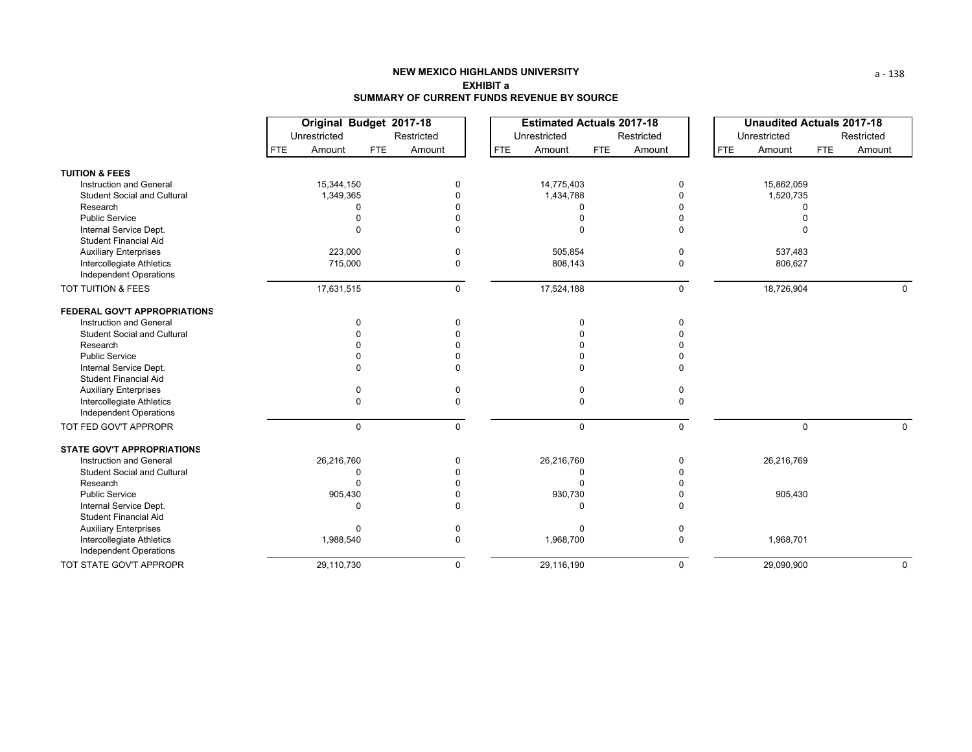|                                                            |                      | Original Budget 2017-18 |                      | <b>Estimated Actuals 2017-18</b> |                      | <b>Unaudited Actuals 2017-18</b> |
|------------------------------------------------------------|----------------------|-------------------------|----------------------|----------------------------------|----------------------|----------------------------------|
|                                                            | Unrestricted         | Restricted              | Unrestricted         | Restricted                       | Unrestricted         | Restricted                       |
|                                                            | <b>FTE</b><br>Amount | <b>FTE</b><br>Amount    | <b>FTE</b><br>Amount | <b>FTE</b><br>Amount             | <b>FTE</b><br>Amount | <b>FTE</b><br>Amount             |
| <b>TUITION &amp; FEES</b>                                  |                      |                         |                      |                                  |                      |                                  |
| <b>Instruction and General</b>                             | 15,344,150           | 0                       | 14,775,403           | 0                                | 15,862,059           |                                  |
| <b>Student Social and Cultural</b>                         | 1,349,365            |                         | 1,434,788            |                                  | 1,520,735            |                                  |
| Research                                                   | $\cap$               |                         |                      |                                  |                      |                                  |
| <b>Public Service</b>                                      |                      |                         |                      | $\Omega$                         |                      |                                  |
| Internal Service Dept.                                     | $\Omega$             | $\Omega$                | $\Omega$             | 0                                |                      |                                  |
| <b>Student Financial Aid</b>                               |                      |                         |                      |                                  |                      |                                  |
| <b>Auxiliary Enterprises</b>                               | 223,000              | $\Omega$                | 505,854              | 0                                | 537,483              |                                  |
| Intercollegiate Athletics<br>Independent Operations        | 715,000              | 0                       | 808,143              | 0                                | 806,627              |                                  |
| TOT TUITION & FEES                                         | 17,631,515           | $\Omega$                | 17,524,188           | 0                                | 18,726,904           | $\Omega$                         |
| FEDERAL GOV'T APPROPRIATIONS                               |                      |                         |                      |                                  |                      |                                  |
| Instruction and General                                    | $\mathbf 0$          |                         | 0                    | 0                                |                      |                                  |
| <b>Student Social and Cultural</b>                         | $\Omega$             |                         |                      | $\Omega$                         |                      |                                  |
| Research                                                   |                      |                         |                      | $\Omega$                         |                      |                                  |
| <b>Public Service</b>                                      |                      |                         |                      | $\Omega$                         |                      |                                  |
| Internal Service Dept.                                     | $\Omega$             |                         |                      | $\Omega$                         |                      |                                  |
| <b>Student Financial Aid</b>                               |                      |                         |                      |                                  |                      |                                  |
| <b>Auxiliary Enterprises</b>                               | $\mathbf 0$          |                         | 0                    | 0                                |                      |                                  |
| Intercollegiate Athletics                                  | $\mathbf 0$          |                         | $\Omega$             | 0                                |                      |                                  |
| <b>Independent Operations</b>                              |                      |                         |                      |                                  |                      |                                  |
| TOT FED GOV'T APPROPR                                      | $\mathbf 0$          | $\Omega$                | $\mathbf 0$          | 0                                | $\Omega$             | $\Omega$                         |
| <b>STATE GOV'T APPROPRIATIONS</b>                          |                      |                         |                      |                                  |                      |                                  |
| Instruction and General                                    | 26,216,760           | $\Omega$                | 26,216,760           | 0                                | 26,216,769           |                                  |
| <b>Student Social and Cultural</b>                         | $\Omega$             |                         |                      | U                                |                      |                                  |
| Research                                                   | $\Omega$             |                         |                      | <sup>0</sup>                     |                      |                                  |
| <b>Public Service</b>                                      | 905,430              |                         | 930,730              | 0                                | 905,430              |                                  |
| Internal Service Dept.<br><b>Student Financial Aid</b>     | $\Omega$             |                         | $\Omega$             | $\Omega$                         |                      |                                  |
| <b>Auxiliary Enterprises</b>                               | $\Omega$             |                         | $\Omega$             | $\Omega$                         |                      |                                  |
| Intercollegiate Athletics<br><b>Independent Operations</b> | 1,988,540            | 0                       | 1,968,700            | 0                                | 1,968,701            |                                  |
| TOT STATE GOV'T APPROPR                                    | 29,110,730           | $\Omega$                | 29,116,190           | 0                                | 29,090,900           | $\mathbf 0$                      |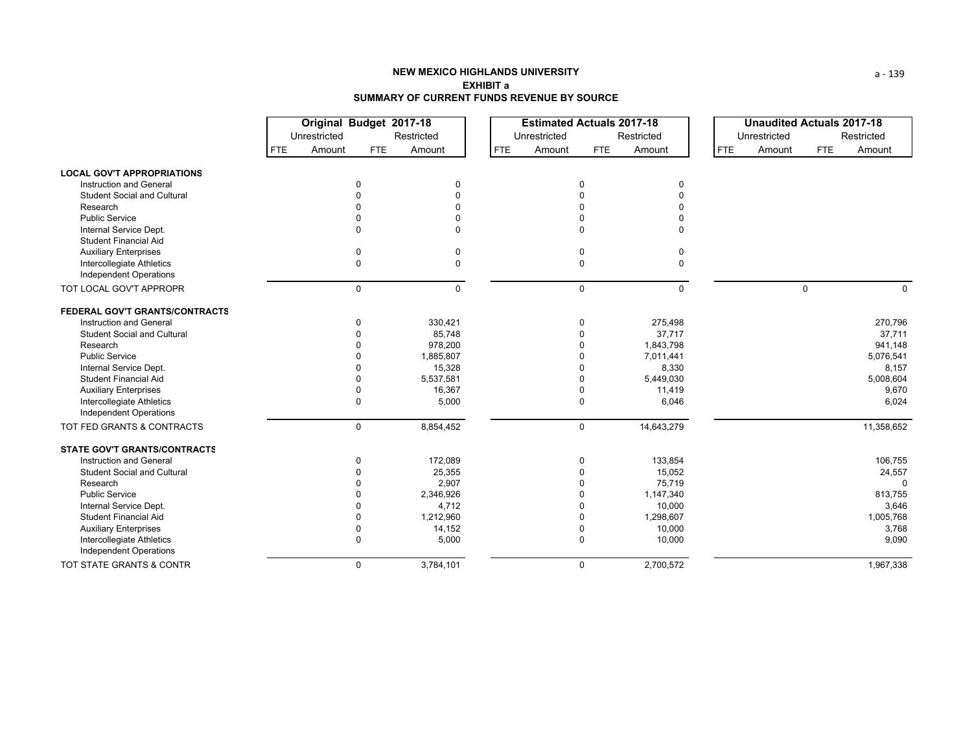|                                     |            | Original Budget 2017-18 |              |            | <b>Estimated Actuals 2017-18</b> |             |             |            | <b>Unaudited Actuals 2017-18</b> |             |            |
|-------------------------------------|------------|-------------------------|--------------|------------|----------------------------------|-------------|-------------|------------|----------------------------------|-------------|------------|
|                                     |            | Unrestricted            |              | Restricted | Unrestricted                     |             | Restricted  |            | Unrestricted                     |             | Restricted |
|                                     | <b>FTE</b> | Amount                  | FTE          | Amount     | <b>FTE</b><br>Amount             | <b>FTE</b>  | Amount      | <b>FTE</b> | Amount                           | <b>FTE</b>  | Amount     |
| <b>LOCAL GOV'T APPROPRIATIONS</b>   |            |                         |              |            |                                  |             |             |            |                                  |             |            |
| Instruction and General             |            |                         | 0            | $\Omega$   |                                  | $\Omega$    | 0           |            |                                  |             |            |
| <b>Student Social and Cultural</b>  |            |                         |              | $\Omega$   |                                  | $\Omega$    |             |            |                                  |             |            |
| Research                            |            |                         |              |            |                                  |             |             |            |                                  |             |            |
| <b>Public Service</b>               |            |                         |              |            |                                  |             |             |            |                                  |             |            |
| Internal Service Dept.              |            |                         | $\Omega$     | $\Omega$   |                                  | $\Omega$    | $\Omega$    |            |                                  |             |            |
| <b>Student Financial Aid</b>        |            |                         |              |            |                                  |             |             |            |                                  |             |            |
| <b>Auxiliary Enterprises</b>        |            |                         | $\mathbf 0$  | 0          |                                  | 0           | 0           |            |                                  |             |            |
| Intercollegiate Athletics           |            |                         | $\mathbf 0$  | $\Omega$   |                                  | 0           | $\mathbf 0$ |            |                                  |             |            |
| Independent Operations              |            |                         |              |            |                                  |             |             |            |                                  |             |            |
| TOT LOCAL GOV'T APPROPR             |            |                         | $\mathbf 0$  | $\Omega$   |                                  | $\mathbf 0$ | $\mathbf 0$ |            |                                  | $\mathbf 0$ | $\Omega$   |
| FEDERAL GOV'T GRANTS/CONTRACTS      |            |                         |              |            |                                  |             |             |            |                                  |             |            |
| Instruction and General             |            |                         | $\Omega$     | 330,421    |                                  | 0           | 275,498     |            |                                  |             | 270,796    |
| <b>Student Social and Cultural</b>  |            |                         | $\Omega$     | 85,748     |                                  | $\Omega$    | 37,717      |            |                                  |             | 37,711     |
| Research                            |            |                         | $\Omega$     | 978,200    |                                  |             | 1,843,798   |            |                                  |             | 941,148    |
| <b>Public Service</b>               |            |                         | $\Omega$     | 1,885,807  |                                  | $\Omega$    | 7,011,441   |            |                                  |             | 5,076,541  |
| Internal Service Dept.              |            |                         | n            | 15,328     |                                  |             | 8,330       |            |                                  |             | 8,157      |
| <b>Student Financial Aid</b>        |            |                         | $\Omega$     | 5,537,581  |                                  | $\Omega$    | 5,449,030   |            |                                  |             | 5,008,604  |
| <b>Auxiliary Enterprises</b>        |            |                         | 0            | 16,367     |                                  | 0           | 11,419      |            |                                  |             | 9,670      |
| Intercollegiate Athletics           |            |                         | $\mathbf 0$  | 5,000      |                                  | $\mathbf 0$ | 6,046       |            |                                  |             | 6,024      |
| <b>Independent Operations</b>       |            |                         |              |            |                                  |             |             |            |                                  |             |            |
| TOT FED GRANTS & CONTRACTS          |            |                         | $\mathsf{O}$ | 8,854,452  |                                  | $\mathbf 0$ | 14,643,279  |            |                                  |             | 11,358,652 |
| <b>STATE GOV'T GRANTS/CONTRACTS</b> |            |                         |              |            |                                  |             |             |            |                                  |             |            |
| Instruction and General             |            |                         | $\mathbf 0$  | 172,089    |                                  | 0           | 133,854     |            |                                  |             | 106,755    |
| <b>Student Social and Cultural</b>  |            |                         | $\Omega$     | 25,355     |                                  | $\Omega$    | 15,052      |            |                                  |             | 24,557     |
| Research                            |            |                         | $\Omega$     | 2,907      |                                  | $\Omega$    | 75,719      |            |                                  |             | $\Omega$   |
| <b>Public Service</b>               |            |                         | $\Omega$     | 2,346,926  |                                  | $\Omega$    | 1,147,340   |            |                                  |             | 813,755    |
| Internal Service Dept.              |            |                         | 0            | 4,712      |                                  | $\Omega$    | 10,000      |            |                                  |             | 3,646      |
| Student Financial Aid               |            |                         | $\Omega$     | 1,212,960  |                                  | $\Omega$    | 1,298,607   |            |                                  |             | 1,005,768  |
| <b>Auxiliary Enterprises</b>        |            |                         | 0            | 14,152     |                                  | $\Omega$    | 10,000      |            |                                  |             | 3,768      |
| Intercollegiate Athletics           |            |                         | 0            | 5,000      |                                  | 0           | 10,000      |            |                                  |             | 9,090      |
| <b>Independent Operations</b>       |            |                         |              |            |                                  |             |             |            |                                  |             |            |
| TOT STATE GRANTS & CONTR            |            |                         | $\mathbf 0$  | 3,784,101  |                                  | $\mathbf 0$ | 2,700,572   |            |                                  |             | 1,967,338  |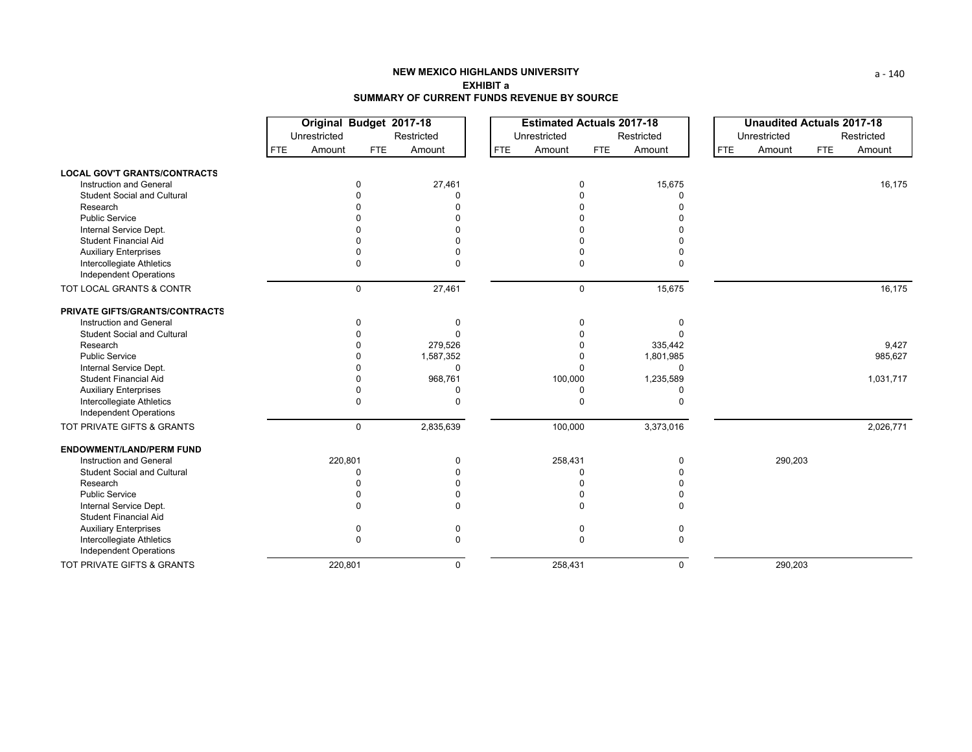|                                                        | Original Budget 2017-18 |             |              | <b>Estimated Actuals 2017-18</b> |             |             |            | <b>Unaudited Actuals 2017-18</b> |            |            |
|--------------------------------------------------------|-------------------------|-------------|--------------|----------------------------------|-------------|-------------|------------|----------------------------------|------------|------------|
|                                                        | Unrestricted            |             | Restricted   | Unrestricted                     |             | Restricted  |            | Unrestricted                     |            | Restricted |
|                                                        | <b>FTE</b><br>Amount    | FTE         | Amount       | Amount<br><b>FTE</b>             | FTE         | Amount      | <b>FTE</b> | Amount                           | <b>FTE</b> | Amount     |
| <b>LOCAL GOV'T GRANTS/CONTRACTS</b>                    |                         |             |              |                                  |             |             |            |                                  |            |            |
| Instruction and General                                |                         |             | 27,461       |                                  | $\Omega$    | 15,675      |            |                                  |            | 16,175     |
| <b>Student Social and Cultural</b>                     |                         |             |              |                                  |             |             |            |                                  |            |            |
| Research                                               |                         |             |              |                                  |             |             |            |                                  |            |            |
| <b>Public Service</b>                                  |                         |             |              |                                  |             |             |            |                                  |            |            |
| Internal Service Dept.                                 |                         |             |              |                                  |             |             |            |                                  |            |            |
| <b>Student Financial Aid</b>                           |                         |             |              |                                  |             |             |            |                                  |            |            |
| <b>Auxiliary Enterprises</b>                           |                         |             |              |                                  |             |             |            |                                  |            |            |
| Intercollegiate Athletics                              |                         | $\Omega$    |              |                                  | $\Omega$    |             |            |                                  |            |            |
| Independent Operations                                 |                         |             |              |                                  |             |             |            |                                  |            |            |
| TOT LOCAL GRANTS & CONTR                               |                         | $\mathbf 0$ | 27,461       |                                  | $\mathbf 0$ | 15,675      |            |                                  |            | 16,175     |
| PRIVATE GIFTS/GRANTS/CONTRACTS                         |                         |             |              |                                  |             |             |            |                                  |            |            |
| Instruction and General                                |                         |             | 0            |                                  | 0           |             |            |                                  |            |            |
| <b>Student Social and Cultural</b>                     |                         |             |              |                                  |             |             |            |                                  |            |            |
| Research                                               |                         |             | 279,526      |                                  |             | 335,442     |            |                                  |            | 9,427      |
| <b>Public Service</b>                                  |                         |             | 1,587,352    |                                  | O           | 1,801,985   |            |                                  |            | 985,627    |
| Internal Service Dept.                                 |                         |             | $\Omega$     |                                  |             | $\Omega$    |            |                                  |            |            |
| <b>Student Financial Aid</b>                           |                         |             | 968,761      | 100,000                          |             | 1,235,589   |            |                                  |            | 1,031,717  |
| <b>Auxiliary Enterprises</b>                           |                         |             | 0            |                                  | $\Omega$    | O           |            |                                  |            |            |
| Intercollegiate Athletics                              |                         | $\Omega$    | $\Omega$     |                                  | $\Omega$    | $\Omega$    |            |                                  |            |            |
| <b>Independent Operations</b>                          |                         |             |              |                                  |             |             |            |                                  |            |            |
| TOT PRIVATE GIFTS & GRANTS                             |                         | $\mathbf 0$ | 2,835,639    | 100,000                          |             | 3,373,016   |            |                                  |            | 2,026,771  |
| <b>ENDOWMENT/LAND/PERM FUND</b>                        |                         |             |              |                                  |             |             |            |                                  |            |            |
| Instruction and General                                | 220,801                 |             | $\Omega$     | 258,431                          |             | $\Omega$    |            | 290,203                          |            |            |
| <b>Student Social and Cultural</b>                     |                         | C           |              |                                  | n           |             |            |                                  |            |            |
| Research                                               |                         |             |              |                                  |             |             |            |                                  |            |            |
| <b>Public Service</b>                                  |                         |             |              |                                  |             |             |            |                                  |            |            |
| Internal Service Dept.<br><b>Student Financial Aid</b> |                         |             |              |                                  |             |             |            |                                  |            |            |
| <b>Auxiliary Enterprises</b>                           |                         |             |              |                                  |             |             |            |                                  |            |            |
| Intercollegiate Athletics<br>Independent Operations    |                         | U           | $\Omega$     |                                  | $\Omega$    |             |            |                                  |            |            |
| TOT PRIVATE GIFTS & GRANTS                             | 220,801                 |             | $\mathbf{0}$ | 258,431                          |             | $\mathbf 0$ |            | 290,203                          |            |            |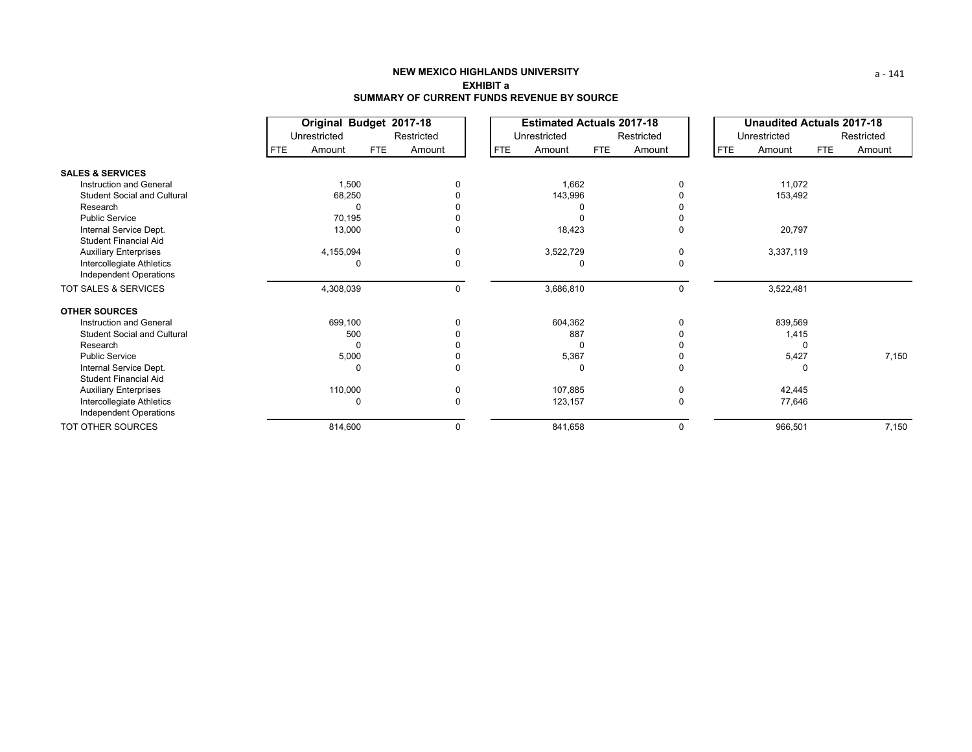|                                                           |                      | Original Budget 2017-18 |            | <b>Estimated Actuals 2017-18</b> |     |            |            | <b>Unaudited Actuals 2017-18</b> |            |            |
|-----------------------------------------------------------|----------------------|-------------------------|------------|----------------------------------|-----|------------|------------|----------------------------------|------------|------------|
|                                                           | Unrestricted         | Restricted              |            | Unrestricted                     |     | Restricted |            | Unrestricted                     |            | Restricted |
|                                                           | Amount<br><b>FTE</b> | <b>FTE</b><br>Amount    | <b>FTE</b> | Amount                           | FTE | Amount     | <b>FTE</b> | Amount                           | <b>FTE</b> | Amount     |
| <b>SALES &amp; SERVICES</b>                               |                      |                         |            |                                  |     |            |            |                                  |            |            |
| Instruction and General                                   | 1,500                |                         |            | 1,662                            |     |            |            | 11,072                           |            |            |
| <b>Student Social and Cultural</b>                        | 68,250               |                         |            | 143,996                          |     |            |            | 153,492                          |            |            |
| Research                                                  |                      | C                       |            |                                  |     |            |            |                                  |            |            |
| <b>Public Service</b>                                     | 70,195               |                         |            |                                  |     | 0          |            |                                  |            |            |
| Internal Service Dept.<br><b>Student Financial Aid</b>    | 13,000               |                         |            | 18,423                           |     | 0          |            | 20,797                           |            |            |
|                                                           |                      | $\Omega$                |            |                                  |     |            |            | 3,337,119                        |            |            |
| <b>Auxiliary Enterprises</b><br>Intercollegiate Athletics | 4,155,094            | $\Omega$<br>0           |            | 3,522,729                        |     | 0<br>0     |            |                                  |            |            |
| Independent Operations                                    |                      |                         |            |                                  |     |            |            |                                  |            |            |
| TOT SALES & SERVICES                                      | 4,308,039            |                         | $\Omega$   | 3,686,810                        |     | 0          |            | 3,522,481                        |            |            |
| <b>OTHER SOURCES</b>                                      |                      |                         |            |                                  |     |            |            |                                  |            |            |
| Instruction and General                                   | 699,100              | $\Omega$                |            | 604,362                          |     | $\Omega$   |            | 839,569                          |            |            |
| <b>Student Social and Cultural</b>                        | 500                  |                         |            | 887                              |     |            |            | 1,415                            |            |            |
| Research                                                  |                      | 0                       |            |                                  |     |            |            |                                  |            |            |
| <b>Public Service</b>                                     | 5,000                |                         |            | 5,367                            |     |            |            | 5,427                            |            | 7,150      |
| Internal Service Dept.                                    |                      | 0<br>0                  |            |                                  |     | 0          |            |                                  |            |            |
| <b>Student Financial Aid</b>                              |                      |                         |            |                                  |     |            |            |                                  |            |            |
| <b>Auxiliary Enterprises</b>                              | 110,000              | 0                       |            | 107,885                          |     | 0          |            | 42,445                           |            |            |
| Intercollegiate Athletics                                 |                      | $\Omega$<br>$\Omega$    |            | 123,157                          |     | 0          |            | 77,646                           |            |            |
| Independent Operations                                    |                      |                         |            |                                  |     |            |            |                                  |            |            |
| TOT OTHER SOURCES                                         | 814,600              |                         |            | 841,658                          |     | 0          |            | 966,501                          |            | 7,150      |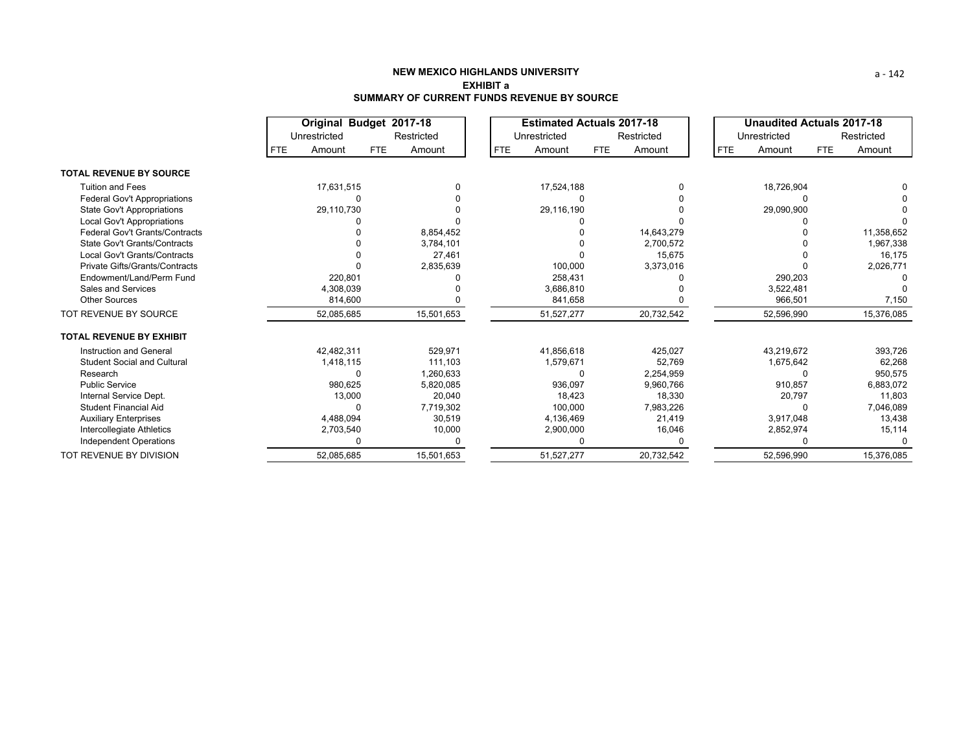|                                     |            | Original Budget 2017-18 |            |            |            | <b>Estimated Actuals 2017-18</b> |            |            |            | <b>Unaudited Actuals 2017-18</b> |            |            |
|-------------------------------------|------------|-------------------------|------------|------------|------------|----------------------------------|------------|------------|------------|----------------------------------|------------|------------|
|                                     |            | Unrestricted            |            | Restricted |            | Unrestricted                     |            | Restricted |            | Unrestricted                     |            | Restricted |
|                                     | <b>FTE</b> | Amount                  | <b>FTE</b> | Amount     | <b>FTE</b> | Amount                           | <b>FTE</b> | Amount     | <b>FTE</b> | Amount                           | <b>FTE</b> | Amount     |
| <b>TOTAL REVENUE BY SOURCE</b>      |            |                         |            |            |            |                                  |            |            |            |                                  |            |            |
| <b>Tuition and Fees</b>             |            | 17,631,515              |            |            |            | 17,524,188                       |            |            |            | 18,726,904                       |            |            |
| <b>Federal Gov't Appropriations</b> |            |                         |            |            |            |                                  |            |            |            |                                  |            |            |
| State Gov't Appropriations          |            | 29,110,730              |            |            |            | 29,116,190                       |            |            |            | 29,090,900                       |            |            |
| Local Gov't Appropriations          |            |                         |            |            |            |                                  |            |            |            |                                  |            |            |
| Federal Gov't Grants/Contracts      |            |                         |            | 8,854,452  |            |                                  |            | 14,643,279 |            |                                  |            | 11,358,652 |
| <b>State Gov't Grants/Contracts</b> |            |                         |            | 3,784,101  |            |                                  |            | 2,700,572  |            |                                  |            | 1,967,338  |
| Local Gov't Grants/Contracts        |            |                         |            | 27,461     |            |                                  |            | 15,675     |            |                                  |            | 16,175     |
| Private Gifts/Grants/Contracts      |            |                         |            | 2,835,639  |            | 100,000                          |            | 3,373,016  |            |                                  |            | 2,026,771  |
| Endowment/Land/Perm Fund            |            | 220.801                 |            |            |            | 258.431                          |            |            |            | 290,203                          |            |            |
| Sales and Services                  |            | 4,308,039               |            |            |            | 3,686,810                        |            |            |            | 3,522,481                        |            |            |
| <b>Other Sources</b>                |            | 814,600                 |            |            |            | 841,658                          |            |            |            | 966,501                          |            | 7,150      |
| TOT REVENUE BY SOURCE               |            | 52,085,685              |            | 15,501,653 |            | 51,527,277                       |            | 20,732,542 |            | 52,596,990                       |            | 15,376,085 |
| <b>TOTAL REVENUE BY EXHIBIT</b>     |            |                         |            |            |            |                                  |            |            |            |                                  |            |            |
| Instruction and General             |            | 42,482,311              |            | 529.971    |            | 41,856,618                       |            | 425,027    |            | 43,219,672                       |            | 393,726    |
| <b>Student Social and Cultural</b>  |            | 1,418,115               |            | 111.103    |            | 1,579,671                        |            | 52,769     |            | 1,675,642                        |            | 62,268     |
| Research                            |            |                         | O          | 1,260,633  |            |                                  |            | 2,254,959  |            |                                  |            | 950,575    |
| <b>Public Service</b>               |            | 980,625                 |            | 5,820,085  |            | 936,097                          |            | 9,960,766  |            | 910,857                          |            | 6,883,072  |
| Internal Service Dept.              |            | 13,000                  |            | 20,040     |            | 18,423                           |            | 18,330     |            | 20,797                           |            | 11,803     |
| Student Financial Aid               |            |                         |            | 7,719,302  |            | 100,000                          |            | 7,983,226  |            |                                  |            | 7,046,089  |
| <b>Auxiliary Enterprises</b>        |            | 4,488,094               |            | 30,519     |            | 4,136,469                        |            | 21,419     |            | 3,917,048                        |            | 13,438     |
| Intercollegiate Athletics           |            | 2,703,540               |            | 10,000     |            | 2,900,000                        |            | 16,046     |            | 2,852,974                        |            | 15,114     |
| Independent Operations              |            |                         |            |            |            |                                  |            |            |            |                                  |            |            |
| TOT REVENUE BY DIVISION             |            | 52,085,685              |            | 15,501,653 |            | 51,527,277                       |            | 20,732,542 |            | 52,596,990                       |            | 15,376,085 |

a ‐ 142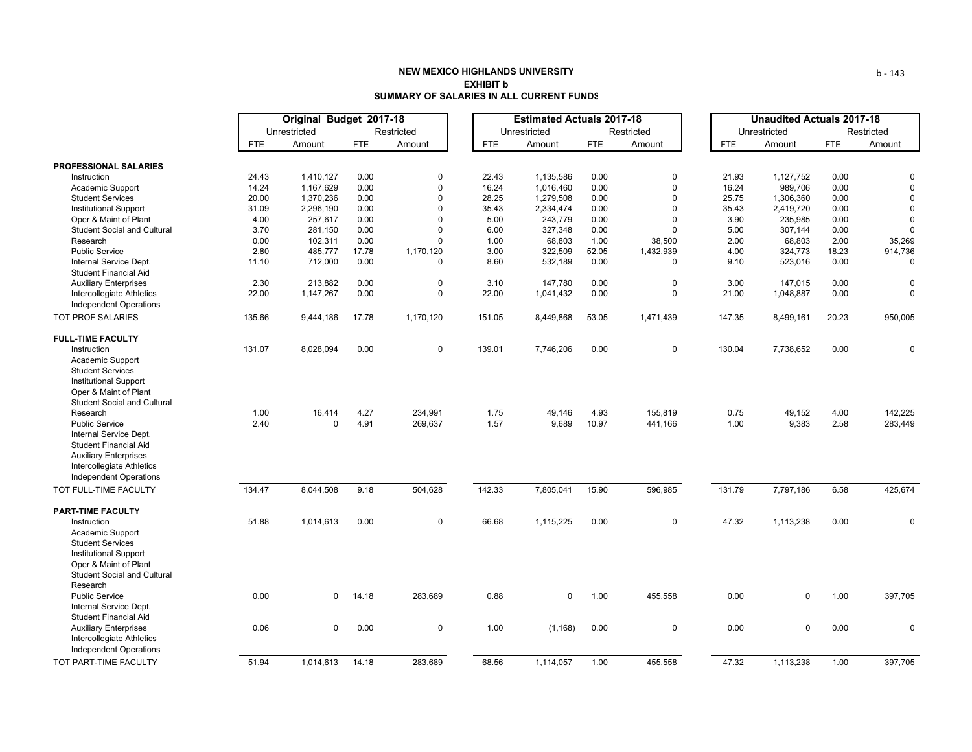# **NEW MEXICO HIGHLANDS UNIVERSITYEXHIBIT bSUMMARY OF SALARIES IN ALL CURRENT FUNDS**

|                                                            |            | Original Budget 2017-18 |            |             |            | <b>Estimated Actuals 2017-18</b> |            |              |            | <b>Unaudited Actuals 2017-18</b> |            |             |
|------------------------------------------------------------|------------|-------------------------|------------|-------------|------------|----------------------------------|------------|--------------|------------|----------------------------------|------------|-------------|
|                                                            |            | Unrestricted            |            | Restricted  |            | Unrestricted                     |            | Restricted   |            | Unrestricted                     |            | Restricted  |
|                                                            | <b>FTE</b> | Amount                  | <b>FTE</b> | Amount      | <b>FTE</b> | Amount                           | <b>FTE</b> | Amount       | <b>FTE</b> | Amount                           | <b>FTE</b> | Amount      |
| PROFESSIONAL SALARIES                                      |            |                         |            |             |            |                                  |            |              |            |                                  |            |             |
| Instruction                                                | 24.43      | 1,410,127               | 0.00       | 0           | 22.43      | 1,135,586                        | 0.00       | $\mathbf 0$  | 21.93      | 1,127,752                        | 0.00       | 0           |
| Academic Support                                           | 14.24      | 1,167,629               | 0.00       | 0           | 16.24      | 1,016,460                        | 0.00       | $\Omega$     | 16.24      | 989,706                          | 0.00       | $\mathbf 0$ |
| <b>Student Services</b>                                    | 20.00      | 1,370,236               | 0.00       | 0           | 28.25      | 1,279,508                        | 0.00       | $\mathbf 0$  | 25.75      | 1,306,360                        | 0.00       | 0           |
| <b>Institutional Support</b>                               | 31.09      | 2,296,190               | 0.00       | 0           | 35.43      | 2,334,474                        | 0.00       | $\Omega$     | 35.43      | 2,419,720                        | 0.00       | 0           |
| Oper & Maint of Plant                                      | 4.00       | 257,617                 | 0.00       | $\Omega$    | 5.00       | 243,779                          | 0.00       | $\Omega$     | 3.90       | 235,985                          | 0.00       | $\mathbf 0$ |
| <b>Student Social and Cultural</b>                         | 3.70       | 281,150                 | 0.00       | 0           | 6.00       | 327,348                          | 0.00       | $\mathbf{0}$ | 5.00       | 307,144                          | 0.00       | $\mathbf 0$ |
| Research                                                   | 0.00       | 102,311                 | 0.00       | 0           | 1.00       | 68,803                           | 1.00       | 38,500       | 2.00       | 68,803                           | 2.00       | 35,269      |
| <b>Public Service</b>                                      | 2.80       | 485,777                 | 17.78      | 1,170,120   | 3.00       | 322,509                          | 52.05      | 1,432,939    | 4.00       | 324,773                          | 18.23      | 914,736     |
| Internal Service Dept.<br>Student Financial Aid            | 11.10      | 712,000                 | 0.00       | 0           | 8.60       | 532,189                          | 0.00       | $\mathbf 0$  | 9.10       | 523,016                          | 0.00       | 0           |
| <b>Auxiliary Enterprises</b>                               | 2.30       | 213,882                 | 0.00       | $\mathbf 0$ | 3.10       | 147,780                          | 0.00       | $\mathbf 0$  | 3.00       | 147.015                          | 0.00       | $\mathbf 0$ |
| Intercollegiate Athletics                                  | 22.00      | 1,147,267               | 0.00       | $\mathbf 0$ | 22.00      | 1,041,432                        | 0.00       | $\Omega$     | 21.00      | 1,048,887                        | 0.00       | 0           |
| <b>Independent Operations</b>                              |            |                         |            |             |            |                                  |            |              |            |                                  |            |             |
| <b>TOT PROF SALARIES</b>                                   | 135.66     | 9,444,186               | 17.78      | 1,170,120   | 151.05     | 8,449,868                        | 53.05      | 1,471,439    | 147.35     | 8,499,161                        | 20.23      | 950,005     |
| <b>FULL-TIME FACULTY</b>                                   |            |                         |            |             |            |                                  |            |              |            |                                  |            |             |
| Instruction                                                | 131.07     | 8,028,094               | 0.00       | $\mathbf 0$ | 139.01     | 7,746,206                        | 0.00       | $\mathbf 0$  | 130.04     | 7,738,652                        | 0.00       | $\pmb{0}$   |
| Academic Support                                           |            |                         |            |             |            |                                  |            |              |            |                                  |            |             |
| <b>Student Services</b>                                    |            |                         |            |             |            |                                  |            |              |            |                                  |            |             |
| <b>Institutional Support</b>                               |            |                         |            |             |            |                                  |            |              |            |                                  |            |             |
| Oper & Maint of Plant                                      |            |                         |            |             |            |                                  |            |              |            |                                  |            |             |
| <b>Student Social and Cultural</b>                         |            |                         |            |             |            |                                  |            |              |            |                                  |            |             |
| Research                                                   | 1.00       | 16,414                  | 4.27       | 234,991     | 1.75       | 49,146                           | 4.93       | 155,819      | 0.75       | 49,152                           | 4.00       | 142,225     |
| <b>Public Service</b>                                      | 2.40       | $\Omega$                | 4.91       | 269,637     | 1.57       | 9,689                            | 10.97      | 441,166      | 1.00       | 9,383                            | 2.58       | 283,449     |
| Internal Service Dept.                                     |            |                         |            |             |            |                                  |            |              |            |                                  |            |             |
| <b>Student Financial Aid</b>                               |            |                         |            |             |            |                                  |            |              |            |                                  |            |             |
| <b>Auxiliary Enterprises</b><br>Intercollegiate Athletics  |            |                         |            |             |            |                                  |            |              |            |                                  |            |             |
| <b>Independent Operations</b>                              |            |                         |            |             |            |                                  |            |              |            |                                  |            |             |
|                                                            |            |                         |            |             |            |                                  |            |              |            |                                  |            |             |
| TOT FULL-TIME FACULTY                                      | 134.47     | 8,044,508               | 9.18       | 504,628     | 142.33     | 7,805,041                        | 15.90      | 596,985      | 131.79     | 7,797,186                        | 6.58       | 425,674     |
| <b>PART-TIME FACULTY</b>                                   |            |                         |            |             |            |                                  |            |              |            |                                  |            |             |
| Instruction                                                | 51.88      | 1,014,613               | 0.00       | $\mathsf 0$ | 66.68      | 1,115,225                        | 0.00       | $\mathbf 0$  | 47.32      | 1,113,238                        | 0.00       | 0           |
| Academic Support                                           |            |                         |            |             |            |                                  |            |              |            |                                  |            |             |
| <b>Student Services</b>                                    |            |                         |            |             |            |                                  |            |              |            |                                  |            |             |
| <b>Institutional Support</b>                               |            |                         |            |             |            |                                  |            |              |            |                                  |            |             |
| Oper & Maint of Plant                                      |            |                         |            |             |            |                                  |            |              |            |                                  |            |             |
| <b>Student Social and Cultural</b>                         |            |                         |            |             |            |                                  |            |              |            |                                  |            |             |
| Research                                                   |            |                         |            |             |            |                                  |            |              |            |                                  |            |             |
| <b>Public Service</b>                                      | 0.00       | $\mathbf 0$             | 14.18      | 283,689     | 0.88       | $\mathbf 0$                      | 1.00       | 455,558      | 0.00       | $\mathbf 0$                      | 1.00       | 397,705     |
| Internal Service Dept.                                     |            |                         |            |             |            |                                  |            |              |            |                                  |            |             |
| <b>Student Financial Aid</b>                               | 0.06       | $\mathbf 0$             |            |             |            |                                  |            | $\mathbf 0$  | 0.00       | $\mathbf 0$                      |            | $\mathbf 0$ |
| <b>Auxiliary Enterprises</b>                               |            |                         | 0.00       | $\mathbf 0$ | 1.00       | (1, 168)                         | 0.00       |              |            |                                  | 0.00       |             |
| Intercollegiate Athletics<br><b>Independent Operations</b> |            |                         |            |             |            |                                  |            |              |            |                                  |            |             |
| TOT PART-TIME FACULTY                                      | 51.94      | 1,014,613               | 14.18      | 283,689     | 68.56      | 1,114,057                        | 1.00       | 455,558      | 47.32      | 1,113,238                        | 1.00       | 397,705     |
|                                                            |            |                         |            |             |            |                                  |            |              |            |                                  |            |             |

b ‐ 143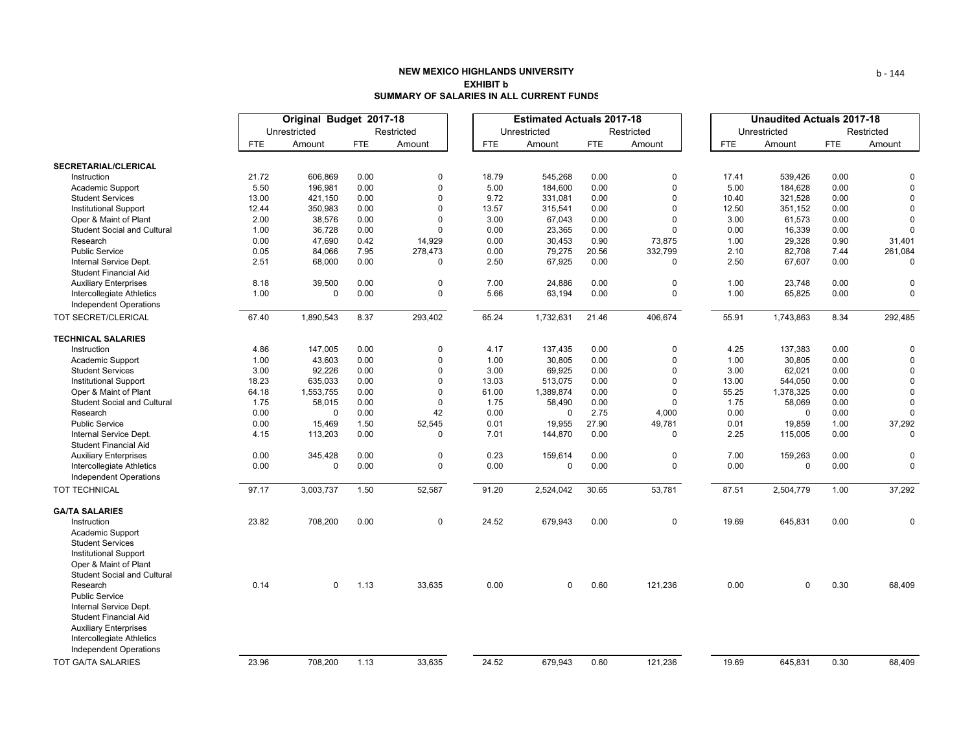# **NEW MEXICO HIGHLANDS UNIVERSITYEXHIBIT bSUMMARY OF SALARIES IN ALL CURRENT FUNDS**

|                                                                                                                                                                                                                          |              | Original Budget 2017-18 |            |          |              | <b>Estimated Actuals 2017-18</b> |            |             |              | <b>Unaudited Actuals 2017-18</b> |            |              |  |
|--------------------------------------------------------------------------------------------------------------------------------------------------------------------------------------------------------------------------|--------------|-------------------------|------------|----------|--------------|----------------------------------|------------|-------------|--------------|----------------------------------|------------|--------------|--|
|                                                                                                                                                                                                                          | Unrestricted |                         | Restricted |          | Unrestricted |                                  | Restricted |             | Unrestricted |                                  | Restricted |              |  |
|                                                                                                                                                                                                                          | <b>FTE</b>   | Amount                  | <b>FTE</b> | Amount   | <b>FTE</b>   | Amount                           | <b>FTE</b> | Amount      | <b>FTE</b>   | Amount                           | <b>FTE</b> | Amount       |  |
| SECRETARIAL/CLERICAL                                                                                                                                                                                                     |              |                         |            |          |              |                                  |            |             |              |                                  |            |              |  |
| Instruction                                                                                                                                                                                                              | 21.72        | 606,869                 | 0.00       | $\Omega$ | 18.79        | 545,268                          | 0.00       | $\Omega$    | 17.41        | 539,426                          | 0.00       | 0            |  |
| Academic Support                                                                                                                                                                                                         | 5.50         | 196,981                 | 0.00       | 0        | 5.00         | 184,600                          | 0.00       | $\Omega$    | 5.00         | 184,628                          | 0.00       | $\Omega$     |  |
| <b>Student Services</b>                                                                                                                                                                                                  | 13.00        | 421,150                 | 0.00       | $\Omega$ | 9.72         | 331,081                          | 0.00       | $\Omega$    | 10.40        | 321,528                          | 0.00       | $\Omega$     |  |
| <b>Institutional Support</b>                                                                                                                                                                                             | 12.44        | 350,983                 | 0.00       | $\Omega$ | 13.57        | 315,541                          | 0.00       | $\Omega$    | 12.50        | 351,152                          | 0.00       | $\Omega$     |  |
| Oper & Maint of Plant                                                                                                                                                                                                    | 2.00         | 38,576                  | 0.00       | $\Omega$ | 3.00         | 67,043                           | 0.00       | $\Omega$    | 3.00         | 61,573                           | 0.00       | 0            |  |
| <b>Student Social and Cultural</b>                                                                                                                                                                                       | 1.00         | 36,728                  | 0.00       | 0        | 0.00         | 23,365                           | 0.00       | $\Omega$    | 0.00         | 16,339                           | 0.00       | $\Omega$     |  |
| Research                                                                                                                                                                                                                 | 0.00         | 47,690                  | 0.42       | 14,929   | 0.00         | 30,453                           | 0.90       | 73,875      | 1.00         | 29,328                           | 0.90       | 31,401       |  |
| <b>Public Service</b>                                                                                                                                                                                                    | 0.05         | 84,066                  | 7.95       | 278,473  | 0.00         | 79,275                           | 20.56      | 332,799     | 2.10         | 82,708                           | 7.44       | 261,084      |  |
| Internal Service Dept.<br><b>Student Financial Aid</b>                                                                                                                                                                   | 2.51         | 68,000                  | 0.00       | 0        | 2.50         | 67,925                           | 0.00       | $\Omega$    | 2.50         | 67,607                           | 0.00       | 0            |  |
| <b>Auxiliary Enterprises</b>                                                                                                                                                                                             | 8.18         | 39,500                  | 0.00       | 0        | 7.00         | 24,886                           | 0.00       | $\Omega$    | 1.00         | 23,748                           | 0.00       | $\Omega$     |  |
| Intercollegiate Athletics<br><b>Independent Operations</b>                                                                                                                                                               | 1.00         | 0                       | 0.00       | 0        | 5.66         | 63,194                           | 0.00       | $\mathbf 0$ | 1.00         | 65,825                           | 0.00       | 0            |  |
| TOT SECRET/CLERICAL                                                                                                                                                                                                      | 67.40        | 1,890,543               | 8.37       | 293,402  | 65.24        | 1,732,631                        | 21.46      | 406,674     | 55.91        | 1,743,863                        | 8.34       | 292,485      |  |
| <b>TECHNICAL SALARIES</b>                                                                                                                                                                                                |              |                         |            |          |              |                                  |            |             |              |                                  |            |              |  |
| Instruction                                                                                                                                                                                                              | 4.86         | 147,005                 | 0.00       | 0        | 4.17         | 137,435                          | 0.00       | $\Omega$    | 4.25         | 137,383                          | 0.00       | 0            |  |
| Academic Support                                                                                                                                                                                                         | 1.00         | 43,603                  | 0.00       | 0        | 1.00         | 30,805                           | 0.00       | $\Omega$    | 1.00         | 30,805                           | 0.00       | $\Omega$     |  |
| <b>Student Services</b>                                                                                                                                                                                                  | 3.00         | 92,226                  | 0.00       | 0        | 3.00         | 69,925                           | 0.00       | $\Omega$    | 3.00         | 62,021                           | 0.00       | $\Omega$     |  |
| <b>Institutional Support</b>                                                                                                                                                                                             | 18.23        | 635,033                 | 0.00       | 0        | 13.03        | 513,075                          | 0.00       | $\Omega$    | 13.00        | 544,050                          | 0.00       | $\Omega$     |  |
| Oper & Maint of Plant                                                                                                                                                                                                    | 64.18        | 1,553,755               | 0.00       | $\Omega$ | 61.00        | 1,389,874                        | 0.00       | $\Omega$    | 55.25        | 1,378,325                        | 0.00       | $\mathbf{0}$ |  |
| <b>Student Social and Cultural</b>                                                                                                                                                                                       | 1.75         | 58,015                  | 0.00       | 0        | 1.75         | 58,490                           | 0.00       | $\Omega$    | 1.75         | 58,069                           | 0.00       | $\Omega$     |  |
| Research                                                                                                                                                                                                                 | 0.00         | 0                       | 0.00       | 42       | 0.00         | $\Omega$                         | 2.75       | 4,000       | 0.00         | $\Omega$                         | 0.00       | $\Omega$     |  |
| <b>Public Service</b>                                                                                                                                                                                                    | 0.00         | 15,469                  | 1.50       | 52,545   | 0.01         | 19,955                           | 27.90      | 49,781      | 0.01         | 19,859                           | 1.00       | 37,292       |  |
| Internal Service Dept.<br><b>Student Financial Aid</b>                                                                                                                                                                   | 4.15         | 113,203                 | 0.00       | 0        | 7.01         | 144,870                          | 0.00       | $\Omega$    | 2.25         | 115,005                          | 0.00       |              |  |
| <b>Auxiliary Enterprises</b>                                                                                                                                                                                             | 0.00         | 345,428                 | 0.00       | 0        | 0.23         | 159,614                          | 0.00       | $\mathbf 0$ | 7.00         | 159,263                          | 0.00       | $\Omega$     |  |
| <b>Intercollegiate Athletics</b><br><b>Independent Operations</b>                                                                                                                                                        | 0.00         | 0                       | 0.00       | 0        | 0.00         | $\mathbf 0$                      | 0.00       | $\mathbf 0$ | 0.00         | $\mathbf 0$                      | 0.00       | 0            |  |
| <b>TOT TECHNICAL</b>                                                                                                                                                                                                     | 97.17        | 3,003,737               | 1.50       | 52,587   | 91.20        | 2,524,042                        | 30.65      | 53,781      | 87.51        | 2,504,779                        | 1.00       | 37,292       |  |
| <b>GA/TA SALARIES</b>                                                                                                                                                                                                    |              |                         |            |          |              |                                  |            |             |              |                                  |            |              |  |
| Instruction<br>Academic Support<br><b>Student Services</b><br><b>Institutional Support</b><br>Oper & Maint of Plant                                                                                                      | 23.82        | 708,200                 | 0.00       | 0        | 24.52        | 679,943                          | 0.00       | $\mathbf 0$ | 19.69        | 645,831                          | 0.00       | 0            |  |
| <b>Student Social and Cultural</b><br>Research<br><b>Public Service</b><br>Internal Service Dept.<br><b>Student Financial Aid</b><br><b>Auxiliary Enterprises</b><br>Intercollegiate Athletics<br>Independent Operations | 0.14         | 0                       | 1.13       | 33,635   | 0.00         | $\mathbf 0$                      | 0.60       | 121,236     | 0.00         | $\Omega$                         | 0.30       | 68,409       |  |
| <b>TOT GA/TA SALARIES</b>                                                                                                                                                                                                | 23.96        | 708,200                 | 1.13       | 33,635   | 24.52        | 679,943                          | 0.60       | 121,236     | 19.69        | 645,831                          | 0.30       | 68,409       |  |

b ‐ 144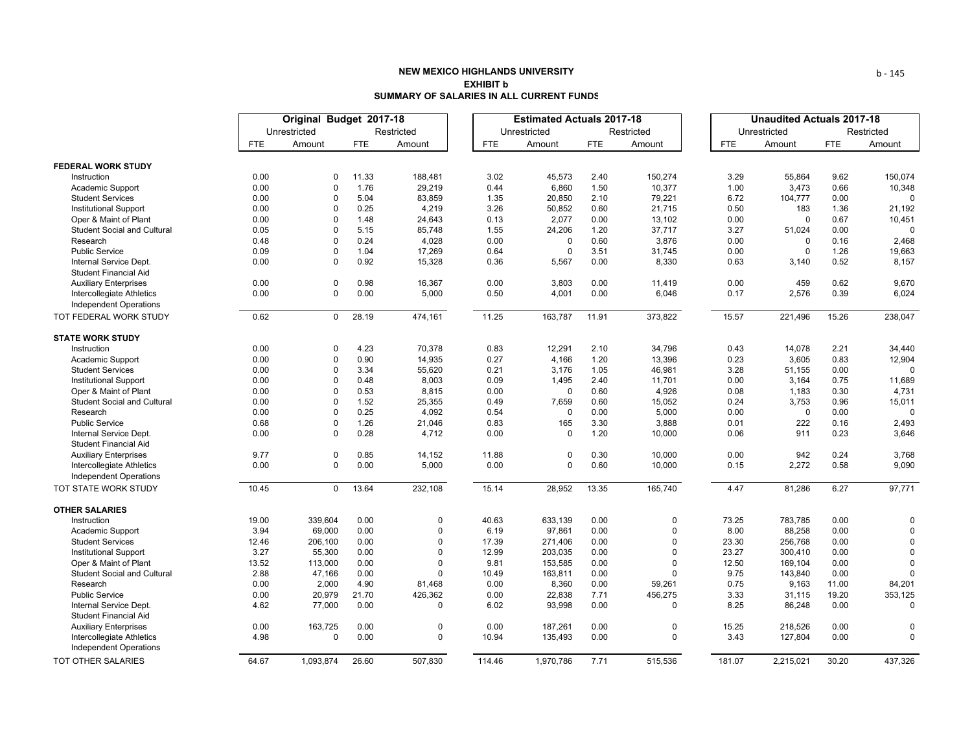## **NEW MEXICO HIGHLANDS UNIVERSITYEXHIBIT bSUMMARY OF SALARIES IN ALL CURRENT FUNDS**

|                                                            | Original Budget 2017-18 |                        |              |                            |               | <b>Estimated Actuals 2017-18</b> |              | <b>Unaudited Actuals 2017-18</b> |               |                    |              |               |
|------------------------------------------------------------|-------------------------|------------------------|--------------|----------------------------|---------------|----------------------------------|--------------|----------------------------------|---------------|--------------------|--------------|---------------|
|                                                            |                         | Unrestricted           |              | Restricted                 |               | Unrestricted                     |              | Restricted                       |               | Unrestricted       |              | Restricted    |
|                                                            | <b>FTE</b>              | Amount                 | <b>FTE</b>   | Amount                     | <b>FTE</b>    | Amount                           | <b>FTE</b>   | Amount                           | FTE           | Amount             | <b>FTE</b>   | Amount        |
| <b>FEDERAL WORK STUDY</b>                                  |                         |                        |              |                            |               |                                  |              |                                  |               |                    |              |               |
| Instruction                                                | 0.00                    | $\mathbf 0$            | 11.33        | 188,481                    | 3.02          | 45,573                           | 2.40         | 150,274                          | 3.29          | 55,864             | 9.62         | 150,074       |
| Academic Support                                           | 0.00                    | $\mathbf 0$            | 1.76         | 29,219                     | 0.44          | 6,860                            | 1.50         | 10,377                           | 1.00          | 3,473              | 0.66         | 10,348        |
| <b>Student Services</b>                                    | 0.00                    | $\mathbf 0$            | 5.04         | 83,859                     | 1.35          | 20,850                           | 2.10         | 79,221                           | 6.72          | 104,777            | 0.00         | $\Omega$      |
| <b>Institutional Support</b>                               | 0.00                    | 0                      | 0.25         | 4,219                      | 3.26          | 50,852                           | 0.60         | 21,715                           | 0.50          | 183                | 1.36         | 21,192        |
| Oper & Maint of Plant                                      | 0.00                    | $\mathbf 0$            | 1.48         | 24,643                     | 0.13          | 2,077                            | 0.00         | 13,102                           | 0.00          | $\Omega$           | 0.67         | 10,451        |
| <b>Student Social and Cultural</b>                         | 0.05                    | 0                      | 5.15         | 85,748                     | 1.55          | 24,206                           | 1.20         | 37,717                           | 3.27          | 51,024             | 0.00         | $\Omega$      |
| Research                                                   | 0.48                    | $\Omega$               | 0.24         | 4,028                      | 0.00          | $\Omega$                         | 0.60         | 3,876                            | 0.00          | $\Omega$           | 0.16         | 2,468         |
| <b>Public Service</b>                                      | 0.09                    | $\mathbf 0$            | 1.04         | 17,269                     | 0.64          | $\mathbf 0$                      | 3.51         | 31,745                           | 0.00          | $\Omega$           | 1.26         | 19,663        |
| Internal Service Dept.                                     | 0.00                    | $\Omega$               | 0.92         | 15,328                     | 0.36          | 5,567                            | 0.00         | 8,330                            | 0.63          | 3,140              | 0.52         | 8,157         |
| <b>Student Financial Aid</b>                               |                         |                        |              |                            |               |                                  |              |                                  |               |                    |              |               |
| <b>Auxiliary Enterprises</b>                               | 0.00                    | $\mathbf 0$            | 0.98         | 16,367                     | 0.00          | 3,803                            | 0.00         | 11,419                           | 0.00          | 459                | 0.62         | 9,670         |
| Intercollegiate Athletics                                  | 0.00                    | $\mathbf 0$            | 0.00         | 5,000                      | 0.50          | 4,001                            | 0.00         | 6,046                            | 0.17          | 2,576              | 0.39         | 6,024         |
| Independent Operations                                     |                         |                        |              |                            |               |                                  |              |                                  |               |                    |              |               |
| TOT FEDERAL WORK STUDY                                     | 0.62                    | $\mathbf 0$            | 28.19        | 474,161                    | 11.25         | 163,787                          | 11.91        | 373,822                          | 15.57         | 221,496            | 15.26        | 238,047       |
| <b>STATE WORK STUDY</b>                                    |                         |                        |              |                            |               |                                  |              |                                  |               |                    |              |               |
| Instruction                                                | 0.00                    | 0                      | 4.23         | 70,378                     | 0.83          | 12,291                           | 2.10         | 34,796                           | 0.43          | 14,078             | 2.21         | 34,440        |
| Academic Support                                           | 0.00                    | $\mathbf 0$            | 0.90         | 14,935                     | 0.27          | 4,166                            | 1.20         | 13,396                           | 0.23          | 3,605              | 0.83         | 12,904        |
| <b>Student Services</b>                                    | 0.00                    | $\mathbf 0$            | 3.34         | 55,620                     | 0.21          | 3,176                            | 1.05         | 46,981                           | 3.28          | 51,155             | 0.00         | $\Omega$      |
| <b>Institutional Support</b>                               | 0.00                    | $\Omega$               | 0.48         | 8,003                      | 0.09          | 1,495                            | 2.40         | 11,701                           | 0.00          | 3,164              | 0.75         | 11,689        |
| Oper & Maint of Plant                                      | 0.00                    | 0                      | 0.53         | 8,815                      | 0.00          | $\mathbf 0$                      | 0.60         | 4,926                            | 0.08          | 1,183              | 0.30         | 4,731         |
| <b>Student Social and Cultural</b>                         | 0.00                    | 0                      | 1.52         | 25,355                     | 0.49          | 7,659                            | 0.60         | 15,052                           | 0.24          | 3,753              | 0.96         | 15,011        |
| Research                                                   | 0.00                    | $\mathbf 0$            | 0.25         | 4,092                      | 0.54          | $\mathbf 0$                      | 0.00         | 5,000                            | 0.00          | $\Omega$           | 0.00         | $\Omega$      |
| <b>Public Service</b>                                      | 0.68                    | 0                      | 1.26         | 21,046                     | 0.83          | 165                              | 3.30         | 3,888                            | 0.01          | 222                | 0.16         | 2,493         |
| Internal Service Dept.                                     | 0.00                    | $\Omega$               | 0.28         | 4,712                      | 0.00          | $\mathbf 0$                      | 1.20         | 10,000                           | 0.06          | 911                | 0.23         | 3,646         |
| <b>Student Financial Aid</b>                               |                         |                        |              |                            |               |                                  |              |                                  |               |                    |              |               |
| <b>Auxiliary Enterprises</b>                               | 9.77                    | $\pmb{0}$              | 0.85         | 14,152                     | 11.88         | $\mathbf 0$                      | 0.30         | 10,000                           | 0.00          | 942                | 0.24         | 3,768         |
| Intercollegiate Athletics                                  | 0.00                    | $\Omega$               | 0.00         | 5,000                      | 0.00          | $\mathbf 0$                      | 0.60         | 10,000                           | 0.15          | 2,272              | 0.58         | 9,090         |
| <b>Independent Operations</b>                              |                         |                        |              |                            |               |                                  |              |                                  |               |                    |              |               |
| TOT STATE WORK STUDY                                       | 10.45                   | $\mathbf 0$            | 13.64        | 232,108                    | 15.14         | 28,952                           | 13.35        | 165,740                          | 4.47          | 81,286             | 6.27         | 97,771        |
| <b>OTHER SALARIES</b>                                      |                         |                        |              |                            |               |                                  |              |                                  |               |                    |              |               |
| Instruction                                                | 19.00                   | 339,604                | 0.00         | 0                          | 40.63         | 633,139                          | 0.00         | $\mathbf 0$                      | 73.25         | 783,785            | 0.00         | $\Omega$      |
| Academic Support                                           | 3.94                    | 69,000                 | 0.00         | 0                          | 6.19          | 97,861                           | 0.00         | $\Omega$                         | 8.00          | 88,258             | 0.00         | $\Omega$      |
| <b>Student Services</b>                                    | 12.46                   | 206,100                | 0.00         | 0                          | 17.39         | 271,406                          | 0.00         | $\Omega$                         | 23.30         | 256,768            | 0.00         | $\Omega$      |
| <b>Institutional Support</b>                               | 3.27                    | 55,300                 | 0.00         | $\Omega$                   | 12.99         | 203,035                          | 0.00         | $\Omega$                         | 23.27         | 300,410            | 0.00         | $\Omega$      |
| Oper & Maint of Plant                                      | 13.52                   | 113,000                | 0.00         | $\Omega$                   | 9.81          | 153,585                          | 0.00         | $\mathbf 0$                      | 12.50         | 169,104            | 0.00         | $\Omega$      |
| <b>Student Social and Cultural</b>                         | 2.88                    | 47,166                 | 0.00         | $\mathbf 0$                | 10.49         | 163,811                          | 0.00         | $\Omega$                         | 9.75          | 143,840            | 0.00         |               |
| Research                                                   | 0.00                    | 2,000                  | 4.90         | 81,468                     | 0.00          | 8,360                            | 0.00         | 59,261                           | 0.75          | 9,163              | 11.00        | 84,201        |
| <b>Public Service</b>                                      | 0.00                    | 20,979                 | 21.70        | 426,362                    | 0.00          | 22,838                           | 7.71         | 456,275                          | 3.33          | 31,115             | 19.20        | 353,125       |
| Internal Service Dept.                                     | 4.62                    | 77,000                 | 0.00         | 0                          | 6.02          | 93,998                           | 0.00         | $\Omega$                         | 8.25          | 86,248             | 0.00         | $\Omega$      |
| <b>Student Financial Aid</b>                               |                         |                        |              |                            |               |                                  |              |                                  |               |                    |              |               |
| <b>Auxiliary Enterprises</b>                               | 0.00<br>4.98            | 163,725<br>$\mathbf 0$ | 0.00<br>0.00 | $\mathbf 0$<br>$\mathbf 0$ | 0.00<br>10.94 | 187,261<br>135,493               | 0.00<br>0.00 | $\overline{0}$<br>$\mathbf 0$    | 15.25<br>3.43 | 218,526<br>127,804 | 0.00<br>0.00 | 0<br>$\Omega$ |
| Intercollegiate Athletics<br><b>Independent Operations</b> |                         |                        |              |                            |               |                                  |              |                                  |               |                    |              |               |
| TOT OTHER SALARIES                                         | 64.67                   | 1.093.874              | 26.60        | 507.830                    | 114.46        | 1.970.786                        | 7.71         | 515.536                          | 181.07        | 2,215,021          | 30.20        | 437,326       |

b ‐ 145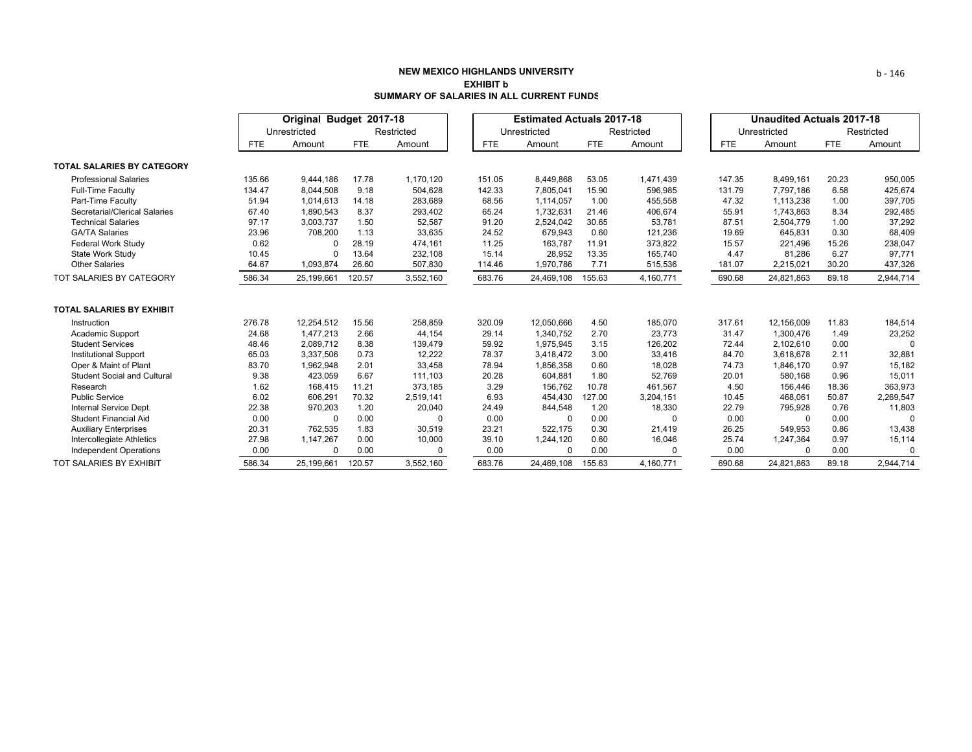## **NEW MEXICO HIGHLANDS UNIVERSITYEXHIBIT bSUMMARY OF SALARIES IN ALL CURRENT FUNDS**

|                                    |            | Original Budget 2017-18 |            |            |            | <b>Estimated Actuals 2017-18</b> |            |            |            | <b>Unaudited Actuals 2017-18</b> | Restricted |  |  |  |  |
|------------------------------------|------------|-------------------------|------------|------------|------------|----------------------------------|------------|------------|------------|----------------------------------|------------|--|--|--|--|
|                                    |            | Unrestricted            |            | Restricted |            | Unrestricted                     |            | Restricted |            | Unrestricted                     |            |  |  |  |  |
|                                    | <b>FTE</b> | Amount                  | <b>FTE</b> | Amount     | <b>FTE</b> | Amount                           | <b>FTE</b> | Amount     | <b>FTE</b> | Amount                           | <b>FTE</b> |  |  |  |  |
| <b>TOTAL SALARIES BY CATEGORY</b>  |            |                         |            |            |            |                                  |            |            |            |                                  |            |  |  |  |  |
| <b>Professional Salaries</b>       | 135.66     | 9,444,186               | 17.78      | 1,170,120  | 151.05     | 8,449,868                        | 53.05      | 1,471,439  | 147.35     | 8,499,161                        | 20.23      |  |  |  |  |
| <b>Full-Time Faculty</b>           | 134.47     | 8,044,508               | 9.18       | 504,628    | 142.33     | 7,805,041                        | 15.90      | 596,985    | 131.79     | 7.797.186                        | 6.58       |  |  |  |  |
| Part-Time Faculty                  | 51.94      | 1,014,613               | 14.18      | 283,689    | 68.56      | 1,114,057                        | 1.00       | 455,558    | 47.32      | 1,113,238                        | 1.00       |  |  |  |  |
| Secretarial/Clerical Salaries      | 67.40      | 1,890,543               | 8.37       | 293,402    | 65.24      | 1,732,631                        | 21.46      | 406,674    | 55.91      | 1,743,863                        | 8.34       |  |  |  |  |
| <b>Technical Salaries</b>          | 97.17      | 3,003,737               | 1.50       | 52,587     | 91.20      | 2,524,042                        | 30.65      | 53,781     | 87.51      | 2,504,779                        | 1.00       |  |  |  |  |
| <b>GA/TA Salaries</b>              | 23.96      | 708,200                 | 1.13       | 33,635     | 24.52      | 679,943                          | 0.60       | 121,236    | 19.69      | 645.831                          | 0.30       |  |  |  |  |
| <b>Federal Work Study</b>          | 0.62       |                         | 28.19      | 474,161    | 11.25      | 163,787                          | 11.91      | 373,822    | 15.57      | 221,496                          | 15.26      |  |  |  |  |
| State Work Study                   | 10.45      | 0                       | 13.64      | 232,108    | 15.14      | 28,952                           | 13.35      | 165,740    | 4.47       | 81,286                           | 6.27       |  |  |  |  |
| <b>Other Salaries</b>              | 64.67      | 1,093,874               | 26.60      | 507,830    | 114.46     | 1,970,786                        | 7.71       | 515,536    | 181.07     | 2,215,021                        | 30.20      |  |  |  |  |
| TOT SALARIES BY CATEGORY           | 586.34     | 25,199,661              | 120.57     | 3,552,160  | 683.76     | 24,469,108                       | 155.63     | 4,160,771  | 690.68     | 24,821,863                       | 89.18      |  |  |  |  |
|                                    |            |                         |            |            |            |                                  |            |            |            |                                  |            |  |  |  |  |
| <b>TOTAL SALARIES BY EXHIBIT</b>   |            |                         |            |            |            |                                  |            |            |            |                                  |            |  |  |  |  |
| Instruction                        | 276.78     | 12,254,512              | 15.56      | 258,859    | 320.09     | 12,050,666                       | 4.50       | 185,070    | 317.61     | 12,156,009                       | 11.83      |  |  |  |  |
| Academic Support                   | 24.68      | 1,477,213               | 2.66       | 44,154     | 29.14      | 1,340,752                        | 2.70       | 23,773     | 31.47      | 1,300,476                        | 1.49       |  |  |  |  |
| <b>Student Services</b>            | 48.46      | 2,089,712               | 8.38       | 139,479    | 59.92      | 1,975,945                        | 3.15       | 126,202    | 72.44      | 2,102,610                        | 0.00       |  |  |  |  |
| <b>Institutional Support</b>       | 65.03      | 3,337,506               | 0.73       | 12,222     | 78.37      | 3,418,472                        | 3.00       | 33,416     | 84.70      | 3,618,678                        | 2.11       |  |  |  |  |
| Oper & Maint of Plant              | 83.70      | 1,962,948               | 2.01       | 33,458     | 78.94      | 1,856,358                        | 0.60       | 18,028     | 74.73      | 1,846,170                        | 0.97       |  |  |  |  |
| <b>Student Social and Cultural</b> | 9.38       | 423,059                 | 6.67       | 111,103    | 20.28      | 604,881                          | 1.80       | 52,769     | 20.01      | 580,168                          | 0.96       |  |  |  |  |
| Research                           | 1.62       | 168,415                 | 11.21      | 373,185    | 3.29       | 156,762                          | 10.78      | 461,567    | 4.50       | 156,446                          | 18.36      |  |  |  |  |
| <b>Public Service</b>              | 6.02       | 606,291                 | 70.32      | 2,519,141  | 6.93       | 454,430                          | 127.00     | 3,204,151  | 10.45      | 468,061                          | 50.87      |  |  |  |  |
| Internal Service Dept.             | 22.38      | 970,203                 | 1.20       | 20,040     | 24.49      | 844,548                          | 1.20       | 18,330     | 22.79      | 795,928                          | 0.76       |  |  |  |  |
| <b>Student Financial Aid</b>       | 0.00       | O                       | 0.00       | $\Omega$   | 0.00       |                                  | 0.00       |            | 0.00       | $\Omega$                         | 0.00       |  |  |  |  |
| <b>Auxiliary Enterprises</b>       | 20.31      | 762,535                 | 1.83       | 30,519     | 23.21      | 522,175                          | 0.30       | 21,419     | 26.25      | 549,953                          | 0.86       |  |  |  |  |
| Intercollegiate Athletics          | 27.98      | 1,147,267               | 0.00       | 10,000     | 39.10      | 1,244,120                        | 0.60       | 16,046     | 25.74      | 1,247,364                        | 0.97       |  |  |  |  |
| <b>Independent Operations</b>      | 0.00       | <sup>0</sup>            | 0.00       | $\Omega$   | 0.00       | $\Omega$                         | 0.00       | $\Omega$   | 0.00       | $\Omega$                         | 0.00       |  |  |  |  |
| <b>TOT SALARIES BY EXHIBIT</b>     | 586.34     | 25.199.661              | 120.57     | 3,552,160  | 683.76     | 24.469.108                       | 155.63     | 4.160.771  | 690.68     | 24.821.863                       | 89.18      |  |  |  |  |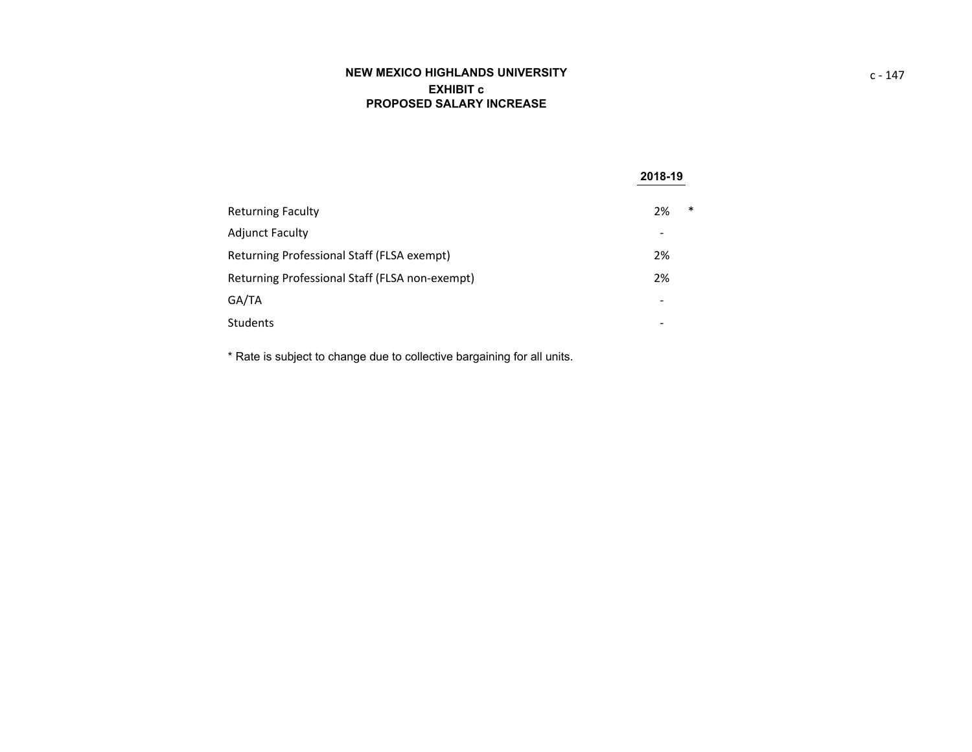# **NEW MEXICO HIGHLANDS UNIVERSITY EXHIBIT cPROPOSED SALARY INCREASE**

|                                                | 2018-19                  |
|------------------------------------------------|--------------------------|
| <b>Returning Faculty</b>                       | $\ast$<br>2%             |
| <b>Adjunct Faculty</b>                         |                          |
| Returning Professional Staff (FLSA exempt)     | 2%                       |
| Returning Professional Staff (FLSA non-exempt) | 2%                       |
| GA/TA                                          | $\overline{\phantom{a}}$ |
| Students                                       |                          |

\* Rate is subject to change due to collective bargaining for all units.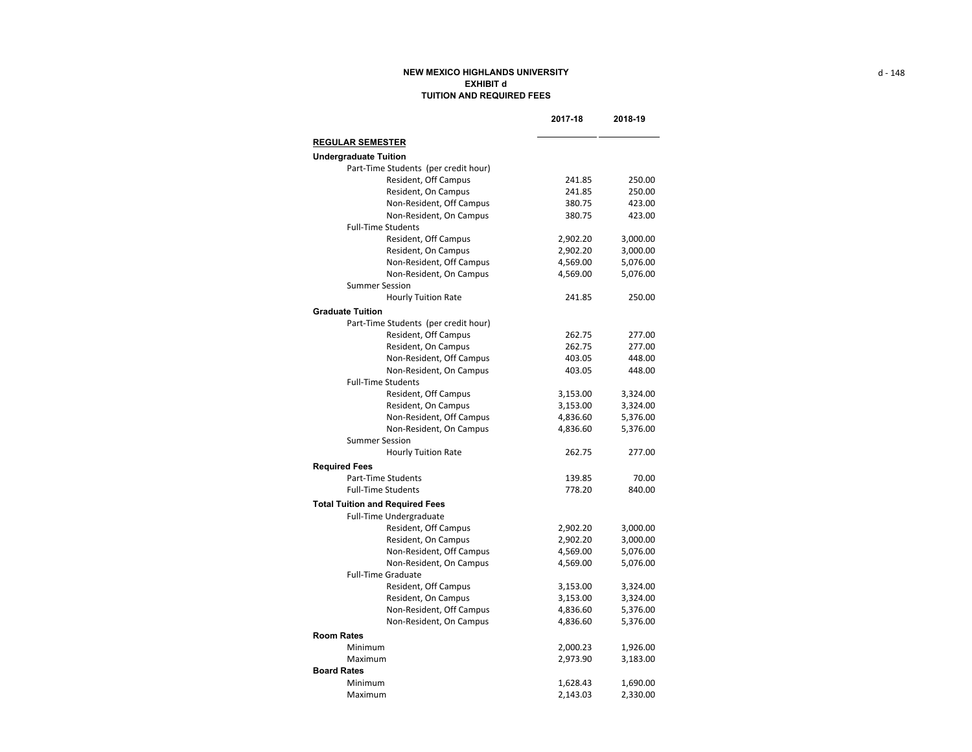#### **NEW MEXICO HIGHLANDS UNIVERSITY EXHIBIT dTUITION AND REQUIRED FEES**

|                                                 | 2017-18              | 2018-19              |
|-------------------------------------------------|----------------------|----------------------|
| <b>REGULAR SEMESTER</b>                         |                      |                      |
| <b>Undergraduate Tuition</b>                    |                      |                      |
| Part-Time Students (per credit hour)            |                      |                      |
| Resident, Off Campus                            | 241.85               | 250.00               |
| Resident, On Campus                             | 241.85               | 250.00               |
| Non-Resident, Off Campus                        | 380.75               | 423.00               |
| Non-Resident, On Campus                         | 380.75               | 423.00               |
| <b>Full-Time Students</b>                       |                      |                      |
| Resident, Off Campus                            | 2,902.20             | 3,000.00             |
| Resident, On Campus                             | 2,902.20             | 3,000.00             |
| Non-Resident, Off Campus                        | 4,569.00             | 5,076.00             |
| Non-Resident, On Campus                         | 4,569.00             | 5,076.00             |
| <b>Summer Session</b>                           |                      |                      |
| <b>Hourly Tuition Rate</b>                      | 241.85               | 250.00               |
| <b>Graduate Tuition</b>                         |                      |                      |
| Part-Time Students (per credit hour)            |                      |                      |
| Resident, Off Campus                            | 262.75               | 277.00               |
| Resident, On Campus                             | 262.75               | 277.00               |
| Non-Resident, Off Campus                        | 403.05               | 448.00               |
| Non-Resident, On Campus                         | 403.05               | 448.00               |
| <b>Full-Time Students</b>                       |                      |                      |
| Resident, Off Campus                            | 3,153.00             | 3,324.00             |
| Resident, On Campus                             | 3,153.00             | 3,324.00             |
| Non-Resident, Off Campus                        | 4,836.60             | 5,376.00             |
| Non-Resident, On Campus                         | 4,836.60             | 5,376.00             |
| <b>Summer Session</b>                           |                      |                      |
| <b>Hourly Tuition Rate</b>                      | 262.75               | 277.00               |
| <b>Required Fees</b>                            |                      |                      |
| <b>Part-Time Students</b>                       | 139.85               | 70.00                |
| <b>Full-Time Students</b>                       | 778.20               | 840.00               |
|                                                 |                      |                      |
| <b>Total Tuition and Required Fees</b>          |                      |                      |
| <b>Full-Time Undergraduate</b>                  |                      |                      |
| Resident, Off Campus                            | 2,902.20             | 3,000.00             |
| Resident, On Campus                             | 2,902.20             | 3,000.00             |
| Non-Resident, Off Campus                        | 4,569.00             | 5,076.00             |
| Non-Resident, On Campus                         | 4,569.00             | 5,076.00             |
| <b>Full-Time Graduate</b>                       |                      |                      |
| Resident, Off Campus                            | 3,153.00             | 3,324.00             |
| Resident, On Campus<br>Non-Resident, Off Campus | 3,153.00<br>4,836.60 | 3,324.00<br>5,376.00 |
|                                                 |                      |                      |
| Non-Resident, On Campus                         | 4,836.60             | 5,376.00             |
| <b>Room Rates</b>                               |                      |                      |
| Minimum                                         | 2,000.23             | 1,926.00             |
| Maximum                                         | 2,973.90             | 3,183.00             |
| <b>Board Rates</b>                              |                      |                      |
| Minimum                                         | 1,628.43             | 1,690.00             |
| Maximum                                         | 2,143.03             | 2,330.00             |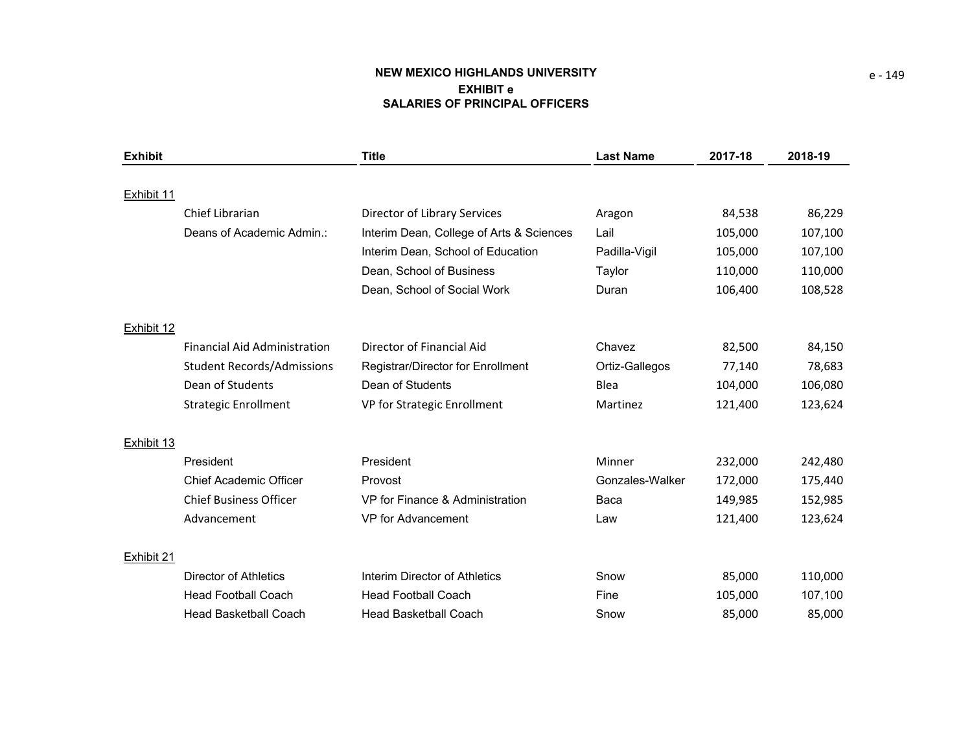# **NEW MEXICO HIGHLANDS UNIVERSIT Y EXHIBIT eSALARIES OF PRINCIPAL OFFICERS**

| <b>Exhibit</b> |                                     | <b>Title</b>                             | <b>Last Name</b> | 2017-18 | 2018-19 |
|----------------|-------------------------------------|------------------------------------------|------------------|---------|---------|
|                |                                     |                                          |                  |         |         |
| Exhibit 11     |                                     |                                          |                  |         |         |
|                | Chief Librarian                     | Director of Library Services             | Aragon           | 84,538  | 86,229  |
|                | Deans of Academic Admin.:           | Interim Dean, College of Arts & Sciences | Lail             | 105,000 | 107,100 |
|                |                                     | Interim Dean, School of Education        | Padilla-Vigil    | 105,000 | 107,100 |
|                |                                     | Dean, School of Business                 | Taylor           | 110,000 | 110,000 |
|                |                                     | Dean, School of Social Work              | Duran            | 106,400 | 108,528 |
| Exhibit 12     |                                     |                                          |                  |         |         |
|                | <b>Financial Aid Administration</b> | Director of Financial Aid                | Chavez           | 82,500  | 84,150  |
|                | <b>Student Records/Admissions</b>   | Registrar/Director for Enrollment        | Ortiz-Gallegos   | 77,140  | 78,683  |
|                | Dean of Students                    | Dean of Students                         | Blea             | 104,000 | 106,080 |
|                | <b>Strategic Enrollment</b>         | VP for Strategic Enrollment              | Martinez         | 121,400 | 123,624 |
| Exhibit 13     |                                     |                                          |                  |         |         |
|                | President                           | President                                | Minner           | 232,000 | 242,480 |
|                | <b>Chief Academic Officer</b>       | Provost                                  | Gonzales-Walker  | 172,000 | 175,440 |
|                | <b>Chief Business Officer</b>       | VP for Finance & Administration          | Baca             | 149,985 | 152,985 |
|                | Advancement                         | <b>VP</b> for Advancement                | Law              | 121,400 | 123,624 |
| Exhibit 21     |                                     |                                          |                  |         |         |
|                | Director of Athletics               | Interim Director of Athletics            | Snow             | 85,000  | 110,000 |
|                | <b>Head Football Coach</b>          | <b>Head Football Coach</b>               | Fine             | 105,000 | 107,100 |
|                | <b>Head Basketball Coach</b>        | <b>Head Basketball Coach</b>             | Snow             | 85,000  | 85,000  |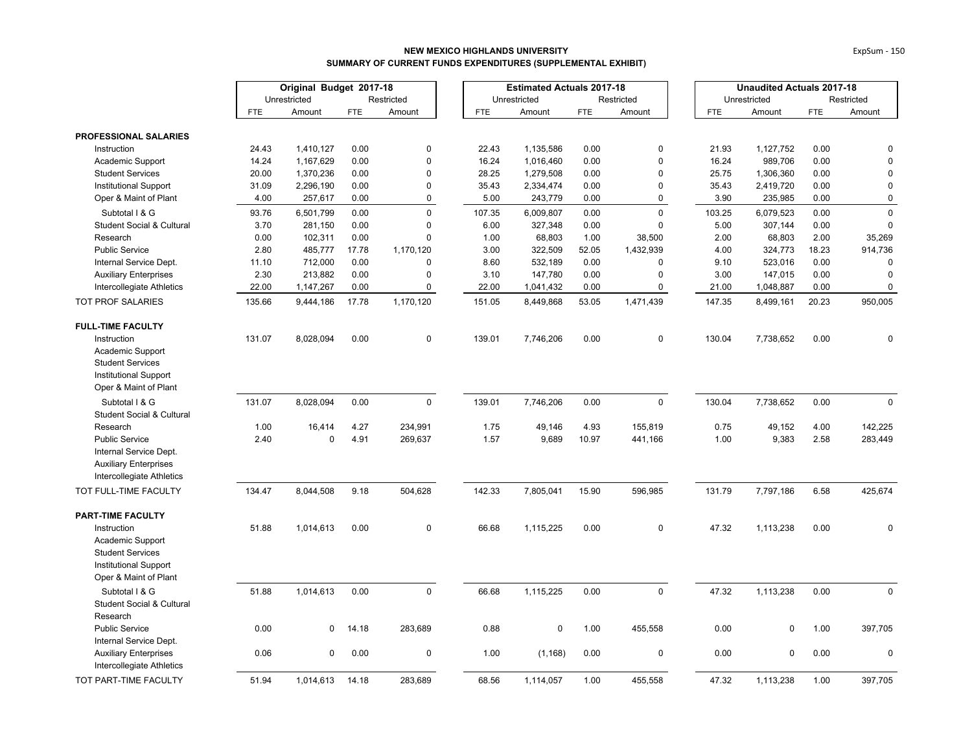|                                                           | Original Budget 2017-18 |              |            | <b>Estimated Actuals 2017-18</b> |  |            |              |            | <b>Unaudited Actuals 2017-18</b> |            |              |            |             |
|-----------------------------------------------------------|-------------------------|--------------|------------|----------------------------------|--|------------|--------------|------------|----------------------------------|------------|--------------|------------|-------------|
|                                                           |                         | Unrestricted |            | Restricted                       |  |            | Unrestricted |            | Restricted                       |            | Unrestricted |            | Restricted  |
|                                                           | <b>FTE</b>              | Amount       | <b>FTE</b> | Amount                           |  | <b>FTE</b> | Amount       | <b>FTE</b> | Amount                           | <b>FTE</b> | Amount       | <b>FTE</b> | Amount      |
| <b>PROFESSIONAL SALARIES</b>                              |                         |              |            |                                  |  |            |              |            |                                  |            |              |            |             |
| Instruction                                               | 24.43                   | 1,410,127    | 0.00       | $\mathbf 0$                      |  | 22.43      | 1,135,586    | 0.00       | $\mathbf 0$                      | 21.93      | 1,127,752    | 0.00       | 0           |
| Academic Support                                          | 14.24                   | 1,167,629    | 0.00       | $\mathbf 0$                      |  | 16.24      | 1,016,460    | 0.00       | $\mathbf 0$                      | 16.24      | 989,706      | 0.00       | $\mathbf 0$ |
| <b>Student Services</b>                                   | 20.00                   | 1,370,236    | 0.00       | $\Omega$                         |  | 28.25      | 1,279,508    | 0.00       | $\mathbf 0$                      | 25.75      | 1,306,360    | 0.00       | 0           |
| <b>Institutional Support</b>                              | 31.09                   | 2,296,190    | 0.00       | $\Omega$                         |  | 35.43      | 2,334,474    | 0.00       | $\mathbf 0$                      | 35.43      | 2,419,720    | 0.00       | $\mathbf 0$ |
| Oper & Maint of Plant                                     | 4.00                    | 257,617      | 0.00       | $\pmb{0}$                        |  | 5.00       | 243,779      | 0.00       | $\pmb{0}$                        | 3.90       | 235,985      | 0.00       | $\pmb{0}$   |
| Subtotal I & G                                            | 93.76                   | 6,501,799    | 0.00       | $\mathbf 0$                      |  | 107.35     | 6,009,807    | 0.00       | $\mathbf 0$                      | 103.25     | 6,079,523    | 0.00       | $\mathbf 0$ |
| <b>Student Social &amp; Cultural</b>                      | 3.70                    | 281,150      | 0.00       | $\Omega$                         |  | 6.00       | 327,348      | 0.00       | $\mathbf 0$                      | 5.00       | 307,144      | 0.00       | $\mathbf 0$ |
| Research                                                  | 0.00                    | 102,311      | 0.00       | $\Omega$                         |  | 1.00       | 68,803       | 1.00       | 38,500                           | 2.00       | 68,803       | 2.00       | 35,269      |
| <b>Public Service</b>                                     | 2.80                    | 485,777      | 17.78      | 1,170,120                        |  | 3.00       | 322,509      | 52.05      | 1,432,939                        | 4.00       | 324,773      | 18.23      | 914,736     |
| Internal Service Dept.                                    | 11.10                   | 712,000      | 0.00       | $\mathbf 0$                      |  | 8.60       | 532,189      | 0.00       | $\mathbf 0$                      | 9.10       | 523,016      | 0.00       | 0           |
| <b>Auxiliary Enterprises</b>                              | 2.30                    | 213,882      | 0.00       | $\mathbf{0}$                     |  | 3.10       | 147,780      | 0.00       | $\mathbf 0$                      | 3.00       | 147,015      | 0.00       | $\mathbf 0$ |
| Intercollegiate Athletics                                 | 22.00                   | 1,147,267    | 0.00       | 0                                |  | 22.00      | 1,041,432    | 0.00       | $\mathsf 0$                      | 21.00      | 1,048,887    | 0.00       | $\pmb{0}$   |
| <b>TOT PROF SALARIES</b>                                  | 135.66                  | 9,444,186    | 17.78      | 1,170,120                        |  | 151.05     | 8,449,868    | 53.05      | 1,471,439                        | 147.35     | 8,499,161    | 20.23      | 950,005     |
| <b>FULL-TIME FACULTY</b>                                  |                         |              |            |                                  |  |            |              |            |                                  |            |              |            |             |
| Instruction                                               | 131.07                  | 8,028,094    | 0.00       | $\pmb{0}$                        |  | 139.01     | 7,746,206    | 0.00       | $\mathsf 0$                      | 130.04     | 7,738,652    | 0.00       | 0           |
| Academic Support                                          |                         |              |            |                                  |  |            |              |            |                                  |            |              |            |             |
| <b>Student Services</b>                                   |                         |              |            |                                  |  |            |              |            |                                  |            |              |            |             |
| <b>Institutional Support</b>                              |                         |              |            |                                  |  |            |              |            |                                  |            |              |            |             |
| Oper & Maint of Plant                                     |                         |              |            |                                  |  |            |              |            |                                  |            |              |            |             |
| Subtotal I & G                                            | 131.07                  | 8,028,094    | 0.00       | $\mathsf 0$                      |  | 139.01     | 7,746,206    | 0.00       | $\mathsf{O}\xspace$              | 130.04     | 7,738,652    | 0.00       | $\pmb{0}$   |
| <b>Student Social &amp; Cultural</b>                      |                         |              |            |                                  |  |            |              |            |                                  |            |              |            |             |
| Research                                                  | 1.00                    | 16,414       | 4.27       | 234,991                          |  | 1.75       | 49,146       | 4.93       | 155,819                          | 0.75       | 49,152       | 4.00       | 142,225     |
| <b>Public Service</b>                                     | 2.40                    | $\mathbf 0$  | 4.91       | 269,637                          |  | 1.57       | 9,689        | 10.97      | 441,166                          | 1.00       | 9,383        | 2.58       | 283,449     |
| Internal Service Dept.                                    |                         |              |            |                                  |  |            |              |            |                                  |            |              |            |             |
| <b>Auxiliary Enterprises</b>                              |                         |              |            |                                  |  |            |              |            |                                  |            |              |            |             |
| Intercollegiate Athletics                                 |                         |              |            |                                  |  |            |              |            |                                  |            |              |            |             |
| TOT FULL-TIME FACULTY                                     | 134.47                  | 8,044,508    | 9.18       | 504,628                          |  | 142.33     | 7,805,041    | 15.90      | 596,985                          | 131.79     | 7,797,186    | 6.58       | 425,674     |
| <b>PART-TIME FACULTY</b>                                  |                         |              |            |                                  |  |            |              |            |                                  |            |              |            |             |
| Instruction                                               | 51.88                   | 1,014,613    | 0.00       | 0                                |  | 66.68      | 1,115,225    | $0.00\,$   | $\mathbf 0$                      | 47.32      | 1,113,238    | 0.00       | 0           |
| Academic Support                                          |                         |              |            |                                  |  |            |              |            |                                  |            |              |            |             |
| <b>Student Services</b>                                   |                         |              |            |                                  |  |            |              |            |                                  |            |              |            |             |
| Institutional Support                                     |                         |              |            |                                  |  |            |              |            |                                  |            |              |            |             |
| Oper & Maint of Plant                                     |                         |              |            |                                  |  |            |              |            |                                  |            |              |            |             |
| Subtotal I & G                                            | 51.88                   | 1,014,613    | 0.00       | $\mathsf 0$                      |  | 66.68      | 1,115,225    | 0.00       | $\mathsf 0$                      | 47.32      | 1,113,238    | 0.00       | $\mathsf 0$ |
| <b>Student Social &amp; Cultural</b>                      |                         |              |            |                                  |  |            |              |            |                                  |            |              |            |             |
| Research                                                  |                         |              |            |                                  |  |            |              |            |                                  |            |              |            |             |
| <b>Public Service</b>                                     | 0.00                    | $\mathbf 0$  | 14.18      | 283,689                          |  | 0.88       | 0            | 1.00       | 455,558                          | 0.00       | 0            | 1.00       | 397,705     |
| Internal Service Dept.                                    |                         |              |            |                                  |  |            |              |            |                                  |            |              |            |             |
| <b>Auxiliary Enterprises</b><br>Intercollegiate Athletics | 0.06                    | $\Omega$     | 0.00       | $\pmb{0}$                        |  | 1.00       | (1, 168)     | 0.00       | $\mathbf 0$                      | 0.00       | $\Omega$     | 0.00       | $\mathbf 0$ |
| TOT PART-TIME FACULTY                                     | 51.94                   | 1.014.613    | 14.18      | 283.689                          |  | 68.56      | 1.114.057    | 1.00       | 455.558                          | 47.32      | 1.113.238    | 1.00       | 397.705     |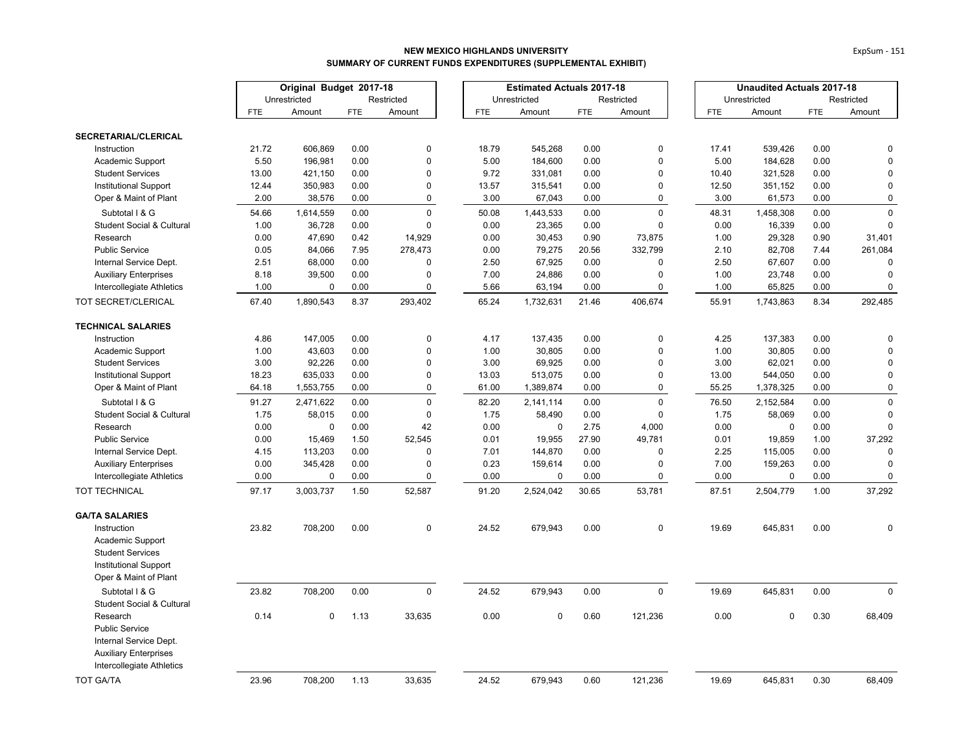|                                      | Original Budget 2017-18 |              |            | <b>Estimated Actuals 2017-18</b> |  |            |              |            | <b>Unaudited Actuals 2017-18</b> |            |              |            |             |
|--------------------------------------|-------------------------|--------------|------------|----------------------------------|--|------------|--------------|------------|----------------------------------|------------|--------------|------------|-------------|
|                                      |                         | Unrestricted |            | Restricted                       |  |            | Unrestricted |            | Restricted                       |            | Unrestricted |            | Restricted  |
|                                      | <b>FTE</b>              | Amount       | <b>FTE</b> | Amount                           |  | <b>FTE</b> | Amount       | <b>FTE</b> | Amount                           | <b>FTE</b> | Amount       | <b>FTE</b> | Amount      |
| SECRETARIAL/CLERICAL                 |                         |              |            |                                  |  |            |              |            |                                  |            |              |            |             |
| Instruction                          | 21.72                   | 606,869      | 0.00       | $\mathbf 0$                      |  | 18.79      | 545,268      | 0.00       | $\mathbf 0$                      | 17.41      | 539,426      | 0.00       | 0           |
| Academic Support                     | 5.50                    | 196,981      | 0.00       | $\mathbf 0$                      |  | 5.00       | 184,600      | 0.00       | $\mathbf 0$                      | 5.00       | 184,628      | 0.00       | $\Omega$    |
| <b>Student Services</b>              | 13.00                   | 421,150      | 0.00       | $\mathbf 0$                      |  | 9.72       | 331,081      | 0.00       | $\pmb{0}$                        | 10.40      | 321,528      | 0.00       | $\mathsf 0$ |
| <b>Institutional Support</b>         | 12.44                   | 350,983      | 0.00       | $\mathbf 0$                      |  | 13.57      | 315,541      | 0.00       | $\mathbf 0$                      | 12.50      | 351,152      | 0.00       | $\mathbf 0$ |
| Oper & Maint of Plant                | 2.00                    | 38,576       | 0.00       | $\pmb{0}$                        |  | 3.00       | 67,043       | 0.00       | $\pmb{0}$                        | 3.00       | 61,573       | 0.00       | 0           |
| Subtotal I & G                       | 54.66                   | 1,614,559    | 0.00       | $\mathbf 0$                      |  | 50.08      | 1,443,533    | 0.00       | $\mathbf 0$                      | 48.31      | 1,458,308    | 0.00       | $\mathbf 0$ |
| <b>Student Social &amp; Cultural</b> | 1.00                    | 36,728       | 0.00       | $\Omega$                         |  | 0.00       | 23,365       | 0.00       | $\mathbf 0$                      | 0.00       | 16,339       | 0.00       | $\Omega$    |
| Research                             | 0.00                    | 47,690       | 0.42       | 14,929                           |  | 0.00       | 30,453       | 0.90       | 73,875                           | 1.00       | 29,328       | 0.90       | 31,401      |
| <b>Public Service</b>                | 0.05                    | 84,066       | 7.95       | 278,473                          |  | 0.00       | 79,275       | 20.56      | 332,799                          | 2.10       | 82,708       | 7.44       | 261,084     |
| Internal Service Dept.               | 2.51                    | 68,000       | 0.00       | $\mathbf 0$                      |  | 2.50       | 67,925       | 0.00       | $\mathbf 0$                      | 2.50       | 67,607       | 0.00       | 0           |
| <b>Auxiliary Enterprises</b>         | 8.18                    | 39,500       | 0.00       | $\Omega$                         |  | 7.00       | 24,886       | 0.00       | $\pmb{0}$                        | 1.00       | 23,748       | 0.00       | $\mathbf 0$ |
| Intercollegiate Athletics            | 1.00                    | $\mathbf 0$  | 0.00       | $\mathbf 0$                      |  | 5.66       | 63,194       | 0.00       | $\mathbf 0$                      | 1.00       | 65,825       | 0.00       | 0           |
| TOT SECRET/CLERICAL                  | 67.40                   | 1,890,543    | 8.37       | 293,402                          |  | 65.24      | 1,732,631    | 21.46      | 406,674                          | 55.91      | 1,743,863    | 8.34       | 292,485     |
| <b>TECHNICAL SALARIES</b>            |                         |              |            |                                  |  |            |              |            |                                  |            |              |            |             |
| Instruction                          | 4.86                    | 147,005      | 0.00       | $\mathbf 0$                      |  | 4.17       | 137,435      | 0.00       | $\pmb{0}$                        | 4.25       | 137,383      | 0.00       | $\mathbf 0$ |
| Academic Support                     | 1.00                    | 43,603       | 0.00       | $\Omega$                         |  | 1.00       | 30,805       | 0.00       | $\mathbf 0$                      | 1.00       | 30,805       | 0.00       | $\mathbf 0$ |
| <b>Student Services</b>              | 3.00                    | 92,226       | 0.00       | $\mathbf 0$                      |  | 3.00       | 69,925       | 0.00       | $\mathbf 0$                      | 3.00       | 62,021       | 0.00       | $\mathbf 0$ |
| Institutional Support                | 18.23                   | 635,033      | 0.00       | $\mathbf 0$                      |  | 13.03      | 513,075      | 0.00       | $\mathbf 0$                      | 13.00      | 544,050      | 0.00       | $\mathsf 0$ |
| Oper & Maint of Plant                | 64.18                   | 1,553,755    | 0.00       | $\mathbf 0$                      |  | 61.00      | 1,389,874    | 0.00       | $\pmb{0}$                        | 55.25      | 1,378,325    | 0.00       | $\mathsf 0$ |
| Subtotal I & G                       | 91.27                   | 2,471,622    | 0.00       | $\mathbf 0$                      |  | 82.20      | 2,141,114    | 0.00       | $\mathbf 0$                      | 76.50      | 2,152,584    | 0.00       | $\mathbf 0$ |
| <b>Student Social &amp; Cultural</b> | 1.75                    | 58,015       | 0.00       | $\Omega$                         |  | 1.75       | 58,490       | 0.00       | $\pmb{0}$                        | 1.75       | 58,069       | 0.00       | $\Omega$    |
| Research                             | 0.00                    | $\pmb{0}$    | 0.00       | 42                               |  | 0.00       | 0            | 2.75       | 4,000                            | 0.00       | $\pmb{0}$    | 0.00       | $\mathsf 0$ |
| <b>Public Service</b>                | 0.00                    | 15,469       | 1.50       | 52,545                           |  | 0.01       | 19,955       | 27.90      | 49,781                           | 0.01       | 19,859       | 1.00       | 37,292      |
| Internal Service Dept.               | 4.15                    | 113,203      | 0.00       | $\Omega$                         |  | 7.01       | 144,870      | 0.00       | $\Omega$                         | 2.25       | 115,005      | 0.00       | $\mathbf 0$ |
| <b>Auxiliary Enterprises</b>         | 0.00                    | 345,428      | 0.00       | $\Omega$                         |  | 0.23       | 159,614      | 0.00       | $\mathbf 0$                      | 7.00       | 159,263      | 0.00       | $\mathbf 0$ |
| Intercollegiate Athletics            | 0.00                    | $\pmb{0}$    | 0.00       | 0                                |  | 0.00       | 0            | 0.00       | $\pmb{0}$                        | 0.00       | $\pmb{0}$    | 0.00       | $\mathbf 0$ |
| TOT TECHNICAL                        | 97.17                   | 3,003,737    | 1.50       | 52,587                           |  | 91.20      | 2,524,042    | 30.65      | 53,781                           | 87.51      | 2,504,779    | 1.00       | 37,292      |
| <b>GA/TA SALARIES</b>                |                         |              |            |                                  |  |            |              |            |                                  |            |              |            |             |
| Instruction                          | 23.82                   | 708,200      | 0.00       | $\mathbf 0$                      |  | 24.52      | 679,943      | 0.00       | $\pmb{0}$                        | 19.69      | 645,831      | 0.00       | $\pmb{0}$   |
| Academic Support                     |                         |              |            |                                  |  |            |              |            |                                  |            |              |            |             |
| <b>Student Services</b>              |                         |              |            |                                  |  |            |              |            |                                  |            |              |            |             |
| Institutional Support                |                         |              |            |                                  |  |            |              |            |                                  |            |              |            |             |
| Oper & Maint of Plant                |                         |              |            |                                  |  |            |              |            |                                  |            |              |            |             |
| Subtotal I & G                       | 23.82                   | 708,200      | 0.00       | $\mathbf 0$                      |  | 24.52      | 679,943      | 0.00       | $\mathbf 0$                      | 19.69      | 645,831      | 0.00       | $\Omega$    |
| <b>Student Social &amp; Cultural</b> |                         |              |            |                                  |  |            |              |            |                                  |            |              |            |             |
| Research                             | 0.14                    | $\mathbf 0$  | 1.13       | 33,635                           |  | 0.00       | $\mathbf 0$  | 0.60       | 121,236                          | 0.00       | 0            | 0.30       | 68,409      |
| <b>Public Service</b>                |                         |              |            |                                  |  |            |              |            |                                  |            |              |            |             |
| Internal Service Dept.               |                         |              |            |                                  |  |            |              |            |                                  |            |              |            |             |
| <b>Auxiliary Enterprises</b>         |                         |              |            |                                  |  |            |              |            |                                  |            |              |            |             |
| Intercollegiate Athletics            |                         |              |            |                                  |  |            |              |            |                                  |            |              |            |             |
| <b>TOT GA/TA</b>                     | 23.96                   | 708,200      | 1.13       | 33,635                           |  | 24.52      | 679.943      | 0.60       | 121,236                          | 19.69      | 645,831      | 0.30       | 68,409      |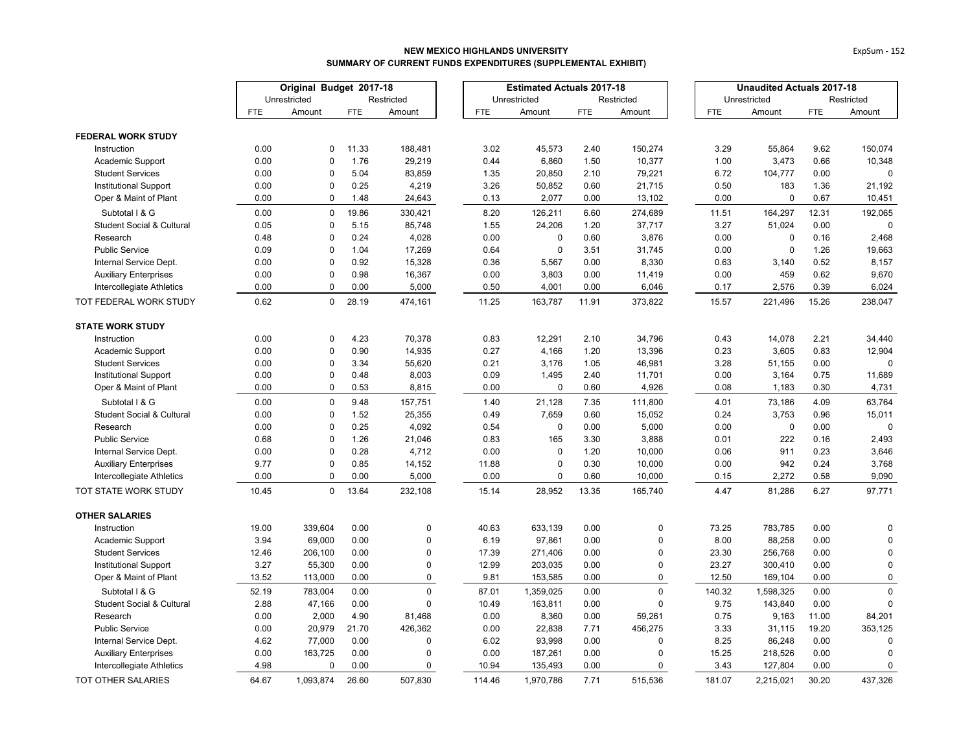|                                      | Original Budget 2017-18 |              |            | <b>Estimated Actuals 2017-18</b> |  |            |              |            | <b>Unaudited Actuals 2017-18</b> |            |              |            |             |
|--------------------------------------|-------------------------|--------------|------------|----------------------------------|--|------------|--------------|------------|----------------------------------|------------|--------------|------------|-------------|
|                                      |                         | Unrestricted |            | Restricted                       |  |            | Unrestricted |            | Restricted                       |            | Unrestricted |            | Restricted  |
|                                      | <b>FTE</b>              | Amount       | <b>FTE</b> | Amount                           |  | <b>FTE</b> | Amount       | <b>FTE</b> | Amount                           | <b>FTE</b> | Amount       | <b>FTE</b> | Amount      |
| <b>FEDERAL WORK STUDY</b>            |                         |              |            |                                  |  |            |              |            |                                  |            |              |            |             |
| Instruction                          | 0.00                    | 0            | 11.33      | 188,481                          |  | 3.02       | 45,573       | 2.40       | 150,274                          | 3.29       | 55,864       | 9.62       | 150,074     |
| Academic Support                     | 0.00                    | $\pmb{0}$    | 1.76       | 29,219                           |  | 0.44       | 6,860        | 1.50       | 10,377                           | 1.00       | 3,473        | 0.66       | 10,348      |
| <b>Student Services</b>              | 0.00                    | $\mathbf 0$  | 5.04       | 83,859                           |  | 1.35       | 20,850       | 2.10       | 79,221                           | 6.72       | 104,777      | 0.00       |             |
| <b>Institutional Support</b>         | 0.00                    | $\mathbf 0$  | 0.25       | 4,219                            |  | 3.26       | 50,852       | 0.60       | 21,715                           | 0.50       | 183          | 1.36       | 21,192      |
| Oper & Maint of Plant                | 0.00                    | $\pmb{0}$    | 1.48       | 24,643                           |  | 0.13       | 2,077        | 0.00       | 13,102                           | 0.00       | 0            | 0.67       | 10,451      |
| Subtotal I & G                       | 0.00                    | $\mathbf 0$  | 19.86      | 330,421                          |  | 8.20       | 126,211      | 6.60       | 274,689                          | 11.51      | 164,297      | 12.31      | 192,065     |
| Student Social & Cultural            | 0.05                    | $\pmb{0}$    | 5.15       | 85,748                           |  | 1.55       | 24,206       | 1.20       | 37,717                           | 3.27       | 51,024       | 0.00       | $\mathbf 0$ |
| Research                             | 0.48                    | $\mathbf 0$  | 0.24       | 4,028                            |  | 0.00       | $\pmb{0}$    | 0.60       | 3,876                            | 0.00       | 0            | 0.16       | 2,468       |
| <b>Public Service</b>                | 0.09                    | $\mathbf 0$  | 1.04       | 17,269                           |  | 0.64       | $\mathbf 0$  | 3.51       | 31,745                           | 0.00       | 0            | 1.26       | 19,663      |
| Internal Service Dept.               | 0.00                    | $\pmb{0}$    | 0.92       | 15,328                           |  | 0.36       | 5,567        | 0.00       | 8,330                            | 0.63       | 3,140        | 0.52       | 8,157       |
| <b>Auxiliary Enterprises</b>         | 0.00                    | $\mathbf 0$  | 0.98       | 16,367                           |  | 0.00       | 3,803        | 0.00       | 11,419                           | 0.00       | 459          | 0.62       | 9,670       |
| Intercollegiate Athletics            | 0.00                    | $\mathbf 0$  | 0.00       | 5,000                            |  | 0.50       | 4,001        | 0.00       | 6,046                            | 0.17       | 2,576        | 0.39       | 6,024       |
| TOT FEDERAL WORK STUDY               | 0.62                    | $\mathbf 0$  | 28.19      | 474,161                          |  | 11.25      | 163,787      | 11.91      | 373,822                          | 15.57      | 221,496      | 15.26      | 238,047     |
| <b>STATE WORK STUDY</b>              |                         |              |            |                                  |  |            |              |            |                                  |            |              |            |             |
| Instruction                          | 0.00                    | $\mathbf 0$  | 4.23       | 70,378                           |  | 0.83       | 12,291       | 2.10       | 34,796                           | 0.43       | 14,078       | 2.21       | 34,440      |
| Academic Support                     | 0.00                    | $\pmb{0}$    | 0.90       | 14,935                           |  | 0.27       | 4,166        | 1.20       | 13,396                           | 0.23       | 3,605        | 0.83       | 12,904      |
| <b>Student Services</b>              | 0.00                    | $\pmb{0}$    | 3.34       | 55,620                           |  | 0.21       | 3,176        | 1.05       | 46,981                           | 3.28       | 51,155       | 0.00       | $\Omega$    |
| <b>Institutional Support</b>         | 0.00                    | $\mathbf 0$  | 0.48       | 8,003                            |  | 0.09       | 1,495        | 2.40       | 11,701                           | 0.00       | 3,164        | 0.75       | 11,689      |
| Oper & Maint of Plant                | 0.00                    | $\pmb{0}$    | 0.53       | 8,815                            |  | 0.00       | $\pmb{0}$    | 0.60       | 4,926                            | 0.08       | 1,183        | 0.30       | 4,731       |
| Subtotal I & G                       | 0.00                    | $\mathbf 0$  | 9.48       | 157,751                          |  | 1.40       | 21,128       | 7.35       | 111,800                          | 4.01       | 73,186       | 4.09       | 63,764      |
| <b>Student Social &amp; Cultural</b> | 0.00                    | $\pmb{0}$    | 1.52       | 25,355                           |  | 0.49       | 7,659        | 0.60       | 15,052                           | 0.24       | 3,753        | 0.96       | 15,011      |
| Research                             | 0.00                    | $\mathbf 0$  | 0.25       | 4,092                            |  | 0.54       | $\mathbf 0$  | 0.00       | 5,000                            | 0.00       | 0            | 0.00       | $\mathbf 0$ |
| <b>Public Service</b>                | 0.68                    | $\mathbf 0$  | 1.26       | 21,046                           |  | 0.83       | 165          | 3.30       | 3,888                            | 0.01       | 222          | 0.16       | 2,493       |
| Internal Service Dept.               | 0.00                    | $\pmb{0}$    | 0.28       | 4,712                            |  | 0.00       | $\pmb{0}$    | 1.20       | 10,000                           | 0.06       | 911          | 0.23       | 3,646       |
| <b>Auxiliary Enterprises</b>         | 9.77                    | $\mathbf 0$  | 0.85       | 14,152                           |  | 11.88      | $\mathbf 0$  | 0.30       | 10,000                           | 0.00       | 942          | 0.24       | 3,768       |
| Intercollegiate Athletics            | 0.00                    | $\mathbf 0$  | 0.00       | 5,000                            |  | 0.00       | $\mathbf 0$  | 0.60       | 10,000                           | 0.15       | 2,272        | 0.58       | 9,090       |
| TOT STATE WORK STUDY                 | 10.45                   | $\Omega$     | 13.64      | 232,108                          |  | 15.14      | 28,952       | 13.35      | 165,740                          | 4.47       | 81,286       | 6.27       | 97,771      |
| <b>OTHER SALARIES</b>                |                         |              |            |                                  |  |            |              |            |                                  |            |              |            |             |
| Instruction                          | 19.00                   | 339,604      | 0.00       | $\mathbf 0$                      |  | 40.63      | 633,139      | 0.00       | $\mathbf 0$                      | 73.25      | 783,785      | 0.00       | 0           |
| Academic Support                     | 3.94                    | 69,000       | 0.00       | $\mathbf{0}$                     |  | 6.19       | 97,861       | 0.00       | $\mathbf 0$                      | 8.00       | 88,258       | 0.00       | $\pmb{0}$   |
| <b>Student Services</b>              | 12.46                   | 206,100      | 0.00       | $\mathbf 0$                      |  | 17.39      | 271,406      | 0.00       | $\mathbf 0$                      | 23.30      | 256,768      | 0.00       | $\mathbf 0$ |
| <b>Institutional Support</b>         | 3.27                    | 55,300       | 0.00       | $\mathbf{0}$                     |  | 12.99      | 203,035      | 0.00       | $\mathbf 0$                      | 23.27      | 300,410      | 0.00       | $\mathbf 0$ |
| Oper & Maint of Plant                | 13.52                   | 113,000      | 0.00       | $\mathbf 0$                      |  | 9.81       | 153,585      | 0.00       | $\mathbf 0$                      | 12.50      | 169,104      | 0.00       | $\mathbf 0$ |
| Subtotal I & G                       | 52.19                   | 783,004      | 0.00       | $\mathbf 0$                      |  | 87.01      | 1,359,025    | 0.00       | $\mathbf 0$                      | 140.32     | 1,598,325    | 0.00       | $\mathbf 0$ |
| Student Social & Cultural            | 2.88                    | 47,166       | 0.00       | $\mathbf 0$                      |  | 10.49      | 163,811      | 0.00       | $\mathbf 0$                      | 9.75       | 143,840      | 0.00       | $\mathbf 0$ |
| Research                             | 0.00                    | 2,000        | 4.90       | 81,468                           |  | 0.00       | 8,360        | 0.00       | 59,261                           | 0.75       | 9,163        | 11.00      | 84,201      |
| <b>Public Service</b>                | 0.00                    | 20,979       | 21.70      | 426,362                          |  | 0.00       | 22,838       | 7.71       | 456,275                          | 3.33       | 31,115       | 19.20      | 353,125     |
| Internal Service Dept.               | 4.62                    | 77,000       | 0.00       | $\mathbf 0$                      |  | 6.02       | 93,998       | 0.00       | $\pmb{0}$                        | 8.25       | 86,248       | 0.00       | $\mathbf 0$ |
| <b>Auxiliary Enterprises</b>         | 0.00                    | 163,725      | 0.00       | $\Omega$                         |  | 0.00       | 187,261      | 0.00       | $\mathbf 0$                      | 15.25      | 218,526      | 0.00       | $\mathbf 0$ |
| Intercollegiate Athletics            | 4.98                    | $\mathbf 0$  | 0.00       | $\mathbf 0$                      |  | 10.94      | 135,493      | 0.00       | $\mathbf 0$                      | 3.43       | 127,804      | 0.00       | $\mathbf 0$ |
| TOT OTHER SALARIES                   | 64.67                   | 1,093,874    | 26.60      | 507.830                          |  | 114.46     | 1,970,786    | 7.71       | 515,536                          | 181.07     | 2,215,021    | 30.20      | 437,326     |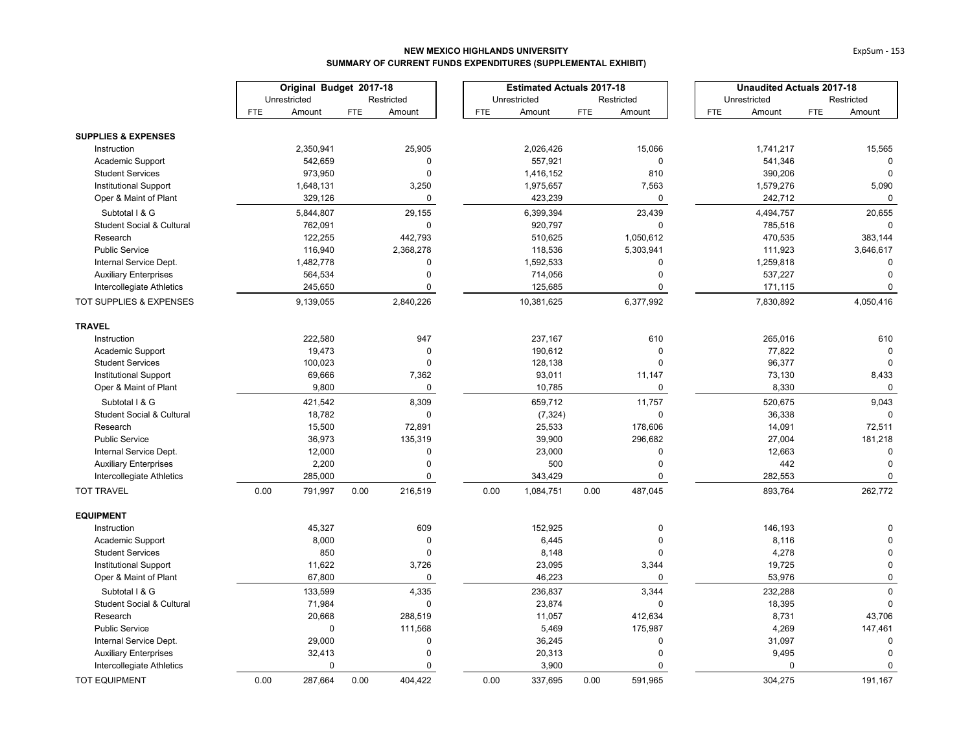|                                      | Original Budget 2017-18 |              |            |             | <b>Estimated Actuals 2017-18</b> |            |              | <b>Unaudited Actuals 2017-18</b> |             |            |              |            |             |
|--------------------------------------|-------------------------|--------------|------------|-------------|----------------------------------|------------|--------------|----------------------------------|-------------|------------|--------------|------------|-------------|
|                                      |                         | Unrestricted |            | Restricted  |                                  |            | Unrestricted |                                  | Restricted  |            | Unrestricted |            | Restricted  |
|                                      | <b>FTE</b>              | Amount       | <b>FTE</b> | Amount      |                                  | <b>FTE</b> | Amount       | <b>FTE</b>                       | Amount      | <b>FTE</b> | Amount       | <b>FTE</b> | Amount      |
| <b>SUPPLIES &amp; EXPENSES</b>       |                         |              |            |             |                                  |            |              |                                  |             |            |              |            |             |
| Instruction                          |                         | 2,350,941    |            | 25,905      |                                  |            | 2,026,426    |                                  | 15,066      |            | 1,741,217    |            | 15,565      |
| Academic Support                     |                         | 542,659      |            | $\mathbf 0$ |                                  |            | 557,921      |                                  | 0           |            | 541,346      |            | 0           |
| <b>Student Services</b>              |                         | 973,950      |            | $\mathbf 0$ |                                  |            | 1,416,152    |                                  | 810         |            | 390,206      |            | $\mathbf 0$ |
| <b>Institutional Support</b>         |                         | 1,648,131    |            | 3,250       |                                  |            | 1,975,657    |                                  | 7,563       |            | 1,579,276    |            | 5,090       |
| Oper & Maint of Plant                |                         | 329,126      |            | $\pmb{0}$   |                                  |            | 423,239      |                                  | 0           |            | 242,712      |            | 0           |
| Subtotal I & G                       |                         | 5,844,807    |            | 29,155      |                                  |            | 6,399,394    |                                  | 23,439      |            | 4,494,757    |            | 20,655      |
| <b>Student Social &amp; Cultural</b> |                         | 762,091      |            | $\pmb{0}$   |                                  |            | 920,797      |                                  | $\mathbf 0$ |            | 785,516      |            | $\Omega$    |
| Research                             |                         | 122,255      |            | 442,793     |                                  |            | 510,625      |                                  | 1,050,612   |            | 470,535      |            | 383,144     |
| Public Service                       |                         | 116,940      |            | 2,368,278   |                                  |            | 118,536      |                                  | 5,303,941   |            | 111,923      |            | 3,646,617   |
| Internal Service Dept.               |                         | 1,482,778    |            | $\mathbf 0$ |                                  |            | 1,592,533    |                                  | 0           |            | 1,259,818    |            | $\mathbf 0$ |
| <b>Auxiliary Enterprises</b>         |                         | 564,534      |            | $\mathbf 0$ |                                  |            | 714,056      |                                  | $\mathbf 0$ |            | 537,227      |            | $\Omega$    |
| Intercollegiate Athletics            |                         | 245,650      |            | $\mathbf 0$ |                                  |            | 125,685      |                                  | $\mathbf 0$ |            | 171,115      |            | $\mathbf 0$ |
| <b>TOT SUPPLIES &amp; EXPENSES</b>   |                         | 9,139,055    |            | 2,840,226   |                                  |            | 10,381,625   |                                  | 6,377,992   |            | 7,830,892    |            | 4,050,416   |
| <b>TRAVEL</b>                        |                         |              |            |             |                                  |            |              |                                  |             |            |              |            |             |
| Instruction                          |                         | 222,580      |            | 947         |                                  |            | 237,167      |                                  | 610         |            | 265,016      |            | 610         |
| Academic Support                     |                         | 19,473       |            | $\mathbf 0$ |                                  |            | 190,612      |                                  | 0           |            | 77,822       |            | $\Omega$    |
| <b>Student Services</b>              |                         | 100,023      |            | $\mathbf 0$ |                                  |            | 128,138      |                                  | $\mathbf 0$ |            | 96,377       |            | $\Omega$    |
| Institutional Support                |                         | 69,666       |            | 7,362       |                                  |            | 93,011       |                                  | 11,147      |            | 73,130       |            | 8,433       |
| Oper & Maint of Plant                |                         | 9,800        |            | $\pmb{0}$   |                                  |            | 10,785       |                                  | 0           |            | 8,330        |            | $\mathbf 0$ |
| Subtotal I & G                       |                         | 421,542      |            | 8,309       |                                  |            | 659,712      |                                  | 11,757      |            | 520,675      |            | 9,043       |
| <b>Student Social &amp; Cultural</b> |                         | 18,782       |            | $\pmb{0}$   |                                  |            | (7, 324)     |                                  | $\mathbf 0$ |            | 36,338       |            |             |
| Research                             |                         | 15,500       |            | 72,891      |                                  |            | 25,533       |                                  | 178,606     |            | 14,091       |            | 72,511      |
| Public Service                       |                         | 36,973       |            | 135,319     |                                  |            | 39,900       |                                  | 296,682     |            | 27,004       |            | 181,218     |
| Internal Service Dept.               |                         | 12,000       |            | $\pmb{0}$   |                                  |            | 23,000       |                                  | 0           |            | 12,663       |            | $\mathbf 0$ |
| <b>Auxiliary Enterprises</b>         |                         | 2,200        |            | $\mathbf 0$ |                                  |            | 500          |                                  | 0           |            | 442          |            | $\mathbf 0$ |
| Intercollegiate Athletics            |                         | 285,000      |            | 0           |                                  |            | 343,429      |                                  | 0           |            | 282,553      |            | $\Omega$    |
| <b>TOT TRAVEL</b>                    | 0.00                    | 791,997      | 0.00       | 216,519     |                                  | 0.00       | 1,084,751    | 0.00                             | 487,045     |            | 893,764      |            | 262,772     |
| <b>EQUIPMENT</b>                     |                         |              |            |             |                                  |            |              |                                  |             |            |              |            |             |
| Instruction                          |                         | 45,327       |            | 609         |                                  |            | 152,925      |                                  | $\Omega$    |            | 146,193      |            |             |
| Academic Support                     |                         | 8,000        |            | $\pmb{0}$   |                                  |            | 6,445        |                                  | $\Omega$    |            | 8,116        |            | $\Omega$    |
| <b>Student Services</b>              |                         | 850          |            | $\mathbf 0$ |                                  |            | 8,148        |                                  | 0           |            | 4,278        |            | $\Omega$    |
| <b>Institutional Support</b>         |                         | 11,622       |            | 3,726       |                                  |            | 23,095       |                                  | 3,344       |            | 19,725       |            | $\Omega$    |
| Oper & Maint of Plant                |                         | 67,800       |            | 0           |                                  |            | 46,223       |                                  | $\mathbf 0$ |            | 53,976       |            | $\mathsf 0$ |
| Subtotal I & G                       |                         | 133,599      |            | 4,335       |                                  |            | 236,837      |                                  | 3,344       |            | 232,288      |            | $\Omega$    |
| Student Social & Cultural            |                         | 71,984       |            | $\pmb{0}$   |                                  |            | 23,874       |                                  | $\mathbf 0$ |            | 18,395       |            | $\mathbf 0$ |
| Research                             |                         | 20,668       |            | 288,519     |                                  |            | 11,057       |                                  | 412,634     |            | 8,731        |            | 43,706      |
| <b>Public Service</b>                |                         | $\mathbf 0$  |            | 111,568     |                                  |            | 5,469        |                                  | 175,987     |            | 4,269        |            | 147,461     |
| Internal Service Dept.               |                         | 29,000       |            | $\pmb{0}$   |                                  |            | 36,245       |                                  | 0           |            | 31,097       |            | $\mathbf 0$ |
| <b>Auxiliary Enterprises</b>         |                         | 32,413       |            | $\mathbf 0$ |                                  |            | 20,313       |                                  | $\mathbf 0$ |            | 9,495        |            | $\mathbf 0$ |
| Intercollegiate Athletics            |                         | $\Omega$     |            | $\mathbf 0$ |                                  |            | 3,900        |                                  | $\Omega$    |            | $\Omega$     |            | $\mathbf 0$ |
| <b>TOT EQUIPMENT</b>                 | 0.00                    | 287,664      | 0.00       | 404.422     |                                  | 0.00       | 337,695      | 0.00                             | 591.965     |            | 304,275      |            | 191,167     |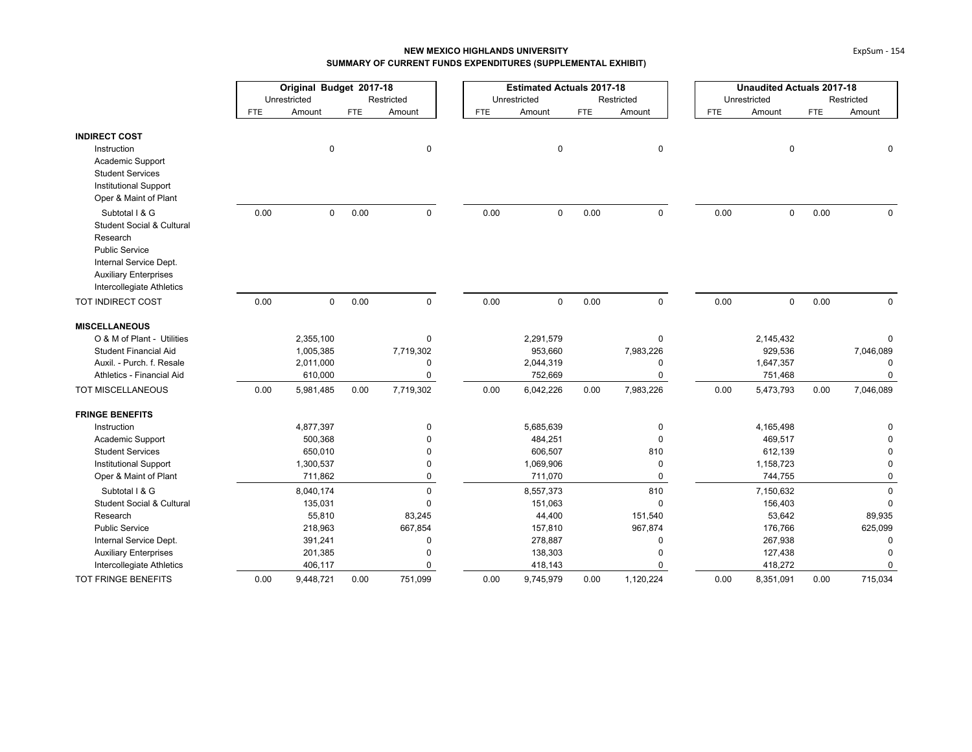|                                                           |            | Original Budget 2017-18 |            |                         |            | <b>Estimated Actuals 2017-18</b> |      |                      |            | <b>Unaudited Actuals 2017-18</b> |            |                      |  |
|-----------------------------------------------------------|------------|-------------------------|------------|-------------------------|------------|----------------------------------|------|----------------------|------------|----------------------------------|------------|----------------------|--|
|                                                           |            | Unrestricted            |            | Restricted              |            | Unrestricted                     |      | Restricted           |            | Unrestricted                     |            | Restricted           |  |
|                                                           | <b>FTE</b> | Amount                  | <b>FTE</b> | Amount                  | <b>FTE</b> | Amount                           | FTE  | Amount               | <b>FTE</b> | Amount                           | <b>FTE</b> | Amount               |  |
| <b>INDIRECT COST</b>                                      |            |                         |            |                         |            |                                  |      |                      |            |                                  |            |                      |  |
| Instruction                                               |            | $\pmb{0}$               |            | 0                       |            | $\mathbf 0$                      |      | 0                    |            | $\pmb{0}$                        |            |                      |  |
| Academic Support                                          |            |                         |            |                         |            |                                  |      |                      |            |                                  |            |                      |  |
| <b>Student Services</b>                                   |            |                         |            |                         |            |                                  |      |                      |            |                                  |            |                      |  |
| <b>Institutional Support</b>                              |            |                         |            |                         |            |                                  |      |                      |            |                                  |            |                      |  |
| Oper & Maint of Plant                                     |            |                         |            |                         |            |                                  |      |                      |            |                                  |            |                      |  |
| Subtotal I & G                                            | 0.00       | $\mathbf 0$             | 0.00       | $\mathbf 0$             | 0.00       | $\mathbf 0$                      | 0.00 | $\mathbf 0$          | 0.00       | $\mathbf 0$                      | 0.00       | 0                    |  |
| <b>Student Social &amp; Cultural</b>                      |            |                         |            |                         |            |                                  |      |                      |            |                                  |            |                      |  |
| Research<br><b>Public Service</b>                         |            |                         |            |                         |            |                                  |      |                      |            |                                  |            |                      |  |
| Internal Service Dept.                                    |            |                         |            |                         |            |                                  |      |                      |            |                                  |            |                      |  |
| <b>Auxiliary Enterprises</b>                              |            |                         |            |                         |            |                                  |      |                      |            |                                  |            |                      |  |
| Intercollegiate Athletics                                 |            |                         |            |                         |            |                                  |      |                      |            |                                  |            |                      |  |
| TOT INDIRECT COST                                         | 0.00       | $\mathbf 0$             | 0.00       | $\mathbf 0$             | 0.00       | $\mathsf 0$                      | 0.00 | $\mathbf 0$          | 0.00       | $\mathbf 0$                      | 0.00       | $\Omega$             |  |
| <b>MISCELLANEOUS</b>                                      |            |                         |            |                         |            |                                  |      |                      |            |                                  |            |                      |  |
| O & M of Plant - Utilities                                |            | 2,355,100               |            | 0                       |            | 2,291,579                        |      | $\mathbf 0$          |            | 2,145,432                        |            |                      |  |
| <b>Student Financial Aid</b>                              |            | 1,005,385               |            | 7,719,302               |            | 953,660                          |      | 7,983,226            |            | 929,536                          |            | 7,046,089            |  |
| Auxil. - Purch. f. Resale                                 |            | 2,011,000               |            | $\mathbf 0$             |            | 2,044,319                        |      | $\mathbf 0$          |            | 1,647,357                        |            | 0                    |  |
| Athletics - Financial Aid                                 |            | 610,000                 |            | $\mathbf 0$             |            | 752,669                          |      | $\mathbf 0$          |            | 751,468                          |            | $\Omega$             |  |
| TOT MISCELLANEOUS                                         | 0.00       | 5,981,485               | 0.00       | 7,719,302               | 0.00       | 6,042,226                        | 0.00 | 7,983,226            | 0.00       | 5,473,793                        | 0.00       | 7,046,089            |  |
| <b>FRINGE BENEFITS</b>                                    |            |                         |            |                         |            |                                  |      |                      |            |                                  |            |                      |  |
| Instruction                                               |            | 4,877,397               |            | $\Omega$                |            | 5,685,639                        |      | $\mathbf 0$          |            | 4,165,498                        |            |                      |  |
| Academic Support                                          |            | 500,368                 |            |                         |            | 484,251                          |      | $\mathbf 0$          |            | 469,517                          |            |                      |  |
| <b>Student Services</b>                                   |            | 650,010                 |            | $\Omega$                |            | 606,507                          |      | 810                  |            | 612,139                          |            |                      |  |
| <b>Institutional Support</b>                              |            | 1,300,537               |            | 0                       |            | 1,069,906                        |      | $\mathbf 0$          |            | 1,158,723                        |            | $\Omega$             |  |
| Oper & Maint of Plant                                     |            | 711,862                 |            | 0                       |            | 711,070                          |      | $\mathbf 0$          |            | 744,755                          |            | $\Omega$             |  |
| Subtotal I & G                                            |            | 8,040,174               |            | $\mathbf 0$             |            | 8,557,373                        |      | 810                  |            | 7,150,632                        |            | $\Omega$             |  |
| <b>Student Social &amp; Cultural</b>                      |            | 135,031                 |            | $\Omega$                |            | 151,063                          |      | $\mathbf 0$          |            | 156,403                          |            | $\mathbf 0$          |  |
| Research                                                  |            | 55,810                  |            | 83,245                  |            | 44,400                           |      | 151,540              |            | 53,642                           |            | 89,935               |  |
| <b>Public Service</b>                                     |            | 218,963                 |            | 667,854                 |            | 157,810                          |      | 967,874              |            | 176,766                          |            | 625,099              |  |
| Internal Service Dept.                                    |            | 391,241                 |            | 0                       |            | 278,887                          |      | 0                    |            | 267,938                          |            | $\Omega$             |  |
| <b>Auxiliary Enterprises</b><br>Intercollegiate Athletics |            | 201,385<br>406,117      |            | $\Omega$<br>$\mathbf 0$ |            | 138,303<br>418,143               |      | $\Omega$<br>$\Omega$ |            | 127,438<br>418,272               |            | $\Omega$<br>$\Omega$ |  |
|                                                           |            |                         |            |                         |            |                                  |      |                      |            |                                  |            |                      |  |
| <b>TOT FRINGE BENEFITS</b>                                | 0.00       | 9,448,721               | 0.00       | 751,099                 | 0.00       | 9,745,979                        | 0.00 | 1,120,224            | 0.00       | 8,351,091                        | 0.00       | 715,034              |  |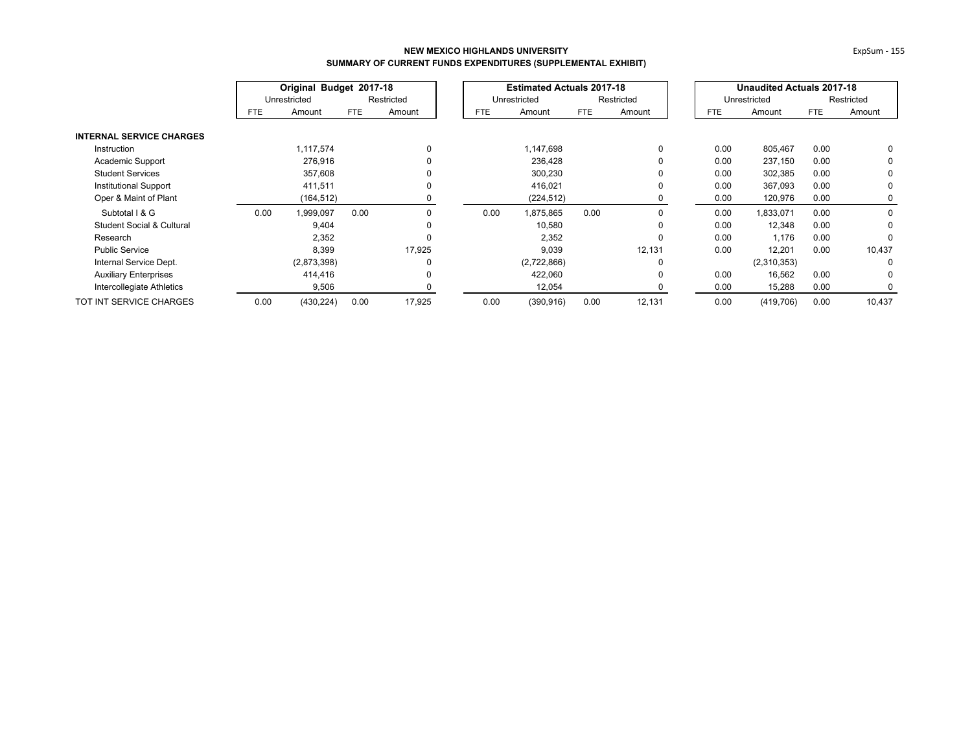|                                      | Original Budget 2017-18 |              |            |            |            | <b>Estimated Actuals 2017-18</b> |            |            |            | <b>Unaudited Actuals 2017-18</b> |      |            |
|--------------------------------------|-------------------------|--------------|------------|------------|------------|----------------------------------|------------|------------|------------|----------------------------------|------|------------|
|                                      |                         | Unrestricted |            | Restricted |            | Unrestricted                     |            | Restricted |            | Unrestricted                     |      | Restricted |
|                                      | FTE.                    | Amount       | <b>FTE</b> | Amount     | <b>FTE</b> | Amount                           | <b>FTE</b> | Amount     | <b>FTE</b> | Amount                           | FTE  | Amount     |
| <b>INTERNAL SERVICE CHARGES</b>      |                         |              |            |            |            |                                  |            |            |            |                                  |      |            |
| Instruction                          |                         | 1,117,574    |            | 0          |            | 1,147,698                        |            | $\Omega$   | 0.00       | 805,467                          | 0.00 | 0          |
| Academic Support                     |                         | 276,916      |            |            |            | 236,428                          |            |            | 0.00       | 237,150                          | 0.00 | 0          |
| <b>Student Services</b>              |                         | 357,608      |            |            |            | 300,230                          |            |            | 0.00       | 302,385                          | 0.00 | 0          |
| Institutional Support                |                         | 411,511      |            |            |            | 416,021                          |            | 0          | 0.00       | 367,093                          | 0.00 | 0          |
| Oper & Maint of Plant                |                         | (164,512)    |            |            |            | (224, 512)                       |            |            | 0.00       | 120,976                          | 0.00 | 0          |
| Subtotal I & G                       | 0.00                    | 1,999,097    | 0.00       | 0          | 0.00       | 1,875,865                        | 0.00       | $\Omega$   | 0.00       | 1,833,071                        | 0.00 | 0          |
| <b>Student Social &amp; Cultural</b> |                         | 9,404        |            | 0          |            | 10,580                           |            | $\Omega$   | 0.00       | 12,348                           | 0.00 | 0          |
| Research                             |                         | 2,352        |            | 0          |            | 2,352                            |            | 0          | 0.00       | 1,176                            | 0.00 | 0          |
| <b>Public Service</b>                |                         | 8,399        |            | 17,925     |            | 9,039                            |            | 12,131     | 0.00       | 12,201                           | 0.00 | 10,437     |
| Internal Service Dept.               |                         | (2,873,398)  |            | 0          |            | (2,722,866)                      |            | C          |            | (2,310,353)                      |      | 0          |
| <b>Auxiliary Enterprises</b>         |                         | 414,416      |            | 0          |            | 422,060                          |            | $\Omega$   | 0.00       | 16,562                           | 0.00 | $\Omega$   |
| Intercollegiate Athletics            |                         | 9,506        |            |            |            | 12,054                           |            |            | 0.00       | 15,288                           | 0.00 | 0          |
| TOT INT SERVICE CHARGES              | 0.00                    | (430, 224)   | 0.00       | 17,925     | 0.00       | (390, 916)                       | 0.00       | 12,131     | 0.00       | (419, 706)                       | 0.00 | 10,437     |